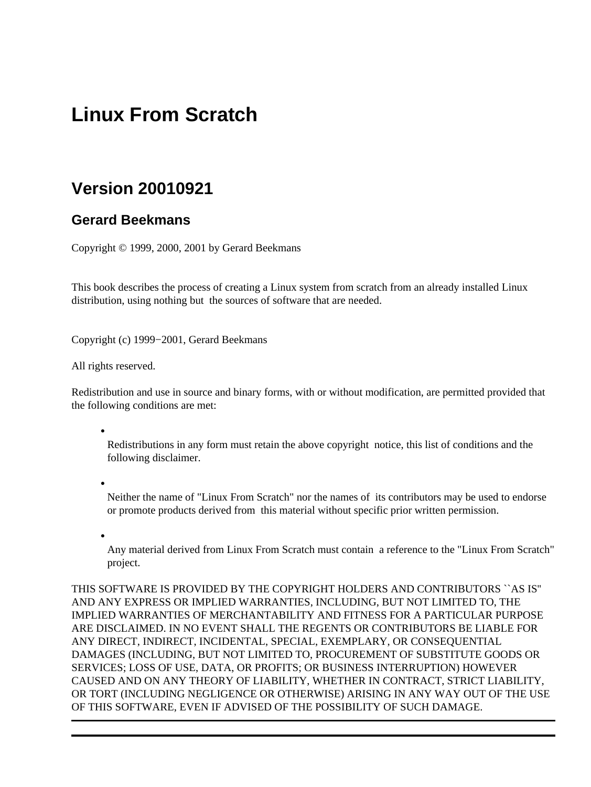## **Linux From Scratch**

## **Version 20010921**

## **Gerard Beekmans**

Copyright © 1999, 2000, 2001 by Gerard Beekmans

This book describes the process of creating a Linux system from scratch from an already installed Linux distribution, using nothing but the sources of software that are needed.

Copyright (c) 1999−2001, Gerard Beekmans

All rights reserved.

Redistribution and use in source and binary forms, with or without modification, are permitted provided that the following conditions are met:

•

Redistributions in any form must retain the above copyright notice, this list of conditions and the following disclaimer.

•

Neither the name of "Linux From Scratch" nor the names of its contributors may be used to endorse or promote products derived from this material without specific prior written permission.

•

Any material derived from Linux From Scratch must contain a reference to the "Linux From Scratch" project.

THIS SOFTWARE IS PROVIDED BY THE COPYRIGHT HOLDERS AND CONTRIBUTORS ``AS IS'' AND ANY EXPRESS OR IMPLIED WARRANTIES, INCLUDING, BUT NOT LIMITED TO, THE IMPLIED WARRANTIES OF MERCHANTABILITY AND FITNESS FOR A PARTICULAR PURPOSE ARE DISCLAIMED. IN NO EVENT SHALL THE REGENTS OR CONTRIBUTORS BE LIABLE FOR ANY DIRECT, INDIRECT, INCIDENTAL, SPECIAL, EXEMPLARY, OR CONSEQUENTIAL DAMAGES (INCLUDING, BUT NOT LIMITED TO, PROCUREMENT OF SUBSTITUTE GOODS OR SERVICES; LOSS OF USE, DATA, OR PROFITS; OR BUSINESS INTERRUPTION) HOWEVER CAUSED AND ON ANY THEORY OF LIABILITY, WHETHER IN CONTRACT, STRICT LIABILITY, OR TORT (INCLUDING NEGLIGENCE OR OTHERWISE) ARISING IN ANY WAY OUT OF THE USE OF THIS SOFTWARE, EVEN IF ADVISED OF THE POSSIBILITY OF SUCH DAMAGE.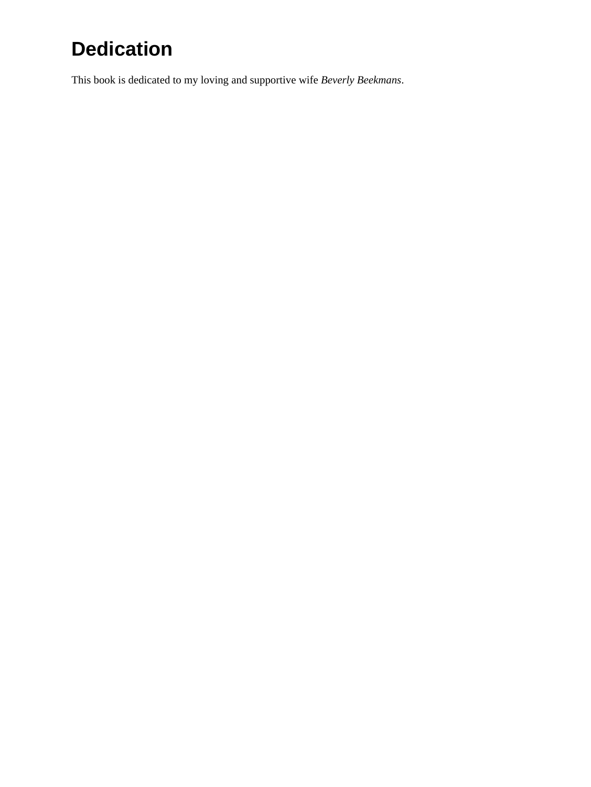# **Dedication**

This book is dedicated to my loving and supportive wife *Beverly Beekmans*.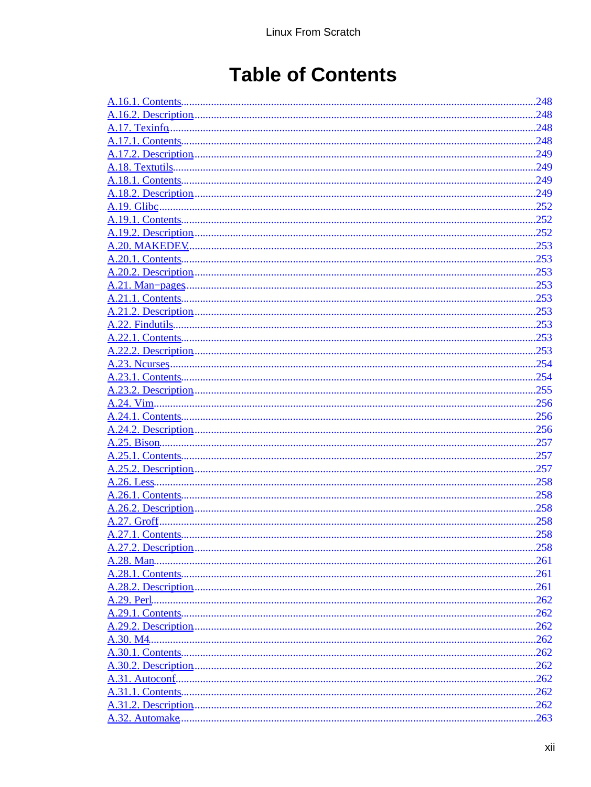| .248 |
|------|
|      |
|      |
|      |
|      |
|      |
|      |
|      |
|      |
|      |
|      |
|      |
|      |
|      |
|      |
|      |
|      |
|      |
|      |
|      |
|      |
|      |
|      |
|      |
|      |
|      |
|      |
|      |
|      |
|      |
|      |
|      |
|      |
|      |
|      |
|      |
|      |
|      |
|      |
|      |
|      |
|      |
|      |
|      |
|      |
|      |
|      |
|      |
|      |
|      |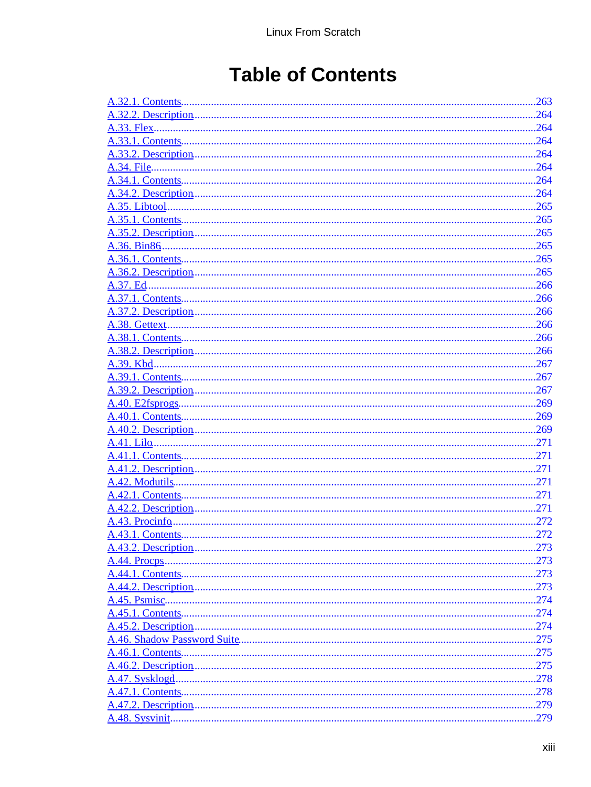| 273 |
|-----|
|     |
|     |
|     |
|     |
|     |
|     |
|     |
|     |
|     |
|     |
|     |
|     |
|     |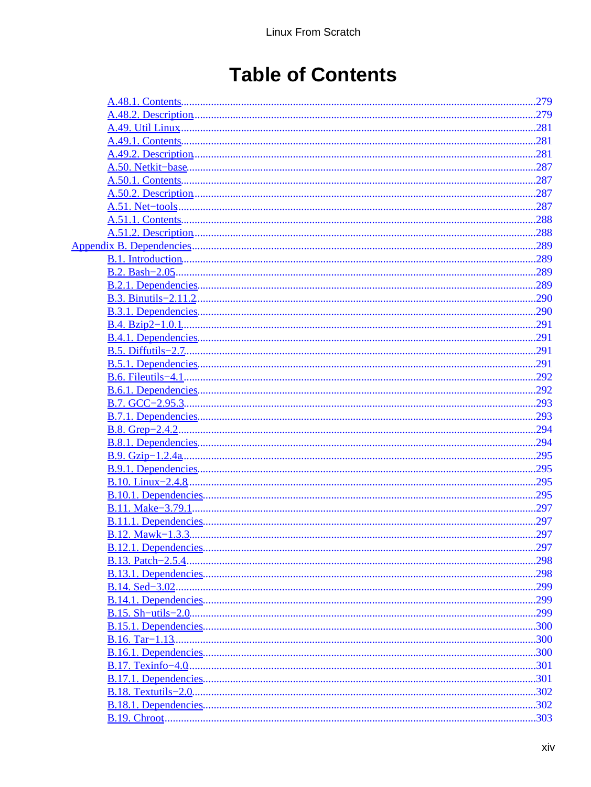|  | .279 |
|--|------|
|  |      |
|  |      |
|  |      |
|  |      |
|  |      |
|  |      |
|  |      |
|  |      |
|  |      |
|  |      |
|  |      |
|  |      |
|  |      |
|  |      |
|  |      |
|  |      |
|  |      |
|  |      |
|  |      |
|  |      |
|  |      |
|  |      |
|  |      |
|  |      |
|  |      |
|  |      |
|  |      |
|  |      |
|  |      |
|  |      |
|  |      |
|  |      |
|  |      |
|  |      |
|  |      |
|  |      |
|  |      |
|  |      |
|  |      |
|  |      |
|  |      |
|  |      |
|  |      |
|  |      |
|  |      |
|  |      |
|  |      |
|  |      |
|  |      |
|  |      |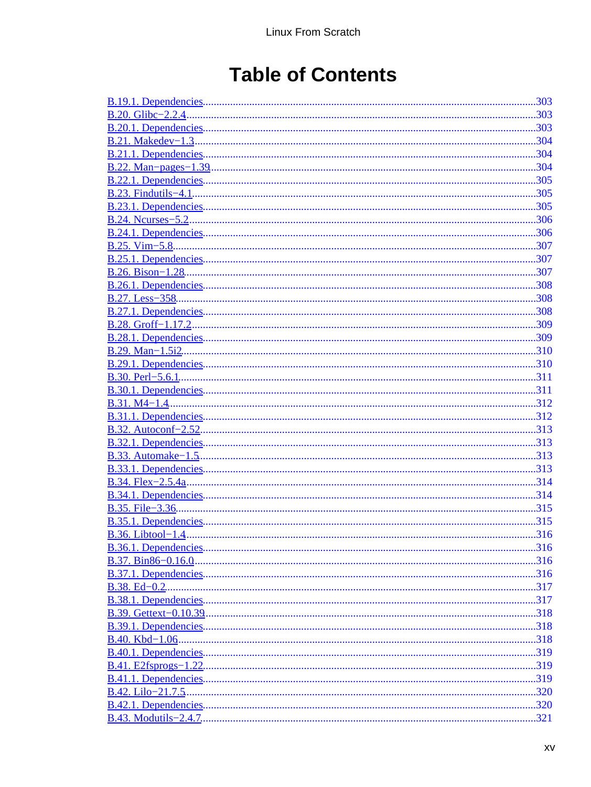| B.38. Ed-0.2. |  |
|---------------|--|
|               |  |
|               |  |
|               |  |
|               |  |
|               |  |
|               |  |
|               |  |
|               |  |
|               |  |
|               |  |
|               |  |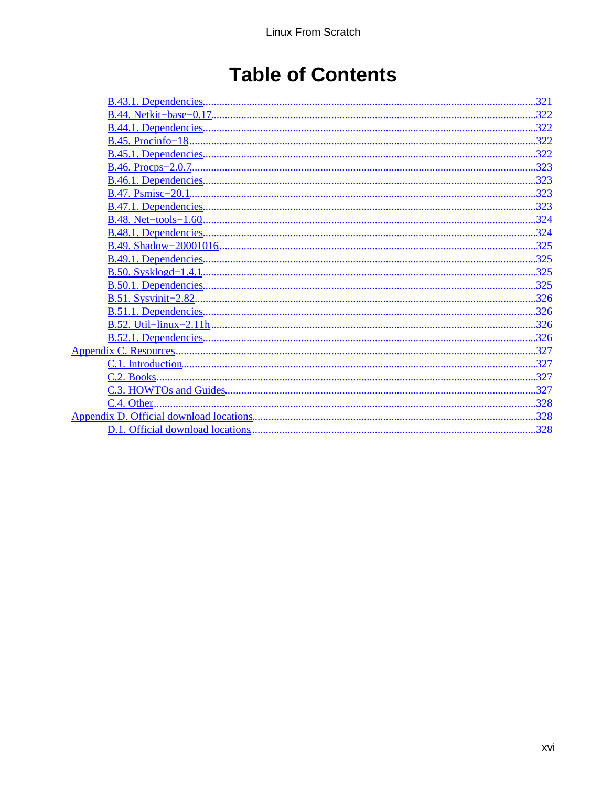| .321 |
|------|
| .322 |
|      |
| .322 |
| .322 |
| .323 |
|      |
|      |
|      |
|      |
|      |
|      |
|      |
|      |
|      |
|      |
|      |
|      |
|      |
| 327  |
|      |
|      |
|      |
|      |
|      |
|      |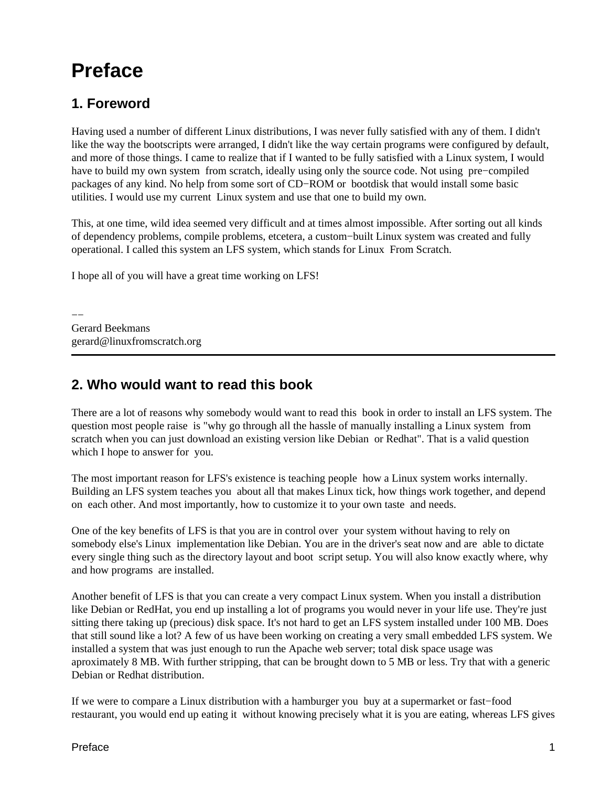# <span id="page-18-0"></span>**Preface**

## **1. Foreword**

Having used a number of different Linux distributions, I was never fully satisfied with any of them. I didn't like the way the bootscripts were arranged, I didn't like the way certain programs were configured by default, and more of those things. I came to realize that if I wanted to be fully satisfied with a Linux system, I would have to build my own system from scratch, ideally using only the source code. Not using pre−compiled packages of any kind. No help from some sort of CD−ROM or bootdisk that would install some basic utilities. I would use my current Linux system and use that one to build my own.

This, at one time, wild idea seemed very difficult and at times almost impossible. After sorting out all kinds of dependency problems, compile problems, etcetera, a custom−built Linux system was created and fully operational. I called this system an LFS system, which stands for Linux From Scratch.

I hope all of you will have a great time working on LFS!

−− Gerard Beekmans gerard@linuxfromscratch.org

## **2. Who would want to read this book**

There are a lot of reasons why somebody would want to read this book in order to install an LFS system. The question most people raise is "why go through all the hassle of manually installing a Linux system from scratch when you can just download an existing version like Debian or Redhat". That is a valid question which I hope to answer for you.

The most important reason for LFS's existence is teaching people how a Linux system works internally. Building an LFS system teaches you about all that makes Linux tick, how things work together, and depend on each other. And most importantly, how to customize it to your own taste and needs.

One of the key benefits of LFS is that you are in control over your system without having to rely on somebody else's Linux implementation like Debian. You are in the driver's seat now and are able to dictate every single thing such as the directory layout and boot script setup. You will also know exactly where, why and how programs are installed.

Another benefit of LFS is that you can create a very compact Linux system. When you install a distribution like Debian or RedHat, you end up installing a lot of programs you would never in your life use. They're just sitting there taking up (precious) disk space. It's not hard to get an LFS system installed under 100 MB. Does that still sound like a lot? A few of us have been working on creating a very small embedded LFS system. We installed a system that was just enough to run the Apache web server; total disk space usage was aproximately 8 MB. With further stripping, that can be brought down to 5 MB or less. Try that with a generic Debian or Redhat distribution.

If we were to compare a Linux distribution with a hamburger you buy at a supermarket or fast−food restaurant, you would end up eating it without knowing precisely what it is you are eating, whereas LFS gives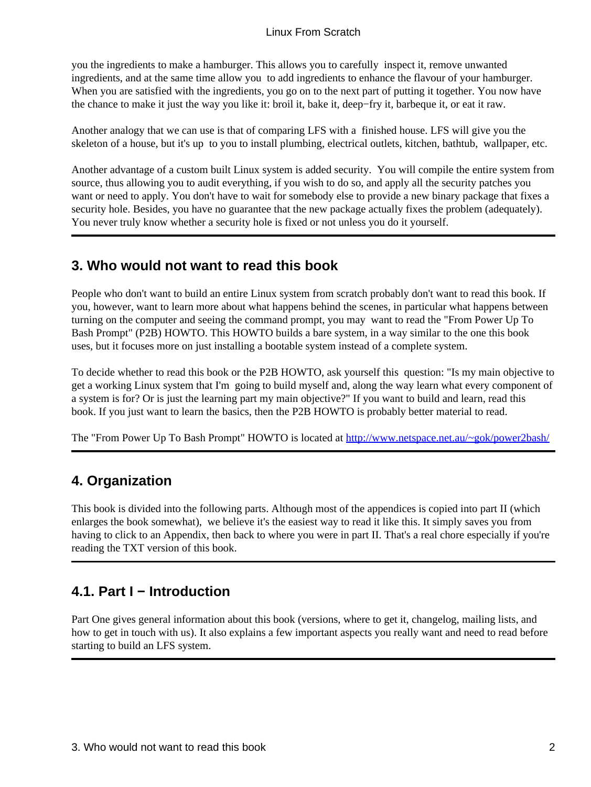#### Linux From Scratch

<span id="page-19-0"></span>you the ingredients to make a hamburger. This allows you to carefully inspect it, remove unwanted ingredients, and at the same time allow you to add ingredients to enhance the flavour of your hamburger. When you are satisfied with the ingredients, you go on to the next part of putting it together. You now have the chance to make it just the way you like it: broil it, bake it, deep−fry it, barbeque it, or eat it raw.

Another analogy that we can use is that of comparing LFS with a finished house. LFS will give you the skeleton of a house, but it's up to you to install plumbing, electrical outlets, kitchen, bathtub, wallpaper, etc.

Another advantage of a custom built Linux system is added security. You will compile the entire system from source, thus allowing you to audit everything, if you wish to do so, and apply all the security patches you want or need to apply. You don't have to wait for somebody else to provide a new binary package that fixes a security hole. Besides, you have no guarantee that the new package actually fixes the problem (adequately). You never truly know whether a security hole is fixed or not unless you do it yourself.

## **3. Who would not want to read this book**

People who don't want to build an entire Linux system from scratch probably don't want to read this book. If you, however, want to learn more about what happens behind the scenes, in particular what happens between turning on the computer and seeing the command prompt, you may want to read the "From Power Up To Bash Prompt" (P2B) HOWTO. This HOWTO builds a bare system, in a way similar to the one this book uses, but it focuses more on just installing a bootable system instead of a complete system.

To decide whether to read this book or the P2B HOWTO, ask yourself this question: "Is my main objective to get a working Linux system that I'm going to build myself and, along the way learn what every component of a system is for? Or is just the learning part my main objective?" If you want to build and learn, read this book. If you just want to learn the basics, then the P2B HOWTO is probably better material to read.

The "From Power Up To Bash Prompt" HOWTO is located at<http://www.netspace.net.au/~gok/power2bash/>

## **4. Organization**

This book is divided into the following parts. Although most of the appendices is copied into part II (which enlarges the book somewhat), we believe it's the easiest way to read it like this. It simply saves you from having to click to an Appendix, then back to where you were in part II. That's a real chore especially if you're reading the TXT version of this book.

## **4.1. Part I − Introduction**

Part One gives general information about this book (versions, where to get it, changelog, mailing lists, and how to get in touch with us). It also explains a few important aspects you really want and need to read before starting to build an LFS system.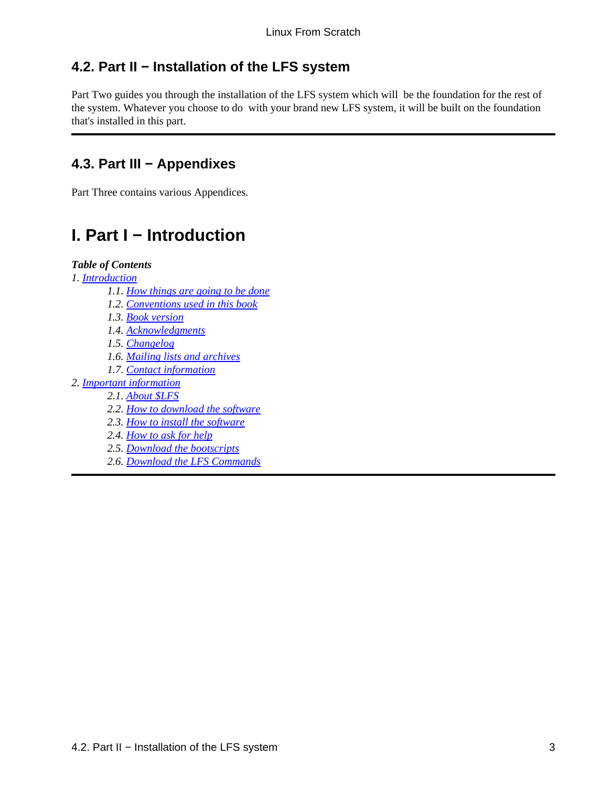## <span id="page-20-0"></span>**4.2. Part II − Installation of the LFS system**

Part Two guides you through the installation of the LFS system which will be the foundation for the rest of the system. Whatever you choose to do with your brand new LFS system, it will be built on the foundation that's installed in this part.

## **4.3. Part III − Appendixes**

Part Three contains various Appendices.

## **I. Part I − Introduction**

#### *Table of Contents*

*1. [Introduction](#page-21-0)*

- *1.1. [How things are going to be done](#page-21-0)*
- *1.2. [Conventions used in this book](#page-21-0)*
- *1.3. [Book version](#page-22-0)*
- *1.4. [Acknowledgments](#page-23-0)*
- *1.5. [Changelog](#page-24-0)*
- *1.6. [Mailing lists and archives](#page-29-0)*
- *1.7. [Contact information](#page-33-0)*
- *2. [Important information](#page-34-0)*
	- *2.1. [About \\$LFS](#page-34-0)*
	- *2.2. [How to download the software](#page-34-0)*
	- *2.3. [How to install the software](#page-35-0)*
	- *2.4. [How to ask for help](#page-36-0)*
	- *2.5. [Download the bootscripts](#page-37-0)*
	- *2.6. [Download the LFS Commands](#page-37-0)*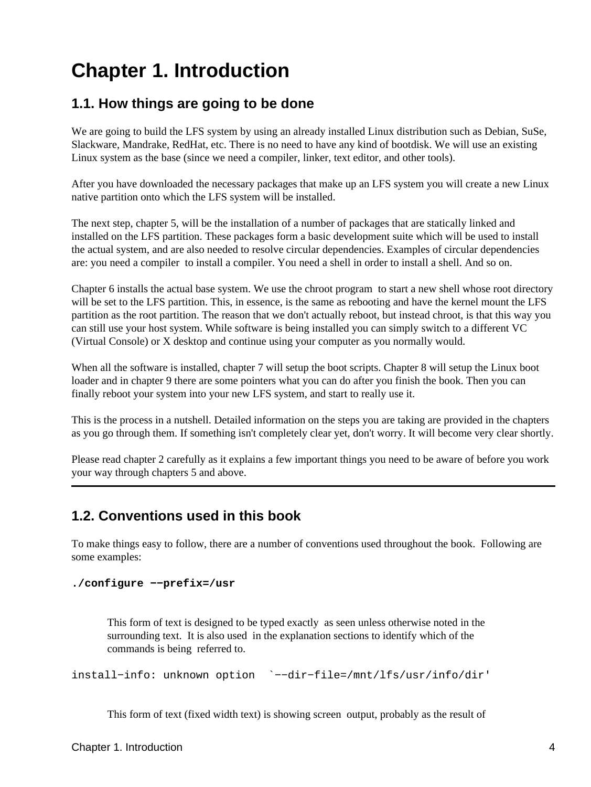# <span id="page-21-0"></span>**Chapter 1. Introduction**

## **1.1. How things are going to be done**

We are going to build the LFS system by using an already installed Linux distribution such as Debian, SuSe, Slackware, Mandrake, RedHat, etc. There is no need to have any kind of bootdisk. We will use an existing Linux system as the base (since we need a compiler, linker, text editor, and other tools).

After you have downloaded the necessary packages that make up an LFS system you will create a new Linux native partition onto which the LFS system will be installed.

The next step, chapter 5, will be the installation of a number of packages that are statically linked and installed on the LFS partition. These packages form a basic development suite which will be used to install the actual system, and are also needed to resolve circular dependencies. Examples of circular dependencies are: you need a compiler to install a compiler. You need a shell in order to install a shell. And so on.

Chapter 6 installs the actual base system. We use the chroot program to start a new shell whose root directory will be set to the LFS partition. This, in essence, is the same as rebooting and have the kernel mount the LFS partition as the root partition. The reason that we don't actually reboot, but instead chroot, is that this way you can still use your host system. While software is being installed you can simply switch to a different VC (Virtual Console) or X desktop and continue using your computer as you normally would.

When all the software is installed, chapter 7 will setup the boot scripts. Chapter 8 will setup the Linux boot loader and in chapter 9 there are some pointers what you can do after you finish the book. Then you can finally reboot your system into your new LFS system, and start to really use it.

This is the process in a nutshell. Detailed information on the steps you are taking are provided in the chapters as you go through them. If something isn't completely clear yet, don't worry. It will become very clear shortly.

Please read chapter 2 carefully as it explains a few important things you need to be aware of before you work your way through chapters 5 and above.

### **1.2. Conventions used in this book**

To make things easy to follow, there are a number of conventions used throughout the book. Following are some examples:

```
./configure −−prefix=/usr
```
This form of text is designed to be typed exactly as seen unless otherwise noted in the surrounding text. It is also used in the explanation sections to identify which of the commands is being referred to.

install−info: unknown option `−−dir−file=/mnt/lfs/usr/info/dir'

This form of text (fixed width text) is showing screen output, probably as the result of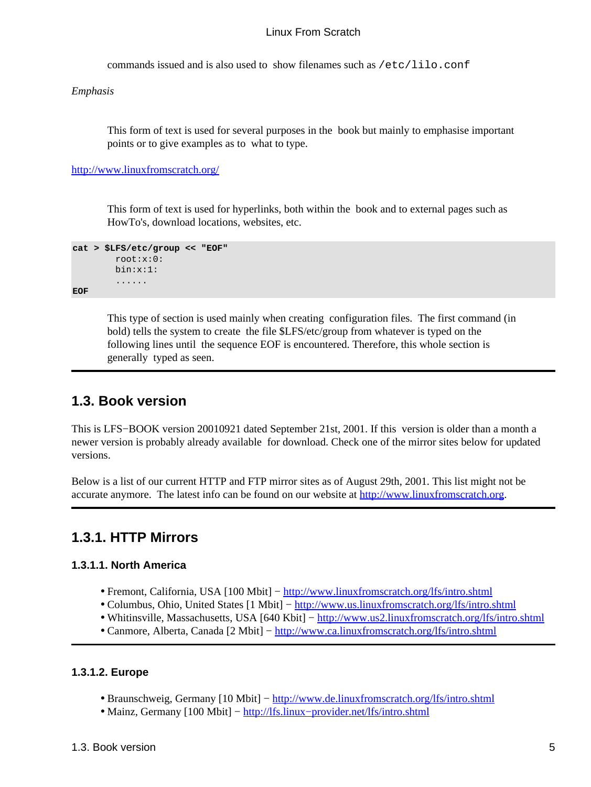commands issued and is also used to show filenames such as /etc/lilo.conf

<span id="page-22-0"></span>*Emphasis*

This form of text is used for several purposes in the book but mainly to emphasise important points or to give examples as to what to type.

<http://www.linuxfromscratch.org/>

This form of text is used for hyperlinks, both within the book and to external pages such as HowTo's, download locations, websites, etc.

```
cat > $LFS/etc/group << "EOF"
        root:x:0:
         bin:x:1:
```
......

**EOF**

This type of section is used mainly when creating configuration files. The first command (in bold) tells the system to create the file \$LFS/etc/group from whatever is typed on the following lines until the sequence EOF is encountered. Therefore, this whole section is generally typed as seen.

#### **1.3. Book version**

This is LFS−BOOK version 20010921 dated September 21st, 2001. If this version is older than a month a newer version is probably already available for download. Check one of the mirror sites below for updated versions.

Below is a list of our current HTTP and FTP mirror sites as of August 29th, 2001. This list might not be accurate anymore. The latest info can be found on our website at [http://www.linuxfromscratch.org.](http://www.linuxfromscratch.org)

### **1.3.1. HTTP Mirrors**

#### **1.3.1.1. North America**

- Fremont, California, USA [100 Mbit] −<http://www.linuxfromscratch.org/lfs/intro.shtml>
- Columbus, Ohio, United States [1 Mbit] − <http://www.us.linuxfromscratch.org/lfs/intro.shtml>
- Whitinsville, Massachusetts, USA [640 Kbit] − <http://www.us2.linuxfromscratch.org/lfs/intro.shtml>
- Canmore, Alberta, Canada [2 Mbit] − <http://www.ca.linuxfromscratch.org/lfs/intro.shtml>

#### **1.3.1.2. Europe**

- Braunschweig, Germany [10 Mbit] −<http://www.de.linuxfromscratch.org/lfs/intro.shtml>
- Mainz, Germany [100 Mbit] − [http://lfs.linux−provider.net/lfs/intro.shtml](http://lfs.linux-provider.net/lfs/intro.shtml)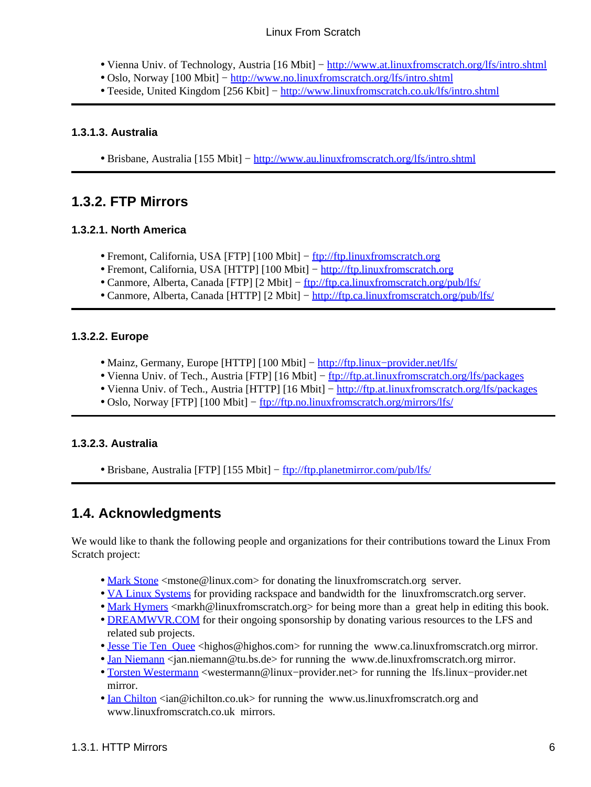#### Linux From Scratch

- <span id="page-23-0"></span>• Vienna Univ. of Technology, Austria [16 Mbit] −<http://www.at.linuxfromscratch.org/lfs/intro.shtml>
- Oslo, Norway [100 Mbit] −<http://www.no.linuxfromscratch.org/lfs/intro.shtml>
- Teeside, United Kingdom [256 Kbit] −<http://www.linuxfromscratch.co.uk/lfs/intro.shtml>

#### **1.3.1.3. Australia**

• Brisbane, Australia [155 Mbit] −<http://www.au.linuxfromscratch.org/lfs/intro.shtml>

## **1.3.2. FTP Mirrors**

#### **1.3.2.1. North America**

- Fremont, California, USA [FTP] [100 Mbit] −<ftp://ftp.linuxfromscratch.org>
- Fremont, California, USA [HTTP] [100 Mbit] − <http://ftp.linuxfromscratch.org>
- Canmore, Alberta, Canada [FTP] [2 Mbit] − <ftp://ftp.ca.linuxfromscratch.org/pub/lfs/>
- Canmore, Alberta, Canada [HTTP] [2 Mbit] −<http://ftp.ca.linuxfromscratch.org/pub/lfs/>

#### **1.3.2.2. Europe**

- Mainz, Germany, Europe [HTTP] [100 Mbit] − [http://ftp.linux−provider.net/lfs/](http://ftp.linux-provider.net/lfs/)
- Vienna Univ. of Tech., Austria [FTP] [16 Mbit] −<ftp://ftp.at.linuxfromscratch.org/lfs/packages>
- Vienna Univ. of Tech., Austria [HTTP] [16 Mbit] −<http://ftp.at.linuxfromscratch.org/lfs/packages>
- Oslo, Norway [FTP] [100 Mbit] −<ftp://ftp.no.linuxfromscratch.org/mirrors/lfs/>

#### **1.3.2.3. Australia**

• Brisbane, Australia [FTP] [155 Mbit] −<ftp://ftp.planetmirror.com/pub/lfs/>

## **1.4. Acknowledgments**

We would like to thank the following people and organizations for their contributions toward the Linux From Scratch project:

- [Mark Stone](mailto:strider@linux.com)  $\leq$  mstone@linux.com> for donating the linuxfromscratch.org server.
- [VA Linux Systems](http://www.valinux.com) for providing rackspace and bandwidth for the linuxfromscratch.org server.
- [Mark Hymers](mailto:markh@linuxfromscratch.org) <markh@linuxfromscratch.org> for being more than a great help in editing this book.
- [DREAMWVR.COM](http://www.dreamwvr.com/services) for their ongoing sponsorship by donating various resources to the LFS and related sub projects.
- [Jesse Tie Ten Quee](mailto:highos@highos.com) <highos@highos.com> for running the www.ca.linuxfromscratch.org mirror.
- [Jan Niemann](mailto:jan.niemann@tu.bs.de) <jan.niemann@tu.bs.de> for running the www.de.linuxfromscratch.org mirror.
- [Torsten Westermann](mailto:westermann@linux-provider.net) <westermann@linux-provider.net> for running the lfs.linux-provider.net mirror.
- [Ian Chilton](mailto:ian@ichilton.co.uk) <ian@ichilton.co.uk> for running the www.us.linuxfromscratch.org and www.linuxfromscratch.co.uk mirrors.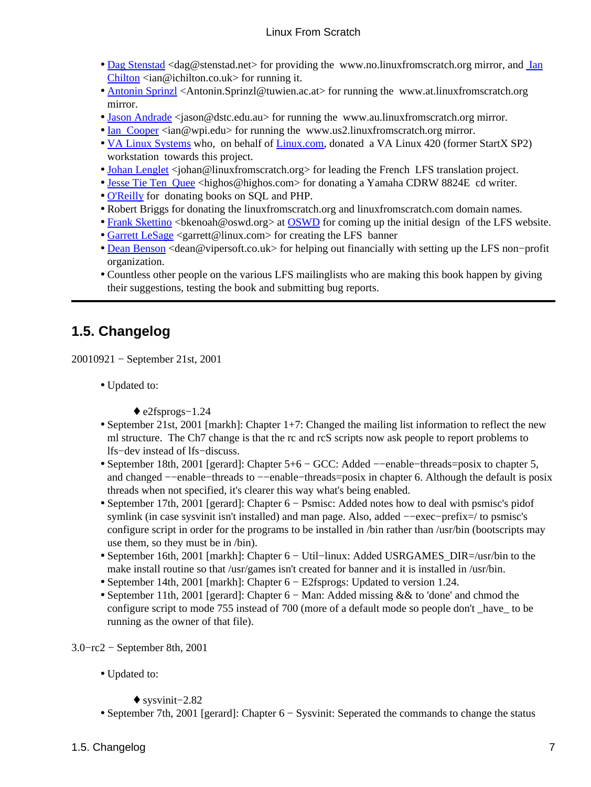- <span id="page-24-0"></span>• [Dag Stenstad](mailto:dag@stenstad.net) <dag@stenstad.net> for providing the www.no.linuxfromscratch.org mirror, and *Lan* [Chilton](mailto:ian@ichilton.co.uk)  $\langle$ ian@ichilton.co.uk> for running it.
- **Antonin Sprinzl** <Antonin.Sprinzl@tuwien.ac.at> for running the www.at.linuxfromscratch.org mirror.
- [Jason Andrade](mailto:jason@dstc.edu.au) <jason@dstc.edu.au> for running the www.au.linuxfromscratch.org mirror.
- [Ian Cooper](mailto:ian@wpi.edu)  $\langle$ ian@wpi.edu $\rangle$  for running the www.us2.linuxfromscratch.org mirror.
- [VA Linux Systems](http://www.valinux.com) who, on behalf of [Linux.com](http://www.linux.com), donated a VA Linux 420 (former StartX SP2) workstation towards this project.
- [Johan Lenglet](johan@linuxfromscratch.org) <johan@linuxfromscratch.org> for leading the French LFS translation project.
- [Jesse Tie Ten Quee](mailto:highos@highos.com) <highos@highos.com> for donating a Yamaha CDRW 8824E cd writer.
- [O'Reilly](http://www.oreilly.com) for donating books on SQL and PHP.
- Robert Briggs for donating the linuxfromscratch.org and linuxfromscratch.com domain names.
- [Frank Skettino](mailto:bkenoah@oswd.org) <br/>bkenoah@oswd.org> at [OSWD](http://www.oswd.org) for coming up the initial design of the LFS website.
- [Garrett LeSage](mailto:garrett@linux.com) <garrett@linux.com> for creating the LFS banner
- [Dean Benson](mailto:dean@vipersoft.co.uk) <dean@vipersoft.co.uk> for helping out financially with setting up the LFS non-profit organization.
- Countless other people on the various LFS mailinglists who are making this book happen by giving their suggestions, testing the book and submitting bug reports.

## **1.5. Changelog**

20010921 − September 21st, 2001

- Updated to:
	- ♦ e2fsprogs−1.24
- September 21st, 2001 [markh]: Chapter 1+7: Changed the mailing list information to reflect the new ml structure. The Ch7 change is that the rc and rcS scripts now ask people to report problems to lfs−dev instead of lfs−discuss.
- September 18th, 2001 [gerard]: Chapter 5+6 − GCC: Added −−enable−threads=posix to chapter 5, and changed −−enable−threads to −−enable−threads=posix in chapter 6. Although the default is posix threads when not specified, it's clearer this way what's being enabled.
- September 17th, 2001 [gerard]: Chapter 6 Psmisc: Added notes how to deal with psmisc's pidof symlink (in case sysvinit isn't installed) and man page. Also, added --exec-prefix=/to psmisc's configure script in order for the programs to be installed in /bin rather than /usr/bin (bootscripts may use them, so they must be in /bin).
- September 16th, 2001 [markh]: Chapter 6 − Util−linux: Added USRGAMES\_DIR=/usr/bin to the make install routine so that /usr/games isn't created for banner and it is installed in /usr/bin.
- September 14th, 2001 [markh]: Chapter 6 − E2fsprogs: Updated to version 1.24.
- September 11th, 2001 [gerard]: Chapter 6 Man: Added missing & & to 'done' and chmod the configure script to mode 755 instead of 700 (more of a default mode so people don't have to be running as the owner of that file).

3.0−rc2 − September 8th, 2001

- Updated to:
	- ♦ sysvinit−2.82
- September 7th, 2001 [gerard]: Chapter 6 − Sysvinit: Seperated the commands to change the status

#### 1.5. Changelog 7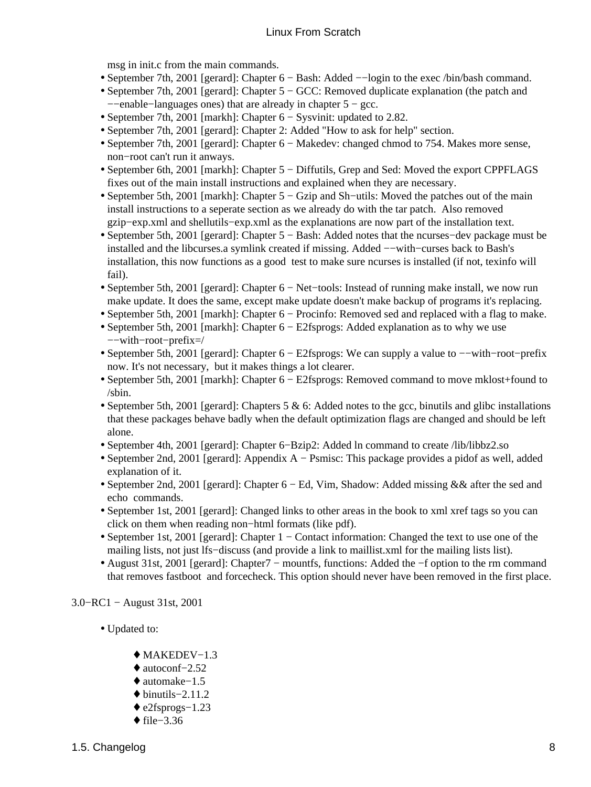#### Linux From Scratch

msg in init.c from the main commands.

- September 7th, 2001 [gerard]: Chapter 6 − Bash: Added −−login to the exec /bin/bash command.
- September 7th, 2001 [gerard]: Chapter 5 GCC: Removed duplicate explanation (the patch and −−enable−languages ones) that are already in chapter 5 − gcc.
- September 7th, 2001 [markh]: Chapter 6 − Sysvinit: updated to 2.82.
- September 7th, 2001 [gerard]: Chapter 2: Added "How to ask for help" section.
- September 7th, 2001 [gerard]: Chapter 6 − Makedev: changed chmod to 754. Makes more sense, non−root can't run it anways.
- September 6th, 2001 [markh]: Chapter 5 Diffutils, Grep and Sed: Moved the export CPPFLAGS fixes out of the main install instructions and explained when they are necessary.
- September 5th, 2001 [markh]: Chapter 5 Gzip and Sh–utils: Moved the patches out of the main install instructions to a seperate section as we already do with the tar patch. Also removed gzip−exp.xml and shellutils−exp.xml as the explanations are now part of the installation text.
- September 5th, 2001 [gerard]: Chapter 5 − Bash: Added notes that the ncurses−dev package must be installed and the libcurses.a symlink created if missing. Added −−with−curses back to Bash's installation, this now functions as a good test to make sure ncurses is installed (if not, texinfo will fail).
- September 5th, 2001 [gerard]: Chapter 6 Net–tools: Instead of running make install, we now run make update. It does the same, except make update doesn't make backup of programs it's replacing.
- September 5th, 2001 [markh]: Chapter 6 − Procinfo: Removed sed and replaced with a flag to make.
- September 5th, 2001 [markh]: Chapter 6 − E2fsprogs: Added explanation as to why we use −−with−root−prefix=/
- September 5th, 2001 [gerard]: Chapter 6 − E2fsprogs: We can supply a value to −−with−root−prefix now. It's not necessary, but it makes things a lot clearer.
- September 5th, 2001 [markh]: Chapter 6 E2fsprogs: Removed command to move mklost+found to /sbin.
- September 5th, 2001 [gerard]: Chapters 5 & 6: Added notes to the gcc, binutils and glibc installations that these packages behave badly when the default optimization flags are changed and should be left alone.
- September 4th, 2001 [gerard]: Chapter 6−Bzip2: Added ln command to create /lib/libbz2.so
- September 2nd, 2001 [gerard]: Appendix A Psmisc: This package provides a pidof as well, added explanation of it.
- September 2nd, 2001 [gerard]: Chapter 6 Ed, Vim, Shadow: Added missing & & after the sed and echo commands.
- September 1st, 2001 [gerard]: Changed links to other areas in the book to xml xref tags so you can click on them when reading non−html formats (like pdf).
- September 1st, 2001 [gerard]: Chapter 1 Contact information: Changed the text to use one of the mailing lists, not just lfs−discuss (and provide a link to maillist.xml for the mailing lists list).
- August 31st, 2001 [gerard]: Chapter7 − mountfs, functions: Added the −f option to the rm command that removes fastboot and forcecheck. This option should never have been removed in the first place.

3.0−RC1 − August 31st, 2001

- Updated to:
	- ♦ MAKEDEV−1.3
	- ♦ autoconf−2.52
	- ♦ automake−1.5
	- ♦ binutils−2.11.2
	- ♦ e2fsprogs−1.23
	- ♦ file−3.36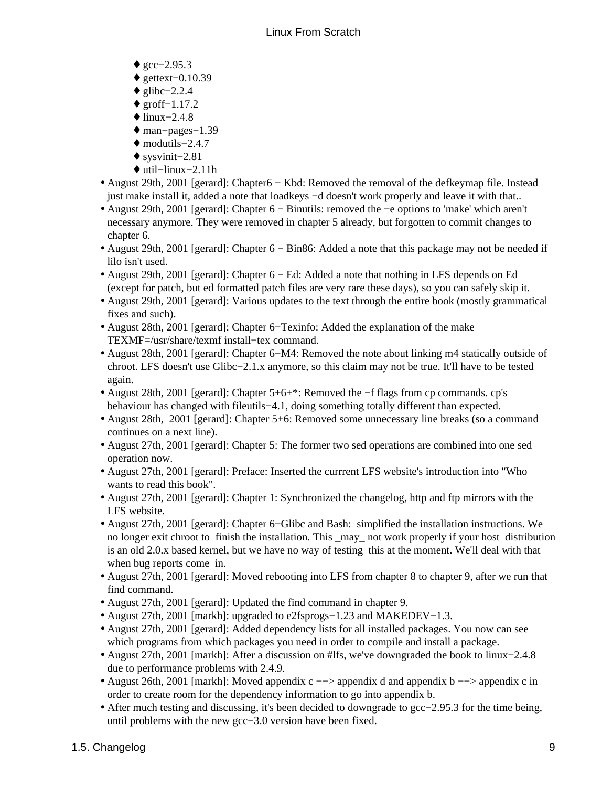- ♦ gcc−2.95.3
- ♦ gettext−0.10.39
- $\triangle$  glibc–2.2.4
- ♦ groff−1.17.2
- ♦ linux−2.4.8
- ♦ man−pages−1.39
- ♦ modutils−2.4.7
- ♦ sysvinit−2.81
- ♦ util−linux−2.11h
- August 29th, 2001 [gerard]: Chapter6 − Kbd: Removed the removal of the defkeymap file. Instead just make install it, added a note that loadkeys −d doesn't work properly and leave it with that..
- August 29th, 2001 [gerard]: Chapter 6 − Binutils: removed the −e options to 'make' which aren't necessary anymore. They were removed in chapter 5 already, but forgotten to commit changes to chapter 6.
- August 29th, 2001 [gerard]: Chapter 6 − Bin86: Added a note that this package may not be needed if lilo isn't used.
- August 29th, 2001 [gerard]: Chapter 6 − Ed: Added a note that nothing in LFS depends on Ed (except for patch, but ed formatted patch files are very rare these days), so you can safely skip it.
- August 29th, 2001 [gerard]: Various updates to the text through the entire book (mostly grammatical fixes and such).
- August 28th, 2001 [gerard]: Chapter 6−Texinfo: Added the explanation of the make TEXMF=/usr/share/texmf install−tex command.
- August 28th, 2001 [gerard]: Chapter 6−M4: Removed the note about linking m4 statically outside of chroot. LFS doesn't use Glibc−2.1.x anymore, so this claim may not be true. It'll have to be tested again.
- August 28th, 2001 [gerard]: Chapter 5+6+\*: Removed the −f flags from cp commands. cp's behaviour has changed with fileutils−4.1, doing something totally different than expected.
- August 28th, 2001 [gerard]: Chapter 5+6: Removed some unnecessary line breaks (so a command continues on a next line).
- August 27th, 2001 [gerard]: Chapter 5: The former two sed operations are combined into one sed operation now.
- August 27th, 2001 [gerard]: Preface: Inserted the currrent LFS website's introduction into "Who wants to read this book".
- August 27th, 2001 [gerard]: Chapter 1: Synchronized the changelog, http and ftp mirrors with the LFS website.
- August 27th, 2001 [gerard]: Chapter 6−Glibc and Bash: simplified the installation instructions. We no longer exit chroot to finish the installation. This \_may\_ not work properly if your host distribution is an old 2.0.x based kernel, but we have no way of testing this at the moment. We'll deal with that when bug reports come in.
- August 27th, 2001 [gerard]: Moved rebooting into LFS from chapter 8 to chapter 9, after we run that find command.
- August 27th, 2001 [gerard]: Updated the find command in chapter 9.
- August 27th, 2001 [markh]: upgraded to e2fsprogs−1.23 and MAKEDEV−1.3.
- August 27th, 2001 [gerard]: Added dependency lists for all installed packages. You now can see which programs from which packages you need in order to compile and install a package.
- August 27th, 2001 [markh]: After a discussion on #lfs, we've downgraded the book to linux−2.4.8 due to performance problems with 2.4.9.
- August 26th, 2001 [markh]: Moved appendix c −−> appendix d and appendix b −−> appendix c in order to create room for the dependency information to go into appendix b.
- After much testing and discussing, it's been decided to downgrade to gcc−2.95.3 for the time being, until problems with the new gcc−3.0 version have been fixed.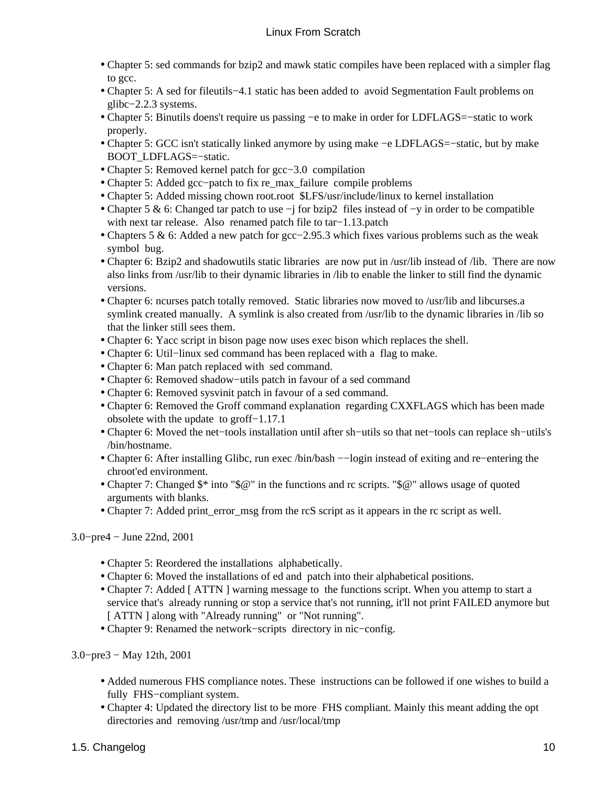- Chapter 5: sed commands for bzip2 and mawk static compiles have been replaced with a simpler flag to gcc.
- Chapter 5: A sed for fileutils−4.1 static has been added to avoid Segmentation Fault problems on glibc−2.2.3 systems.
- Chapter 5: Binutils doens't require us passing −e to make in order for LDFLAGS=−static to work properly.
- Chapter 5: GCC isn't statically linked anymore by using make −e LDFLAGS=−static, but by make BOOT\_LDFLAGS=-static.
- Chapter 5: Removed kernel patch for gcc−3.0 compilation
- Chapter 5: Added gcc−patch to fix re\_max\_failure compile problems
- Chapter 5: Added missing chown root.root \$LFS/usr/include/linux to kernel installation
- Chapter 5 & 6: Changed tar patch to use −j for bzip2 files instead of −y in order to be compatible with next tar release. Also renamed patch file to tar−1.13.patch
- Chapters 5 & 6: Added a new patch for gcc-2.95.3 which fixes various problems such as the weak symbol bug.
- Chapter 6: Bzip2 and shadowutils static libraries are now put in /usr/lib instead of /lib. There are now also links from /usr/lib to their dynamic libraries in /lib to enable the linker to still find the dynamic versions.
- Chapter 6: ncurses patch totally removed. Static libraries now moved to /usr/lib and libcurses.a symlink created manually. A symlink is also created from /usr/lib to the dynamic libraries in /lib so that the linker still sees them.
- Chapter 6: Yacc script in bison page now uses exec bison which replaces the shell.
- Chapter 6: Util−linux sed command has been replaced with a flag to make.
- Chapter 6: Man patch replaced with sed command.
- Chapter 6: Removed shadow−utils patch in favour of a sed command
- Chapter 6: Removed sysvinit patch in favour of a sed command.
- Chapter 6: Removed the Groff command explanation regarding CXXFLAGS which has been made obsolete with the update to groff−1.17.1
- Chapter 6: Moved the net−tools installation until after sh−utils so that net−tools can replace sh−utils's /bin/hostname.
- Chapter 6: After installing Glibc, run exec /bin/bash --login instead of exiting and re-entering the chroot'ed environment.
- Chapter 7: Changed \$\* into "\$@" in the functions and rc scripts. "\$@" allows usage of quoted arguments with blanks.
- Chapter 7: Added print error msg from the rcS script as it appears in the rc script as well.

3.0−pre4 − June 22nd, 2001

- Chapter 5: Reordered the installations alphabetically.
- Chapter 6: Moved the installations of ed and patch into their alphabetical positions.
- Chapter 7: Added [ ATTN ] warning message to the functions script. When you attemp to start a service that's already running or stop a service that's not running, it'll not print FAILED anymore but [ ATTN ] along with "Already running" or "Not running".
- Chapter 9: Renamed the network−scripts directory in nic−config.

3.0−pre3 − May 12th, 2001

- Added numerous FHS compliance notes. These instructions can be followed if one wishes to build a fully FHS−compliant system.
- Chapter 4: Updated the directory list to be more FHS compliant. Mainly this meant adding the opt directories and removing /usr/tmp and /usr/local/tmp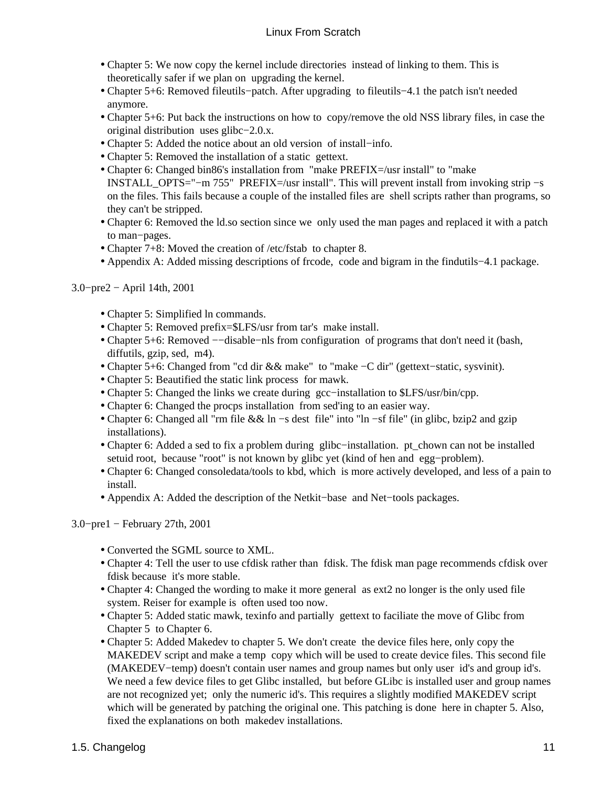- Chapter 5: We now copy the kernel include directories instead of linking to them. This is theoretically safer if we plan on upgrading the kernel.
- Chapter 5+6: Removed fileutils−patch. After upgrading to fileutils−4.1 the patch isn't needed anymore.
- Chapter 5+6: Put back the instructions on how to copy/remove the old NSS library files, in case the original distribution uses glibc−2.0.x.
- Chapter 5: Added the notice about an old version of install−info.
- Chapter 5: Removed the installation of a static gettext.
- Chapter 6: Changed bin86's installation from "make PREFIX=/usr install" to "make INSTALL\_OPTS="−m 755" PREFIX=/usr install". This will prevent install from invoking strip −s on the files. This fails because a couple of the installed files are shell scripts rather than programs, so they can't be stripped.
- Chapter 6: Removed the ld.so section since we only used the man pages and replaced it with a patch to man−pages.
- Chapter 7+8: Moved the creation of /etc/fstab to chapter 8.
- Appendix A: Added missing descriptions of frcode, code and bigram in the findutils−4.1 package.

3.0−pre2 − April 14th, 2001

- Chapter 5: Simplified ln commands.
- Chapter 5: Removed prefix=\$LFS/usr from tar's make install.
- Chapter 5+6: Removed --disable-nls from configuration of programs that don't need it (bash, diffutils, gzip, sed, m4).
- Chapter 5+6: Changed from "cd dir && make" to "make −C dir" (gettext−static, sysvinit).
- Chapter 5: Beautified the static link process for mawk.
- Chapter 5: Changed the links we create during gcc−installation to \$LFS/usr/bin/cpp.
- Chapter 6: Changed the procps installation from sed'ing to an easier way.
- Chapter 6: Changed all "rm file && ln –s dest file" into "ln –sf file" (in glibc, bzip2 and gzip installations).
- Chapter 6: Added a sed to fix a problem during glibc−installation. pt\_chown can not be installed setuid root, because "root" is not known by glibc yet (kind of hen and egg−problem).
- Chapter 6: Changed consoledata/tools to kbd, which is more actively developed, and less of a pain to install.
- Appendix A: Added the description of the Netkit−base and Net−tools packages.

#### 3.0−pre1 − February 27th, 2001

- Converted the SGML source to XML.
- Chapter 4: Tell the user to use cfdisk rather than fdisk. The fdisk man page recommends cfdisk over fdisk because it's more stable.
- Chapter 4: Changed the wording to make it more general as ext2 no longer is the only used file system. Reiser for example is often used too now.
- Chapter 5: Added static mawk, texinfo and partially gettext to faciliate the move of Glibc from Chapter 5 to Chapter 6.
- Chapter 5: Added Makedev to chapter 5. We don't create the device files here, only copy the MAKEDEV script and make a temp copy which will be used to create device files. This second file (MAKEDEV−temp) doesn't contain user names and group names but only user id's and group id's. We need a few device files to get Glibc installed, but before GLibc is installed user and group names are not recognized yet; only the numeric id's. This requires a slightly modified MAKEDEV script which will be generated by patching the original one. This patching is done here in chapter 5. Also, fixed the explanations on both makedev installations.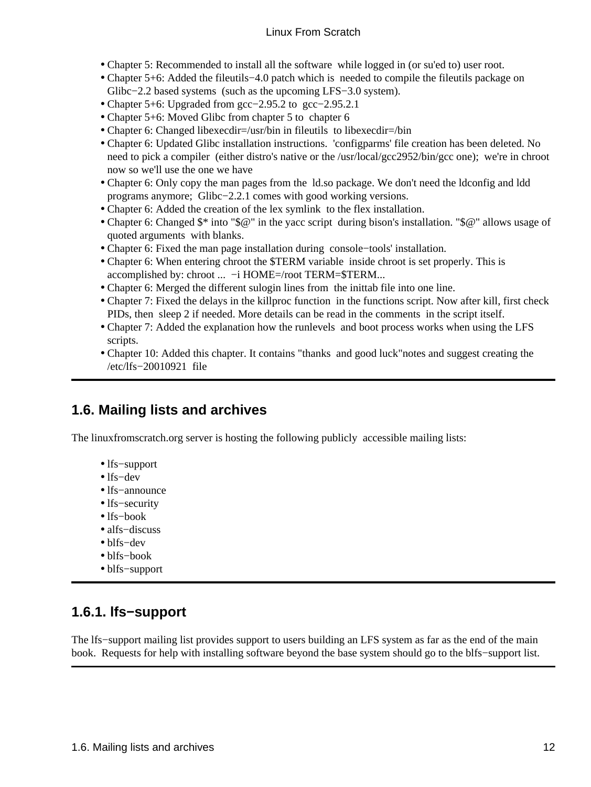#### Linux From Scratch

- <span id="page-29-0"></span>• Chapter 5: Recommended to install all the software while logged in (or su'ed to) user root.
- Chapter 5+6: Added the fileutils−4.0 patch which is needed to compile the fileutils package on Glibc−2.2 based systems (such as the upcoming LFS−3.0 system).
- Chapter 5+6: Upgraded from gcc−2.95.2 to gcc−2.95.2.1
- Chapter 5+6: Moved Glibc from chapter 5 to chapter 6
- Chapter 6: Changed libexecdir=/usr/bin in fileutils to libexecdir=/bin
- Chapter 6: Updated Glibc installation instructions. 'configparms' file creation has been deleted. No need to pick a compiler (either distro's native or the /usr/local/gcc2952/bin/gcc one); we're in chroot now so we'll use the one we have
- Chapter 6: Only copy the man pages from the ld.so package. We don't need the ldconfig and ldd programs anymore; Glibc−2.2.1 comes with good working versions.
- Chapter 6: Added the creation of the lex symlink to the flex installation.
- Chapter 6: Changed \$\* into "\$@" in the yacc script during bison's installation. "\$@" allows usage of quoted arguments with blanks.
- Chapter 6: Fixed the man page installation during console−tools' installation.
- Chapter 6: When entering chroot the \$TERM variable inside chroot is set properly. This is accomplished by: chroot ... −i HOME=/root TERM=\$TERM...
- Chapter 6: Merged the different sulogin lines from the inittab file into one line.
- Chapter 7: Fixed the delays in the killproc function in the functions script. Now after kill, first check PIDs, then sleep 2 if needed. More details can be read in the comments in the script itself.
- Chapter 7: Added the explanation how the runlevels and boot process works when using the LFS scripts.
- Chapter 10: Added this chapter. It contains "thanks and good luck" notes and suggest creating the /etc/lfs−20010921 file

#### **1.6. Mailing lists and archives**

The linuxfromscratch.org server is hosting the following publicly accessible mailing lists:

- lfs−support
- lfs−dev
- lfs−announce
- lfs−security
- lfs−book
- alfs−discuss
- blfs−dev
- blfs−book
- blfs−support

#### **1.6.1. lfs−support**

The lfs−support mailing list provides support to users building an LFS system as far as the end of the main book. Requests for help with installing software beyond the base system should go to the blfs−support list.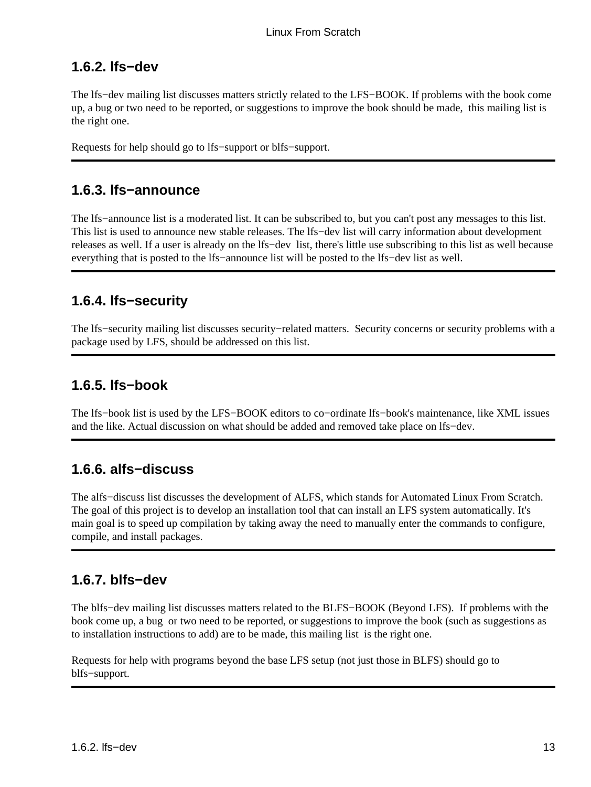## <span id="page-30-0"></span>**1.6.2. lfs−dev**

The lfs−dev mailing list discusses matters strictly related to the LFS–BOOK. If problems with the book come up, a bug or two need to be reported, or suggestions to improve the book should be made, this mailing list is the right one.

Requests for help should go to lfs−support or blfs−support.

### **1.6.3. lfs−announce**

The lfs−announce list is a moderated list. It can be subscribed to, but you can't post any messages to this list. This list is used to announce new stable releases. The lfs−dev list will carry information about development releases as well. If a user is already on the lfs−dev list, there's little use subscribing to this list as well because everything that is posted to the lfs−announce list will be posted to the lfs−dev list as well.

## **1.6.4. lfs−security**

The lfs–security mailing list discusses security–related matters. Security concerns or security problems with a package used by LFS, should be addressed on this list.

## **1.6.5. lfs−book**

The lfs−book list is used by the LFS−BOOK editors to co−ordinate lfs−book's maintenance, like XML issues and the like. Actual discussion on what should be added and removed take place on lfs−dev.

## **1.6.6. alfs−discuss**

The alfs−discuss list discusses the development of ALFS, which stands for Automated Linux From Scratch. The goal of this project is to develop an installation tool that can install an LFS system automatically. It's main goal is to speed up compilation by taking away the need to manually enter the commands to configure, compile, and install packages.

## **1.6.7. blfs−dev**

The blfs−dev mailing list discusses matters related to the BLFS−BOOK (Beyond LFS). If problems with the book come up, a bug or two need to be reported, or suggestions to improve the book (such as suggestions as to installation instructions to add) are to be made, this mailing list is the right one.

Requests for help with programs beyond the base LFS setup (not just those in BLFS) should go to blfs−support.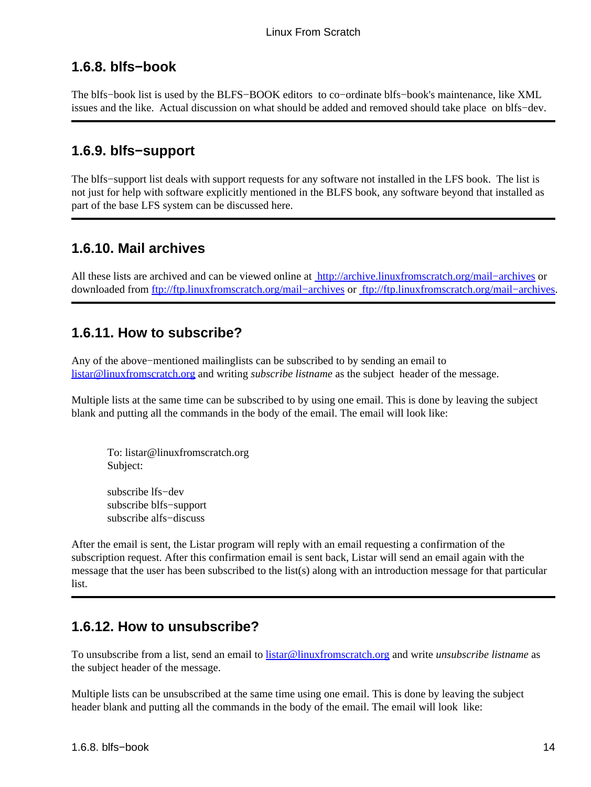### <span id="page-31-0"></span>**1.6.8. blfs−book**

The blfs−book list is used by the BLFS−BOOK editors to co−ordinate blfs−book's maintenance, like XML issues and the like. Actual discussion on what should be added and removed should take place on blfs−dev.

## **1.6.9. blfs−support**

The blfs–support list deals with support requests for any software not installed in the LFS book. The list is not just for help with software explicitly mentioned in the BLFS book, any software beyond that installed as part of the base LFS system can be discussed here.

## **1.6.10. Mail archives**

All these lists are archived and can be viewed online at [http://archive.linuxfromscratch.org/mail−archives](http://archive.linuxfromscratch.org/mail-archives) or downloaded from [ftp://ftp.linuxfromscratch.org/mail−archives](ftp://ftp.linuxfromscratch.org/mail-archives) or [ftp://ftp.linuxfromscratch.org/mail−archives.](ftp://ftp.linuxfromscratch.orgmail-archives)

### **1.6.11. How to subscribe?**

Any of the above−mentioned mailinglists can be subscribed to by sending an email to [listar@linuxfromscratch.org](mailto:listar@linuxfromscratch.org) and writing *subscribe listname* as the subject header of the message.

Multiple lists at the same time can be subscribed to by using one email. This is done by leaving the subject blank and putting all the commands in the body of the email. The email will look like:

To: listar@linuxfromscratch.org Subject:

subscribe lfs−dev subscribe blfs−support subscribe alfs−discuss

After the email is sent, the Listar program will reply with an email requesting a confirmation of the subscription request. After this confirmation email is sent back, Listar will send an email again with the message that the user has been subscribed to the list(s) along with an introduction message for that particular list.

### **1.6.12. How to unsubscribe?**

To unsubscribe from a list, send an email to [listar@linuxfromscratch.org](mailto:listar@linuxfromscratch.org) and write *unsubscribe listname* as the subject header of the message.

Multiple lists can be unsubscribed at the same time using one email. This is done by leaving the subject header blank and putting all the commands in the body of the email. The email will look like: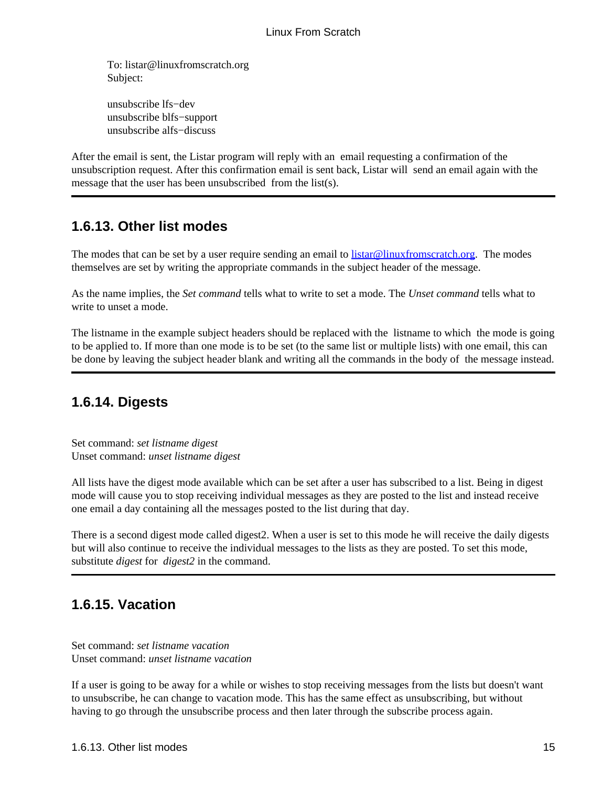<span id="page-32-0"></span>To: listar@linuxfromscratch.org Subject:

unsubscribe lfs−dev unsubscribe blfs−support unsubscribe alfs−discuss

After the email is sent, the Listar program will reply with an email requesting a confirmation of the unsubscription request. After this confirmation email is sent back, Listar will send an email again with the message that the user has been unsubscribed from the list(s).

## **1.6.13. Other list modes**

The modes that can be set by a user require sending an email to **listar**@linuxfromscratch.org. The modes themselves are set by writing the appropriate commands in the subject header of the message.

As the name implies, the *Set command* tells what to write to set a mode. The *Unset command* tells what to write to unset a mode.

The listname in the example subject headers should be replaced with the listname to which the mode is going to be applied to. If more than one mode is to be set (to the same list or multiple lists) with one email, this can be done by leaving the subject header blank and writing all the commands in the body of the message instead.

## **1.6.14. Digests**

Set command: *set listname digest* Unset command: *unset listname digest*

All lists have the digest mode available which can be set after a user has subscribed to a list. Being in digest mode will cause you to stop receiving individual messages as they are posted to the list and instead receive one email a day containing all the messages posted to the list during that day.

There is a second digest mode called digest2. When a user is set to this mode he will receive the daily digests but will also continue to receive the individual messages to the lists as they are posted. To set this mode, substitute *digest* for *digest2* in the command.

## **1.6.15. Vacation**

Set command: *set listname vacation* Unset command: *unset listname vacation*

If a user is going to be away for a while or wishes to stop receiving messages from the lists but doesn't want to unsubscribe, he can change to vacation mode. This has the same effect as unsubscribing, but without having to go through the unsubscribe process and then later through the subscribe process again.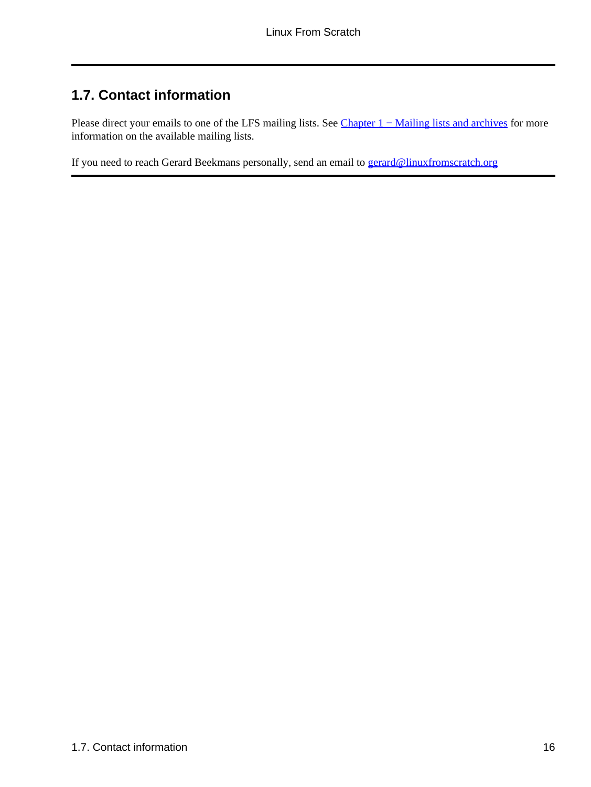## <span id="page-33-0"></span>**1.7. Contact information**

Please direct your emails to one of the LFS mailing lists. See Chapter 1 – Mailing lists and archives for more information on the available mailing lists.

If you need to reach Gerard Beekmans personally, send an email to [gerard@linuxfromscratch.org](mailto:gerard@linuxfromscratch.org)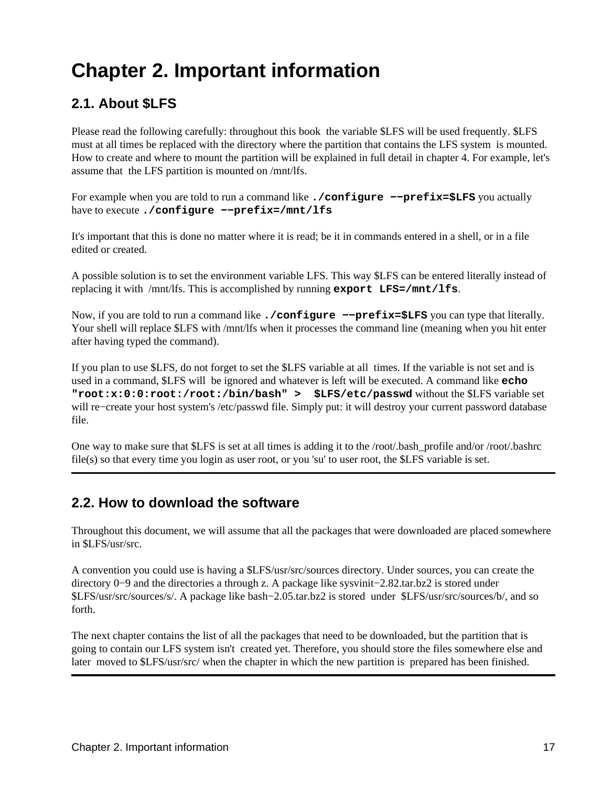# <span id="page-34-0"></span>**Chapter 2. Important information**

## **2.1. About \$LFS**

Please read the following carefully: throughout this book the variable \$LFS will be used frequently. \$LFS must at all times be replaced with the directory where the partition that contains the LFS system is mounted. How to create and where to mount the partition will be explained in full detail in chapter 4. For example, let's assume that the LFS partition is mounted on /mnt/lfs.

For example when you are told to run a command like **./configure −−prefix=\$LFS** you actually have to execute **./configure −−prefix=/mnt/lfs**

It's important that this is done no matter where it is read; be it in commands entered in a shell, or in a file edited or created.

A possible solution is to set the environment variable LFS. This way \$LFS can be entered literally instead of replacing it with /mnt/lfs. This is accomplished by running **export LFS=/mnt/lfs**.

Now, if you are told to run a command like **./configure −−prefix=\$LFS** you can type that literally. Your shell will replace \$LFS with /mnt/lfs when it processes the command line (meaning when you hit enter after having typed the command).

If you plan to use \$LFS, do not forget to set the \$LFS variable at all times. If the variable is not set and is used in a command, \$LFS will be ignored and whatever is left will be executed. A command like **echo "root:x:0:0:root:/root:/bin/bash" > \$LFS/etc/passwd** without the \$LFS variable set will re−create your host system's /etc/passwd file. Simply put: it will destroy your current password database file.

One way to make sure that \$LFS is set at all times is adding it to the /root/.bash\_profile and/or /root/.bashrc file(s) so that every time you login as user root, or you 'su' to user root, the \$LFS variable is set.

### **2.2. How to download the software**

Throughout this document, we will assume that all the packages that were downloaded are placed somewhere in \$LFS/usr/src.

A convention you could use is having a \$LFS/usr/src/sources directory. Under sources, you can create the directory 0−9 and the directories a through z. A package like sysvinit−2.82.tar.bz2 is stored under \$LFS/usr/src/sources/s/. A package like bash−2.05.tar.bz2 is stored under \$LFS/usr/src/sources/b/, and so forth.

The next chapter contains the list of all the packages that need to be downloaded, but the partition that is going to contain our LFS system isn't created yet. Therefore, you should store the files somewhere else and later moved to \$LFS/usr/src/ when the chapter in which the new partition is prepared has been finished.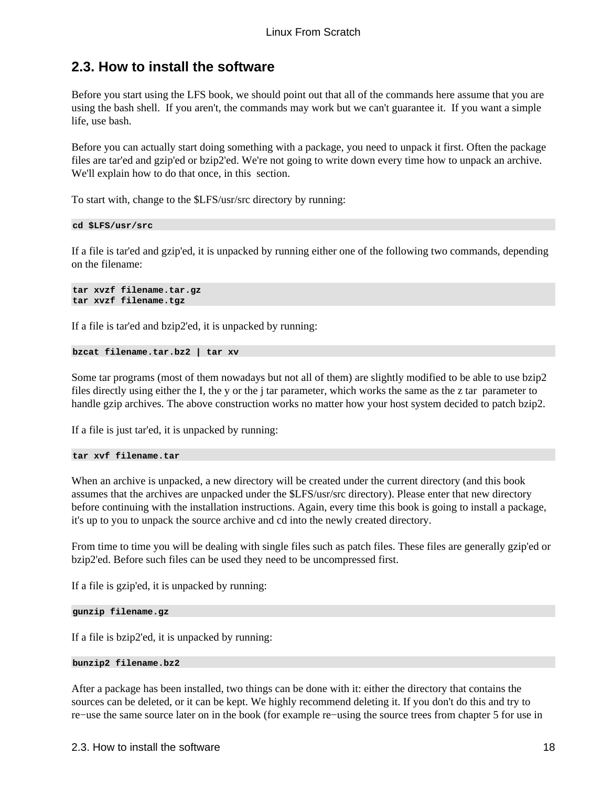## <span id="page-35-0"></span>**2.3. How to install the software**

Before you start using the LFS book, we should point out that all of the commands here assume that you are using the bash shell. If you aren't, the commands may work but we can't guarantee it. If you want a simple life, use bash.

Before you can actually start doing something with a package, you need to unpack it first. Often the package files are tar'ed and gzip'ed or bzip2'ed. We're not going to write down every time how to unpack an archive. We'll explain how to do that once, in this section.

To start with, change to the \$LFS/usr/src directory by running:

**cd \$LFS/usr/src**

If a file is tar'ed and gzip'ed, it is unpacked by running either one of the following two commands, depending on the filename:

```
tar xvzf filename.tar.gz
tar xvzf filename.tgz
```
If a file is tar'ed and bzip2'ed, it is unpacked by running:

```
bzcat filename.tar.bz2 | tar xv
```
Some tar programs (most of them nowadays but not all of them) are slightly modified to be able to use bzip2 files directly using either the I, the y or the j tar parameter, which works the same as the z tar parameter to handle gzip archives. The above construction works no matter how your host system decided to patch bzip2.

If a file is just tar'ed, it is unpacked by running:

**tar xvf filename.tar**

When an archive is unpacked, a new directory will be created under the current directory (and this book assumes that the archives are unpacked under the \$LFS/usr/src directory). Please enter that new directory before continuing with the installation instructions. Again, every time this book is going to install a package, it's up to you to unpack the source archive and cd into the newly created directory.

From time to time you will be dealing with single files such as patch files. These files are generally gzip'ed or bzip2'ed. Before such files can be used they need to be uncompressed first.

If a file is gzip'ed, it is unpacked by running:

**gunzip filename.gz**

If a file is bzip2'ed, it is unpacked by running:

```
bunzip2 filename.bz2
```
After a package has been installed, two things can be done with it: either the directory that contains the sources can be deleted, or it can be kept. We highly recommend deleting it. If you don't do this and try to re−use the same source later on in the book (for example re−using the source trees from chapter 5 for use in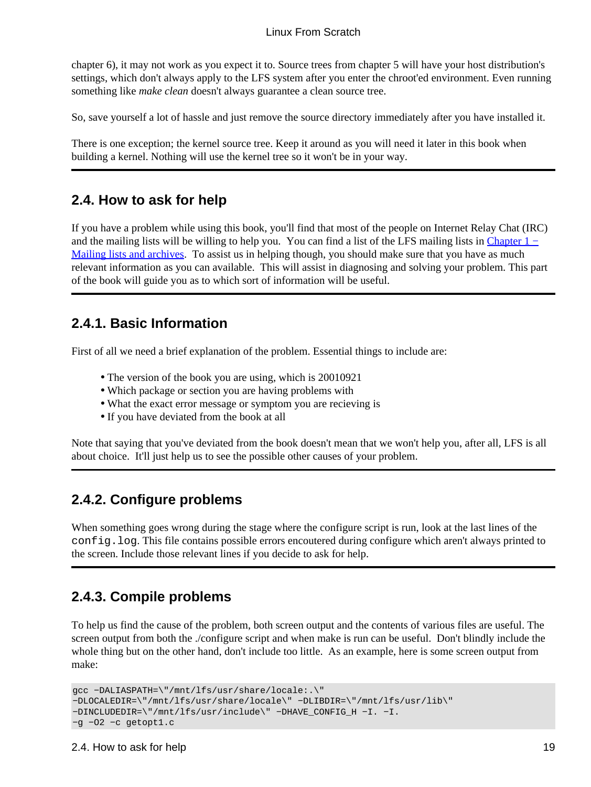chapter 6), it may not work as you expect it to. Source trees from chapter 5 will have your host distribution's settings, which don't always apply to the LFS system after you enter the chroot'ed environment. Even running something like *make clean* doesn't always guarantee a clean source tree.

So, save yourself a lot of hassle and just remove the source directory immediately after you have installed it.

There is one exception; the kernel source tree. Keep it around as you will need it later in this book when building a kernel. Nothing will use the kernel tree so it won't be in your way.

### **2.4. How to ask for help**

If you have a problem while using this book, you'll find that most of the people on Internet Relay Chat (IRC) and the mailing lists will be willing to help you. You can find a list of the LFS mailing lists in Chapter  $1 -$ [Mailing lists and archives](#page-29-0). To assist us in helping though, you should make sure that you have as much relevant information as you can available. This will assist in diagnosing and solving your problem. This part of the book will guide you as to which sort of information will be useful.

## **2.4.1. Basic Information**

First of all we need a brief explanation of the problem. Essential things to include are:

- The version of the book you are using, which is 20010921
- Which package or section you are having problems with
- What the exact error message or symptom you are recieving is
- If you have deviated from the book at all

Note that saying that you've deviated from the book doesn't mean that we won't help you, after all, LFS is all about choice. It'll just help us to see the possible other causes of your problem.

# **2.4.2. Configure problems**

When something goes wrong during the stage where the configure script is run, look at the last lines of the config.log. This file contains possible errors encoutered during configure which aren't always printed to the screen. Include those relevant lines if you decide to ask for help.

# **2.4.3. Compile problems**

To help us find the cause of the problem, both screen output and the contents of various files are useful. The screen output from both the ./configure script and when make is run can be useful. Don't blindly include the whole thing but on the other hand, don't include too little. As an example, here is some screen output from make:

```
gcc −DALIASPATH=\"/mnt/lfs/usr/share/locale:.\" 
−DLOCALEDIR=\"/mnt/lfs/usr/share/locale\" −DLIBDIR=\"/mnt/lfs/usr/lib\" 
−DINCLUDEDIR=\"/mnt/lfs/usr/include\" −DHAVE_CONFIG_H −I. −I. 
−g −O2 −c getopt1.c
```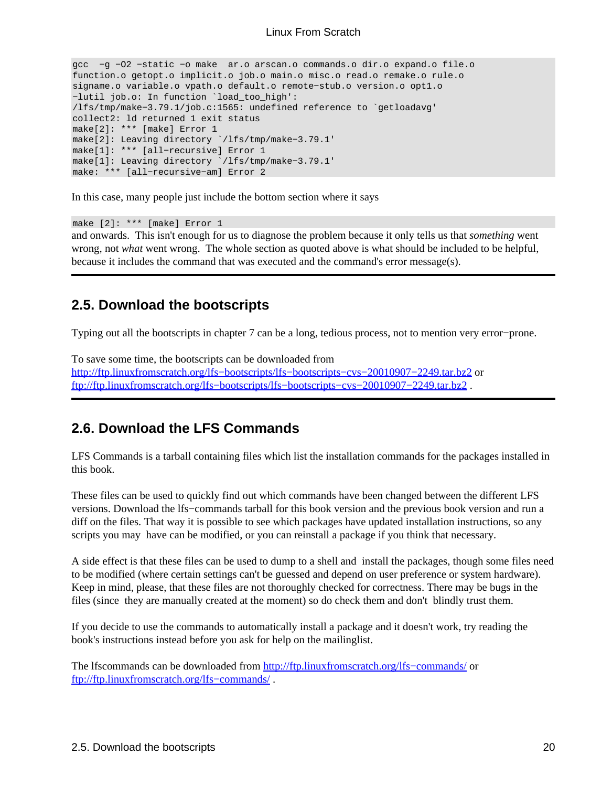#### Linux From Scratch

```
gcc −g −O2 −static −o make ar.o arscan.o commands.o dir.o expand.o file.o 
function.o getopt.o implicit.o job.o main.o misc.o read.o remake.o rule.o 
signame.o variable.o vpath.o default.o remote−stub.o version.o opt1.o 
−lutil job.o: In function `load_too_high':
/lfs/tmp/make−3.79.1/job.c:1565: undefined reference to `getloadavg'
collect2: ld returned 1 exit status
make[2]: *** [make] Error 1
make[2]: Leaving directory `/lfs/tmp/make−3.79.1'
make[1]: *** [all−recursive] Error 1
make[1]: Leaving directory `/lfs/tmp/make−3.79.1'
make: *** [all−recursive−am] Error 2
```
In this case, many people just include the bottom section where it says

make [2]: \*\*\* [make] Error 1

and onwards. This isn't enough for us to diagnose the problem because it only tells us that *something* went wrong, not *what* went wrong. The whole section as quoted above is what should be included to be helpful, because it includes the command that was executed and the command's error message(s).

### **2.5. Download the bootscripts**

Typing out all the bootscripts in chapter 7 can be a long, tedious process, not to mention very error−prone.

To save some time, the bootscripts can be downloaded from [http://ftp.linuxfromscratch.org/lfs−bootscripts/lfs−bootscripts−cvs−20010907−2249.tar.bz2](http://ftp.linuxfromscratch.org/lfs-bootscripts/lfs-bootscripts-cvs-20010907-2249.tar.bz2) or ftp://ftp.linuxfromscratch.org/lfs-bootscripts/lfs-bootscripts-cvs-20010907-2249.tar.bz2.

### **2.6. Download the LFS Commands**

LFS Commands is a tarball containing files which list the installation commands for the packages installed in this book.

These files can be used to quickly find out which commands have been changed between the different LFS versions. Download the lfs−commands tarball for this book version and the previous book version and run a diff on the files. That way it is possible to see which packages have updated installation instructions, so any scripts you may have can be modified, or you can reinstall a package if you think that necessary.

A side effect is that these files can be used to dump to a shell and install the packages, though some files need to be modified (where certain settings can't be guessed and depend on user preference or system hardware). Keep in mind, please, that these files are not thoroughly checked for correctness. There may be bugs in the files (since they are manually created at the moment) so do check them and don't blindly trust them.

If you decide to use the commands to automatically install a package and it doesn't work, try reading the book's instructions instead before you ask for help on the mailinglist.

The lfscommands can be downloaded from [http://ftp.linuxfromscratch.org/lfs−commands/](http://ftp.linuxfromscratch.org/lfs-commands/) or [ftp://ftp.linuxfromscratch.org/lfs−commands/](ftp://ftp.linuxfromscratch.org/lfs-commands/) .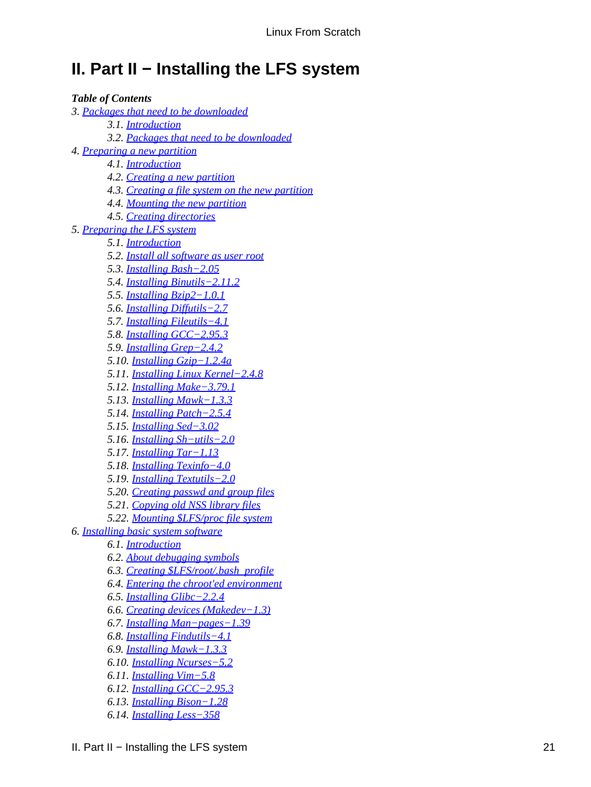# **II. Part II − Installing the LFS system**

*Table of Contents 3. [Packages that need to be downloaded](#page-41-0) 3.1. [Introduction](#page-41-0) 3.2. [Packages that need to be downloaded](#page-41-0) 4. [Preparing a new partition](#page-48-0) 4.1. [Introduction](#page-48-0) 4.2. [Creating a new partition](#page-48-0) 4.3. [Creating a file system on the new partition](#page-48-0) 4.4. [Mounting the new partition](#page-49-0) 4.5. [Creating directories](#page-49-0) 5. [Preparing the LFS system](#page-51-0) 5.1. [Introduction](#page-51-0) 5.2. [Install all software as user root](#page-51-0) 5.3. [Installing Bash−2.05](#page-52-0) 5.4. [Installing Binutils−2.11.2](#page-54-0) 5.5. [Installing Bzip2−1.0.1](#page-58-0) 5.6. [Installing Diffutils−2.7](#page-60-0) 5.7. [Installing Fileutils−4.1](#page-62-0) 5.8. [Installing GCC−2.95.3](#page-66-0) 5.9. [Installing Grep−2.4.2](#page-69-0) 5.10. [Installing Gzip−1.2.4a](#page-71-0) 5.11. [Installing Linux Kernel−2.4.8](#page-73-0) 5.12. [Installing Make−3.79.1](#page-75-0) 5.13. [Installing Mawk−1.3.3](#page-77-0) 5.14. [Installing Patch−2.5.4](#page-78-0) 5.15. [Installing Sed−3.02](#page-79-0) 5.16. [Installing Sh−utils−2.0](#page-81-0) 5.17. [Installing Tar−1.13](#page-86-0) 5.18. [Installing Texinfo−4.0](#page-87-0) 5.19. [Installing Textutils−2.0](#page-89-0) 5.20. [Creating passwd and group files](#page-93-0) 5.21. [Copying old NSS library files](#page-94-0) 5.22. [Mounting \\$LFS/proc file system](#page-94-0) 6. [Installing basic system software](#page-95-0) 6.1. [Introduction](#page-95-0) 6.2. [About debugging symbols](#page-95-0) 6.3. [Creating \\$LFS/root/.bash\\_profile](#page-96-0) 6.4. [Entering the chroot'ed environment](#page-96-0) 6.5. [Installing Glibc−2.2.4](#page-97-0) 6.6. [Creating devices \(Makedev−1.3\)](#page-100-0) 6.7. [Installing Man−pages−1.39](#page-101-0) 6.8. [Installing Findutils−4.1](#page-102-0) 6.9. [Installing Mawk−1.3.3](#page-105-0) 6.10. [Installing Ncurses−5.2](#page-106-0) 6.11. [Installing Vim−5.8](#page-109-0) 6.12. [Installing GCC−2.95.3](#page-112-0) 6.13. [Installing Bison−1.28](#page-114-0) 6.14. [Installing Less−358](#page-117-0)*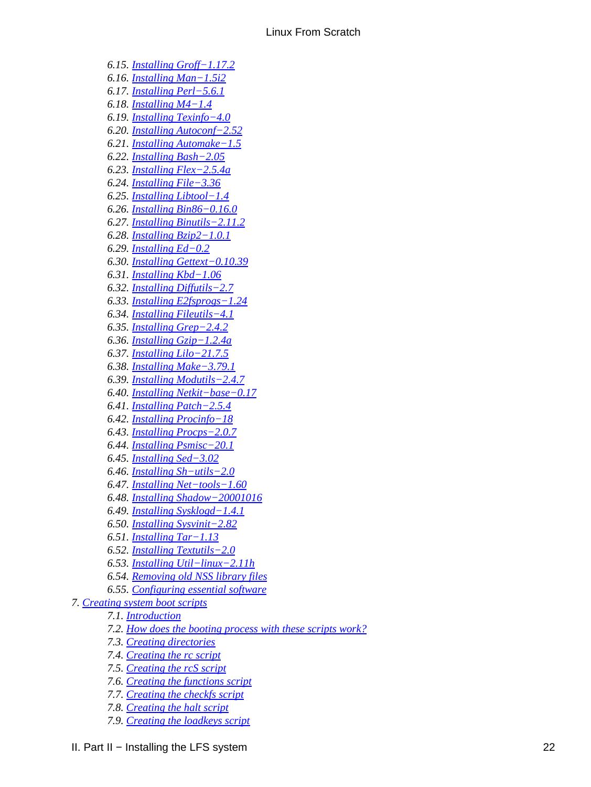*6.15. [Installing Groff−1.17.2](#page-118-0) 6.16. [Installing Man−1.5i2](#page-122-0) 6.17. [Installing Perl−5.6.1](#page-124-0) 6.18. [Installing M4−1.4](#page-126-0) 6.19. [Installing Texinfo−4.0](#page-127-0) 6.20. [Installing Autoconf−2.52](#page-129-0) 6.21. [Installing Automake−1.5](#page-131-0) 6.22. [Installing Bash−2.05](#page-133-0) 6.23. [Installing Flex−2.5.4a](#page-134-0) 6.24. [Installing File−3.36](#page-135-0) 6.25. [Installing Libtool−1.4](#page-137-0) 6.26. [Installing Bin86−0.16.0](#page-139-0) 6.27. [Installing Binutils−2.11.2](#page-140-0) 6.28. [Installing Bzip2−1.0.1](#page-144-0) 6.29. [Installing Ed−0.2](#page-146-0) 6.30. [Installing Gettext−0.10.39](#page-147-0) 6.31. [Installing Kbd−1.06](#page-149-0) 6.32. [Installing Diffutils−2.7](#page-153-0) 6.33. [Installing E2fsprogs−1.24](#page-154-0) 6.34. [Installing Fileutils−4.1](#page-157-0) 6.35. [Installing Grep−2.4.2](#page-161-0) 6.36. [Installing Gzip−1.2.4a](#page-162-0) 6.37. [Installing Lilo−21.7.5](#page-164-0) 6.38. [Installing Make−3.79.1](#page-166-0) 6.39. [Installing Modutils−2.4.7](#page-167-0) 6.40. [Installing Netkit−base−0.17](#page-170-0) 6.41. [Installing Patch−2.5.4](#page-171-0) 6.42. [Installing Procinfo−18](#page-172-0) 6.43. [Installing Procps−2.0.7](#page-173-0) 6.44. [Installing Psmisc−20.1](#page-176-0) 6.45. [Installing Sed−3.02](#page-178-0) 6.46. [Installing Sh−utils−2.0](#page-179-0) 6.47. [Installing Net−tools−1.60](#page-184-0) 6.48. [Installing Shadow−20001016](#page-186-0) 6.49. [Installing Sysklogd−1.4.1](#page-191-0) 6.50. [Installing Sysvinit−2.82](#page-192-0) 6.51. [Installing Tar−1.13](#page-195-0) 6.52. [Installing Textutils−2.0](#page-197-0) 6.53. [Installing Util−linux−2.11h](#page-201-0) 6.54. [Removing old NSS library files](#page-208-0) 6.55. [Configuring essential software](#page-209-0) 7. [Creating system boot scripts](#page-213-0) 7.1. [Introduction](#page-213-0) 7.2. [How does the booting process with these scripts work?](#page-213-0) 7.3. [Creating directories](#page-214-0) 7.4. [Creating the rc script](#page-214-0) 7.5. [Creating the rcS script](#page-218-0) 7.6. [Creating the functions script](#page-219-0) 7.7. [Creating the checkfs script](#page-227-0) 7.8. [Creating the halt script](#page-229-0) 7.9. [Creating the loadkeys script](#page-230-0)*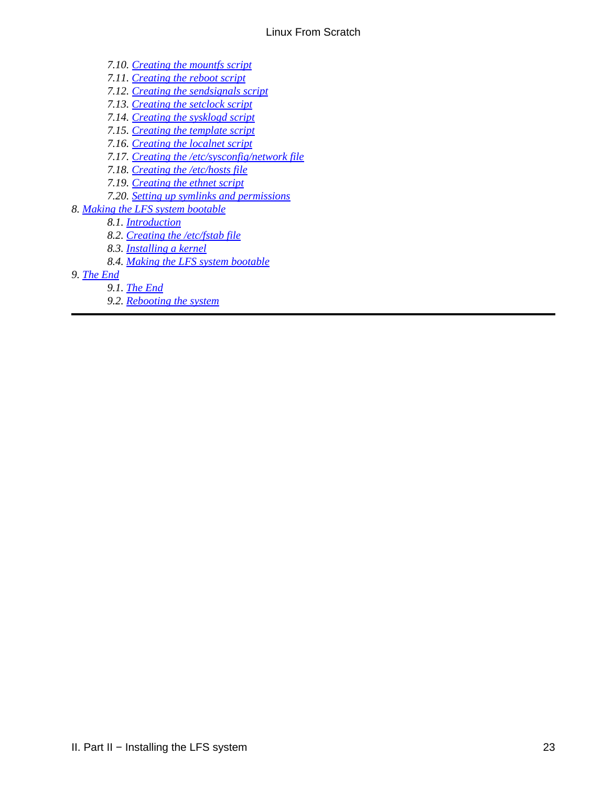#### Linux From Scratch

*7.10. [Creating the mountfs script](#page-230-0)*

*7.11. [Creating the reboot script](#page-232-0)*

*7.12. [Creating the sendsignals script](#page-233-0)*

*7.13. [Creating the setclock script](#page-233-0)*

*7.14. [Creating the sysklogd script](#page-234-0)*

*7.15. [Creating the template script](#page-235-0)*

*7.16. [Creating the localnet script](#page-236-0)*

*7.17. [Creating the /etc/sysconfig/network file](#page-237-0)*

*7.18. [Creating the /etc/hosts file](#page-237-0)*

*7.19. [Creating the ethnet script](#page-238-0)*

*7.20. [Setting up symlinks and permissions](#page-241-0)*

*8. [Making the LFS system bootable](#page-243-0)*

*8.1. [Introduction](#page-243-0)*

*8.2. [Creating the /etc/fstab file](#page-243-0)*

*8.3. [Installing a kernel](#page-243-0)*

*8.4. [Making the LFS system bootable](#page-245-0)*

*9. [The End](#page-247-0)*

*9.1. [The End](#page-247-0)*

*9.2. [Rebooting the system](#page-247-0)*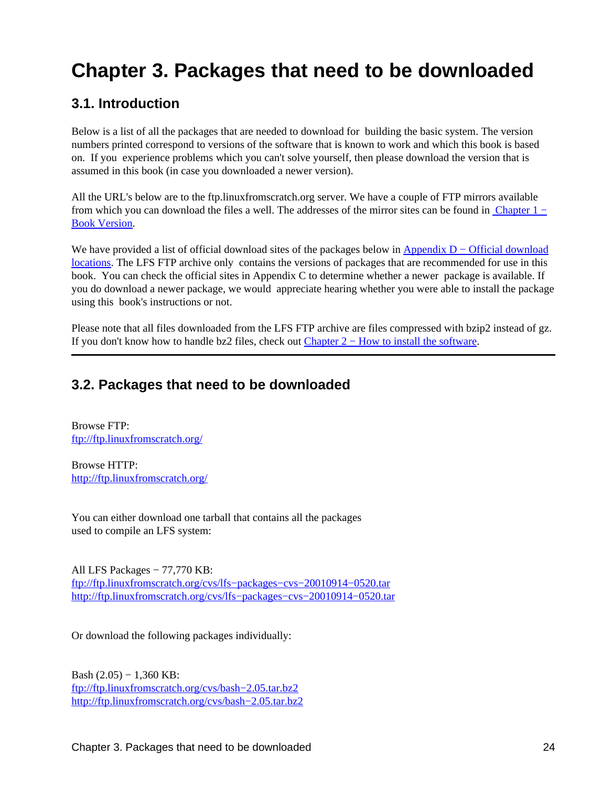# <span id="page-41-0"></span>**Chapter 3. Packages that need to be downloaded**

# **3.1. Introduction**

Below is a list of all the packages that are needed to download for building the basic system. The version numbers printed correspond to versions of the software that is known to work and which this book is based on. If you experience problems which you can't solve yourself, then please download the version that is assumed in this book (in case you downloaded a newer version).

All the URL's below are to the ftp.linuxfromscratch.org server. We have a couple of FTP mirrors available from which you can download the files a well. The addresses of the mirror sites can be found in [Chapter 1 −](#page-22-0) [Book Version](#page-22-0).

We have provided a list of official download sites of the packages below in Appendix  $D -$ Official download [locations.](#page-345-0) The LFS FTP archive only contains the versions of packages that are recommended for use in this book. You can check the official sites in Appendix C to determine whether a newer package is available. If you do download a newer package, we would appreciate hearing whether you were able to install the package using this book's instructions or not.

Please note that all files downloaded from the LFS FTP archive are files compressed with bzip2 instead of gz. If you don't know how to handle bz2 files, check out [Chapter 2 − How to install the software](#page-35-0).

### **3.2. Packages that need to be downloaded**

Browse FTP: <ftp://ftp.linuxfromscratch.org/>

Browse HTTP: <http://ftp.linuxfromscratch.org/>

You can either download one tarball that contains all the packages used to compile an LFS system:

All LFS Packages − 77,770 KB: [ftp://ftp.linuxfromscratch.org/cvs/lfs−packages−cvs−20010914−0520.tar](ftp://ftp.linuxfromscratch.org/cvs/lfs-packages-cvs-20010914-0520.tar) [http://ftp.linuxfromscratch.org/cvs/lfs−packages−cvs−20010914−0520.tar](http://ftp.linuxfromscratch.org/cvs/lfs-packages-cvs-20010914-0520.tar)

Or download the following packages individually:

Bash  $(2.05) - 1,360$  KB: [ftp://ftp.linuxfromscratch.org/cvs/bash−2.05.tar.bz2](ftp://ftp.linuxfromscratch.org/cvs/bash-2.05.tar.bz2) [http://ftp.linuxfromscratch.org/cvs/bash−2.05.tar.bz2](http://ftp.linuxfromscratch.org/cvs/bash-2.05.tar.bz2)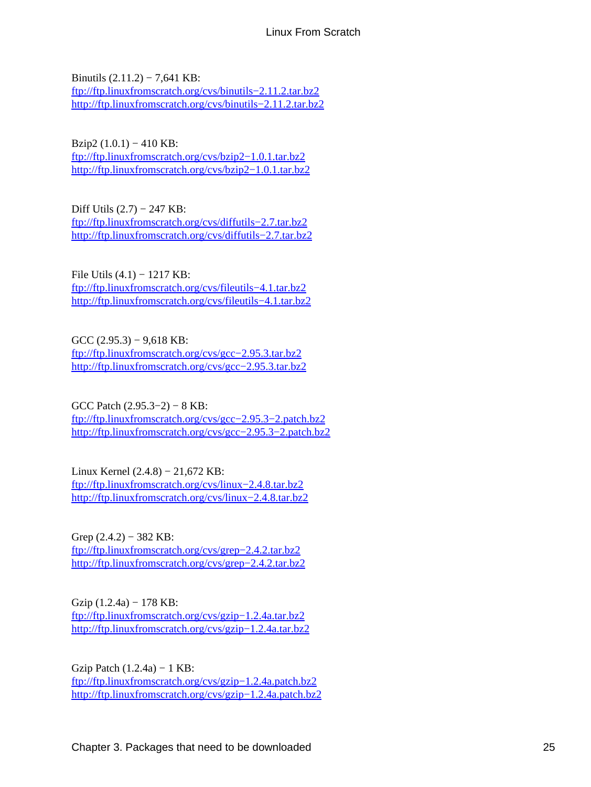Binutils (2.11.2) − 7,641 KB:

[ftp://ftp.linuxfromscratch.org/cvs/binutils−2.11.2.tar.bz2](ftp://ftp.linuxfromscratch.org/cvs/binutils-2.11.2.tar.bz2) [http://ftp.linuxfromscratch.org/cvs/binutils−2.11.2.tar.bz2](http://ftp.linuxfromscratch.org/cvs/binutils-2.11.2.tar.bz2)

Bzip2  $(1.0.1) - 410$  KB:

[ftp://ftp.linuxfromscratch.org/cvs/bzip2−1.0.1.tar.bz2](ftp://ftp.linuxfromscratch.org/cvs/bzip2-1.0.1.tar.bz2) [http://ftp.linuxfromscratch.org/cvs/bzip2−1.0.1.tar.bz2](http://ftp.linuxfromscratch.org/cvs/bzip2-1.0.1.tar.bz2)

Diff Utils  $(2.7) - 247$  KB: [ftp://ftp.linuxfromscratch.org/cvs/diffutils−2.7.tar.bz2](ftp://ftp.linuxfromscratch.org/cvs/diffutils-2.7.tar.bz2) [http://ftp.linuxfromscratch.org/cvs/diffutils−2.7.tar.bz2](http://ftp.linuxfromscratch.org/cvs/diffutils-2.7.tar.bz2)

File Utils (4.1) − 1217 KB: [ftp://ftp.linuxfromscratch.org/cvs/fileutils−4.1.tar.bz2](ftp://ftp.linuxfromscratch.org/cvs/fileutils-4.1.tar.bz2) [http://ftp.linuxfromscratch.org/cvs/fileutils−4.1.tar.bz2](http://ftp.linuxfromscratch.org/cvs/fileutils-4.1.tar.bz2)

 $GCC (2.95.3) - 9.618 KB:$ [ftp://ftp.linuxfromscratch.org/cvs/gcc−2.95.3.tar.bz2](ftp://ftp.linuxfromscratch.org/cvs/gcc-2.95.3.tar.bz2) [http://ftp.linuxfromscratch.org/cvs/gcc−2.95.3.tar.bz2](http://ftp.linuxfromscratch.org/cvs/gcc-2.95.3.tar.bz2)

GCC Patch  $(2.95.3-2) - 8$  KB: [ftp://ftp.linuxfromscratch.org/cvs/gcc−2.95.3−2.patch.bz2](ftp://ftp.linuxfromscratch.org/cvs/gcc-2.95.3-2.patch.bz2) [http://ftp.linuxfromscratch.org/cvs/gcc−2.95.3−2.patch.bz2](http://ftp.linuxfromscratch.org/cvs/gcc-2.95.3-2.patch.bz2)

Linux Kernel (2.4.8) − 21,672 KB: [ftp://ftp.linuxfromscratch.org/cvs/linux−2.4.8.tar.bz2](ftp://ftp.linuxfromscratch.org/cvs/linux-2.4.8.tar.bz2) [http://ftp.linuxfromscratch.org/cvs/linux−2.4.8.tar.bz2](http://ftp.linuxfromscratch.org/cvs/linux-2.4.8.tar.bz2)

Grep  $(2.4.2) - 382$  KB: [ftp://ftp.linuxfromscratch.org/cvs/grep−2.4.2.tar.bz2](ftp://ftp.linuxfromscratch.org/cvs/grep-2.4.2.tar.bz2) [http://ftp.linuxfromscratch.org/cvs/grep−2.4.2.tar.bz2](http://ftp.linuxfromscratch.org/cvs/grep-2.4.2.tar.bz2)

Gzip  $(1.2.4a) - 178$  KB: [ftp://ftp.linuxfromscratch.org/cvs/gzip−1.2.4a.tar.bz2](ftp://ftp.linuxfromscratch.org/cvs/gzip-1.2.4a.tar.bz2) [http://ftp.linuxfromscratch.org/cvs/gzip−1.2.4a.tar.bz2](http://ftp.linuxfromscratch.org/cvs/gzip-1.2.4a.tar.bz2)

Gzip Patch  $(1.2.4a) - 1$  KB: [ftp://ftp.linuxfromscratch.org/cvs/gzip−1.2.4a.patch.bz2](ftp://ftp.linuxfromscratch.org/cvs/gzip-1.2.4a.patch.bz2) [http://ftp.linuxfromscratch.org/cvs/gzip−1.2.4a.patch.bz2](http://ftp.linuxfromscratch.org/cvs/gzip-1.2.4a.patch.bz2)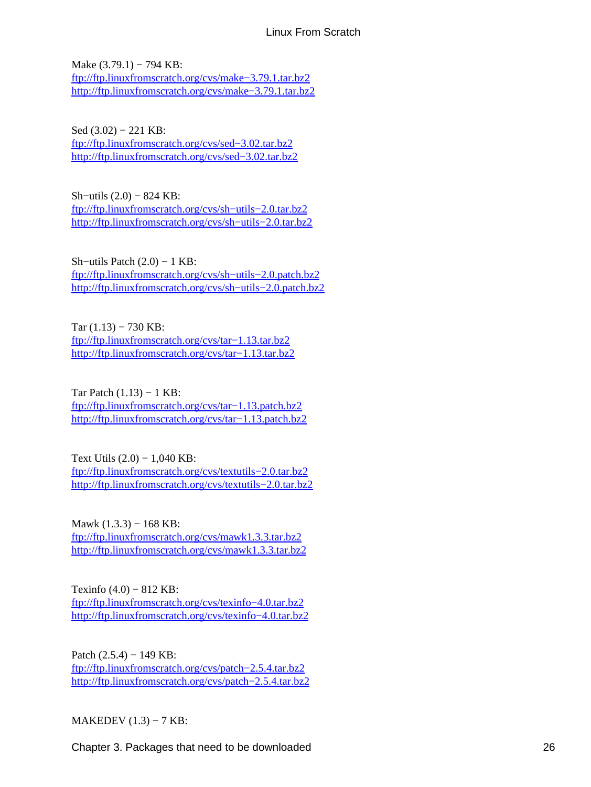Make (3.79.1) − 794 KB: [ftp://ftp.linuxfromscratch.org/cvs/make−3.79.1.tar.bz2](ftp://ftp.linuxfromscratch.org/cvs/make-3.79.1.tar.bz2) [http://ftp.linuxfromscratch.org/cvs/make−3.79.1.tar.bz2](http://ftp.linuxfromscratch.org/cvs/make-3.79.1.tar.bz2)

Sed (3.02) – 221 KB: [ftp://ftp.linuxfromscratch.org/cvs/sed−3.02.tar.bz2](ftp://ftp.linuxfromscratch.org/cvs/sed-3.02.tar.bz2) [http://ftp.linuxfromscratch.org/cvs/sed−3.02.tar.bz2](http://ftp.linuxfromscratch.org/cvs/sed-3.02.tar.bz2)

Sh−utils (2.0) − 824 KB: [ftp://ftp.linuxfromscratch.org/cvs/sh−utils−2.0.tar.bz2](ftp://ftp.linuxfromscratch.org/cvs/sh-utils-2.0.tar.bz2) [http://ftp.linuxfromscratch.org/cvs/sh−utils−2.0.tar.bz2](http://ftp.linuxfromscratch.org/cvs/sh-utils-2.0.tar.bz2)

Sh–utils Patch  $(2.0) - 1$  KB: [ftp://ftp.linuxfromscratch.org/cvs/sh−utils−2.0.patch.bz2](ftp://ftp.linuxfromscratch.org/cvs/sh-utils-2.0.patch.bz2) [http://ftp.linuxfromscratch.org/cvs/sh−utils−2.0.patch.bz2](http://ftp.linuxfromscratch.org/cvs/sh-utils-2.0.patch.bz2)

Tar  $(1.13) - 730$  KB: [ftp://ftp.linuxfromscratch.org/cvs/tar−1.13.tar.bz2](ftp://ftp.linuxfromscratch.org/cvs/tar-1.13.tar.bz2) [http://ftp.linuxfromscratch.org/cvs/tar−1.13.tar.bz2](http://ftp.linuxfromscratch.org/cvs/tar-1.13.tar.bz2)

Tar Patch  $(1.13) - 1$  KB: [ftp://ftp.linuxfromscratch.org/cvs/tar−1.13.patch.bz2](ftp://ftp.linuxfromscratch.org/cvs/tar-1.13.patch.bz2) [http://ftp.linuxfromscratch.org/cvs/tar−1.13.patch.bz2](http://ftp.linuxfromscratch.org/cvs/tar-1.13.patch.bz2)

Text Utils (2.0) − 1,040 KB: [ftp://ftp.linuxfromscratch.org/cvs/textutils−2.0.tar.bz2](ftp://ftp.linuxfromscratch.org/cvs/textutils-2.0.tar.bz2) [http://ftp.linuxfromscratch.org/cvs/textutils−2.0.tar.bz2](http://ftp.linuxfromscratch.org/cvs/textutils-2.0.tar.bz2)

Mawk  $(1.3.3) - 168$  KB: <ftp://ftp.linuxfromscratch.org/cvs/mawk1.3.3.tar.bz2> <http://ftp.linuxfromscratch.org/cvs/mawk1.3.3.tar.bz2>

Texinfo (4.0) – 812 KB: [ftp://ftp.linuxfromscratch.org/cvs/texinfo−4.0.tar.bz2](ftp://ftp.linuxfromscratch.org/cvs/texinfo-4.0.tar.bz2) [http://ftp.linuxfromscratch.org/cvs/texinfo−4.0.tar.bz2](http://ftp.linuxfromscratch.org/cvs/texinfo-4.0.tar.bz2)

Patch  $(2.5.4) - 149$  KB: [ftp://ftp.linuxfromscratch.org/cvs/patch−2.5.4.tar.bz2](ftp://ftp.linuxfromscratch.org/cvs/patch-2.5.4.tar.bz2) [http://ftp.linuxfromscratch.org/cvs/patch−2.5.4.tar.bz2](http://ftp.linuxfromscratch.org/cvs/patch-2.5.4.tar.bz2)

 $MAKEDEV (1.3) – 7 KB:$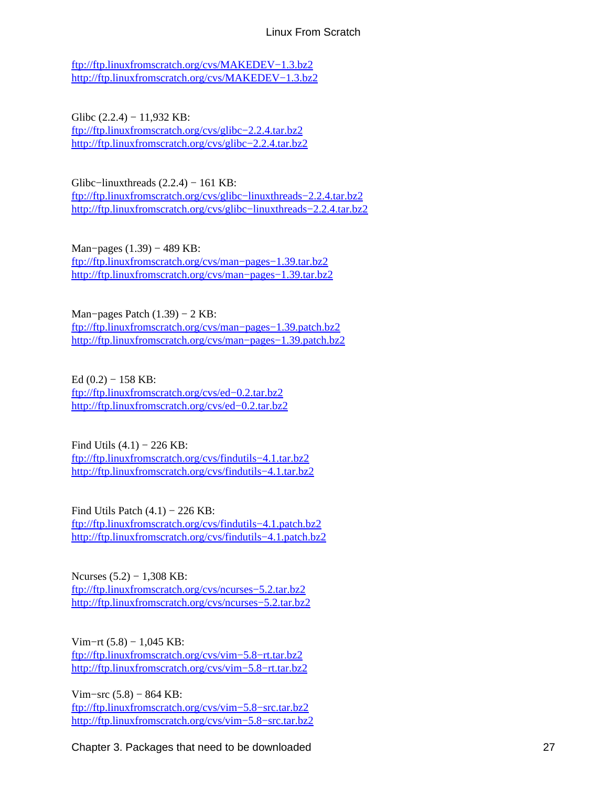[ftp://ftp.linuxfromscratch.org/cvs/MAKEDEV−1.3.bz2](ftp://ftp.linuxfromscratch.org/cvs/MAKEDEV-1.3.bz2) [http://ftp.linuxfromscratch.org/cvs/MAKEDEV−1.3.bz2](http://ftp.linuxfromscratch.org/cvs/MAKEDEV-1.3.bz2)

Glibc  $(2.2.4) - 11,932$  KB: [ftp://ftp.linuxfromscratch.org/cvs/glibc−2.2.4.tar.bz2](ftp://ftp.linuxfromscratch.org/cvs/glibc-2.2.4.tar.bz2) [http://ftp.linuxfromscratch.org/cvs/glibc−2.2.4.tar.bz2](http://ftp.linuxfromscratch.org/cvs/glibc-2.2.4.tar.bz2)

Glibc–linuxthreads  $(2.2.4) - 161$  KB: [ftp://ftp.linuxfromscratch.org/cvs/glibc−linuxthreads−2.2.4.tar.bz2](ftp://ftp.linuxfromscratch.org/cvs/glibc-linuxthreads-2.2.4.tar.bz2) [http://ftp.linuxfromscratch.org/cvs/glibc−linuxthreads−2.2.4.tar.bz2](http://ftp.linuxfromscratch.org/cvs/glibc-linuxthreads-2.2.4.tar.bz2)

Man–pages (1.39) – 489 KB: [ftp://ftp.linuxfromscratch.org/cvs/man−pages−1.39.tar.bz2](ftp://ftp.linuxfromscratch.org/cvs/man-pages-1.39.tar.bz2) [http://ftp.linuxfromscratch.org/cvs/man−pages−1.39.tar.bz2](http://ftp.linuxfromscratch.org/cvs/man-pages-1.39.tar.bz2)

Man–pages Patch  $(1.39) - 2$  KB: [ftp://ftp.linuxfromscratch.org/cvs/man−pages−1.39.patch.bz2](ftp://ftp.linuxfromscratch.org/cvs/man-pages-1.39.patch.bz2) [http://ftp.linuxfromscratch.org/cvs/man−pages−1.39.patch.bz2](http://ftp.linuxfromscratch.org/cvs/man-pages-1.39.patch.bz2)

Ed  $(0.2) - 158$  KB: [ftp://ftp.linuxfromscratch.org/cvs/ed−0.2.tar.bz2](ftp://ftp.linuxfromscratch.org/cvs/ed-0.2.tar.bz2) [http://ftp.linuxfromscratch.org/cvs/ed−0.2.tar.bz2](http://ftp.linuxfromscratch.org/cvs/ed-0.2.tar.bz2)

Find Utils  $(4.1) - 226$  KB: [ftp://ftp.linuxfromscratch.org/cvs/findutils−4.1.tar.bz2](ftp://ftp.linuxfromscratch.org/cvs/findutils-4.1.tar.bz2) [http://ftp.linuxfromscratch.org/cvs/findutils−4.1.tar.bz2](http://ftp.linuxfromscratch.org/cvs/findutils-4.1.tar.bz2)

Find Utils Patch  $(4.1) - 226$  KB: [ftp://ftp.linuxfromscratch.org/cvs/findutils−4.1.patch.bz2](ftp://ftp.linuxfromscratch.org/cvs/findutils-4.1.patch.bz2) [http://ftp.linuxfromscratch.org/cvs/findutils−4.1.patch.bz2](http://ftp.linuxfromscratch.org/cvs/findutils-4.1.patch.bz2)

Ncurses (5.2) − 1,308 KB: [ftp://ftp.linuxfromscratch.org/cvs/ncurses−5.2.tar.bz2](ftp://ftp.linuxfromscratch.org/cvs/ncurses-5.2.tar.bz2) [http://ftp.linuxfromscratch.org/cvs/ncurses−5.2.tar.bz2](http://ftp.linuxfromscratch.org/cvs/ncurses-5.2.tar.bz2)

Vim–rt  $(5.8) - 1,045$  KB: [ftp://ftp.linuxfromscratch.org/cvs/vim−5.8−rt.tar.bz2](ftp://ftp.linuxfromscratch.org/cvs/vim-5.8-rt.tar.bz2) [http://ftp.linuxfromscratch.org/cvs/vim−5.8−rt.tar.bz2](http://ftp.linuxfromscratch.org/cvs/vim-5.8-rt.tar.bz2)

Vim–src  $(5.8) - 864$  KB: [ftp://ftp.linuxfromscratch.org/cvs/vim−5.8−src.tar.bz2](ftp://ftp.linuxfromscratch.org/cvs/vim-5.8-src.tar.bz2) [http://ftp.linuxfromscratch.org/cvs/vim−5.8−src.tar.bz2](http://ftp.linuxfromscratch.org/cvs/vim-5.8-src.tar.bz2)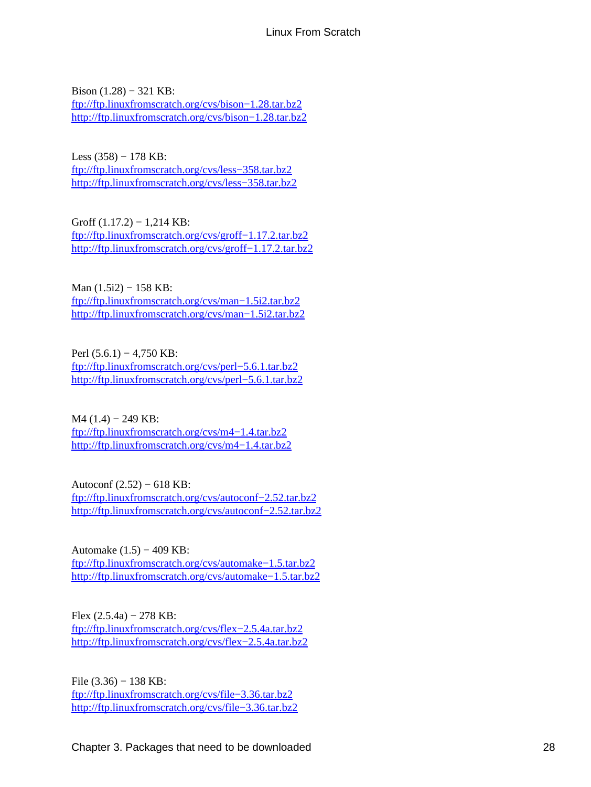Bison  $(1.28) - 321$  KB: [ftp://ftp.linuxfromscratch.org/cvs/bison−1.28.tar.bz2](ftp://ftp.linuxfromscratch.org/cvs/bison-1.28.tar.bz2) [http://ftp.linuxfromscratch.org/cvs/bison−1.28.tar.bz2](http://ftp.linuxfromscratch.org/cvs/bison-1.28.tar.bz2)

Less  $(358) - 178$  KB: [ftp://ftp.linuxfromscratch.org/cvs/less−358.tar.bz2](ftp://ftp.linuxfromscratch.org/cvs/less-358.tar.bz2) [http://ftp.linuxfromscratch.org/cvs/less−358.tar.bz2](http://ftp.linuxfromscratch.org/cvs/less-358.tar.bz2)

Groff  $(1.17.2) - 1,214$  KB: [ftp://ftp.linuxfromscratch.org/cvs/groff−1.17.2.tar.bz2](ftp://ftp.linuxfromscratch.org/cvs/groff-1.17.2.tar.bz2) [http://ftp.linuxfromscratch.org/cvs/groff−1.17.2.tar.bz2](http://ftp.linuxfromscratch.org/cvs/groff-1.17.2.tar.bz2)

Man  $(1.5i2) - 158$  KB: [ftp://ftp.linuxfromscratch.org/cvs/man−1.5i2.tar.bz2](ftp://ftp.linuxfromscratch.org/cvs/man-1.5i2.tar.bz2) [http://ftp.linuxfromscratch.org/cvs/man−1.5i2.tar.bz2](http://ftp.linuxfromscratch.org/cvs/man-1.5i2.tar.bz2)

Perl  $(5.6.1) - 4,750$  KB: [ftp://ftp.linuxfromscratch.org/cvs/perl−5.6.1.tar.bz2](ftp://ftp.linuxfromscratch.org/cvs/perl-5.6.1.tar.bz2) [http://ftp.linuxfromscratch.org/cvs/perl−5.6.1.tar.bz2](http://ftp.linuxfromscratch.org/cvs/perl-5.6.1.tar.bz2)

 $M4 (1.4) - 249$  KB: [ftp://ftp.linuxfromscratch.org/cvs/m4−1.4.tar.bz2](ftp://ftp.linuxfromscratch.org/cvs/m4-1.4.tar.bz2) [http://ftp.linuxfromscratch.org/cvs/m4−1.4.tar.bz2](http://ftp.linuxfromscratch.org/cvs/m4-1.4.tar.bz2)

Autoconf  $(2.52) - 618$  KB: [ftp://ftp.linuxfromscratch.org/cvs/autoconf−2.52.tar.bz2](ftp://ftp.linuxfromscratch.org/cvs/autoconf-2.52.tar.bz2) [http://ftp.linuxfromscratch.org/cvs/autoconf−2.52.tar.bz2](http://ftp.linuxfromscratch.org/cvs/autoconf-2.52.tar.bz2)

Automake  $(1.5) - 409$  KB: [ftp://ftp.linuxfromscratch.org/cvs/automake−1.5.tar.bz2](ftp://ftp.linuxfromscratch.org/cvs/automake-1.5.tar.bz2) [http://ftp.linuxfromscratch.org/cvs/automake−1.5.tar.bz2](http://ftp.linuxfromscratch.org/cvs/automake-1.5.tar.bz2)

Flex  $(2.5.4a) - 278$  KB: [ftp://ftp.linuxfromscratch.org/cvs/flex−2.5.4a.tar.bz2](ftp://ftp.linuxfromscratch.org/cvs/flex-2.5.4a.tar.bz2) [http://ftp.linuxfromscratch.org/cvs/flex−2.5.4a.tar.bz2](http://ftp.linuxfromscratch.org/cvs/flex-2.5.4a.tar.bz2)

File  $(3.36) - 138$  KB: [ftp://ftp.linuxfromscratch.org/cvs/file−3.36.tar.bz2](ftp://ftp.linuxfromscratch.org/cvs/file-3.36.tar.bz2) [http://ftp.linuxfromscratch.org/cvs/file−3.36.tar.bz2](http://ftp.linuxfromscratch.org/cvs/file-3.36.tar.bz2)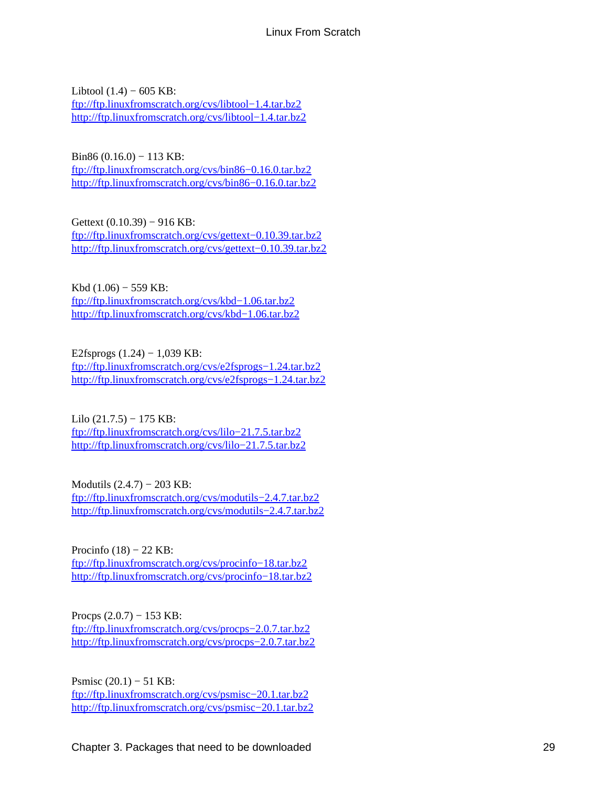Libtool  $(1.4) - 605$  KB: [ftp://ftp.linuxfromscratch.org/cvs/libtool−1.4.tar.bz2](ftp://ftp.linuxfromscratch.org/cvs/libtool-1.4.tar.bz2) [http://ftp.linuxfromscratch.org/cvs/libtool−1.4.tar.bz2](http://ftp.linuxfromscratch.org/cvs/libtool-1.4.tar.bz2)

 $Bin86 (0.16.0) - 113 KB:$ [ftp://ftp.linuxfromscratch.org/cvs/bin86−0.16.0.tar.bz2](ftp://ftp.linuxfromscratch.org/cvs/bin86-0.16.0.tar.bz2) [http://ftp.linuxfromscratch.org/cvs/bin86−0.16.0.tar.bz2](http://ftp.linuxfromscratch.org/cvs/bin86-0.16.0.tar.bz2)

Gettext  $(0.10.39) - 916$  KB: [ftp://ftp.linuxfromscratch.org/cvs/gettext−0.10.39.tar.bz2](ftp://ftp.linuxfromscratch.org/cvs/gettext-0.10.39.tar.bz2) [http://ftp.linuxfromscratch.org/cvs/gettext−0.10.39.tar.bz2](http://ftp.linuxfromscratch.org/cvs/gettext-0.10.39.tar.bz2)

Kbd  $(1.06) - 559$  KB: [ftp://ftp.linuxfromscratch.org/cvs/kbd−1.06.tar.bz2](ftp://ftp.linuxfromscratch.org/cvs/kbd-1.06.tar.bz2) [http://ftp.linuxfromscratch.org/cvs/kbd−1.06.tar.bz2](http://ftp.linuxfromscratch.org/cvs/kbd-1.06.tar.bz2)

E2fsprogs  $(1.24) - 1,039$  KB: [ftp://ftp.linuxfromscratch.org/cvs/e2fsprogs−1.24.tar.bz2](ftp://ftp.linuxfromscratch.org/cvs/e2fsprogs-1.24.tar.bz2) [http://ftp.linuxfromscratch.org/cvs/e2fsprogs−1.24.tar.bz2](http://ftp.linuxfromscratch.org/cvs/e2fsprogs-1.24.tar.bz2)

Lilo  $(21.7.5) - 175$  KB: [ftp://ftp.linuxfromscratch.org/cvs/lilo−21.7.5.tar.bz2](ftp://ftp.linuxfromscratch.org/cvs/lilo-21.7.5.tar.bz2) [http://ftp.linuxfromscratch.org/cvs/lilo−21.7.5.tar.bz2](http://ftp.linuxfromscratch.org/cvs/lilo-21.7.5.tar.bz2)

Modutils  $(2.4.7) - 203$  KB: [ftp://ftp.linuxfromscratch.org/cvs/modutils−2.4.7.tar.bz2](ftp://ftp.linuxfromscratch.org/cvs/modutils-2.4.7.tar.bz2) [http://ftp.linuxfromscratch.org/cvs/modutils−2.4.7.tar.bz2](http://ftp.linuxfromscratch.org/cvs/modutils-2.4.7.tar.bz2)

Procinfo  $(18) - 22$  KB: [ftp://ftp.linuxfromscratch.org/cvs/procinfo−18.tar.bz2](ftp://ftp.linuxfromscratch.org/cvs/procinfo-18.tar.bz2) [http://ftp.linuxfromscratch.org/cvs/procinfo−18.tar.bz2](http://ftp.linuxfromscratch.org/cvs/procinfo-18.tar.bz2)

Procps  $(2.0.7) - 153$  KB: [ftp://ftp.linuxfromscratch.org/cvs/procps−2.0.7.tar.bz2](ftp://ftp.linuxfromscratch.org/cvs/procps-2.0.7.tar.bz2) [http://ftp.linuxfromscratch.org/cvs/procps−2.0.7.tar.bz2](http://ftp.linuxfromscratch.org/cvs/procps-2.0.7.tar.bz2)

Psmisc (20.1) − 51 KB: [ftp://ftp.linuxfromscratch.org/cvs/psmisc−20.1.tar.bz2](ftp://ftp.linuxfromscratch.org/cvs/psmisc-20.1.tar.bz2) [http://ftp.linuxfromscratch.org/cvs/psmisc−20.1.tar.bz2](http://ftp.linuxfromscratch.org/cvs/psmisc-20.1.tar.bz2)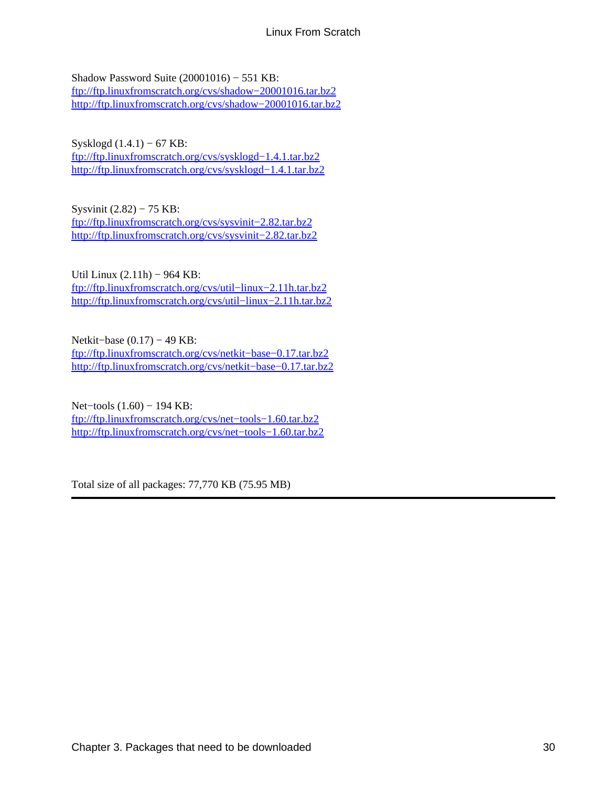Shadow Password Suite (20001016) − 551 KB: [ftp://ftp.linuxfromscratch.org/cvs/shadow−20001016.tar.bz2](ftp://ftp.linuxfromscratch.org/cvs/shadow-20001016.tar.bz2) [http://ftp.linuxfromscratch.org/cvs/shadow−20001016.tar.bz2](http://ftp.linuxfromscratch.org/cvs/shadow-20001016.tar.bz2)

 $Sysklogd (1.4.1) - 67 KB:$ [ftp://ftp.linuxfromscratch.org/cvs/sysklogd−1.4.1.tar.bz2](ftp://ftp.linuxfromscratch.org/cvs/sysklogd-1.4.1.tar.bz2) [http://ftp.linuxfromscratch.org/cvs/sysklogd−1.4.1.tar.bz2](http://ftp.linuxfromscratch.org/cvs/sysklogd-1.4.1.tar.bz2)

Sysvinit (2.82) − 75 KB: [ftp://ftp.linuxfromscratch.org/cvs/sysvinit−2.82.tar.bz2](ftp://ftp.linuxfromscratch.org/cvs/sysvinit-2.82.tar.bz2) [http://ftp.linuxfromscratch.org/cvs/sysvinit−2.82.tar.bz2](http://ftp.linuxfromscratch.org/cvs/sysvinit-2.82.tar.bz2)

Util Linux  $(2.11h) - 964 KB$ : [ftp://ftp.linuxfromscratch.org/cvs/util−linux−2.11h.tar.bz2](ftp://ftp.linuxfromscratch.org/cvs/util-linux-2.11h.tar.bz2) [http://ftp.linuxfromscratch.org/cvs/util−linux−2.11h.tar.bz2](http://ftp.linuxfromscratch.org/cvs/util-linux-2.11h.tar.bz2)

Netkit–base (0.17) – 49 KB: [ftp://ftp.linuxfromscratch.org/cvs/netkit−base−0.17.tar.bz2](ftp://ftp.linuxfromscratch.org/cvs/netkit-base-0.17.tar.bz2) [http://ftp.linuxfromscratch.org/cvs/netkit−base−0.17.tar.bz2](http://ftp.linuxfromscratch.org/cvs/netkit-base-0.17.tar.bz2)

Net–tools (1.60) – 194 KB: [ftp://ftp.linuxfromscratch.org/cvs/net−tools−1.60.tar.bz2](ftp://ftp.linuxfromscratch.org/cvs/net-tools-1.60.tar.bz2) [http://ftp.linuxfromscratch.org/cvs/net−tools−1.60.tar.bz2](http://ftp.linuxfromscratch.org/cvs/net-tools-1.60.tar.bz2)

Total size of all packages: 77,770 KB (75.95 MB)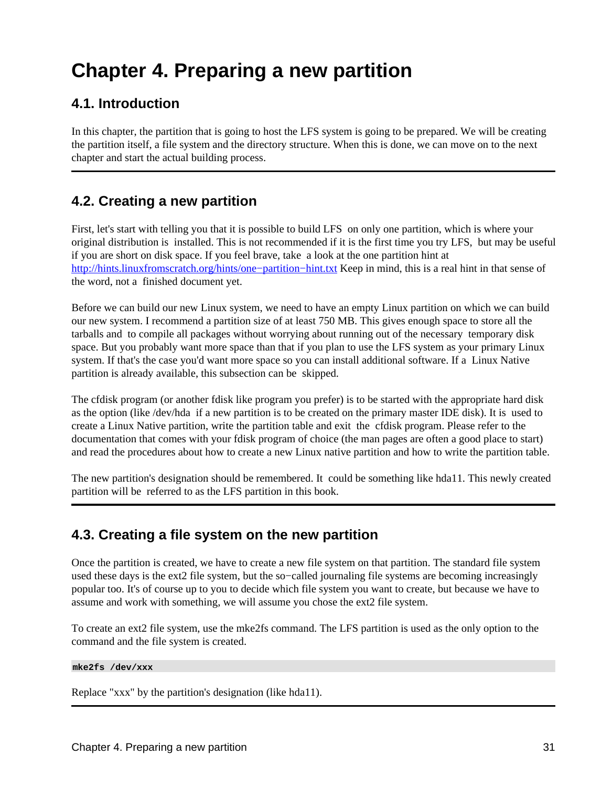# <span id="page-48-0"></span>**Chapter 4. Preparing a new partition**

# **4.1. Introduction**

In this chapter, the partition that is going to host the LFS system is going to be prepared. We will be creating the partition itself, a file system and the directory structure. When this is done, we can move on to the next chapter and start the actual building process.

# **4.2. Creating a new partition**

First, let's start with telling you that it is possible to build LFS on only one partition, which is where your original distribution is installed. This is not recommended if it is the first time you try LFS, but may be useful if you are short on disk space. If you feel brave, take a look at the one partition hint at [http://hints.linuxfromscratch.org/hints/one−partition−hint.txt](http://hints.linuxfromscratch.org/hints/one-partition-hint.txt) Keep in mind, this is a real hint in that sense of the word, not a finished document yet.

Before we can build our new Linux system, we need to have an empty Linux partition on which we can build our new system. I recommend a partition size of at least 750 MB. This gives enough space to store all the tarballs and to compile all packages without worrying about running out of the necessary temporary disk space. But you probably want more space than that if you plan to use the LFS system as your primary Linux system. If that's the case you'd want more space so you can install additional software. If a Linux Native partition is already available, this subsection can be skipped.

The cfdisk program (or another fdisk like program you prefer) is to be started with the appropriate hard disk as the option (like /dev/hda if a new partition is to be created on the primary master IDE disk). It is used to create a Linux Native partition, write the partition table and exit the cfdisk program. Please refer to the documentation that comes with your fdisk program of choice (the man pages are often a good place to start) and read the procedures about how to create a new Linux native partition and how to write the partition table.

The new partition's designation should be remembered. It could be something like hda11. This newly created partition will be referred to as the LFS partition in this book.

# **4.3. Creating a file system on the new partition**

Once the partition is created, we have to create a new file system on that partition. The standard file system used these days is the ext2 file system, but the so−called journaling file systems are becoming increasingly popular too. It's of course up to you to decide which file system you want to create, but because we have to assume and work with something, we will assume you chose the ext2 file system.

To create an ext2 file system, use the mke2fs command. The LFS partition is used as the only option to the command and the file system is created.

**mke2fs /dev/xxx**

Replace "xxx" by the partition's designation (like hda11).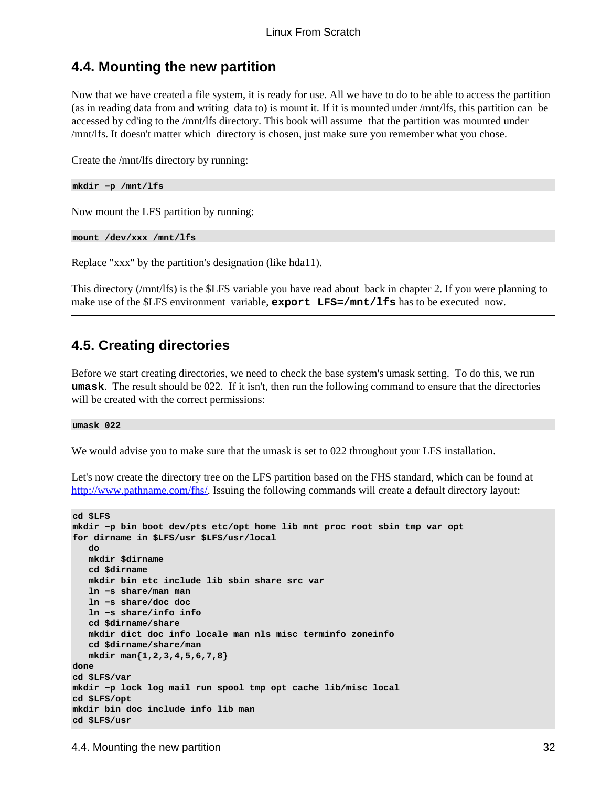### <span id="page-49-0"></span>**4.4. Mounting the new partition**

Now that we have created a file system, it is ready for use. All we have to do to be able to access the partition (as in reading data from and writing data to) is mount it. If it is mounted under /mnt/lfs, this partition can be accessed by cd'ing to the /mnt/lfs directory. This book will assume that the partition was mounted under /mnt/lfs. It doesn't matter which directory is chosen, just make sure you remember what you chose.

Create the /mnt/lfs directory by running:

```
mkdir −p /mnt/lfs
```
Now mount the LFS partition by running:

**mount /dev/xxx /mnt/lfs**

Replace "xxx" by the partition's designation (like hda11).

This directory (/mnt/lfs) is the \$LFS variable you have read about back in chapter 2. If you were planning to make use of the \$LFS environment variable, **export LFS=/mnt/lfs** has to be executed now.

## **4.5. Creating directories**

Before we start creating directories, we need to check the base system's umask setting. To do this, we run **umask**. The result should be 022. If it isn't, then run the following command to ensure that the directories will be created with the correct permissions:

**umask 022**

We would advise you to make sure that the umask is set to 022 throughout your LFS installation.

Let's now create the directory tree on the LFS partition based on the FHS standard, which can be found at [http://www.pathname.com/fhs/.](http://www.pathname.com/fhs/) Issuing the following commands will create a default directory layout:

```
cd $LFS
mkdir −p bin boot dev/pts etc/opt home lib mnt proc root sbin tmp var opt
for dirname in $LFS/usr $LFS/usr/local
    do
    mkdir $dirname
    cd $dirname
   mkdir bin etc include lib sbin share src var
    ln −s share/man man
    ln −s share/doc doc
    ln −s share/info info
    cd $dirname/share
    mkdir dict doc info locale man nls misc terminfo zoneinfo
    cd $dirname/share/man
    mkdir man{1,2,3,4,5,6,7,8}
done
cd $LFS/var
mkdir −p lock log mail run spool tmp opt cache lib/misc local
cd $LFS/opt
mkdir bin doc include info lib man
cd $LFS/usr
```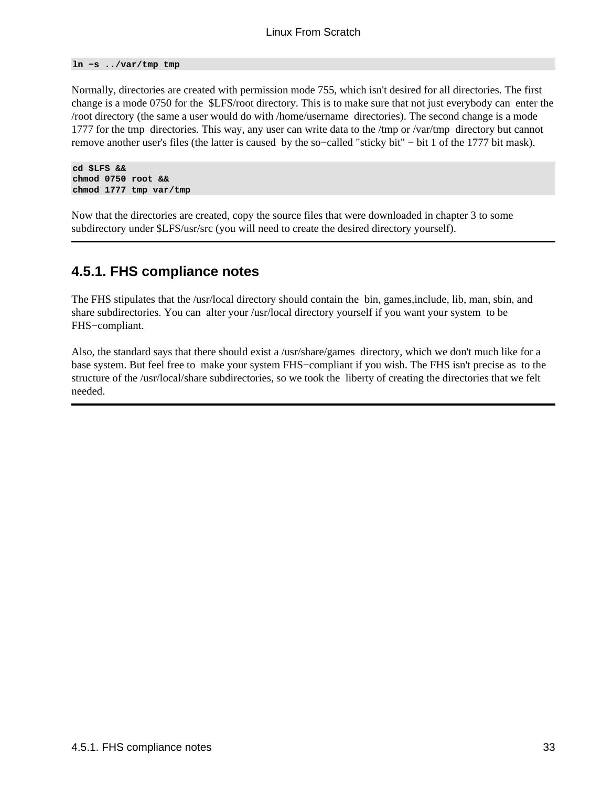```
ln −s ../var/tmp tmp
```
Normally, directories are created with permission mode 755, which isn't desired for all directories. The first change is a mode 0750 for the \$LFS/root directory. This is to make sure that not just everybody can enter the /root directory (the same a user would do with /home/username directories). The second change is a mode 1777 for the tmp directories. This way, any user can write data to the /tmp or /var/tmp directory but cannot remove another user's files (the latter is caused by the so−called "sticky bit" − bit 1 of the 1777 bit mask).

**cd \$LFS && chmod 0750 root && chmod 1777 tmp var/tmp**

Now that the directories are created, copy the source files that were downloaded in chapter 3 to some subdirectory under \$LFS/usr/src (you will need to create the desired directory yourself).

# **4.5.1. FHS compliance notes**

The FHS stipulates that the /usr/local directory should contain the bin, games,include, lib, man, sbin, and share subdirectories. You can alter your /usr/local directory yourself if you want your system to be FHS−compliant.

Also, the standard says that there should exist a /usr/share/games directory, which we don't much like for a base system. But feel free to make your system FHS−compliant if you wish. The FHS isn't precise as to the structure of the /usr/local/share subdirectories, so we took the liberty of creating the directories that we felt needed.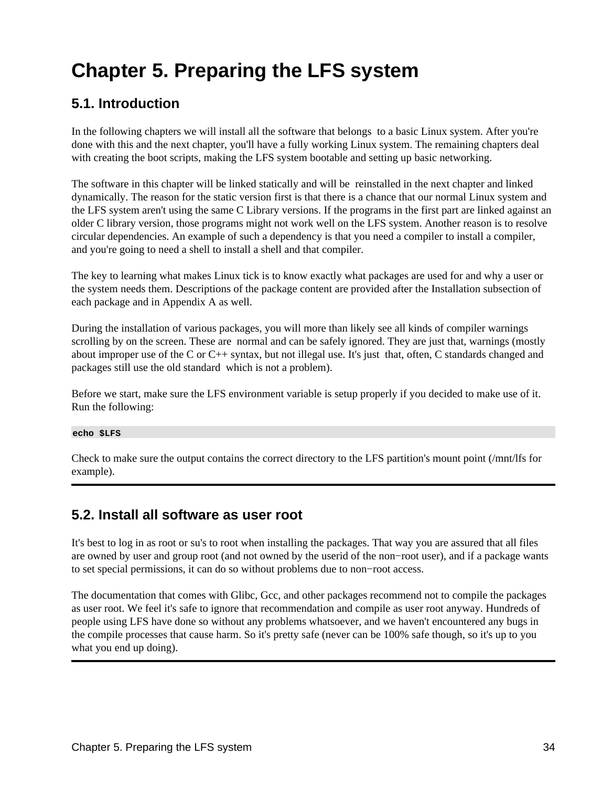# <span id="page-51-0"></span>**Chapter 5. Preparing the LFS system**

# **5.1. Introduction**

In the following chapters we will install all the software that belongs to a basic Linux system. After you're done with this and the next chapter, you'll have a fully working Linux system. The remaining chapters deal with creating the boot scripts, making the LFS system bootable and setting up basic networking.

The software in this chapter will be linked statically and will be reinstalled in the next chapter and linked dynamically. The reason for the static version first is that there is a chance that our normal Linux system and the LFS system aren't using the same C Library versions. If the programs in the first part are linked against an older C library version, those programs might not work well on the LFS system. Another reason is to resolve circular dependencies. An example of such a dependency is that you need a compiler to install a compiler, and you're going to need a shell to install a shell and that compiler.

The key to learning what makes Linux tick is to know exactly what packages are used for and why a user or the system needs them. Descriptions of the package content are provided after the Installation subsection of each package and in Appendix A as well.

During the installation of various packages, you will more than likely see all kinds of compiler warnings scrolling by on the screen. These are normal and can be safely ignored. They are just that, warnings (mostly about improper use of the C or C++ syntax, but not illegal use. It's just that, often, C standards changed and packages still use the old standard which is not a problem).

Before we start, make sure the LFS environment variable is setup properly if you decided to make use of it. Run the following:

#### **echo \$LFS**

Check to make sure the output contains the correct directory to the LFS partition's mount point (/mnt/lfs for example).

### **5.2. Install all software as user root**

It's best to log in as root or su's to root when installing the packages. That way you are assured that all files are owned by user and group root (and not owned by the userid of the non−root user), and if a package wants to set special permissions, it can do so without problems due to non−root access.

The documentation that comes with Glibc, Gcc, and other packages recommend not to compile the packages as user root. We feel it's safe to ignore that recommendation and compile as user root anyway. Hundreds of people using LFS have done so without any problems whatsoever, and we haven't encountered any bugs in the compile processes that cause harm. So it's pretty safe (never can be 100% safe though, so it's up to you what you end up doing).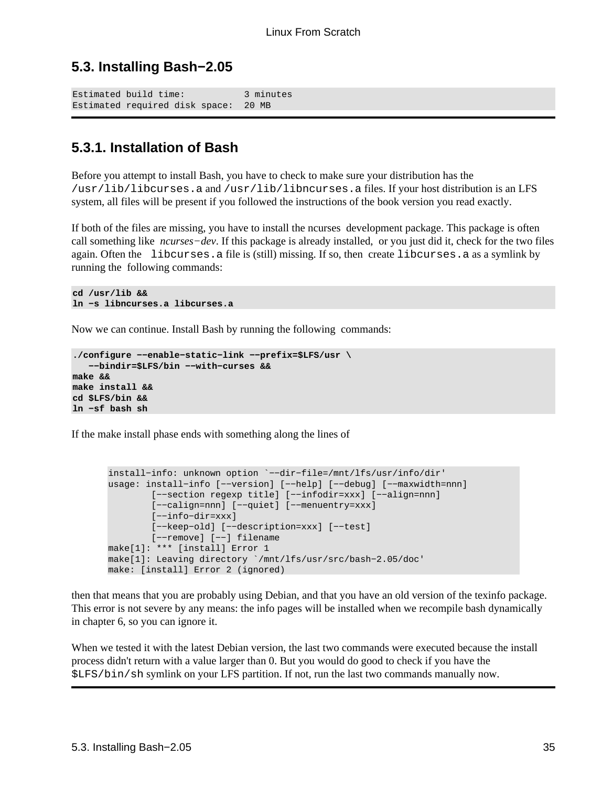## <span id="page-52-0"></span>**5.3. Installing Bash−2.05**

Estimated build time: 3 minutes Estimated required disk space: 20 MB

# **5.3.1. Installation of Bash**

Before you attempt to install Bash, you have to check to make sure your distribution has the /usr/lib/libcurses.a and /usr/lib/libncurses.a files. If your host distribution is an LFS system, all files will be present if you followed the instructions of the book version you read exactly.

If both of the files are missing, you have to install the ncurses development package. This package is often call something like *ncurses−dev*. If this package is already installed, or you just did it, check for the two files again. Often the libcurses.a file is (still) missing. If so, then create libcurses.a as a symlink by running the following commands:

```
cd /usr/lib &&
ln −s libncurses.a libcurses.a
```
Now we can continue. Install Bash by running the following commands:

```
./configure −−enable−static−link −−prefix=$LFS/usr \
    −−bindir=$LFS/bin −−with−curses &&
make &&
make install &&
cd $LFS/bin &&
ln −sf bash sh
```
If the make install phase ends with something along the lines of

```
install−info: unknown option `−−dir−file=/mnt/lfs/usr/info/dir' 
usage: install−info [−−version] [−−help] [−−debug] [−−maxwidth=nnn] 
        [−−section regexp title] [−−infodir=xxx] [−−align=nnn] 
         [−−calign=nnn] [−−quiet] [−−menuentry=xxx]
         [−−info−dir=xxx] 
         [−−keep−old] [−−description=xxx] [−−test]
         [−−remove] [−−] filename 
make[1]: *** [install] Error 1 
make[1]: Leaving directory `/mnt/lfs/usr/src/bash−2.05/doc' 
make: [install] Error 2 (ignored)
```
then that means that you are probably using Debian, and that you have an old version of the texinfo package. This error is not severe by any means: the info pages will be installed when we recompile bash dynamically in chapter 6, so you can ignore it.

When we tested it with the latest Debian version, the last two commands were executed because the install process didn't return with a value larger than 0. But you would do good to check if you have the \$LFS/bin/sh symlink on your LFS partition. If not, run the last two commands manually now.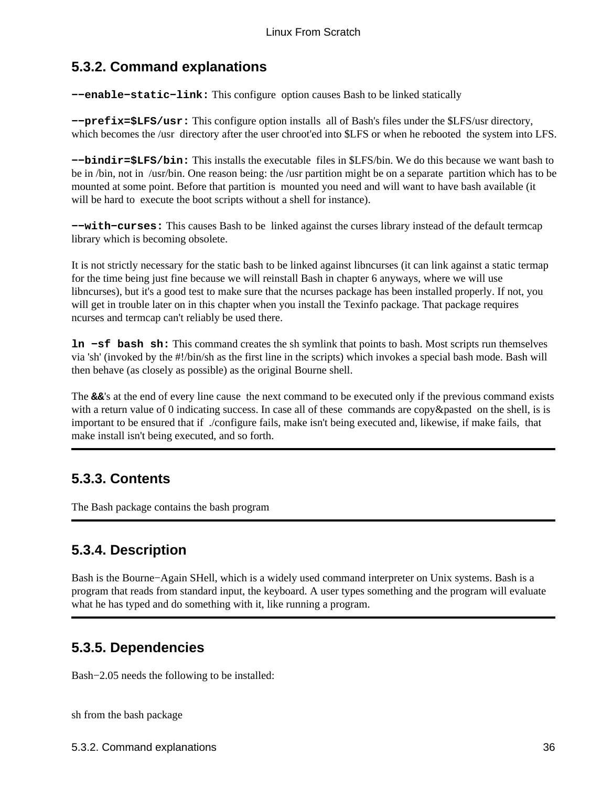# **5.3.2. Command explanations**

**−−enable−static−link:** This configure option causes Bash to be linked statically

**−−prefix=\$LFS/usr:** This configure option installs all of Bash's files under the \$LFS/usr directory, which becomes the /usr directory after the user chroot'ed into \$LFS or when he rebooted the system into LFS.

**−−bindir=\$LFS/bin:** This installs the executable files in \$LFS/bin. We do this because we want bash to be in /bin, not in /usr/bin. One reason being: the /usr partition might be on a separate partition which has to be mounted at some point. Before that partition is mounted you need and will want to have bash available (it will be hard to execute the boot scripts without a shell for instance).

**−−with−curses:** This causes Bash to be linked against the curses library instead of the default termcap library which is becoming obsolete.

It is not strictly necessary for the static bash to be linked against libncurses (it can link against a static termap for the time being just fine because we will reinstall Bash in chapter 6 anyways, where we will use libncurses), but it's a good test to make sure that the ncurses package has been installed properly. If not, you will get in trouble later on in this chapter when you install the Texinfo package. That package requires ncurses and termcap can't reliably be used there.

**ln −sf bash sh:** This command creates the sh symlink that points to bash. Most scripts run themselves via 'sh' (invoked by the #!/bin/sh as the first line in the scripts) which invokes a special bash mode. Bash will then behave (as closely as possible) as the original Bourne shell.

The **&&**'s at the end of every line cause the next command to be executed only if the previous command exists with a return value of 0 indicating success. In case all of these commands are copy&pasted on the shell, is is important to be ensured that if ./configure fails, make isn't being executed and, likewise, if make fails, that make install isn't being executed, and so forth.

# **5.3.3. Contents**

The Bash package contains the bash program

# **5.3.4. Description**

Bash is the Bourne−Again SHell, which is a widely used command interpreter on Unix systems. Bash is a program that reads from standard input, the keyboard. A user types something and the program will evaluate what he has typed and do something with it, like running a program.

# **5.3.5. Dependencies**

Bash−2.05 needs the following to be installed:

sh from the bash package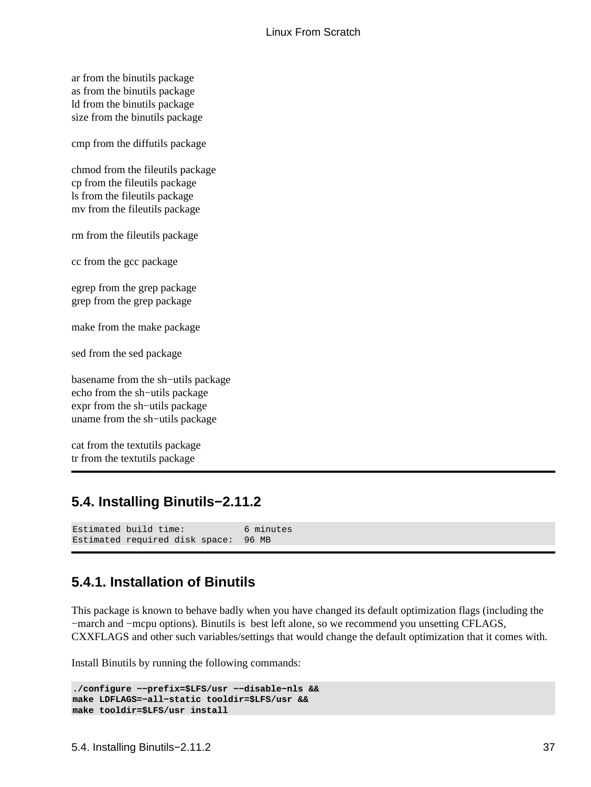#### Linux From Scratch

<span id="page-54-0"></span>ar from the binutils package as from the binutils package ld from the binutils package size from the binutils package

cmp from the diffutils package

chmod from the fileutils package cp from the fileutils package ls from the fileutils package mv from the fileutils package

rm from the fileutils package

cc from the gcc package

egrep from the grep package grep from the grep package

make from the make package

sed from the sed package

basename from the sh−utils package echo from the sh−utils package expr from the sh−utils package uname from the sh−utils package

cat from the textutils package tr from the textutils package

### **5.4. Installing Binutils−2.11.2**

Estimated build time: 6 minutes Estimated required disk space: 96 MB

### **5.4.1. Installation of Binutils**

This package is known to behave badly when you have changed its default optimization flags (including the −march and −mcpu options). Binutils is best left alone, so we recommend you unsetting CFLAGS, CXXFLAGS and other such variables/settings that would change the default optimization that it comes with.

Install Binutils by running the following commands:

```
./configure −−prefix=$LFS/usr −−disable−nls &&
make LDFLAGS=−all−static tooldir=$LFS/usr &&
make tooldir=$LFS/usr install
```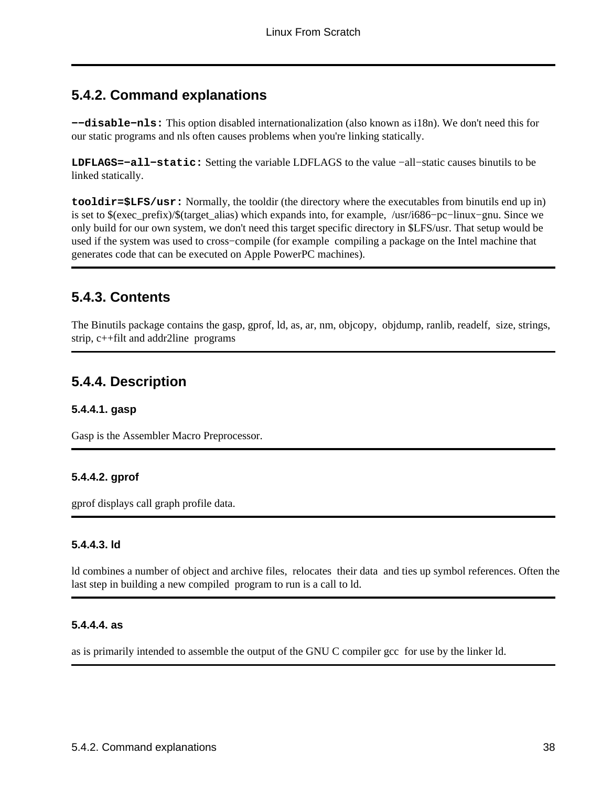# **5.4.2. Command explanations**

**−−disable−nls:** This option disabled internationalization (also known as i18n). We don't need this for our static programs and nls often causes problems when you're linking statically.

**LDFLAGS=−all−static:** Setting the variable LDFLAGS to the value −all−static causes binutils to be linked statically.

**tooldir=\$LFS/usr:** Normally, the tooldir (the directory where the executables from binutils end up in) is set to \$(exec\_prefix)/\$(target\_alias) which expands into, for example, /usr/i686−pc−linux−gnu. Since we only build for our own system, we don't need this target specific directory in \$LFS/usr. That setup would be used if the system was used to cross−compile (for example compiling a package on the Intel machine that generates code that can be executed on Apple PowerPC machines).

# **5.4.3. Contents**

The Binutils package contains the gasp, gprof, ld, as, ar, nm, objcopy, objdump, ranlib, readelf, size, strings, strip, c++filt and addr2line programs

# **5.4.4. Description**

#### **5.4.4.1. gasp**

Gasp is the Assembler Macro Preprocessor.

#### **5.4.4.2. gprof**

gprof displays call graph profile data.

#### **5.4.4.3. ld**

ld combines a number of object and archive files, relocates their data and ties up symbol references. Often the last step in building a new compiled program to run is a call to ld.

#### **5.4.4.4. as**

as is primarily intended to assemble the output of the GNU C compiler gcc for use by the linker ld.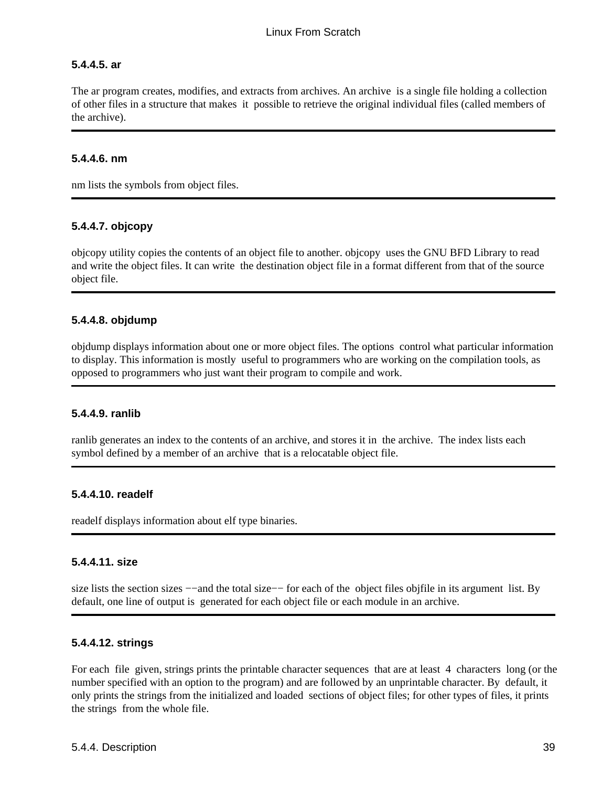#### **5.4.4.5. ar**

The ar program creates, modifies, and extracts from archives. An archive is a single file holding a collection of other files in a structure that makes it possible to retrieve the original individual files (called members of the archive).

#### **5.4.4.6. nm**

nm lists the symbols from object files.

#### **5.4.4.7. objcopy**

objcopy utility copies the contents of an object file to another. objcopy uses the GNU BFD Library to read and write the object files. It can write the destination object file in a format different from that of the source object file.

#### **5.4.4.8. objdump**

objdump displays information about one or more object files. The options control what particular information to display. This information is mostly useful to programmers who are working on the compilation tools, as opposed to programmers who just want their program to compile and work.

#### **5.4.4.9. ranlib**

ranlib generates an index to the contents of an archive, and stores it in the archive. The index lists each symbol defined by a member of an archive that is a relocatable object file.

#### **5.4.4.10. readelf**

readelf displays information about elf type binaries.

#### **5.4.4.11. size**

size lists the section sizes ––and the total size–– for each of the object files objfile in its argument list. By default, one line of output is generated for each object file or each module in an archive.

#### **5.4.4.12. strings**

For each file given, strings prints the printable character sequences that are at least 4 characters long (or the number specified with an option to the program) and are followed by an unprintable character. By default, it only prints the strings from the initialized and loaded sections of object files; for other types of files, it prints the strings from the whole file.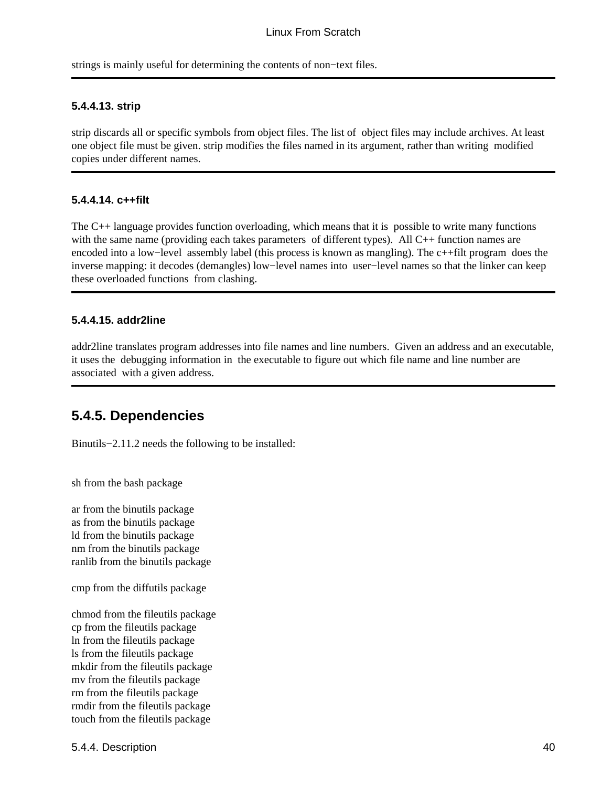strings is mainly useful for determining the contents of non−text files.

#### **5.4.4.13. strip**

strip discards all or specific symbols from object files. The list of object files may include archives. At least one object file must be given. strip modifies the files named in its argument, rather than writing modified copies under different names.

#### **5.4.4.14. c++filt**

The C++ language provides function overloading, which means that it is possible to write many functions with the same name (providing each takes parameters of different types). All C++ function names are encoded into a low−level assembly label (this process is known as mangling). The c++filt program does the inverse mapping: it decodes (demangles) low−level names into user−level names so that the linker can keep these overloaded functions from clashing.

#### **5.4.4.15. addr2line**

addr2line translates program addresses into file names and line numbers. Given an address and an executable, it uses the debugging information in the executable to figure out which file name and line number are associated with a given address.

### **5.4.5. Dependencies**

Binutils−2.11.2 needs the following to be installed:

sh from the bash package

ar from the binutils package as from the binutils package ld from the binutils package nm from the binutils package ranlib from the binutils package

cmp from the diffutils package

chmod from the fileutils package cp from the fileutils package ln from the fileutils package ls from the fileutils package mkdir from the fileutils package mv from the fileutils package rm from the fileutils package rmdir from the fileutils package touch from the fileutils package

5.4.4. Description 40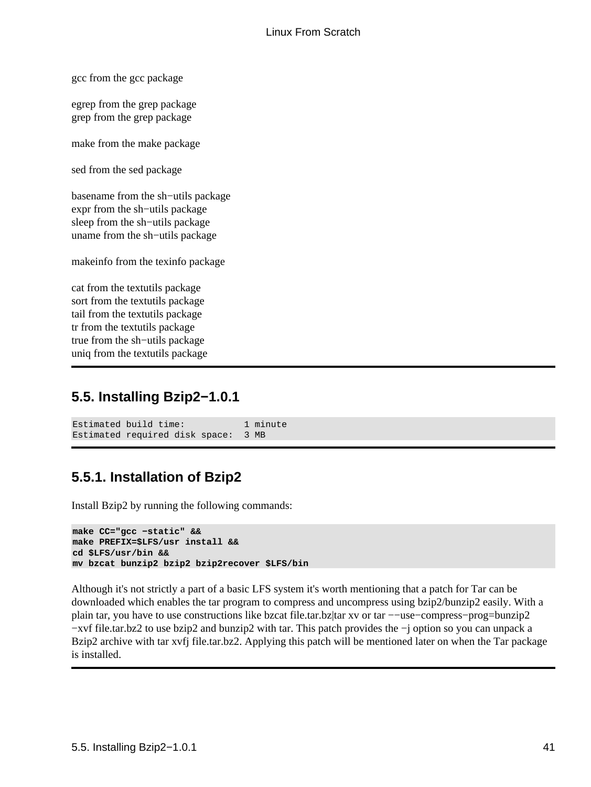<span id="page-58-0"></span>gcc from the gcc package

egrep from the grep package grep from the grep package

make from the make package

sed from the sed package

basename from the sh−utils package expr from the sh−utils package sleep from the sh−utils package uname from the sh−utils package

makeinfo from the texinfo package

cat from the textutils package sort from the textutils package tail from the textutils package tr from the textutils package true from the sh−utils package uniq from the textutils package

# **5.5. Installing Bzip2−1.0.1**

Estimated build time: 1 minute Estimated required disk space: 3 MB

# **5.5.1. Installation of Bzip2**

Install Bzip2 by running the following commands:

```
make CC="gcc −static" &&
make PREFIX=$LFS/usr install &&
cd $LFS/usr/bin &&
mv bzcat bunzip2 bzip2 bzip2recover $LFS/bin
```
Although it's not strictly a part of a basic LFS system it's worth mentioning that a patch for Tar can be downloaded which enables the tar program to compress and uncompress using bzip2/bunzip2 easily. With a plain tar, you have to use constructions like bzcat file.tar.bz|tar xv or tar −−use−compress−prog=bunzip2 −xvf file.tar.bz2 to use bzip2 and bunzip2 with tar. This patch provides the −j option so you can unpack a Bzip2 archive with tar xvfj file.tar.bz2. Applying this patch will be mentioned later on when the Tar package is installed.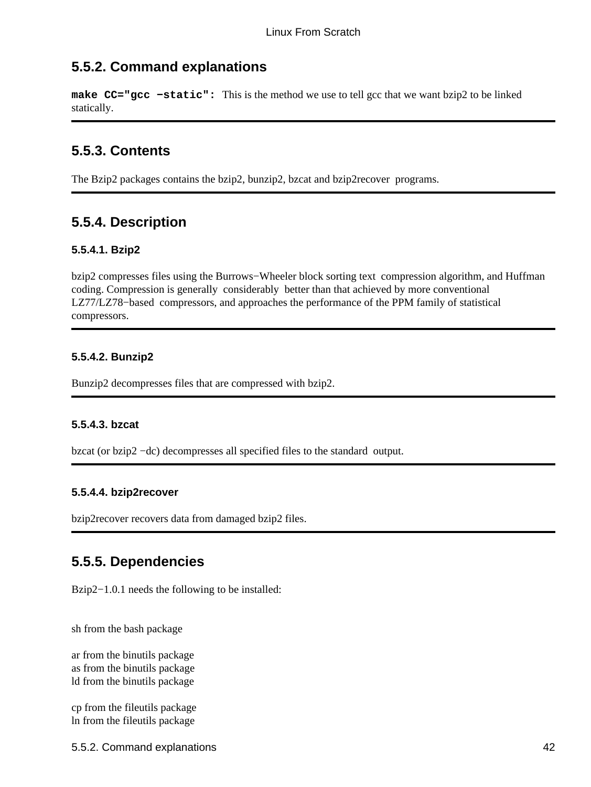## **5.5.2. Command explanations**

**make CC="gcc −static":** This is the method we use to tell gcc that we want bzip2 to be linked statically.

### **5.5.3. Contents**

The Bzip2 packages contains the bzip2, bunzip2, bzcat and bzip2recover programs.

## **5.5.4. Description**

#### **5.5.4.1. Bzip2**

bzip2 compresses files using the Burrows−Wheeler block sorting text compression algorithm, and Huffman coding. Compression is generally considerably better than that achieved by more conventional LZ77/LZ78−based compressors, and approaches the performance of the PPM family of statistical compressors.

#### **5.5.4.2. Bunzip2**

Bunzip2 decompresses files that are compressed with bzip2.

#### **5.5.4.3. bzcat**

bzcat (or bzip2 −dc) decompresses all specified files to the standard output.

#### **5.5.4.4. bzip2recover**

bzip2recover recovers data from damaged bzip2 files.

### **5.5.5. Dependencies**

Bzip2−1.0.1 needs the following to be installed:

sh from the bash package

ar from the binutils package as from the binutils package ld from the binutils package

cp from the fileutils package ln from the fileutils package

5.5.2. Command explanations 42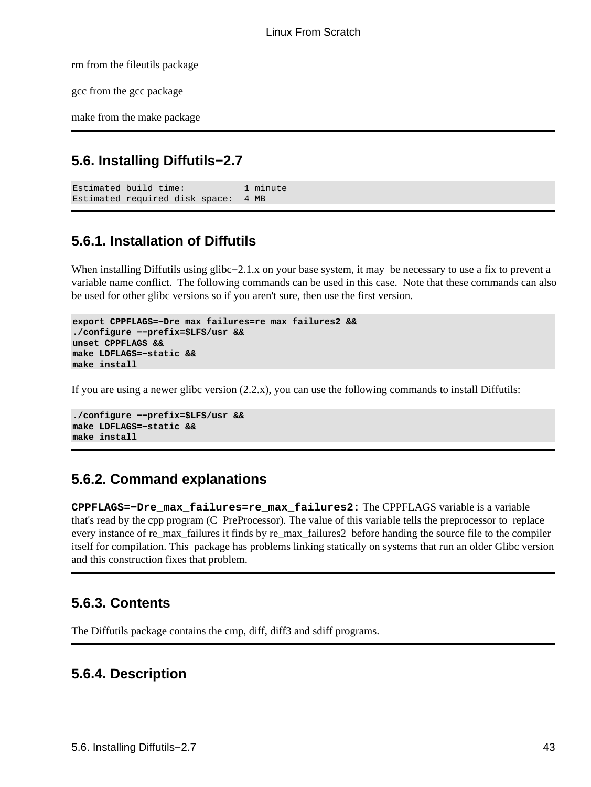<span id="page-60-0"></span>rm from the fileutils package

gcc from the gcc package

make from the make package

# **5.6. Installing Diffutils−2.7**

Estimated build time: 1 minute Estimated required disk space: 4 MB

# **5.6.1. Installation of Diffutils**

When installing Diffutils using glibc−2.1.x on your base system, it may be necessary to use a fix to prevent a variable name conflict. The following commands can be used in this case. Note that these commands can also be used for other glibc versions so if you aren't sure, then use the first version.

```
export CPPFLAGS=−Dre_max_failures=re_max_failures2 &&
./configure −−prefix=$LFS/usr &&
unset CPPFLAGS &&
make LDFLAGS=−static &&
make install
```
If you are using a newer glibc version (2.2.x), you can use the following commands to install Diffutils:

```
./configure −−prefix=$LFS/usr &&
make LDFLAGS=−static &&
make install
```
# **5.6.2. Command explanations**

**CPPFLAGS=−Dre\_max\_failures=re\_max\_failures2:** The CPPFLAGS variable is a variable that's read by the cpp program (C PreProcessor). The value of this variable tells the preprocessor to replace every instance of re\_max\_failures it finds by re\_max\_failures2 before handing the source file to the compiler itself for compilation. This package has problems linking statically on systems that run an older Glibc version and this construction fixes that problem.

### **5.6.3. Contents**

The Diffutils package contains the cmp, diff, diff3 and sdiff programs.

### **5.6.4. Description**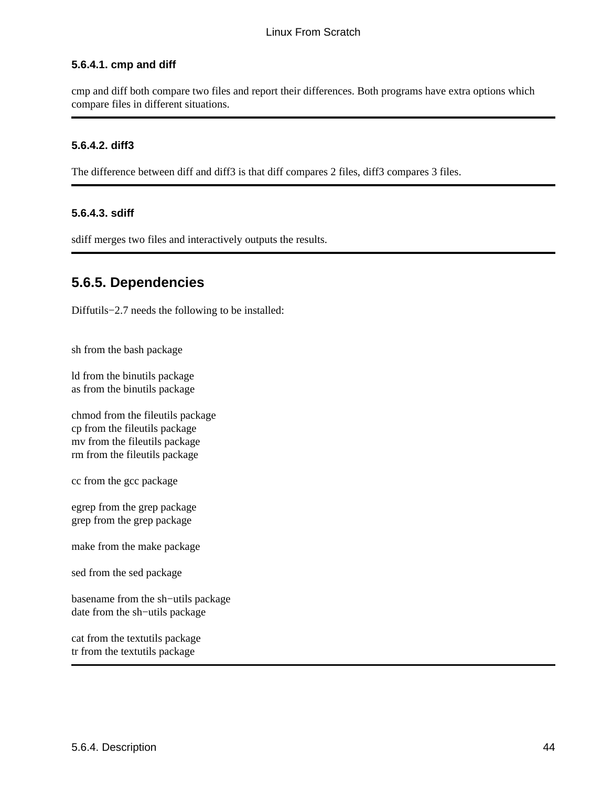#### **5.6.4.1. cmp and diff**

cmp and diff both compare two files and report their differences. Both programs have extra options which compare files in different situations.

#### **5.6.4.2. diff3**

The difference between diff and diff3 is that diff compares 2 files, diff3 compares 3 files.

#### **5.6.4.3. sdiff**

sdiff merges two files and interactively outputs the results.

### **5.6.5. Dependencies**

Diffutils−2.7 needs the following to be installed:

sh from the bash package

ld from the binutils package as from the binutils package

chmod from the fileutils package cp from the fileutils package mv from the fileutils package rm from the fileutils package

cc from the gcc package

egrep from the grep package grep from the grep package

make from the make package

sed from the sed package

basename from the sh−utils package date from the sh−utils package

cat from the textutils package tr from the textutils package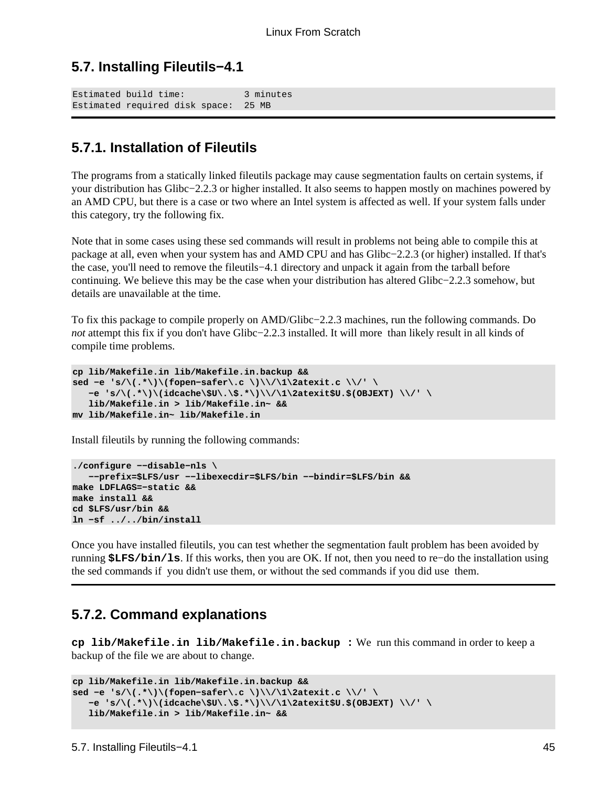### <span id="page-62-0"></span>**5.7. Installing Fileutils−4.1**

Estimated build time: 3 minutes Estimated required disk space: 25 MB

## **5.7.1. Installation of Fileutils**

The programs from a statically linked fileutils package may cause segmentation faults on certain systems, if your distribution has Glibc−2.2.3 or higher installed. It also seems to happen mostly on machines powered by an AMD CPU, but there is a case or two where an Intel system is affected as well. If your system falls under this category, try the following fix.

Note that in some cases using these sed commands will result in problems not being able to compile this at package at all, even when your system has and AMD CPU and has Glibc−2.2.3 (or higher) installed. If that's the case, you'll need to remove the fileutils−4.1 directory and unpack it again from the tarball before continuing. We believe this may be the case when your distribution has altered Glibc−2.2.3 somehow, but details are unavailable at the time.

To fix this package to compile properly on AMD/Glibc−2.2.3 machines, run the following commands. Do *not* attempt this fix if you don't have Glibc−2.2.3 installed. It will more than likely result in all kinds of compile time problems.

```
cp lib/Makefile.in lib/Makefile.in.backup &&
sed −e 's/\(.*\)\(fopen−safer\.c \)\\/\1\2atexit.c \\/' \
    −e 's/\(.*\)\(idcache\$U\.\$.*\)\\/\1\2atexit$U.$(OBJEXT) \\/' \
    lib/Makefile.in > lib/Makefile.in~ &&
mv lib/Makefile.in~ lib/Makefile.in
```
Install fileutils by running the following commands:

```
./configure −−disable−nls \
    −−prefix=$LFS/usr −−libexecdir=$LFS/bin −−bindir=$LFS/bin &&
make LDFLAGS=−static &&
make install &&
cd $LFS/usr/bin &&
ln −sf ../../bin/install
```
Once you have installed fileutils, you can test whether the segmentation fault problem has been avoided by running **\$LFS/bin/ls**. If this works, then you are OK. If not, then you need to re−do the installation using the sed commands if you didn't use them, or without the sed commands if you did use them.

## **5.7.2. Command explanations**

**cp lib/Makefile.in lib/Makefile.in.backup :** We run this command in order to keep a backup of the file we are about to change.

```
cp lib/Makefile.in lib/Makefile.in.backup &&
sed −e 's/\(.*\)\(fopen−safer\.c \)\\/\1\2atexit.c \\/' \
   −e 's/\(.*\)\(idcache\$U\.\$.*\)\\/\1\2atexit$U.$(OBJEXT) \\/' \
   lib/Makefile.in > lib/Makefile.in~ &&
```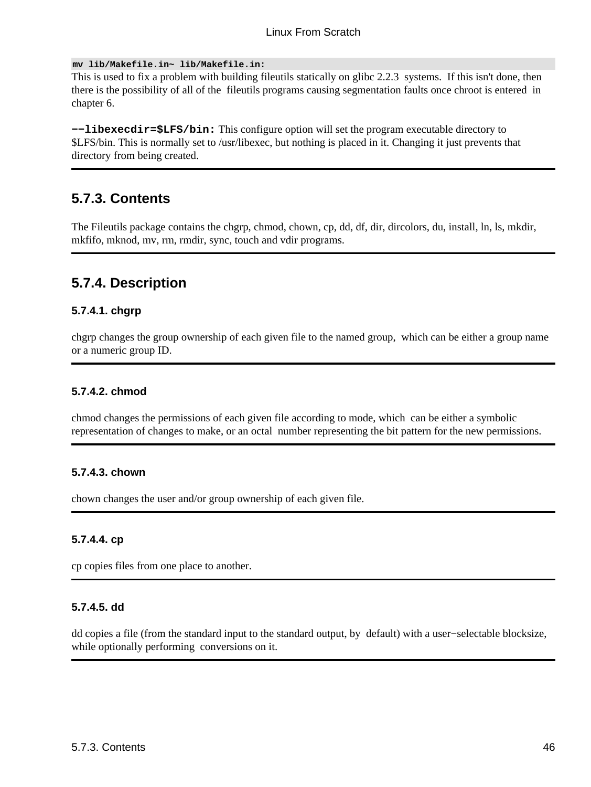#### Linux From Scratch

#### **mv lib/Makefile.in~ lib/Makefile.in:**

This is used to fix a problem with building fileutils statically on glibc 2.2.3 systems. If this isn't done, then there is the possibility of all of the fileutils programs causing segmentation faults once chroot is entered in chapter 6.

**−−libexecdir=\$LFS/bin:** This configure option will set the program executable directory to \$LFS/bin. This is normally set to /usr/libexec, but nothing is placed in it. Changing it just prevents that directory from being created.

## **5.7.3. Contents**

The Fileutils package contains the chgrp, chmod, chown, cp, dd, df, dir, dircolors, du, install, ln, ls, mkdir, mkfifo, mknod, mv, rm, rmdir, sync, touch and vdir programs.

# **5.7.4. Description**

#### **5.7.4.1. chgrp**

chgrp changes the group ownership of each given file to the named group, which can be either a group name or a numeric group ID.

#### **5.7.4.2. chmod**

chmod changes the permissions of each given file according to mode, which can be either a symbolic representation of changes to make, or an octal number representing the bit pattern for the new permissions.

#### **5.7.4.3. chown**

chown changes the user and/or group ownership of each given file.

#### **5.7.4.4. cp**

cp copies files from one place to another.

#### **5.7.4.5. dd**

dd copies a file (from the standard input to the standard output, by default) with a user−selectable blocksize, while optionally performing conversions on it.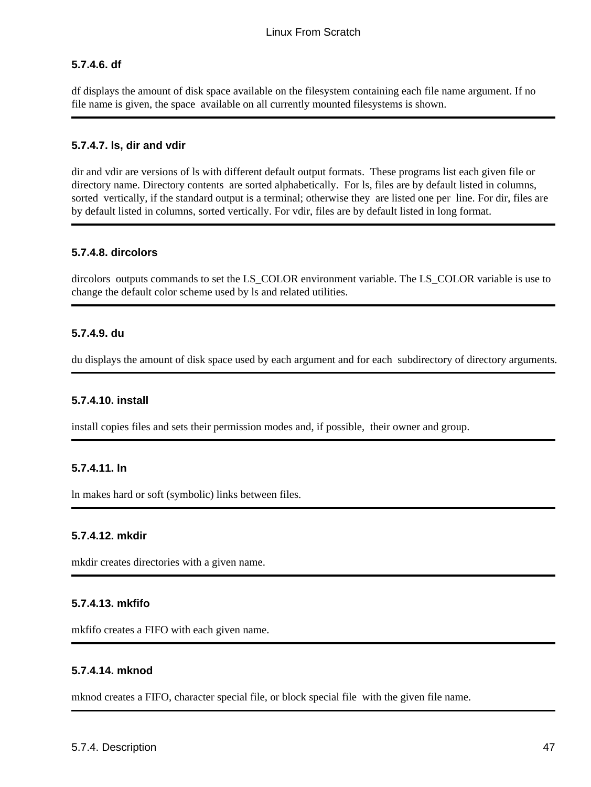#### **5.7.4.6. df**

df displays the amount of disk space available on the filesystem containing each file name argument. If no file name is given, the space available on all currently mounted filesystems is shown.

#### **5.7.4.7. ls, dir and vdir**

dir and vdir are versions of ls with different default output formats. These programs list each given file or directory name. Directory contents are sorted alphabetically. For ls, files are by default listed in columns, sorted vertically, if the standard output is a terminal; otherwise they are listed one per line. For dir, files are by default listed in columns, sorted vertically. For vdir, files are by default listed in long format.

#### **5.7.4.8. dircolors**

dircolors outputs commands to set the LS\_COLOR environment variable. The LS\_COLOR variable is use to change the default color scheme used by ls and related utilities.

#### **5.7.4.9. du**

du displays the amount of disk space used by each argument and for each subdirectory of directory arguments.

#### **5.7.4.10. install**

install copies files and sets their permission modes and, if possible, their owner and group.

#### **5.7.4.11. ln**

ln makes hard or soft (symbolic) links between files.

#### **5.7.4.12. mkdir**

mkdir creates directories with a given name.

#### **5.7.4.13. mkfifo**

mkfifo creates a FIFO with each given name.

#### **5.7.4.14. mknod**

mknod creates a FIFO, character special file, or block special file with the given file name.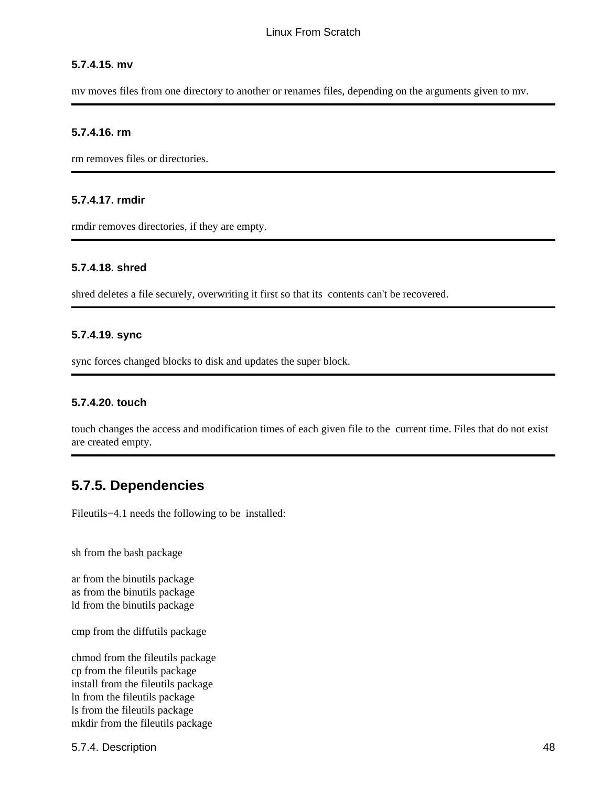#### **5.7.4.15. mv**

mv moves files from one directory to another or renames files, depending on the arguments given to mv.

#### **5.7.4.16. rm**

rm removes files or directories.

#### **5.7.4.17. rmdir**

rmdir removes directories, if they are empty.

#### **5.7.4.18. shred**

shred deletes a file securely, overwriting it first so that its contents can't be recovered.

#### **5.7.4.19. sync**

sync forces changed blocks to disk and updates the super block.

#### **5.7.4.20. touch**

touch changes the access and modification times of each given file to the current time. Files that do not exist are created empty.

## **5.7.5. Dependencies**

Fileutils−4.1 needs the following to be installed:

sh from the bash package

ar from the binutils package as from the binutils package ld from the binutils package

cmp from the diffutils package

chmod from the fileutils package cp from the fileutils package install from the fileutils package ln from the fileutils package ls from the fileutils package mkdir from the fileutils package

5.7.4. Description 48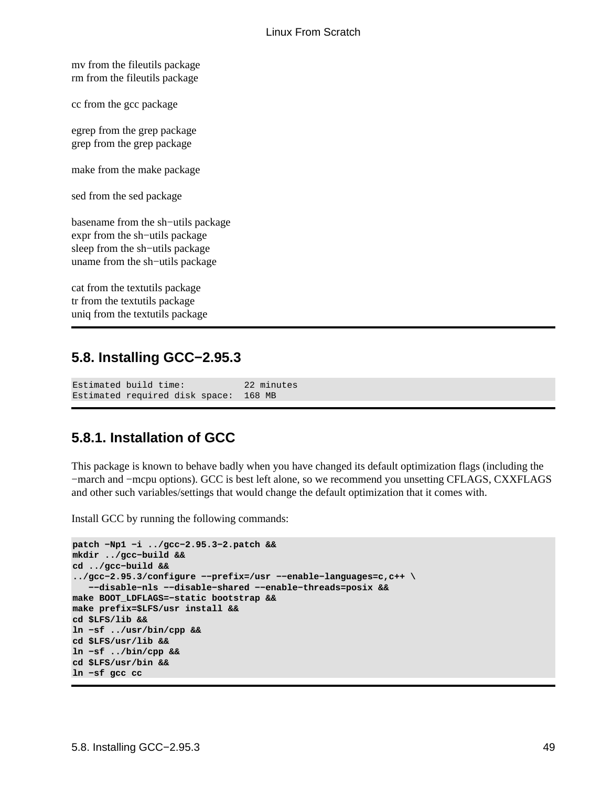<span id="page-66-0"></span>mv from the fileutils package rm from the fileutils package

cc from the gcc package

egrep from the grep package grep from the grep package

make from the make package

sed from the sed package

basename from the sh−utils package expr from the sh−utils package sleep from the sh−utils package uname from the sh−utils package

cat from the textutils package tr from the textutils package uniq from the textutils package

## **5.8. Installing GCC−2.95.3**

Estimated build time: 22 minutes Estimated required disk space: 168 MB

# **5.8.1. Installation of GCC**

This package is known to behave badly when you have changed its default optimization flags (including the −march and −mcpu options). GCC is best left alone, so we recommend you unsetting CFLAGS, CXXFLAGS and other such variables/settings that would change the default optimization that it comes with.

Install GCC by running the following commands:

```
patch −Np1 −i ../gcc−2.95.3−2.patch &&
mkdir ../gcc−build &&
cd ../gcc−build &&
../gcc−2.95.3/configure −−prefix=/usr −−enable−languages=c,c++ \
    −−disable−nls −−disable−shared −−enable−threads=posix &&
make BOOT_LDFLAGS=−static bootstrap &&
make prefix=$LFS/usr install &&
cd $LFS/lib &&
ln −sf ../usr/bin/cpp &&
cd $LFS/usr/lib &&
ln −sf ../bin/cpp &&
cd $LFS/usr/bin &&
ln −sf gcc cc
```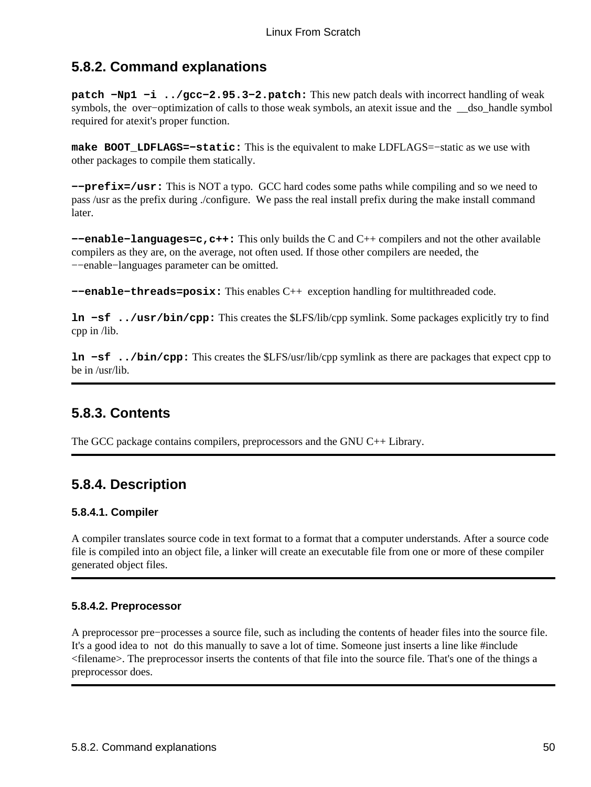# **5.8.2. Command explanations**

**patch −Np1 −i ../gcc−2.95.3−2.patch:** This new patch deals with incorrect handling of weak symbols, the over–optimization of calls to those weak symbols, an atexit issue and the \_\_dso\_handle symbol required for atexit's proper function.

**make BOOT\_LDFLAGS=−static:** This is the equivalent to make LDFLAGS=−static as we use with other packages to compile them statically.

**−−prefix=/usr:** This is NOT a typo. GCC hard codes some paths while compiling and so we need to pass /usr as the prefix during ./configure. We pass the real install prefix during the make install command later.

**−−enable−languages=c,c++:** This only builds the C and C++ compilers and not the other available compilers as they are, on the average, not often used. If those other compilers are needed, the −−enable−languages parameter can be omitted.

**−−enable−threads=posix:** This enables C++ exception handling for multithreaded code.

**ln −sf ../usr/bin/cpp:** This creates the \$LFS/lib/cpp symlink. Some packages explicitly try to find cpp in /lib.

**ln −sf ../bin/cpp:** This creates the \$LFS/usr/lib/cpp symlink as there are packages that expect cpp to be in /usr/lib.

# **5.8.3. Contents**

The GCC package contains compilers, preprocessors and the GNU C++ Library.

# **5.8.4. Description**

#### **5.8.4.1. Compiler**

A compiler translates source code in text format to a format that a computer understands. After a source code file is compiled into an object file, a linker will create an executable file from one or more of these compiler generated object files.

#### **5.8.4.2. Preprocessor**

A preprocessor pre−processes a source file, such as including the contents of header files into the source file. It's a good idea to not do this manually to save a lot of time. Someone just inserts a line like #include <filename>. The preprocessor inserts the contents of that file into the source file. That's one of the things a preprocessor does.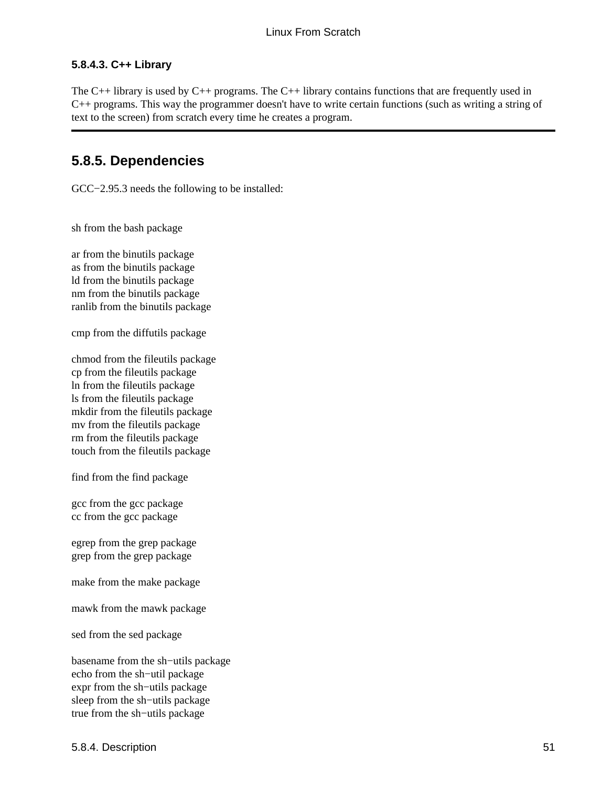### **5.8.4.3. C++ Library**

The C++ library is used by C++ programs. The C++ library contains functions that are frequently used in C++ programs. This way the programmer doesn't have to write certain functions (such as writing a string of text to the screen) from scratch every time he creates a program.

# **5.8.5. Dependencies**

GCC−2.95.3 needs the following to be installed:

sh from the bash package

ar from the binutils package as from the binutils package ld from the binutils package nm from the binutils package ranlib from the binutils package

cmp from the diffutils package

chmod from the fileutils package cp from the fileutils package ln from the fileutils package ls from the fileutils package mkdir from the fileutils package mv from the fileutils package rm from the fileutils package touch from the fileutils package

find from the find package

gcc from the gcc package cc from the gcc package

egrep from the grep package grep from the grep package

make from the make package

mawk from the mawk package

sed from the sed package

basename from the sh−utils package echo from the sh−util package expr from the sh−utils package sleep from the sh−utils package true from the sh−utils package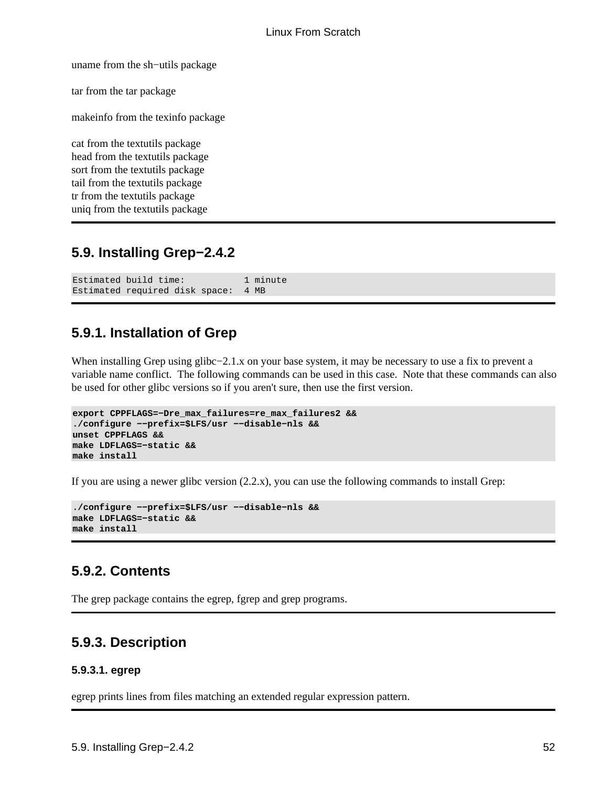<span id="page-69-0"></span>uname from the sh−utils package

tar from the tar package

makeinfo from the texinfo package

cat from the textutils package head from the textutils package sort from the textutils package tail from the textutils package tr from the textutils package uniq from the textutils package

### **5.9. Installing Grep−2.4.2**

Estimated build time: 1 minute Estimated required disk space: 4 MB

## **5.9.1. Installation of Grep**

When installing Grep using glibc−2.1.x on your base system, it may be necessary to use a fix to prevent a variable name conflict. The following commands can be used in this case. Note that these commands can also be used for other glibc versions so if you aren't sure, then use the first version.

```
export CPPFLAGS=−Dre_max_failures=re_max_failures2 &&
./configure −−prefix=$LFS/usr −−disable−nls &&
unset CPPFLAGS &&
make LDFLAGS=−static &&
make install
```
If you are using a newer glibc version (2.2.x), you can use the following commands to install Grep:

```
./configure −−prefix=$LFS/usr −−disable−nls &&
make LDFLAGS=−static &&
make install
```
### **5.9.2. Contents**

The grep package contains the egrep, fgrep and grep programs.

### **5.9.3. Description**

#### **5.9.3.1. egrep**

egrep prints lines from files matching an extended regular expression pattern.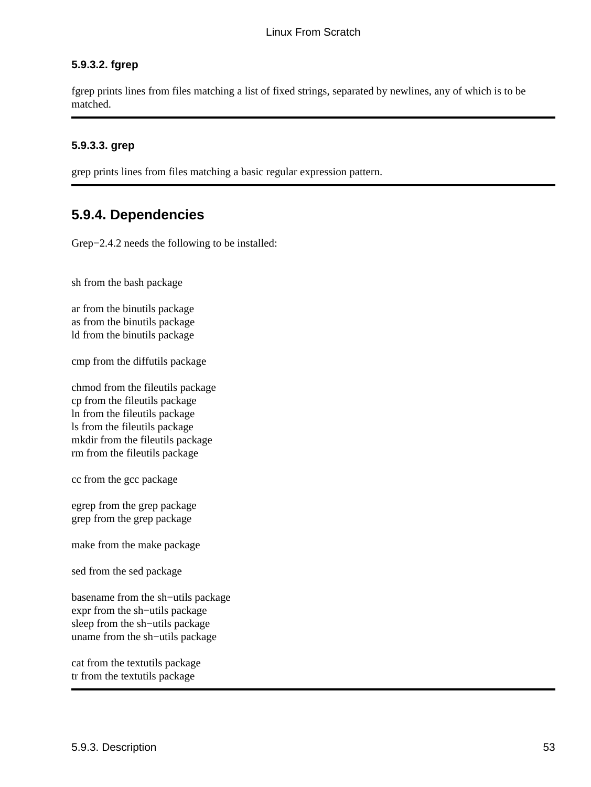#### **5.9.3.2. fgrep**

fgrep prints lines from files matching a list of fixed strings, separated by newlines, any of which is to be matched.

#### **5.9.3.3. grep**

grep prints lines from files matching a basic regular expression pattern.

### **5.9.4. Dependencies**

Grep−2.4.2 needs the following to be installed:

sh from the bash package

ar from the binutils package as from the binutils package ld from the binutils package

cmp from the diffutils package

chmod from the fileutils package cp from the fileutils package ln from the fileutils package ls from the fileutils package mkdir from the fileutils package rm from the fileutils package

cc from the gcc package

egrep from the grep package grep from the grep package

make from the make package

sed from the sed package

basename from the sh−utils package expr from the sh−utils package sleep from the sh−utils package uname from the sh−utils package

cat from the textutils package tr from the textutils package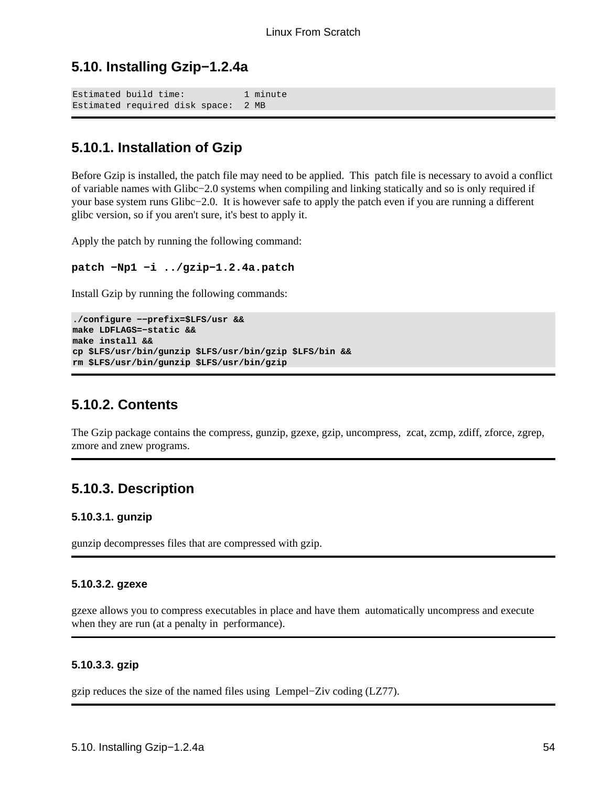# <span id="page-71-0"></span>**5.10. Installing Gzip−1.2.4a**

Estimated build time: 1 minute Estimated required disk space: 2 MB

## **5.10.1. Installation of Gzip**

Before Gzip is installed, the patch file may need to be applied. This patch file is necessary to avoid a conflict of variable names with Glibc−2.0 systems when compiling and linking statically and so is only required if your base system runs Glibc−2.0. It is however safe to apply the patch even if you are running a different glibc version, so if you aren't sure, it's best to apply it.

Apply the patch by running the following command:

```
patch −Np1 −i ../gzip−1.2.4a.patch
```
Install Gzip by running the following commands:

```
./configure −−prefix=$LFS/usr &&
make LDFLAGS=−static &&
make install &&
cp $LFS/usr/bin/gunzip $LFS/usr/bin/gzip $LFS/bin &&
rm $LFS/usr/bin/gunzip $LFS/usr/bin/gzip
```
### **5.10.2. Contents**

The Gzip package contains the compress, gunzip, gzexe, gzip, uncompress, zcat, zcmp, zdiff, zforce, zgrep, zmore and znew programs.

# **5.10.3. Description**

#### **5.10.3.1. gunzip**

gunzip decompresses files that are compressed with gzip.

#### **5.10.3.2. gzexe**

gzexe allows you to compress executables in place and have them automatically uncompress and execute when they are run (at a penalty in performance).

#### **5.10.3.3. gzip**

gzip reduces the size of the named files using Lempel−Ziv coding (LZ77).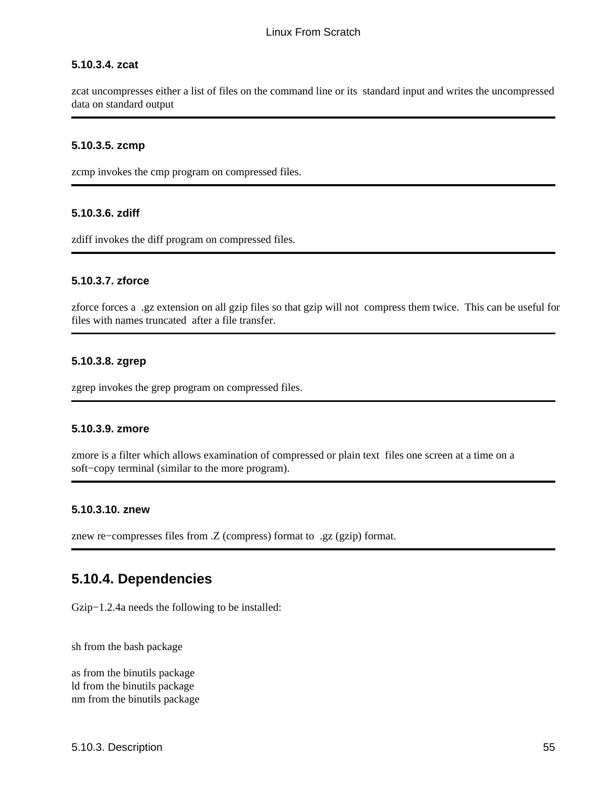#### **5.10.3.4. zcat**

zcat uncompresses either a list of files on the command line or its standard input and writes the uncompressed data on standard output

#### **5.10.3.5. zcmp**

zcmp invokes the cmp program on compressed files.

#### **5.10.3.6. zdiff**

zdiff invokes the diff program on compressed files.

#### **5.10.3.7. zforce**

zforce forces a .gz extension on all gzip files so that gzip will not compress them twice. This can be useful for files with names truncated after a file transfer.

#### **5.10.3.8. zgrep**

zgrep invokes the grep program on compressed files.

#### **5.10.3.9. zmore**

zmore is a filter which allows examination of compressed or plain text files one screen at a time on a soft−copy terminal (similar to the more program).

#### **5.10.3.10. znew**

znew re−compresses files from .Z (compress) format to .gz (gzip) format.

### **5.10.4. Dependencies**

Gzip−1.2.4a needs the following to be installed:

sh from the bash package

as from the binutils package ld from the binutils package nm from the binutils package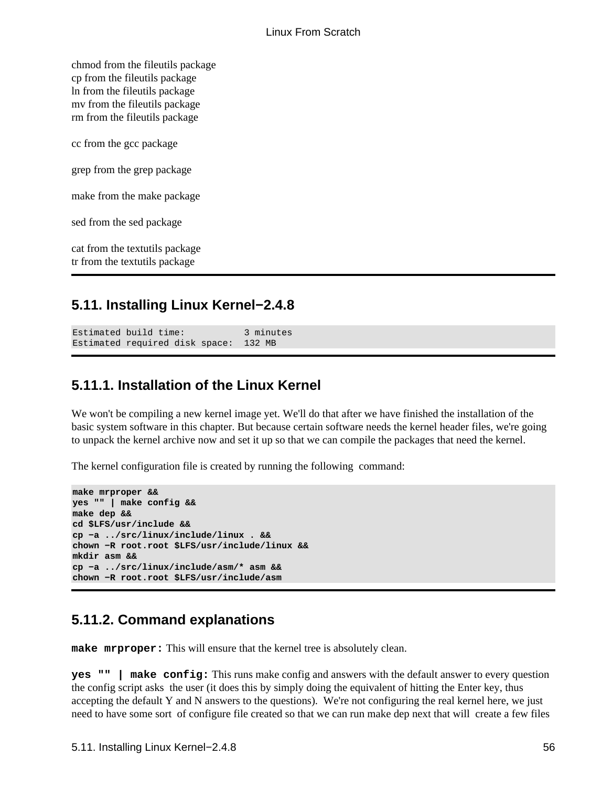#### Linux From Scratch

chmod from the fileutils package cp from the fileutils package ln from the fileutils package mv from the fileutils package rm from the fileutils package

cc from the gcc package

grep from the grep package

make from the make package

sed from the sed package

cat from the textutils package tr from the textutils package

### **5.11. Installing Linux Kernel−2.4.8**

Estimated build time: 3 minutes Estimated required disk space: 132 MB

### **5.11.1. Installation of the Linux Kernel**

We won't be compiling a new kernel image yet. We'll do that after we have finished the installation of the basic system software in this chapter. But because certain software needs the kernel header files, we're going to unpack the kernel archive now and set it up so that we can compile the packages that need the kernel.

The kernel configuration file is created by running the following command:

```
make mrproper &&
yes "" | make config &&
make dep &&
cd $LFS/usr/include &&
cp −a ../src/linux/include/linux . &&
chown −R root.root $LFS/usr/include/linux &&
mkdir asm &&
cp −a ../src/linux/include/asm/* asm &&
chown −R root.root $LFS/usr/include/asm
```
### **5.11.2. Command explanations**

**make mrproper:** This will ensure that the kernel tree is absolutely clean.

**yes "" | make config:** This runs make config and answers with the default answer to every question the config script asks the user (it does this by simply doing the equivalent of hitting the Enter key, thus accepting the default Y and N answers to the questions). We're not configuring the real kernel here, we just need to have some sort of configure file created so that we can run make dep next that will create a few files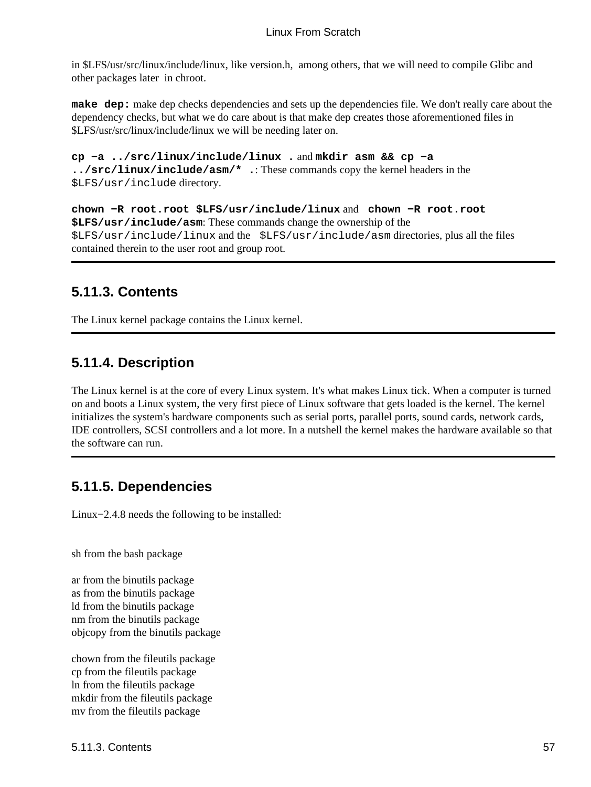in \$LFS/usr/src/linux/include/linux, like version.h, among others, that we will need to compile Glibc and other packages later in chroot.

**make dep:** make dep checks dependencies and sets up the dependencies file. We don't really care about the dependency checks, but what we do care about is that make dep creates those aforementioned files in \$LFS/usr/src/linux/include/linux we will be needing later on.

```
cp −a ../src/linux/include/linux . and mkdir asm && cp −a
../src/linux/include/asm/* .: These commands copy the kernel headers in the
$LFS/usr/include directory.
```
**chown −R root.root \$LFS/usr/include/linux** and **chown −R root.root \$LFS/usr/include/asm**: These commands change the ownership of the \$LFS/usr/include/linux and the \$LFS/usr/include/asm directories, plus all the files contained therein to the user root and group root.

# **5.11.3. Contents**

The Linux kernel package contains the Linux kernel.

### **5.11.4. Description**

The Linux kernel is at the core of every Linux system. It's what makes Linux tick. When a computer is turned on and boots a Linux system, the very first piece of Linux software that gets loaded is the kernel. The kernel initializes the system's hardware components such as serial ports, parallel ports, sound cards, network cards, IDE controllers, SCSI controllers and a lot more. In a nutshell the kernel makes the hardware available so that the software can run.

### **5.11.5. Dependencies**

Linux−2.4.8 needs the following to be installed:

sh from the bash package

ar from the binutils package as from the binutils package ld from the binutils package nm from the binutils package objcopy from the binutils package

chown from the fileutils package cp from the fileutils package ln from the fileutils package mkdir from the fileutils package mv from the fileutils package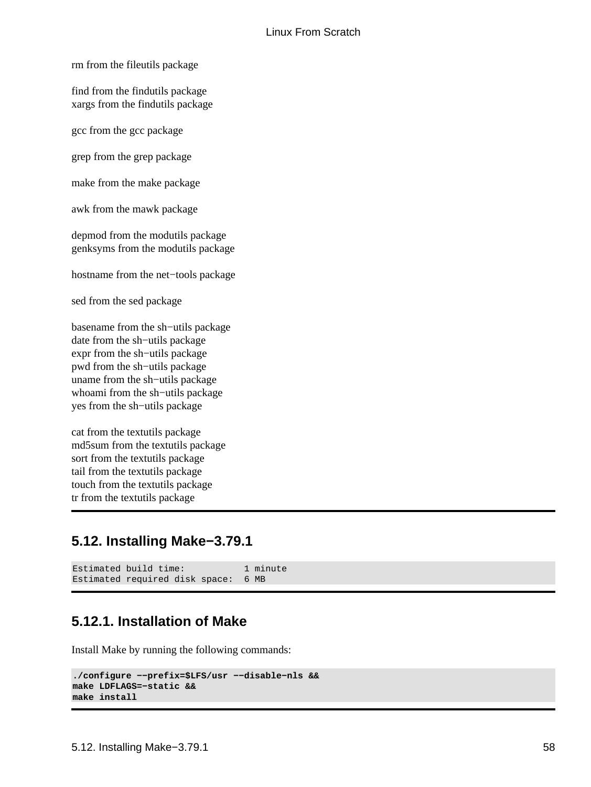#### Linux From Scratch

#### rm from the fileutils package

find from the findutils package xargs from the findutils package

gcc from the gcc package

grep from the grep package

make from the make package

awk from the mawk package

depmod from the modutils package genksyms from the modutils package

hostname from the net−tools package

sed from the sed package

basename from the sh−utils package date from the sh−utils package expr from the sh−utils package pwd from the sh−utils package uname from the sh−utils package whoami from the sh−utils package yes from the sh−utils package

cat from the textutils package md5sum from the textutils package sort from the textutils package tail from the textutils package touch from the textutils package tr from the textutils package

### **5.12. Installing Make−3.79.1**

Estimated build time: 1 minute Estimated required disk space: 6 MB

# **5.12.1. Installation of Make**

Install Make by running the following commands:

```
./configure −−prefix=$LFS/usr −−disable−nls &&
make LDFLAGS=−static &&
make install
```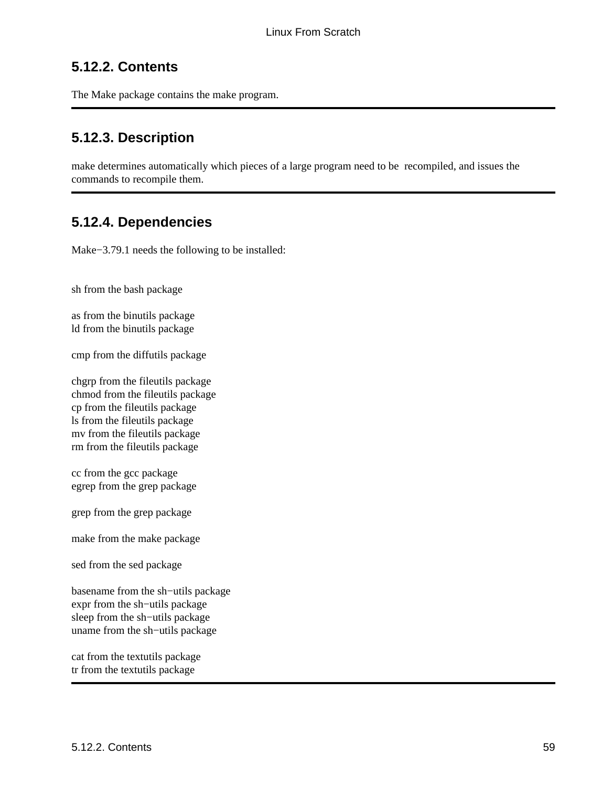# **5.12.2. Contents**

The Make package contains the make program.

# **5.12.3. Description**

make determines automatically which pieces of a large program need to be recompiled, and issues the commands to recompile them.

# **5.12.4. Dependencies**

Make−3.79.1 needs the following to be installed:

sh from the bash package

as from the binutils package ld from the binutils package

cmp from the diffutils package

chgrp from the fileutils package chmod from the fileutils package cp from the fileutils package ls from the fileutils package mv from the fileutils package rm from the fileutils package

cc from the gcc package egrep from the grep package

grep from the grep package

make from the make package

sed from the sed package

basename from the sh−utils package expr from the sh−utils package sleep from the sh−utils package uname from the sh−utils package

cat from the textutils package tr from the textutils package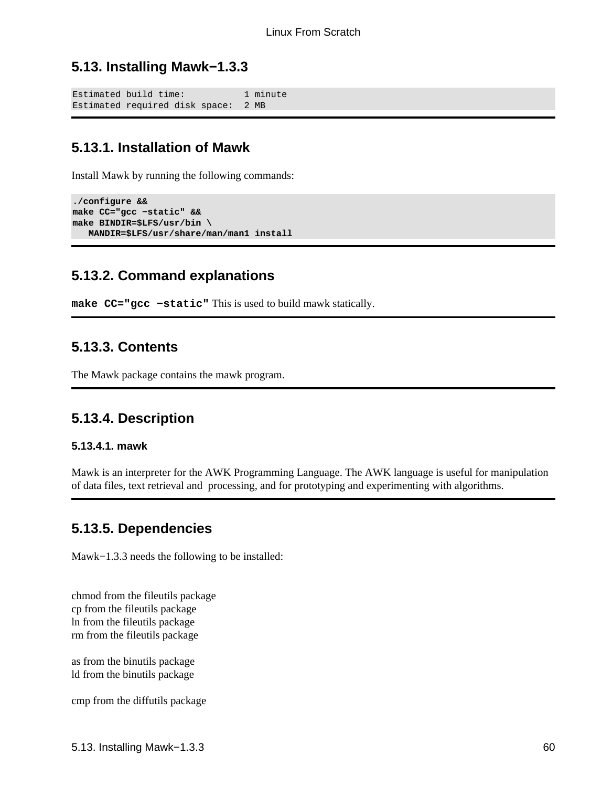### **5.13. Installing Mawk−1.3.3**

Estimated build time: 1 minute Estimated required disk space: 2 MB

### **5.13.1. Installation of Mawk**

Install Mawk by running the following commands:

```
./configure &&
make CC="gcc −static" &&
make BINDIR=$LFS/usr/bin \
   MANDIR=$LFS/usr/share/man/man1 install
```
### **5.13.2. Command explanations**

**make CC="gcc −static"** This is used to build mawk statically.

### **5.13.3. Contents**

The Mawk package contains the mawk program.

### **5.13.4. Description**

#### **5.13.4.1. mawk**

Mawk is an interpreter for the AWK Programming Language. The AWK language is useful for manipulation of data files, text retrieval and processing, and for prototyping and experimenting with algorithms.

### **5.13.5. Dependencies**

Mawk−1.3.3 needs the following to be installed:

chmod from the fileutils package cp from the fileutils package ln from the fileutils package rm from the fileutils package

as from the binutils package ld from the binutils package

cmp from the diffutils package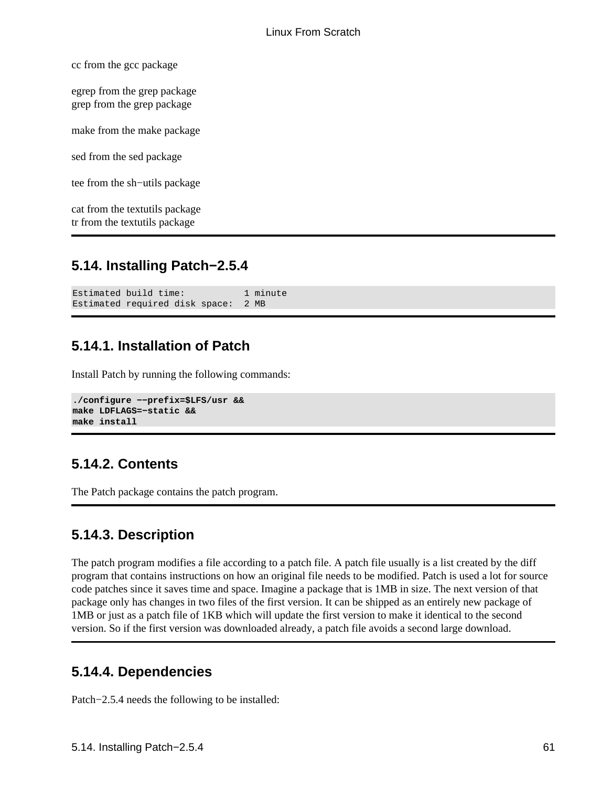cc from the gcc package egrep from the grep package grep from the grep package make from the make package sed from the sed package tee from the sh−utils package cat from the textutils package tr from the textutils package

# **5.14. Installing Patch−2.5.4**

Estimated build time: 1 minute Estimated required disk space: 2 MB

### **5.14.1. Installation of Patch**

Install Patch by running the following commands:

```
./configure −−prefix=$LFS/usr &&
make LDFLAGS=−static &&
make install
```
# **5.14.2. Contents**

The Patch package contains the patch program.

### **5.14.3. Description**

The patch program modifies a file according to a patch file. A patch file usually is a list created by the diff program that contains instructions on how an original file needs to be modified. Patch is used a lot for source code patches since it saves time and space. Imagine a package that is 1MB in size. The next version of that package only has changes in two files of the first version. It can be shipped as an entirely new package of 1MB or just as a patch file of 1KB which will update the first version to make it identical to the second version. So if the first version was downloaded already, a patch file avoids a second large download.

### **5.14.4. Dependencies**

Patch−2.5.4 needs the following to be installed: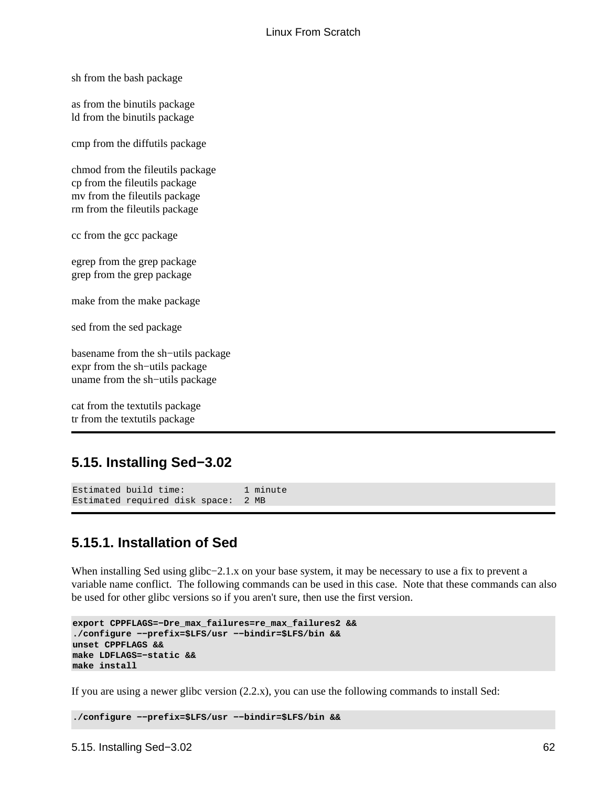sh from the bash package

as from the binutils package ld from the binutils package

cmp from the diffutils package

chmod from the fileutils package cp from the fileutils package mv from the fileutils package rm from the fileutils package

cc from the gcc package

egrep from the grep package grep from the grep package

make from the make package

sed from the sed package

basename from the sh−utils package expr from the sh−utils package uname from the sh−utils package

cat from the textutils package tr from the textutils package

### **5.15. Installing Sed−3.02**

Estimated build time: 1 minute Estimated required disk space: 2 MB

### **5.15.1. Installation of Sed**

When installing Sed using glibc−2.1.x on your base system, it may be necessary to use a fix to prevent a variable name conflict. The following commands can be used in this case. Note that these commands can also be used for other glibc versions so if you aren't sure, then use the first version.

```
export CPPFLAGS=−Dre_max_failures=re_max_failures2 &&
./configure −−prefix=$LFS/usr −−bindir=$LFS/bin &&
unset CPPFLAGS &&
make LDFLAGS=−static &&
make install
```
If you are using a newer glibc version (2.2.x), you can use the following commands to install Sed:

```
./configure −−prefix=$LFS/usr −−bindir=$LFS/bin &&
```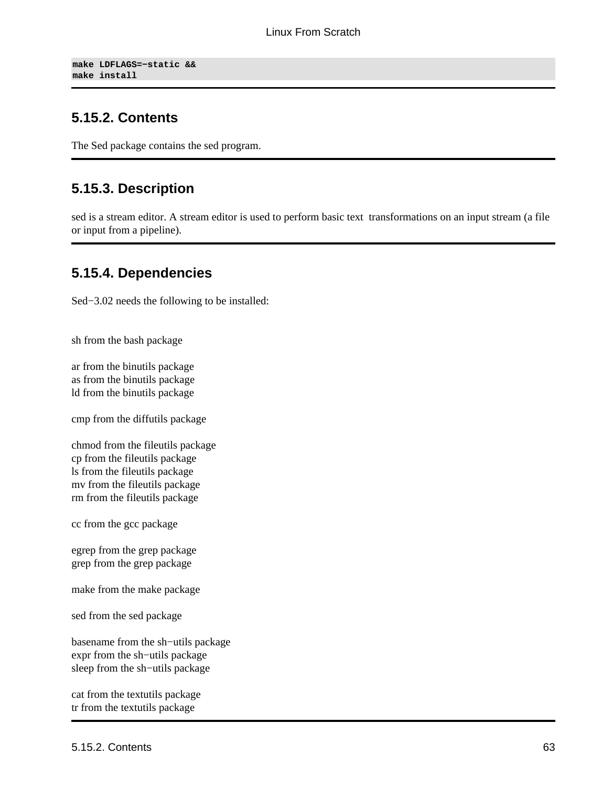```
make LDFLAGS=−static &&
make install
```
### **5.15.2. Contents**

The Sed package contains the sed program.

### **5.15.3. Description**

sed is a stream editor. A stream editor is used to perform basic text transformations on an input stream (a file or input from a pipeline).

### **5.15.4. Dependencies**

Sed−3.02 needs the following to be installed:

sh from the bash package

ar from the binutils package as from the binutils package ld from the binutils package

cmp from the diffutils package

chmod from the fileutils package cp from the fileutils package ls from the fileutils package mv from the fileutils package rm from the fileutils package

cc from the gcc package

egrep from the grep package grep from the grep package

make from the make package

sed from the sed package

basename from the sh−utils package expr from the sh−utils package sleep from the sh−utils package

cat from the textutils package tr from the textutils package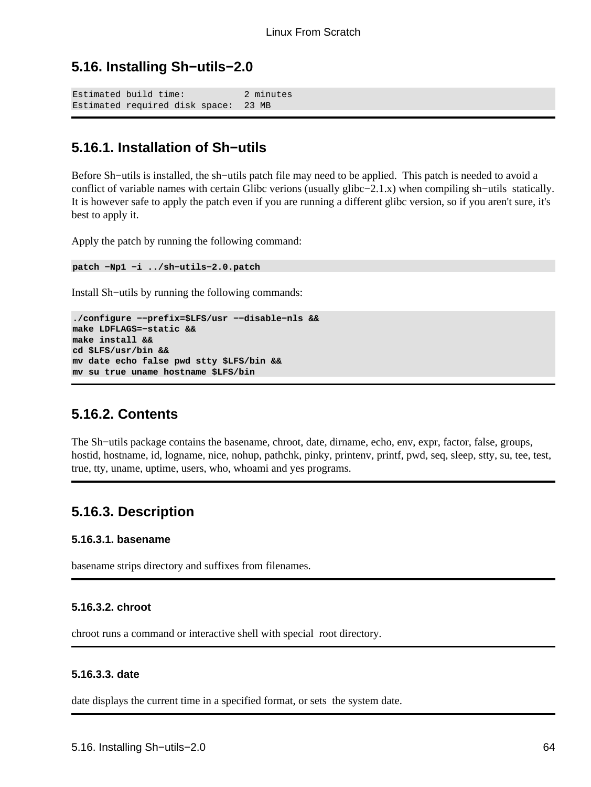### **5.16. Installing Sh−utils−2.0**

Estimated build time: 2 minutes Estimated required disk space: 23 MB

### **5.16.1. Installation of Sh−utils**

Before Sh−utils is installed, the sh−utils patch file may need to be applied. This patch is needed to avoid a conflict of variable names with certain Glibc verions (usually glibc−2.1.x) when compiling sh−utils statically. It is however safe to apply the patch even if you are running a different glibc version, so if you aren't sure, it's best to apply it.

Apply the patch by running the following command:

```
patch −Np1 −i ../sh−utils−2.0.patch
```
Install Sh−utils by running the following commands:

```
./configure −−prefix=$LFS/usr −−disable−nls &&
make LDFLAGS=−static &&
make install &&
cd $LFS/usr/bin &&
mv date echo false pwd stty $LFS/bin &&
mv su true uname hostname $LFS/bin
```
### **5.16.2. Contents**

The Sh−utils package contains the basename, chroot, date, dirname, echo, env, expr, factor, false, groups, hostid, hostname, id, logname, nice, nohup, pathchk, pinky, printenv, printf, pwd, seq, sleep, stty, su, tee, test, true, tty, uname, uptime, users, who, whoami and yes programs.

### **5.16.3. Description**

#### **5.16.3.1. basename**

basename strips directory and suffixes from filenames.

#### **5.16.3.2. chroot**

chroot runs a command or interactive shell with special root directory.

#### **5.16.3.3. date**

date displays the current time in a specified format, or sets the system date.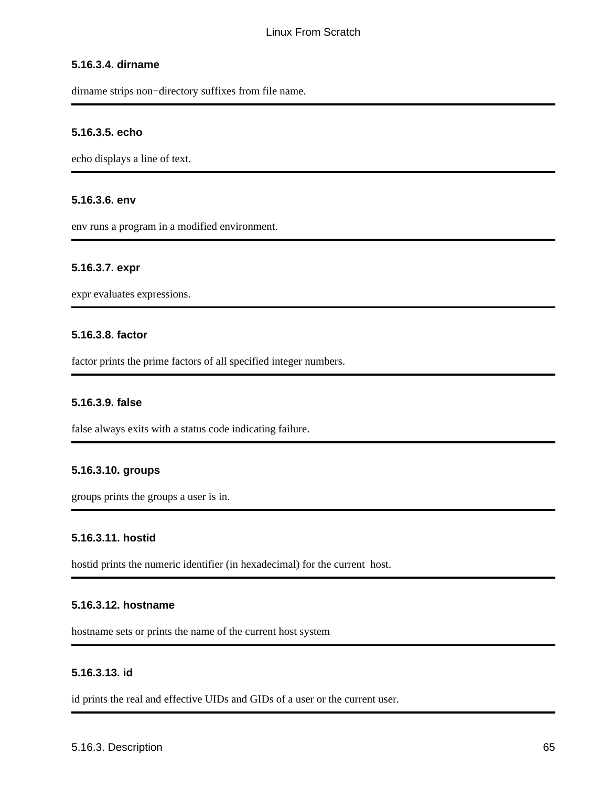#### **5.16.3.4. dirname**

dirname strips non−directory suffixes from file name.

#### **5.16.3.5. echo**

echo displays a line of text.

#### **5.16.3.6. env**

env runs a program in a modified environment.

#### **5.16.3.7. expr**

expr evaluates expressions.

#### **5.16.3.8. factor**

factor prints the prime factors of all specified integer numbers.

#### **5.16.3.9. false**

false always exits with a status code indicating failure.

#### **5.16.3.10. groups**

groups prints the groups a user is in.

#### **5.16.3.11. hostid**

hostid prints the numeric identifier (in hexadecimal) for the current host.

#### **5.16.3.12. hostname**

hostname sets or prints the name of the current host system

#### **5.16.3.13. id**

id prints the real and effective UIDs and GIDs of a user or the current user.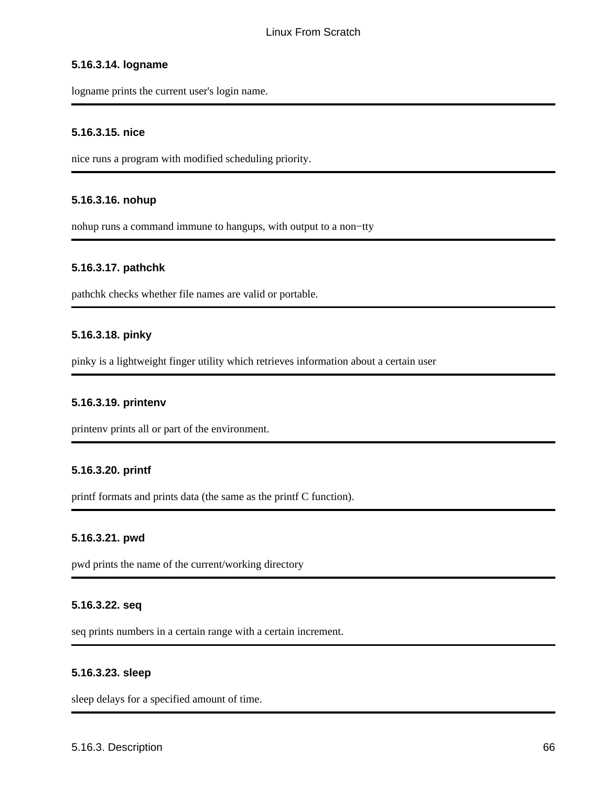#### **5.16.3.14. logname**

logname prints the current user's login name.

#### **5.16.3.15. nice**

nice runs a program with modified scheduling priority.

#### **5.16.3.16. nohup**

nohup runs a command immune to hangups, with output to a non−tty

#### **5.16.3.17. pathchk**

pathchk checks whether file names are valid or portable.

#### **5.16.3.18. pinky**

pinky is a lightweight finger utility which retrieves information about a certain user

#### **5.16.3.19. printenv**

printenv prints all or part of the environment.

#### **5.16.3.20. printf**

printf formats and prints data (the same as the printf C function).

#### **5.16.3.21. pwd**

pwd prints the name of the current/working directory

#### **5.16.3.22. seq**

seq prints numbers in a certain range with a certain increment.

#### **5.16.3.23. sleep**

sleep delays for a specified amount of time.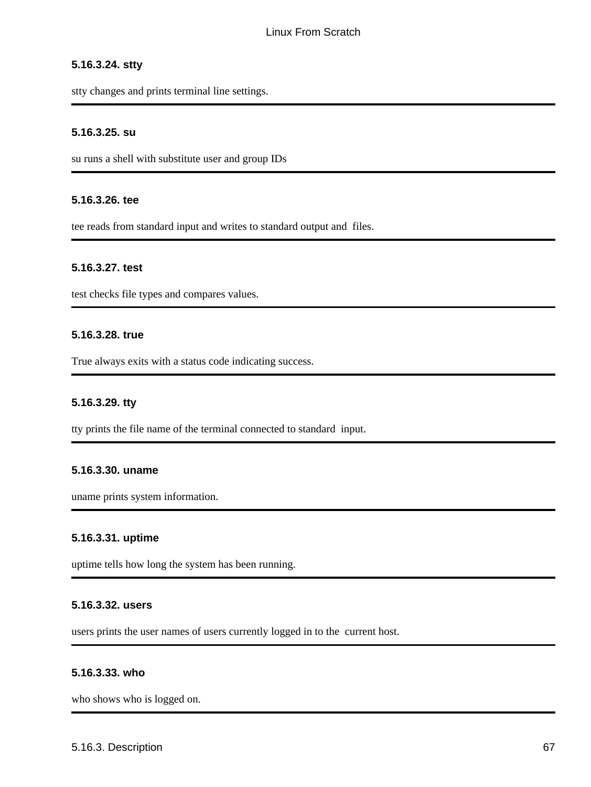#### **5.16.3.24. stty**

stty changes and prints terminal line settings.

#### **5.16.3.25. su**

su runs a shell with substitute user and group IDs

#### **5.16.3.26. tee**

tee reads from standard input and writes to standard output and files.

#### **5.16.3.27. test**

test checks file types and compares values.

#### **5.16.3.28. true**

True always exits with a status code indicating success.

#### **5.16.3.29. tty**

tty prints the file name of the terminal connected to standard input.

#### **5.16.3.30. uname**

uname prints system information.

#### **5.16.3.31. uptime**

uptime tells how long the system has been running.

#### **5.16.3.32. users**

users prints the user names of users currently logged in to the current host.

#### **5.16.3.33. who**

who shows who is logged on.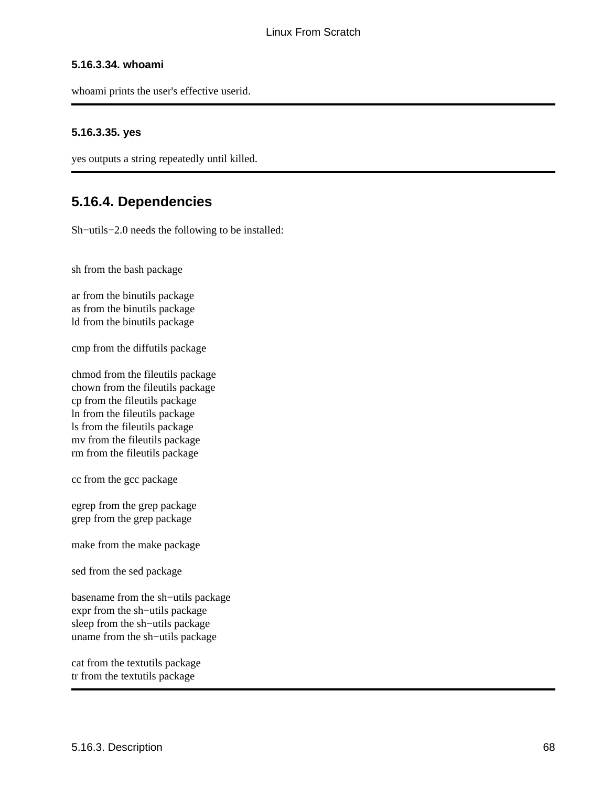#### **5.16.3.34. whoami**

whoami prints the user's effective userid.

#### **5.16.3.35. yes**

yes outputs a string repeatedly until killed.

### **5.16.4. Dependencies**

Sh−utils−2.0 needs the following to be installed:

sh from the bash package

ar from the binutils package as from the binutils package ld from the binutils package

cmp from the diffutils package

chmod from the fileutils package chown from the fileutils package cp from the fileutils package ln from the fileutils package ls from the fileutils package mv from the fileutils package rm from the fileutils package

cc from the gcc package

egrep from the grep package grep from the grep package

make from the make package

sed from the sed package

basename from the sh−utils package expr from the sh−utils package sleep from the sh−utils package uname from the sh−utils package

cat from the textutils package tr from the textutils package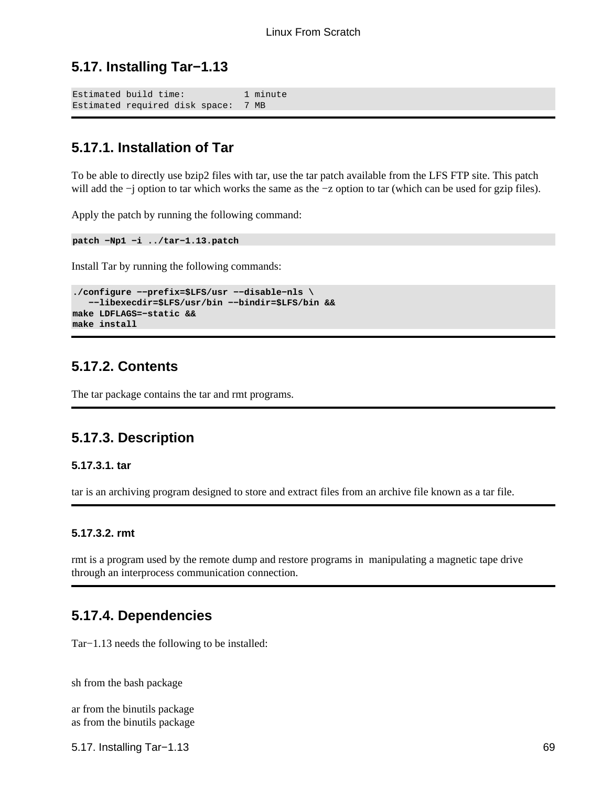### **5.17. Installing Tar−1.13**

Estimated build time: 1 minute Estimated required disk space: 7 MB

### **5.17.1. Installation of Tar**

To be able to directly use bzip2 files with tar, use the tar patch available from the LFS FTP site. This patch will add the −j option to tar which works the same as the −z option to tar (which can be used for gzip files).

Apply the patch by running the following command:

```
patch −Np1 −i ../tar−1.13.patch
```
Install Tar by running the following commands:

```
./configure −−prefix=$LFS/usr −−disable−nls \
    −−libexecdir=$LFS/usr/bin −−bindir=$LFS/bin && 
make LDFLAGS=−static &&
make install
```
### **5.17.2. Contents**

The tar package contains the tar and rmt programs.

### **5.17.3. Description**

#### **5.17.3.1. tar**

tar is an archiving program designed to store and extract files from an archive file known as a tar file.

#### **5.17.3.2. rmt**

rmt is a program used by the remote dump and restore programs in manipulating a magnetic tape drive through an interprocess communication connection.

### **5.17.4. Dependencies**

Tar−1.13 needs the following to be installed:

sh from the bash package

ar from the binutils package as from the binutils package

5.17. Installing Tar−1.13 69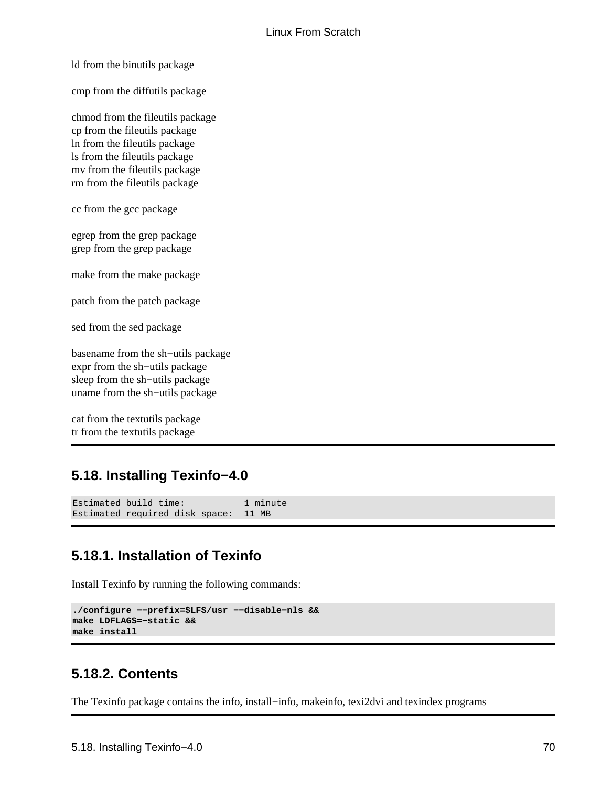ld from the binutils package

cmp from the diffutils package

chmod from the fileutils package cp from the fileutils package ln from the fileutils package ls from the fileutils package mv from the fileutils package rm from the fileutils package

cc from the gcc package

egrep from the grep package grep from the grep package

make from the make package

patch from the patch package

sed from the sed package

basename from the sh−utils package expr from the sh−utils package sleep from the sh−utils package uname from the sh−utils package

cat from the textutils package tr from the textutils package

### **5.18. Installing Texinfo−4.0**

Estimated build time: 1 minute Estimated required disk space: 11 MB

# **5.18.1. Installation of Texinfo**

Install Texinfo by running the following commands:

```
./configure −−prefix=$LFS/usr −−disable−nls &&
make LDFLAGS=−static &&
make install
```
### **5.18.2. Contents**

The Texinfo package contains the info, install−info, makeinfo, texi2dvi and texindex programs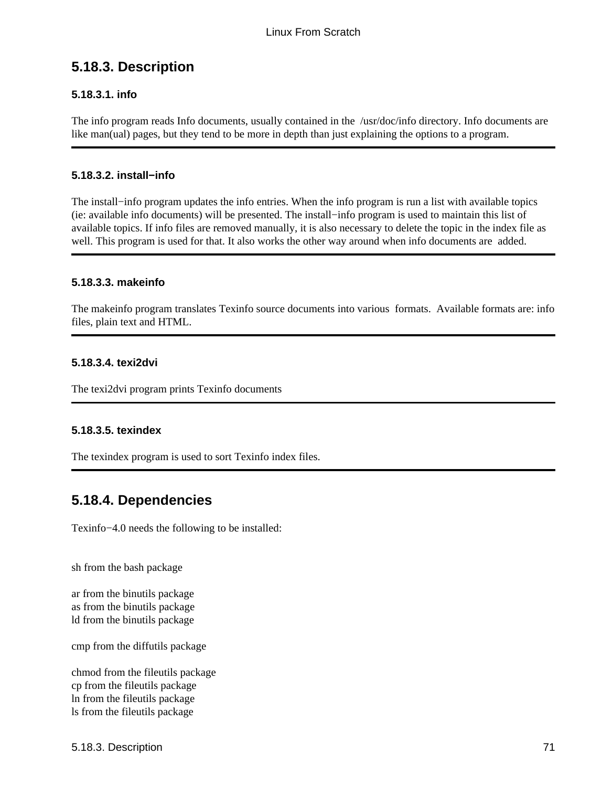# **5.18.3. Description**

#### **5.18.3.1. info**

The info program reads Info documents, usually contained in the /usr/doc/info directory. Info documents are like man(ual) pages, but they tend to be more in depth than just explaining the options to a program.

#### **5.18.3.2. install−info**

The install–info program updates the info entries. When the info program is run a list with available topics (ie: available info documents) will be presented. The install−info program is used to maintain this list of available topics. If info files are removed manually, it is also necessary to delete the topic in the index file as well. This program is used for that. It also works the other way around when info documents are added.

#### **5.18.3.3. makeinfo**

The makeinfo program translates Texinfo source documents into various formats. Available formats are: info files, plain text and HTML.

#### **5.18.3.4. texi2dvi**

The texi2dvi program prints Texinfo documents

#### **5.18.3.5. texindex**

The texindex program is used to sort Texinfo index files.

### **5.18.4. Dependencies**

Texinfo−4.0 needs the following to be installed:

sh from the bash package

ar from the binutils package as from the binutils package ld from the binutils package

cmp from the diffutils package

chmod from the fileutils package cp from the fileutils package ln from the fileutils package ls from the fileutils package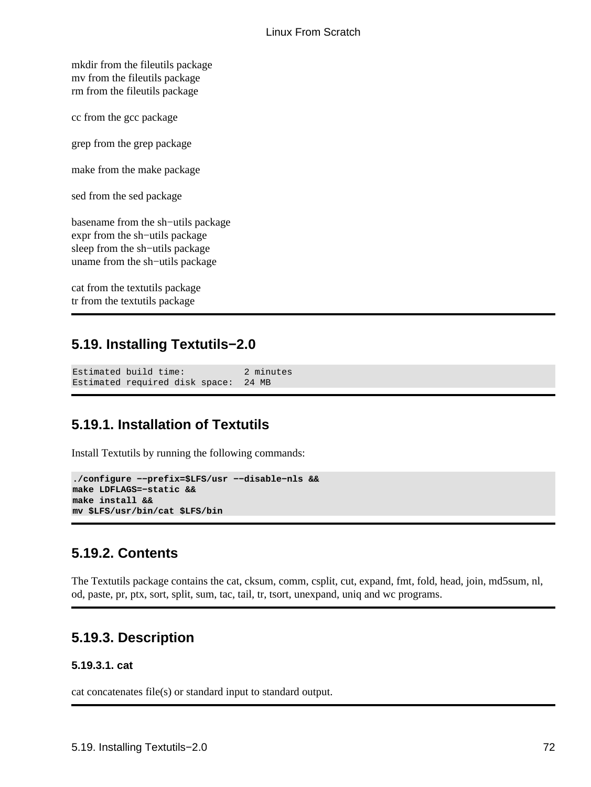#### Linux From Scratch

mkdir from the fileutils package mv from the fileutils package rm from the fileutils package

cc from the gcc package

grep from the grep package

make from the make package

sed from the sed package

basename from the sh−utils package expr from the sh−utils package sleep from the sh−utils package uname from the sh−utils package

cat from the textutils package tr from the textutils package

### **5.19. Installing Textutils−2.0**

Estimated build time: 2 minutes Estimated required disk space: 24 MB

# **5.19.1. Installation of Textutils**

Install Textutils by running the following commands:

```
./configure −−prefix=$LFS/usr −−disable−nls &&
make LDFLAGS=−static &&
make install &&
mv $LFS/usr/bin/cat $LFS/bin
```
### **5.19.2. Contents**

The Textutils package contains the cat, cksum, comm, csplit, cut, expand, fmt, fold, head, join, md5sum, nl, od, paste, pr, ptx, sort, split, sum, tac, tail, tr, tsort, unexpand, uniq and wc programs.

### **5.19.3. Description**

#### **5.19.3.1. cat**

cat concatenates file(s) or standard input to standard output.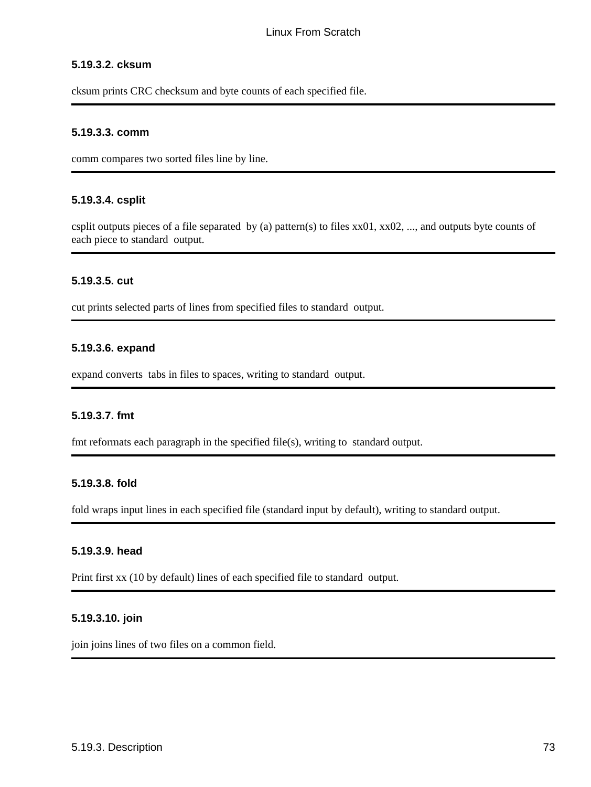#### **5.19.3.2. cksum**

cksum prints CRC checksum and byte counts of each specified file.

#### **5.19.3.3. comm**

comm compares two sorted files line by line.

#### **5.19.3.4. csplit**

csplit outputs pieces of a file separated by (a) pattern(s) to files xx01, xx02, ..., and outputs byte counts of each piece to standard output.

#### **5.19.3.5. cut**

cut prints selected parts of lines from specified files to standard output.

#### **5.19.3.6. expand**

expand converts tabs in files to spaces, writing to standard output.

#### **5.19.3.7. fmt**

fmt reformats each paragraph in the specified file(s), writing to standard output.

#### **5.19.3.8. fold**

fold wraps input lines in each specified file (standard input by default), writing to standard output.

#### **5.19.3.9. head**

Print first xx (10 by default) lines of each specified file to standard output.

#### **5.19.3.10. join**

join joins lines of two files on a common field.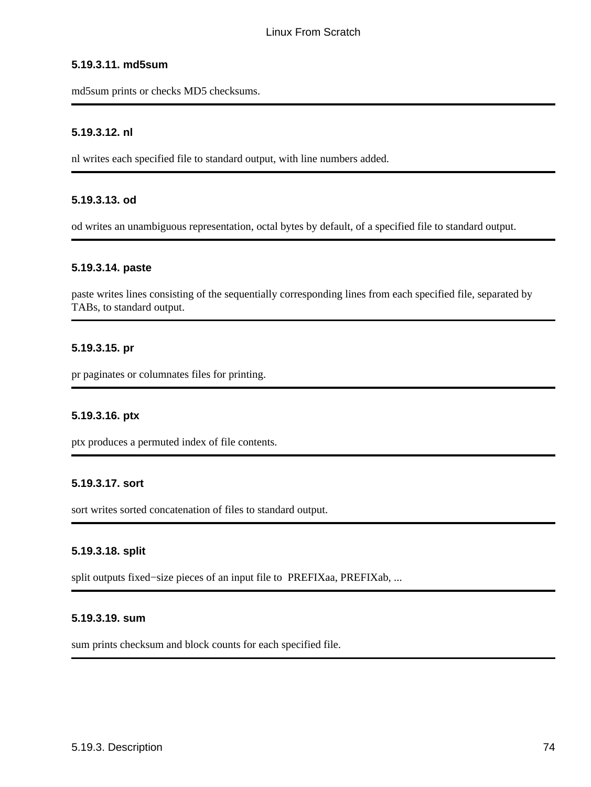#### **5.19.3.11. md5sum**

md5sum prints or checks MD5 checksums.

#### **5.19.3.12. nl**

nl writes each specified file to standard output, with line numbers added.

#### **5.19.3.13. od**

od writes an unambiguous representation, octal bytes by default, of a specified file to standard output.

#### **5.19.3.14. paste**

paste writes lines consisting of the sequentially corresponding lines from each specified file, separated by TABs, to standard output.

#### **5.19.3.15. pr**

pr paginates or columnates files for printing.

#### **5.19.3.16. ptx**

ptx produces a permuted index of file contents.

#### **5.19.3.17. sort**

sort writes sorted concatenation of files to standard output.

#### **5.19.3.18. split**

split outputs fixed−size pieces of an input file to PREFIXaa, PREFIXab, ...

#### **5.19.3.19. sum**

sum prints checksum and block counts for each specified file.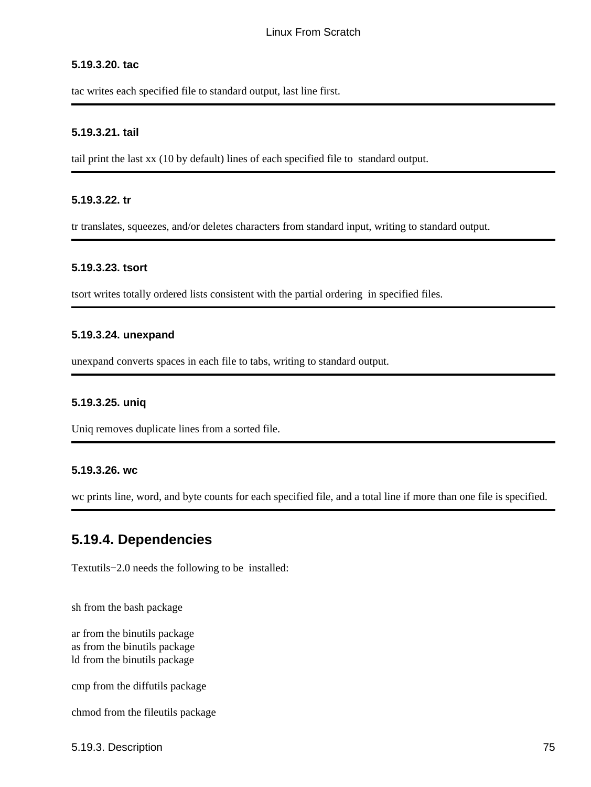#### **5.19.3.20. tac**

tac writes each specified file to standard output, last line first.

#### **5.19.3.21. tail**

tail print the last xx (10 by default) lines of each specified file to standard output.

#### **5.19.3.22. tr**

tr translates, squeezes, and/or deletes characters from standard input, writing to standard output.

#### **5.19.3.23. tsort**

tsort writes totally ordered lists consistent with the partial ordering in specified files.

#### **5.19.3.24. unexpand**

unexpand converts spaces in each file to tabs, writing to standard output.

#### **5.19.3.25. uniq**

Uniq removes duplicate lines from a sorted file.

#### **5.19.3.26. wc**

wc prints line, word, and byte counts for each specified file, and a total line if more than one file is specified.

### **5.19.4. Dependencies**

Textutils−2.0 needs the following to be installed:

sh from the bash package

ar from the binutils package as from the binutils package ld from the binutils package

cmp from the diffutils package

chmod from the fileutils package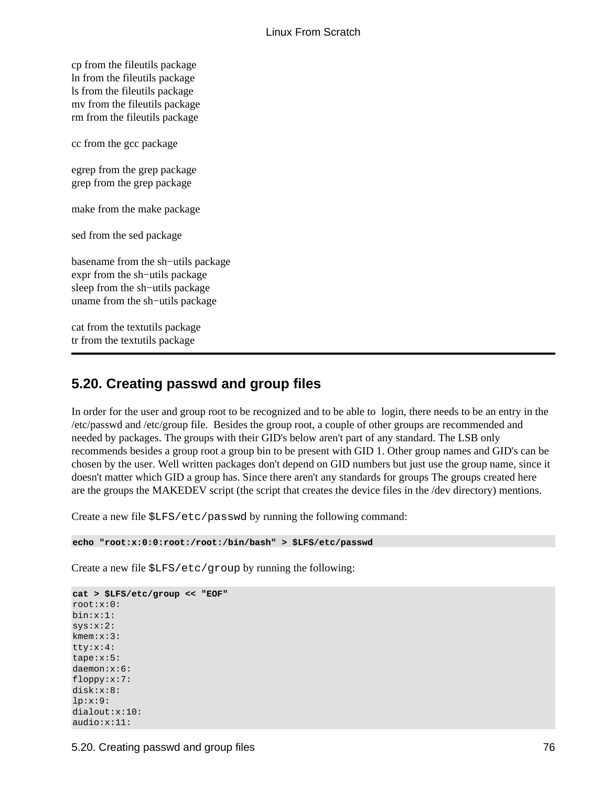#### Linux From Scratch

cp from the fileutils package ln from the fileutils package ls from the fileutils package mv from the fileutils package rm from the fileutils package

cc from the gcc package

egrep from the grep package grep from the grep package

make from the make package

sed from the sed package

basename from the sh−utils package expr from the sh−utils package sleep from the sh−utils package uname from the sh−utils package

cat from the textutils package tr from the textutils package

### **5.20. Creating passwd and group files**

In order for the user and group root to be recognized and to be able to login, there needs to be an entry in the /etc/passwd and /etc/group file. Besides the group root, a couple of other groups are recommended and needed by packages. The groups with their GID's below aren't part of any standard. The LSB only recommends besides a group root a group bin to be present with GID 1. Other group names and GID's can be chosen by the user. Well written packages don't depend on GID numbers but just use the group name, since it doesn't matter which GID a group has. Since there aren't any standards for groups The groups created here are the groups the MAKEDEV script (the script that creates the device files in the /dev directory) mentions.

Create a new file \$LFS/etc/passwd by running the following command:

**echo "root:x:0:0:root:/root:/bin/bash" > \$LFS/etc/passwd**

Create a new file \$LFS/etc/group by running the following:

```
cat > $LFS/etc/group << "EOF"
root:x:0:
bin:x:1:
sys:x:2:
kmem:x:3:
tty:x:4:
tape:x:5:
daemon:x:6:
floppy:x:7:
disk:x:8:
lp:x:9:
dialout:x:10:
audio:x:11:
```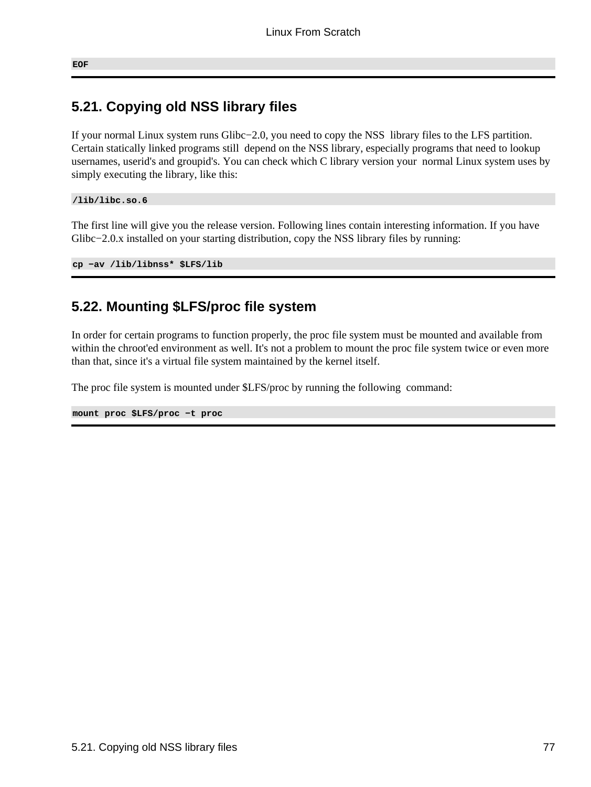#### **EOF**

# **5.21. Copying old NSS library files**

If your normal Linux system runs Glibc−2.0, you need to copy the NSS library files to the LFS partition. Certain statically linked programs still depend on the NSS library, especially programs that need to lookup usernames, userid's and groupid's. You can check which C library version your normal Linux system uses by simply executing the library, like this:

**/lib/libc.so.6**

The first line will give you the release version. Following lines contain interesting information. If you have Glibc−2.0.x installed on your starting distribution, copy the NSS library files by running:

**cp −av /lib/libnss\* \$LFS/lib**

# **5.22. Mounting \$LFS/proc file system**

In order for certain programs to function properly, the proc file system must be mounted and available from within the chroot'ed environment as well. It's not a problem to mount the proc file system twice or even more than that, since it's a virtual file system maintained by the kernel itself.

The proc file system is mounted under \$LFS/proc by running the following command:

**mount proc \$LFS/proc −t proc**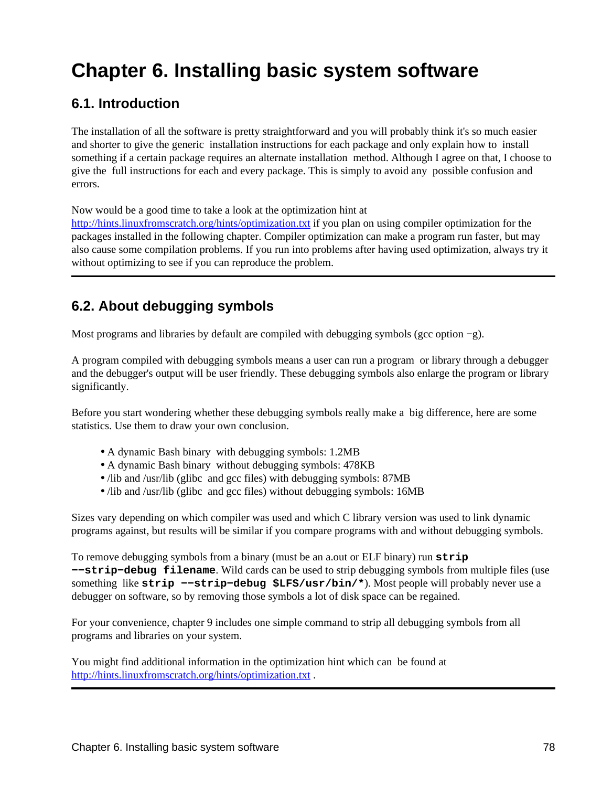# **Chapter 6. Installing basic system software**

# **6.1. Introduction**

The installation of all the software is pretty straightforward and you will probably think it's so much easier and shorter to give the generic installation instructions for each package and only explain how to install something if a certain package requires an alternate installation method. Although I agree on that, I choose to give the full instructions for each and every package. This is simply to avoid any possible confusion and errors.

Now would be a good time to take a look at the optimization hint at

<http://hints.linuxfromscratch.org/hints/optimization.txt> if you plan on using compiler optimization for the packages installed in the following chapter. Compiler optimization can make a program run faster, but may also cause some compilation problems. If you run into problems after having used optimization, always try it without optimizing to see if you can reproduce the problem.

# **6.2. About debugging symbols**

Most programs and libraries by default are compiled with debugging symbols (gcc option  $-g$ ).

A program compiled with debugging symbols means a user can run a program or library through a debugger and the debugger's output will be user friendly. These debugging symbols also enlarge the program or library significantly.

Before you start wondering whether these debugging symbols really make a big difference, here are some statistics. Use them to draw your own conclusion.

- A dynamic Bash binary with debugging symbols: 1.2MB
- A dynamic Bash binary without debugging symbols: 478KB
- /lib and /usr/lib (glibc and gcc files) with debugging symbols: 87MB
- /lib and /usr/lib (glibc and gcc files) without debugging symbols: 16MB

Sizes vary depending on which compiler was used and which C library version was used to link dynamic programs against, but results will be similar if you compare programs with and without debugging symbols.

To remove debugging symbols from a binary (must be an a.out or ELF binary) run **strip −−strip−debug filename**. Wild cards can be used to strip debugging symbols from multiple files (use something like **strip −−strip−debug \$LFS/usr/bin/\***). Most people will probably never use a debugger on software, so by removing those symbols a lot of disk space can be regained.

For your convenience, chapter 9 includes one simple command to strip all debugging symbols from all programs and libraries on your system.

You might find additional information in the optimization hint which can be found at <http://hints.linuxfromscratch.org/hints/optimization.txt> .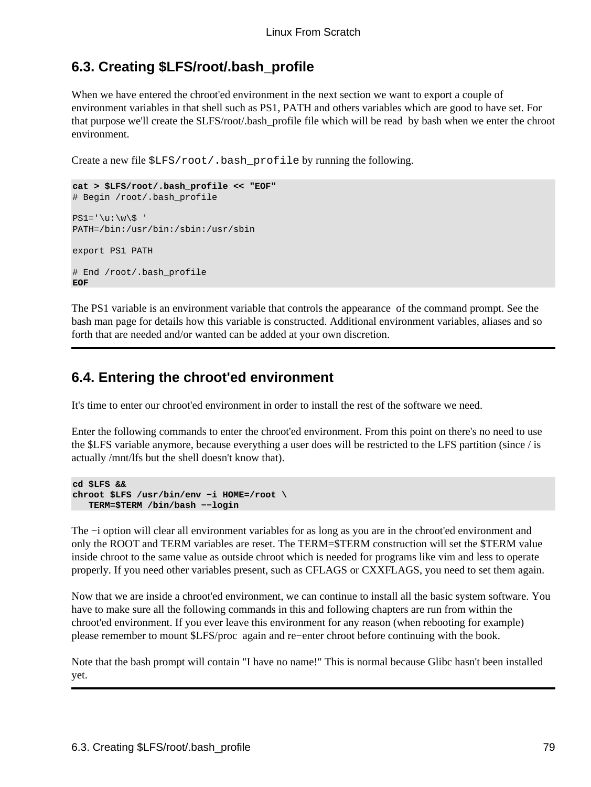# **6.3. Creating \$LFS/root/.bash\_profile**

When we have entered the chroot'ed environment in the next section we want to export a couple of environment variables in that shell such as PS1, PATH and others variables which are good to have set. For that purpose we'll create the \$LFS/root/.bash\_profile file which will be read by bash when we enter the chroot environment.

Create a new file \$LFS/root/.bash\_profile by running the following.

```
cat > $LFS/root/.bash_profile << "EOF"
# Begin /root/.bash_profile
PS1 = '\u:\w\PATH=/bin:/usr/bin:/sbin:/usr/sbin
export PS1 PATH
# End /root/.bash_profile
EOF
```
The PS1 variable is an environment variable that controls the appearance of the command prompt. See the bash man page for details how this variable is constructed. Additional environment variables, aliases and so forth that are needed and/or wanted can be added at your own discretion.

# **6.4. Entering the chroot'ed environment**

It's time to enter our chroot'ed environment in order to install the rest of the software we need.

Enter the following commands to enter the chroot'ed environment. From this point on there's no need to use the \$LFS variable anymore, because everything a user does will be restricted to the LFS partition (since / is actually /mnt/lfs but the shell doesn't know that).

```
cd $LFS &&
chroot $LFS /usr/bin/env −i HOME=/root \
    TERM=$TERM /bin/bash −−login
```
The −i option will clear all environment variables for as long as you are in the chroot'ed environment and only the ROOT and TERM variables are reset. The TERM=\$TERM construction will set the \$TERM value inside chroot to the same value as outside chroot which is needed for programs like vim and less to operate properly. If you need other variables present, such as CFLAGS or CXXFLAGS, you need to set them again.

Now that we are inside a chroot'ed environment, we can continue to install all the basic system software. You have to make sure all the following commands in this and following chapters are run from within the chroot'ed environment. If you ever leave this environment for any reason (when rebooting for example) please remember to mount \$LFS/proc again and re−enter chroot before continuing with the book.

Note that the bash prompt will contain "I have no name!" This is normal because Glibc hasn't been installed yet.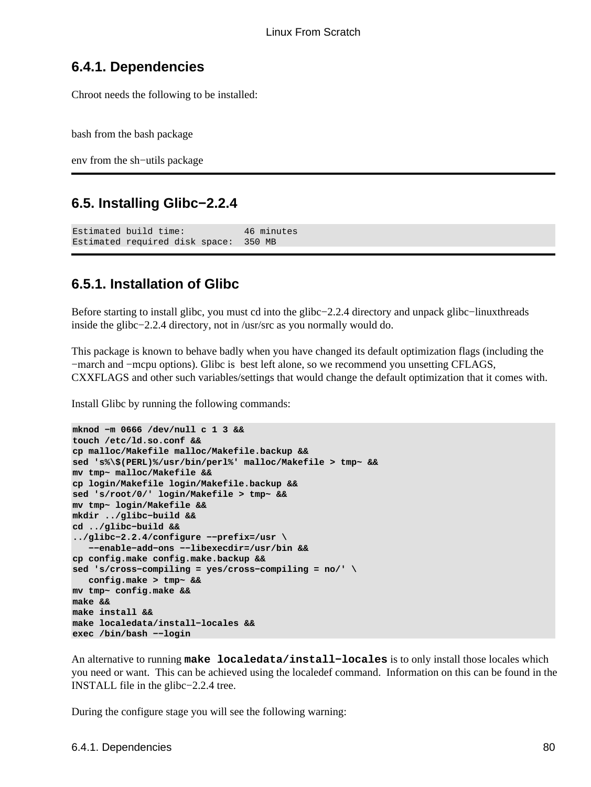### **6.4.1. Dependencies**

Chroot needs the following to be installed:

bash from the bash package

env from the sh−utils package

### **6.5. Installing Glibc−2.2.4**

Estimated build time: 46 minutes Estimated required disk space: 350 MB

### **6.5.1. Installation of Glibc**

Before starting to install glibc, you must cd into the glibc−2.2.4 directory and unpack glibc−linuxthreads inside the glibc−2.2.4 directory, not in /usr/src as you normally would do.

This package is known to behave badly when you have changed its default optimization flags (including the −march and −mcpu options). Glibc is best left alone, so we recommend you unsetting CFLAGS, CXXFLAGS and other such variables/settings that would change the default optimization that it comes with.

Install Glibc by running the following commands:

```
mknod −m 0666 /dev/null c 1 3 &&
touch /etc/ld.so.conf &&
cp malloc/Makefile malloc/Makefile.backup &&
sed 's%\$(PERL)%/usr/bin/perl%' malloc/Makefile > tmp~ &&
mv tmp~ malloc/Makefile &&
cp login/Makefile login/Makefile.backup &&
sed 's/root/0/' login/Makefile > tmp~ &&
mv tmp~ login/Makefile &&
mkdir ../glibc−build &&
cd ../glibc−build &&
../glibc−2.2.4/configure −−prefix=/usr \
    −−enable−add−ons −−libexecdir=/usr/bin &&
cp config.make config.make.backup &&
sed 's/cross−compiling = yes/cross−compiling = no/' \
   config.make > tmp~ &&
mv tmp~ config.make &&
make &&
make install &&
make localedata/install−locales &&
exec /bin/bash −−login
```
An alternative to running **make localedata/install−locales** is to only install those locales which you need or want. This can be achieved using the localedef command. Information on this can be found in the INSTALL file in the glibc−2.2.4 tree.

During the configure stage you will see the following warning: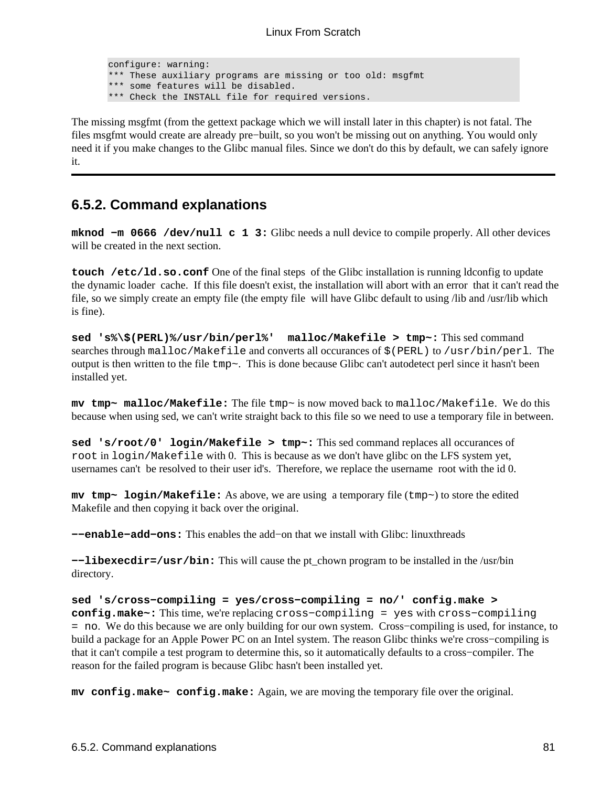```
configure: warning:
*** These auxiliary programs are missing or too old: msgfmt
*** some features will be disabled.
*** Check the INSTALL file for required versions.
```
The missing msgfmt (from the gettext package which we will install later in this chapter) is not fatal. The files msgfmt would create are already pre−built, so you won't be missing out on anything. You would only need it if you make changes to the Glibc manual files. Since we don't do this by default, we can safely ignore it.

### **6.5.2. Command explanations**

**mknod −m 0666 /dev/null c 1 3:** Glibc needs a null device to compile properly. All other devices will be created in the next section.

**touch /etc/ld.so.conf** One of the final steps of the Glibc installation is running ldconfig to update the dynamic loader cache. If this file doesn't exist, the installation will abort with an error that it can't read the file, so we simply create an empty file (the empty file will have Glibc default to using /lib and /usr/lib which is fine).

**sed 's%\\$(PERL)%/usr/bin/perl%' malloc/Makefile > tmp~:** This sed command searches through malloc/Makefile and converts all occurances of \$(PERL) to /usr/bin/perl. The output is then written to the file  $\text{tmp} \sim$ . This is done because Glibc can't autodetect perl since it hasn't been installed yet.

**mv tmp~ malloc/Makefile:** The file tmp~ is now moved back to malloc/Makefile. We do this because when using sed, we can't write straight back to this file so we need to use a temporary file in between.

**sed 's/root/0' login/Makefile > tmp~:** This sed command replaces all occurances of root in login/Makefile with 0. This is because as we don't have glibc on the LFS system yet, usernames can't be resolved to their user id's. Therefore, we replace the username root with the id 0.

**mv tmp~ login/Makefile:** As above, we are using a temporary file (tmp~) to store the edited Makefile and then copying it back over the original.

**−−enable−add−ons:** This enables the add−on that we install with Glibc: linuxthreads

**−−libexecdir=/usr/bin:** This will cause the pt\_chown program to be installed in the /usr/bin directory.

**sed 's/cross−compiling = yes/cross−compiling = no/' config.make > config.make~:** This time, we're replacing cross−compiling = yes with cross−compiling = no. We do this because we are only building for our own system. Cross−compiling is used, for instance, to build a package for an Apple Power PC on an Intel system. The reason Glibc thinks we're cross−compiling is that it can't compile a test program to determine this, so it automatically defaults to a cross−compiler. The reason for the failed program is because Glibc hasn't been installed yet.

**mv config.make~ config.make:** Again, we are moving the temporary file over the original.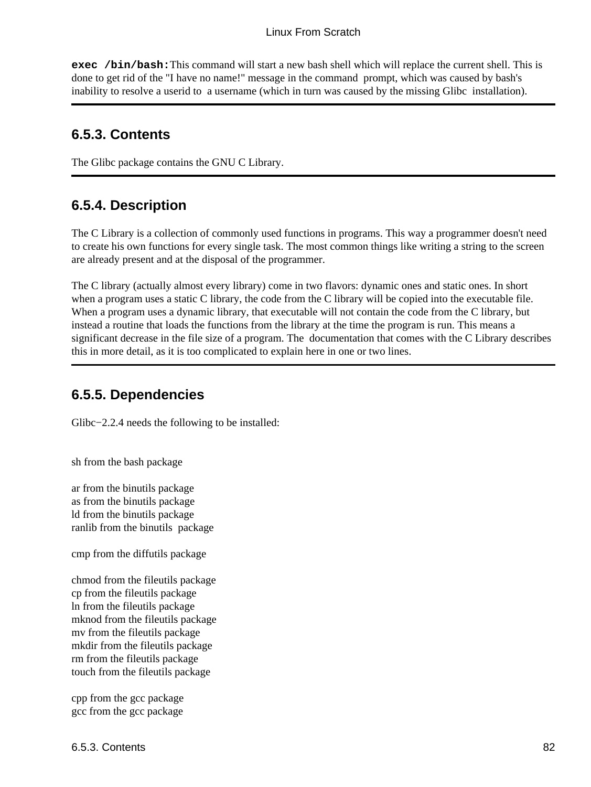**exec /bin/bash:**This command will start a new bash shell which will replace the current shell. This is done to get rid of the "I have no name!" message in the command prompt, which was caused by bash's inability to resolve a userid to a username (which in turn was caused by the missing Glibc installation).

### **6.5.3. Contents**

The Glibc package contains the GNU C Library.

### **6.5.4. Description**

The C Library is a collection of commonly used functions in programs. This way a programmer doesn't need to create his own functions for every single task. The most common things like writing a string to the screen are already present and at the disposal of the programmer.

The C library (actually almost every library) come in two flavors: dynamic ones and static ones. In short when a program uses a static C library, the code from the C library will be copied into the executable file. When a program uses a dynamic library, that executable will not contain the code from the C library, but instead a routine that loads the functions from the library at the time the program is run. This means a significant decrease in the file size of a program. The documentation that comes with the C Library describes this in more detail, as it is too complicated to explain here in one or two lines.

### **6.5.5. Dependencies**

Glibc−2.2.4 needs the following to be installed:

sh from the bash package

ar from the binutils package as from the binutils package ld from the binutils package ranlib from the binutils package

cmp from the diffutils package

chmod from the fileutils package cp from the fileutils package ln from the fileutils package mknod from the fileutils package mv from the fileutils package mkdir from the fileutils package rm from the fileutils package touch from the fileutils package

cpp from the gcc package gcc from the gcc package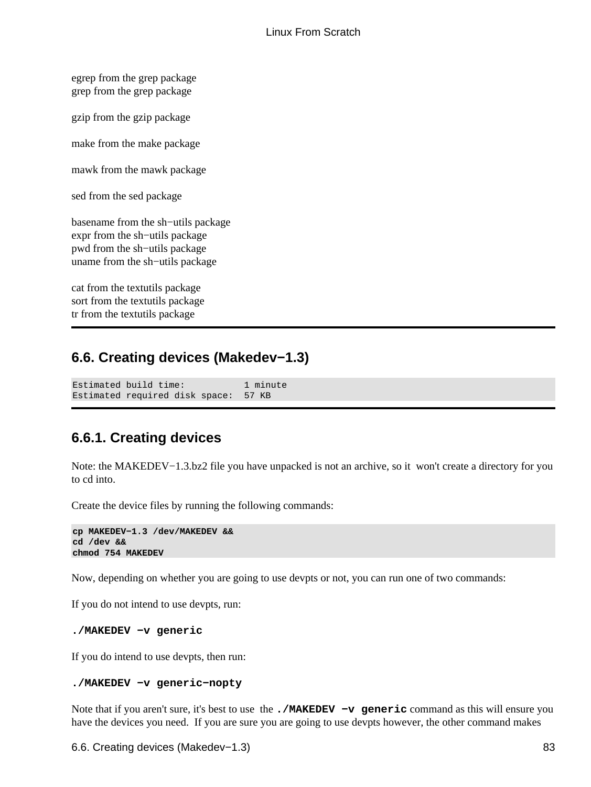egrep from the grep package grep from the grep package

gzip from the gzip package

make from the make package

mawk from the mawk package

sed from the sed package

basename from the sh−utils package expr from the sh−utils package pwd from the sh−utils package uname from the sh−utils package

cat from the textutils package sort from the textutils package tr from the textutils package

### **6.6. Creating devices (Makedev−1.3)**

Estimated build time: 1 minute Estimated required disk space: 57 KB

### **6.6.1. Creating devices**

Note: the MAKEDEV−1.3.bz2 file you have unpacked is not an archive, so it won't create a directory for you to cd into.

Create the device files by running the following commands:

```
cp MAKEDEV−1.3 /dev/MAKEDEV &&
cd /dev &&
chmod 754 MAKEDEV
```
Now, depending on whether you are going to use devpts or not, you can run one of two commands:

If you do not intend to use devpts, run:

```
./MAKEDEV −v generic
```
If you do intend to use devpts, then run:

```
./MAKEDEV −v generic−nopty
```
Note that if you aren't sure, it's best to use the **./MAKEDEV −v generic** command as this will ensure you have the devices you need. If you are sure you are going to use devpts however, the other command makes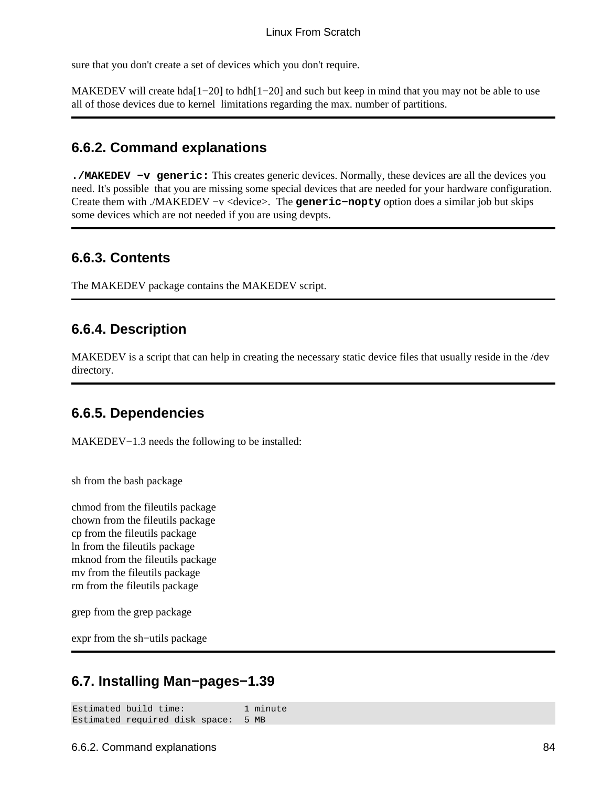#### Linux From Scratch

sure that you don't create a set of devices which you don't require.

MAKEDEV will create hda[1−20] to hdh[1−20] and such but keep in mind that you may not be able to use all of those devices due to kernel limitations regarding the max. number of partitions.

### **6.6.2. Command explanations**

**./MAKEDEV −v generic:** This creates generic devices. Normally, these devices are all the devices you need. It's possible that you are missing some special devices that are needed for your hardware configuration. Create them with ./MAKEDEV −v <device>. The **generic−nopty** option does a similar job but skips some devices which are not needed if you are using devpts.

### **6.6.3. Contents**

The MAKEDEV package contains the MAKEDEV script.

### **6.6.4. Description**

MAKEDEV is a script that can help in creating the necessary static device files that usually reside in the /dev directory.

### **6.6.5. Dependencies**

MAKEDEV−1.3 needs the following to be installed:

sh from the bash package

chmod from the fileutils package chown from the fileutils package cp from the fileutils package ln from the fileutils package mknod from the fileutils package mv from the fileutils package rm from the fileutils package

grep from the grep package

expr from the sh−utils package

### **6.7. Installing Man−pages−1.39**

Estimated build time: 1 minute Estimated required disk space: 5 MB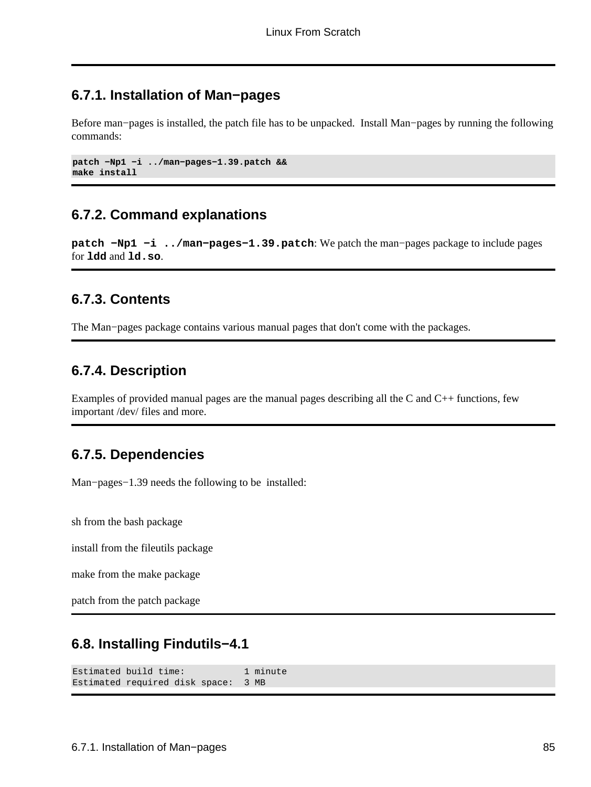### **6.7.1. Installation of Man−pages**

Before man−pages is installed, the patch file has to be unpacked. Install Man−pages by running the following commands:

**patch −Np1 −i ../man−pages−1.39.patch && make install**

### **6.7.2. Command explanations**

**patch −Np1 −i ../man−pages−1.39.patch**: We patch the man−pages package to include pages for **ldd** and **ld.so**.

### **6.7.3. Contents**

The Man−pages package contains various manual pages that don't come with the packages.

### **6.7.4. Description**

Examples of provided manual pages are the manual pages describing all the C and C++ functions, few important /dev/ files and more.

### **6.7.5. Dependencies**

Man−pages−1.39 needs the following to be installed:

sh from the bash package

install from the fileutils package

make from the make package

patch from the patch package

### **6.8. Installing Findutils−4.1**

Estimated build time: 1 minute Estimated required disk space: 3 MB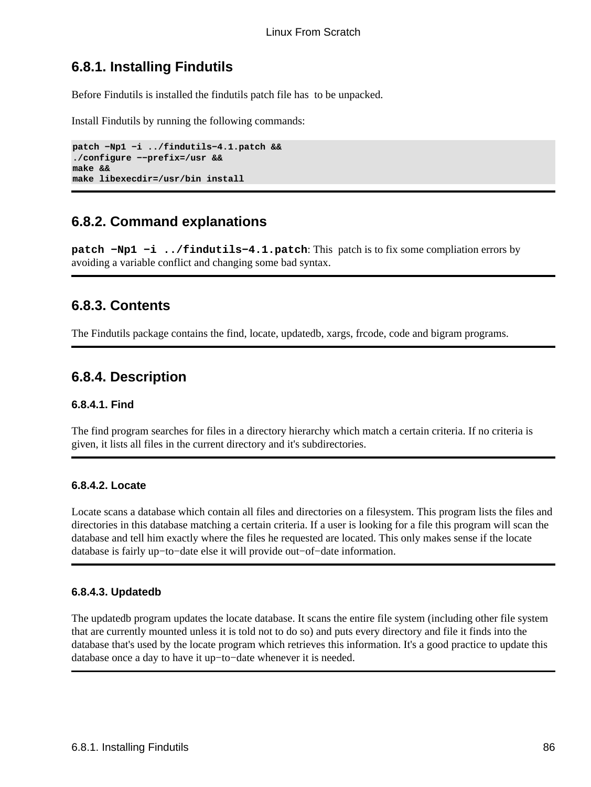# **6.8.1. Installing Findutils**

Before Findutils is installed the findutils patch file has to be unpacked.

Install Findutils by running the following commands:

```
patch −Np1 −i ../findutils−4.1.patch &&
./configure −−prefix=/usr &&
make &&
make libexecdir=/usr/bin install
```
### **6.8.2. Command explanations**

**patch −Np1 −i ../findutils−4.1.patch**: This patch is to fix some compliation errors by avoiding a variable conflict and changing some bad syntax.

### **6.8.3. Contents**

The Findutils package contains the find, locate, updatedb, xargs, frcode, code and bigram programs.

### **6.8.4. Description**

#### **6.8.4.1. Find**

The find program searches for files in a directory hierarchy which match a certain criteria. If no criteria is given, it lists all files in the current directory and it's subdirectories.

#### **6.8.4.2. Locate**

Locate scans a database which contain all files and directories on a filesystem. This program lists the files and directories in this database matching a certain criteria. If a user is looking for a file this program will scan the database and tell him exactly where the files he requested are located. This only makes sense if the locate database is fairly up−to−date else it will provide out−of−date information.

#### **6.8.4.3. Updatedb**

The updatedb program updates the locate database. It scans the entire file system (including other file system that are currently mounted unless it is told not to do so) and puts every directory and file it finds into the database that's used by the locate program which retrieves this information. It's a good practice to update this database once a day to have it up−to−date whenever it is needed.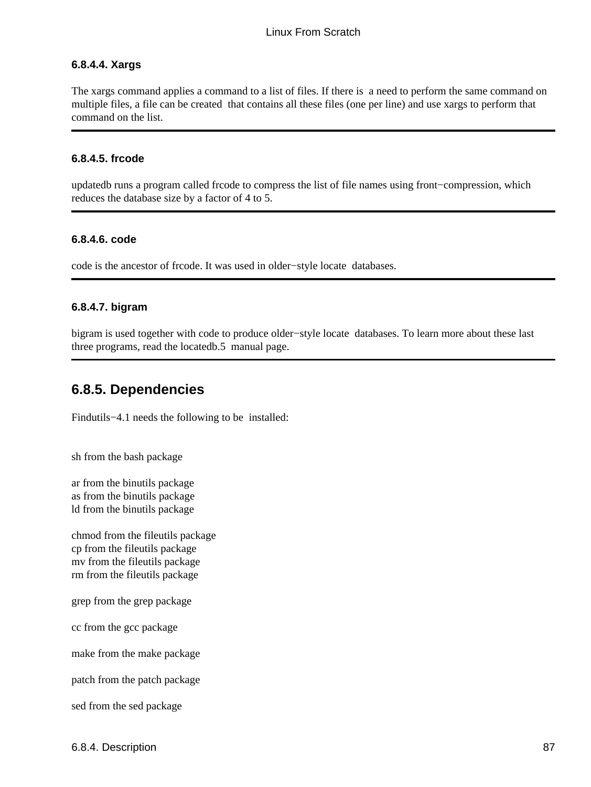#### Linux From Scratch

#### **6.8.4.4. Xargs**

The xargs command applies a command to a list of files. If there is a need to perform the same command on multiple files, a file can be created that contains all these files (one per line) and use xargs to perform that command on the list.

#### **6.8.4.5. frcode**

updatedb runs a program called frcode to compress the list of file names using front−compression, which reduces the database size by a factor of 4 to 5.

#### **6.8.4.6. code**

code is the ancestor of frcode. It was used in older−style locate databases.

#### **6.8.4.7. bigram**

bigram is used together with code to produce older−style locate databases. To learn more about these last three programs, read the locatedb.5 manual page.

### **6.8.5. Dependencies**

Findutils−4.1 needs the following to be installed:

sh from the bash package

ar from the binutils package as from the binutils package ld from the binutils package

chmod from the fileutils package cp from the fileutils package mv from the fileutils package rm from the fileutils package

grep from the grep package

cc from the gcc package

make from the make package

patch from the patch package

sed from the sed package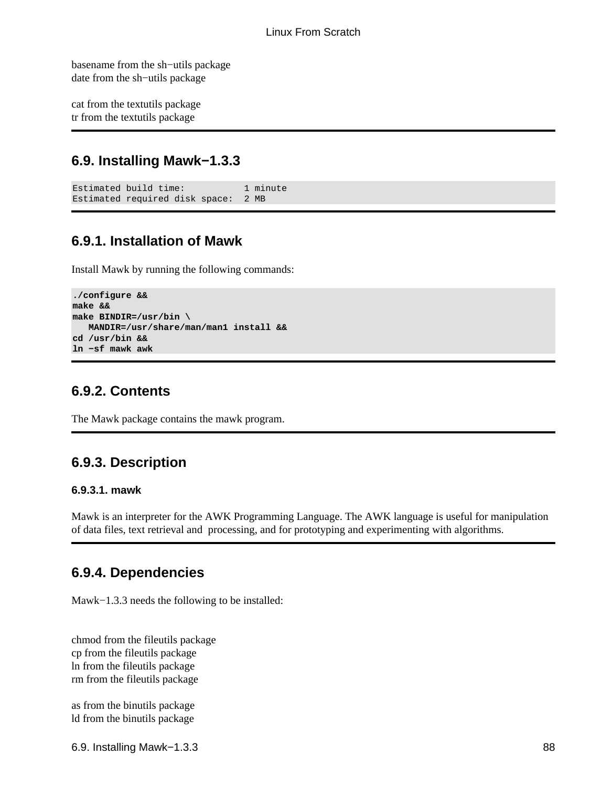basename from the sh−utils package date from the sh−utils package

cat from the textutils package tr from the textutils package

### **6.9. Installing Mawk−1.3.3**

Estimated build time: 1 minute Estimated required disk space: 2 MB

### **6.9.1. Installation of Mawk**

Install Mawk by running the following commands:

```
./configure &&
make &&
make BINDIR=/usr/bin \
    MANDIR=/usr/share/man/man1 install &&
cd /usr/bin &&
ln −sf mawk awk
```
### **6.9.2. Contents**

The Mawk package contains the mawk program.

### **6.9.3. Description**

#### **6.9.3.1. mawk**

Mawk is an interpreter for the AWK Programming Language. The AWK language is useful for manipulation of data files, text retrieval and processing, and for prototyping and experimenting with algorithms.

### **6.9.4. Dependencies**

Mawk−1.3.3 needs the following to be installed:

chmod from the fileutils package cp from the fileutils package ln from the fileutils package rm from the fileutils package

as from the binutils package ld from the binutils package

6.9. Installing Mawk−1.3.3 88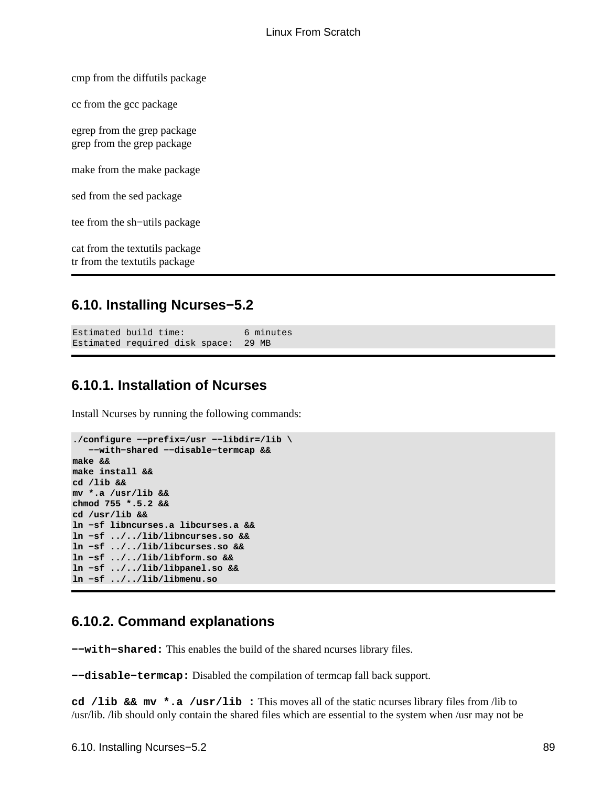cmp from the diffutils package

cc from the gcc package

egrep from the grep package grep from the grep package

make from the make package

sed from the sed package

tee from the sh−utils package

cat from the textutils package tr from the textutils package

### **6.10. Installing Ncurses−5.2**

Estimated build time: 6 minutes Estimated required disk space: 29 MB

### **6.10.1. Installation of Ncurses**

Install Ncurses by running the following commands:

```
./configure −−prefix=/usr −−libdir=/lib \
    −−with−shared −−disable−termcap &&
make &&
make install &&
cd /lib &&
mv *.a /usr/lib &&
chmod 755 *.5.2 &&
cd /usr/lib &&
ln −sf libncurses.a libcurses.a &&
ln −sf ../../lib/libncurses.so &&
ln −sf ../../lib/libcurses.so &&
ln −sf ../../lib/libform.so &&
ln −sf ../../lib/libpanel.so &&
ln −sf ../../lib/libmenu.so
```
### **6.10.2. Command explanations**

**−−with−shared:** This enables the build of the shared ncurses library files.

**−−disable−termcap:** Disabled the compilation of termcap fall back support.

**cd /lib && mv \*.a /usr/lib :** This moves all of the static ncurses library files from /lib to /usr/lib. /lib should only contain the shared files which are essential to the system when /usr may not be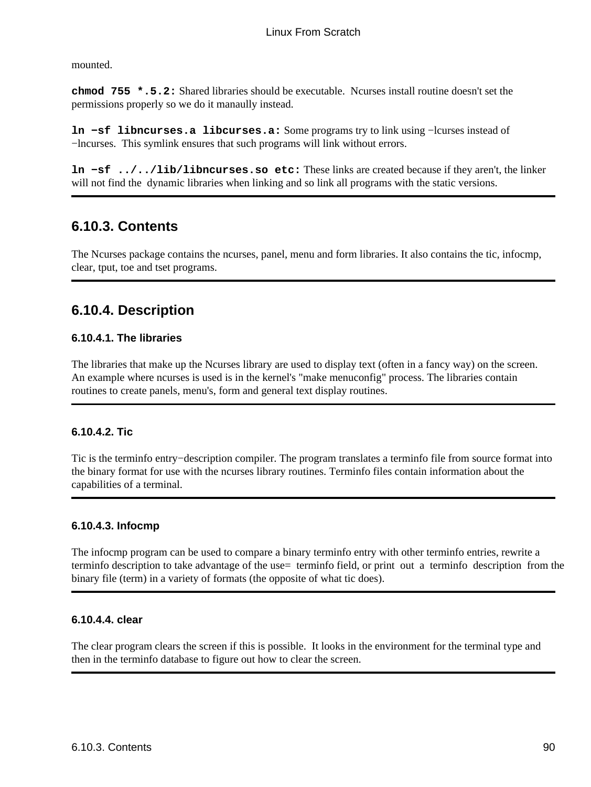mounted.

**chmod 755 \*.5.2:** Shared libraries should be executable. Ncurses install routine doesn't set the permissions properly so we do it manaully instead.

**ln −sf libncurses.a libcurses.a:** Some programs try to link using −lcurses instead of −lncurses. This symlink ensures that such programs will link without errors.

**ln −sf ../../lib/libncurses.so etc:** These links are created because if they aren't, the linker will not find the dynamic libraries when linking and so link all programs with the static versions.

# **6.10.3. Contents**

The Ncurses package contains the ncurses, panel, menu and form libraries. It also contains the tic, infocmp, clear, tput, toe and tset programs.

# **6.10.4. Description**

#### **6.10.4.1. The libraries**

The libraries that make up the Ncurses library are used to display text (often in a fancy way) on the screen. An example where ncurses is used is in the kernel's "make menuconfig" process. The libraries contain routines to create panels, menu's, form and general text display routines.

#### **6.10.4.2. Tic**

Tic is the terminfo entry−description compiler. The program translates a terminfo file from source format into the binary format for use with the ncurses library routines. Terminfo files contain information about the capabilities of a terminal.

#### **6.10.4.3. Infocmp**

The infocmp program can be used to compare a binary terminfo entry with other terminfo entries, rewrite a terminfo description to take advantage of the use= terminfo field, or print out a terminfo description from the binary file (term) in a variety of formats (the opposite of what tic does).

#### **6.10.4.4. clear**

The clear program clears the screen if this is possible. It looks in the environment for the terminal type and then in the terminfo database to figure out how to clear the screen.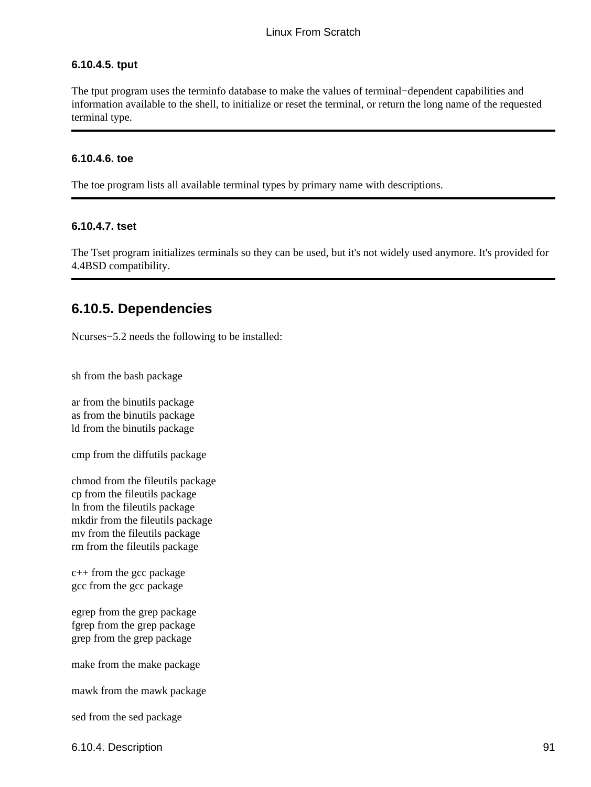### **6.10.4.5. tput**

The tput program uses the terminfo database to make the values of terminal−dependent capabilities and information available to the shell, to initialize or reset the terminal, or return the long name of the requested terminal type.

### **6.10.4.6. toe**

The toe program lists all available terminal types by primary name with descriptions.

### **6.10.4.7. tset**

The Tset program initializes terminals so they can be used, but it's not widely used anymore. It's provided for 4.4BSD compatibility.

## **6.10.5. Dependencies**

Ncurses−5.2 needs the following to be installed:

sh from the bash package

ar from the binutils package as from the binutils package ld from the binutils package

cmp from the diffutils package

chmod from the fileutils package cp from the fileutils package ln from the fileutils package mkdir from the fileutils package mv from the fileutils package rm from the fileutils package

c++ from the gcc package gcc from the gcc package

egrep from the grep package fgrep from the grep package grep from the grep package

make from the make package

mawk from the mawk package

sed from the sed package

6.10.4. Description 91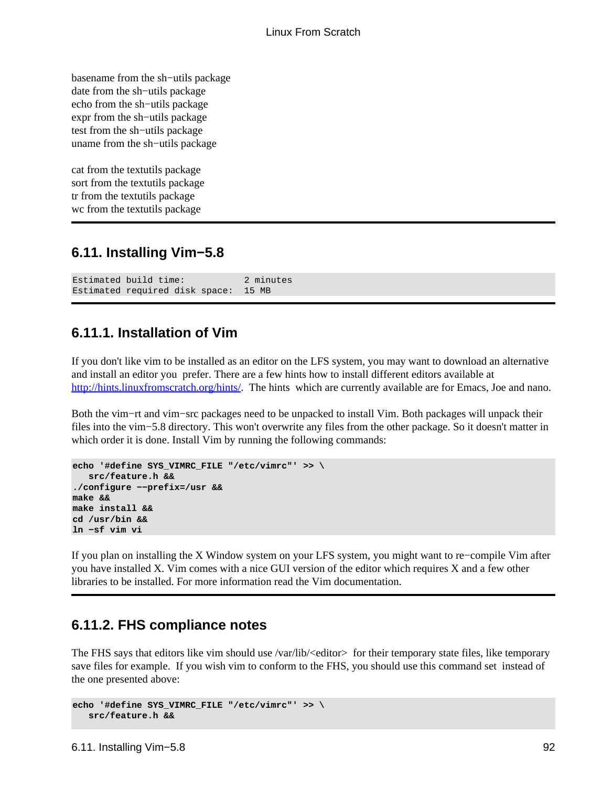basename from the sh−utils package date from the sh−utils package echo from the sh−utils package expr from the sh−utils package test from the sh−utils package uname from the sh−utils package

cat from the textutils package sort from the textutils package tr from the textutils package wc from the textutils package

# **6.11. Installing Vim−5.8**

Estimated build time: 2 minutes Estimated required disk space: 15 MB

# **6.11.1. Installation of Vim**

If you don't like vim to be installed as an editor on the LFS system, you may want to download an alternative and install an editor you prefer. There are a few hints how to install different editors available at <http://hints.linuxfromscratch.org/hints/>. The hints which are currently available are for Emacs, Joe and nano.

Both the vim−rt and vim−src packages need to be unpacked to install Vim. Both packages will unpack their files into the vim−5.8 directory. This won't overwrite any files from the other package. So it doesn't matter in which order it is done. Install Vim by running the following commands:

```
echo '#define SYS_VIMRC_FILE "/etc/vimrc"' >> \
    src/feature.h &&
./configure −−prefix=/usr &&
make &&
make install &&
cd /usr/bin &&
ln −sf vim vi
```
If you plan on installing the X Window system on your LFS system, you might want to re−compile Vim after you have installed X. Vim comes with a nice GUI version of the editor which requires X and a few other libraries to be installed. For more information read the Vim documentation.

# **6.11.2. FHS compliance notes**

The FHS says that editors like vim should use /var/lib/<editor> for their temporary state files, like temporary save files for example. If you wish vim to conform to the FHS, you should use this command set instead of the one presented above:

```
echo '#define SYS_VIMRC_FILE "/etc/vimrc"' >> \
   src/feature.h &&
```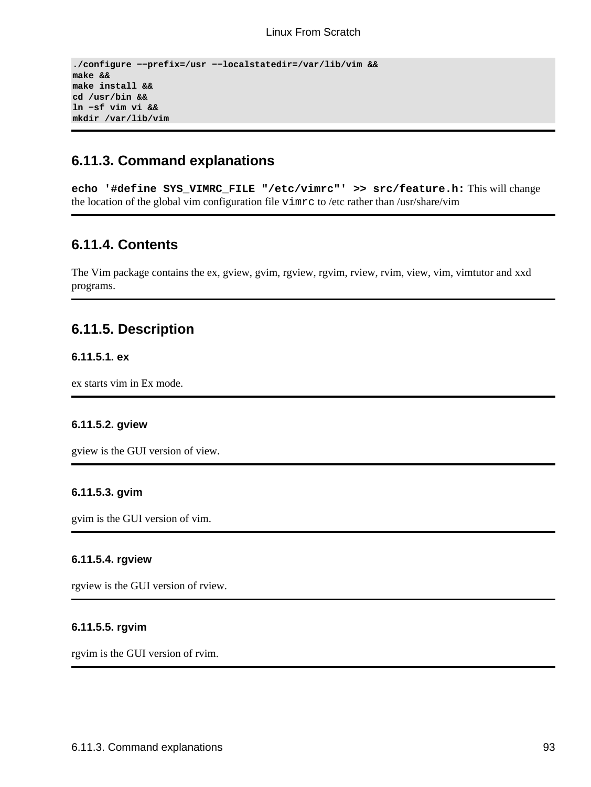```
./configure −−prefix=/usr −−localstatedir=/var/lib/vim &&
make &&
make install &&
cd /usr/bin &&
ln −sf vim vi &&
mkdir /var/lib/vim
```
# **6.11.3. Command explanations**

**echo '#define SYS\_VIMRC\_FILE "/etc/vimrc"' >> src/feature.h:** This will change the location of the global vim configuration file vimrc to /etc rather than /usr/share/vim

# **6.11.4. Contents**

The Vim package contains the ex, gview, gvim, rgview, rgvim, rview, rvim, view, vim, vimtutor and xxd programs.

# **6.11.5. Description**

## **6.11.5.1. ex**

ex starts vim in Ex mode.

#### **6.11.5.2. gview**

gview is the GUI version of view.

### **6.11.5.3. gvim**

gvim is the GUI version of vim.

### **6.11.5.4. rgview**

rgview is the GUI version of rview.

#### **6.11.5.5. rgvim**

rgvim is the GUI version of rvim.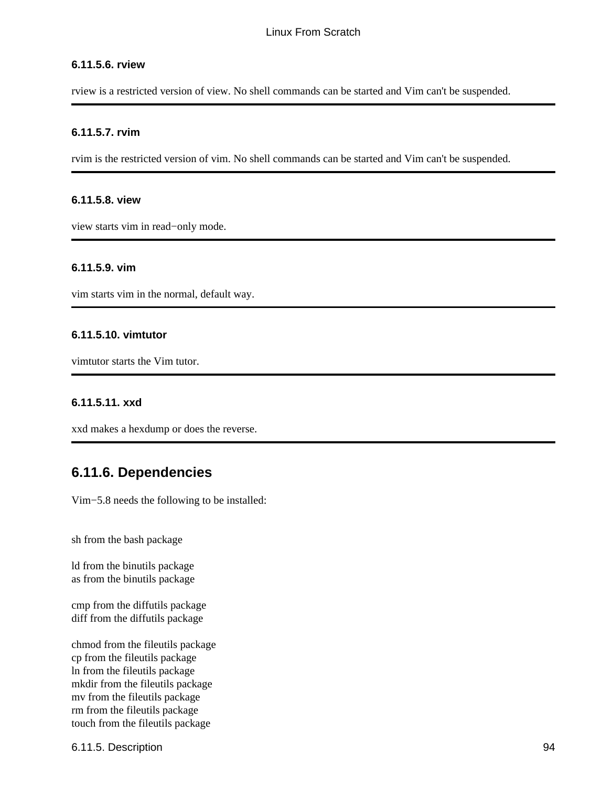#### **6.11.5.6. rview**

rview is a restricted version of view. No shell commands can be started and Vim can't be suspended.

### **6.11.5.7. rvim**

rvim is the restricted version of vim. No shell commands can be started and Vim can't be suspended.

### **6.11.5.8. view**

view starts vim in read−only mode.

#### **6.11.5.9. vim**

vim starts vim in the normal, default way.

### **6.11.5.10. vimtutor**

vimtutor starts the Vim tutor.

### **6.11.5.11. xxd**

xxd makes a hexdump or does the reverse.

# **6.11.6. Dependencies**

Vim−5.8 needs the following to be installed:

sh from the bash package

ld from the binutils package as from the binutils package

cmp from the diffutils package diff from the diffutils package

chmod from the fileutils package cp from the fileutils package ln from the fileutils package mkdir from the fileutils package mv from the fileutils package rm from the fileutils package touch from the fileutils package

6.11.5. Description 94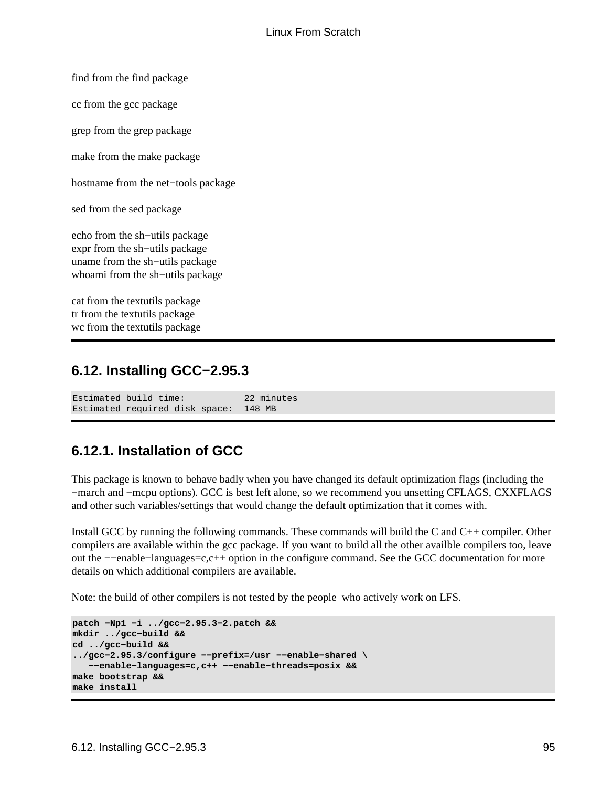find from the find package

cc from the gcc package

grep from the grep package

make from the make package

hostname from the net−tools package

sed from the sed package

echo from the sh−utils package expr from the sh−utils package uname from the sh−utils package whoami from the sh−utils package

cat from the textutils package tr from the textutils package wc from the textutils package

# **6.12. Installing GCC−2.95.3**

Estimated build time: 22 minutes Estimated required disk space: 148 MB

# **6.12.1. Installation of GCC**

This package is known to behave badly when you have changed its default optimization flags (including the −march and −mcpu options). GCC is best left alone, so we recommend you unsetting CFLAGS, CXXFLAGS and other such variables/settings that would change the default optimization that it comes with.

Install GCC by running the following commands. These commands will build the C and C++ compiler. Other compilers are available within the gcc package. If you want to build all the other availble compilers too, leave out the −−enable−languages=c,c++ option in the configure command. See the GCC documentation for more details on which additional compilers are available.

Note: the build of other compilers is not tested by the people who actively work on LFS.

```
patch −Np1 −i ../gcc−2.95.3−2.patch &&
mkdir ../gcc−build &&
cd ../gcc−build &&
../gcc−2.95.3/configure −−prefix=/usr −−enable−shared \
    −−enable−languages=c,c++ −−enable−threads=posix &&
make bootstrap &&
make install
```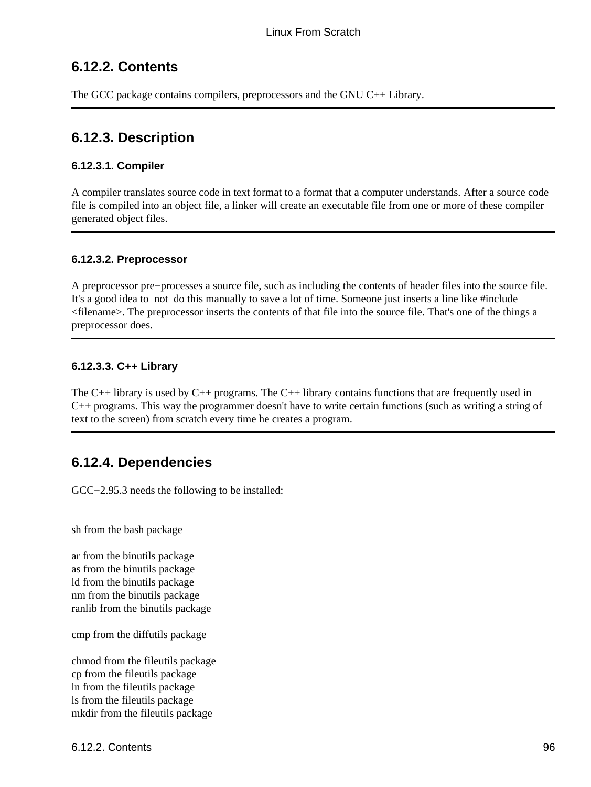# **6.12.2. Contents**

The GCC package contains compilers, preprocessors and the GNU C++ Library.

# **6.12.3. Description**

## **6.12.3.1. Compiler**

A compiler translates source code in text format to a format that a computer understands. After a source code file is compiled into an object file, a linker will create an executable file from one or more of these compiler generated object files.

### **6.12.3.2. Preprocessor**

A preprocessor pre−processes a source file, such as including the contents of header files into the source file. It's a good idea to not do this manually to save a lot of time. Someone just inserts a line like #include <filename>. The preprocessor inserts the contents of that file into the source file. That's one of the things a preprocessor does.

## **6.12.3.3. C++ Library**

The C++ library is used by C++ programs. The C++ library contains functions that are frequently used in C++ programs. This way the programmer doesn't have to write certain functions (such as writing a string of text to the screen) from scratch every time he creates a program.

# **6.12.4. Dependencies**

GCC−2.95.3 needs the following to be installed:

sh from the bash package

ar from the binutils package as from the binutils package ld from the binutils package nm from the binutils package ranlib from the binutils package

cmp from the diffutils package

chmod from the fileutils package cp from the fileutils package ln from the fileutils package ls from the fileutils package mkdir from the fileutils package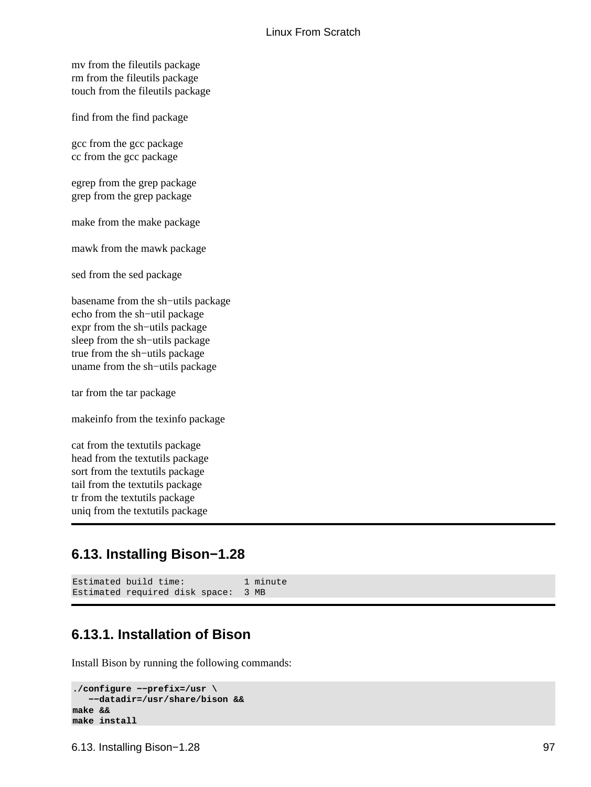mv from the fileutils package rm from the fileutils package touch from the fileutils package

find from the find package

gcc from the gcc package cc from the gcc package

egrep from the grep package grep from the grep package

make from the make package

mawk from the mawk package

sed from the sed package

basename from the sh−utils package echo from the sh−util package expr from the sh−utils package sleep from the sh−utils package true from the sh−utils package uname from the sh−utils package

tar from the tar package

makeinfo from the texinfo package

cat from the textutils package head from the textutils package sort from the textutils package tail from the textutils package tr from the textutils package uniq from the textutils package

# **6.13. Installing Bison−1.28**

Estimated build time: 1 minute Estimated required disk space: 3 MB

# **6.13.1. Installation of Bison**

Install Bison by running the following commands:

```
./configure −−prefix=/usr \
    −−datadir=/usr/share/bison &&
make &&
make install
```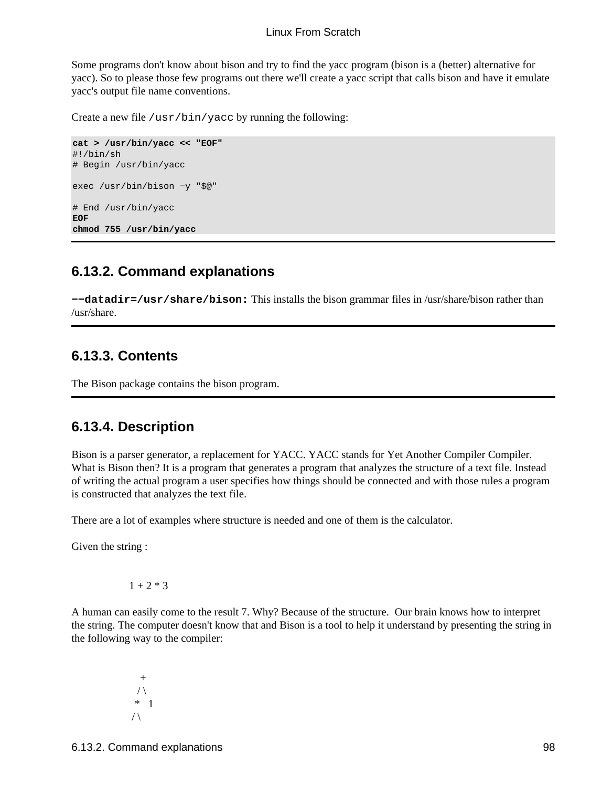Some programs don't know about bison and try to find the yacc program (bison is a (better) alternative for yacc). So to please those few programs out there we'll create a yacc script that calls bison and have it emulate yacc's output file name conventions.

Create a new file /usr/bin/yacc by running the following:

```
cat > /usr/bin/yacc << "EOF"
#!/bin/sh
# Begin /usr/bin/yacc
exec /usr/bin/bison −y "$@"
# End /usr/bin/yacc
EOF
chmod 755 /usr/bin/yacc
```
## **6.13.2. Command explanations**

**−−datadir=/usr/share/bison:** This installs the bison grammar files in /usr/share/bison rather than /usr/share.

# **6.13.3. Contents**

The Bison package contains the bison program.

# **6.13.4. Description**

Bison is a parser generator, a replacement for YACC. YACC stands for Yet Another Compiler Compiler. What is Bison then? It is a program that generates a program that analyzes the structure of a text file. Instead of writing the actual program a user specifies how things should be connected and with those rules a program is constructed that analyzes the text file.

There are a lot of examples where structure is needed and one of them is the calculator.

Given the string :

 $1 + 2 * 3$ 

A human can easily come to the result 7. Why? Because of the structure. Our brain knows how to interpret the string. The computer doesn't know that and Bison is a tool to help it understand by presenting the string in the following way to the compiler:

> +  $/ \setminus$  \* 1  $/ \setminus$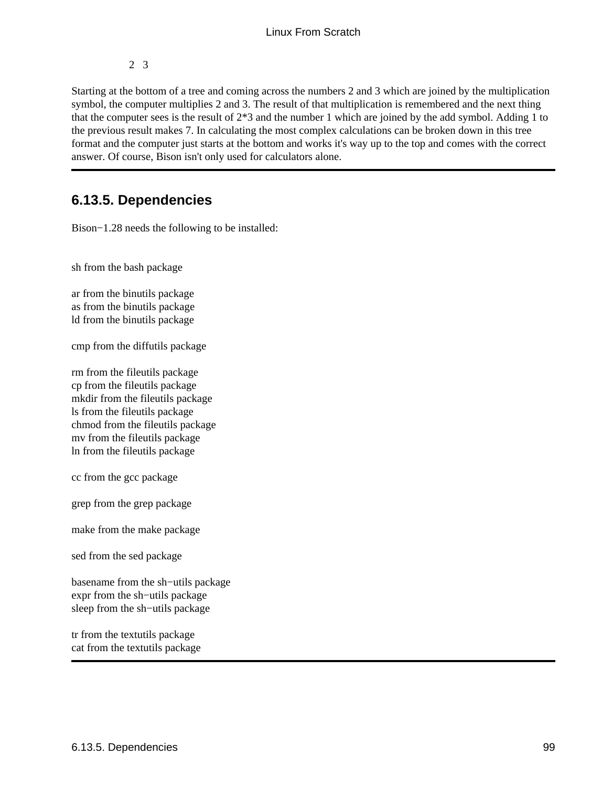2 3

Starting at the bottom of a tree and coming across the numbers 2 and 3 which are joined by the multiplication symbol, the computer multiplies 2 and 3. The result of that multiplication is remembered and the next thing that the computer sees is the result of 2\*3 and the number 1 which are joined by the add symbol. Adding 1 to the previous result makes 7. In calculating the most complex calculations can be broken down in this tree format and the computer just starts at the bottom and works it's way up to the top and comes with the correct answer. Of course, Bison isn't only used for calculators alone.

# **6.13.5. Dependencies**

Bison−1.28 needs the following to be installed:

sh from the bash package

ar from the binutils package as from the binutils package ld from the binutils package

cmp from the diffutils package

rm from the fileutils package cp from the fileutils package mkdir from the fileutils package ls from the fileutils package chmod from the fileutils package mv from the fileutils package ln from the fileutils package

cc from the gcc package

grep from the grep package

make from the make package

sed from the sed package

basename from the sh−utils package expr from the sh−utils package sleep from the sh−utils package

tr from the textutils package cat from the textutils package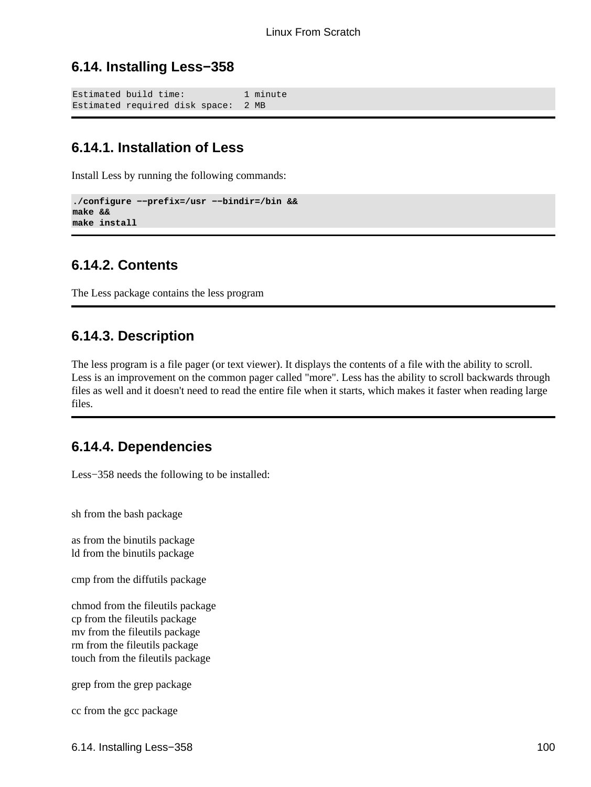# **6.14. Installing Less−358**

Estimated build time: 1 minute Estimated required disk space: 2 MB

## **6.14.1. Installation of Less**

Install Less by running the following commands:

```
./configure −−prefix=/usr −−bindir=/bin &&
make &&
make install
```
## **6.14.2. Contents**

The Less package contains the less program

## **6.14.3. Description**

The less program is a file pager (or text viewer). It displays the contents of a file with the ability to scroll. Less is an improvement on the common pager called "more". Less has the ability to scroll backwards through files as well and it doesn't need to read the entire file when it starts, which makes it faster when reading large files.

# **6.14.4. Dependencies**

Less−358 needs the following to be installed:

sh from the bash package

as from the binutils package ld from the binutils package

cmp from the diffutils package

chmod from the fileutils package cp from the fileutils package mv from the fileutils package rm from the fileutils package touch from the fileutils package

grep from the grep package

cc from the gcc package

6.14. Installing Less−358 100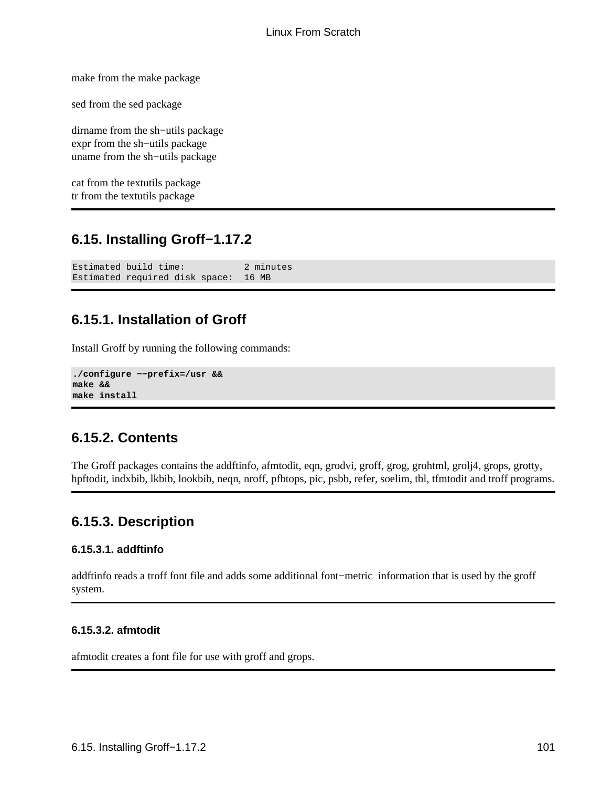make from the make package

sed from the sed package

dirname from the sh−utils package expr from the sh−utils package uname from the sh−utils package

cat from the textutils package tr from the textutils package

# **6.15. Installing Groff−1.17.2**

```
Estimated build time: 2 minutes
Estimated required disk space: 16 MB
```
# **6.15.1. Installation of Groff**

Install Groff by running the following commands:

```
./configure −−prefix=/usr &&
make &&
make install
```
# **6.15.2. Contents**

The Groff packages contains the addftinfo, afmtodit, eqn, grodvi, groff, grog, grohtml, grolj4, grops, grotty, hpftodit, indxbib, lkbib, lookbib, neqn, nroff, pfbtops, pic, psbb, refer, soelim, tbl, tfmtodit and troff programs.

# **6.15.3. Description**

### **6.15.3.1. addftinfo**

addftinfo reads a troff font file and adds some additional font−metric information that is used by the groff system.

## **6.15.3.2. afmtodit**

afmtodit creates a font file for use with groff and grops.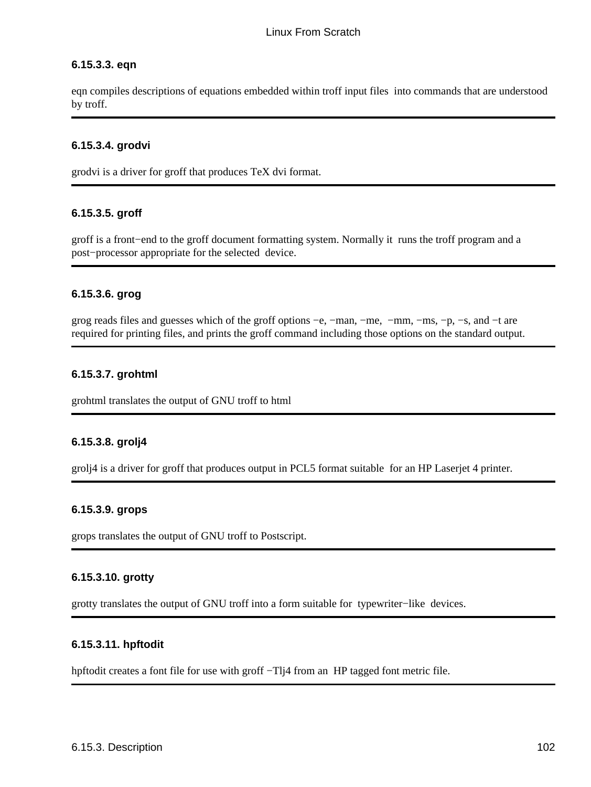### **6.15.3.3. eqn**

eqn compiles descriptions of equations embedded within troff input files into commands that are understood by troff.

### **6.15.3.4. grodvi**

grodvi is a driver for groff that produces TeX dvi format.

### **6.15.3.5. groff**

groff is a front−end to the groff document formatting system. Normally it runs the troff program and a post−processor appropriate for the selected device.

### **6.15.3.6. grog**

grog reads files and guesses which of the groff options −e, −man, −me, −mm, −ms, −p, −s, and −t are required for printing files, and prints the groff command including those options on the standard output.

### **6.15.3.7. grohtml**

grohtml translates the output of GNU troff to html

### **6.15.3.8. grolj4**

grolj4 is a driver for groff that produces output in PCL5 format suitable for an HP Laserjet 4 printer.

#### **6.15.3.9. grops**

grops translates the output of GNU troff to Postscript.

### **6.15.3.10. grotty**

grotty translates the output of GNU troff into a form suitable for typewriter−like devices.

### **6.15.3.11. hpftodit**

hpftodit creates a font file for use with groff −Tlj4 from an HP tagged font metric file.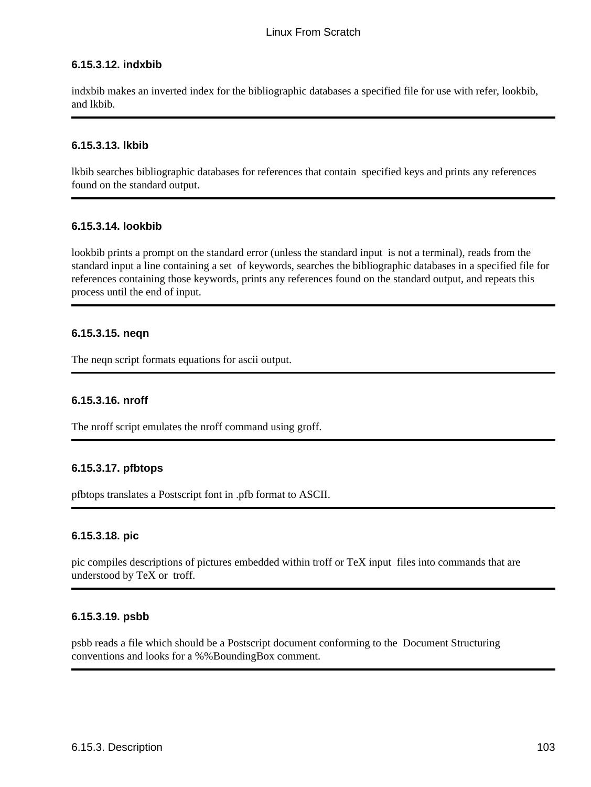## **6.15.3.12. indxbib**

indxbib makes an inverted index for the bibliographic databases a specified file for use with refer, lookbib, and lkbib.

### **6.15.3.13. lkbib**

lkbib searches bibliographic databases for references that contain specified keys and prints any references found on the standard output.

### **6.15.3.14. lookbib**

lookbib prints a prompt on the standard error (unless the standard input is not a terminal), reads from the standard input a line containing a set of keywords, searches the bibliographic databases in a specified file for references containing those keywords, prints any references found on the standard output, and repeats this process until the end of input.

### **6.15.3.15. neqn**

The neqn script formats equations for ascii output.

### **6.15.3.16. nroff**

The nroff script emulates the nroff command using groff.

### **6.15.3.17. pfbtops**

pfbtops translates a Postscript font in .pfb format to ASCII.

### **6.15.3.18. pic**

pic compiles descriptions of pictures embedded within troff or TeX input files into commands that are understood by TeX or troff.

### **6.15.3.19. psbb**

psbb reads a file which should be a Postscript document conforming to the Document Structuring conventions and looks for a %%BoundingBox comment.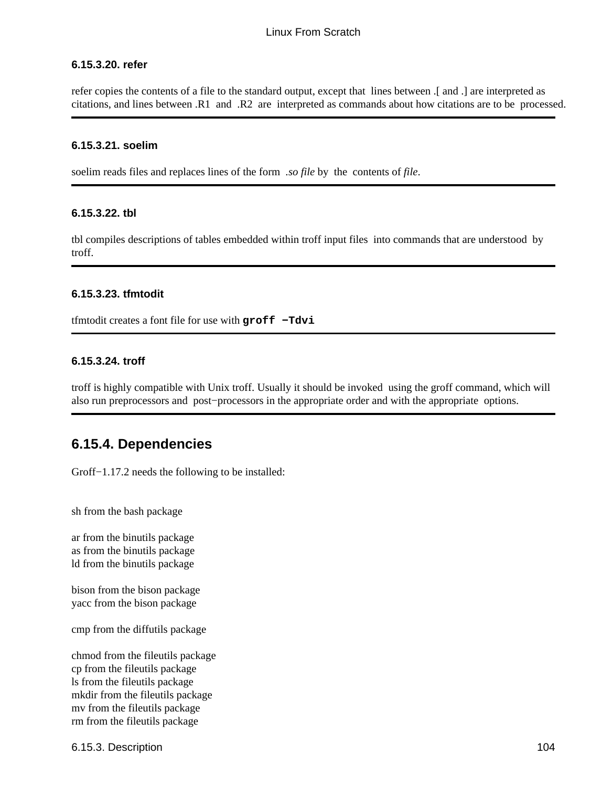### **6.15.3.20. refer**

refer copies the contents of a file to the standard output, except that lines between .[ and .] are interpreted as citations, and lines between .R1 and .R2 are interpreted as commands about how citations are to be processed.

### **6.15.3.21. soelim**

soelim reads files and replaces lines of the form *.so file* by the contents of *file*.

### **6.15.3.22. tbl**

tbl compiles descriptions of tables embedded within troff input files into commands that are understood by troff.

#### **6.15.3.23. tfmtodit**

tfmtodit creates a font file for use with **groff −Tdvi**

## **6.15.3.24. troff**

troff is highly compatible with Unix troff. Usually it should be invoked using the groff command, which will also run preprocessors and post−processors in the appropriate order and with the appropriate options.

# **6.15.4. Dependencies**

Groff−1.17.2 needs the following to be installed:

sh from the bash package

ar from the binutils package as from the binutils package ld from the binutils package

bison from the bison package yacc from the bison package

cmp from the diffutils package

chmod from the fileutils package cp from the fileutils package ls from the fileutils package mkdir from the fileutils package mv from the fileutils package rm from the fileutils package

6.15.3. Description 104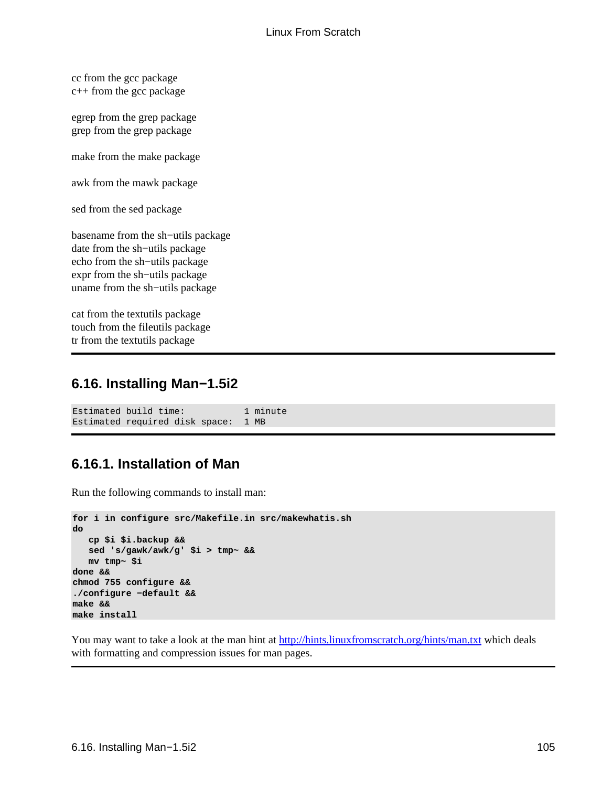cc from the gcc package c++ from the gcc package

egrep from the grep package grep from the grep package

make from the make package

awk from the mawk package

sed from the sed package

basename from the sh−utils package date from the sh−utils package echo from the sh−utils package expr from the sh−utils package uname from the sh−utils package

cat from the textutils package touch from the fileutils package tr from the textutils package

## **6.16. Installing Man−1.5i2**

Estimated build time: 1 minute Estimated required disk space: 1 MB

# **6.16.1. Installation of Man**

Run the following commands to install man:

```
for i in configure src/Makefile.in src/makewhatis.sh
do
    cp $i $i.backup &&
    sed 's/gawk/awk/g' $i > tmp~ &&
    mv tmp~ $i
done &&
chmod 755 configure &&
./configure −default &&
make &&
make install
```
You may want to take a look at the man hint at <http://hints.linuxfromscratch.org/hints/man.txt>which deals with formatting and compression issues for man pages.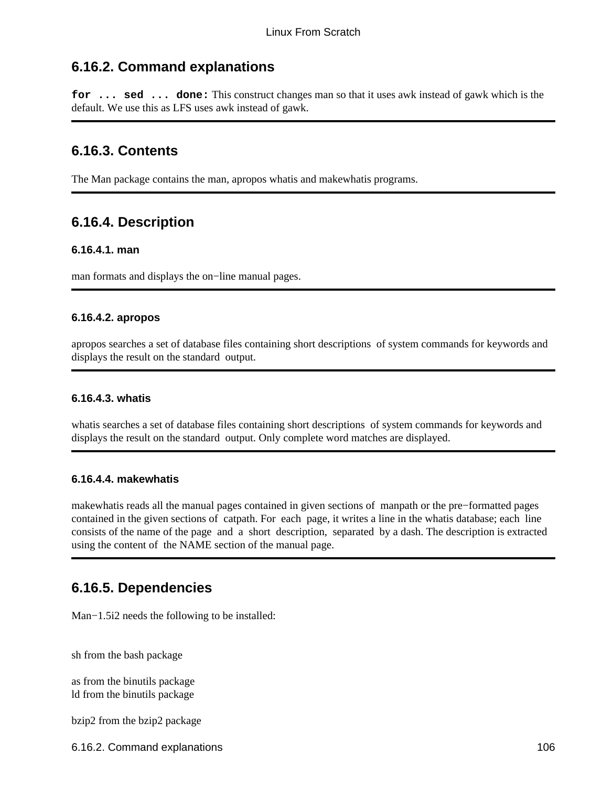# **6.16.2. Command explanations**

**for ... sed ... done:** This construct changes man so that it uses awk instead of gawk which is the default. We use this as LFS uses awk instead of gawk.

# **6.16.3. Contents**

The Man package contains the man, apropos whatis and makewhatis programs.

# **6.16.4. Description**

### **6.16.4.1. man**

man formats and displays the on−line manual pages.

#### **6.16.4.2. apropos**

apropos searches a set of database files containing short descriptions of system commands for keywords and displays the result on the standard output.

### **6.16.4.3. whatis**

whatis searches a set of database files containing short descriptions of system commands for keywords and displays the result on the standard output. Only complete word matches are displayed.

#### **6.16.4.4. makewhatis**

makewhatis reads all the manual pages contained in given sections of manpath or the pre−formatted pages contained in the given sections of catpath. For each page, it writes a line in the whatis database; each line consists of the name of the page and a short description, separated by a dash. The description is extracted using the content of the NAME section of the manual page.

## **6.16.5. Dependencies**

Man−1.5i2 needs the following to be installed:

sh from the bash package

as from the binutils package ld from the binutils package

bzip2 from the bzip2 package

6.16.2. Command explanations 106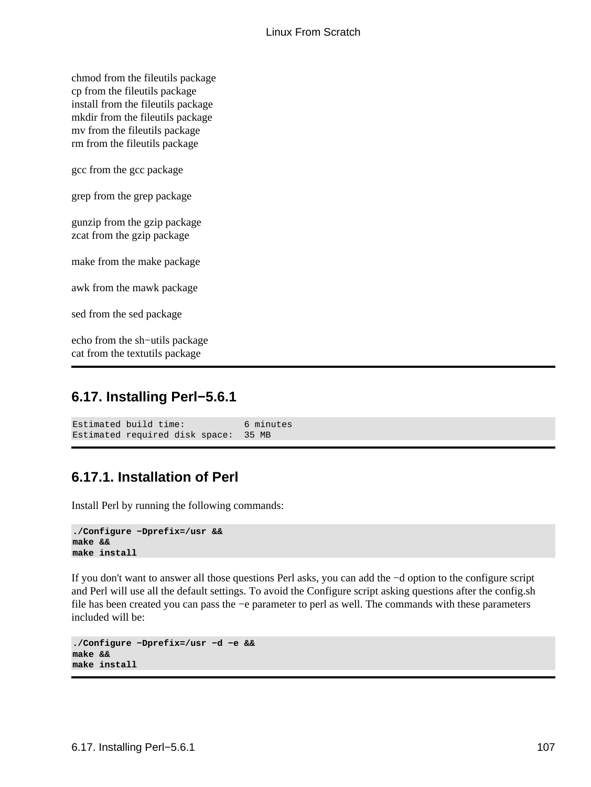| chmod from the fileutils package<br>cp from the fileutils package<br>install from the fileutils package<br>mkdir from the fileutils package<br>my from the fileutils package<br>rm from the fileutils package |
|---------------------------------------------------------------------------------------------------------------------------------------------------------------------------------------------------------------|
| gcc from the gcc package                                                                                                                                                                                      |
| grep from the grep package                                                                                                                                                                                    |
| gunzip from the gzip package<br>zcat from the gzip package                                                                                                                                                    |
| make from the make package                                                                                                                                                                                    |
| awk from the mawk package                                                                                                                                                                                     |
| sed from the sed package                                                                                                                                                                                      |
|                                                                                                                                                                                                               |

echo from the sh−utils package cat from the textutils package

# **6.17. Installing Perl−5.6.1**

Estimated build time: 6 minutes Estimated required disk space: 35 MB

# **6.17.1. Installation of Perl**

Install Perl by running the following commands:

```
./Configure −Dprefix=/usr &&
make &&
make install
```
If you don't want to answer all those questions Perl asks, you can add the −d option to the configure script and Perl will use all the default settings. To avoid the Configure script asking questions after the config.sh file has been created you can pass the −e parameter to perl as well. The commands with these parameters included will be:

```
./Configure −Dprefix=/usr −d −e &&
make &&
make install
```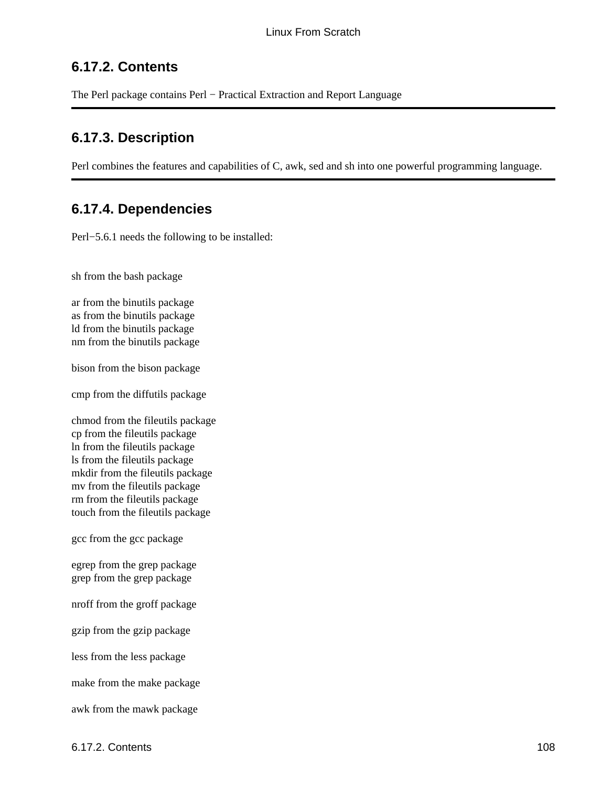# **6.17.2. Contents**

The Perl package contains Perl − Practical Extraction and Report Language

# **6.17.3. Description**

Perl combines the features and capabilities of C, awk, sed and sh into one powerful programming language.

# **6.17.4. Dependencies**

Perl−5.6.1 needs the following to be installed:

sh from the bash package

ar from the binutils package as from the binutils package ld from the binutils package nm from the binutils package

bison from the bison package

cmp from the diffutils package

chmod from the fileutils package cp from the fileutils package ln from the fileutils package ls from the fileutils package mkdir from the fileutils package mv from the fileutils package rm from the fileutils package touch from the fileutils package

gcc from the gcc package

egrep from the grep package grep from the grep package

nroff from the groff package

gzip from the gzip package

less from the less package

make from the make package

awk from the mawk package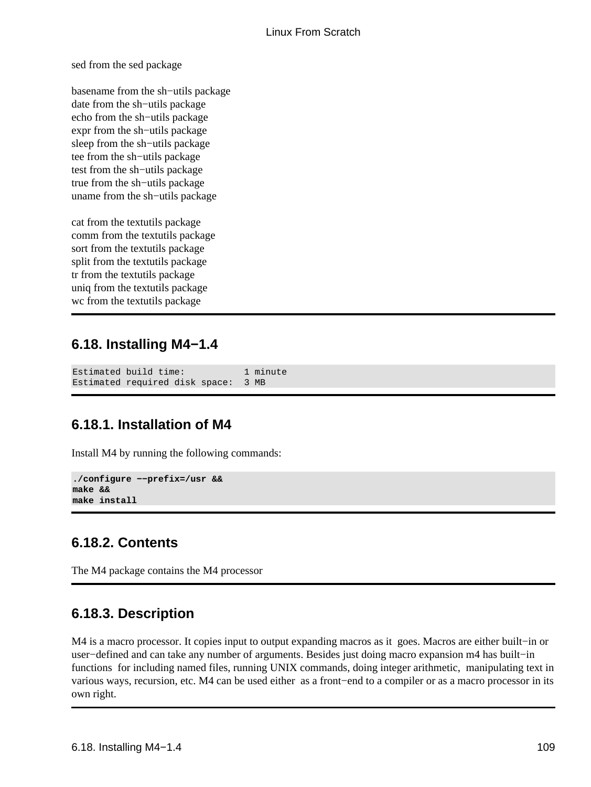sed from the sed package

basename from the sh−utils package date from the sh−utils package echo from the sh−utils package expr from the sh−utils package sleep from the sh−utils package tee from the sh−utils package test from the sh−utils package true from the sh−utils package uname from the sh−utils package

cat from the textutils package comm from the textutils package sort from the textutils package split from the textutils package tr from the textutils package uniq from the textutils package wc from the textutils package

## **6.18. Installing M4−1.4**

Estimated build time: 1 minute Estimated required disk space: 3 MB

# **6.18.1. Installation of M4**

Install M4 by running the following commands:

```
./configure −−prefix=/usr &&
make &&
make install
```
# **6.18.2. Contents**

The M4 package contains the M4 processor

# **6.18.3. Description**

M4 is a macro processor. It copies input to output expanding macros as it goes. Macros are either built−in or user−defined and can take any number of arguments. Besides just doing macro expansion m4 has built−in functions for including named files, running UNIX commands, doing integer arithmetic, manipulating text in various ways, recursion, etc. M4 can be used either as a front−end to a compiler or as a macro processor in its own right.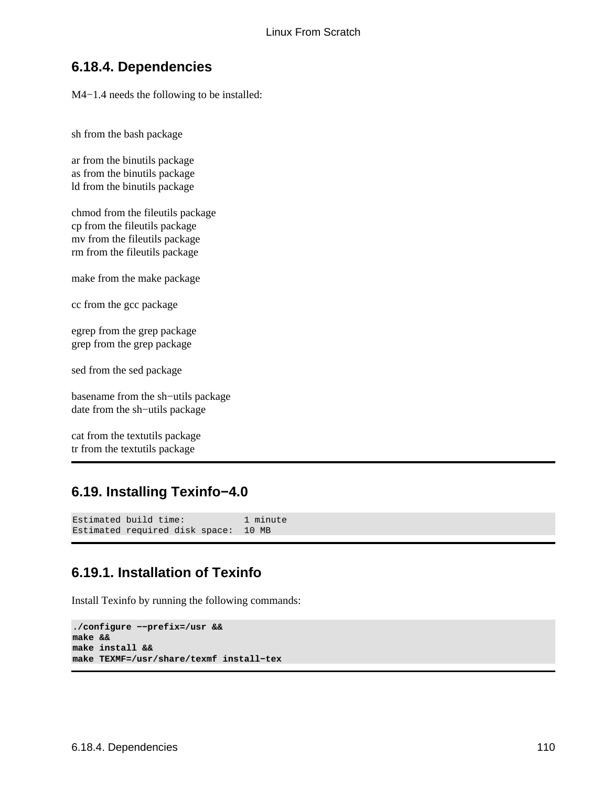# **6.18.4. Dependencies**

M4−1.4 needs the following to be installed:

sh from the bash package

ar from the binutils package as from the binutils package ld from the binutils package

chmod from the fileutils package cp from the fileutils package mv from the fileutils package rm from the fileutils package

make from the make package

cc from the gcc package

egrep from the grep package grep from the grep package

sed from the sed package

basename from the sh−utils package date from the sh−utils package

cat from the textutils package tr from the textutils package

# **6.19. Installing Texinfo−4.0**

Estimated build time: 1 minute Estimated required disk space: 10 MB

# **6.19.1. Installation of Texinfo**

Install Texinfo by running the following commands:

```
./configure −−prefix=/usr &&
make &&
make install &&
make TEXMF=/usr/share/texmf install−tex
```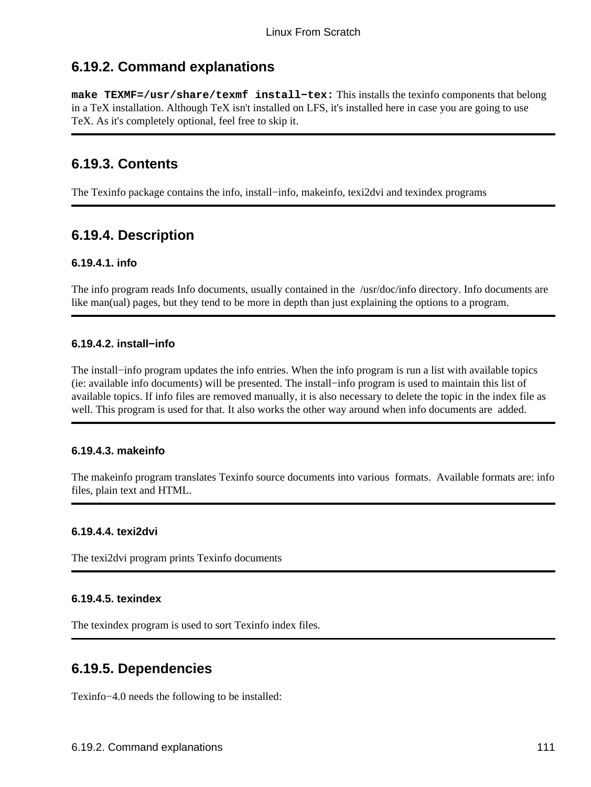# **6.19.2. Command explanations**

**make TEXMF=/usr/share/texmf install−tex:** This installs the texinfo components that belong in a TeX installation. Although TeX isn't installed on LFS, it's installed here in case you are going to use TeX. As it's completely optional, feel free to skip it.

# **6.19.3. Contents**

The Texinfo package contains the info, install−info, makeinfo, texi2dvi and texindex programs

# **6.19.4. Description**

## **6.19.4.1. info**

The info program reads Info documents, usually contained in the /usr/doc/info directory. Info documents are like man(ual) pages, but they tend to be more in depth than just explaining the options to a program.

### **6.19.4.2. install−info**

The install−info program updates the info entries. When the info program is run a list with available topics (ie: available info documents) will be presented. The install−info program is used to maintain this list of available topics. If info files are removed manually, it is also necessary to delete the topic in the index file as well. This program is used for that. It also works the other way around when info documents are added.

### **6.19.4.3. makeinfo**

The makeinfo program translates Texinfo source documents into various formats. Available formats are: info files, plain text and HTML.

## **6.19.4.4. texi2dvi**

The texi2dvi program prints Texinfo documents

### **6.19.4.5. texindex**

The texindex program is used to sort Texinfo index files.

# **6.19.5. Dependencies**

Texinfo−4.0 needs the following to be installed: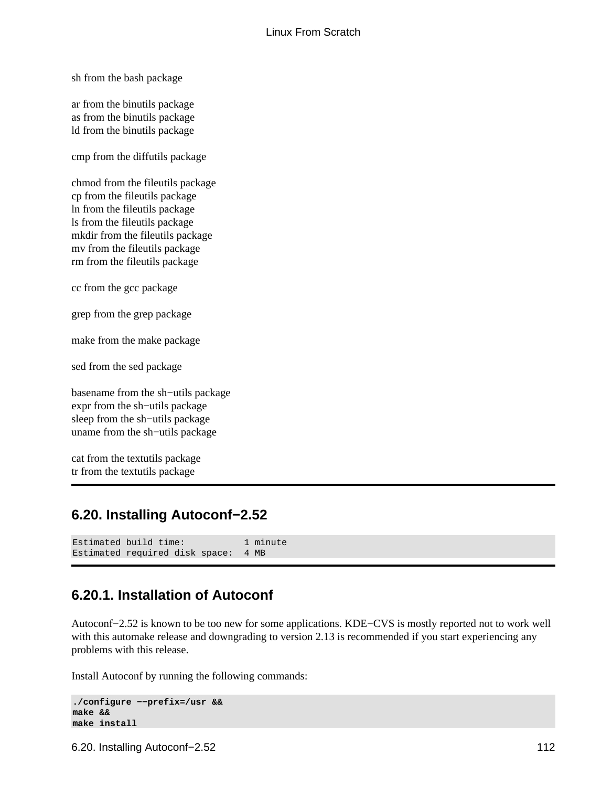sh from the bash package

ar from the binutils package as from the binutils package ld from the binutils package

cmp from the diffutils package

chmod from the fileutils package cp from the fileutils package ln from the fileutils package ls from the fileutils package mkdir from the fileutils package mv from the fileutils package rm from the fileutils package

cc from the gcc package

grep from the grep package

make from the make package

sed from the sed package

basename from the sh−utils package expr from the sh−utils package sleep from the sh−utils package uname from the sh−utils package

cat from the textutils package tr from the textutils package

# **6.20. Installing Autoconf−2.52**

Estimated build time: 1 minute Estimated required disk space: 4 MB

# **6.20.1. Installation of Autoconf**

Autoconf−2.52 is known to be too new for some applications. KDE−CVS is mostly reported not to work well with this automake release and downgrading to version 2.13 is recommended if you start experiencing any problems with this release.

Install Autoconf by running the following commands:

```
./configure −−prefix=/usr &&
make &&
make install
```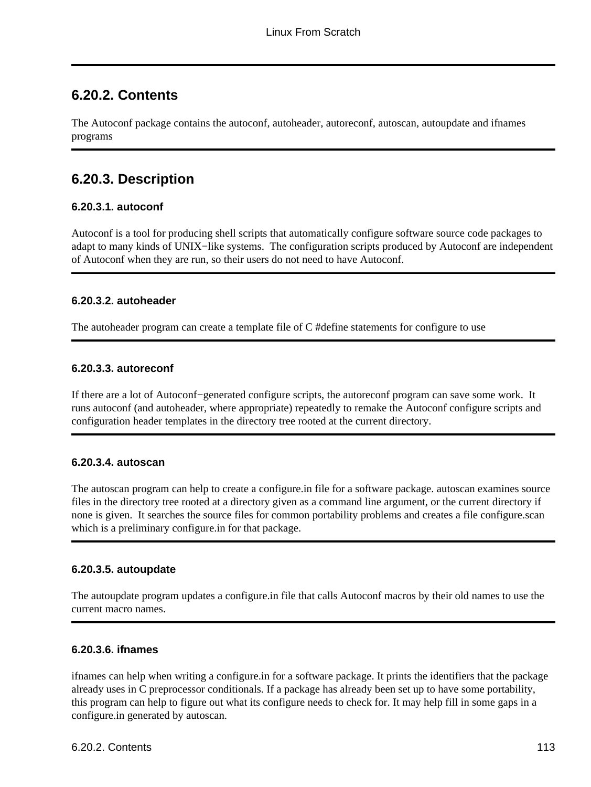# **6.20.2. Contents**

The Autoconf package contains the autoconf, autoheader, autoreconf, autoscan, autoupdate and ifnames programs

# **6.20.3. Description**

### **6.20.3.1. autoconf**

Autoconf is a tool for producing shell scripts that automatically configure software source code packages to adapt to many kinds of UNIX−like systems. The configuration scripts produced by Autoconf are independent of Autoconf when they are run, so their users do not need to have Autoconf.

### **6.20.3.2. autoheader**

The autoheader program can create a template file of C #define statements for configure to use

### **6.20.3.3. autoreconf**

If there are a lot of Autoconf−generated configure scripts, the autoreconf program can save some work. It runs autoconf (and autoheader, where appropriate) repeatedly to remake the Autoconf configure scripts and configuration header templates in the directory tree rooted at the current directory.

### **6.20.3.4. autoscan**

The autoscan program can help to create a configure.in file for a software package. autoscan examines source files in the directory tree rooted at a directory given as a command line argument, or the current directory if none is given. It searches the source files for common portability problems and creates a file configure.scan which is a preliminary configure.in for that package.

### **6.20.3.5. autoupdate**

The autoupdate program updates a configure.in file that calls Autoconf macros by their old names to use the current macro names.

## **6.20.3.6. ifnames**

ifnames can help when writing a configure.in for a software package. It prints the identifiers that the package already uses in C preprocessor conditionals. If a package has already been set up to have some portability, this program can help to figure out what its configure needs to check for. It may help fill in some gaps in a configure.in generated by autoscan.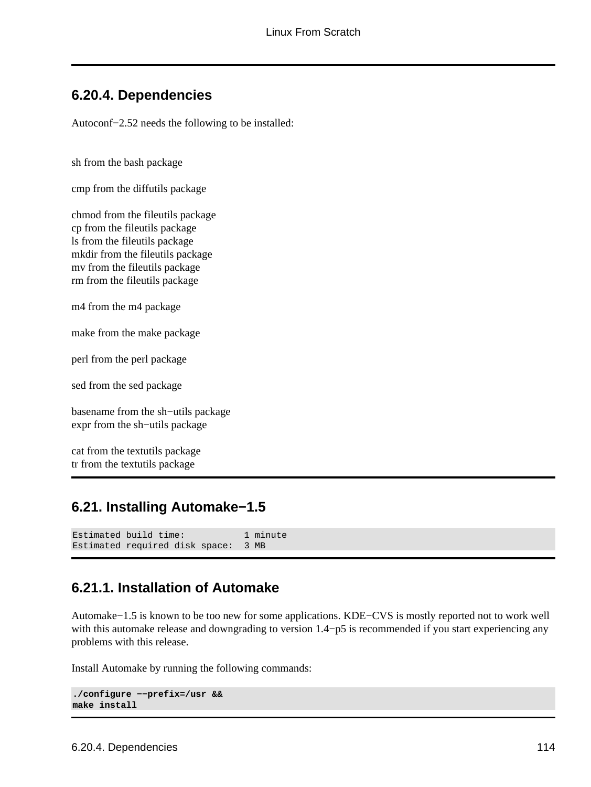# **6.20.4. Dependencies**

Autoconf−2.52 needs the following to be installed:

sh from the bash package

cmp from the diffutils package

chmod from the fileutils package cp from the fileutils package ls from the fileutils package mkdir from the fileutils package mv from the fileutils package rm from the fileutils package

m4 from the m4 package

make from the make package

perl from the perl package

sed from the sed package

basename from the sh−utils package expr from the sh−utils package

cat from the textutils package tr from the textutils package

# **6.21. Installing Automake−1.5**

```
Estimated build time: 1 minute
Estimated required disk space: 3 MB
```
# **6.21.1. Installation of Automake**

Automake−1.5 is known to be too new for some applications. KDE−CVS is mostly reported not to work well with this automake release and downgrading to version 1.4−p5 is recommended if you start experiencing any problems with this release.

Install Automake by running the following commands:

```
./configure −−prefix=/usr &&
make install
```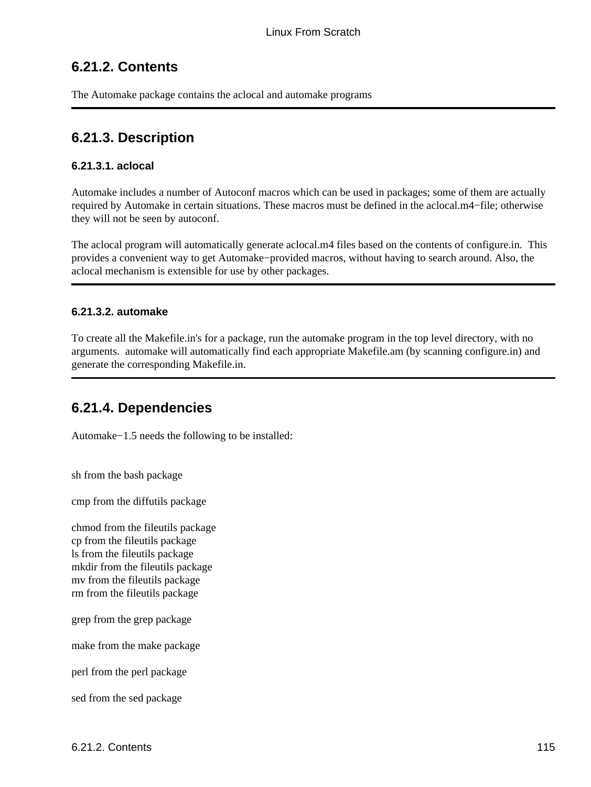# **6.21.2. Contents**

The Automake package contains the aclocal and automake programs

# **6.21.3. Description**

## **6.21.3.1. aclocal**

Automake includes a number of Autoconf macros which can be used in packages; some of them are actually required by Automake in certain situations. These macros must be defined in the aclocal.m4−file; otherwise they will not be seen by autoconf.

The aclocal program will automatically generate aclocal.m4 files based on the contents of configure.in. This provides a convenient way to get Automake−provided macros, without having to search around. Also, the aclocal mechanism is extensible for use by other packages.

## **6.21.3.2. automake**

To create all the Makefile.in's for a package, run the automake program in the top level directory, with no arguments. automake will automatically find each appropriate Makefile.am (by scanning configure.in) and generate the corresponding Makefile.in.

# **6.21.4. Dependencies**

Automake−1.5 needs the following to be installed:

sh from the bash package

cmp from the diffutils package

chmod from the fileutils package cp from the fileutils package ls from the fileutils package mkdir from the fileutils package mv from the fileutils package rm from the fileutils package

grep from the grep package

make from the make package

perl from the perl package

sed from the sed package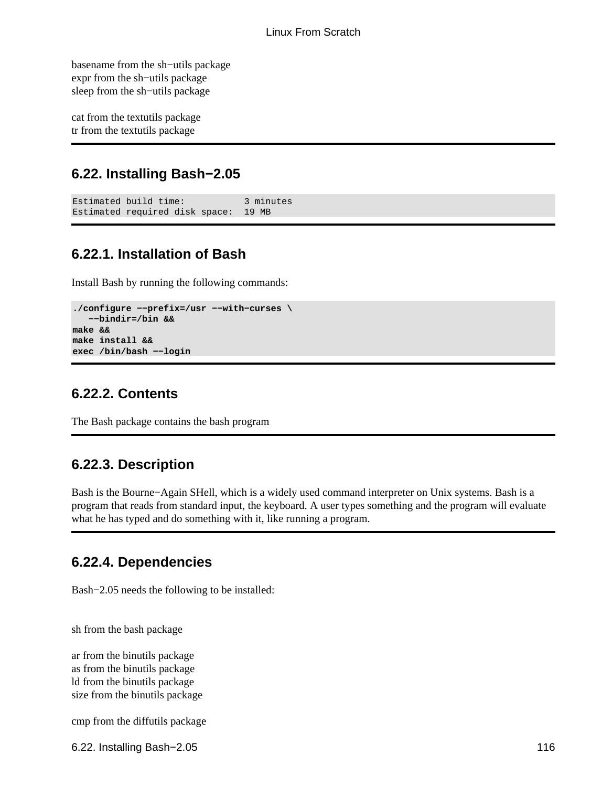basename from the sh−utils package expr from the sh−utils package sleep from the sh−utils package

cat from the textutils package tr from the textutils package

# **6.22. Installing Bash−2.05**

Estimated build time: 3 minutes Estimated required disk space: 19 MB

# **6.22.1. Installation of Bash**

Install Bash by running the following commands:

```
./configure −−prefix=/usr −−with−curses \
    −−bindir=/bin &&
make &&
make install &&
exec /bin/bash −−login
```
# **6.22.2. Contents**

The Bash package contains the bash program

# **6.22.3. Description**

Bash is the Bourne−Again SHell, which is a widely used command interpreter on Unix systems. Bash is a program that reads from standard input, the keyboard. A user types something and the program will evaluate what he has typed and do something with it, like running a program.

# **6.22.4. Dependencies**

Bash−2.05 needs the following to be installed:

sh from the bash package

ar from the binutils package as from the binutils package ld from the binutils package size from the binutils package

cmp from the diffutils package

6.22. Installing Bash−2.05 116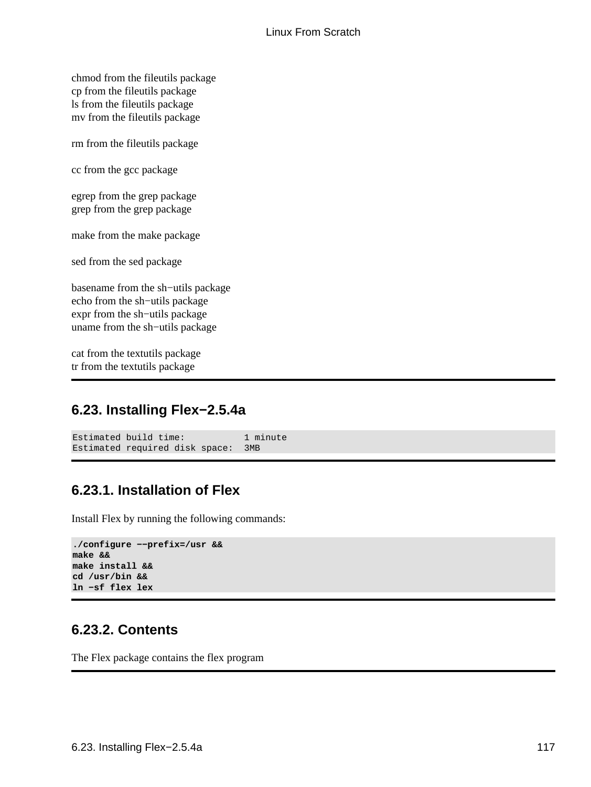chmod from the fileutils package cp from the fileutils package ls from the fileutils package mv from the fileutils package

rm from the fileutils package

cc from the gcc package

egrep from the grep package grep from the grep package

make from the make package

sed from the sed package

basename from the sh−utils package echo from the sh−utils package expr from the sh−utils package uname from the sh−utils package

cat from the textutils package tr from the textutils package

## **6.23. Installing Flex−2.5.4a**

Estimated build time: 1 minute Estimated required disk space: 3MB

# **6.23.1. Installation of Flex**

Install Flex by running the following commands:

```
./configure −−prefix=/usr &&
make &&
make install &&
cd /usr/bin &&
ln −sf flex lex
```
## **6.23.2. Contents**

The Flex package contains the flex program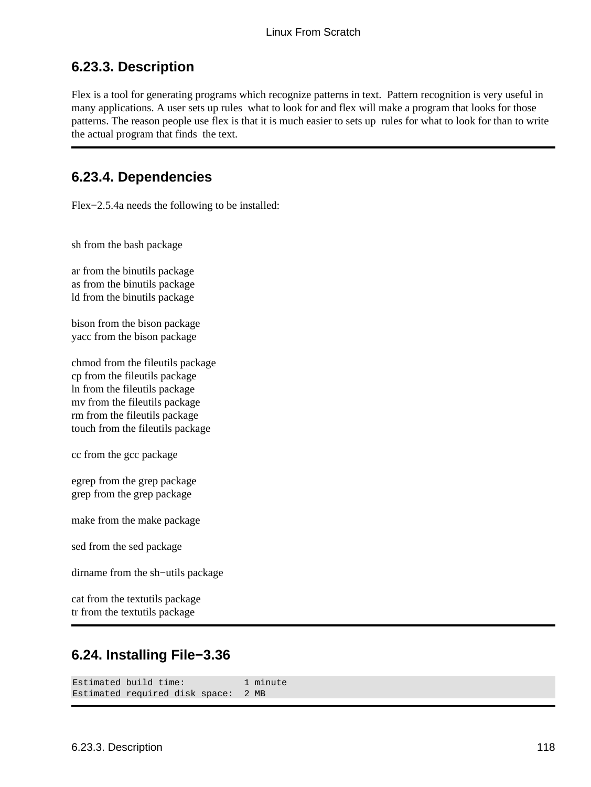# **6.23.3. Description**

Flex is a tool for generating programs which recognize patterns in text. Pattern recognition is very useful in many applications. A user sets up rules what to look for and flex will make a program that looks for those patterns. The reason people use flex is that it is much easier to sets up rules for what to look for than to write the actual program that finds the text.

# **6.23.4. Dependencies**

Flex−2.5.4a needs the following to be installed:

sh from the bash package

ar from the binutils package as from the binutils package ld from the binutils package

bison from the bison package yacc from the bison package

chmod from the fileutils package cp from the fileutils package ln from the fileutils package mv from the fileutils package rm from the fileutils package touch from the fileutils package

cc from the gcc package

egrep from the grep package grep from the grep package

make from the make package

sed from the sed package

dirname from the sh−utils package

cat from the textutils package tr from the textutils package

# **6.24. Installing File−3.36**

Estimated build time: 1 minute Estimated required disk space: 2 MB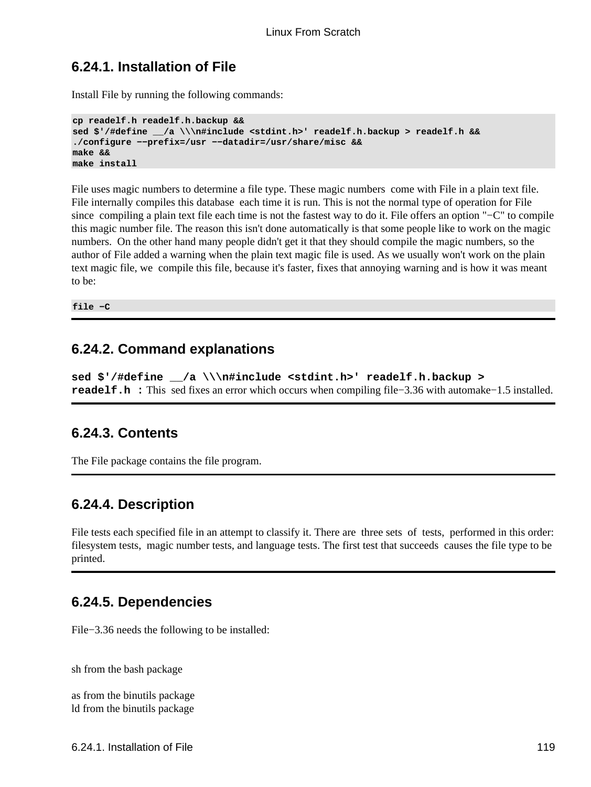# **6.24.1. Installation of File**

Install File by running the following commands:

```
cp readelf.h readelf.h.backup &&
sed $'/#define __/a \\\n#include <stdint.h>' readelf.h.backup > readelf.h &&
./configure −−prefix=/usr −−datadir=/usr/share/misc &&
make &&
make install
```
File uses magic numbers to determine a file type. These magic numbers come with File in a plain text file. File internally compiles this database each time it is run. This is not the normal type of operation for File since compiling a plain text file each time is not the fastest way to do it. File offers an option "−C" to compile this magic number file. The reason this isn't done automatically is that some people like to work on the magic numbers. On the other hand many people didn't get it that they should compile the magic numbers, so the author of File added a warning when the plain text magic file is used. As we usually won't work on the plain text magic file, we compile this file, because it's faster, fixes that annoying warning and is how it was meant to be:

**file −C**

## **6.24.2. Command explanations**

**sed \$'/#define \_\_/a \\\n#include <stdint.h>' readelf.h.backup > readelf.h :** This sed fixes an error which occurs when compiling file−3.36 with automake−1.5 installed.

## **6.24.3. Contents**

The File package contains the file program.

# **6.24.4. Description**

File tests each specified file in an attempt to classify it. There are three sets of tests, performed in this order: filesystem tests, magic number tests, and language tests. The first test that succeeds causes the file type to be printed.

# **6.24.5. Dependencies**

File−3.36 needs the following to be installed:

sh from the bash package

as from the binutils package ld from the binutils package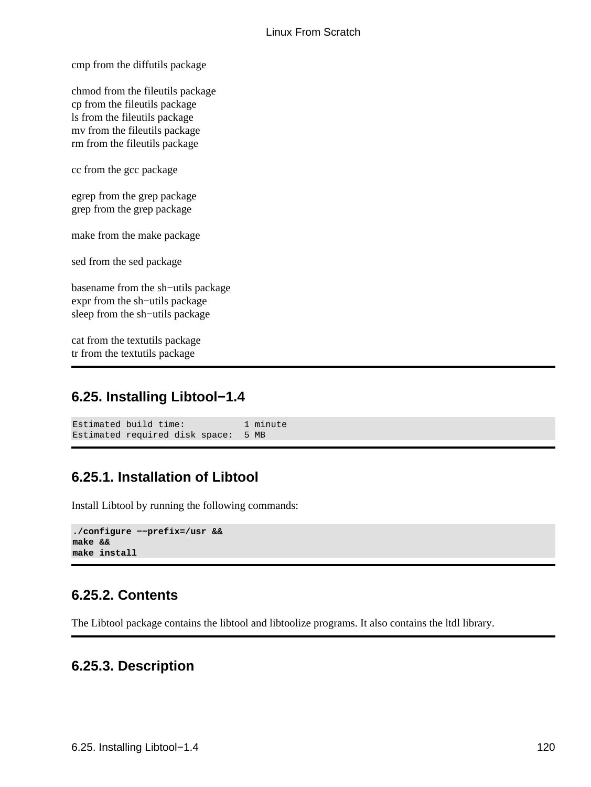cmp from the diffutils package

chmod from the fileutils package cp from the fileutils package ls from the fileutils package mv from the fileutils package rm from the fileutils package

cc from the gcc package

egrep from the grep package grep from the grep package

make from the make package

sed from the sed package

basename from the sh−utils package expr from the sh−utils package sleep from the sh−utils package

cat from the textutils package tr from the textutils package

# **6.25. Installing Libtool−1.4**

Estimated build time: 1 minute Estimated required disk space: 5 MB

# **6.25.1. Installation of Libtool**

Install Libtool by running the following commands:

```
./configure −−prefix=/usr &&
make &&
make install
```
# **6.25.2. Contents**

The Libtool package contains the libtool and libtoolize programs. It also contains the ltdl library.

# **6.25.3. Description**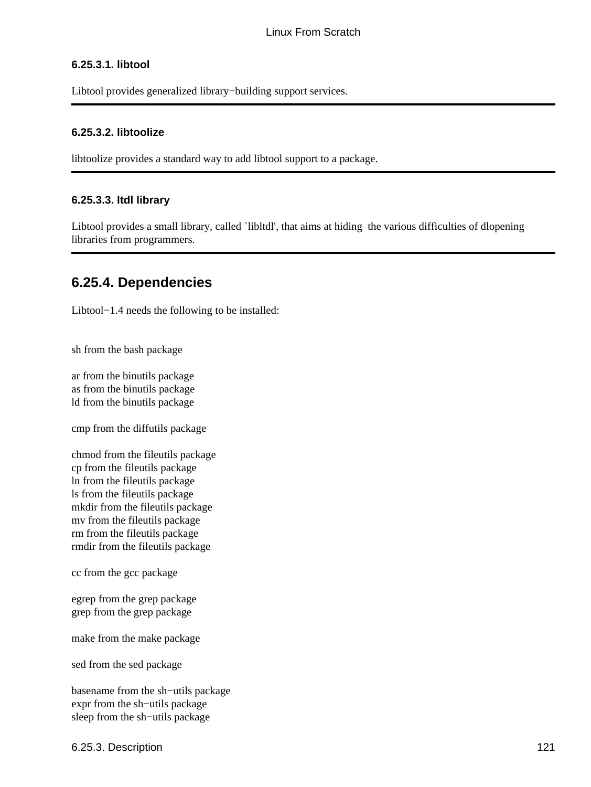### **6.25.3.1. libtool**

Libtool provides generalized library−building support services.

### **6.25.3.2. libtoolize**

libtoolize provides a standard way to add libtool support to a package.

### **6.25.3.3. ltdl library**

Libtool provides a small library, called `libltdl', that aims at hiding the various difficulties of dlopening libraries from programmers.

## **6.25.4. Dependencies**

Libtool−1.4 needs the following to be installed:

sh from the bash package

ar from the binutils package as from the binutils package ld from the binutils package

cmp from the diffutils package

chmod from the fileutils package cp from the fileutils package ln from the fileutils package ls from the fileutils package mkdir from the fileutils package mv from the fileutils package rm from the fileutils package rmdir from the fileutils package

cc from the gcc package

egrep from the grep package grep from the grep package

make from the make package

sed from the sed package

basename from the sh−utils package expr from the sh−utils package sleep from the sh−utils package

6.25.3. Description 121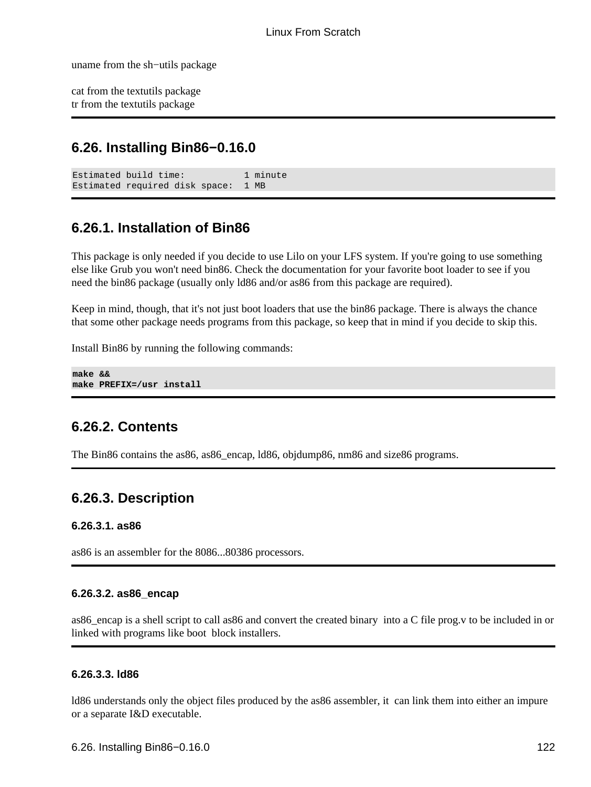uname from the sh−utils package

cat from the textutils package tr from the textutils package

# **6.26. Installing Bin86−0.16.0**

Estimated build time: 1 minute Estimated required disk space: 1 MB

# **6.26.1. Installation of Bin86**

This package is only needed if you decide to use Lilo on your LFS system. If you're going to use something else like Grub you won't need bin86. Check the documentation for your favorite boot loader to see if you need the bin86 package (usually only ld86 and/or as86 from this package are required).

Keep in mind, though, that it's not just boot loaders that use the bin86 package. There is always the chance that some other package needs programs from this package, so keep that in mind if you decide to skip this.

Install Bin86 by running the following commands:

```
make &&
make PREFIX=/usr install
```
# **6.26.2. Contents**

The Bin86 contains the as86, as86\_encap, ld86, objdump86, nm86 and size86 programs.

# **6.26.3. Description**

### **6.26.3.1. as86**

as86 is an assembler for the 8086...80386 processors.

#### **6.26.3.2. as86\_encap**

as86\_encap is a shell script to call as86 and convert the created binary into a C file prog.v to be included in or linked with programs like boot block installers.

#### **6.26.3.3. ld86**

ld86 understands only the object files produced by the as86 assembler, it can link them into either an impure or a separate I&D executable.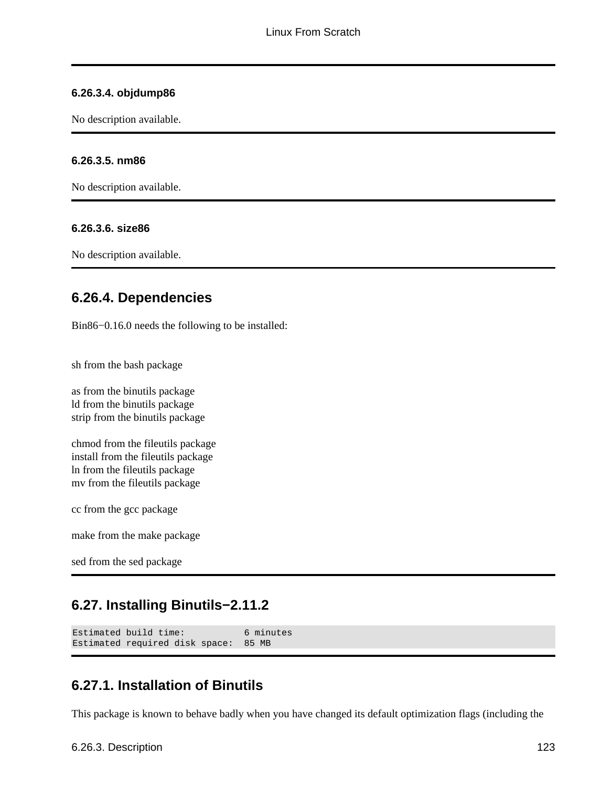### **6.26.3.4. objdump86**

No description available.

#### **6.26.3.5. nm86**

No description available.

#### **6.26.3.6. size86**

No description available.

# **6.26.4. Dependencies**

Bin86−0.16.0 needs the following to be installed:

sh from the bash package

as from the binutils package ld from the binutils package strip from the binutils package

chmod from the fileutils package install from the fileutils package ln from the fileutils package mv from the fileutils package

cc from the gcc package

make from the make package

sed from the sed package

# **6.27. Installing Binutils−2.11.2**

Estimated build time: 6 minutes Estimated required disk space: 85 MB

# **6.27.1. Installation of Binutils**

This package is known to behave badly when you have changed its default optimization flags (including the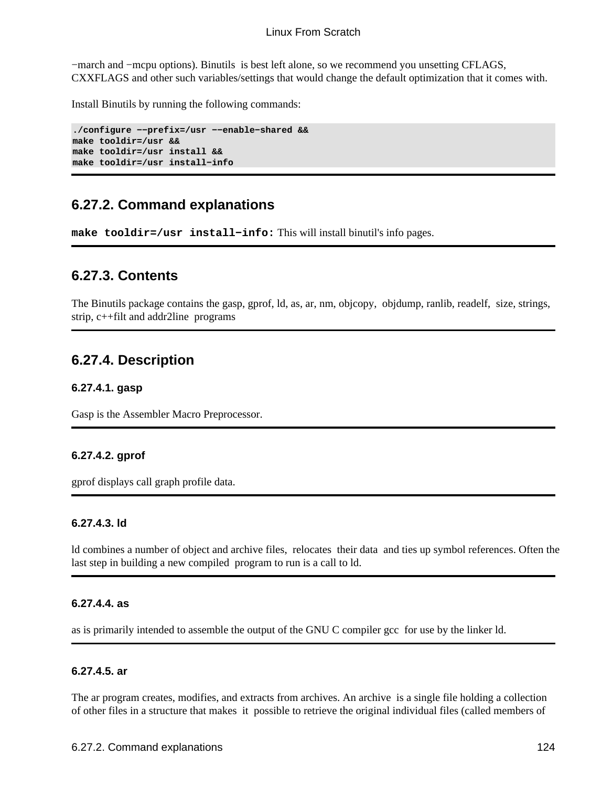−march and −mcpu options). Binutils is best left alone, so we recommend you unsetting CFLAGS, CXXFLAGS and other such variables/settings that would change the default optimization that it comes with.

Install Binutils by running the following commands:

```
./configure −−prefix=/usr −−enable−shared &&
make tooldir=/usr &&
make tooldir=/usr install &&
make tooldir=/usr install−info
```
## **6.27.2. Command explanations**

**make tooldir=/usr install−info:** This will install binutil's info pages.

## **6.27.3. Contents**

The Binutils package contains the gasp, gprof, ld, as, ar, nm, objcopy, objdump, ranlib, readelf, size, strings, strip, c++filt and addr2line programs

## **6.27.4. Description**

#### **6.27.4.1. gasp**

Gasp is the Assembler Macro Preprocessor.

#### **6.27.4.2. gprof**

gprof displays call graph profile data.

### **6.27.4.3. ld**

ld combines a number of object and archive files, relocates their data and ties up symbol references. Often the last step in building a new compiled program to run is a call to ld.

#### **6.27.4.4. as**

as is primarily intended to assemble the output of the GNU C compiler gcc for use by the linker ld.

### **6.27.4.5. ar**

The ar program creates, modifies, and extracts from archives. An archive is a single file holding a collection of other files in a structure that makes it possible to retrieve the original individual files (called members of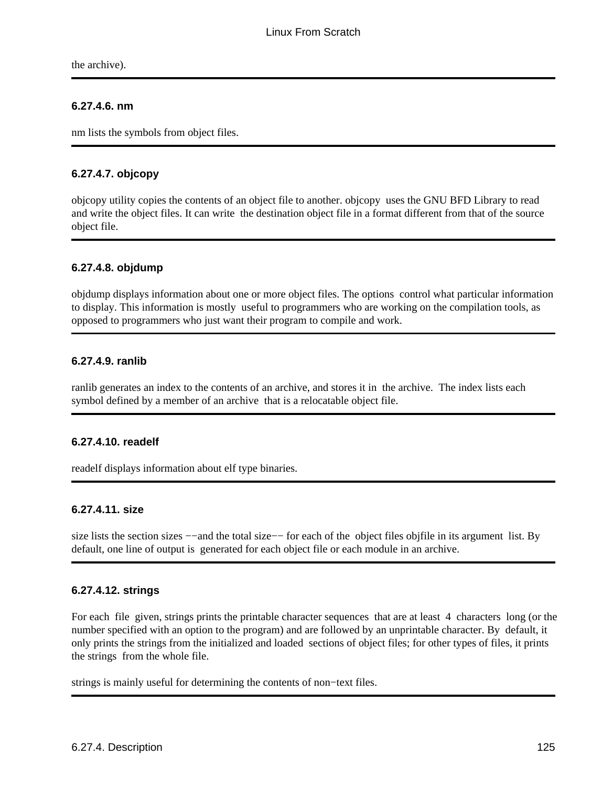the archive).

### **6.27.4.6. nm**

nm lists the symbols from object files.

### **6.27.4.7. objcopy**

objcopy utility copies the contents of an object file to another. objcopy uses the GNU BFD Library to read and write the object files. It can write the destination object file in a format different from that of the source object file.

## **6.27.4.8. objdump**

objdump displays information about one or more object files. The options control what particular information to display. This information is mostly useful to programmers who are working on the compilation tools, as opposed to programmers who just want their program to compile and work.

### **6.27.4.9. ranlib**

ranlib generates an index to the contents of an archive, and stores it in the archive. The index lists each symbol defined by a member of an archive that is a relocatable object file.

### **6.27.4.10. readelf**

readelf displays information about elf type binaries.

## **6.27.4.11. size**

size lists the section sizes ––and the total size–– for each of the object files objfile in its argument list. By default, one line of output is generated for each object file or each module in an archive.

## **6.27.4.12. strings**

For each file given, strings prints the printable character sequences that are at least 4 characters long (or the number specified with an option to the program) and are followed by an unprintable character. By default, it only prints the strings from the initialized and loaded sections of object files; for other types of files, it prints the strings from the whole file.

strings is mainly useful for determining the contents of non−text files.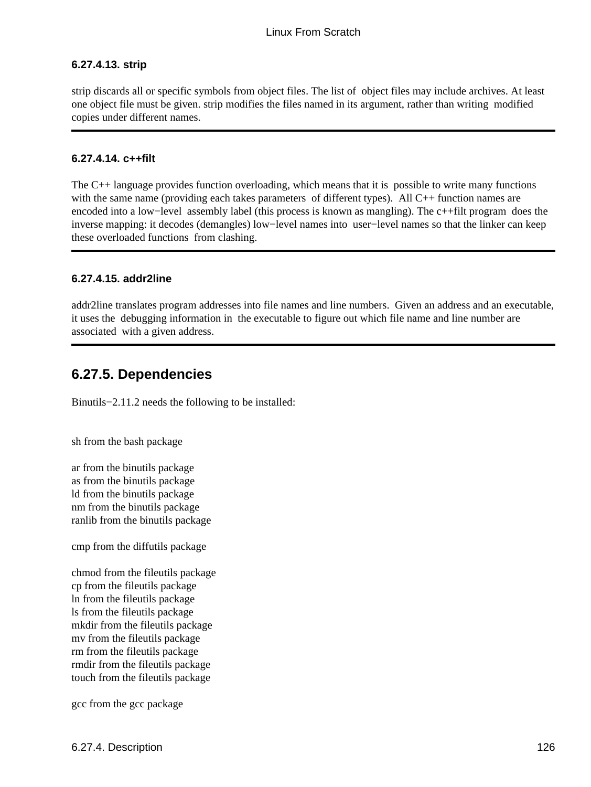## **6.27.4.13. strip**

strip discards all or specific symbols from object files. The list of object files may include archives. At least one object file must be given. strip modifies the files named in its argument, rather than writing modified copies under different names.

### **6.27.4.14. c++filt**

The C++ language provides function overloading, which means that it is possible to write many functions with the same name (providing each takes parameters of different types). All C++ function names are encoded into a low−level assembly label (this process is known as mangling). The c++filt program does the inverse mapping: it decodes (demangles) low−level names into user−level names so that the linker can keep these overloaded functions from clashing.

## **6.27.4.15. addr2line**

addr2line translates program addresses into file names and line numbers. Given an address and an executable, it uses the debugging information in the executable to figure out which file name and line number are associated with a given address.

# **6.27.5. Dependencies**

Binutils−2.11.2 needs the following to be installed:

sh from the bash package

ar from the binutils package as from the binutils package ld from the binutils package nm from the binutils package ranlib from the binutils package

cmp from the diffutils package

chmod from the fileutils package cp from the fileutils package ln from the fileutils package ls from the fileutils package mkdir from the fileutils package mv from the fileutils package rm from the fileutils package rmdir from the fileutils package touch from the fileutils package

gcc from the gcc package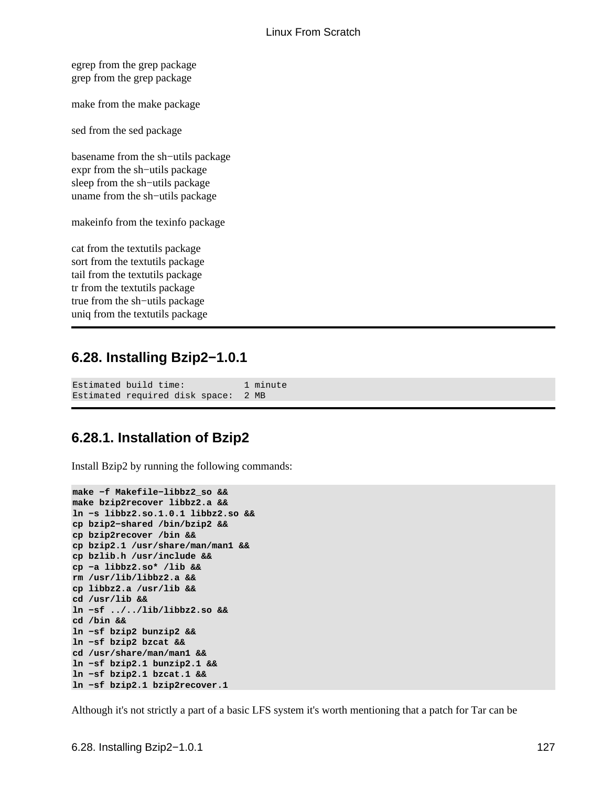egrep from the grep package grep from the grep package

make from the make package

sed from the sed package

basename from the sh−utils package expr from the sh−utils package sleep from the sh−utils package uname from the sh−utils package

makeinfo from the texinfo package

cat from the textutils package sort from the textutils package tail from the textutils package tr from the textutils package true from the sh−utils package uniq from the textutils package

### **6.28. Installing Bzip2−1.0.1**

Estimated build time: 1 minute Estimated required disk space: 2 MB

## **6.28.1. Installation of Bzip2**

Install Bzip2 by running the following commands:

```
make −f Makefile−libbz2_so &&
make bzip2recover libbz2.a &&
ln −s libbz2.so.1.0.1 libbz2.so &&
cp bzip2−shared /bin/bzip2 &&
cp bzip2recover /bin &&
cp bzip2.1 /usr/share/man/man1 &&
cp bzlib.h /usr/include &&
cp −a libbz2.so* /lib &&
rm /usr/lib/libbz2.a &&
cp libbz2.a /usr/lib &&
cd /usr/lib &&
ln −sf ../../lib/libbz2.so &&
cd /bin &&
ln −sf bzip2 bunzip2 &&
ln −sf bzip2 bzcat &&
cd /usr/share/man/man1 &&
ln −sf bzip2.1 bunzip2.1 &&
ln −sf bzip2.1 bzcat.1 &&
ln −sf bzip2.1 bzip2recover.1
```
Although it's not strictly a part of a basic LFS system it's worth mentioning that a patch for Tar can be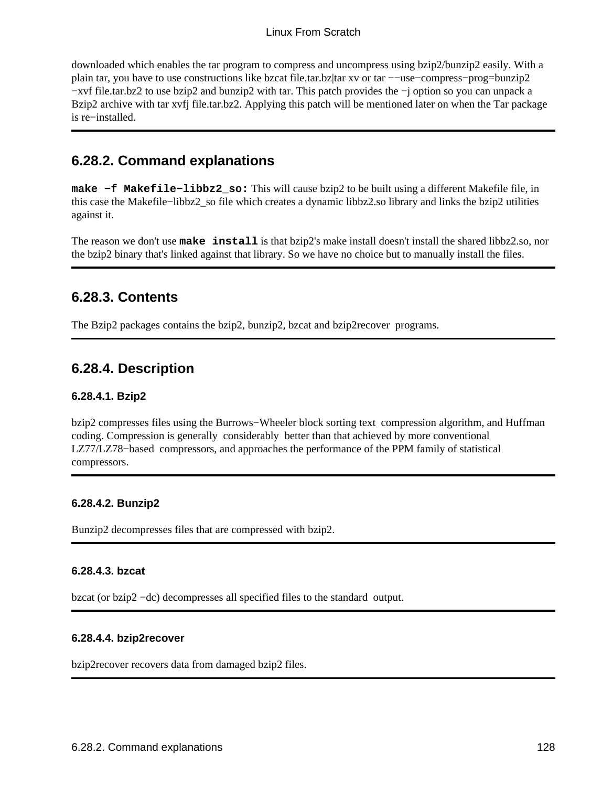### Linux From Scratch

downloaded which enables the tar program to compress and uncompress using bzip2/bunzip2 easily. With a plain tar, you have to use constructions like bzcat file.tar.bz|tar xv or tar −−use−compress−prog=bunzip2 −xvf file.tar.bz2 to use bzip2 and bunzip2 with tar. This patch provides the −j option so you can unpack a Bzip2 archive with tar xvfj file.tar.bz2. Applying this patch will be mentioned later on when the Tar package is re−installed.

### **6.28.2. Command explanations**

**make −f Makefile−libbz2\_so:** This will cause bzip2 to be built using a different Makefile file, in this case the Makefile−libbz2\_so file which creates a dynamic libbz2.so library and links the bzip2 utilities against it.

The reason we don't use **make install** is that bzip2's make install doesn't install the shared libbz2.so, nor the bzip2 binary that's linked against that library. So we have no choice but to manually install the files.

### **6.28.3. Contents**

The Bzip2 packages contains the bzip2, bunzip2, bzcat and bzip2recover programs.

### **6.28.4. Description**

### **6.28.4.1. Bzip2**

bzip2 compresses files using the Burrows−Wheeler block sorting text compression algorithm, and Huffman coding. Compression is generally considerably better than that achieved by more conventional LZ77/LZ78−based compressors, and approaches the performance of the PPM family of statistical compressors.

### **6.28.4.2. Bunzip2**

Bunzip2 decompresses files that are compressed with bzip2.

### **6.28.4.3. bzcat**

bzcat (or bzip2 −dc) decompresses all specified files to the standard output.

### **6.28.4.4. bzip2recover**

bzip2recover recovers data from damaged bzip2 files.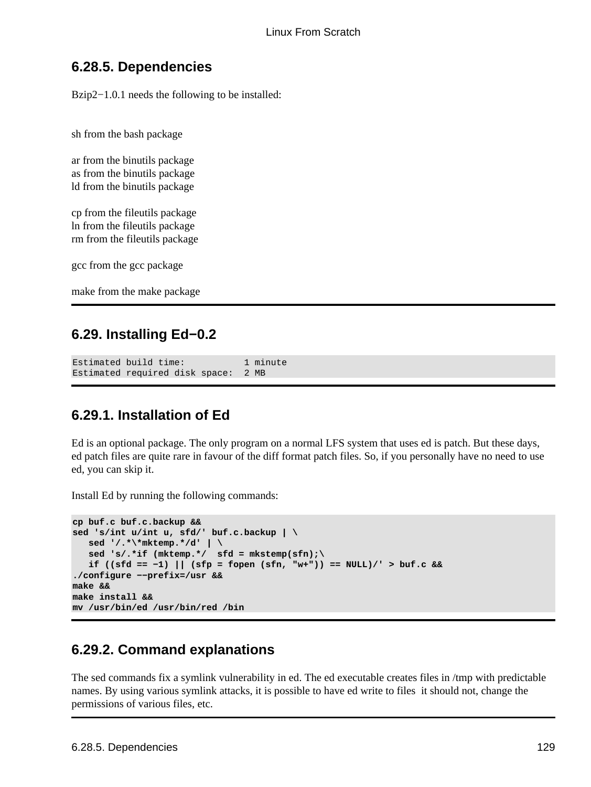# **6.28.5. Dependencies**

Bzip2−1.0.1 needs the following to be installed:

sh from the bash package

ar from the binutils package as from the binutils package ld from the binutils package

cp from the fileutils package ln from the fileutils package rm from the fileutils package

gcc from the gcc package

make from the make package

### **6.29. Installing Ed−0.2**

Estimated build time: 1 minute Estimated required disk space: 2 MB

## **6.29.1. Installation of Ed**

Ed is an optional package. The only program on a normal LFS system that uses ed is patch. But these days, ed patch files are quite rare in favour of the diff format patch files. So, if you personally have no need to use ed, you can skip it.

Install Ed by running the following commands:

```
cp buf.c buf.c.backup &&
sed 's/int u/int u, sfd/' buf.c.backup | \
   sed '/.*\*mktemp.*/d' | \
    sed 's/.*if (mktemp.*/ sfd = mkstemp(sfn);\
    if ((sfd == −1) || (sfp = fopen (sfn, "w+")) == NULL)/' > buf.c &&
./configure −−prefix=/usr &&
make &&
make install &&
mv /usr/bin/ed /usr/bin/red /bin
```
### **6.29.2. Command explanations**

The sed commands fix a symlink vulnerability in ed. The ed executable creates files in /tmp with predictable names. By using various symlink attacks, it is possible to have ed write to files it should not, change the permissions of various files, etc.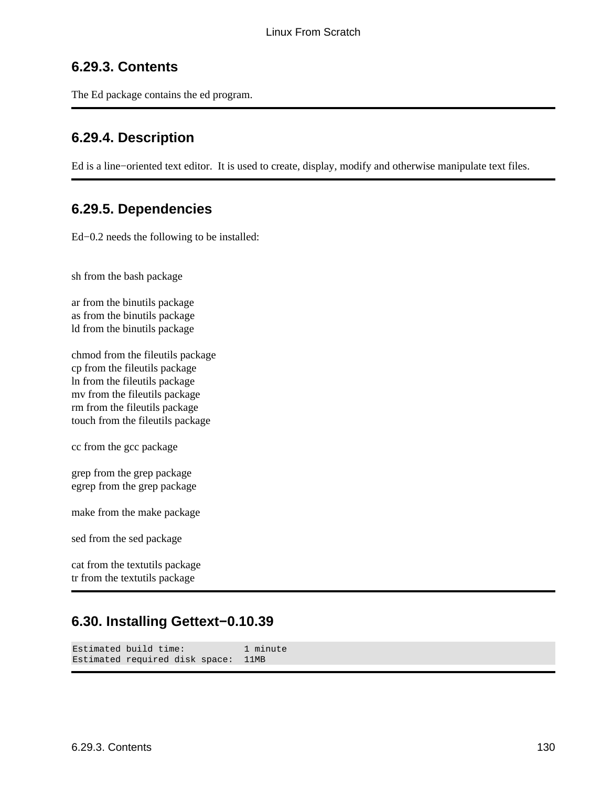## **6.29.3. Contents**

The Ed package contains the ed program.

### **6.29.4. Description**

Ed is a line−oriented text editor. It is used to create, display, modify and otherwise manipulate text files.

### **6.29.5. Dependencies**

Ed−0.2 needs the following to be installed:

sh from the bash package

ar from the binutils package as from the binutils package ld from the binutils package

chmod from the fileutils package cp from the fileutils package ln from the fileutils package mv from the fileutils package rm from the fileutils package touch from the fileutils package

cc from the gcc package

grep from the grep package egrep from the grep package

make from the make package

sed from the sed package

cat from the textutils package tr from the textutils package

## **6.30. Installing Gettext−0.10.39**

Estimated build time: 1 minute Estimated required disk space: 11MB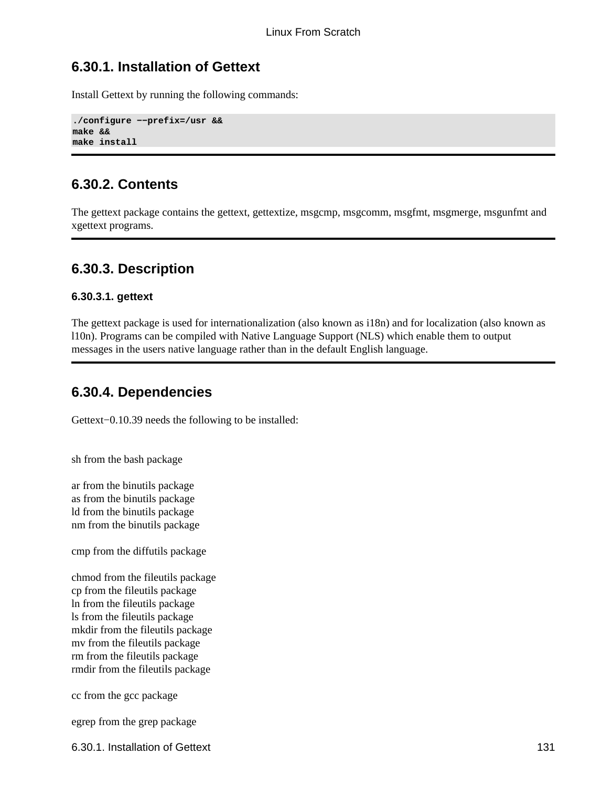# **6.30.1. Installation of Gettext**

Install Gettext by running the following commands:

```
./configure −−prefix=/usr &&
make &&
make install
```
# **6.30.2. Contents**

The gettext package contains the gettext, gettextize, msgcmp, msgcomm, msgfmt, msgmerge, msgunfmt and xgettext programs.

## **6.30.3. Description**

### **6.30.3.1. gettext**

The gettext package is used for internationalization (also known as i18n) and for localization (also known as l10n). Programs can be compiled with Native Language Support (NLS) which enable them to output messages in the users native language rather than in the default English language.

## **6.30.4. Dependencies**

Gettext−0.10.39 needs the following to be installed:

sh from the bash package

ar from the binutils package as from the binutils package ld from the binutils package nm from the binutils package

cmp from the diffutils package

chmod from the fileutils package cp from the fileutils package ln from the fileutils package ls from the fileutils package mkdir from the fileutils package mv from the fileutils package rm from the fileutils package rmdir from the fileutils package

cc from the gcc package

egrep from the grep package

6.30.1. Installation of Gettext 131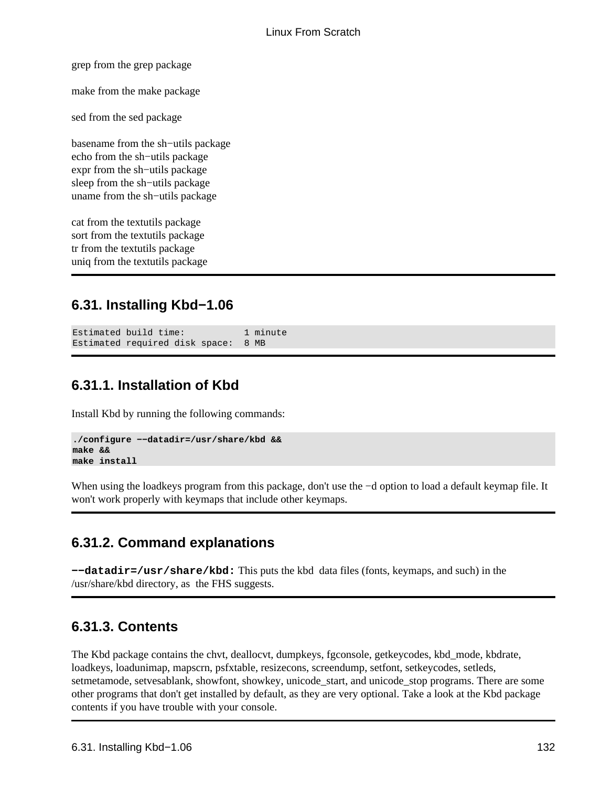```
grep from the grep package
```
make from the make package

sed from the sed package

basename from the sh−utils package echo from the sh−utils package expr from the sh−utils package sleep from the sh−utils package uname from the sh−utils package

cat from the textutils package sort from the textutils package tr from the textutils package uniq from the textutils package

# **6.31. Installing Kbd−1.06**

Estimated build time: 1 minute Estimated required disk space: 8 MB

# **6.31.1. Installation of Kbd**

Install Kbd by running the following commands:

```
./configure −−datadir=/usr/share/kbd &&
make &&
make install
```
When using the loadkeys program from this package, don't use the −d option to load a default keymap file. It won't work properly with keymaps that include other keymaps.

# **6.31.2. Command explanations**

**−−datadir=/usr/share/kbd:** This puts the kbd data files (fonts, keymaps, and such) in the /usr/share/kbd directory, as the FHS suggests.

# **6.31.3. Contents**

The Kbd package contains the chvt, deallocvt, dumpkeys, fgconsole, getkeycodes, kbd\_mode, kbdrate, loadkeys, loadunimap, mapscrn, psfxtable, resizecons, screendump, setfont, setkeycodes, setleds, setmetamode, setvesablank, showfont, showkey, unicode\_start, and unicode\_stop programs. There are some other programs that don't get installed by default, as they are very optional. Take a look at the Kbd package contents if you have trouble with your console.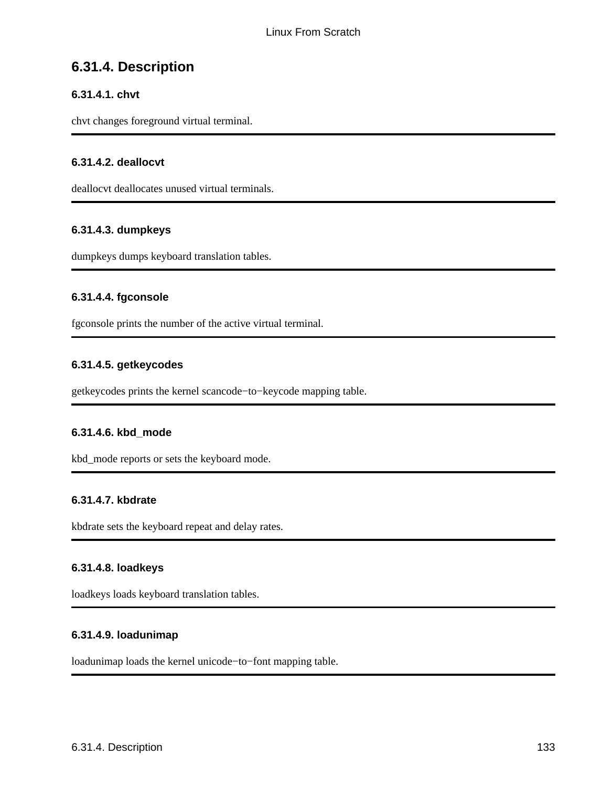# **6.31.4. Description**

### **6.31.4.1. chvt**

chvt changes foreground virtual terminal.

### **6.31.4.2. deallocvt**

deallocvt deallocates unused virtual terminals.

### **6.31.4.3. dumpkeys**

dumpkeys dumps keyboard translation tables.

### **6.31.4.4. fgconsole**

fgconsole prints the number of the active virtual terminal.

### **6.31.4.5. getkeycodes**

getkeycodes prints the kernel scancode−to−keycode mapping table.

### **6.31.4.6. kbd\_mode**

kbd\_mode reports or sets the keyboard mode.

### **6.31.4.7. kbdrate**

kbdrate sets the keyboard repeat and delay rates.

### **6.31.4.8. loadkeys**

loadkeys loads keyboard translation tables.

### **6.31.4.9. loadunimap**

loadunimap loads the kernel unicode−to−font mapping table.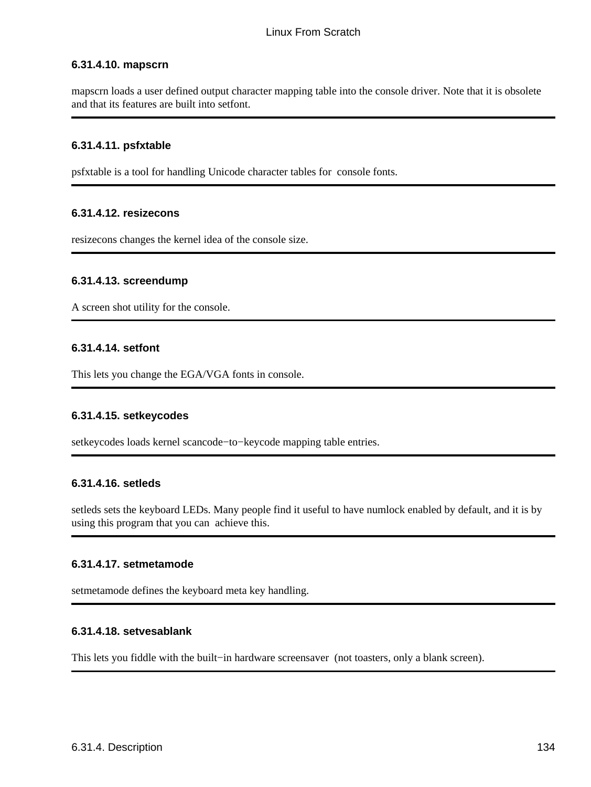### **6.31.4.10. mapscrn**

mapscrn loads a user defined output character mapping table into the console driver. Note that it is obsolete and that its features are built into setfont.

### **6.31.4.11. psfxtable**

psfxtable is a tool for handling Unicode character tables for console fonts.

### **6.31.4.12. resizecons**

resizecons changes the kernel idea of the console size.

#### **6.31.4.13. screendump**

A screen shot utility for the console.

### **6.31.4.14. setfont**

This lets you change the EGA/VGA fonts in console.

### **6.31.4.15. setkeycodes**

setkeycodes loads kernel scancode−to−keycode mapping table entries.

#### **6.31.4.16. setleds**

setleds sets the keyboard LEDs. Many people find it useful to have numlock enabled by default, and it is by using this program that you can achieve this.

#### **6.31.4.17. setmetamode**

setmetamode defines the keyboard meta key handling.

### **6.31.4.18. setvesablank**

This lets you fiddle with the built−in hardware screensaver (not toasters, only a blank screen).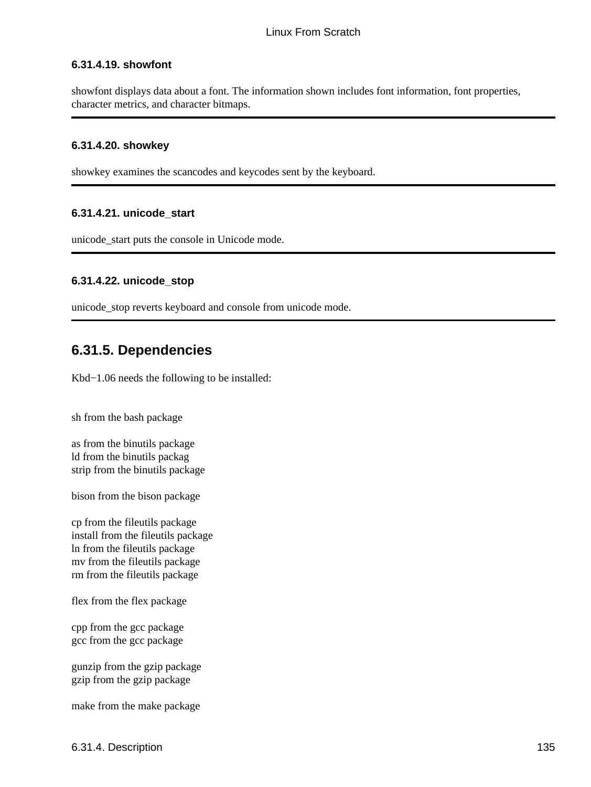### **6.31.4.19. showfont**

showfont displays data about a font. The information shown includes font information, font properties, character metrics, and character bitmaps.

### **6.31.4.20. showkey**

showkey examines the scancodes and keycodes sent by the keyboard.

### **6.31.4.21. unicode\_start**

unicode\_start puts the console in Unicode mode.

#### **6.31.4.22. unicode\_stop**

unicode\_stop reverts keyboard and console from unicode mode.

### **6.31.5. Dependencies**

Kbd−1.06 needs the following to be installed:

sh from the bash package

as from the binutils package ld from the binutils packag strip from the binutils package

bison from the bison package

cp from the fileutils package install from the fileutils package ln from the fileutils package mv from the fileutils package rm from the fileutils package

flex from the flex package

cpp from the gcc package gcc from the gcc package

gunzip from the gzip package gzip from the gzip package

make from the make package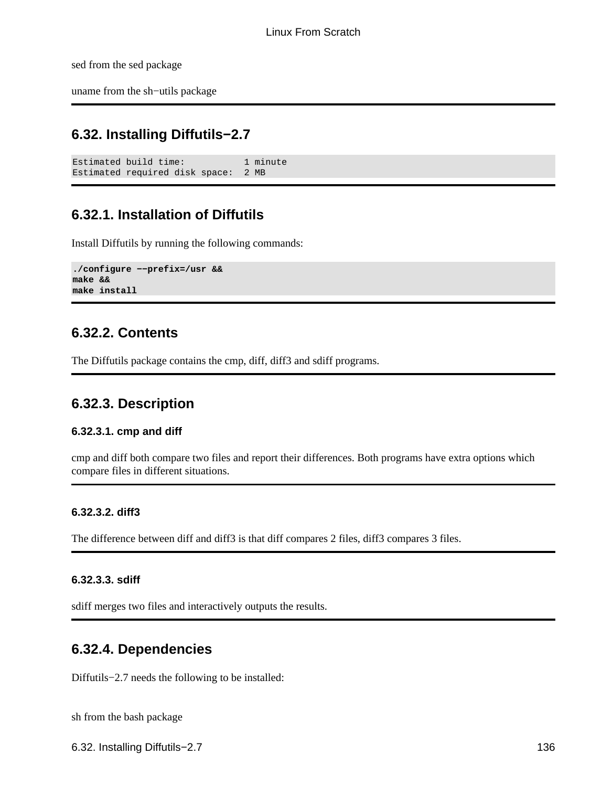sed from the sed package

uname from the sh−utils package

# **6.32. Installing Diffutils−2.7**

Estimated build time: 1 minute Estimated required disk space: 2 MB

## **6.32.1. Installation of Diffutils**

Install Diffutils by running the following commands:

```
./configure −−prefix=/usr &&
make &&
make install
```
# **6.32.2. Contents**

The Diffutils package contains the cmp, diff, diff3 and sdiff programs.

### **6.32.3. Description**

### **6.32.3.1. cmp and diff**

cmp and diff both compare two files and report their differences. Both programs have extra options which compare files in different situations.

### **6.32.3.2. diff3**

The difference between diff and diff3 is that diff compares 2 files, diff3 compares 3 files.

### **6.32.3.3. sdiff**

sdiff merges two files and interactively outputs the results.

### **6.32.4. Dependencies**

Diffutils−2.7 needs the following to be installed:

sh from the bash package

6.32. Installing Diffutils−2.7 136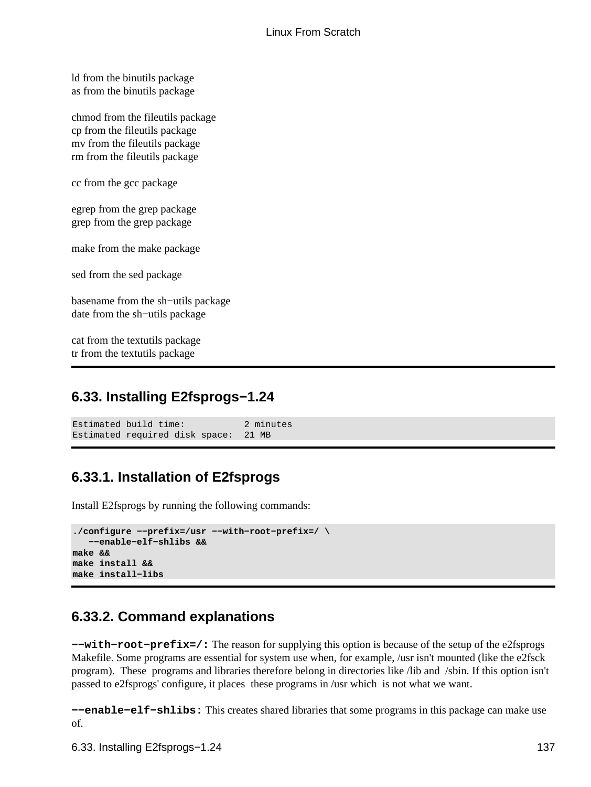ld from the binutils package as from the binutils package

chmod from the fileutils package cp from the fileutils package mv from the fileutils package rm from the fileutils package

cc from the gcc package

egrep from the grep package grep from the grep package

make from the make package

sed from the sed package

basename from the sh−utils package date from the sh−utils package

cat from the textutils package tr from the textutils package

### **6.33. Installing E2fsprogs−1.24**

Estimated build time: 2 minutes Estimated required disk space: 21 MB

### **6.33.1. Installation of E2fsprogs**

Install E2fsprogs by running the following commands:

```
./configure −−prefix=/usr −−with−root−prefix=/ \
    −−enable−elf−shlibs &&
make &&
make install &&
make install−libs
```
### **6.33.2. Command explanations**

**−−with−root−prefix=/:** The reason for supplying this option is because of the setup of the e2fsprogs Makefile. Some programs are essential for system use when, for example, /usr isn't mounted (like the e2fsck program). These programs and libraries therefore belong in directories like /lib and /sbin. If this option isn't passed to e2fsprogs' configure, it places these programs in /usr which is not what we want.

**−−enable−elf−shlibs:** This creates shared libraries that some programs in this package can make use of.

6.33. Installing E2fsprogs−1.24 137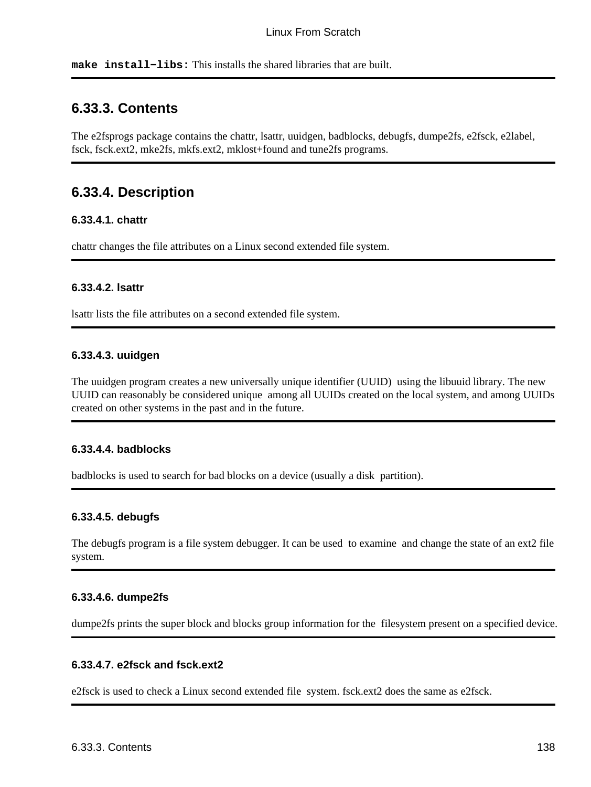**make install−libs:** This installs the shared libraries that are built.

### **6.33.3. Contents**

The e2fsprogs package contains the chattr, lsattr, uuidgen, badblocks, debugfs, dumpe2fs, e2fsck, e2label, fsck, fsck.ext2, mke2fs, mkfs.ext2, mklost+found and tune2fs programs.

### **6.33.4. Description**

### **6.33.4.1. chattr**

chattr changes the file attributes on a Linux second extended file system.

#### **6.33.4.2. lsattr**

lsattr lists the file attributes on a second extended file system.

#### **6.33.4.3. uuidgen**

The uuidgen program creates a new universally unique identifier (UUID) using the libuuid library. The new UUID can reasonably be considered unique among all UUIDs created on the local system, and among UUIDs created on other systems in the past and in the future.

#### **6.33.4.4. badblocks**

badblocks is used to search for bad blocks on a device (usually a disk partition).

#### **6.33.4.5. debugfs**

The debugfs program is a file system debugger. It can be used to examine and change the state of an ext2 file system.

#### **6.33.4.6. dumpe2fs**

dumpe2fs prints the super block and blocks group information for the filesystem present on a specified device.

#### **6.33.4.7. e2fsck and fsck.ext2**

e2fsck is used to check a Linux second extended file system. fsck.ext2 does the same as e2fsck.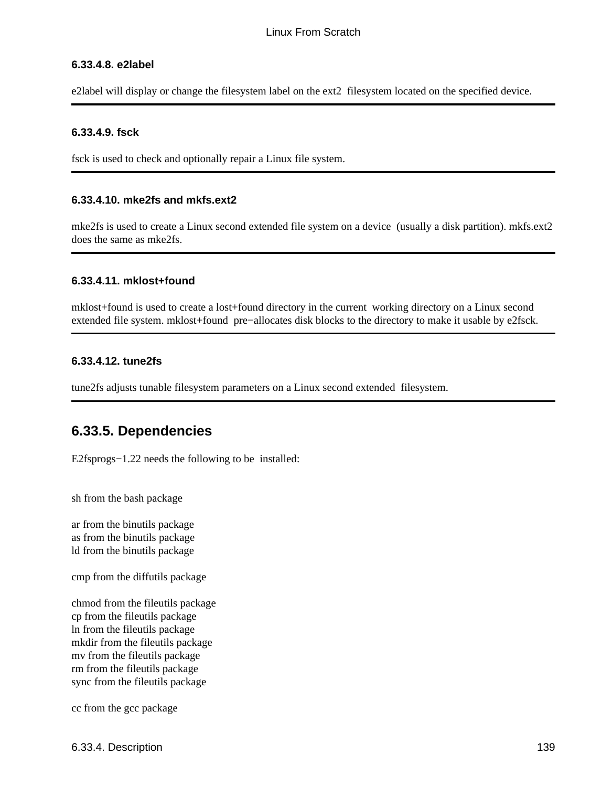### **6.33.4.8. e2label**

e2label will display or change the filesystem label on the ext2 filesystem located on the specified device.

#### **6.33.4.9. fsck**

fsck is used to check and optionally repair a Linux file system.

### **6.33.4.10. mke2fs and mkfs.ext2**

mke2fs is used to create a Linux second extended file system on a device (usually a disk partition). mkfs.ext2 does the same as mke2fs.

### **6.33.4.11. mklost+found**

mklost+found is used to create a lost+found directory in the current working directory on a Linux second extended file system. mklost+found pre−allocates disk blocks to the directory to make it usable by e2fsck.

### **6.33.4.12. tune2fs**

tune2fs adjusts tunable filesystem parameters on a Linux second extended filesystem.

### **6.33.5. Dependencies**

E2fsprogs−1.22 needs the following to be installed:

sh from the bash package

ar from the binutils package as from the binutils package ld from the binutils package

cmp from the diffutils package

chmod from the fileutils package cp from the fileutils package ln from the fileutils package mkdir from the fileutils package mv from the fileutils package rm from the fileutils package sync from the fileutils package

cc from the gcc package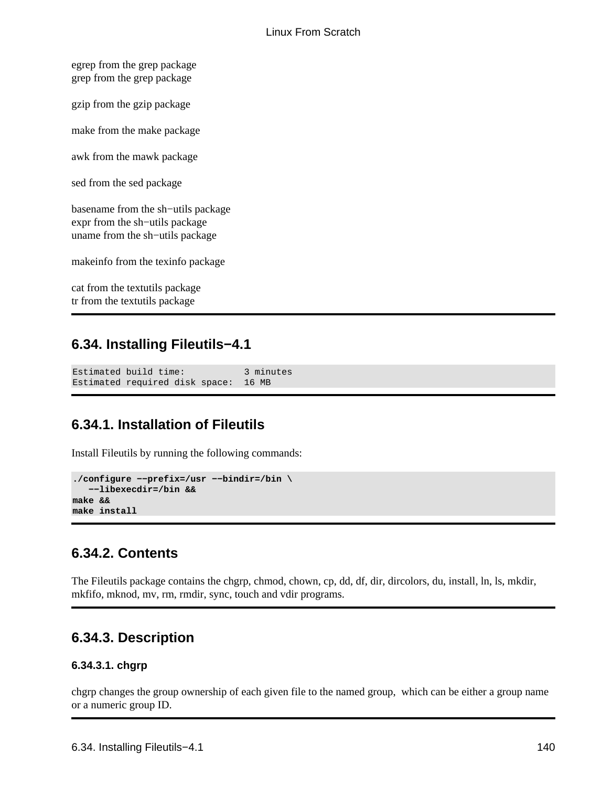egrep from the grep package grep from the grep package

gzip from the gzip package

make from the make package

awk from the mawk package

sed from the sed package

basename from the sh−utils package expr from the sh−utils package uname from the sh−utils package

makeinfo from the texinfo package

cat from the textutils package tr from the textutils package

# **6.34. Installing Fileutils−4.1**

Estimated build time: 3 minutes Estimated required disk space: 16 MB

# **6.34.1. Installation of Fileutils**

Install Fileutils by running the following commands:

```
./configure −−prefix=/usr −−bindir=/bin \
    −−libexecdir=/bin &&
make &&
make install
```
# **6.34.2. Contents**

The Fileutils package contains the chgrp, chmod, chown, cp, dd, df, dir, dircolors, du, install, ln, ls, mkdir, mkfifo, mknod, mv, rm, rmdir, sync, touch and vdir programs.

## **6.34.3. Description**

### **6.34.3.1. chgrp**

chgrp changes the group ownership of each given file to the named group, which can be either a group name or a numeric group ID.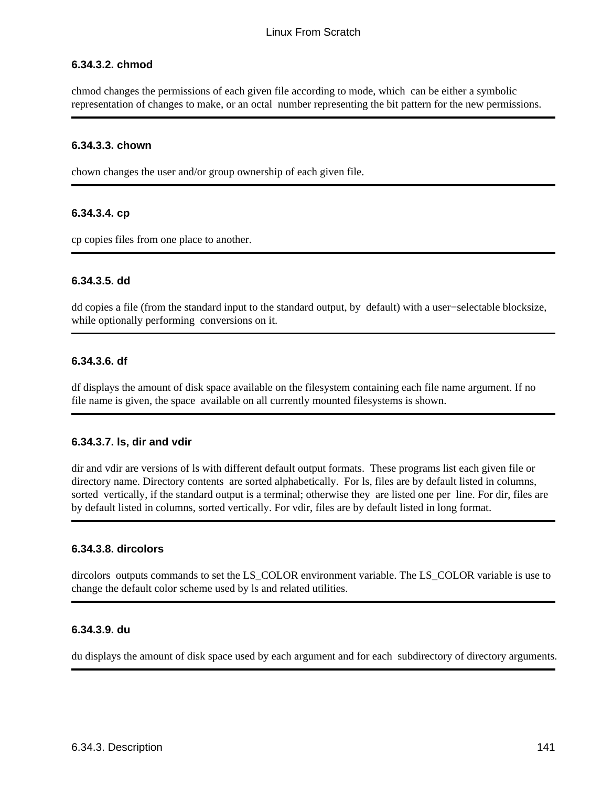### **6.34.3.2. chmod**

chmod changes the permissions of each given file according to mode, which can be either a symbolic representation of changes to make, or an octal number representing the bit pattern for the new permissions.

### **6.34.3.3. chown**

chown changes the user and/or group ownership of each given file.

#### **6.34.3.4. cp**

cp copies files from one place to another.

#### **6.34.3.5. dd**

dd copies a file (from the standard input to the standard output, by default) with a user−selectable blocksize, while optionally performing conversions on it.

#### **6.34.3.6. df**

df displays the amount of disk space available on the filesystem containing each file name argument. If no file name is given, the space available on all currently mounted filesystems is shown.

### **6.34.3.7. ls, dir and vdir**

dir and vdir are versions of ls with different default output formats. These programs list each given file or directory name. Directory contents are sorted alphabetically. For ls, files are by default listed in columns, sorted vertically, if the standard output is a terminal; otherwise they are listed one per line. For dir, files are by default listed in columns, sorted vertically. For vdir, files are by default listed in long format.

#### **6.34.3.8. dircolors**

dircolors outputs commands to set the LS\_COLOR environment variable. The LS\_COLOR variable is use to change the default color scheme used by ls and related utilities.

### **6.34.3.9. du**

du displays the amount of disk space used by each argument and for each subdirectory of directory arguments.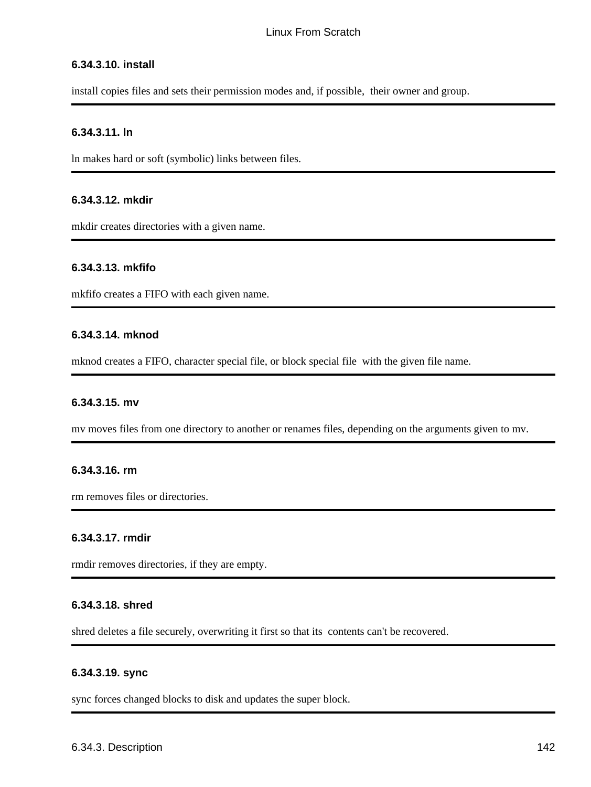### **6.34.3.10. install**

install copies files and sets their permission modes and, if possible, their owner and group.

### **6.34.3.11. ln**

ln makes hard or soft (symbolic) links between files.

#### **6.34.3.12. mkdir**

mkdir creates directories with a given name.

#### **6.34.3.13. mkfifo**

mkfifo creates a FIFO with each given name.

#### **6.34.3.14. mknod**

mknod creates a FIFO, character special file, or block special file with the given file name.

#### **6.34.3.15. mv**

mv moves files from one directory to another or renames files, depending on the arguments given to mv.

#### **6.34.3.16. rm**

rm removes files or directories.

### **6.34.3.17. rmdir**

rmdir removes directories, if they are empty.

#### **6.34.3.18. shred**

shred deletes a file securely, overwriting it first so that its contents can't be recovered.

#### **6.34.3.19. sync**

sync forces changed blocks to disk and updates the super block.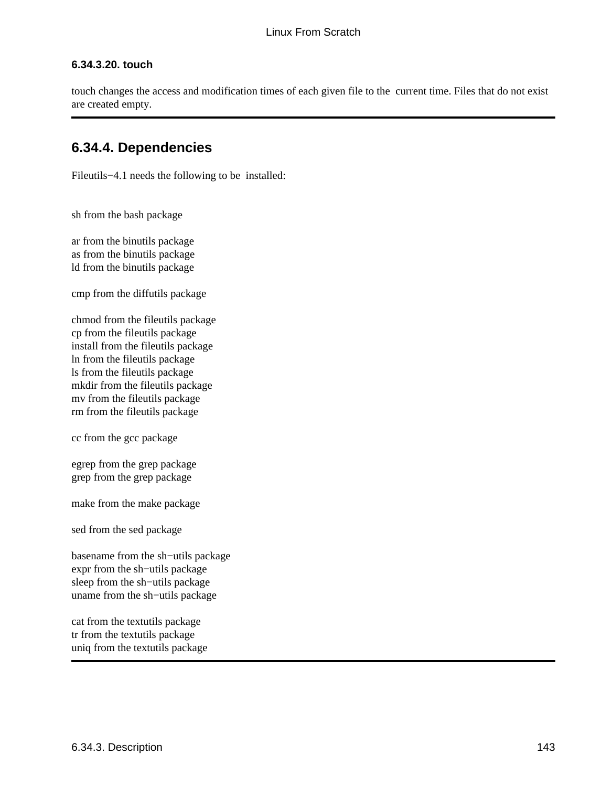### **6.34.3.20. touch**

touch changes the access and modification times of each given file to the current time. Files that do not exist are created empty.

### **6.34.4. Dependencies**

Fileutils−4.1 needs the following to be installed:

sh from the bash package

ar from the binutils package as from the binutils package ld from the binutils package

cmp from the diffutils package

chmod from the fileutils package cp from the fileutils package install from the fileutils package ln from the fileutils package ls from the fileutils package mkdir from the fileutils package mv from the fileutils package rm from the fileutils package

cc from the gcc package

egrep from the grep package grep from the grep package

make from the make package

sed from the sed package

basename from the sh−utils package expr from the sh−utils package sleep from the sh−utils package uname from the sh−utils package

cat from the textutils package tr from the textutils package uniq from the textutils package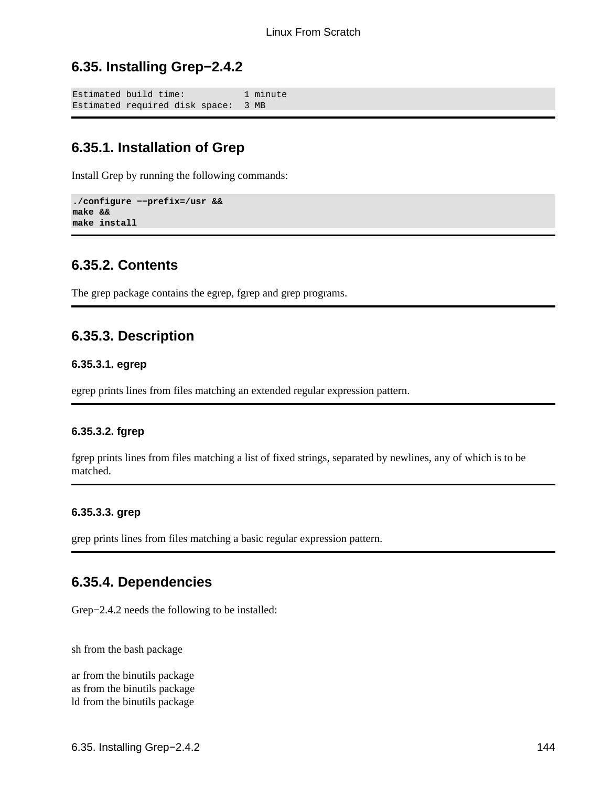### **6.35. Installing Grep−2.4.2**

Estimated build time: 1 minute Estimated required disk space: 3 MB

### **6.35.1. Installation of Grep**

Install Grep by running the following commands:

```
./configure −−prefix=/usr &&
make &&
make install
```
### **6.35.2. Contents**

The grep package contains the egrep, fgrep and grep programs.

### **6.35.3. Description**

#### **6.35.3.1. egrep**

egrep prints lines from files matching an extended regular expression pattern.

### **6.35.3.2. fgrep**

fgrep prints lines from files matching a list of fixed strings, separated by newlines, any of which is to be matched.

### **6.35.3.3. grep**

grep prints lines from files matching a basic regular expression pattern.

### **6.35.4. Dependencies**

Grep−2.4.2 needs the following to be installed:

sh from the bash package

ar from the binutils package as from the binutils package ld from the binutils package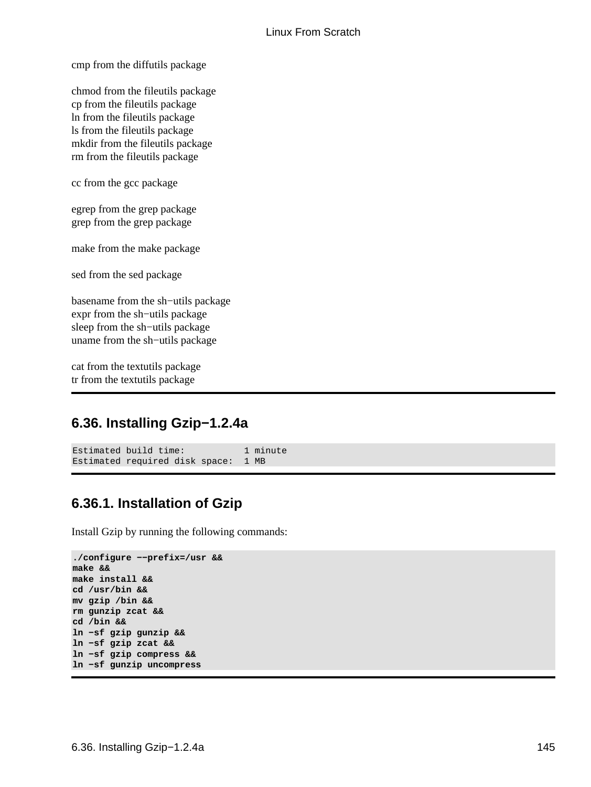### Linux From Scratch

cmp from the diffutils package

chmod from the fileutils package cp from the fileutils package ln from the fileutils package ls from the fileutils package mkdir from the fileutils package rm from the fileutils package

cc from the gcc package

egrep from the grep package grep from the grep package

make from the make package

sed from the sed package

basename from the sh−utils package expr from the sh−utils package sleep from the sh−utils package uname from the sh−utils package

cat from the textutils package tr from the textutils package

### **6.36. Installing Gzip−1.2.4a**

Estimated build time: 1 minute Estimated required disk space: 1 MB

### **6.36.1. Installation of Gzip**

Install Gzip by running the following commands:

```
./configure −−prefix=/usr &&
make &&
make install &&
cd /usr/bin &&
mv gzip /bin &&
rm gunzip zcat &&
cd /bin &&
ln −sf gzip gunzip &&
ln −sf gzip zcat &&
ln −sf gzip compress &&
ln −sf gunzip uncompress
```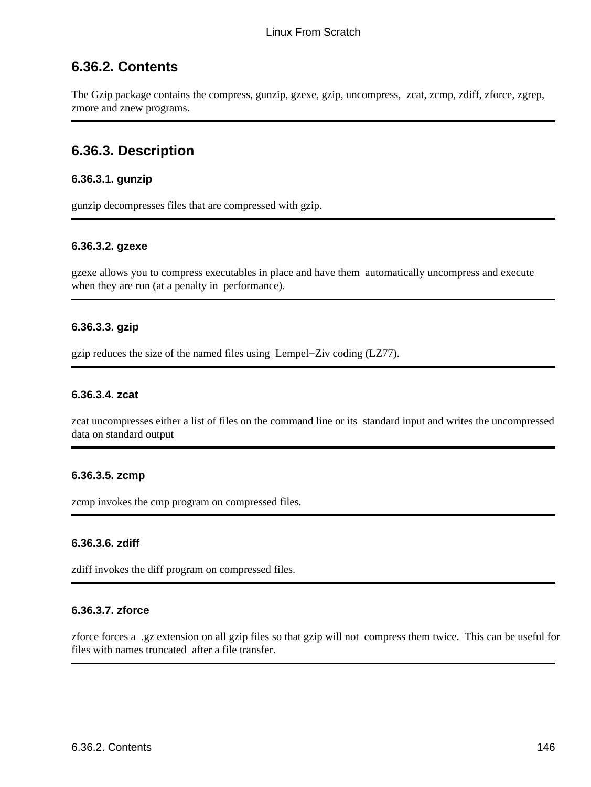### **6.36.2. Contents**

The Gzip package contains the compress, gunzip, gzexe, gzip, uncompress, zcat, zcmp, zdiff, zforce, zgrep, zmore and znew programs.

### **6.36.3. Description**

### **6.36.3.1. gunzip**

gunzip decompresses files that are compressed with gzip.

### **6.36.3.2. gzexe**

gzexe allows you to compress executables in place and have them automatically uncompress and execute when they are run (at a penalty in performance).

### **6.36.3.3. gzip**

gzip reduces the size of the named files using Lempel−Ziv coding (LZ77).

#### **6.36.3.4. zcat**

zcat uncompresses either a list of files on the command line or its standard input and writes the uncompressed data on standard output

### **6.36.3.5. zcmp**

zcmp invokes the cmp program on compressed files.

### **6.36.3.6. zdiff**

zdiff invokes the diff program on compressed files.

#### **6.36.3.7. zforce**

zforce forces a .gz extension on all gzip files so that gzip will not compress them twice. This can be useful for files with names truncated after a file transfer.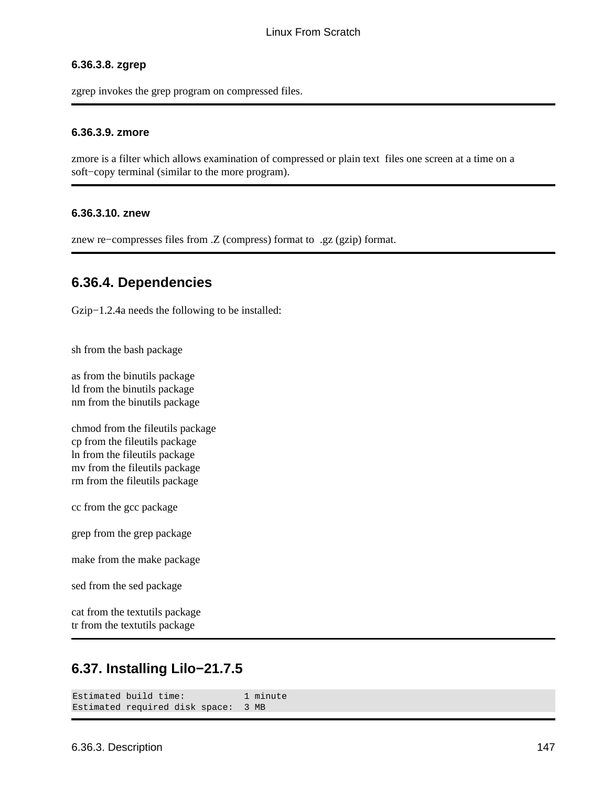### **6.36.3.8. zgrep**

zgrep invokes the grep program on compressed files.

#### **6.36.3.9. zmore**

zmore is a filter which allows examination of compressed or plain text files one screen at a time on a soft−copy terminal (similar to the more program).

#### **6.36.3.10. znew**

znew re−compresses files from .Z (compress) format to .gz (gzip) format.

### **6.36.4. Dependencies**

Gzip−1.2.4a needs the following to be installed:

sh from the bash package

as from the binutils package ld from the binutils package nm from the binutils package

chmod from the fileutils package cp from the fileutils package ln from the fileutils package mv from the fileutils package rm from the fileutils package

cc from the gcc package

grep from the grep package

make from the make package

sed from the sed package

cat from the textutils package tr from the textutils package

## **6.37. Installing Lilo−21.7.5**

Estimated build time: 1 minute Estimated required disk space: 3 MB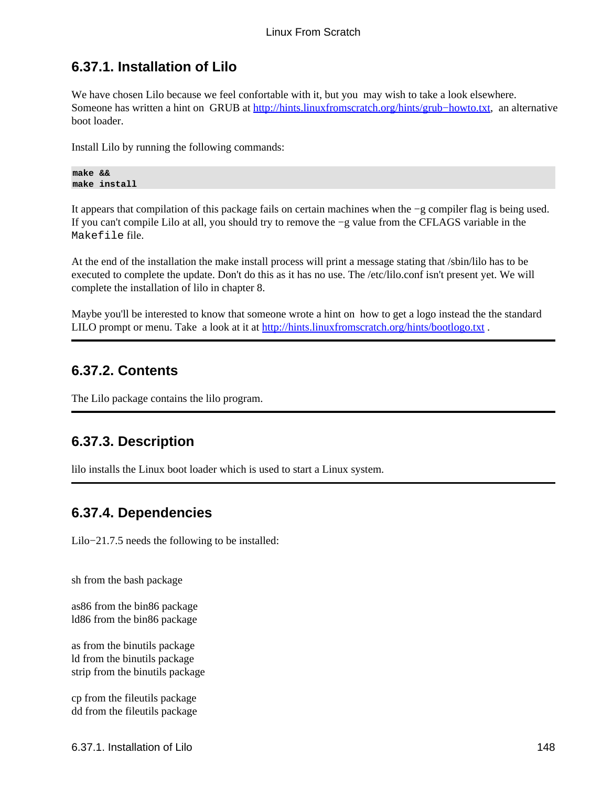# **6.37.1. Installation of Lilo**

We have chosen Lilo because we feel confortable with it, but you may wish to take a look elsewhere. Someone has written a hint on GRUB at [http://hints.linuxfromscratch.org/hints/grub−howto.txt,](http://hints.linuxfromscratch.org/hints/grub-howto.txt) an alternative boot loader.

Install Lilo by running the following commands:

**make && make install**

It appears that compilation of this package fails on certain machines when the −g compiler flag is being used. If you can't compile Lilo at all, you should try to remove the −g value from the CFLAGS variable in the Makefile file.

At the end of the installation the make install process will print a message stating that /sbin/lilo has to be executed to complete the update. Don't do this as it has no use. The /etc/lilo.conf isn't present yet. We will complete the installation of lilo in chapter 8.

Maybe you'll be interested to know that someone wrote a hint on how to get a logo instead the the standard LILO prompt or menu. Take a look at it at <http://hints.linuxfromscratch.org/hints/bootlogo.txt>.

### **6.37.2. Contents**

The Lilo package contains the lilo program.

## **6.37.3. Description**

lilo installs the Linux boot loader which is used to start a Linux system.

## **6.37.4. Dependencies**

Lilo−21.7.5 needs the following to be installed:

sh from the bash package

as86 from the bin86 package ld86 from the bin86 package

as from the binutils package ld from the binutils package strip from the binutils package

cp from the fileutils package dd from the fileutils package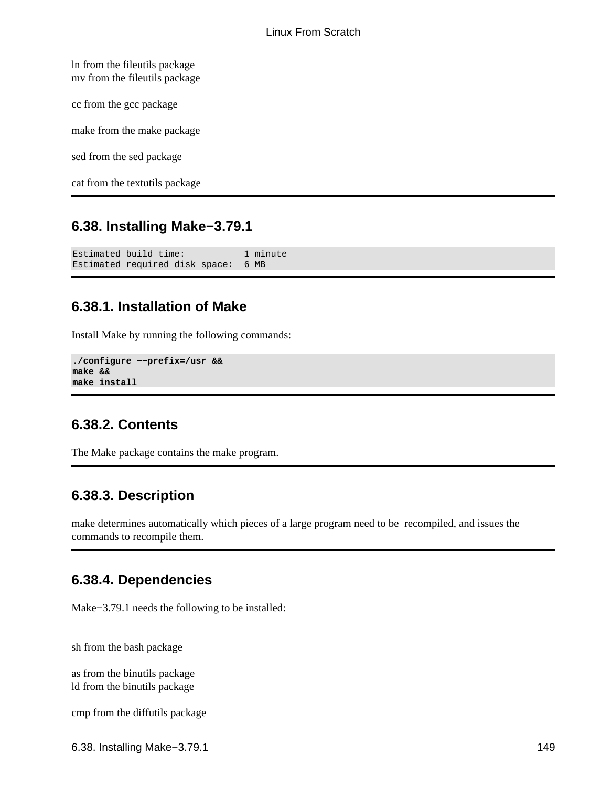ln from the fileutils package mv from the fileutils package

cc from the gcc package

make from the make package

sed from the sed package

cat from the textutils package

## **6.38. Installing Make−3.79.1**

Estimated build time: 1 minute Estimated required disk space: 6 MB

### **6.38.1. Installation of Make**

Install Make by running the following commands:

```
./configure −−prefix=/usr &&
make &&
make install
```
### **6.38.2. Contents**

The Make package contains the make program.

### **6.38.3. Description**

make determines automatically which pieces of a large program need to be recompiled, and issues the commands to recompile them.

### **6.38.4. Dependencies**

Make−3.79.1 needs the following to be installed:

sh from the bash package

as from the binutils package ld from the binutils package

cmp from the diffutils package

6.38. Installing Make−3.79.1 149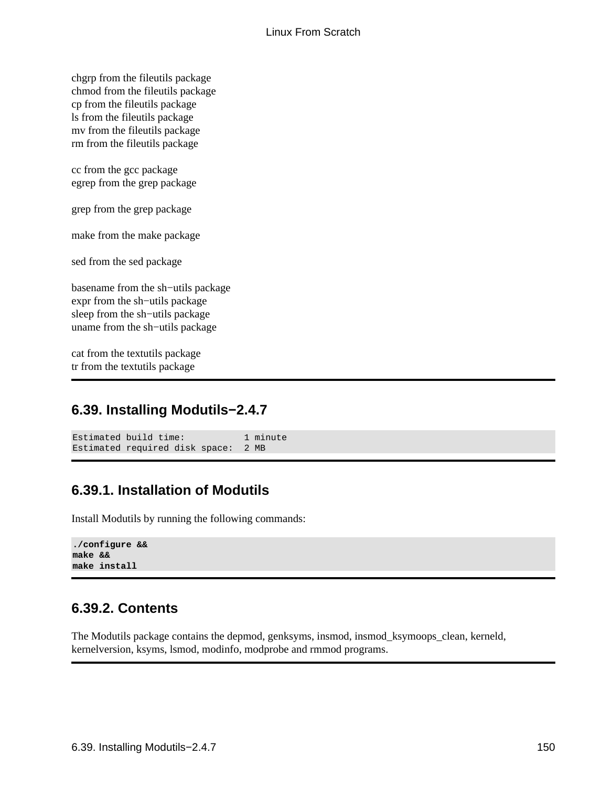### Linux From Scratch

chgrp from the fileutils package chmod from the fileutils package cp from the fileutils package ls from the fileutils package mv from the fileutils package rm from the fileutils package

cc from the gcc package egrep from the grep package

grep from the grep package

make from the make package

sed from the sed package

basename from the sh−utils package expr from the sh−utils package sleep from the sh−utils package uname from the sh−utils package

cat from the textutils package tr from the textutils package

### **6.39. Installing Modutils−2.4.7**

Estimated build time: 1 minute Estimated required disk space: 2 MB

### **6.39.1. Installation of Modutils**

Install Modutils by running the following commands:

```
./configure &&
make &&
make install
```
### **6.39.2. Contents**

The Modutils package contains the depmod, genksyms, insmod, insmod\_ksymoops\_clean, kerneld, kernelversion, ksyms, lsmod, modinfo, modprobe and rmmod programs.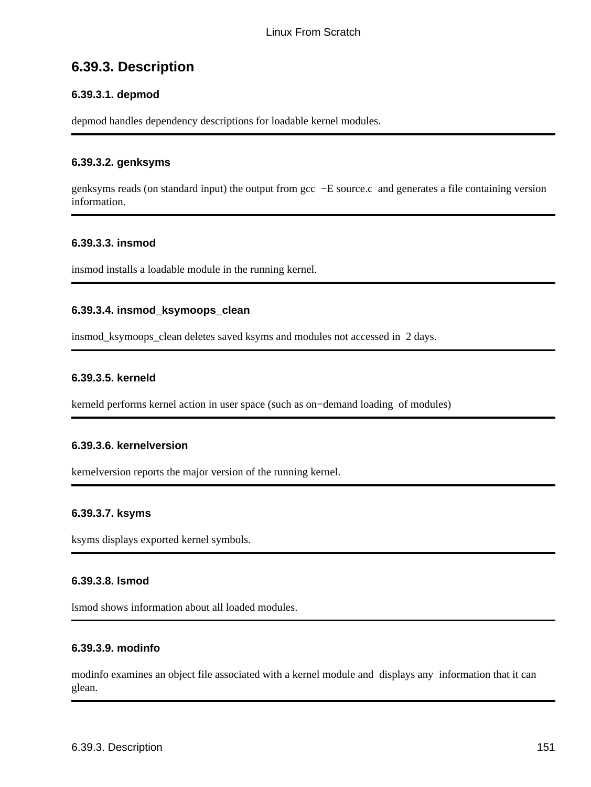# **6.39.3. Description**

### **6.39.3.1. depmod**

depmod handles dependency descriptions for loadable kernel modules.

### **6.39.3.2. genksyms**

genksyms reads (on standard input) the output from gcc –E source.c and generates a file containing version information.

### **6.39.3.3. insmod**

insmod installs a loadable module in the running kernel.

### **6.39.3.4. insmod\_ksymoops\_clean**

insmod\_ksymoops\_clean deletes saved ksyms and modules not accessed in 2 days.

### **6.39.3.5. kerneld**

kerneld performs kernel action in user space (such as on−demand loading of modules)

### **6.39.3.6. kernelversion**

kernelversion reports the major version of the running kernel.

### **6.39.3.7. ksyms**

ksyms displays exported kernel symbols.

### **6.39.3.8. lsmod**

lsmod shows information about all loaded modules.

### **6.39.3.9. modinfo**

modinfo examines an object file associated with a kernel module and displays any information that it can glean.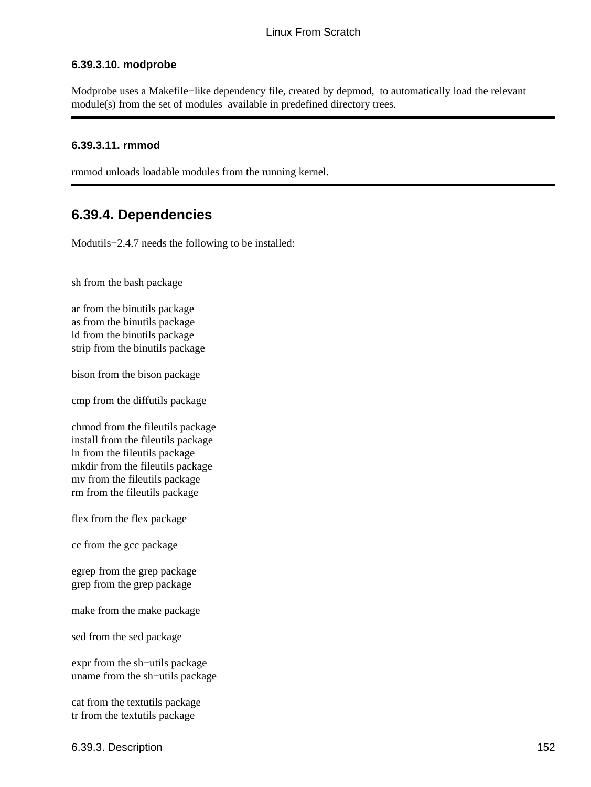### **6.39.3.10. modprobe**

Modprobe uses a Makefile−like dependency file, created by depmod, to automatically load the relevant module(s) from the set of modules available in predefined directory trees.

### **6.39.3.11. rmmod**

rmmod unloads loadable modules from the running kernel.

### **6.39.4. Dependencies**

Modutils−2.4.7 needs the following to be installed:

sh from the bash package

ar from the binutils package as from the binutils package ld from the binutils package strip from the binutils package

bison from the bison package

cmp from the diffutils package

chmod from the fileutils package install from the fileutils package ln from the fileutils package mkdir from the fileutils package mv from the fileutils package rm from the fileutils package

flex from the flex package

cc from the gcc package

egrep from the grep package grep from the grep package

make from the make package

sed from the sed package

expr from the sh−utils package uname from the sh−utils package

cat from the textutils package tr from the textutils package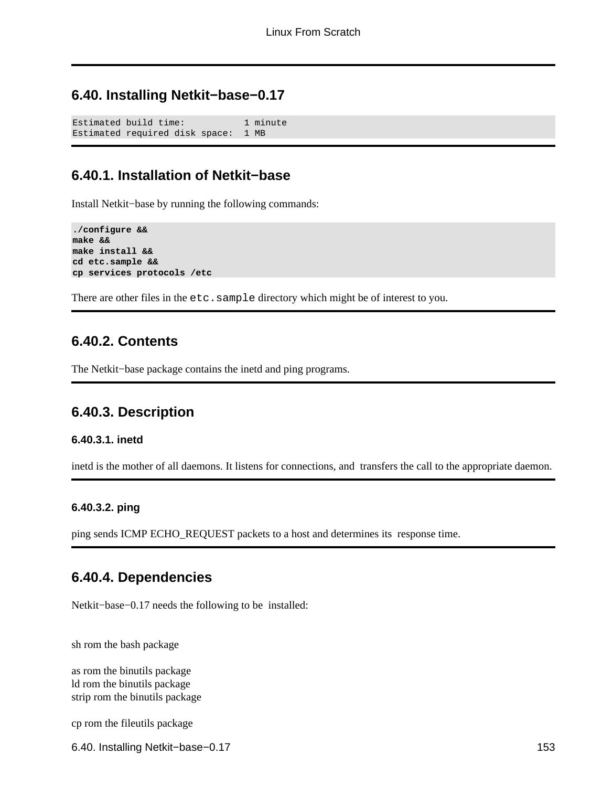### **6.40. Installing Netkit−base−0.17**

Estimated build time: 1 minute Estimated required disk space: 1 MB

### **6.40.1. Installation of Netkit−base**

Install Netkit−base by running the following commands:

```
./configure &&
make &&
make install &&
cd etc.sample &&
cp services protocols /etc
```
There are other files in the etc.sample directory which might be of interest to you.

### **6.40.2. Contents**

The Netkit−base package contains the inetd and ping programs.

### **6.40.3. Description**

#### **6.40.3.1. inetd**

inetd is the mother of all daemons. It listens for connections, and transfers the call to the appropriate daemon.

### **6.40.3.2. ping**

ping sends ICMP ECHO\_REQUEST packets to a host and determines its response time.

### **6.40.4. Dependencies**

Netkit−base−0.17 needs the following to be installed:

sh rom the bash package

as rom the binutils package ld rom the binutils package strip rom the binutils package

cp rom the fileutils package

6.40. Installing Netkit−base−0.17 153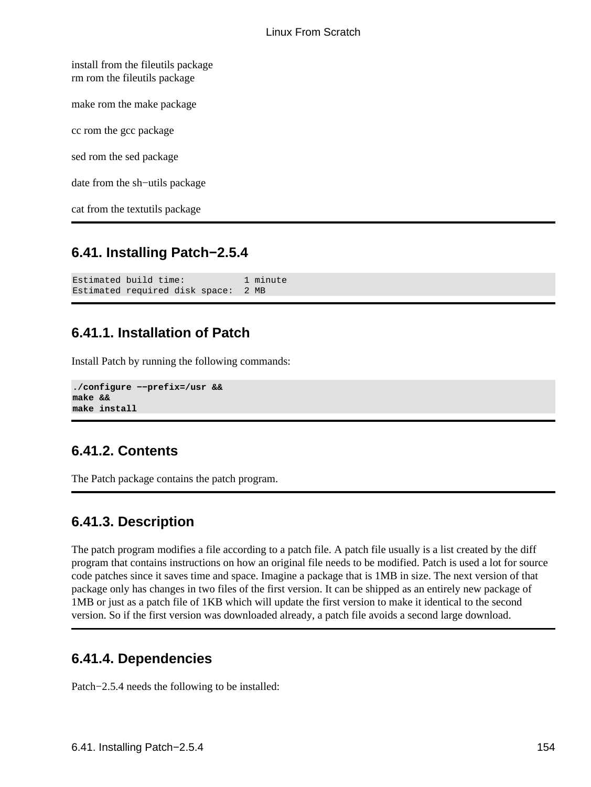install from the fileutils package rm rom the fileutils package

make rom the make package

cc rom the gcc package

sed rom the sed package

date from the sh−utils package

cat from the textutils package

### **6.41. Installing Patch−2.5.4**

Estimated build time: 1 minute Estimated required disk space: 2 MB

## **6.41.1. Installation of Patch**

Install Patch by running the following commands:

```
./configure −−prefix=/usr &&
make &&
make install
```
### **6.41.2. Contents**

The Patch package contains the patch program.

### **6.41.3. Description**

The patch program modifies a file according to a patch file. A patch file usually is a list created by the diff program that contains instructions on how an original file needs to be modified. Patch is used a lot for source code patches since it saves time and space. Imagine a package that is 1MB in size. The next version of that package only has changes in two files of the first version. It can be shipped as an entirely new package of 1MB or just as a patch file of 1KB which will update the first version to make it identical to the second version. So if the first version was downloaded already, a patch file avoids a second large download.

### **6.41.4. Dependencies**

Patch−2.5.4 needs the following to be installed: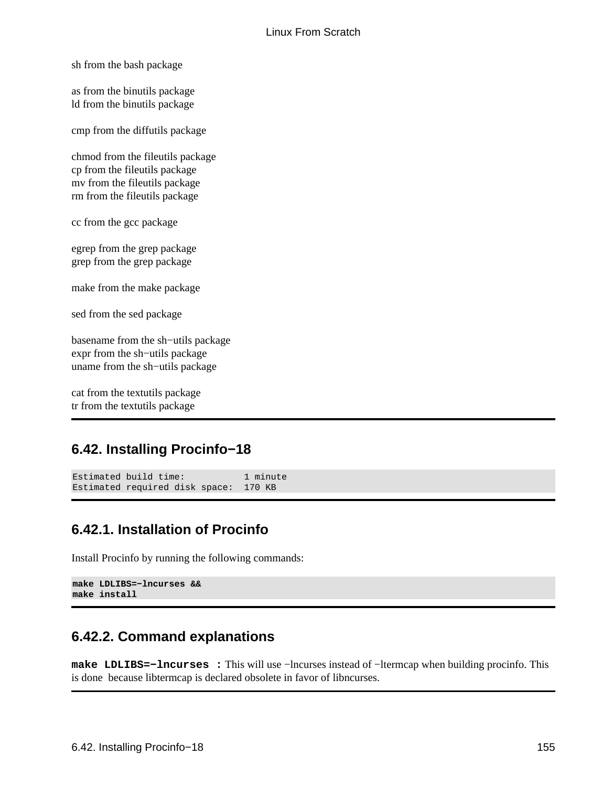sh from the bash package

as from the binutils package ld from the binutils package

cmp from the diffutils package

chmod from the fileutils package cp from the fileutils package mv from the fileutils package rm from the fileutils package

cc from the gcc package

egrep from the grep package grep from the grep package

make from the make package

sed from the sed package

basename from the sh−utils package expr from the sh−utils package uname from the sh−utils package

cat from the textutils package tr from the textutils package

## **6.42. Installing Procinfo−18**

Estimated build time: 1 minute Estimated required disk space: 170 KB

# **6.42.1. Installation of Procinfo**

Install Procinfo by running the following commands:

```
make LDLIBS=−lncurses &&
make install
```
## **6.42.2. Command explanations**

**make LDLIBS=−lncurses :** This will use −lncurses instead of −ltermcap when building procinfo. This is done because libtermcap is declared obsolete in favor of libncurses.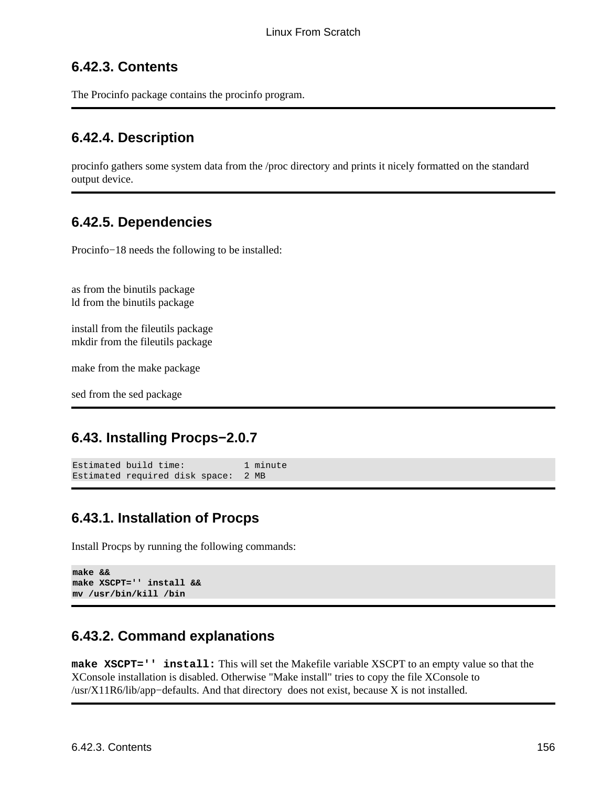### **6.42.3. Contents**

The Procinfo package contains the procinfo program.

### **6.42.4. Description**

procinfo gathers some system data from the /proc directory and prints it nicely formatted on the standard output device.

### **6.42.5. Dependencies**

Procinfo−18 needs the following to be installed:

as from the binutils package ld from the binutils package

install from the fileutils package mkdir from the fileutils package

make from the make package

sed from the sed package

### **6.43. Installing Procps−2.0.7**

Estimated build time: 1 minute Estimated required disk space: 2 MB

### **6.43.1. Installation of Procps**

Install Procps by running the following commands:

```
make &&
make XSCPT='' install &&
mv /usr/bin/kill /bin
```
### **6.43.2. Command explanations**

**make XSCPT='' install:** This will set the Makefile variable XSCPT to an empty value so that the XConsole installation is disabled. Otherwise "Make install" tries to copy the file XConsole to /usr/X11R6/lib/app−defaults. And that directory does not exist, because X is not installed.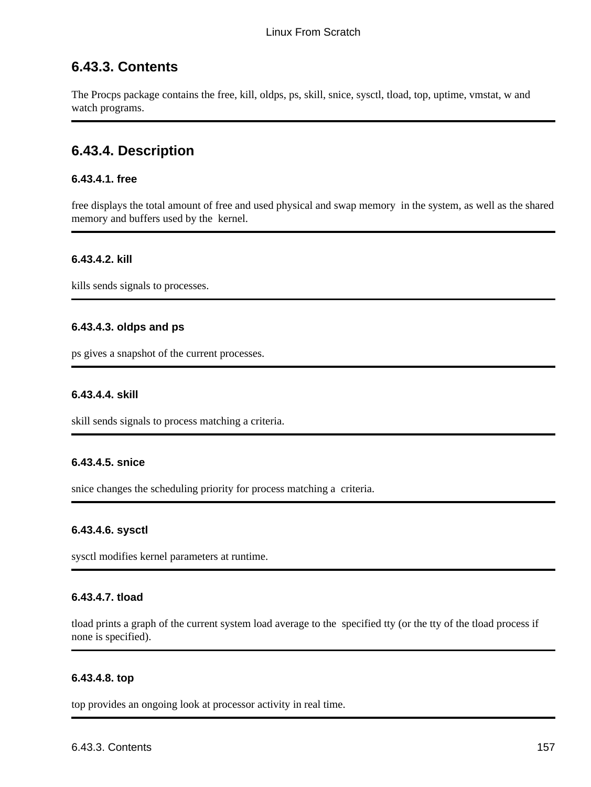## **6.43.3. Contents**

The Procps package contains the free, kill, oldps, ps, skill, snice, sysctl, tload, top, uptime, vmstat, w and watch programs.

## **6.43.4. Description**

### **6.43.4.1. free**

free displays the total amount of free and used physical and swap memory in the system, as well as the shared memory and buffers used by the kernel.

### **6.43.4.2. kill**

kills sends signals to processes.

### **6.43.4.3. oldps and ps**

ps gives a snapshot of the current processes.

### **6.43.4.4. skill**

skill sends signals to process matching a criteria.

### **6.43.4.5. snice**

snice changes the scheduling priority for process matching a criteria.

### **6.43.4.6. sysctl**

sysctl modifies kernel parameters at runtime.

### **6.43.4.7. tload**

tload prints a graph of the current system load average to the specified tty (or the tty of the tload process if none is specified).

### **6.43.4.8. top**

top provides an ongoing look at processor activity in real time.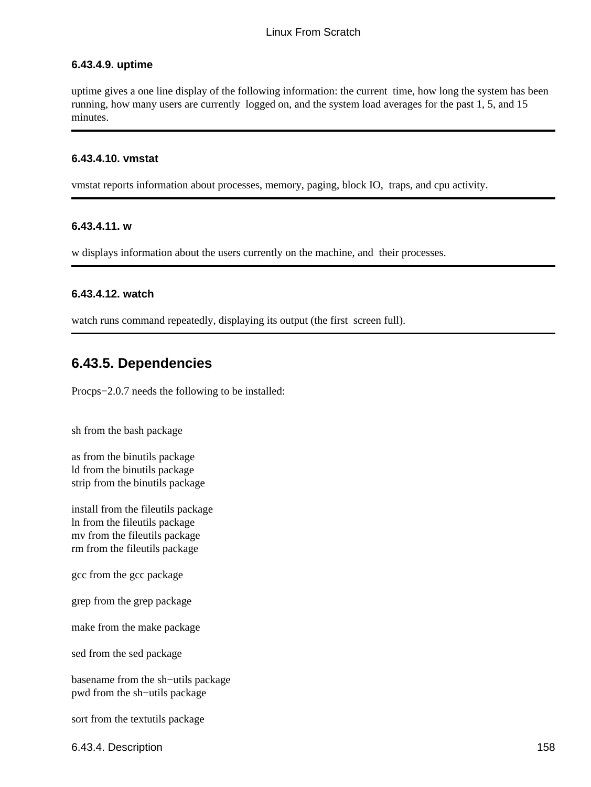### Linux From Scratch

### **6.43.4.9. uptime**

uptime gives a one line display of the following information: the current time, how long the system has been running, how many users are currently logged on, and the system load averages for the past 1, 5, and 15 minutes.

### **6.43.4.10. vmstat**

vmstat reports information about processes, memory, paging, block IO, traps, and cpu activity.

### **6.43.4.11. w**

w displays information about the users currently on the machine, and their processes.

#### **6.43.4.12. watch**

watch runs command repeatedly, displaying its output (the first screen full).

### **6.43.5. Dependencies**

Procps−2.0.7 needs the following to be installed:

sh from the bash package

as from the binutils package ld from the binutils package strip from the binutils package

install from the fileutils package ln from the fileutils package mv from the fileutils package rm from the fileutils package

gcc from the gcc package

grep from the grep package

make from the make package

sed from the sed package

basename from the sh−utils package pwd from the sh−utils package

sort from the textutils package

6.43.4. Description 158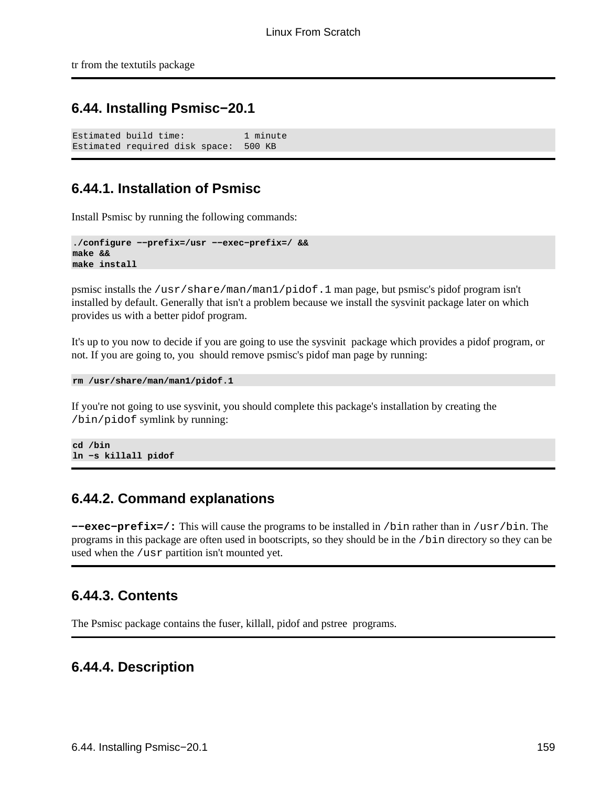tr from the textutils package

### **6.44. Installing Psmisc−20.1**

```
Estimated build time: 1 minute
Estimated required disk space: 500 KB
```
### **6.44.1. Installation of Psmisc**

Install Psmisc by running the following commands:

```
./configure −−prefix=/usr −−exec−prefix=/ &&
make &&
make install
```
psmisc installs the /usr/share/man/man1/pidof.1 man page, but psmisc's pidof program isn't installed by default. Generally that isn't a problem because we install the sysvinit package later on which provides us with a better pidof program.

It's up to you now to decide if you are going to use the sysvinit package which provides a pidof program, or not. If you are going to, you should remove psmisc's pidof man page by running:

```
rm /usr/share/man/man1/pidof.1
```
If you're not going to use sysvinit, you should complete this package's installation by creating the /bin/pidof symlink by running:

**cd /bin ln −s killall pidof**

### **6.44.2. Command explanations**

**−−exec−prefix=/:** This will cause the programs to be installed in /bin rather than in /usr/bin. The programs in this package are often used in bootscripts, so they should be in the /bin directory so they can be used when the /usr partition isn't mounted yet.

### **6.44.3. Contents**

The Psmisc package contains the fuser, killall, pidof and pstree programs.

### **6.44.4. Description**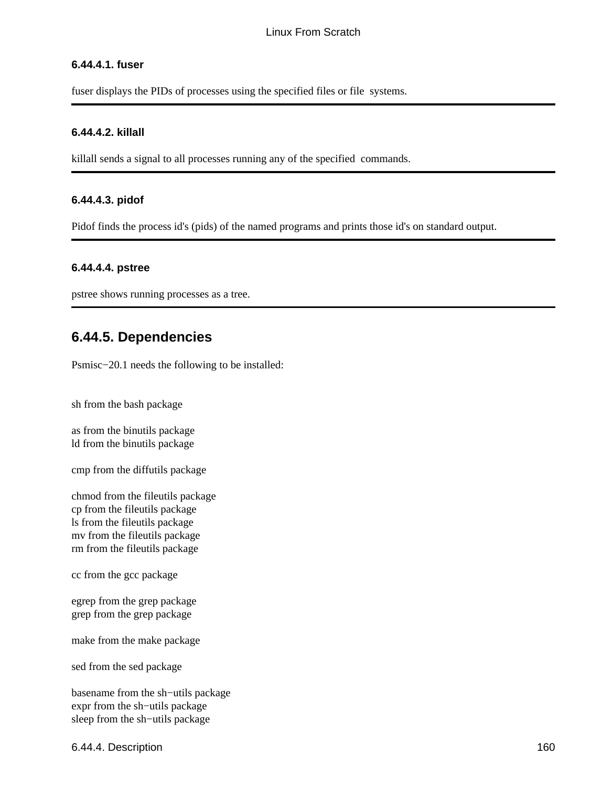### **6.44.4.1. fuser**

fuser displays the PIDs of processes using the specified files or file systems.

### **6.44.4.2. killall**

killall sends a signal to all processes running any of the specified commands.

### **6.44.4.3. pidof**

Pidof finds the process id's (pids) of the named programs and prints those id's on standard output.

#### **6.44.4.4. pstree**

pstree shows running processes as a tree.

### **6.44.5. Dependencies**

Psmisc−20.1 needs the following to be installed:

sh from the bash package

as from the binutils package ld from the binutils package

cmp from the diffutils package

chmod from the fileutils package cp from the fileutils package ls from the fileutils package mv from the fileutils package rm from the fileutils package

cc from the gcc package

egrep from the grep package grep from the grep package

make from the make package

sed from the sed package

basename from the sh−utils package expr from the sh−utils package sleep from the sh−utils package

6.44.4. Description 160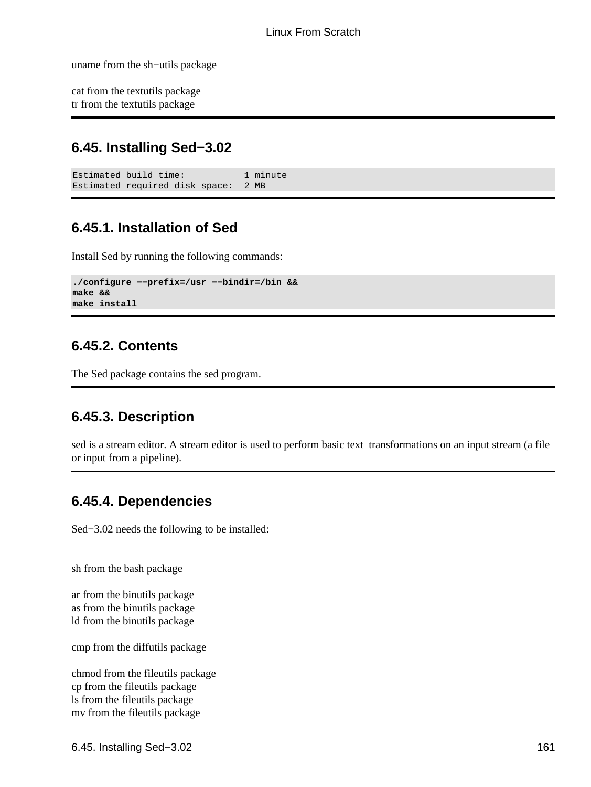uname from the sh−utils package

cat from the textutils package tr from the textutils package

# **6.45. Installing Sed−3.02**

Estimated build time: 1 minute Estimated required disk space: 2 MB

# **6.45.1. Installation of Sed**

Install Sed by running the following commands:

```
./configure −−prefix=/usr −−bindir=/bin &&
make &&
make install
```
# **6.45.2. Contents**

The Sed package contains the sed program.

## **6.45.3. Description**

sed is a stream editor. A stream editor is used to perform basic text transformations on an input stream (a file or input from a pipeline).

## **6.45.4. Dependencies**

Sed−3.02 needs the following to be installed:

sh from the bash package

ar from the binutils package as from the binutils package ld from the binutils package

cmp from the diffutils package

chmod from the fileutils package cp from the fileutils package ls from the fileutils package mv from the fileutils package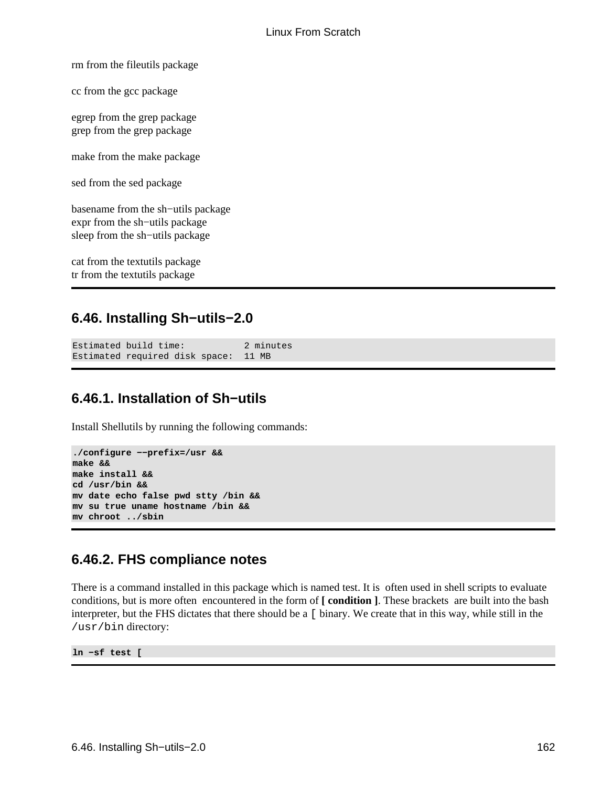rm from the fileutils package

cc from the gcc package

egrep from the grep package grep from the grep package

make from the make package

sed from the sed package

basename from the sh−utils package expr from the sh−utils package sleep from the sh−utils package

cat from the textutils package tr from the textutils package

## **6.46. Installing Sh−utils−2.0**

Estimated build time: 2 minutes Estimated required disk space: 11 MB

# **6.46.1. Installation of Sh−utils**

Install Shellutils by running the following commands:

```
./configure −−prefix=/usr &&
make &&
make install &&
cd /usr/bin &&
mv date echo false pwd stty /bin &&
mv su true uname hostname /bin &&
mv chroot ../sbin
```
### **6.46.2. FHS compliance notes**

There is a command installed in this package which is named test. It is often used in shell scripts to evaluate conditions, but is more often encountered in the form of **[ condition ]**. These brackets are built into the bash interpreter, but the FHS dictates that there should be a [ binary. We create that in this way, while still in the /usr/bin directory:

**ln −sf test [**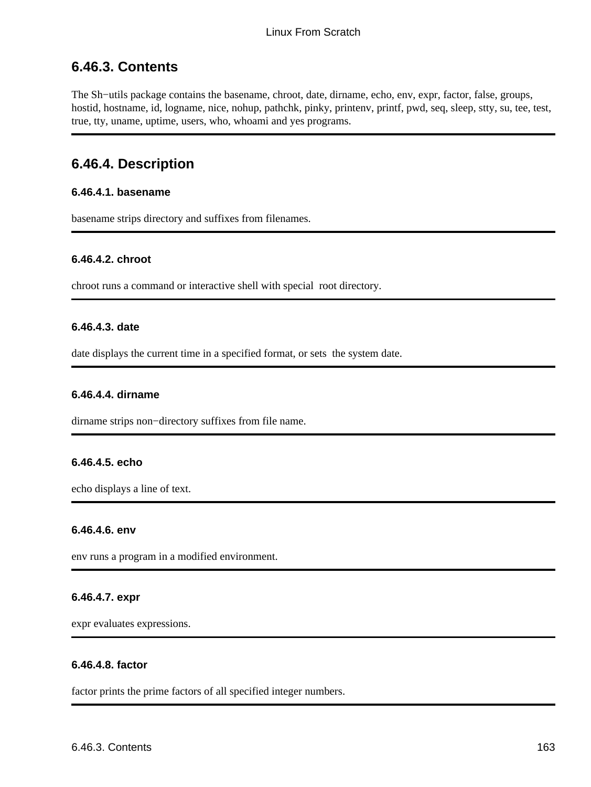# **6.46.3. Contents**

The Sh−utils package contains the basename, chroot, date, dirname, echo, env, expr, factor, false, groups, hostid, hostname, id, logname, nice, nohup, pathchk, pinky, printenv, printf, pwd, seq, sleep, stty, su, tee, test, true, tty, uname, uptime, users, who, whoami and yes programs.

# **6.46.4. Description**

### **6.46.4.1. basename**

basename strips directory and suffixes from filenames.

# **6.46.4.2. chroot**

chroot runs a command or interactive shell with special root directory.

### **6.46.4.3. date**

date displays the current time in a specified format, or sets the system date.

## **6.46.4.4. dirname**

dirname strips non−directory suffixes from file name.

### **6.46.4.5. echo**

echo displays a line of text.

### **6.46.4.6. env**

env runs a program in a modified environment.

### **6.46.4.7. expr**

expr evaluates expressions.

### **6.46.4.8. factor**

factor prints the prime factors of all specified integer numbers.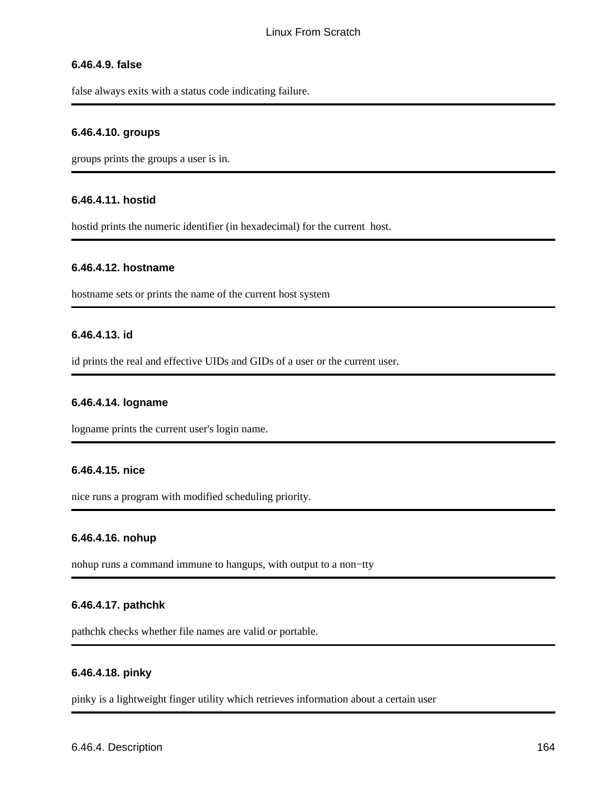### **6.46.4.9. false**

false always exits with a status code indicating failure.

#### **6.46.4.10. groups**

groups prints the groups a user is in.

### **6.46.4.11. hostid**

hostid prints the numeric identifier (in hexadecimal) for the current host.

#### **6.46.4.12. hostname**

hostname sets or prints the name of the current host system

### **6.46.4.13. id**

id prints the real and effective UIDs and GIDs of a user or the current user.

#### **6.46.4.14. logname**

logname prints the current user's login name.

#### **6.46.4.15. nice**

nice runs a program with modified scheduling priority.

#### **6.46.4.16. nohup**

nohup runs a command immune to hangups, with output to a non−tty

### **6.46.4.17. pathchk**

pathchk checks whether file names are valid or portable.

# **6.46.4.18. pinky**

pinky is a lightweight finger utility which retrieves information about a certain user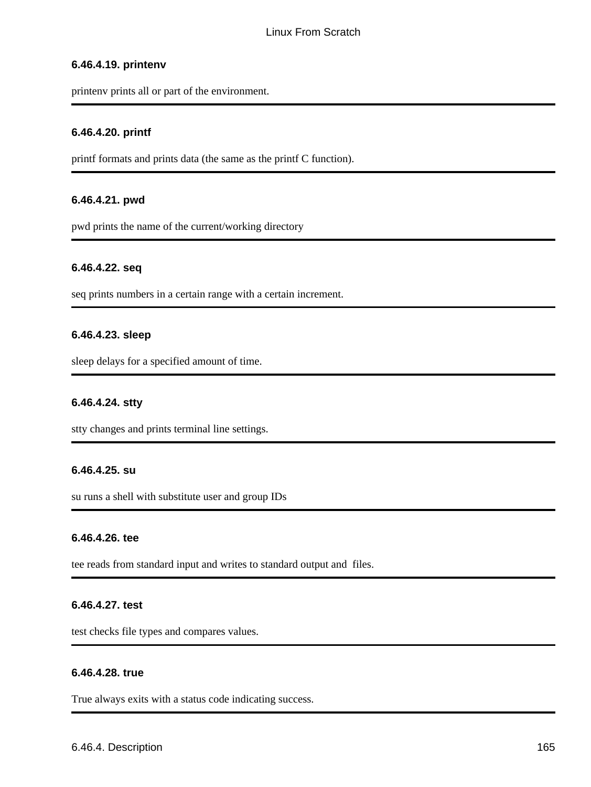### **6.46.4.19. printenv**

printenv prints all or part of the environment.

#### **6.46.4.20. printf**

printf formats and prints data (the same as the printf C function).

#### **6.46.4.21. pwd**

pwd prints the name of the current/working directory

### **6.46.4.22. seq**

seq prints numbers in a certain range with a certain increment.

#### **6.46.4.23. sleep**

sleep delays for a specified amount of time.

#### **6.46.4.24. stty**

stty changes and prints terminal line settings.

### **6.46.4.25. su**

su runs a shell with substitute user and group IDs

#### **6.46.4.26. tee**

tee reads from standard input and writes to standard output and files.

#### **6.46.4.27. test**

test checks file types and compares values.

# **6.46.4.28. true**

True always exits with a status code indicating success.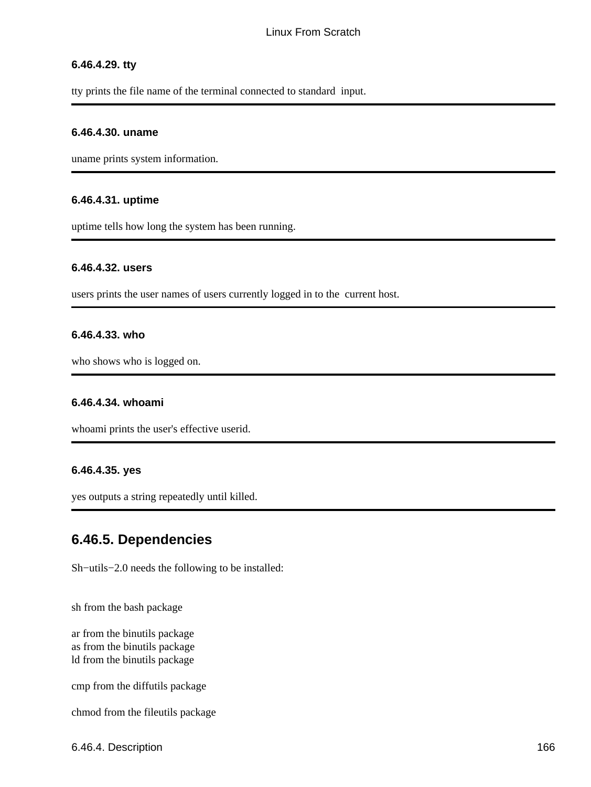### **6.46.4.29. tty**

tty prints the file name of the terminal connected to standard input.

### **6.46.4.30. uname**

uname prints system information.

#### **6.46.4.31. uptime**

uptime tells how long the system has been running.

#### **6.46.4.32. users**

users prints the user names of users currently logged in to the current host.

#### **6.46.4.33. who**

who shows who is logged on.

#### **6.46.4.34. whoami**

whoami prints the user's effective userid.

### **6.46.4.35. yes**

yes outputs a string repeatedly until killed.

# **6.46.5. Dependencies**

Sh−utils−2.0 needs the following to be installed:

sh from the bash package

ar from the binutils package as from the binutils package ld from the binutils package

cmp from the diffutils package

chmod from the fileutils package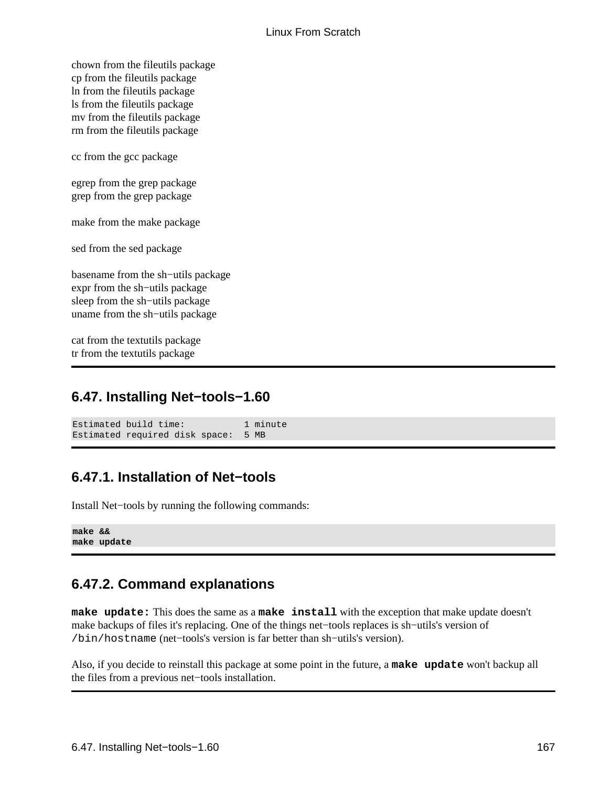### Linux From Scratch

chown from the fileutils package cp from the fileutils package ln from the fileutils package ls from the fileutils package mv from the fileutils package rm from the fileutils package

cc from the gcc package

egrep from the grep package grep from the grep package

make from the make package

sed from the sed package

basename from the sh−utils package expr from the sh−utils package sleep from the sh−utils package uname from the sh−utils package

cat from the textutils package tr from the textutils package

# **6.47. Installing Net−tools−1.60**

Estimated build time: 1 minute Estimated required disk space: 5 MB

# **6.47.1. Installation of Net−tools**

Install Net−tools by running the following commands:

**make && make update**

# **6.47.2. Command explanations**

**make update:** This does the same as a **make install** with the exception that make update doesn't make backups of files it's replacing. One of the things net−tools replaces is sh−utils's version of /bin/hostname (net−tools's version is far better than sh−utils's version).

Also, if you decide to reinstall this package at some point in the future, a **make update** won't backup all the files from a previous net−tools installation.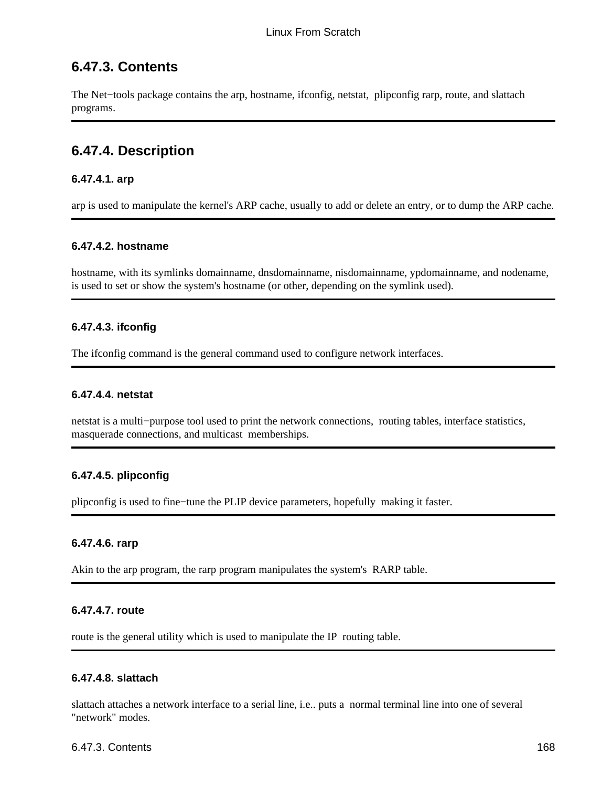# **6.47.3. Contents**

The Net−tools package contains the arp, hostname, ifconfig, netstat, plipconfig rarp, route, and slattach programs.

# **6.47.4. Description**

### **6.47.4.1. arp**

arp is used to manipulate the kernel's ARP cache, usually to add or delete an entry, or to dump the ARP cache.

## **6.47.4.2. hostname**

hostname, with its symlinks domainname, dnsdomainname, nisdomainname, ypdomainname, and nodename, is used to set or show the system's hostname (or other, depending on the symlink used).

### **6.47.4.3. ifconfig**

The ifconfig command is the general command used to configure network interfaces.

### **6.47.4.4. netstat**

netstat is a multi−purpose tool used to print the network connections, routing tables, interface statistics, masquerade connections, and multicast memberships.

### **6.47.4.5. plipconfig**

plipconfig is used to fine−tune the PLIP device parameters, hopefully making it faster.

#### **6.47.4.6. rarp**

Akin to the arp program, the rarp program manipulates the system's RARP table.

#### **6.47.4.7. route**

route is the general utility which is used to manipulate the IP routing table.

## **6.47.4.8. slattach**

slattach attaches a network interface to a serial line, i.e.. puts a normal terminal line into one of several "network" modes.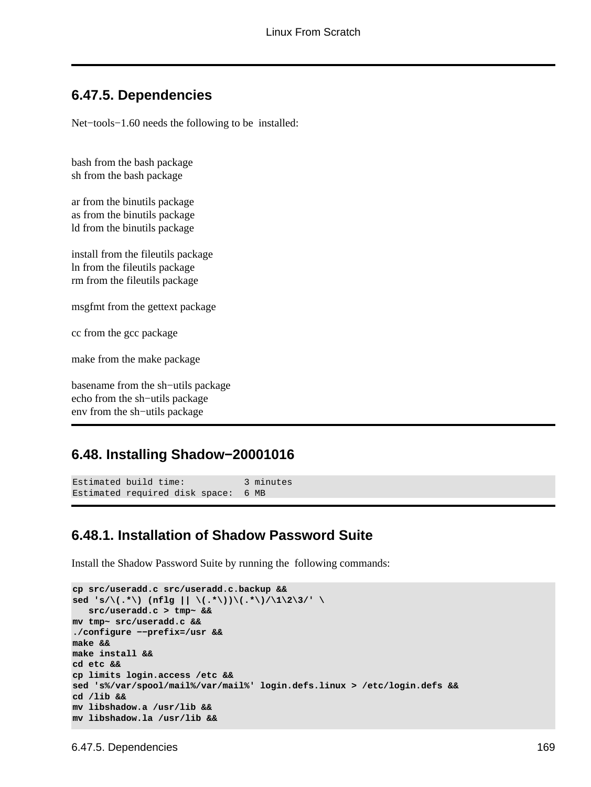# **6.47.5. Dependencies**

Net−tools−1.60 needs the following to be installed:

bash from the bash package sh from the bash package

ar from the binutils package as from the binutils package ld from the binutils package

install from the fileutils package ln from the fileutils package rm from the fileutils package

msgfmt from the gettext package

cc from the gcc package

make from the make package

basename from the sh−utils package echo from the sh−utils package env from the sh−utils package

# **6.48. Installing Shadow−20001016**

Estimated build time: 3 minutes Estimated required disk space: 6 MB

# **6.48.1. Installation of Shadow Password Suite**

Install the Shadow Password Suite by running the following commands:

```
cp src/useradd.c src/useradd.c.backup &&
sed 's/\(.*\) (nflg || \ \( (.*\) )\ (.*\) / \ src/useradd.c > tmp~ &&
mv tmp~ src/useradd.c &&
./configure −−prefix=/usr &&
make &&
make install &&
cd etc &&
cp limits login.access /etc &&
sed 's%/var/spool/mail%/var/mail%' login.defs.linux > /etc/login.defs &&
cd /lib &&
mv libshadow.a /usr/lib &&
mv libshadow.la /usr/lib &&
```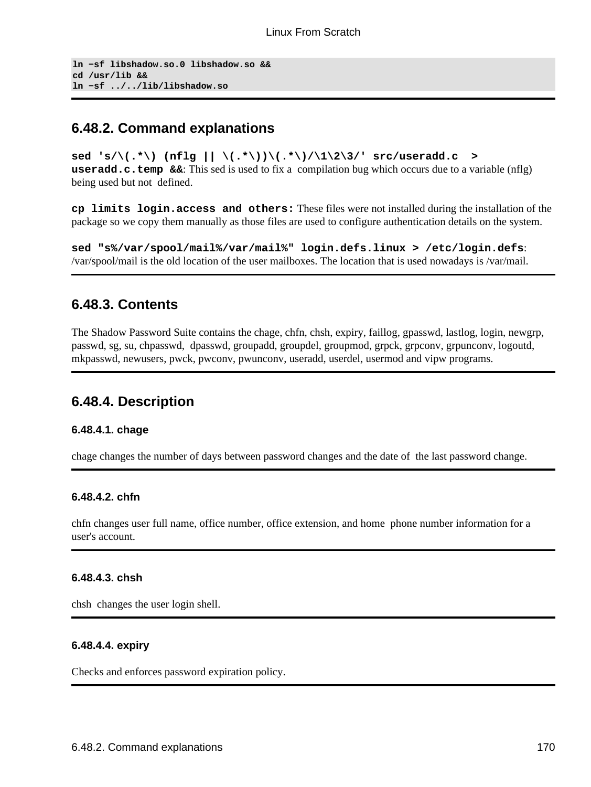```
ln −sf libshadow.so.0 libshadow.so &&
cd /usr/lib &&
ln −sf ../../lib/libshadow.so
```
# **6.48.2. Command explanations**

**sed 's/\(.\*\) (nflg || \(.\*\))\(.\*\)/\1\2\3/' src/useradd.c > useradd.c.temp &&**: This sed is used to fix a compilation bug which occurs due to a variable (nflg) being used but not defined.

**cp limits login.access and others:** These files were not installed during the installation of the package so we copy them manually as those files are used to configure authentication details on the system.

**sed "s%/var/spool/mail%/var/mail%" login.defs.linux > /etc/login.defs**: /var/spool/mail is the old location of the user mailboxes. The location that is used nowadays is /var/mail.

# **6.48.3. Contents**

The Shadow Password Suite contains the chage, chfn, chsh, expiry, faillog, gpasswd, lastlog, login, newgrp, passwd, sg, su, chpasswd, dpasswd, groupadd, groupdel, groupmod, grpck, grpconv, grpunconv, logoutd, mkpasswd, newusers, pwck, pwconv, pwunconv, useradd, userdel, usermod and vipw programs.

# **6.48.4. Description**

#### **6.48.4.1. chage**

chage changes the number of days between password changes and the date of the last password change.

#### **6.48.4.2. chfn**

chfn changes user full name, office number, office extension, and home phone number information for a user's account.

#### **6.48.4.3. chsh**

chsh changes the user login shell.

#### **6.48.4.4. expiry**

Checks and enforces password expiration policy.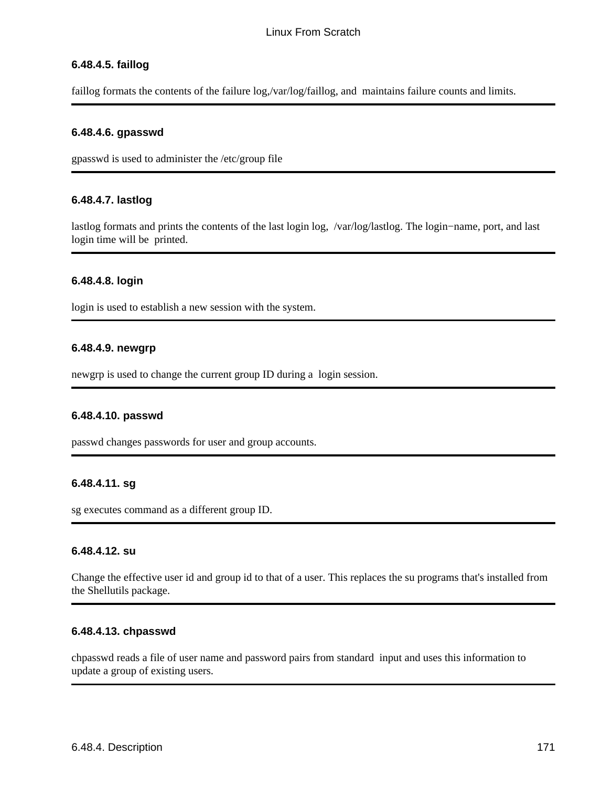### **6.48.4.5. faillog**

faillog formats the contents of the failure log,/var/log/faillog, and maintains failure counts and limits.

### **6.48.4.6. gpasswd**

gpasswd is used to administer the /etc/group file

#### **6.48.4.7. lastlog**

lastlog formats and prints the contents of the last login log, /var/log/lastlog. The login−name, port, and last login time will be printed.

#### **6.48.4.8. login**

login is used to establish a new session with the system.

#### **6.48.4.9. newgrp**

newgrp is used to change the current group ID during a login session.

#### **6.48.4.10. passwd**

passwd changes passwords for user and group accounts.

#### **6.48.4.11. sg**

sg executes command as a different group ID.

#### **6.48.4.12. su**

Change the effective user id and group id to that of a user. This replaces the su programs that's installed from the Shellutils package.

#### **6.48.4.13. chpasswd**

chpasswd reads a file of user name and password pairs from standard input and uses this information to update a group of existing users.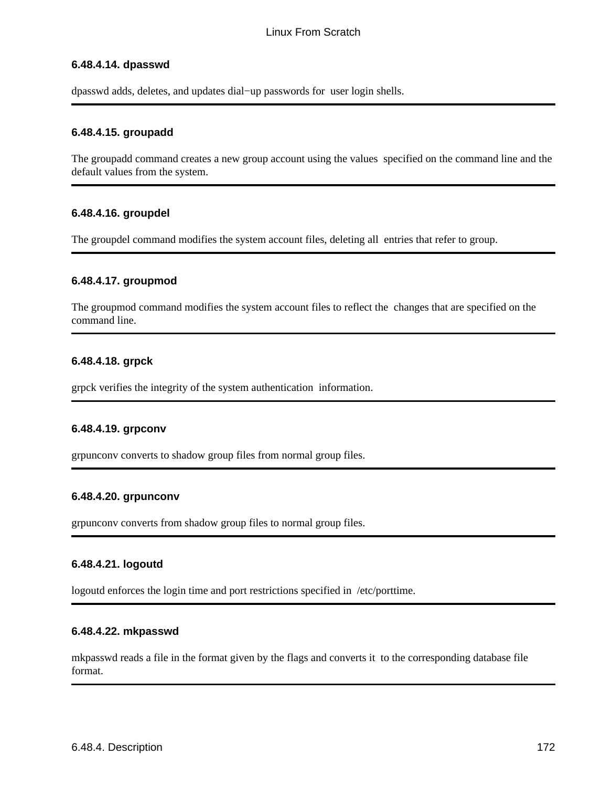### **6.48.4.14. dpasswd**

dpasswd adds, deletes, and updates dial−up passwords for user login shells.

#### **6.48.4.15. groupadd**

The groupadd command creates a new group account using the values specified on the command line and the default values from the system.

### **6.48.4.16. groupdel**

The groupdel command modifies the system account files, deleting all entries that refer to group.

#### **6.48.4.17. groupmod**

The groupmod command modifies the system account files to reflect the changes that are specified on the command line.

### **6.48.4.18. grpck**

grpck verifies the integrity of the system authentication information.

#### **6.48.4.19. grpconv**

grpunconv converts to shadow group files from normal group files.

#### **6.48.4.20. grpunconv**

grpunconv converts from shadow group files to normal group files.

#### **6.48.4.21. logoutd**

logoutd enforces the login time and port restrictions specified in /etc/porttime.

#### **6.48.4.22. mkpasswd**

mkpasswd reads a file in the format given by the flags and converts it to the corresponding database file format.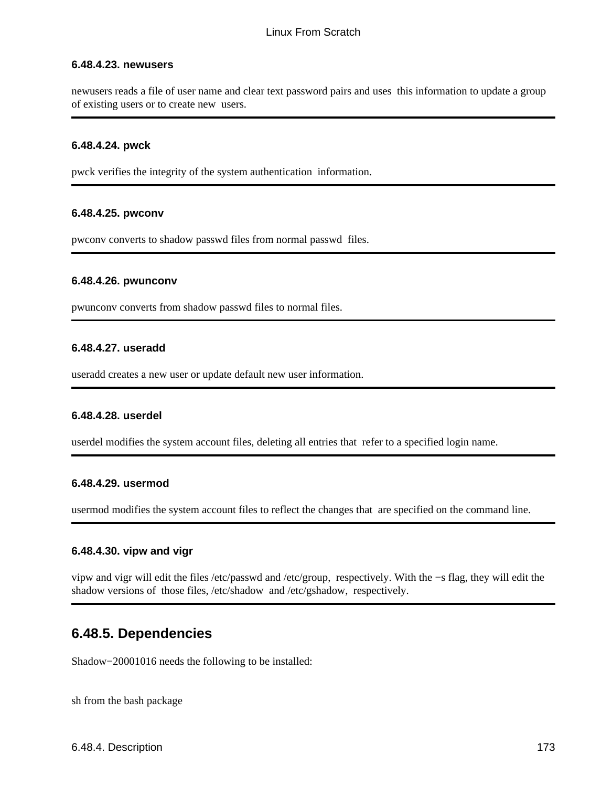### **6.48.4.23. newusers**

newusers reads a file of user name and clear text password pairs and uses this information to update a group of existing users or to create new users.

### **6.48.4.24. pwck**

pwck verifies the integrity of the system authentication information.

#### **6.48.4.25. pwconv**

pwconv converts to shadow passwd files from normal passwd files.

#### **6.48.4.26. pwunconv**

pwunconv converts from shadow passwd files to normal files.

### **6.48.4.27. useradd**

useradd creates a new user or update default new user information.

### **6.48.4.28. userdel**

userdel modifies the system account files, deleting all entries that refer to a specified login name.

### **6.48.4.29. usermod**

usermod modifies the system account files to reflect the changes that are specified on the command line.

### **6.48.4.30. vipw and vigr**

vipw and vigr will edit the files /etc/passwd and /etc/group, respectively. With the −s flag, they will edit the shadow versions of those files, /etc/shadow and /etc/gshadow, respectively.

# **6.48.5. Dependencies**

Shadow−20001016 needs the following to be installed:

sh from the bash package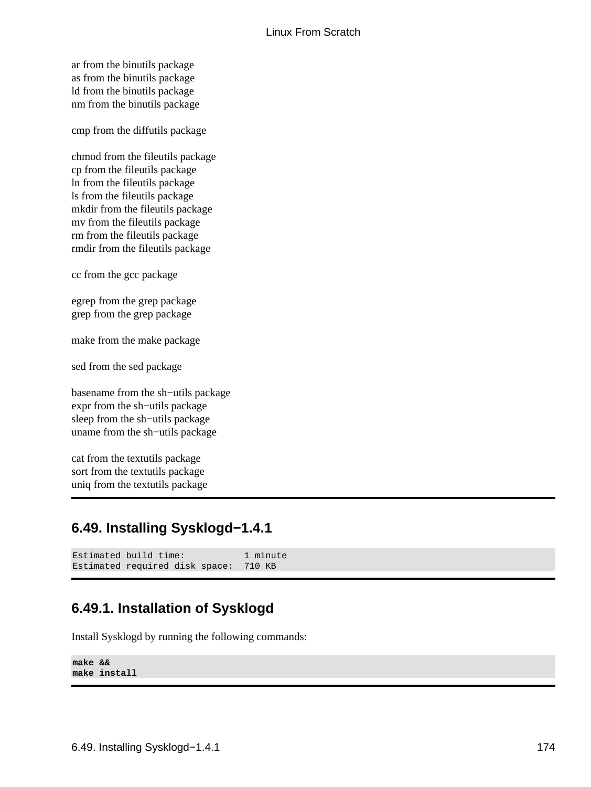# Linux From Scratch

ar from the binutils package as from the binutils package ld from the binutils package nm from the binutils package

cmp from the diffutils package

chmod from the fileutils package cp from the fileutils package ln from the fileutils package ls from the fileutils package mkdir from the fileutils package mv from the fileutils package rm from the fileutils package rmdir from the fileutils package

cc from the gcc package

egrep from the grep package grep from the grep package

make from the make package

sed from the sed package

basename from the sh−utils package expr from the sh−utils package sleep from the sh−utils package uname from the sh−utils package

cat from the textutils package sort from the textutils package uniq from the textutils package

# **6.49. Installing Sysklogd−1.4.1**

Estimated build time: 1 minute Estimated required disk space: 710 KB

# **6.49.1. Installation of Sysklogd**

Install Sysklogd by running the following commands:

**make && make install**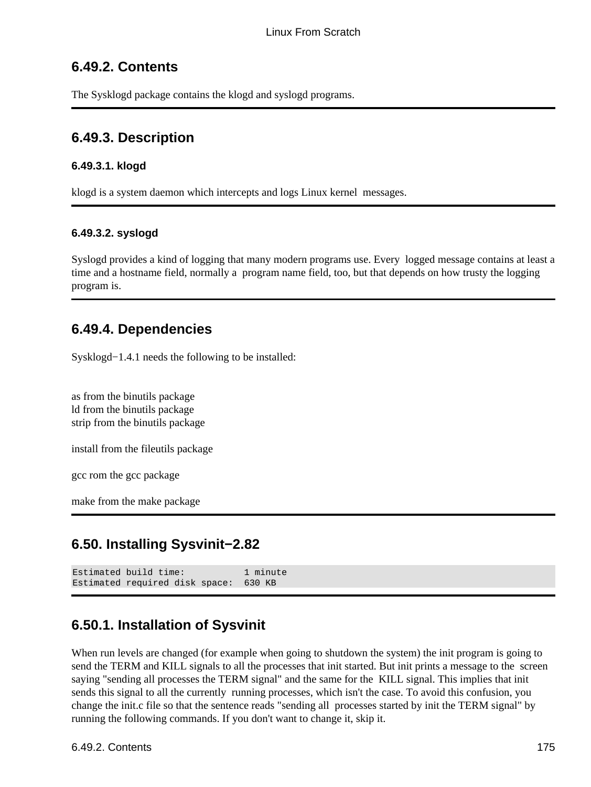# **6.49.2. Contents**

The Sysklogd package contains the klogd and syslogd programs.

# **6.49.3. Description**

### **6.49.3.1. klogd**

klogd is a system daemon which intercepts and logs Linux kernel messages.

# **6.49.3.2. syslogd**

Syslogd provides a kind of logging that many modern programs use. Every logged message contains at least a time and a hostname field, normally a program name field, too, but that depends on how trusty the logging program is.

# **6.49.4. Dependencies**

Sysklogd−1.4.1 needs the following to be installed:

as from the binutils package ld from the binutils package strip from the binutils package

install from the fileutils package

gcc rom the gcc package

make from the make package

# **6.50. Installing Sysvinit−2.82**

Estimated build time: 1 minute Estimated required disk space: 630 KB

# **6.50.1. Installation of Sysvinit**

When run levels are changed (for example when going to shutdown the system) the init program is going to send the TERM and KILL signals to all the processes that init started. But init prints a message to the screen saying "sending all processes the TERM signal" and the same for the KILL signal. This implies that init sends this signal to all the currently running processes, which isn't the case. To avoid this confusion, you change the init.c file so that the sentence reads "sending all processes started by init the TERM signal" by running the following commands. If you don't want to change it, skip it.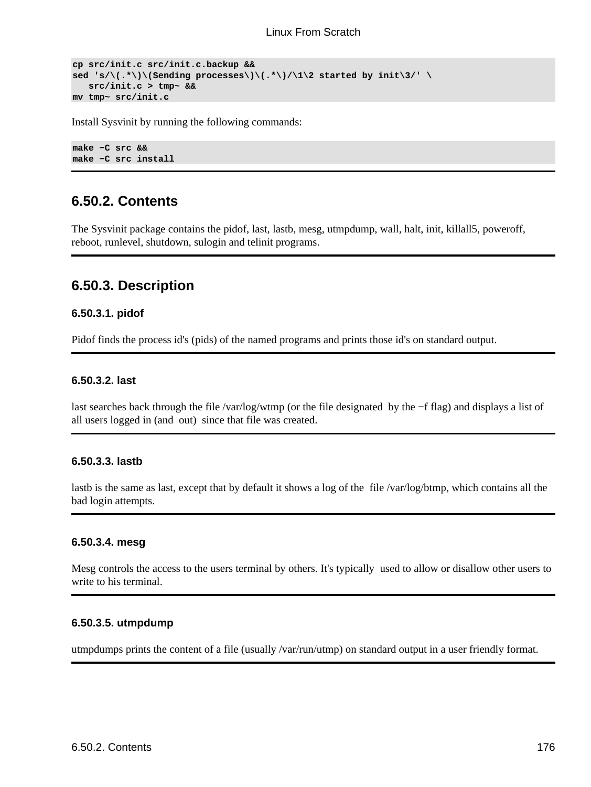Linux From Scratch

```
cp src/init.c src/init.c.backup &&
sed 's/\(.*\)\(Sending processes\)\(.*\)/\1\2 started by init\3/' \
   src/init.c > tmp~ &&
mv tmp~ src/init.c
```
Install Sysvinit by running the following commands:

```
make −C src &&
make −C src install
```
# **6.50.2. Contents**

The Sysvinit package contains the pidof, last, lastb, mesg, utmpdump, wall, halt, init, killall5, poweroff, reboot, runlevel, shutdown, sulogin and telinit programs.

# **6.50.3. Description**

### **6.50.3.1. pidof**

Pidof finds the process id's (pids) of the named programs and prints those id's on standard output.

#### **6.50.3.2. last**

last searches back through the file /var/log/wtmp (or the file designated by the −f flag) and displays a list of all users logged in (and out) since that file was created.

#### **6.50.3.3. lastb**

lastb is the same as last, except that by default it shows a log of the file /var/log/btmp, which contains all the bad login attempts.

#### **6.50.3.4. mesg**

Mesg controls the access to the users terminal by others. It's typically used to allow or disallow other users to write to his terminal.

### **6.50.3.5. utmpdump**

utmpdumps prints the content of a file (usually /var/run/utmp) on standard output in a user friendly format.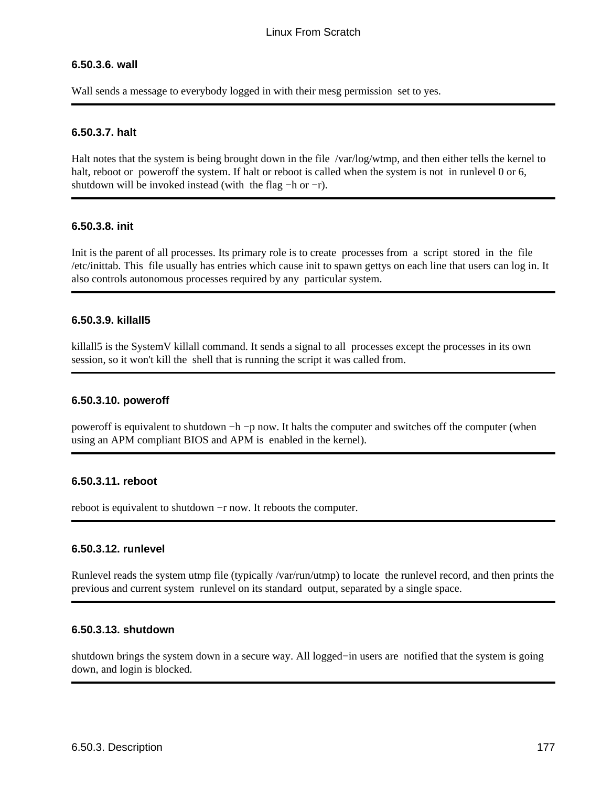### **6.50.3.6. wall**

Wall sends a message to everybody logged in with their mesg permission set to yes.

#### **6.50.3.7. halt**

Halt notes that the system is being brought down in the file /var/log/wtmp, and then either tells the kernel to halt, reboot or poweroff the system. If halt or reboot is called when the system is not in runlevel 0 or 6, shutdown will be invoked instead (with the flag −h or −r).

### **6.50.3.8. init**

Init is the parent of all processes. Its primary role is to create processes from a script stored in the file /etc/inittab. This file usually has entries which cause init to spawn gettys on each line that users can log in. It also controls autonomous processes required by any particular system.

### **6.50.3.9. killall5**

killall5 is the SystemV killall command. It sends a signal to all processes except the processes in its own session, so it won't kill the shell that is running the script it was called from.

#### **6.50.3.10. poweroff**

poweroff is equivalent to shutdown −h −p now. It halts the computer and switches off the computer (when using an APM compliant BIOS and APM is enabled in the kernel).

### **6.50.3.11. reboot**

reboot is equivalent to shutdown −r now. It reboots the computer.

#### **6.50.3.12. runlevel**

Runlevel reads the system utmp file (typically /var/run/utmp) to locate the runlevel record, and then prints the previous and current system runlevel on its standard output, separated by a single space.

#### **6.50.3.13. shutdown**

shutdown brings the system down in a secure way. All logged−in users are notified that the system is going down, and login is blocked.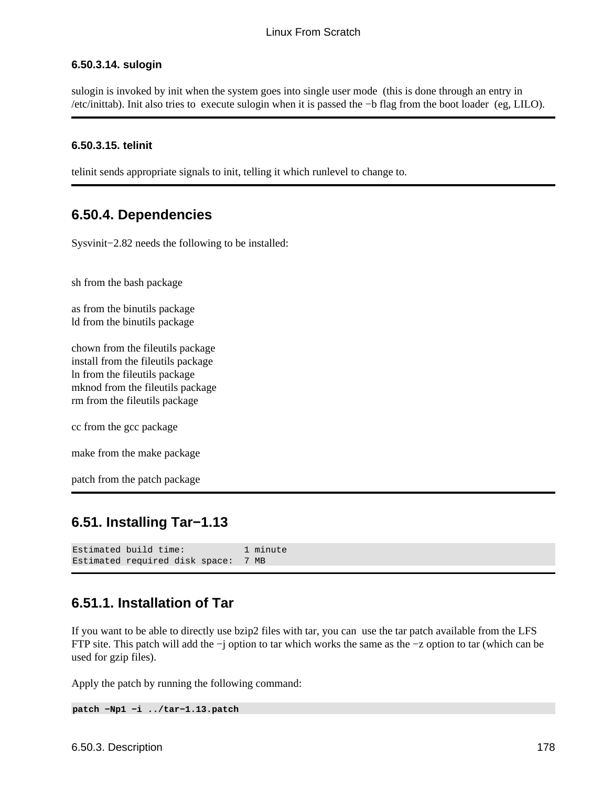# Linux From Scratch

### **6.50.3.14. sulogin**

sulogin is invoked by init when the system goes into single user mode (this is done through an entry in /etc/inittab). Init also tries to execute sulogin when it is passed the −b flag from the boot loader (eg, LILO).

#### **6.50.3.15. telinit**

telinit sends appropriate signals to init, telling it which runlevel to change to.

# **6.50.4. Dependencies**

Sysvinit−2.82 needs the following to be installed:

sh from the bash package

as from the binutils package ld from the binutils package

chown from the fileutils package install from the fileutils package ln from the fileutils package mknod from the fileutils package rm from the fileutils package

cc from the gcc package

make from the make package

patch from the patch package

# **6.51. Installing Tar−1.13**

```
Estimated build time: 1 minute
Estimated required disk space: 7 MB
```
# **6.51.1. Installation of Tar**

If you want to be able to directly use bzip2 files with tar, you can use the tar patch available from the LFS FTP site. This patch will add the −j option to tar which works the same as the −z option to tar (which can be used for gzip files).

Apply the patch by running the following command:

```
patch −Np1 −i ../tar−1.13.patch
```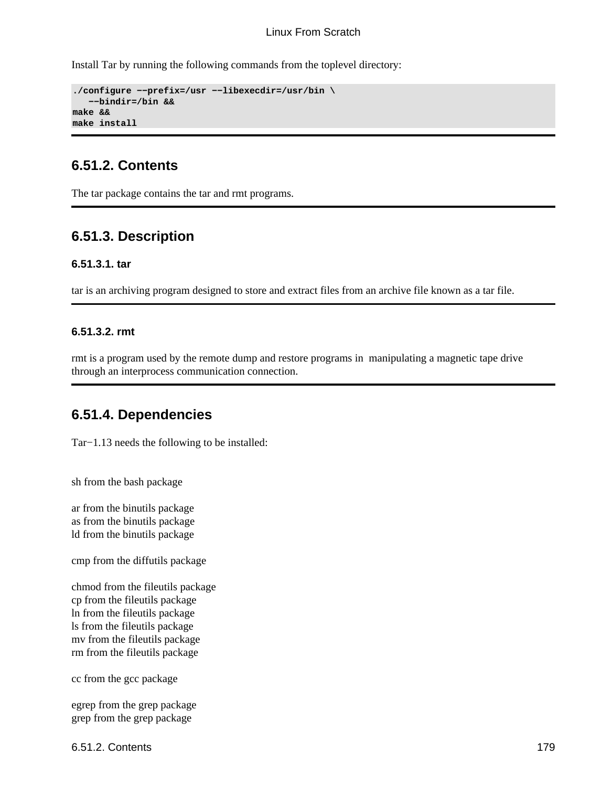### Linux From Scratch

Install Tar by running the following commands from the toplevel directory:

```
./configure −−prefix=/usr −−libexecdir=/usr/bin \
    −−bindir=/bin &&
make &&
make install
```
# **6.51.2. Contents**

The tar package contains the tar and rmt programs.

# **6.51.3. Description**

### **6.51.3.1. tar**

tar is an archiving program designed to store and extract files from an archive file known as a tar file.

### **6.51.3.2. rmt**

rmt is a program used by the remote dump and restore programs in manipulating a magnetic tape drive through an interprocess communication connection.

# **6.51.4. Dependencies**

Tar−1.13 needs the following to be installed:

sh from the bash package

ar from the binutils package as from the binutils package ld from the binutils package

cmp from the diffutils package

chmod from the fileutils package cp from the fileutils package ln from the fileutils package ls from the fileutils package mv from the fileutils package rm from the fileutils package

cc from the gcc package

egrep from the grep package grep from the grep package

6.51.2. Contents 179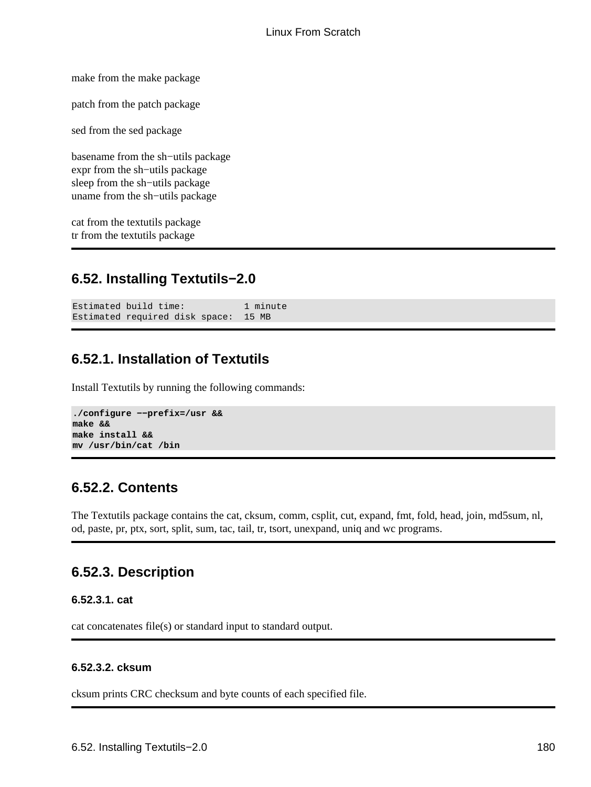make from the make package

patch from the patch package

sed from the sed package

basename from the sh−utils package expr from the sh−utils package sleep from the sh−utils package uname from the sh−utils package

cat from the textutils package tr from the textutils package

# **6.52. Installing Textutils−2.0**

Estimated build time: 1 minute Estimated required disk space: 15 MB

# **6.52.1. Installation of Textutils**

Install Textutils by running the following commands:

```
./configure −−prefix=/usr &&
make &&
make install &&
mv /usr/bin/cat /bin
```
# **6.52.2. Contents**

The Textutils package contains the cat, cksum, comm, csplit, cut, expand, fmt, fold, head, join, md5sum, nl, od, paste, pr, ptx, sort, split, sum, tac, tail, tr, tsort, unexpand, uniq and wc programs.

# **6.52.3. Description**

#### **6.52.3.1. cat**

cat concatenates file(s) or standard input to standard output.

# **6.52.3.2. cksum**

cksum prints CRC checksum and byte counts of each specified file.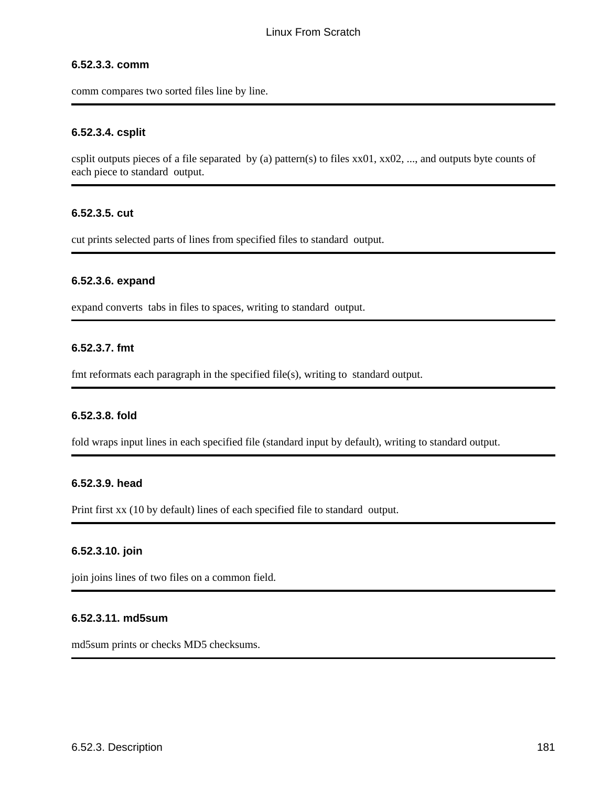#### **6.52.3.3. comm**

comm compares two sorted files line by line.

#### **6.52.3.4. csplit**

csplit outputs pieces of a file separated by (a) pattern(s) to files xx01, xx02, ..., and outputs byte counts of each piece to standard output.

### **6.52.3.5. cut**

cut prints selected parts of lines from specified files to standard output.

#### **6.52.3.6. expand**

expand converts tabs in files to spaces, writing to standard output.

#### **6.52.3.7. fmt**

fmt reformats each paragraph in the specified file(s), writing to standard output.

### **6.52.3.8. fold**

fold wraps input lines in each specified file (standard input by default), writing to standard output.

#### **6.52.3.9. head**

Print first xx (10 by default) lines of each specified file to standard output.

#### **6.52.3.10. join**

join joins lines of two files on a common field.

### **6.52.3.11. md5sum**

md5sum prints or checks MD5 checksums.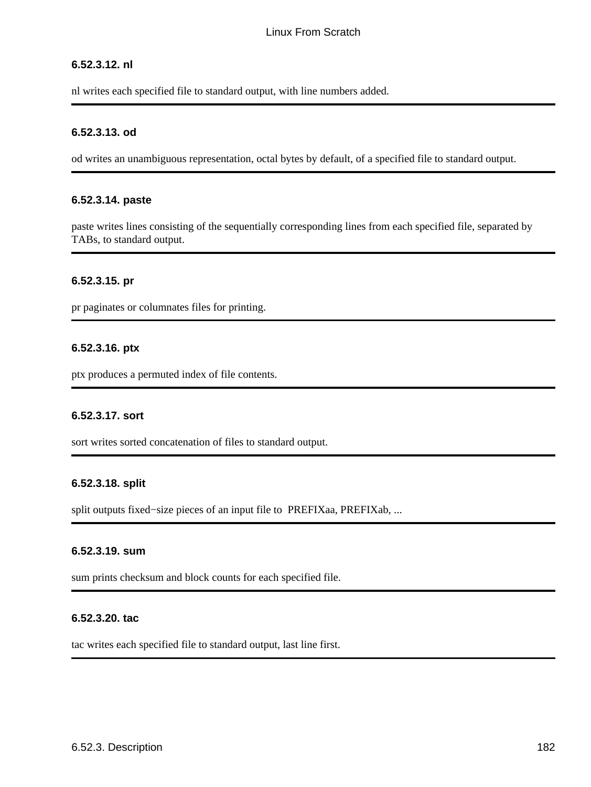### **6.52.3.12. nl**

nl writes each specified file to standard output, with line numbers added.

### **6.52.3.13. od**

od writes an unambiguous representation, octal bytes by default, of a specified file to standard output.

#### **6.52.3.14. paste**

paste writes lines consisting of the sequentially corresponding lines from each specified file, separated by TABs, to standard output.

#### **6.52.3.15. pr**

pr paginates or columnates files for printing.

#### **6.52.3.16. ptx**

ptx produces a permuted index of file contents.

### **6.52.3.17. sort**

sort writes sorted concatenation of files to standard output.

#### **6.52.3.18. split**

split outputs fixed−size pieces of an input file to PREFIXaa, PREFIXab, ...

#### **6.52.3.19. sum**

sum prints checksum and block counts for each specified file.

### **6.52.3.20. tac**

tac writes each specified file to standard output, last line first.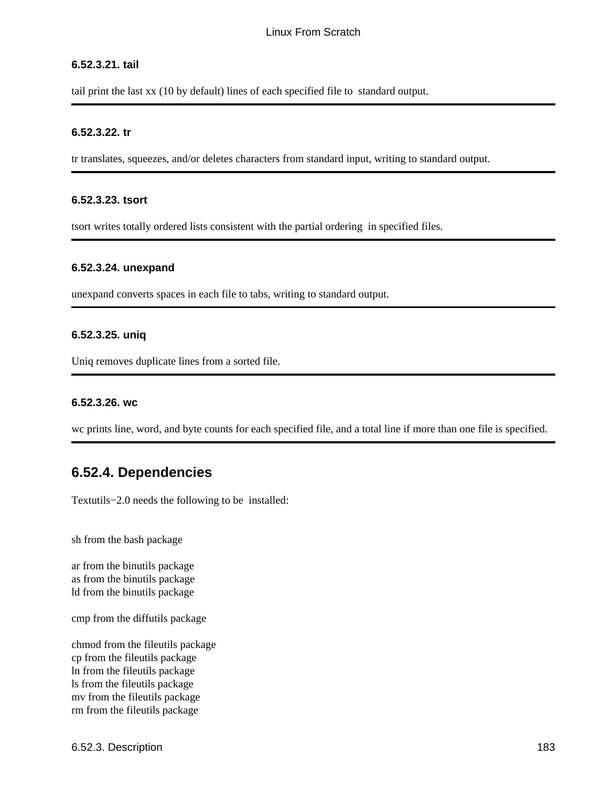### **6.52.3.21. tail**

tail print the last xx (10 by default) lines of each specified file to standard output.

#### **6.52.3.22. tr**

tr translates, squeezes, and/or deletes characters from standard input, writing to standard output.

#### **6.52.3.23. tsort**

tsort writes totally ordered lists consistent with the partial ordering in specified files.

### **6.52.3.24. unexpand**

unexpand converts spaces in each file to tabs, writing to standard output.

#### **6.52.3.25. uniq**

Uniq removes duplicate lines from a sorted file.

#### **6.52.3.26. wc**

wc prints line, word, and byte counts for each specified file, and a total line if more than one file is specified.

# **6.52.4. Dependencies**

Textutils−2.0 needs the following to be installed:

sh from the bash package

ar from the binutils package as from the binutils package ld from the binutils package

cmp from the diffutils package

chmod from the fileutils package cp from the fileutils package ln from the fileutils package ls from the fileutils package mv from the fileutils package rm from the fileutils package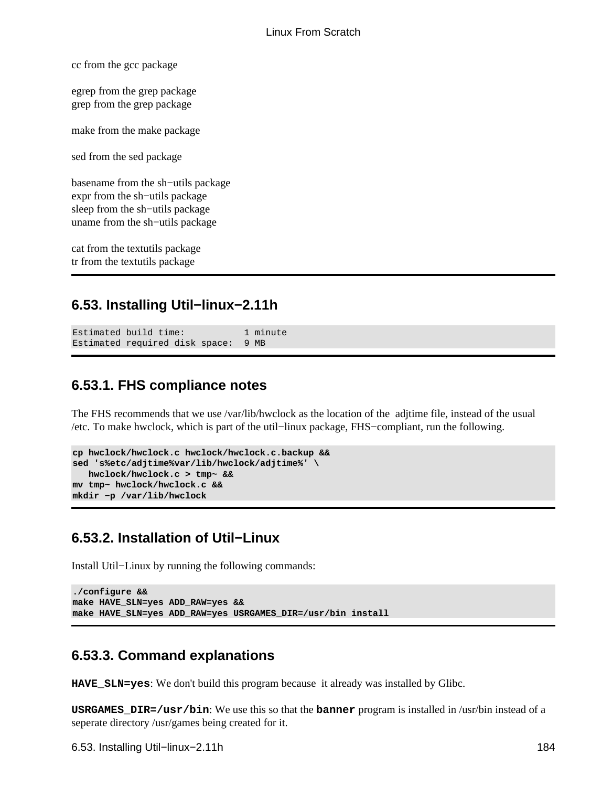cc from the gcc package

egrep from the grep package grep from the grep package

make from the make package

sed from the sed package

basename from the sh−utils package expr from the sh−utils package sleep from the sh−utils package uname from the sh−utils package

cat from the textutils package tr from the textutils package

# **6.53. Installing Util−linux−2.11h**

Estimated build time: 1 minute Estimated required disk space: 9 MB

# **6.53.1. FHS compliance notes**

The FHS recommends that we use /var/lib/hwclock as the location of the adjtime file, instead of the usual /etc. To make hwclock, which is part of the util−linux package, FHS−compliant, run the following.

```
cp hwclock/hwclock.c hwclock/hwclock.c.backup &&
sed 's%etc/adjtime%var/lib/hwclock/adjtime%' \
   hwclock/hwclock.c > tmp~ &&
mv tmp~ hwclock/hwclock.c &&
mkdir −p /var/lib/hwclock
```
# **6.53.2. Installation of Util−Linux**

Install Util−Linux by running the following commands:

```
./configure &&
make HAVE_SLN=yes ADD_RAW=yes &&
make HAVE_SLN=yes ADD_RAW=yes USRGAMES_DIR=/usr/bin install
```
# **6.53.3. Command explanations**

**HAVE\_SLN=yes**: We don't build this program because it already was installed by Glibc.

**USRGAMES\_DIR=/usr/bin**: We use this so that the **banner** program is installed in /usr/bin instead of a seperate directory /usr/games being created for it.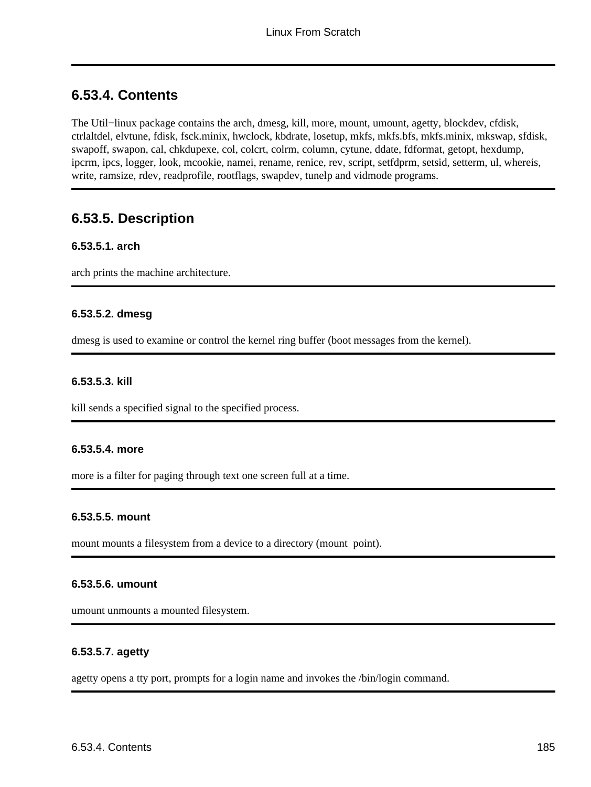# **6.53.4. Contents**

The Util−linux package contains the arch, dmesg, kill, more, mount, umount, agetty, blockdev, cfdisk, ctrlaltdel, elvtune, fdisk, fsck.minix, hwclock, kbdrate, losetup, mkfs, mkfs.bfs, mkfs.minix, mkswap, sfdisk, swapoff, swapon, cal, chkdupexe, col, colcrt, colrm, column, cytune, ddate, fdformat, getopt, hexdump, ipcrm, ipcs, logger, look, mcookie, namei, rename, renice, rev, script, setfdprm, setsid, setterm, ul, whereis, write, ramsize, rdev, readprofile, rootflags, swapdev, tunelp and vidmode programs.

# **6.53.5. Description**

### **6.53.5.1. arch**

arch prints the machine architecture.

### **6.53.5.2. dmesg**

dmesg is used to examine or control the kernel ring buffer (boot messages from the kernel).

### **6.53.5.3. kill**

kill sends a specified signal to the specified process.

#### **6.53.5.4. more**

more is a filter for paging through text one screen full at a time.

### **6.53.5.5. mount**

mount mounts a filesystem from a device to a directory (mount point).

### **6.53.5.6. umount**

umount unmounts a mounted filesystem.

### **6.53.5.7. agetty**

agetty opens a tty port, prompts for a login name and invokes the /bin/login command.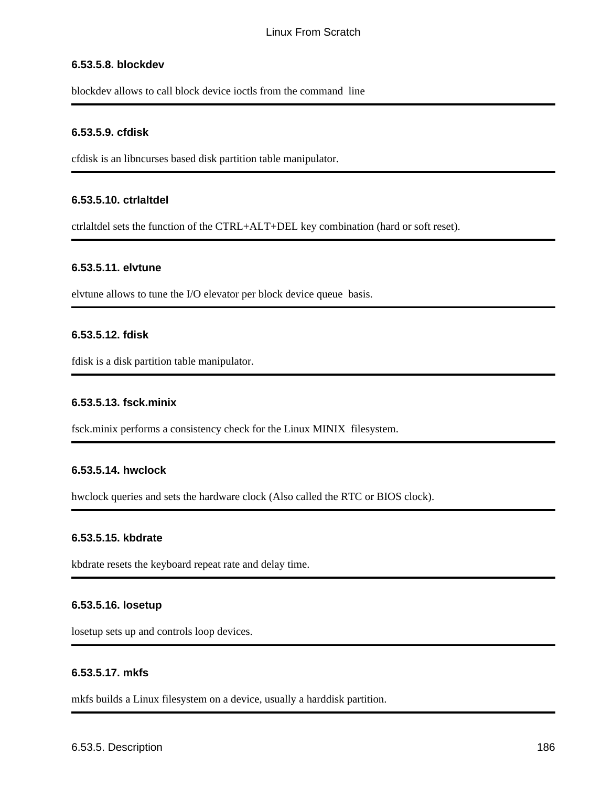### **6.53.5.8. blockdev**

blockdev allows to call block device ioctls from the command line

### **6.53.5.9. cfdisk**

cfdisk is an libncurses based disk partition table manipulator.

#### **6.53.5.10. ctrlaltdel**

ctrlaltdel sets the function of the CTRL+ALT+DEL key combination (hard or soft reset).

#### **6.53.5.11. elvtune**

elvtune allows to tune the I/O elevator per block device queue basis.

### **6.53.5.12. fdisk**

fdisk is a disk partition table manipulator.

### **6.53.5.13. fsck.minix**

fsck.minix performs a consistency check for the Linux MINIX filesystem.

#### **6.53.5.14. hwclock**

hwclock queries and sets the hardware clock (Also called the RTC or BIOS clock).

#### **6.53.5.15. kbdrate**

kbdrate resets the keyboard repeat rate and delay time.

#### **6.53.5.16. losetup**

losetup sets up and controls loop devices.

### **6.53.5.17. mkfs**

mkfs builds a Linux filesystem on a device, usually a harddisk partition.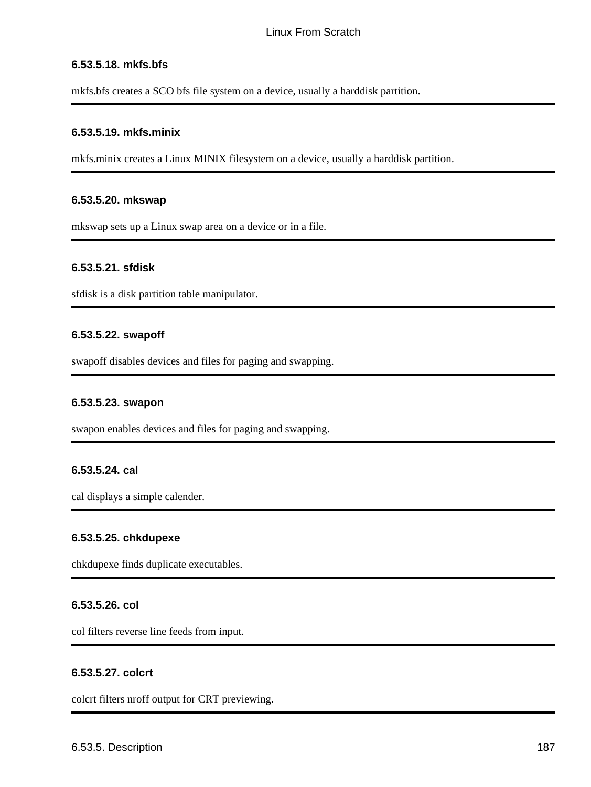#### **6.53.5.18. mkfs.bfs**

mkfs.bfs creates a SCO bfs file system on a device, usually a harddisk partition.

### **6.53.5.19. mkfs.minix**

mkfs.minix creates a Linux MINIX filesystem on a device, usually a harddisk partition.

#### **6.53.5.20. mkswap**

mkswap sets up a Linux swap area on a device or in a file.

#### **6.53.5.21. sfdisk**

sfdisk is a disk partition table manipulator.

#### **6.53.5.22. swapoff**

swapoff disables devices and files for paging and swapping.

#### **6.53.5.23. swapon**

swapon enables devices and files for paging and swapping.

### **6.53.5.24. cal**

cal displays a simple calender.

#### **6.53.5.25. chkdupexe**

chkdupexe finds duplicate executables.

#### **6.53.5.26. col**

col filters reverse line feeds from input.

# **6.53.5.27. colcrt**

colcrt filters nroff output for CRT previewing.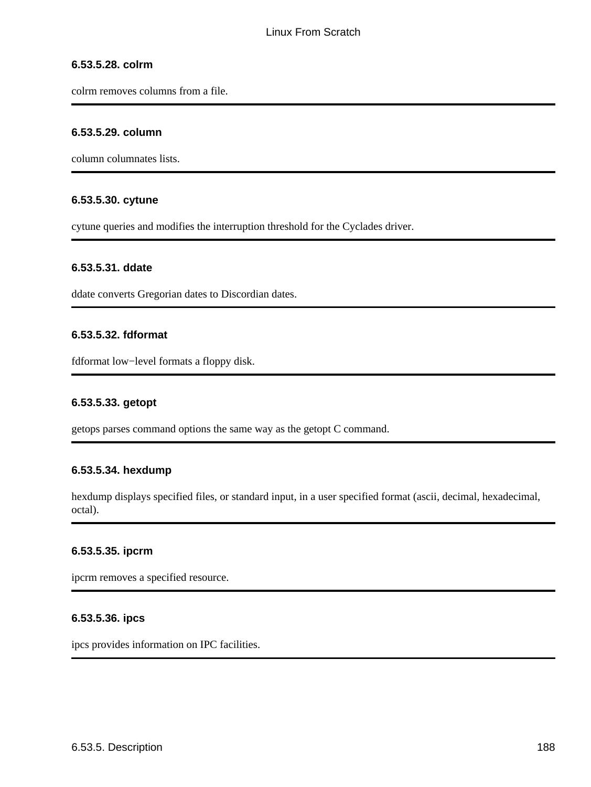### **6.53.5.28. colrm**

colrm removes columns from a file.

### **6.53.5.29. column**

column columnates lists.

### **6.53.5.30. cytune**

cytune queries and modifies the interruption threshold for the Cyclades driver.

### **6.53.5.31. ddate**

ddate converts Gregorian dates to Discordian dates.

### **6.53.5.32. fdformat**

fdformat low−level formats a floppy disk.

### **6.53.5.33. getopt**

getops parses command options the same way as the getopt C command.

### **6.53.5.34. hexdump**

hexdump displays specified files, or standard input, in a user specified format (ascii, decimal, hexadecimal, octal).

### **6.53.5.35. ipcrm**

ipcrm removes a specified resource.

#### **6.53.5.36. ipcs**

ipcs provides information on IPC facilities.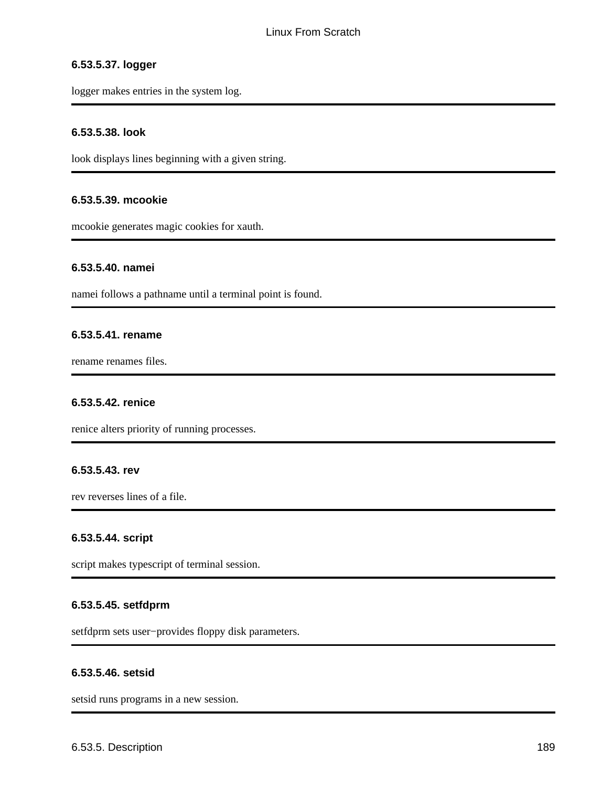### **6.53.5.37. logger**

logger makes entries in the system log.

### **6.53.5.38. look**

look displays lines beginning with a given string.

### **6.53.5.39. mcookie**

mcookie generates magic cookies for xauth.

#### **6.53.5.40. namei**

namei follows a pathname until a terminal point is found.

### **6.53.5.41. rename**

rename renames files.

#### **6.53.5.42. renice**

renice alters priority of running processes.

### **6.53.5.43. rev**

rev reverses lines of a file.

#### **6.53.5.44. script**

script makes typescript of terminal session.

# **6.53.5.45. setfdprm**

setfdprm sets user−provides floppy disk parameters.

### **6.53.5.46. setsid**

setsid runs programs in a new session.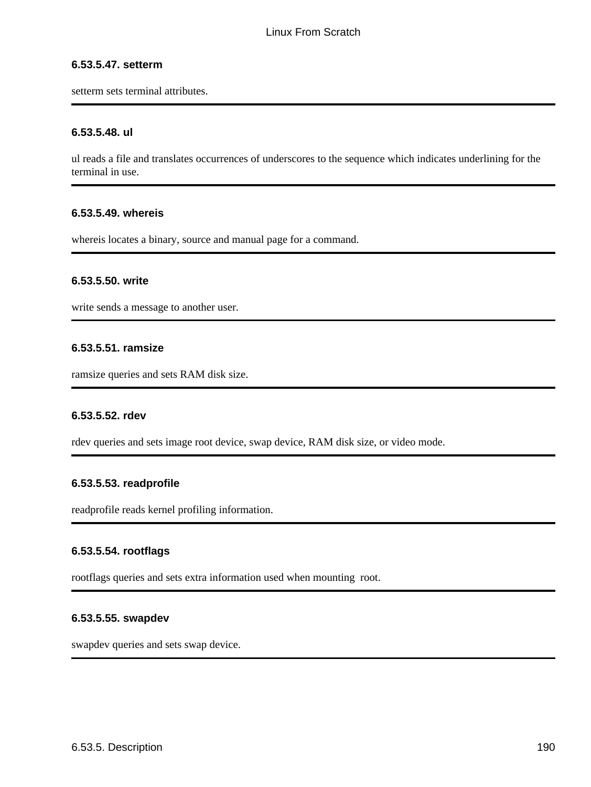### **6.53.5.47. setterm**

setterm sets terminal attributes.

### **6.53.5.48. ul**

ul reads a file and translates occurrences of underscores to the sequence which indicates underlining for the terminal in use.

#### **6.53.5.49. whereis**

whereis locates a binary, source and manual page for a command.

### **6.53.5.50. write**

write sends a message to another user.

### **6.53.5.51. ramsize**

ramsize queries and sets RAM disk size.

### **6.53.5.52. rdev**

rdev queries and sets image root device, swap device, RAM disk size, or video mode.

#### **6.53.5.53. readprofile**

readprofile reads kernel profiling information.

#### **6.53.5.54. rootflags**

rootflags queries and sets extra information used when mounting root.

#### **6.53.5.55. swapdev**

swapdev queries and sets swap device.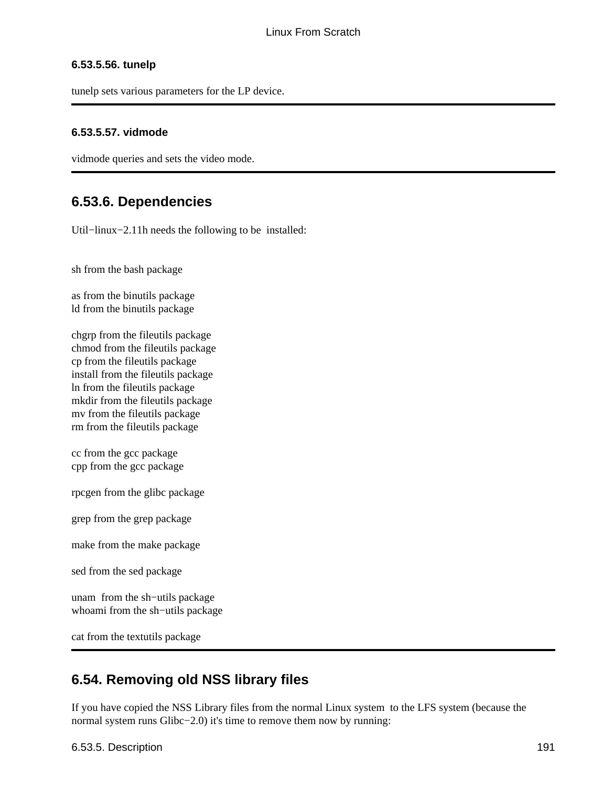### **6.53.5.56. tunelp**

tunelp sets various parameters for the LP device.

### **6.53.5.57. vidmode**

vidmode queries and sets the video mode.

# **6.53.6. Dependencies**

Util−linux−2.11h needs the following to be installed:

sh from the bash package

as from the binutils package ld from the binutils package

chgrp from the fileutils package chmod from the fileutils package cp from the fileutils package install from the fileutils package ln from the fileutils package mkdir from the fileutils package mv from the fileutils package rm from the fileutils package

cc from the gcc package cpp from the gcc package

rpcgen from the glibc package

grep from the grep package

make from the make package

sed from the sed package

unam from the sh−utils package whoami from the sh−utils package

cat from the textutils package

# **6.54. Removing old NSS library files**

If you have copied the NSS Library files from the normal Linux system to the LFS system (because the normal system runs Glibc−2.0) it's time to remove them now by running: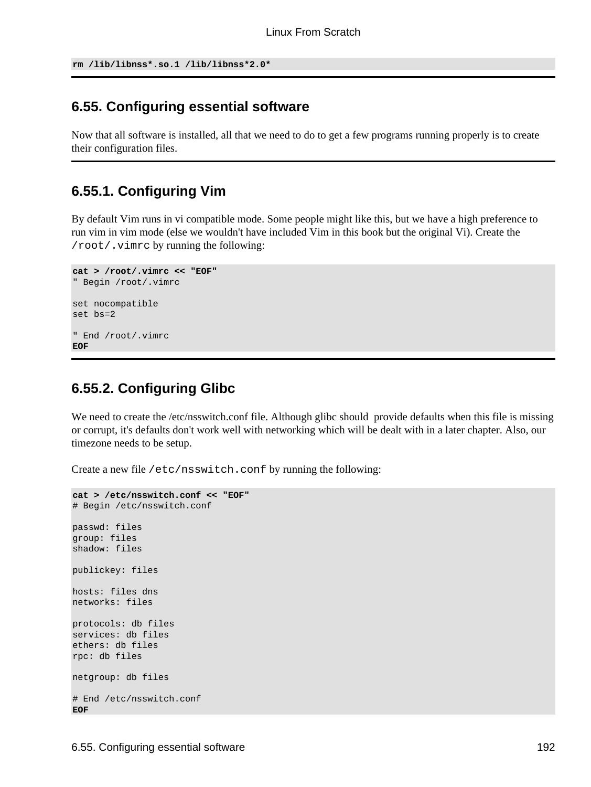```
rm /lib/libnss*.so.1 /lib/libnss*2.0*
```
# **6.55. Configuring essential software**

Now that all software is installed, all that we need to do to get a few programs running properly is to create their configuration files.

# **6.55.1. Configuring Vim**

By default Vim runs in vi compatible mode. Some people might like this, but we have a high preference to run vim in vim mode (else we wouldn't have included Vim in this book but the original Vi). Create the /root/.vimrc by running the following:

```
cat > /root/.vimrc << "EOF"
" Begin /root/.vimrc
set nocompatible
set bs=2
" End /root/.vimrc
EOF
```
# **6.55.2. Configuring Glibc**

We need to create the /etc/nsswitch.conf file. Although glibc should provide defaults when this file is missing or corrupt, it's defaults don't work well with networking which will be dealt with in a later chapter. Also, our timezone needs to be setup.

Create a new file /etc/nsswitch.conf by running the following:

```
cat > /etc/nsswitch.conf << "EOF"
# Begin /etc/nsswitch.conf
passwd: files
group: files
shadow: files
publickey: files
hosts: files dns
networks: files
protocols: db files
services: db files
ethers: db files
rpc: db files
netgroup: db files
# End /etc/nsswitch.conf
EOF
```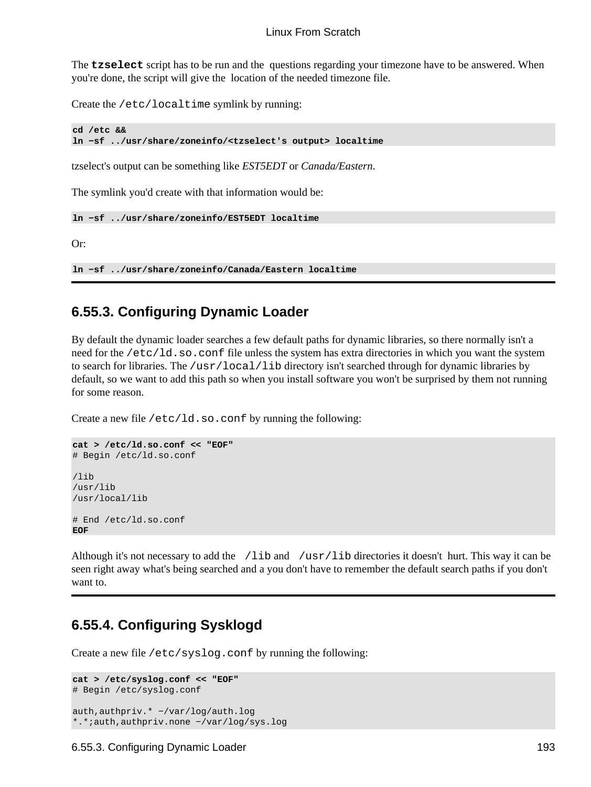The **tzselect** script has to be run and the questions regarding your timezone have to be answered. When you're done, the script will give the location of the needed timezone file.

Create the /etc/localtime symlink by running:

```
cd /etc &&
ln −sf ../usr/share/zoneinfo/<tzselect's output> localtime
```
tzselect's output can be something like *EST5EDT* or *Canada/Eastern*.

The symlink you'd create with that information would be:

**ln −sf ../usr/share/zoneinfo/EST5EDT localtime**

Or:

**ln −sf ../usr/share/zoneinfo/Canada/Eastern localtime** 

# **6.55.3. Configuring Dynamic Loader**

By default the dynamic loader searches a few default paths for dynamic libraries, so there normally isn't a need for the /etc/ld.so.conf file unless the system has extra directories in which you want the system to search for libraries. The /usr/local/lib directory isn't searched through for dynamic libraries by default, so we want to add this path so when you install software you won't be surprised by them not running for some reason.

Create a new file /etc/ld.so.conf by running the following:

```
cat > /etc/ld.so.conf << "EOF"
# Begin /etc/ld.so.conf
/lib
/usr/lib
/usr/local/lib
# End /etc/ld.so.conf
EOF
```
Although it's not necessary to add the /lib and /usr/lib directories it doesn't hurt. This way it can be seen right away what's being searched and a you don't have to remember the default search paths if you don't want to.

# **6.55.4. Configuring Sysklogd**

Create a new file /etc/syslog.conf by running the following:

```
cat > /etc/syslog.conf << "EOF"
# Begin /etc/syslog.conf
auth,authpriv.* −/var/log/auth.log
*.*;auth,authpriv.none −/var/log/sys.log
```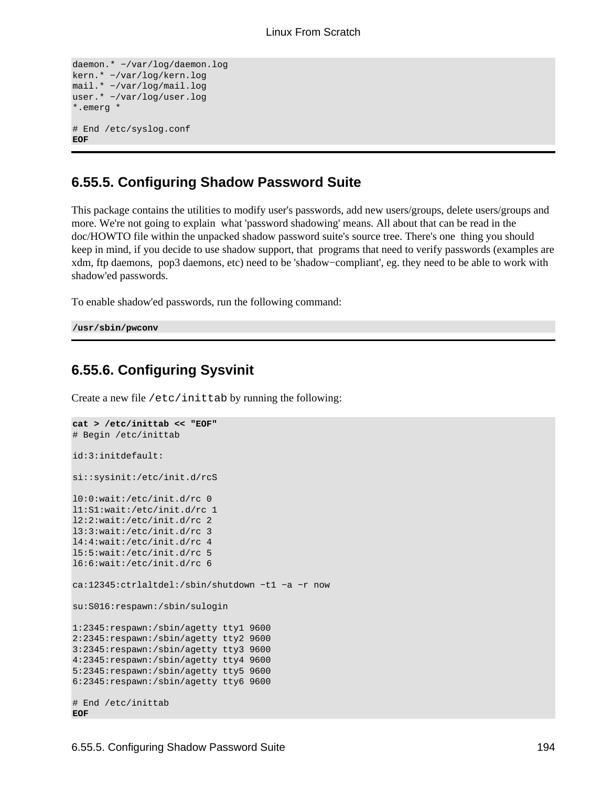```
daemon.* −/var/log/daemon.log
kern.* −/var/log/kern.log
mail.* −/var/log/mail.log
user.* −/var/log/user.log
*.emerg *
# End /etc/syslog.conf
EOF
```
# **6.55.5. Configuring Shadow Password Suite**

This package contains the utilities to modify user's passwords, add new users/groups, delete users/groups and more. We're not going to explain what 'password shadowing' means. All about that can be read in the doc/HOWTO file within the unpacked shadow password suite's source tree. There's one thing you should keep in mind, if you decide to use shadow support, that programs that need to verify passwords (examples are xdm, ftp daemons, pop3 daemons, etc) need to be 'shadow−compliant', eg. they need to be able to work with shadow'ed passwords.

To enable shadow'ed passwords, run the following command:

**/usr/sbin/pwconv**

# **6.55.6. Configuring Sysvinit**

Create a new file /etc/inittab by running the following:

```
cat > /etc/inittab << "EOF"
# Begin /etc/inittab
id:3:initdefault:
si::sysinit:/etc/init.d/rcS
l0:0:wait:/etc/init.d/rc 0
l1:S1:wait:/etc/init.d/rc 1
l2:2:wait:/etc/init.d/rc 2
l3:3:wait:/etc/init.d/rc 3
l4:4:wait:/etc/init.d/rc 4
l5:5:wait:/etc/init.d/rc 5
l6:6:wait:/etc/init.d/rc 6
ca:12345:ctrlaltdel:/sbin/shutdown −t1 −a −r now
su:S016:respawn:/sbin/sulogin
1:2345:respawn:/sbin/agetty tty1 9600
2:2345:respawn:/sbin/agetty tty2 9600
3:2345:respawn:/sbin/agetty tty3 9600
4:2345:respawn:/sbin/agetty tty4 9600
5:2345:respawn:/sbin/agetty tty5 9600
6:2345:respawn:/sbin/agetty tty6 9600
# End /etc/inittab
EOF
```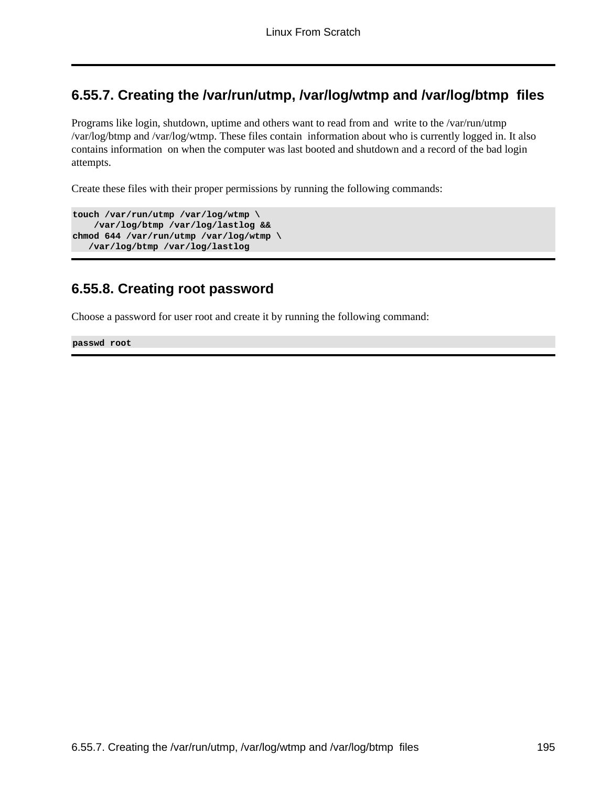# **6.55.7. Creating the /var/run/utmp, /var/log/wtmp and /var/log/btmp files**

Programs like login, shutdown, uptime and others want to read from and write to the /var/run/utmp /var/log/btmp and /var/log/wtmp. These files contain information about who is currently logged in. It also contains information on when the computer was last booted and shutdown and a record of the bad login attempts.

Create these files with their proper permissions by running the following commands:

```
touch /var/run/utmp /var/log/wtmp \
     /var/log/btmp /var/log/lastlog &&
chmod 644 /var/run/utmp /var/log/wtmp \
    /var/log/btmp /var/log/lastlog
```
# **6.55.8. Creating root password**

Choose a password for user root and create it by running the following command:

**passwd root**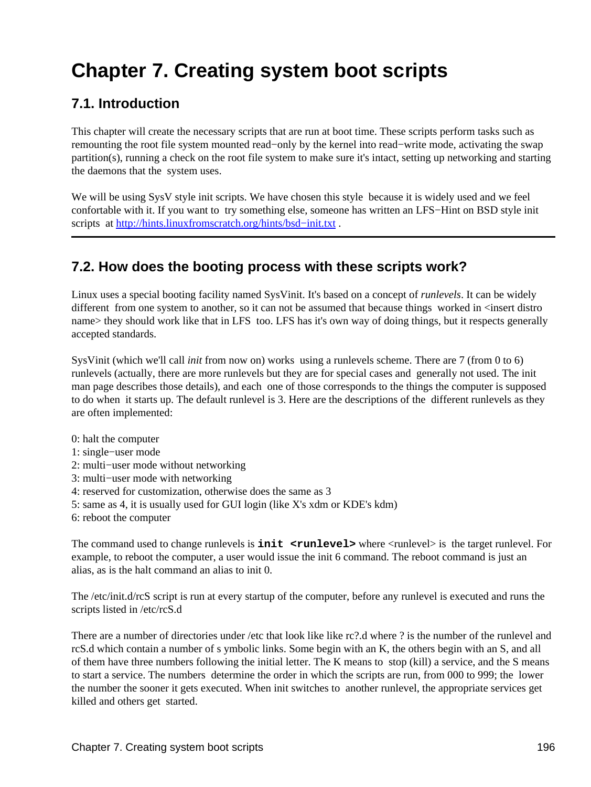# **Chapter 7. Creating system boot scripts**

# **7.1. Introduction**

This chapter will create the necessary scripts that are run at boot time. These scripts perform tasks such as remounting the root file system mounted read−only by the kernel into read−write mode, activating the swap partition(s), running a check on the root file system to make sure it's intact, setting up networking and starting the daemons that the system uses.

We will be using SysV style init scripts. We have chosen this style because it is widely used and we feel confortable with it. If you want to try something else, someone has written an LFS−Hint on BSD style init scripts at http://hints.linuxfromscratch.org/hints/bsd−init.txt.

# **7.2. How does the booting process with these scripts work?**

Linux uses a special booting facility named SysVinit. It's based on a concept of *runlevels*. It can be widely different from one system to another, so it can not be assumed that because things worked in  $\leq$  insert distro name> they should work like that in LFS too. LFS has it's own way of doing things, but it respects generally accepted standards.

SysVinit (which we'll call *init* from now on) works using a runlevels scheme. There are 7 (from 0 to 6) runlevels (actually, there are more runlevels but they are for special cases and generally not used. The init man page describes those details), and each one of those corresponds to the things the computer is supposed to do when it starts up. The default runlevel is 3. Here are the descriptions of the different runlevels as they are often implemented:

0: halt the computer

- 1: single−user mode
- 2: multi−user mode without networking
- 3: multi−user mode with networking
- 4: reserved for customization, otherwise does the same as 3
- 5: same as 4, it is usually used for GUI login (like X's xdm or KDE's kdm)
- 6: reboot the computer

The command used to change runlevels is **init <runlevel>** where <runlevel> is the target runlevel. For example, to reboot the computer, a user would issue the init 6 command. The reboot command is just an alias, as is the halt command an alias to init 0.

The /etc/init.d/rcS script is run at every startup of the computer, before any runlevel is executed and runs the scripts listed in /etc/rcS.d

There are a number of directories under /etc that look like like rc?.d where ? is the number of the runlevel and rcS.d which contain a number of s ymbolic links. Some begin with an K, the others begin with an S, and all of them have three numbers following the initial letter. The K means to stop (kill) a service, and the S means to start a service. The numbers determine the order in which the scripts are run, from 000 to 999; the lower the number the sooner it gets executed. When init switches to another runlevel, the appropriate services get killed and others get started.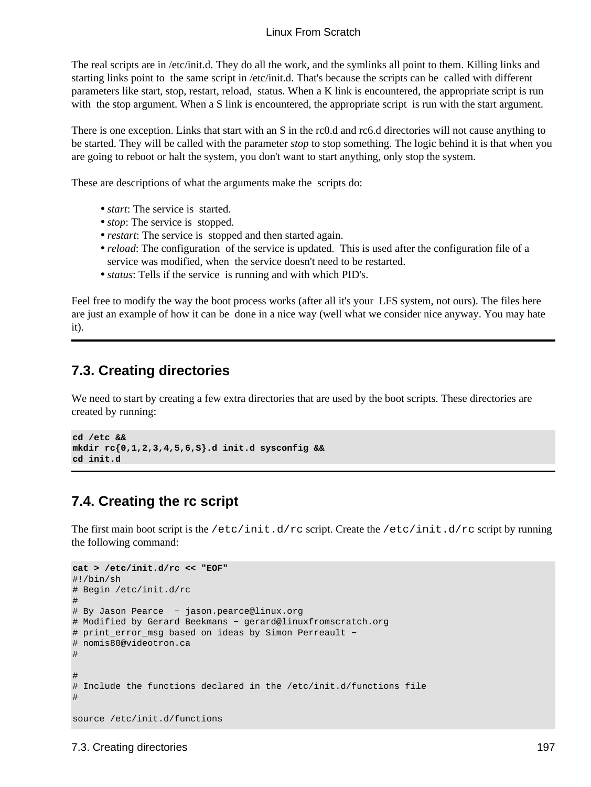### Linux From Scratch

The real scripts are in /etc/init.d. They do all the work, and the symlinks all point to them. Killing links and starting links point to the same script in /etc/init.d. That's because the scripts can be called with different parameters like start, stop, restart, reload, status. When a K link is encountered, the appropriate script is run with the stop argument. When a S link is encountered, the appropriate script is run with the start argument.

There is one exception. Links that start with an S in the rc0.d and rc6.d directories will not cause anything to be started. They will be called with the parameter *stop* to stop something. The logic behind it is that when you are going to reboot or halt the system, you don't want to start anything, only stop the system.

These are descriptions of what the arguments make the scripts do:

- *start*: The service is started.
- *stop*: The service is stopped.
- *restart*: The service is stopped and then started again.
- *reload*: The configuration of the service is updated. This is used after the configuration file of a service was modified, when the service doesn't need to be restarted.
- *status*: Tells if the service is running and with which PID's.

Feel free to modify the way the boot process works (after all it's your LFS system, not ours). The files here are just an example of how it can be done in a nice way (well what we consider nice anyway. You may hate it).

# **7.3. Creating directories**

We need to start by creating a few extra directories that are used by the boot scripts. These directories are created by running:

```
cd /etc &&
mkdir rc{0,1,2,3,4,5,6,S}.d init.d sysconfig &&
cd init.d
```
# **7.4. Creating the rc script**

The first main boot script is the /etc/init.d/rc script. Create the /etc/init.d/rc script by running the following command:

```
cat > /etc/init.d/rc << "EOF"
#!/bin/sh
# Begin /etc/init.d/rc
#
# By Jason Pearce − jason.pearce@linux.org
# Modified by Gerard Beekmans − gerard@linuxfromscratch.org
# print_error_msg based on ideas by Simon Perreault −
# nomis80@videotron.ca
#
#
# Include the functions declared in the /etc/init.d/functions file
#
source /etc/init.d/functions
```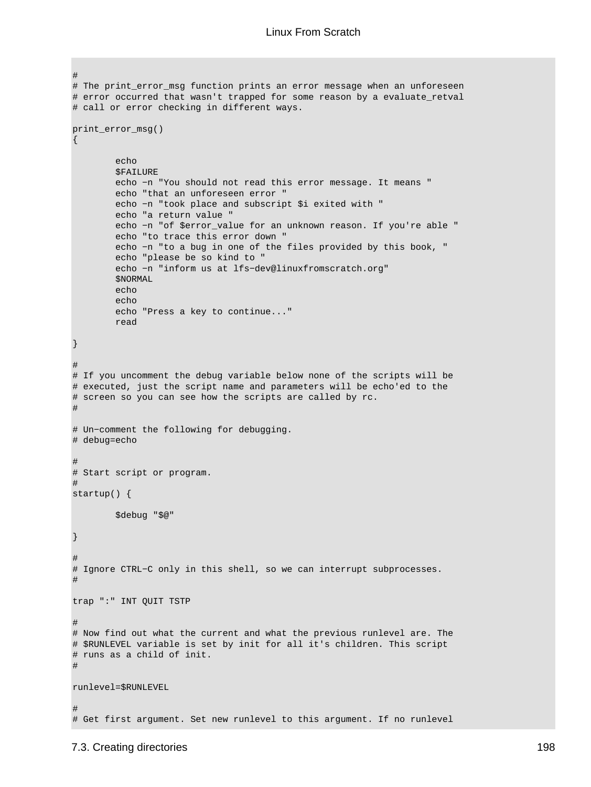```
#
# The print_error_msg function prints an error message when an unforeseen
# error occurred that wasn't trapped for some reason by a evaluate_retval
# call or error checking in different ways.
print_error_msg()
{
         echo
         $FAILURE
         echo −n "You should not read this error message. It means "
         echo "that an unforeseen error "
         echo −n "took place and subscript $i exited with "
         echo "a return value "
         echo −n "of $error_value for an unknown reason. If you're able "
         echo "to trace this error down "
         echo −n "to a bug in one of the files provided by this book, "
         echo "please be so kind to "
         echo −n "inform us at lfs−dev@linuxfromscratch.org"
         $NORMAL
         echo
         echo
         echo "Press a key to continue..."
         read
}
#
# If you uncomment the debug variable below none of the scripts will be
# executed, just the script name and parameters will be echo'ed to the
# screen so you can see how the scripts are called by rc.
#
# Un−comment the following for debugging.
# debug=echo
#
# Start script or program.
# 
startup() {
         $debug "$@"
} 
#
# Ignore CTRL−C only in this shell, so we can interrupt subprocesses.
#
trap ":" INT QUIT TSTP
#
# Now find out what the current and what the previous runlevel are. The
# $RUNLEVEL variable is set by init for all it's children. This script
# runs as a child of init.
#
runlevel=$RUNLEVEL
#
# Get first argument. Set new runlevel to this argument. If no runlevel
```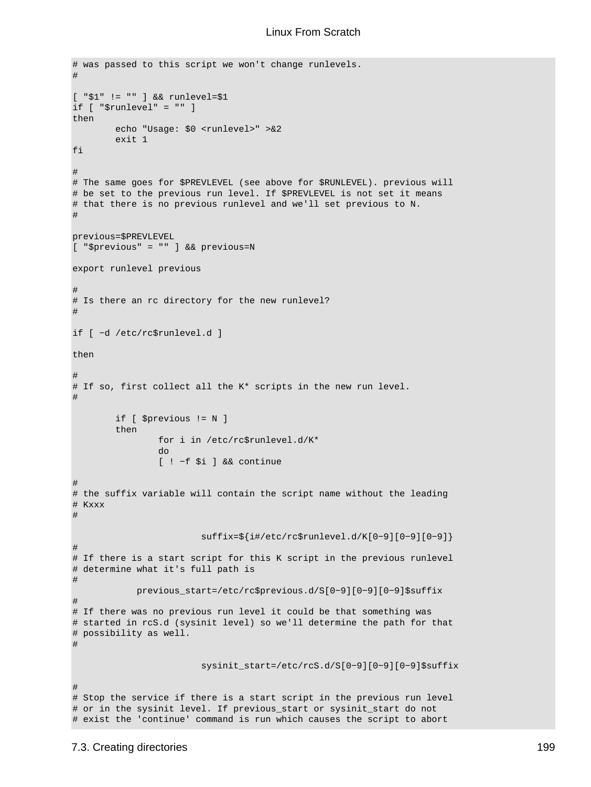```
# was passed to this script we won't change runlevels.
#
[ "$1" != "" ] && runlevel=$1
if [ "$runlevel" = "" ]
then
        echo "Usage: $0 <runlevel>" >&2
         exit 1
fi
#
# The same goes for $PREVLEVEL (see above for $RUNLEVEL). previous will
# be set to the previous run level. If $PREVLEVEL is not set it means
# that there is no previous runlevel and we'll set previous to N.
#
previous=$PREVLEVEL
[ "$previous" = "" ] && previous=N
export runlevel previous
#
# Is there an rc directory for the new runlevel?
#
if [ −d /etc/rc$runlevel.d ]
then
#
# If so, first collect all the K* scripts in the new run level.
#
         if [ $previous != N ]
         then
                 for i in /etc/rc$runlevel.d/K*
do de la construcción do do
                 [ ! −f $i ] && continue
#
# the suffix variable will contain the script name without the leading
# Kxxx
#
                          suffix=${i#/etc/rc$runlevel.d/K[0−9][0−9][0−9]}
#
# If there is a start script for this K script in the previous runlevel
# determine what it's full path is
#
             previous_start=/etc/rc$previous.d/S[0−9][0−9][0−9]$suffix
#
# If there was no previous run level it could be that something was
# started in rcS.d (sysinit level) so we'll determine the path for that
# possibility as well.
#
                          sysinit_start=/etc/rcS.d/S[0−9][0−9][0−9]$suffix
#
# Stop the service if there is a start script in the previous run level 
# or in the sysinit level. If previous_start or sysinit_start do not 
# exist the 'continue' command is run which causes the script to abort
```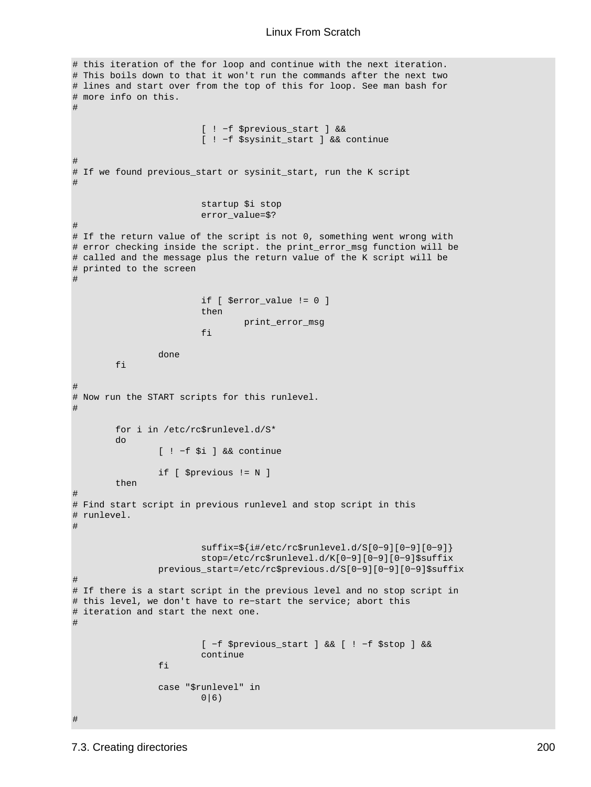```
# this iteration of the for loop and continue with the next iteration.
# This boils down to that it won't run the commands after the next two
# lines and start over from the top of this for loop. See man bash for
# more info on this.
#
                              [ ! −f $previous_start ] &&
                              [ ! −f $sysinit_start ] && continue
#
# If we found previous_start or sysinit_start, run the K script
#
                              startup $i stop
                              error_value=$?
#
# If the return value of the script is not 0, something went wrong with
# error checking inside the script. the print_error_msg function will be
# called and the message plus the return value of the K script will be
# printed to the screen
#
                              if [ $error_value != 0 ]
                              then
                                       print_error_msg 
finally a set of the set of f is f is f is f is f is f is f is f is f is f is f is f is f is f is f is f is f is f is f is f is f is f is f is f is f is f is f is f 
                    done
          fi
#
# Now run the START scripts for this runlevel.
#
          for i in /etc/rc$runlevel.d/S*
          do
                    [ ! −f $i ] && continue
                    if [ $previous != N ]
          then
#
# Find start script in previous runlevel and stop script in this
# runlevel.
#
                              suffix=${i#/etc/rc$runlevel.d/S[0−9][0−9][0−9]}
                              stop=/etc/rc$runlevel.d/K[0−9][0−9][0−9]$suffix
                    previous_start=/etc/rc$previous.d/S[0−9][0−9][0−9]$suffix
#
# If there is a start script in the previous level and no stop script in 
# this level, we don't have to re−start the service; abort this
# iteration and start the next one.
#
                              [ −f $previous_start ] && [ ! −f $stop ] && 
                              continue
film and the film of the film of the film of the film of the film of the film of the film of the film of the f
                    case "$runlevel" in
                              0|6)
```
#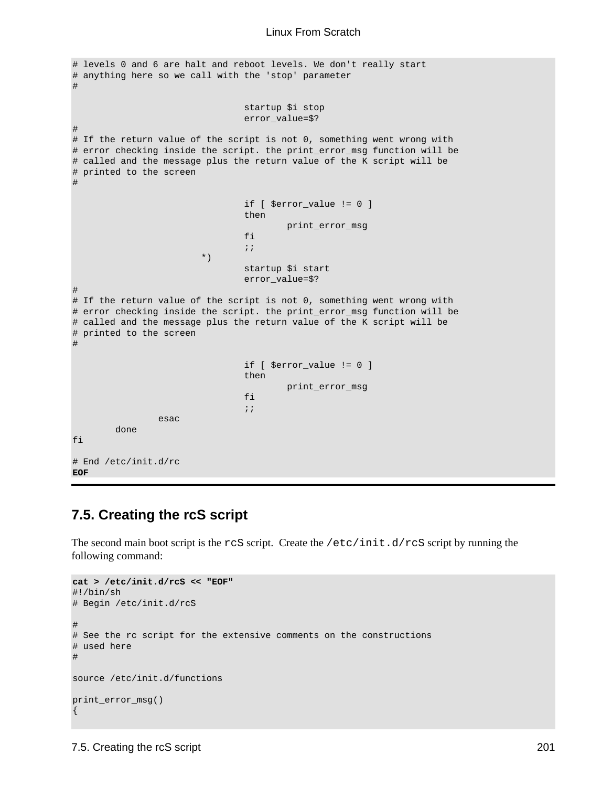```
# levels 0 and 6 are halt and reboot levels. We don't really start
# anything here so we call with the 'stop' parameter
#
                                                                                   startup $i stop
                                                                                   error_value=$?
#
# If the return value of the script is not 0, something went wrong with
# error checking inside the script. the print_error_msg function will be
# called and the message plus the return value of the K script will be
# printed to the screen
#
                                                                                   if [ $error_value != 0 ]
then the control of the control of the control of the control of the control of the control of the control of the control of the control of the control of the control of the control of the control of the control of the con
                                                                                                      print_error_msg
\mathbf{f} final property \mathbf{f} final property \mathbf{f} final property \mathbf{f}\mathcal{L}^{\mathcal{L}}_{\mathcal{L}} ; \mathcal{L}^{\mathcal{L}}_{\mathcal{L}} ; \mathcal{L}^{\mathcal{L}}_{\mathcal{L}} ; \mathcal{L}^{\mathcal{L}}_{\mathcal{L}} ; \mathcal{L}^{\mathcal{L}}_{\mathcal{L}} ; \mathcal{L}^{\mathcal{L}}_{\mathcal{L}} ; \mathcal{L}^{\mathcal{L}}_{\mathcal{L}} ; \mathcal{L}^{\mathcal{L}}_{\mathcal{L}} ; \mathcal{L}^{\mathcal{L}}_{\mathcal{L}}\leftarrow \leftarrow \leftarrow \leftarrow \leftarrow \leftarrow \leftarrow \leftarrow \leftarrow \leftarrow \leftarrow \leftarrow \leftarrow \leftarrow \leftarrow \leftarrow \leftarrow \leftarrow \leftarrow \leftarrow \leftarrow \leftarrow \leftarrow \leftarrow \leftarrow \leftarrow \leftarrow \leftarrow \leftarrow \leftarrow \leftarrow \leftarrow \leftarrow \leftarrow \leftarrow \leftarrow \leftarrow startup $i start
                                                                                  error_value=$?
#
# If the return value of the script is not 0, something went wrong with
# error checking inside the script. the print_error_msg function will be
# called and the message plus the return value of the K script will be
# printed to the screen
#
                                                                                   if [ $error_value != 0 ]
then the control of the control of the control of the control of the control of the control of the control of the control of the control of the control of the control of the control of the control of the control of the con
                                                                                                      print_error_msg
\mathbf{f} final property \mathbf{f} final property \mathbf{f} final property \mathbf{f}\mathcal{L}^{\mathcal{L}}_{\mathcal{L}} ; \mathcal{L}^{\mathcal{L}}_{\mathcal{L}} ; \mathcal{L}^{\mathcal{L}}_{\mathcal{L}} ; \mathcal{L}^{\mathcal{L}}_{\mathcal{L}} ; \mathcal{L}^{\mathcal{L}}_{\mathcal{L}} ; \mathcal{L}^{\mathcal{L}}_{\mathcal{L}} ; \mathcal{L}^{\mathcal{L}}_{\mathcal{L}} ; \mathcal{L}^{\mathcal{L}}_{\mathcal{L}} ; \mathcal{L}^{\mathcal{L}}_{\mathcal{L}} esac
                     done
fi
# End /etc/init.d/rc
EOF
```
#### **7.5. Creating the rcS script**

The second main boot script is the rcS script. Create the  $/etc/init.d/rcS$  script by running the following command:

```
cat > /etc/init.d/rcS << "EOF"
#!/bin/sh
# Begin /etc/init.d/rcS
#
# See the rc script for the extensive comments on the constructions
# used here
#
source /etc/init.d/functions
print_error_msg()
{
```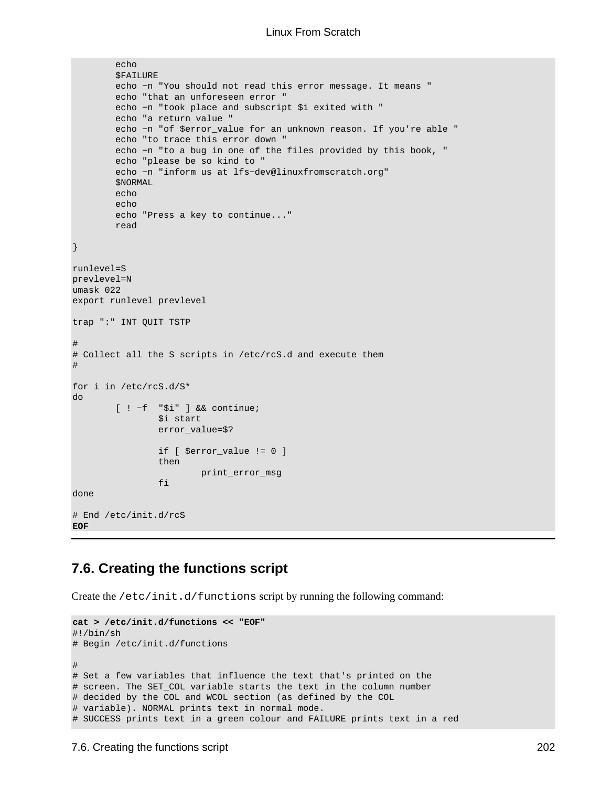Linux From Scratch

```
 echo
          $FAILURE
          echo −n "You should not read this error message. It means "
          echo "that an unforeseen error "
          echo −n "took place and subscript $i exited with "
          echo "a return value "
          echo −n "of $error_value for an unknown reason. If you're able "
          echo "to trace this error down "
          echo −n "to a bug in one of the files provided by this book, "
          echo "please be so kind to "
          echo −n "inform us at lfs−dev@linuxfromscratch.org"
          $NORMAL
          echo
          echo
          echo "Press a key to continue..."
          read
}
runlevel=S
prevlevel=N
umask 022
export runlevel prevlevel
trap ":" INT QUIT TSTP
#
# Collect all the S scripts in /etc/rcS.d and execute them
#
for i in /etc/rcS.d/S*
do
          [ ! −f "$i" ] && continue;
                   $i start
                   error_value=$?
                   if [ $error_value != 0 ]
                   then
                            print_error_msg
film and the film of the film of the film of the film of the film of the film of the film of the film of the f
done
# End /etc/init.d/rcS
EOF
```
#### **7.6. Creating the functions script**

Create the /etc/init.d/functions script by running the following command:

```
cat > /etc/init.d/functions << "EOF"
#!/bin/sh
# Begin /etc/init.d/functions
#
# Set a few variables that influence the text that's printed on the
# screen. The SET_COL variable starts the text in the column number 
# decided by the COL and WCOL section (as defined by the COL 
# variable). NORMAL prints text in normal mode.
# SUCCESS prints text in a green colour and FAILURE prints text in a red
```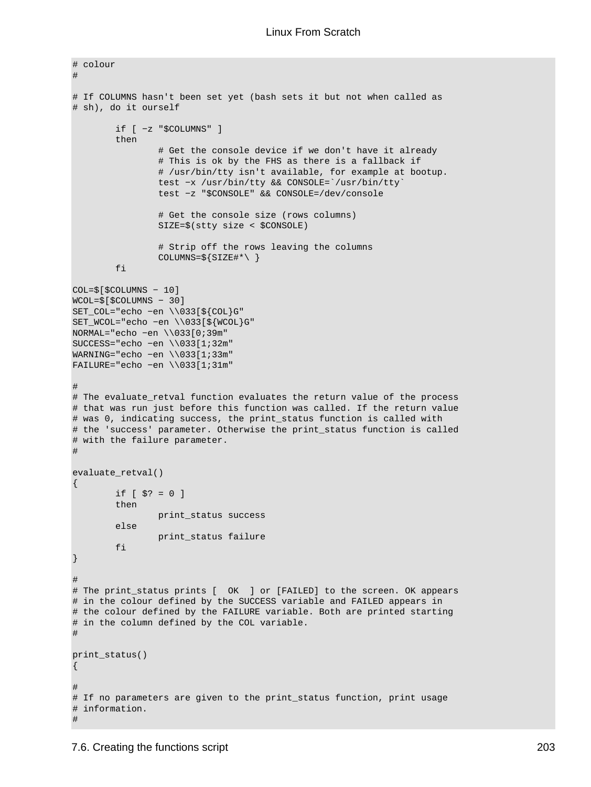```
# colour
#
# If COLUMNS hasn't been set yet (bash sets it but not when called as
# sh), do it ourself
         if [ −z "$COLUMNS" ]
         then
                 # Get the console device if we don't have it already
                 # This is ok by the FHS as there is a fallback if
                 # /usr/bin/tty isn't available, for example at bootup.
                 test −x /usr/bin/tty && CONSOLE=`/usr/bin/tty`
                 test −z "$CONSOLE" && CONSOLE=/dev/console
                 # Get the console size (rows columns)
                 SIZE=$(stty size < $CONSOLE)
                 # Strip off the rows leaving the columns
                COLUMNS=${SIZE#*\}
         fi
COL=$[$COLUMNS − 10]
WCOL=$[$COLUMNS − 30]
SET_COL="echo −en \\033[${COL}G"
SET_WCOL="echo −en \\033[${WCOL}G"
NORMAL="echo −en \\033[0;39m"
SUCCESS="echo −en \\033[1;32m"
WARNING="echo −en \\033[1;33m"
FAILURE="echo −en \\033[1;31m"
#
# The evaluate_retval function evaluates the return value of the process
# that was run just before this function was called. If the return value
# was 0, indicating success, the print_status function is called with
# the 'success' parameter. Otherwise the print_status function is called
# with the failure parameter.
#
evaluate_retval()
{
         if [ $? = 0 ]
         then
                 print_status success
         else
                print_status failure
         fi
}
#
# The print_status prints [ OK ] or [FAILED] to the screen. OK appears
# in the colour defined by the SUCCESS variable and FAILED appears in
# the colour defined by the FAILURE variable. Both are printed starting
# in the column defined by the COL variable.
#
print_status()
\left\{ \right.#
# If no parameters are given to the print status function, print usage
# information.
#
```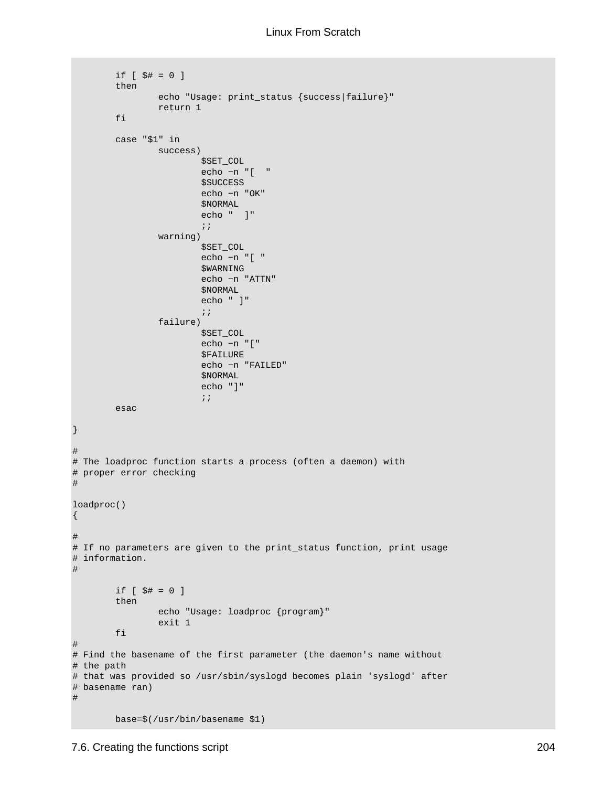```
if [ $# = 0 ]
                   then
                                      echo "Usage: print_status {success|failure}"
                                      return 1
                    fi
                   case "$1" in
                                      success)
                                                         $SET_COL
                                                         echo −n "[ "
                                                        $SUCCESS
                                                         echo −n "OK"
                                                         $NORMAL
                                                         echo " ]"
 \mathcal{L}^{\mathcal{L}}_{\mathcal{L}} ; \mathcal{L}^{\mathcal{L}}_{\mathcal{L}} ; \mathcal{L}^{\mathcal{L}}_{\mathcal{L}} ; \mathcal{L}^{\mathcal{L}}_{\mathcal{L}} ; \mathcal{L}^{\mathcal{L}}_{\mathcal{L}} ; \mathcal{L}^{\mathcal{L}}_{\mathcal{L}} ; \mathcal{L}^{\mathcal{L}}_{\mathcal{L}} ; \mathcal{L}^{\mathcal{L}}_{\mathcal{L}} ; \mathcal{L}^{\mathcal{L}}_{\mathcal{L}} warning)
                                                         $SET_COL
                                                         echo −n "[ "
                                                         $WARNING
                                                         echo −n "ATTN"
                                                         $NORMAL
                                                         echo " ]"
 \mathcal{L}^{\mathcal{L}}_{\mathcal{L}} ; \mathcal{L}^{\mathcal{L}}_{\mathcal{L}} ; \mathcal{L}^{\mathcal{L}}_{\mathcal{L}} ; \mathcal{L}^{\mathcal{L}}_{\mathcal{L}} ; \mathcal{L}^{\mathcal{L}}_{\mathcal{L}} ; \mathcal{L}^{\mathcal{L}}_{\mathcal{L}} ; \mathcal{L}^{\mathcal{L}}_{\mathcal{L}} ; \mathcal{L}^{\mathcal{L}}_{\mathcal{L}} ; \mathcal{L}^{\mathcal{L}}_{\mathcal{L}} failure)
                                                         $SET_COL
                                                         echo −n "["
                                                         $FAILURE
                                                         echo −n "FAILED"
                                                         $NORMAL
                                                         echo "]"
 \mathcal{L}^{\mathcal{L}}_{\mathcal{L}} ; \mathcal{L}^{\mathcal{L}}_{\mathcal{L}} ; \mathcal{L}^{\mathcal{L}}_{\mathcal{L}} ; \mathcal{L}^{\mathcal{L}}_{\mathcal{L}} ; \mathcal{L}^{\mathcal{L}}_{\mathcal{L}} ; \mathcal{L}^{\mathcal{L}}_{\mathcal{L}} ; \mathcal{L}^{\mathcal{L}}_{\mathcal{L}} ; \mathcal{L}^{\mathcal{L}}_{\mathcal{L}} ; \mathcal{L}^{\mathcal{L}}_{\mathcal{L}} esac
}
 #
# The loadproc function starts a process (often a daemon) with
# proper error checking
#
loadproc()
{
 #
# If no parameters are given to the print_status function, print usage
# information.
#
                  if [ $# = 0 ]
                   then
                                      echo "Usage: loadproc {program}"
                                      exit 1
                   fi
 #
# Find the basename of the first parameter (the daemon's name without
# the path
# that was provided so /usr/sbin/syslogd becomes plain 'syslogd' after
# basename ran)
#
                   base=$(/usr/bin/basename $1)
```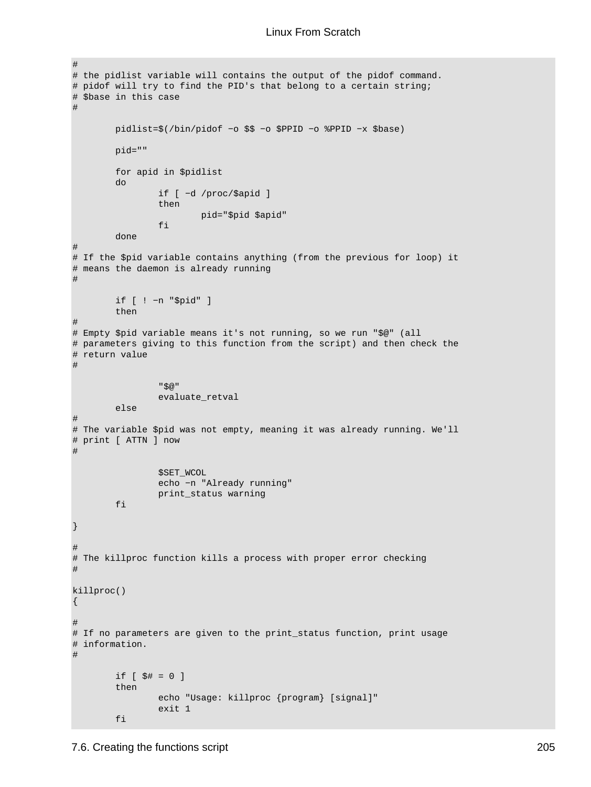```
#
# the pidlist variable will contains the output of the pidof command.
# pidof will try to find the PID's that belong to a certain string;
# $base in this case
#
          pidlist=$(/bin/pidof −o $$ −o $PPID −o %PPID −x $base)
          pid=""
          for apid in $pidlist
          do
                   if [ −d /proc/$apid ]
                   then
                            pid="$pid $apid"
film and the film of the film of the film of the film of the film of the film of the film of the film of the f
          done
#
# If the $pid variable contains anything (from the previous for loop) it
# means the daemon is already running
#
          if [ ! −n "$pid" ]
          then
#
# Empty $pid variable means it's not running, so we run "$@" (all
# parameters giving to this function from the script) and then check the
# return value
#
                   "$@"
                   evaluate_retval
          else
#
# The variable $pid was not empty, meaning it was already running. We'll
# print [ ATTN ] now
#
                   $SET_WCOL
                   echo −n "Already running"
                   print_status warning
          fi
}
#
# The killproc function kills a process with proper error checking
#
killproc()
{
#
# If no parameters are given to the print_status function, print usage
# information.
#
         if [ $# = 0 ]
          then
                   echo "Usage: killproc {program} [signal]"
                   exit 1
          fi
```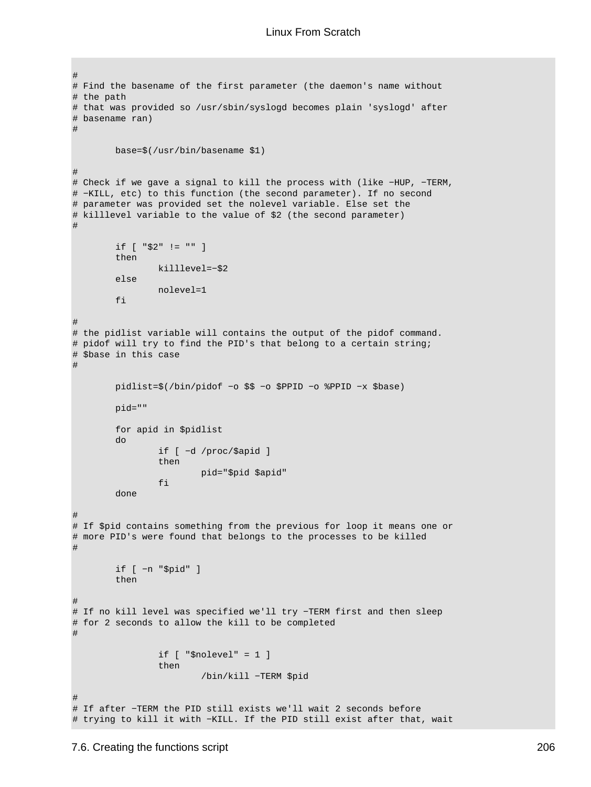```
#
# Find the basename of the first parameter (the daemon's name without
# the path
# that was provided so /usr/sbin/syslogd becomes plain 'syslogd' after
# basename ran)
#
         base=$(/usr/bin/basename $1)
#
# Check if we gave a signal to kill the process with (like −HUP, −TERM,
# −KILL, etc) to this function (the second parameter). If no second
# parameter was provided set the nolevel variable. Else set the
# killlevel variable to the value of $2 (the second parameter)
#
         if [ "$2" != "" ]
         then
                  killlevel=−$2
         else
                  nolevel=1
        f_i#
# the pidlist variable will contains the output of the pidof command.
# pidof will try to find the PID's that belong to a certain string;
# $base in this case
#
         pidlist=$(/bin/pidof −o $$ −o $PPID −o %PPID −x $base)
         pid=""
         for apid in $pidlist
         do
                  if [ −d /proc/$apid ]
                  then
                           pid="$pid $apid"
film and the film of the film of the film of the film of the film of the film of the film of the film of the f
         done
#
# If $pid contains something from the previous for loop it means one or
# more PID's were found that belongs to the processes to be killed
#
         if [ −n "$pid" ]
         then
#
# If no kill level was specified we'll try −TERM first and then sleep
# for 2 seconds to allow the kill to be completed
#
                  if [ "$nolevel" = 1 ]
                  then
                           /bin/kill −TERM $pid
#
# If after −TERM the PID still exists we'll wait 2 seconds before
# trying to kill it with −KILL. If the PID still exist after that, wait
```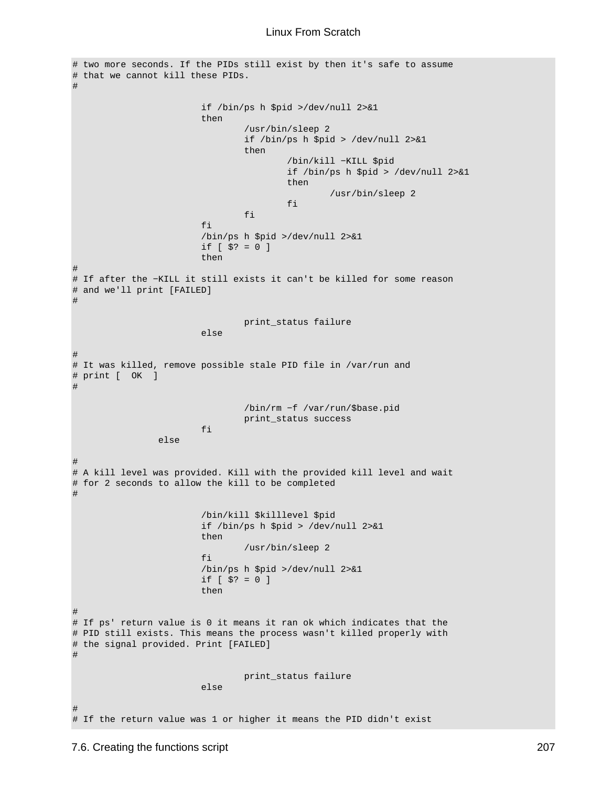```
# two more seconds. If the PIDs still exist by then it's safe to assume
# that we cannot kill these PIDs.
#
                                        if /bin/ps h $pid >/dev/null 2>&1
                                        then
                                                     /usr/bin/sleep 2
                                                     if /bin/ps h $pid > /dev/null 2>&1
then the control of the control of the control of the control of the control of the control of the control of the control of the control of the control of the control of the control of the control of the control of the con
                                                                  /bin/kill −KILL $pid
                                                                  if /bin/ps h $pid > /dev/null 2>&1
then we have a statement of the statement of the statement of the statement of the statement of the statement
                                                                               /usr/bin/sleep 2
file and the contract of the contract of the contract of the contract of the contract of the contract of the c
\mathbf{f} final property \mathbf{f} final property \mathbf{f} final property \mathbf{f}finally a set of the set of f is f is f is f is f is f is f is f is f is f is f is f is f is f is f is f is f is f is f is f is f is f is f is f is f is f is f is f 
                                        /bin/ps h $pid >/dev/null 2>&1
                                       if [ $? = 0 ] then
#
# If after the −KILL it still exists it can't be killed for some reason
# and we'll print [FAILED]
#
                                                     print_status failure
                                        else
#
# It was killed, remove possible stale PID file in /var/run and 
# print [ OK ]
#
                                                     /bin/rm −f /var/run/$base.pid
                                                     print_status success
finally a set of the set of f is f is f is f is f is f is f is f is f is a set of f is f is f is f is f is f is f is f is f is f is f is f is f is f is f is f is f is f else
#
# A kill level was provided. Kill with the provided kill level and wait
# for 2 seconds to allow the kill to be completed
#
                                        /bin/kill $killlevel $pid
                                        if /bin/ps h $pid > /dev/null 2>&1
                                        then
                                                     /usr/bin/sleep 2
finally a set of the set of f is f is f is f is f is f is f is f is f is a set of f is f is f is f is f is f is f is f is f is f is f is f is f is f is f is f is f is f /bin/ps h $pid >/dev/null 2>&1
                                       if [ $? = 0 ] then
#
# If ps' return value is 0 it means it ran ok which indicates that the
# PID still exists. This means the process wasn't killed properly with
# the signal provided. Print [FAILED]
#
                                                     print_status failure
                                        else
#
# If the return value was 1 or higher it means the PID didn't exist
```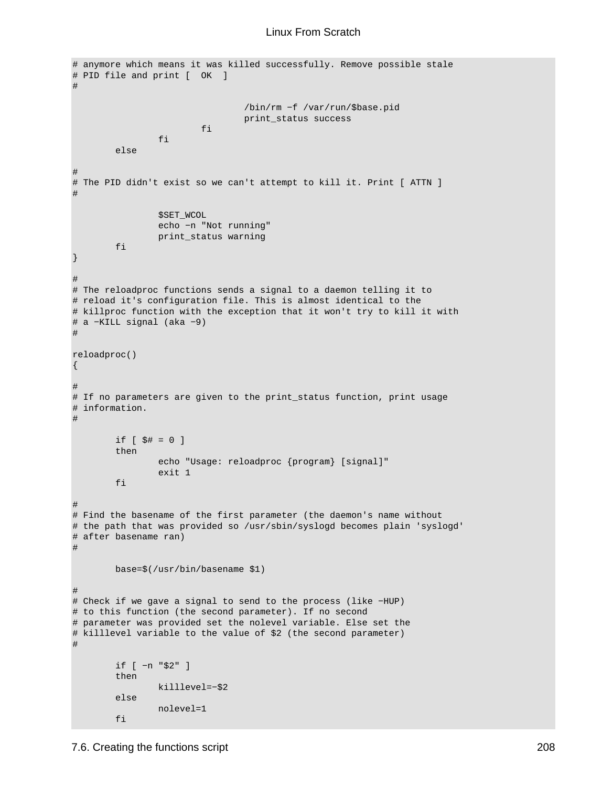```
# anymore which means it was killed successfully. Remove possible stale
# PID file and print [ OK ]
#
                                        /bin/rm −f /var/run/$base.pid
                                        print_status success
finally a set of the set of f is f is f is f is f is f is f is f is f is a set of f is f is f is f is f is f is f is f is f is f is f is f is f is f is f is f is f is ffilm and the film of the film of the film of the film of the film of the film of the film of the film of the f
           else
#
# The PID didn't exist so we can't attempt to kill it. Print [ ATTN ]
#
                    $SET_WCOL
                     echo −n "Not running"
                    print_status warning
           fi
}
#
# The reloadproc functions sends a signal to a daemon telling it to
# reload it's configuration file. This is almost identical to the
# killproc function with the exception that it won't try to kill it with
# a −KILL signal (aka −9)
#
reloadproc()
{
#
# If no parameters are given to the print_status function, print usage
# information.
#
          if [ $# = 0 ]
           then
                     echo "Usage: reloadproc {program} [signal]"
                     exit 1
           fi
#
# Find the basename of the first parameter (the daemon's name without
# the path that was provided so /usr/sbin/syslogd becomes plain 'syslogd' 
# after basename ran)
#
          base=$(/usr/bin/basename $1)
#
# Check if we gave a signal to send to the process (like −HUP)
# to this function (the second parameter). If no second
# parameter was provided set the nolevel variable. Else set the
# killlevel variable to the value of $2 (the second parameter)
#
          if [ −n "$2" ]
           then
                    killlevel=−$2
           else
                    nolevel=1
           fi
```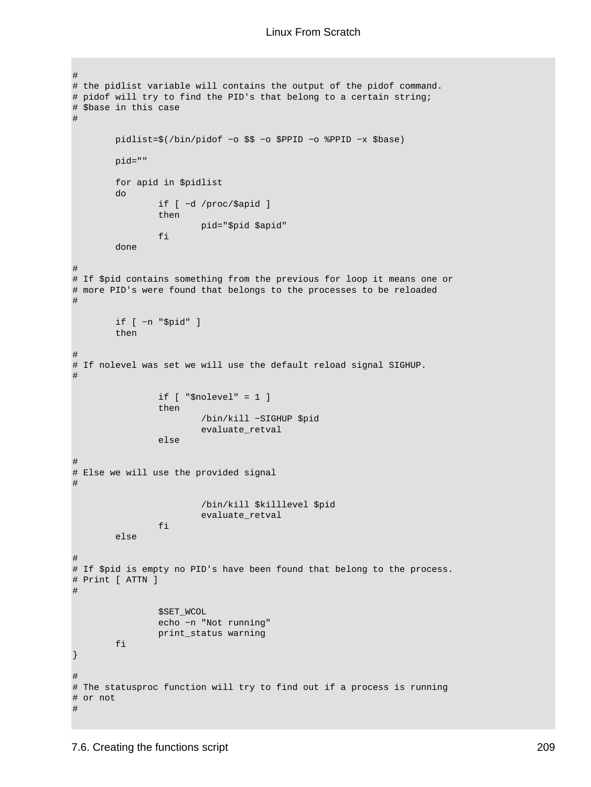```
#
# the pidlist variable will contains the output of the pidof command.
# pidof will try to find the PID's that belong to a certain string;
# $base in this case
#
         pidlist=$(/bin/pidof −o $$ −o $PPID −o %PPID −x $base)
         pid=""
         for apid in $pidlist
         do
                  if [ −d /proc/$apid ]
                  then
                          pid="$pid $apid"
                  fi
         done
#
# If $pid contains something from the previous for loop it means one or
# more PID's were found that belongs to the processes to be reloaded
#
         if [ −n "$pid" ]
         then
#
# If nolevel was set we will use the default reload signal SIGHUP.
#
                 if [ "$nolevel" = 1 ]
                  then
                          /bin/kill −SIGHUP $pid
                          evaluate_retval
                  else
#
# Else we will use the provided signal
#
                          /bin/kill $killlevel $pid
                          evaluate_retval
                 fi
         else
#
# If $pid is empty no PID's have been found that belong to the process.
# Print [ ATTN ]
#
                  $SET_WCOL
                 echo −n "Not running"
                 print_status warning
         fi
}
#
# The statusproc function will try to find out if a process is running
# or not
#
```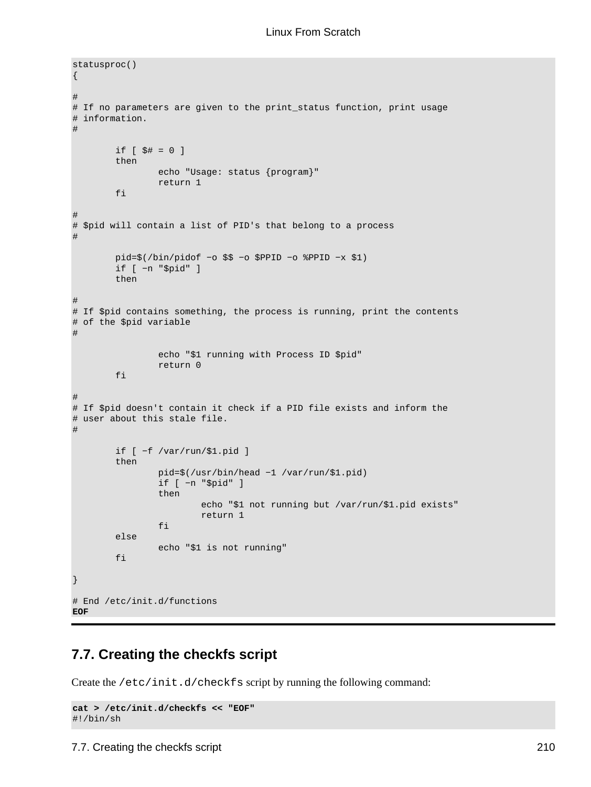```
statusproc()
{
#
# If no parameters are given to the print_status function, print usage
# information.
#
        if [ $# = 0 ]
         then
                  echo "Usage: status {program}"
                  return 1
         fi
#
# $pid will contain a list of PID's that belong to a process
#
         pid=$(/bin/pidof −o $$ −o $PPID −o %PPID −x $1)
         if [ −n "$pid" ]
         then
#
# If $pid contains something, the process is running, print the contents
# of the $pid variable
#
                  echo "$1 running with Process ID $pid"
                  return 0
         fi
#
# If $pid doesn't contain it check if a PID file exists and inform the
# user about this stale file.
#
         if [ −f /var/run/$1.pid ]
         then
                  pid=$(/usr/bin/head −1 /var/run/$1.pid)
                  if [ −n "$pid" ]
                  then
                          echo "$1 not running but /var/run/$1.pid exists"
                          return 1
                  fi
         else
                  echo "$1 is not running"
         fi
}
# End /etc/init.d/functions
EOF
```
## **7.7. Creating the checkfs script**

Create the /etc/init.d/checkfs script by running the following command:

```
cat > /etc/init.d/checkfs << "EOF"
#!/bin/sh
```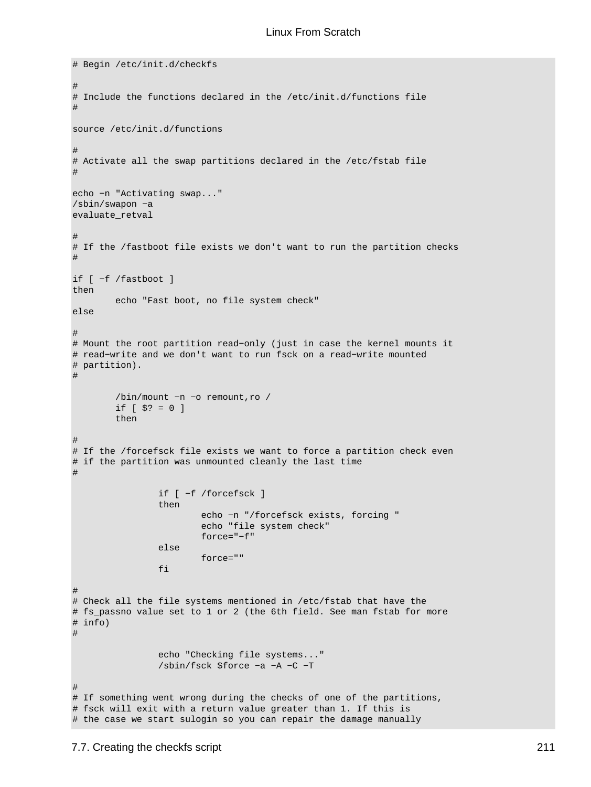```
# Begin /etc/init.d/checkfs
#
# Include the functions declared in the /etc/init.d/functions file
#
source /etc/init.d/functions
#
# Activate all the swap partitions declared in the /etc/fstab file
#
echo −n "Activating swap..."
/sbin/swapon −a
evaluate_retval
#
# If the /fastboot file exists we don't want to run the partition checks
#
if [ −f /fastboot ]
then
         echo "Fast boot, no file system check"
else
#
# Mount the root partition read−only (just in case the kernel mounts it
# read−write and we don't want to run fsck on a read−write mounted 
# partition).
#
         /bin/mount −n −o remount,ro /
        if [ $? = 0 ] then
#
# If the /forcefsck file exists we want to force a partition check even 
# if the partition was unmounted cleanly the last time
#
                  if [ −f /forcefsck ]
                  then
                           echo −n "/forcefsck exists, forcing "
                           echo "file system check"
                           force="−f"
                  else
                           force=""
film and the film of the film of the film of the film of the film of the film of the film of the film of the f
#
# Check all the file systems mentioned in /etc/fstab that have the
# fs_passno value set to 1 or 2 (the 6th field. See man fstab for more
# info)
#
                  echo "Checking file systems..."
                  /sbin/fsck $force −a −A −C −T
#
# If something went wrong during the checks of one of the partitions,
# fsck will exit with a return value greater than 1. If this is
# the case we start sulogin so you can repair the damage manually
```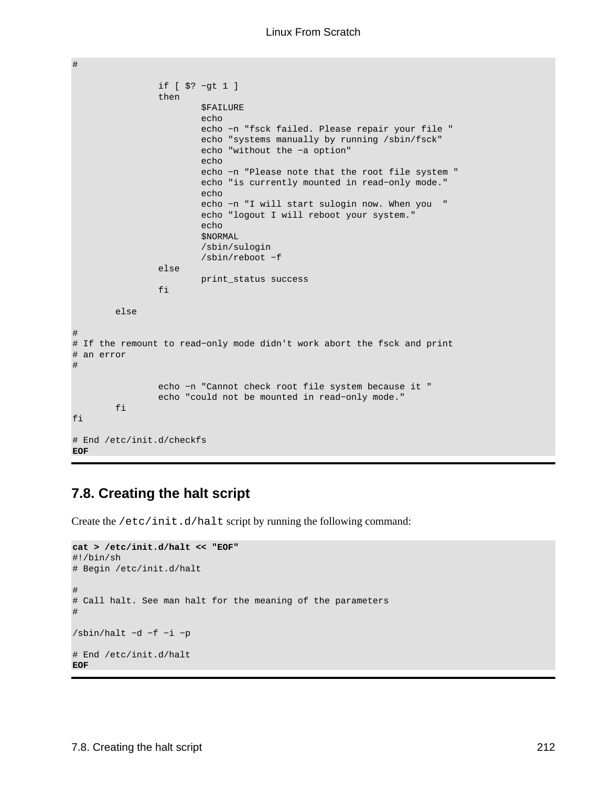```
 if [ $? −gt 1 ]
                    then
                             $FAILURE
                              echo
                              echo −n "fsck failed. Please repair your file "
                              echo "systems manually by running /sbin/fsck"
                              echo "without the −a option"
                              echo
                              echo −n "Please note that the root file system " 
                              echo "is currently mounted in read−only mode."
                              echo
                              echo −n "I will start sulogin now. When you "
                              echo "logout I will reboot your system."
                              echo
                              $NORMAL
                              /sbin/sulogin
                             /sbin/reboot −f
                    else
                             print_status success
film and the film of the film of the film of the film of the film of the film of the film of the film of the f
           else
#
# If the remount to read−only mode didn't work abort the fsck and print
# an error
#
                    echo −n "Cannot check root file system because it "
                    echo "could not be mounted in read−only mode."
         f_ifi
# End /etc/init.d/checkfs
EOF
```
## **7.8. Creating the halt script**

#

Create the /etc/init.d/halt script by running the following command:

```
cat > /etc/init.d/halt << "EOF"
#!/bin/sh
# Begin /etc/init.d/halt
#
# Call halt. See man halt for the meaning of the parameters
#
/sbin/halt −d −f −i −p
# End /etc/init.d/halt
EOF
```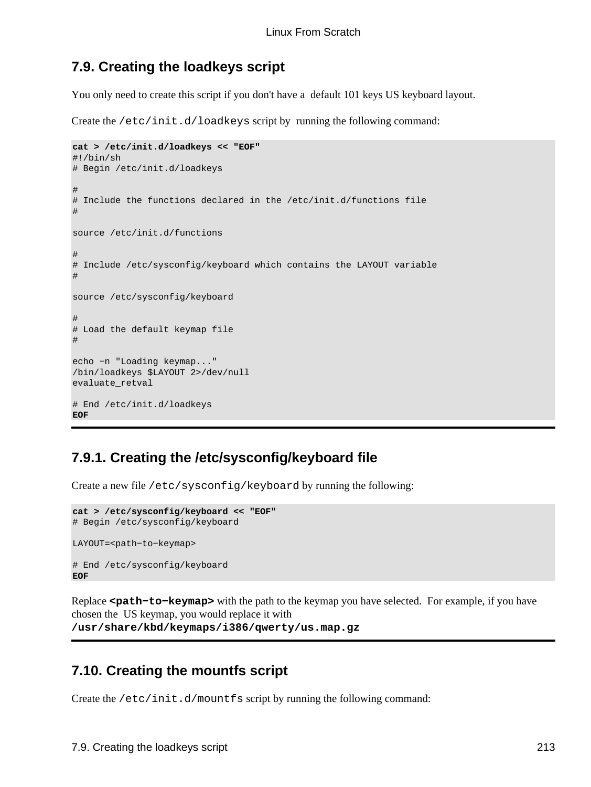# **7.9. Creating the loadkeys script**

You only need to create this script if you don't have a default 101 keys US keyboard layout.

Create the /etc/init.d/loadkeys script by running the following command:

```
cat > /etc/init.d/loadkeys << "EOF"
#!/bin/sh
# Begin /etc/init.d/loadkeys
#
# Include the functions declared in the /etc/init.d/functions file
#
source /etc/init.d/functions
#
# Include /etc/sysconfig/keyboard which contains the LAYOUT variable
#
source /etc/sysconfig/keyboard
#
# Load the default keymap file
#
echo −n "Loading keymap..."
/bin/loadkeys $LAYOUT 2>/dev/null
evaluate_retval
# End /etc/init.d/loadkeys
EOF
```
## **7.9.1. Creating the /etc/sysconfig/keyboard file**

Create a new file /etc/sysconfig/keyboard by running the following:

```
cat > /etc/sysconfig/keyboard << "EOF"
# Begin /etc/sysconfig/keyboard
LAYOUT=<path−to−keymap>
# End /etc/sysconfig/keyboard
EOF
```
Replace <path-to-keymap> with the path to the keymap you have selected. For example, if you have chosen the US keymap, you would replace it with **/usr/share/kbd/keymaps/i386/qwerty/us.map.gz**

# **7.10. Creating the mountfs script**

Create the /etc/init.d/mountfs script by running the following command: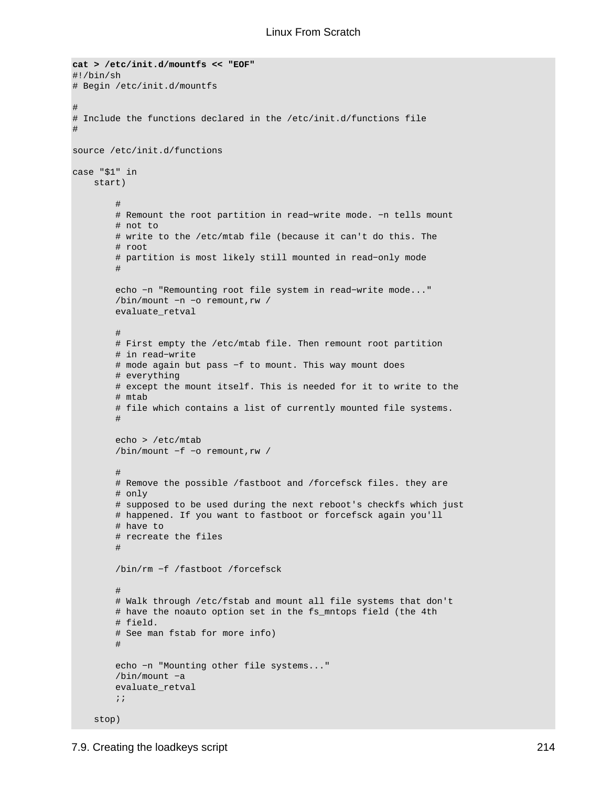```
cat > /etc/init.d/mountfs << "EOF"
#!/bin/sh
# Begin /etc/init.d/mountfs
#
# Include the functions declared in the /etc/init.d/functions file
#
source /etc/init.d/functions
case "$1" in
     start)
 #
         # Remount the root partition in read−write mode. −n tells mount
         # not to
         # write to the /etc/mtab file (because it can't do this. The
         # root
         # partition is most likely still mounted in read−only mode
 #
         echo −n "Remounting root file system in read−write mode..."
         /bin/mount −n −o remount,rw /
         evaluate_retval
         #
         # First empty the /etc/mtab file. Then remount root partition 
         # in read−write 
         # mode again but pass −f to mount. This way mount does
         # everything 
         # except the mount itself. This is needed for it to write to the
         # mtab 
         # file which contains a list of currently mounted file systems.
         #
         echo > /etc/mtab
         /bin/mount −f −o remount,rw /
         #
         # Remove the possible /fastboot and /forcefsck files. they are
         # only
         # supposed to be used during the next reboot's checkfs which just
         # happened. If you want to fastboot or forcefsck again you'll
         # have to
         # recreate the files
         #
         /bin/rm −f /fastboot /forcefsck
         #
         # Walk through /etc/fstab and mount all file systems that don't 
         # have the noauto option set in the fs_mntops field (the 4th
         # field. 
         # See man fstab for more info)
 #
         echo −n "Mounting other file systems..."
         /bin/mount −a
         evaluate_retval
         ;;
```
stop)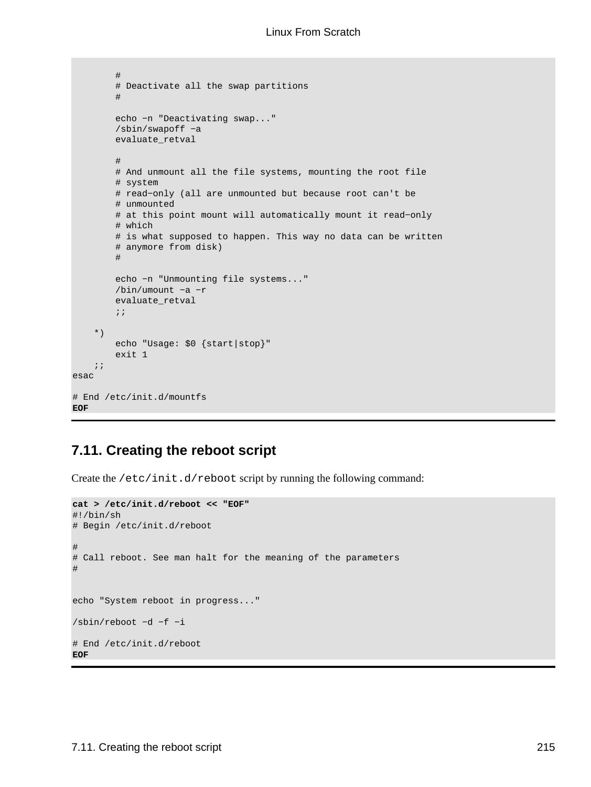```
 #
         # Deactivate all the swap partitions
         #
         echo −n "Deactivating swap..."
         /sbin/swapoff −a
         evaluate_retval
 #
         # And unmount all the file systems, mounting the root file
         # system
         # read−only (all are unmounted but because root can't be
         # unmounted 
         # at this point mount will automatically mount it read−only
         # which 
        # is what supposed to happen. This way no data can be written
         # anymore from disk)
 #
         echo −n "Unmounting file systems..."
         /bin/umount −a −r
         evaluate_retval
         ;;
     *)
         echo "Usage: $0 {start|stop}"
         exit 1
     ;;
esac
# End /etc/init.d/mountfs
EOF
```
#### **7.11. Creating the reboot script**

Create the /etc/init.d/reboot script by running the following command:

```
cat > /etc/init.d/reboot << "EOF"
#!/bin/sh
# Begin /etc/init.d/reboot
#
# Call reboot. See man halt for the meaning of the parameters
#
echo "System reboot in progress..."
/sbin/reboot −d −f −i
# End /etc/init.d/reboot
EOF
```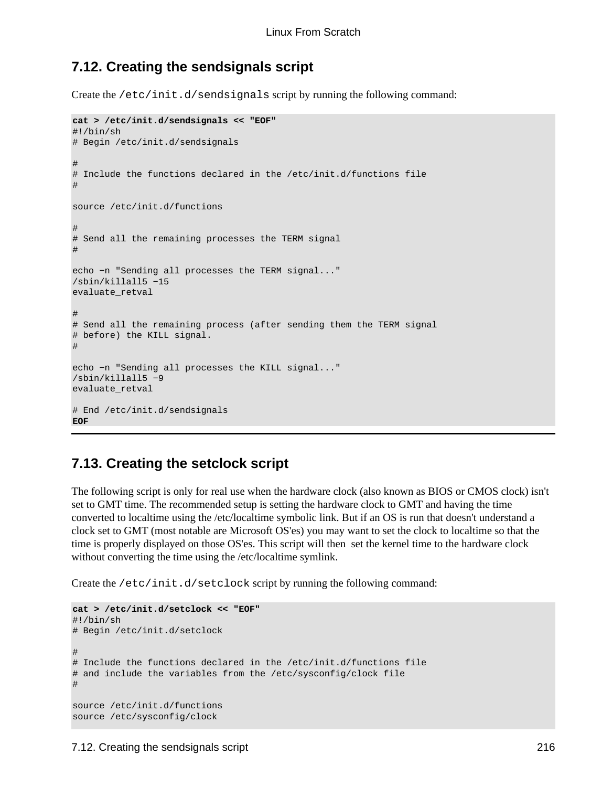## **7.12. Creating the sendsignals script**

Create the /etc/init.d/sendsignals script by running the following command:

```
cat > /etc/init.d/sendsignals << "EOF"
#!/bin/sh
# Begin /etc/init.d/sendsignals
#
# Include the functions declared in the /etc/init.d/functions file
#
source /etc/init.d/functions
#
# Send all the remaining processes the TERM signal
#
echo −n "Sending all processes the TERM signal..."
/sbin/killall5 −15
evaluate_retval
#
# Send all the remaining process (after sending them the TERM signal
# before) the KILL signal.
#
echo −n "Sending all processes the KILL signal..."
/sbin/killall5 −9
evaluate_retval
# End /etc/init.d/sendsignals
EOF
```
## **7.13. Creating the setclock script**

The following script is only for real use when the hardware clock (also known as BIOS or CMOS clock) isn't set to GMT time. The recommended setup is setting the hardware clock to GMT and having the time converted to localtime using the /etc/localtime symbolic link. But if an OS is run that doesn't understand a clock set to GMT (most notable are Microsoft OS'es) you may want to set the clock to localtime so that the time is properly displayed on those OS'es. This script will then set the kernel time to the hardware clock without converting the time using the /etc/localtime symlink.

Create the  $/etc/init.d/setclock$  script by running the following command:

```
cat > /etc/init.d/setclock << "EOF"
#!/bin/sh
# Begin /etc/init.d/setclock
#
# Include the functions declared in the /etc/init.d/functions file
# and include the variables from the /etc/sysconfig/clock file
#
source /etc/init.d/functions
source /etc/sysconfig/clock
```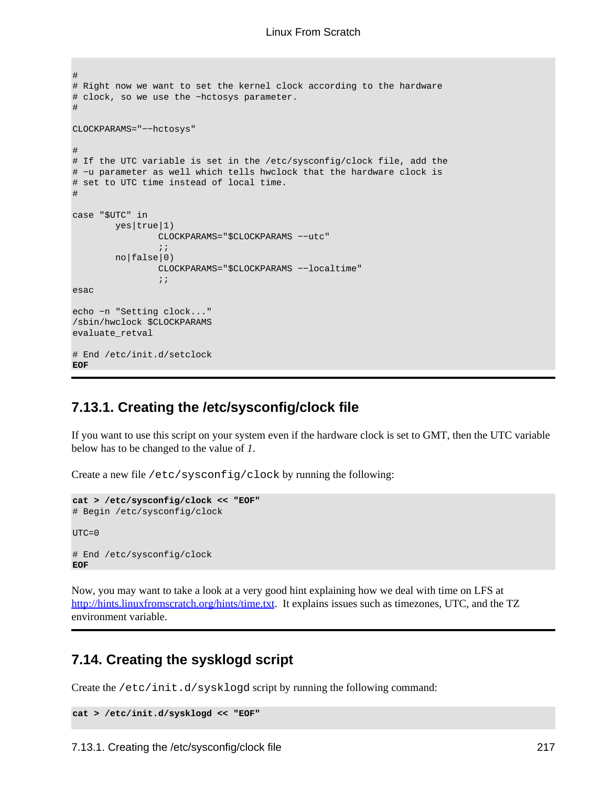```
#
# Right now we want to set the kernel clock according to the hardware
# clock, so we use the −hctosys parameter.
#
CLOCKPARAMS="−−hctosys"
#
# If the UTC variable is set in the /etc/sysconfig/clock file, add the
# −u parameter as well which tells hwclock that the hardware clock is
# set to UTC time instead of local time.
#
case "$UTC" in
               yes|true|1)
                              CLOCKPARAMS="$CLOCKPARAMS −−utc"
\mathcal{L}^{\mathcal{L}}_{\mathcal{L}} ; \mathcal{L}^{\mathcal{L}}_{\mathcal{L}} ; \mathcal{L}^{\mathcal{L}}_{\mathcal{L}} ; \mathcal{L}^{\mathcal{L}}_{\mathcal{L}} ; \mathcal{L}^{\mathcal{L}}_{\mathcal{L}} ; \mathcal{L}^{\mathcal{L}}_{\mathcal{L}} no|false|0)
                              CLOCKPARAMS="$CLOCKPARAMS −−localtime"
\mathcal{L}^{\mathcal{L}}_{\mathcal{L}} ; \mathcal{L}^{\mathcal{L}}_{\mathcal{L}} ; \mathcal{L}^{\mathcal{L}}_{\mathcal{L}} ; \mathcal{L}^{\mathcal{L}}_{\mathcal{L}} ; \mathcal{L}^{\mathcal{L}}_{\mathcal{L}} ; \mathcal{L}^{\mathcal{L}}_{\mathcal{L}}esac
echo −n "Setting clock..."
/sbin/hwclock $CLOCKPARAMS
evaluate_retval
# End /etc/init.d/setclock
EOF
```
#### **7.13.1. Creating the /etc/sysconfig/clock file**

If you want to use this script on your system even if the hardware clock is set to GMT, then the UTC variable below has to be changed to the value of *1*.

Create a new file /etc/sysconfig/clock by running the following:

```
cat > /etc/sysconfig/clock << "EOF"
# Begin /etc/sysconfig/clock
UTC=0
# End /etc/sysconfig/clock
EOF
```
Now, you may want to take a look at a very good hint explaining how we deal with time on LFS at <http://hints.linuxfromscratch.org/hints/time.txt>. It explains issues such as timezones, UTC, and the TZ environment variable.

## **7.14. Creating the sysklogd script**

Create the /etc/init.d/sysklogd script by running the following command:

```
cat > /etc/init.d/sysklogd << "EOF"
```
7.13.1. Creating the /etc/sysconfig/clock file 217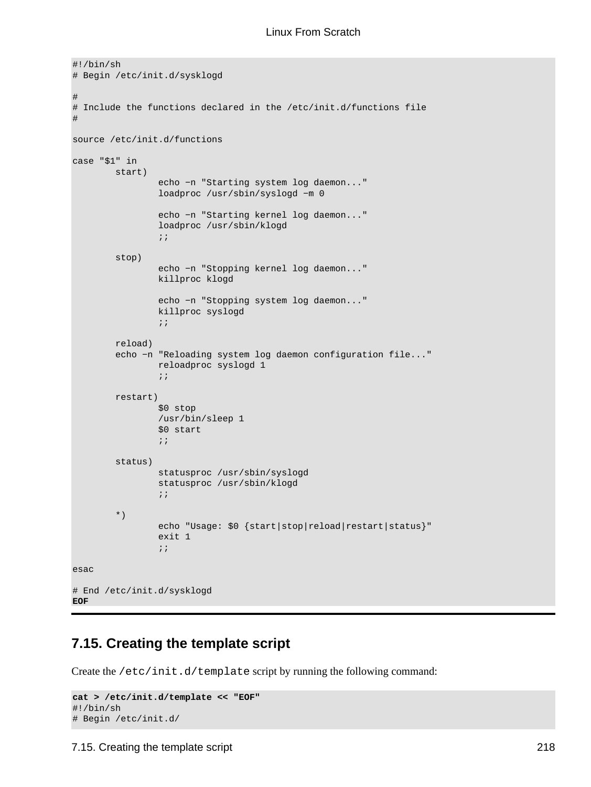```
#!/bin/sh
# Begin /etc/init.d/sysklogd
#
# Include the functions declared in the /etc/init.d/functions file
#
source /etc/init.d/functions
case "$1" in
           start)
                      echo −n "Starting system log daemon..."
                      loadproc /usr/sbin/syslogd −m 0
                      echo −n "Starting kernel log daemon..."
                      loadproc /usr/sbin/klogd
                      ;;
           stop)
                      echo −n "Stopping kernel log daemon..."
                      killproc klogd
                      echo −n "Stopping system log daemon..."
                      killproc syslogd
                      ;;
           reload)
           echo −n "Reloading system log daemon configuration file..."
                      reloadproc syslogd 1
\mathcal{L}^{\text{max}}_{\text{max}} ; \mathcal{L}^{\text{max}}_{\text{max}} ; \mathcal{L}^{\text{max}}_{\text{max}} restart)
                      $0 stop
                      /usr/bin/sleep 1
                      $0 start
                      ;;
           status)
                      statusproc /usr/sbin/syslogd
                      statusproc /usr/sbin/klogd
\mathcal{L}^{\text{max}}_{\text{max}} ; \mathcal{L}^{\text{max}}_{\text{max}} ; \mathcal{L}^{\text{max}}_{\text{max}} *)
                      echo "Usage: $0 {start|stop|reload|restart|status}"
                      exit 1
                      ;;
esac
# End /etc/init.d/sysklogd
EOF
```
## **7.15. Creating the template script**

Create the /etc/init.d/template script by running the following command:

```
cat > /etc/init.d/template << "EOF"
#!/bin/sh
# Begin /etc/init.d/
```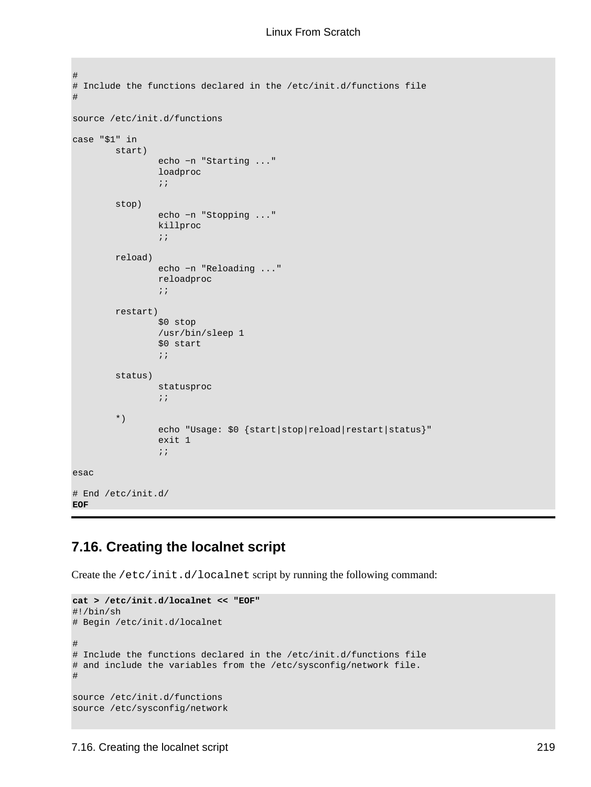```
#
# Include the functions declared in the /etc/init.d/functions file
#
source /etc/init.d/functions
case "$1" in
           start)
                      echo −n "Starting ..."
                      loadproc
                      ;;
           stop)
                      echo −n "Stopping ..."
                      killproc
                      ;;
           reload)
                      echo −n "Reloading ..."
                      reloadproc
                      ;;
           restart)
                      $0 stop
                      /usr/bin/sleep 1
                      $0 start
                      ;;
           status)
                      statusproc
                      ;;
            *)
                      echo "Usage: $0 {start|stop|reload|restart|status}"
                      exit 1
\mathcal{L}^{\text{max}}_{\text{max}} ; \mathcal{L}^{\text{max}}_{\text{max}} ; \mathcal{L}^{\text{max}}_{\text{max}}esac
# End /etc/init.d/
EOF
```
## **7.16. Creating the localnet script**

Create the /etc/init.d/localnet script by running the following command:

```
cat > /etc/init.d/localnet << "EOF"
#!/bin/sh 
# Begin /etc/init.d/localnet
#
# Include the functions declared in the /etc/init.d/functions file
# and include the variables from the /etc/sysconfig/network file.
# 
source /etc/init.d/functions
source /etc/sysconfig/network
```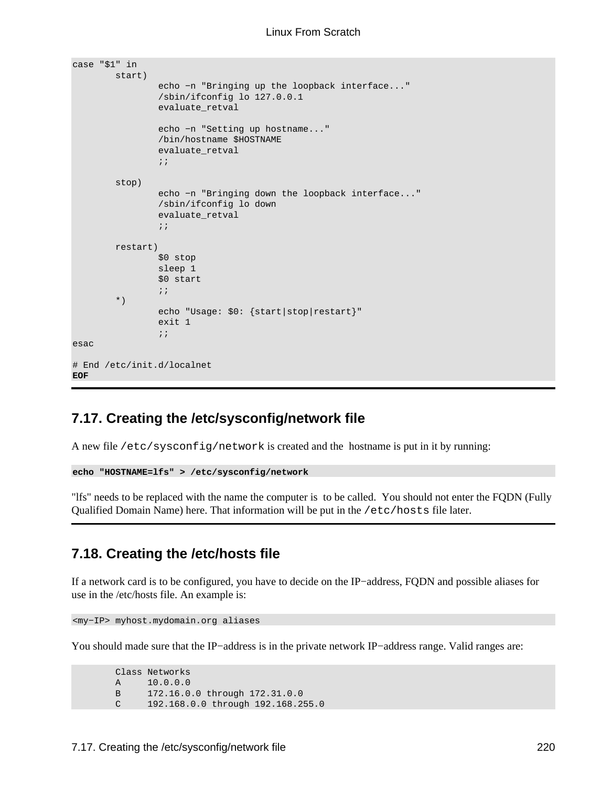```
case "$1" in
              start)
                             echo −n "Bringing up the loopback interface..."
                             /sbin/ifconfig lo 127.0.0.1
                             evaluate_retval
                             echo −n "Setting up hostname..."
                             /bin/hostname $HOSTNAME
                             evaluate_retval
\mathcal{L}^{\text{max}}_{\text{max}} ; \mathcal{L}^{\text{max}}_{\text{max}} ; \mathcal{L}^{\text{max}}_{\text{max}} stop)
                             echo −n "Bringing down the loopback interface..."
                             /sbin/ifconfig lo down
                             evaluate_retval
\mathcal{L}^{\text{max}}_{\text{max}} ; \mathcal{L}^{\text{max}}_{\text{max}} ; \mathcal{L}^{\text{max}}_{\text{max}} restart)
                             $0 stop
                             sleep 1
                             $0 start
\mathcal{L}^{\text{max}}_{\text{max}} ; \mathcal{L}^{\text{max}}_{\text{max}} ; \mathcal{L}^{\text{max}}_{\text{max}} *)
                             echo "Usage: $0: {start|stop|restart}"
                             exit 1
                             ;;
esac
# End /etc/init.d/localnet
EOF
```
#### **7.17. Creating the /etc/sysconfig/network file**

A new file /etc/sysconfig/network is created and the hostname is put in it by running:

**echo "HOSTNAME=lfs" > /etc/sysconfig/network**

"lfs" needs to be replaced with the name the computer is to be called. You should not enter the FQDN (Fully Qualified Domain Name) here. That information will be put in the  $/etc/$  hosts file later.

# **7.18. Creating the /etc/hosts file**

If a network card is to be configured, you have to decide on the IP−address, FQDN and possible aliases for use in the /etc/hosts file. An example is:

```
<my−IP> myhost.mydomain.org aliases
```
You should made sure that the IP−address is in the private network IP−address range. Valid ranges are:

 Class Networks A 10.0.0.0 B 172.16.0.0 through 172.31.0.0 C 192.168.0.0 through 192.168.255.0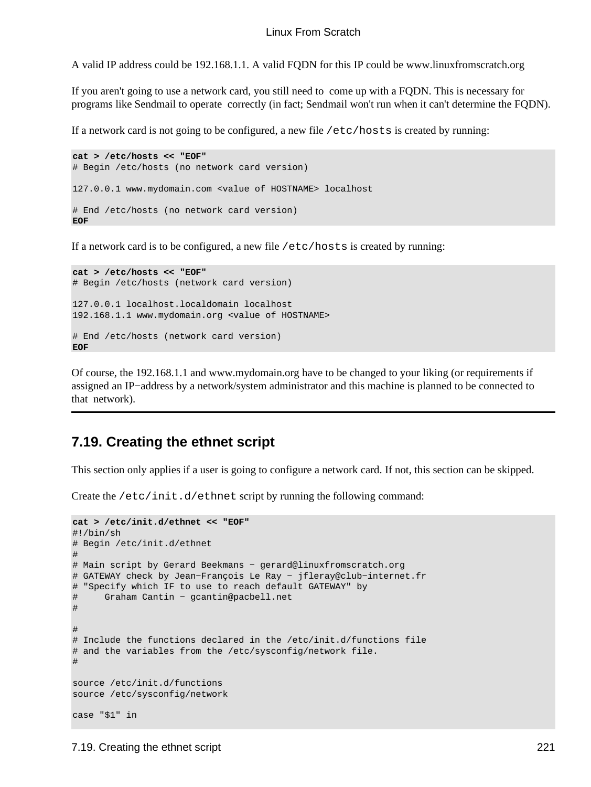A valid IP address could be 192.168.1.1. A valid FQDN for this IP could be www.linuxfromscratch.org

If you aren't going to use a network card, you still need to come up with a FQDN. This is necessary for programs like Sendmail to operate correctly (in fact; Sendmail won't run when it can't determine the FQDN).

If a network card is not going to be configured, a new file /etc/hosts is created by running:

```
cat > /etc/hosts << "EOF"
# Begin /etc/hosts (no network card version)
127.0.0.1 www.mydomain.com <value of HOSTNAME> localhost
# End /etc/hosts (no network card version)
EOF
```
If a network card is to be configured, a new file /etc/hosts is created by running:

```
cat > /etc/hosts << "EOF"
# Begin /etc/hosts (network card version)
127.0.0.1 localhost.localdomain localhost
192.168.1.1 www.mydomain.org <value of HOSTNAME>
# End /etc/hosts (network card version)
EOF
```
Of course, the 192.168.1.1 and www.mydomain.org have to be changed to your liking (or requirements if assigned an IP−address by a network/system administrator and this machine is planned to be connected to that network).

#### **7.19. Creating the ethnet script**

This section only applies if a user is going to configure a network card. If not, this section can be skipped.

Create the /etc/init.d/ethnet script by running the following command:

```
cat > /etc/init.d/ethnet << "EOF"
#!/bin/sh
# Begin /etc/init.d/ethnet
#
# Main script by Gerard Beekmans − gerard@linuxfromscratch.org
# GATEWAY check by Jean−François Le Ray − jfleray@club−internet.fr
# "Specify which IF to use to reach default GATEWAY" by 
# Graham Cantin − gcantin@pacbell.net
#
#
# Include the functions declared in the /etc/init.d/functions file
# and the variables from the /etc/sysconfig/network file.
#
source /etc/init.d/functions
source /etc/sysconfig/network
case "$1" in
```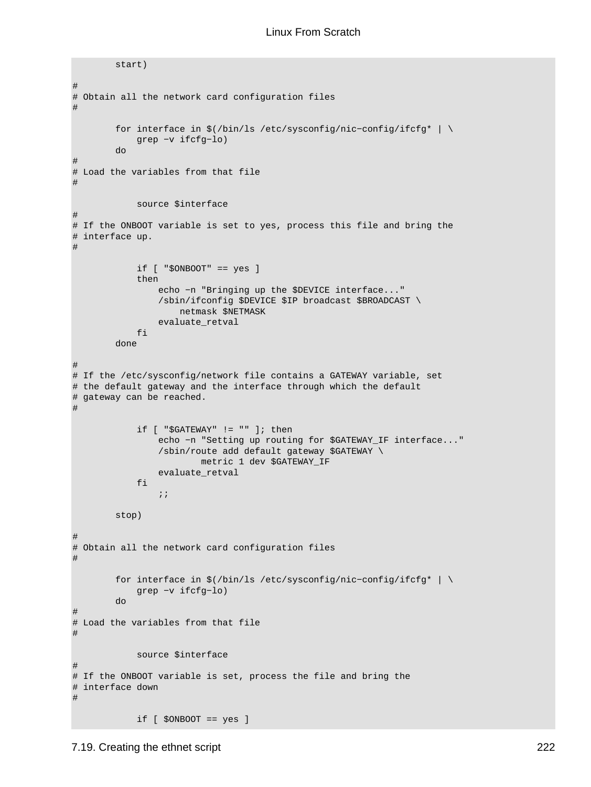```
 start)
#
# Obtain all the network card configuration files
#
          for interface in $(/bin/ls /etc/sysconfig/nic−config/ifcfg* | \
              grep −v ifcfg−lo)
          do
#
# Load the variables from that file
#
              source $interface
#
# If the ONBOOT variable is set to yes, process this file and bring the
# interface up.
#
              if [ "$ONBOOT" == yes ]
              then
                   echo −n "Bringing up the $DEVICE interface..."
                   /sbin/ifconfig $DEVICE $IP broadcast $BROADCAST \
                       netmask $NETMASK
                   evaluate_retval
              fi
          done
#
# If the /etc/sysconfig/network file contains a GATEWAY variable, set
# the default gateway and the interface through which the default
# gateway can be reached.
#
              if [ "$GATEWAY" != "" ]; then
                   echo −n "Setting up routing for $GATEWAY_IF interface..."
                   /sbin/route add default gateway $GATEWAY \
                            metric 1 dev $GATEWAY_IF
                   evaluate_retval
              fi
\mathcal{L}^{\text{max}}_{\text{max}} ; \mathcal{L}^{\text{max}}_{\text{max}} ; \mathcal{L}^{\text{max}}_{\text{max}} stop)
#
# Obtain all the network card configuration files
#
          for interface in $(/bin/ls /etc/sysconfig/nic−config/ifcfg* | \
              grep −v ifcfg−lo)
          do
#
# Load the variables from that file
#
              source $interface
#
# If the ONBOOT variable is set, process the file and bring the
# interface down
#
              if [ $ONBOOT == yes ]
```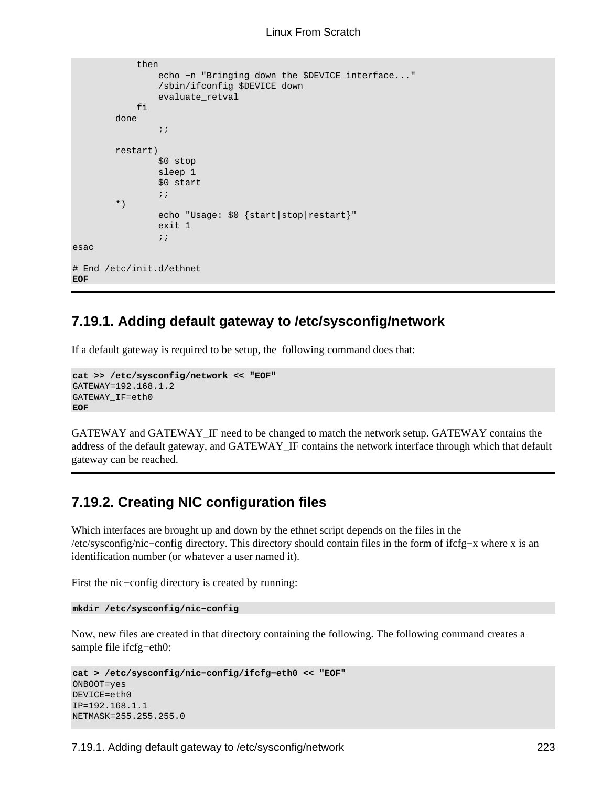```
 then
                                    echo −n "Bringing down the $DEVICE interface..."
                                    /sbin/ifconfig $DEVICE down
                                    evaluate_retval
                           fi
                  done
\mathcal{L}^{\text{max}}_{\text{max}} ; \mathcal{L}^{\text{max}}_{\text{max}} ; \mathcal{L}^{\text{max}}_{\text{max}} restart)
                                    $0 stop
                                    sleep 1
                                    $0 start
\mathcal{L}^{\text{max}}_{\text{max}} ; \mathcal{L}^{\text{max}}_{\text{max}} ; \mathcal{L}^{\text{max}}_{\text{max}} *)
                                    echo "Usage: $0 {start|stop|restart}"
                                    exit 1
\mathcal{L}^{\text{max}}_{\text{max}} ; \mathcal{L}^{\text{max}}_{\text{max}} ; \mathcal{L}^{\text{max}}_{\text{max}}esac
# End /etc/init.d/ethnet
EOF
```
#### **7.19.1. Adding default gateway to /etc/sysconfig/network**

If a default gateway is required to be setup, the following command does that:

```
cat >> /etc/sysconfig/network << "EOF"
GATEWAY=192.168.1.2
GATEWAY_IF=eth0
EOF
```
GATEWAY and GATEWAY\_IF need to be changed to match the network setup. GATEWAY contains the address of the default gateway, and GATEWAY\_IF contains the network interface through which that default gateway can be reached.

#### **7.19.2. Creating NIC configuration files**

Which interfaces are brought up and down by the ethnet script depends on the files in the /etc/sysconfig/nic−config directory. This directory should contain files in the form of ifcfg−x where x is an identification number (or whatever a user named it).

First the nic−config directory is created by running:

```
mkdir /etc/sysconfig/nic−config
```
Now, new files are created in that directory containing the following. The following command creates a sample file ifcfg−eth0:

```
cat > /etc/sysconfig/nic−config/ifcfg−eth0 << "EOF"
ONBOOT=yes
DEVICE=eth0
IP=192.168.1.1
NETMASK=255.255.255.0
```
7.19.1. Adding default gateway to /etc/sysconfig/network 223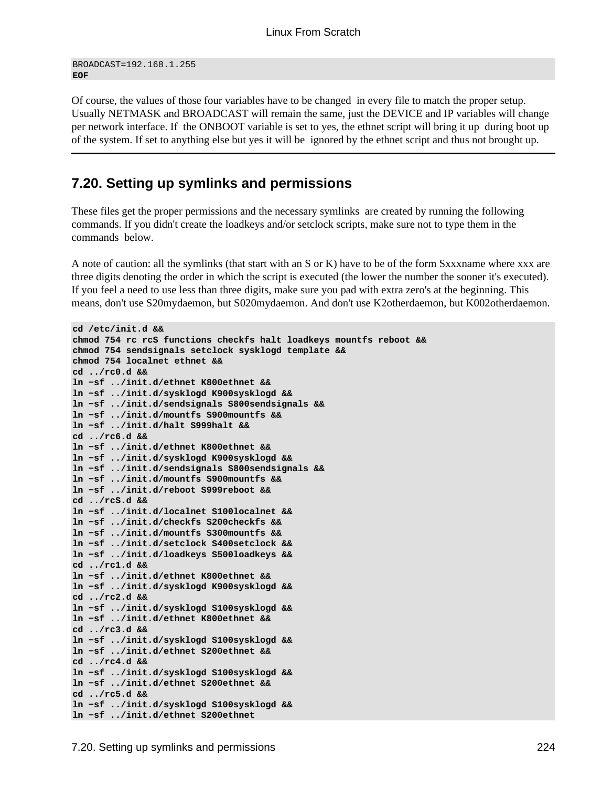```
BROADCAST=192.168.1.255
EOF
```
Of course, the values of those four variables have to be changed in every file to match the proper setup. Usually NETMASK and BROADCAST will remain the same, just the DEVICE and IP variables will change per network interface. If the ONBOOT variable is set to yes, the ethnet script will bring it up during boot up of the system. If set to anything else but yes it will be ignored by the ethnet script and thus not brought up.

## **7.20. Setting up symlinks and permissions**

These files get the proper permissions and the necessary symlinks are created by running the following commands. If you didn't create the loadkeys and/or setclock scripts, make sure not to type them in the commands below.

A note of caution: all the symlinks (that start with an S or K) have to be of the form Sxxxname where xxx are three digits denoting the order in which the script is executed (the lower the number the sooner it's executed). If you feel a need to use less than three digits, make sure you pad with extra zero's at the beginning. This means, don't use S20mydaemon, but S020mydaemon. And don't use K2otherdaemon, but K002otherdaemon.

```
cd /etc/init.d &&
chmod 754 rc rcS functions checkfs halt loadkeys mountfs reboot &&
chmod 754 sendsignals setclock sysklogd template &&
chmod 754 localnet ethnet &&
cd ../rc0.d &&
ln −sf ../init.d/ethnet K800ethnet &&
ln −sf ../init.d/sysklogd K900sysklogd &&
ln −sf ../init.d/sendsignals S800sendsignals &&
ln −sf ../init.d/mountfs S900mountfs &&
ln −sf ../init.d/halt S999halt &&
cd ../rc6.d &&
ln −sf ../init.d/ethnet K800ethnet &&
ln −sf ../init.d/sysklogd K900sysklogd &&
ln −sf ../init.d/sendsignals S800sendsignals &&
ln −sf ../init.d/mountfs S900mountfs &&
ln −sf ../init.d/reboot S999reboot &&
cd ../rcS.d &&
ln −sf ../init.d/localnet S100localnet &&
ln −sf ../init.d/checkfs S200checkfs &&
ln −sf ../init.d/mountfs S300mountfs &&
ln −sf ../init.d/setclock S400setclock &&
ln −sf ../init.d/loadkeys S500loadkeys &&
cd ../rc1.d &&
ln −sf ../init.d/ethnet K800ethnet &&
ln −sf ../init.d/sysklogd K900sysklogd &&
cd ../rc2.d &&
ln −sf ../init.d/sysklogd S100sysklogd &&
ln −sf ../init.d/ethnet K800ethnet &&
cd ../rc3.d &&
ln −sf ../init.d/sysklogd S100sysklogd &&
ln −sf ../init.d/ethnet S200ethnet &&
cd ../rc4.d &&
ln −sf ../init.d/sysklogd S100sysklogd &&
ln −sf ../init.d/ethnet S200ethnet &&
cd ../rc5.d &&
ln −sf ../init.d/sysklogd S100sysklogd &&
ln −sf ../init.d/ethnet S200ethnet
```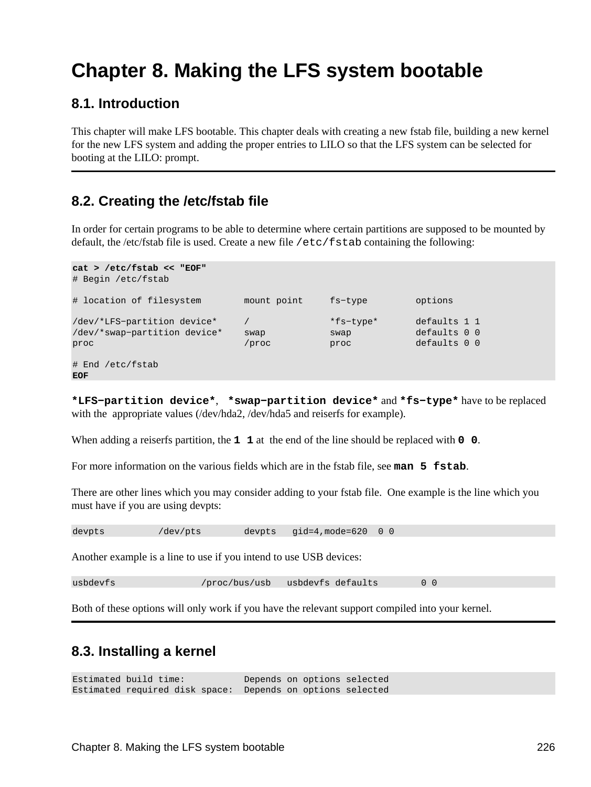# **Chapter 8. Making the LFS system bootable**

#### **8.1. Introduction**

This chapter will make LFS bootable. This chapter deals with creating a new fstab file, building a new kernel for the new LFS system and adding the proper entries to LILO so that the LFS system can be selected for booting at the LILO: prompt.

## **8.2. Creating the /etc/fstab file**

In order for certain programs to be able to determine where certain partitions are supposed to be mounted by default, the /etc/fstab file is used. Create a new file /etc/fstab containing the following:

```
cat > /etc/fstab << "EOF"
# Begin /etc/fstab
# location of filesystem mount point fs−type options
/dev/*LFS−partition device* / *fs−type* defaults 1 1
/dev/*swap−partition device* swap swap defaults 0 0
proc /proc proc defaults 0 0
# End /etc/fstab
EOF
```
**\*LFS−partition device\***, **\*swap−partition device\*** and **\*fs−type\*** have to be replaced with the appropriate values (/dev/hda2, /dev/hda5 and reiserfs for example).

When adding a reiserfs partition, the **1 1** at the end of the line should be replaced with **0 0**.

For more information on the various fields which are in the fstab file, see **man 5 fstab**.

There are other lines which you may consider adding to your fstab file. One example is the line which you must have if you are using devpts:

devpts /dev/pts devpts gid=4,mode=620 0 0

Another example is a line to use if you intend to use USB devices:

usbdevfs /proc/bus/usb usbdevfs defaults 0 0

Both of these options will only work if you have the relevant support compiled into your kernel.

#### **8.3. Installing a kernel**

Estimated build time: Depends on options selected Estimated required disk space: Depends on options selected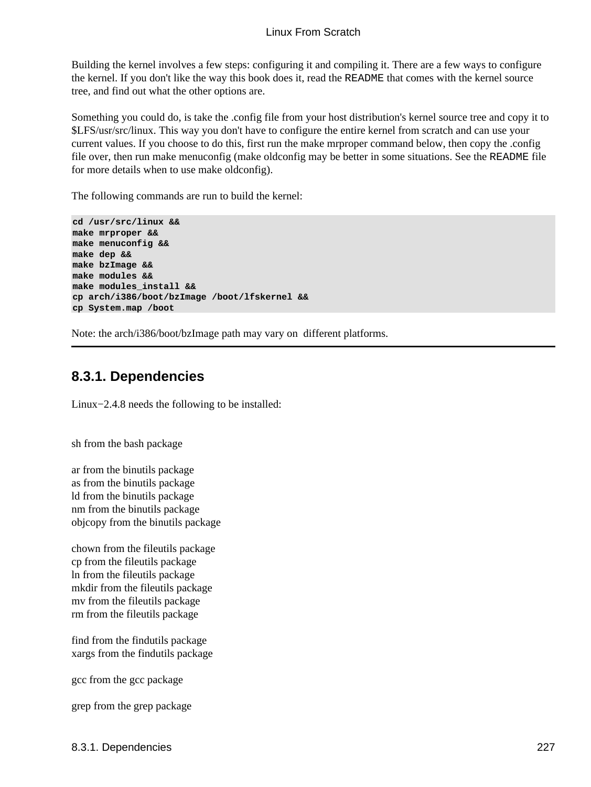Building the kernel involves a few steps: configuring it and compiling it. There are a few ways to configure the kernel. If you don't like the way this book does it, read the README that comes with the kernel source tree, and find out what the other options are.

Something you could do, is take the .config file from your host distribution's kernel source tree and copy it to \$LFS/usr/src/linux. This way you don't have to configure the entire kernel from scratch and can use your current values. If you choose to do this, first run the make mrproper command below, then copy the .config file over, then run make menuconfig (make oldconfig may be better in some situations. See the README file for more details when to use make oldconfig).

The following commands are run to build the kernel:

```
cd /usr/src/linux &&
make mrproper &&
make menuconfig &&
make dep &&
make bzImage &&
make modules &&
make modules_install &&
cp arch/i386/boot/bzImage /boot/lfskernel &&
cp System.map /boot
```
Note: the arch/i386/boot/bzImage path may vary on different platforms.

## **8.3.1. Dependencies**

Linux−2.4.8 needs the following to be installed:

sh from the bash package

ar from the binutils package as from the binutils package ld from the binutils package nm from the binutils package objcopy from the binutils package

chown from the fileutils package cp from the fileutils package ln from the fileutils package mkdir from the fileutils package mv from the fileutils package rm from the fileutils package

find from the findutils package xargs from the findutils package

gcc from the gcc package

grep from the grep package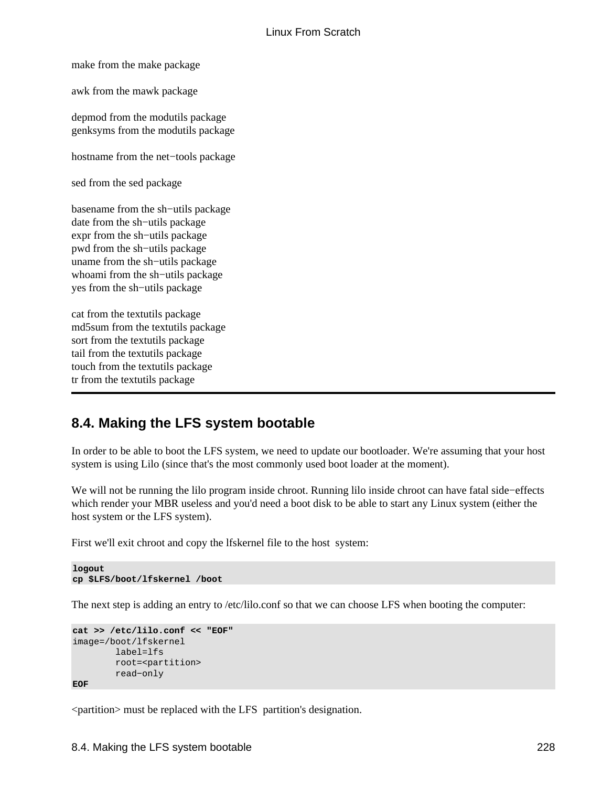make from the make package

awk from the mawk package

depmod from the modutils package genksyms from the modutils package

hostname from the net−tools package

sed from the sed package

basename from the sh−utils package date from the sh−utils package expr from the sh−utils package pwd from the sh−utils package uname from the sh−utils package whoami from the sh−utils package yes from the sh−utils package

cat from the textutils package md5sum from the textutils package sort from the textutils package tail from the textutils package touch from the textutils package tr from the textutils package

# **8.4. Making the LFS system bootable**

In order to be able to boot the LFS system, we need to update our bootloader. We're assuming that your host system is using Lilo (since that's the most commonly used boot loader at the moment).

We will not be running the lilo program inside chroot. Running lilo inside chroot can have fatal side−effects which render your MBR useless and you'd need a boot disk to be able to start any Linux system (either the host system or the LFS system).

First we'll exit chroot and copy the lfskernel file to the host system:

```
logout
cp $LFS/boot/lfskernel /boot
```
The next step is adding an entry to /etc/lilo.conf so that we can choose LFS when booting the computer:

```
cat >> /etc/lilo.conf << "EOF"
image=/boot/lfskernel
        label=lfs
        root=<partition>
        read−only
EOF
```
<partition> must be replaced with the LFS partition's designation.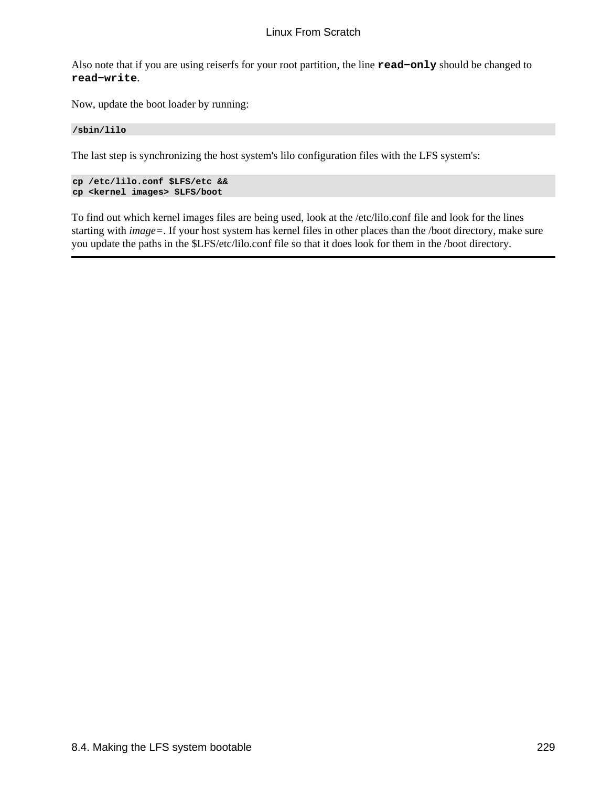Also note that if you are using reiserfs for your root partition, the line **read−only** should be changed to **read−write**.

Now, update the boot loader by running:

**/sbin/lilo**

The last step is synchronizing the host system's lilo configuration files with the LFS system's:

```
cp /etc/lilo.conf $LFS/etc &&
cp <kernel images> $LFS/boot
```
To find out which kernel images files are being used, look at the /etc/lilo.conf file and look for the lines starting with *image=*. If your host system has kernel files in other places than the /boot directory, make sure you update the paths in the \$LFS/etc/lilo.conf file so that it does look for them in the /boot directory.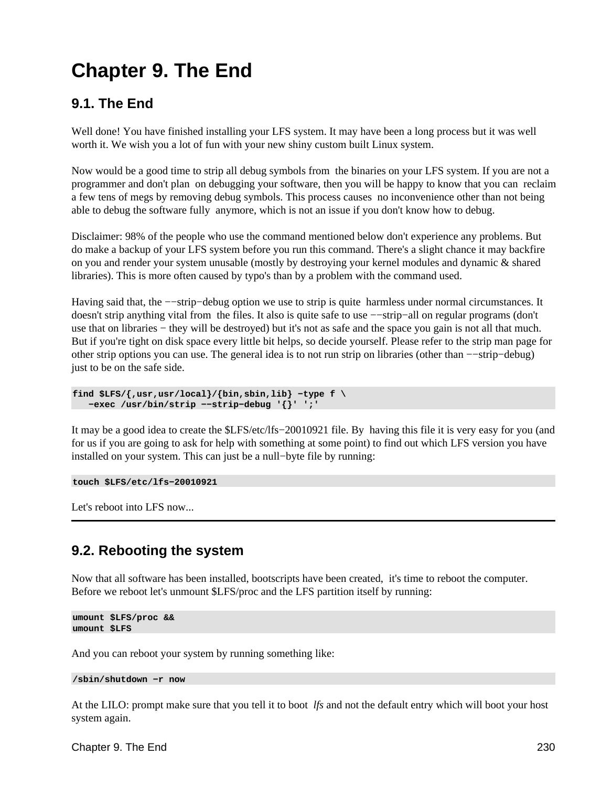# **Chapter 9. The End**

## **9.1. The End**

Well done! You have finished installing your LFS system. It may have been a long process but it was well worth it. We wish you a lot of fun with your new shiny custom built Linux system.

Now would be a good time to strip all debug symbols from the binaries on your LFS system. If you are not a programmer and don't plan on debugging your software, then you will be happy to know that you can reclaim a few tens of megs by removing debug symbols. This process causes no inconvenience other than not being able to debug the software fully anymore, which is not an issue if you don't know how to debug.

Disclaimer: 98% of the people who use the command mentioned below don't experience any problems. But do make a backup of your LFS system before you run this command. There's a slight chance it may backfire on you and render your system unusable (mostly by destroying your kernel modules and dynamic & shared libraries). This is more often caused by typo's than by a problem with the command used.

Having said that, the −−strip−debug option we use to strip is quite harmless under normal circumstances. It doesn't strip anything vital from the files. It also is quite safe to use −−strip−all on regular programs (don't use that on libraries − they will be destroyed) but it's not as safe and the space you gain is not all that much. But if you're tight on disk space every little bit helps, so decide yourself. Please refer to the strip man page for other strip options you can use. The general idea is to not run strip on libraries (other than −−strip−debug) just to be on the safe side.

```
find $LFS/{,usr,usr/local}/{bin,sbin,lib} −type f \
    −exec /usr/bin/strip −−strip−debug '{}' ';'
```
It may be a good idea to create the \$LFS/etc/lfs−20010921 file. By having this file it is very easy for you (and for us if you are going to ask for help with something at some point) to find out which LFS version you have installed on your system. This can just be a null−byte file by running:

```
touch $LFS/etc/lfs−20010921
```
Let's reboot into LFS now...

## **9.2. Rebooting the system**

Now that all software has been installed, bootscripts have been created, it's time to reboot the computer. Before we reboot let's unmount \$LFS/proc and the LFS partition itself by running:

```
umount $LFS/proc &&
umount $LFS
```
And you can reboot your system by running something like:

```
/sbin/shutdown −r now
```
At the LILO: prompt make sure that you tell it to boot *lfs* and not the default entry which will boot your host system again.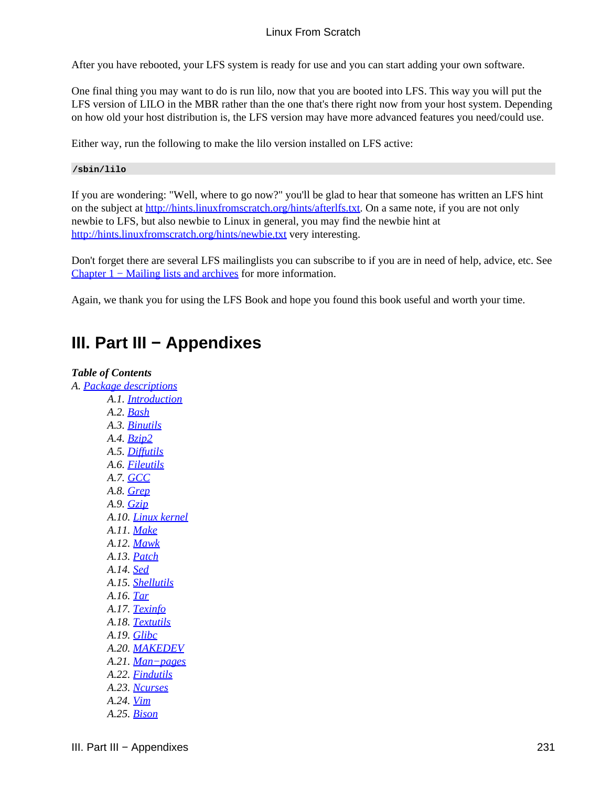After you have rebooted, your LFS system is ready for use and you can start adding your own software.

One final thing you may want to do is run lilo, now that you are booted into LFS. This way you will put the LFS version of LILO in the MBR rather than the one that's there right now from your host system. Depending on how old your host distribution is, the LFS version may have more advanced features you need/could use.

Either way, run the following to make the lilo version installed on LFS active:

#### **/sbin/lilo**

If you are wondering: "Well, where to go now?" you'll be glad to hear that someone has written an LFS hint on the subject at [http://hints.linuxfromscratch.org/hints/afterlfs.txt.](http://hints.linuxfromscratch.org/hints/afterlfs.txt) On a same note, if you are not only newbie to LFS, but also newbie to Linux in general, you may find the newbie hint at <http://hints.linuxfromscratch.org/hints/newbie.txt>very interesting.

Don't forget there are several LFS mailinglists you can subscribe to if you are in need of help, advice, etc. See [Chapter 1 − Mailing lists and archives](#page-29-0) for more information.

Again, we thank you for using the LFS Book and hope you found this book useful and worth your time.

# **III. Part III − Appendixes**

#### *Table of Contents*

*A. [Package descriptions](#page-250-0) A.1. [Introduction](#page-250-0) A.2. [Bash](#page-251-0) A.3. [Binutils](#page-251-0) A.4. [Bzip2](#page-253-0) A.5. [Diffutils](#page-254-0) A.6. [Fileutils](#page-255-0) A.7. [GCC](#page-257-0) A.8. [Grep](#page-258-0) A.9. [Gzip](#page-258-0) A.10. [Linux kernel](#page-260-0) A.11. [Make](#page-260-0) A.12. [Mawk](#page-260-0) A.13. [Patch](#page-261-0) A.14. [Sed](#page-261-0) A.15. [Shellutils](#page-261-0) A.16. [Tar](#page-265-0) A.17. [Texinfo](#page-265-0) A.18. [Textutils](#page-266-0) A.19. [Glibc](#page-269-0) A.20. [MAKEDEV](#page-270-0) A.21. [Man−pages](#page-270-0) A.22. [Findutils](#page-270-0) A.23. [Ncurses](#page-271-0) A.24. [Vim](#page-273-0) A.25. [Bison](#page-274-0)*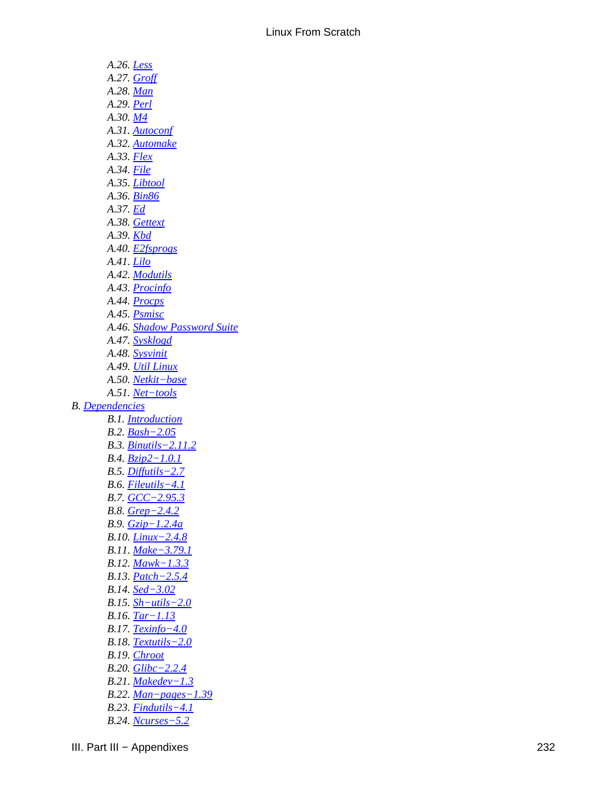*A.26. [Less](#page-275-0) A.27. [Groff](#page-275-0) A.28. [Man](#page-278-0) A.29. [Perl](#page-279-0) A.30. [M4](#page-279-0) A.31. [Autoconf](#page-279-0) A.32. [Automake](#page-280-0) A.33. [Flex](#page-281-0) A.34. [File](#page-281-0) A.35. [Libtool](#page-282-0) A.36. [Bin86](#page-282-0) A.37. [Ed](#page-283-0) A.38. [Gettext](#page-283-0) A.39. [Kbd](#page-284-0) A.40. [E2fsprogs](#page-286-0) A.41. [Lilo](#page-288-0) A.42. [Modutils](#page-288-0) A.43. [Procinfo](#page-289-0) A.44. [Procps](#page-290-0) A.45. [Psmisc](#page-291-0) A.46. [Shadow Password Suite](#page-292-0) A.47. [Sysklogd](#page-295-0) A.48. [Sysvinit](#page-296-0) A.49. [Util Linux](#page-298-0) A.50. [Netkit−base](#page-304-0) A.51. [Net−tools](#page-304-0) B. [Dependencies](#page-306-0) B.1. [Introduction](#page-306-0) B.2. [Bash−2.05](#page-306-0) B.3. [Binutils−2.11.2](#page-307-0) B.4. [Bzip2−1.0.1](#page-308-0) B.5. [Diffutils−2.7](#page-308-0) B.6. [Fileutils−4.1](#page-309-0) B.7. [GCC−2.95.3](#page-310-0) B.8. [Grep−2.4.2](#page-311-0) B.9. [Gzip−1.2.4a](#page-312-0) B.10. [Linux−2.4.8](#page-312-0) B.11. [Make−3.79.1](#page-314-0) B.12. [Mawk−1.3.3](#page-314-0) B.13. [Patch−2.5.4](#page-315-0) B.14. [Sed−3.02](#page-316-0) B.15. [Sh−utils−2.0](#page-316-0) B.16. <u>[Tar−1.13](#page-317-0)</u> B.17. [Texinfo−4.0](#page-318-0) B.18. [Textutils−2.0](#page-319-0) B.19. [Chroot](#page-320-0) B.20. [Glibc−2.2.4](#page-320-0) B.21. [Makedev−1.3](#page-321-0) B.22. [Man−pages−1.39](#page-321-0) B.23. [Findutils−4.1](#page-322-0) B.24. [Ncurses−5.2](#page-323-0)*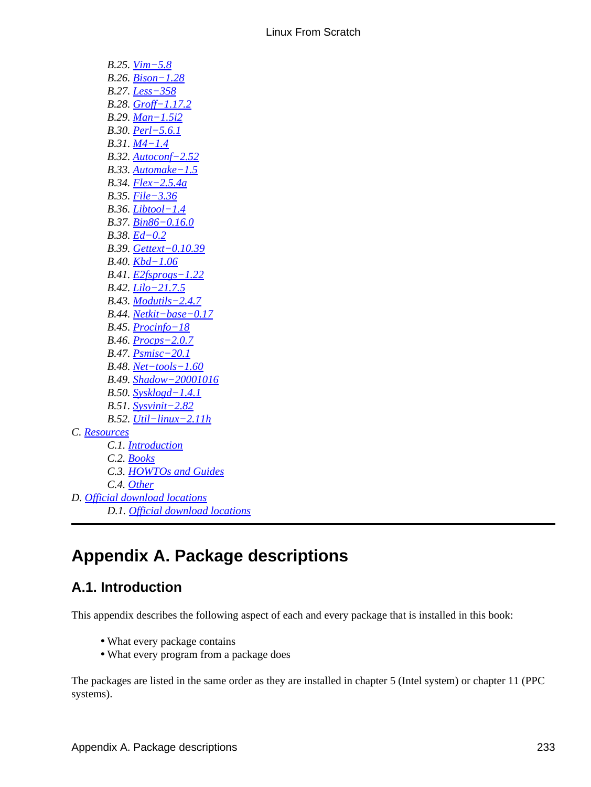<span id="page-250-0"></span>*B.25. [Vim−5.8](#page-324-0) B.26. [Bison−1.28](#page-324-0) B.27. [Less−358](#page-325-0) B.28. [Groff−1.17.2](#page-326-0) B.29. [Man−1.5i2](#page-327-0) B.30. Perl − 5.6.1 B.31. [M4−1.4](#page-329-0) B.32. [Autoconf−2.52](#page-330-0) B.33. [Automake−1.5](#page-330-0) B.34. [Flex−2.5.4a](#page-331-0) B.35. [File−3.36](#page-332-0) B.36. [Libtool−1.4](#page-333-0) B.37. [Bin86−0.16.0](#page-333-0) B.38. [Ed−0.2](#page-334-0) B.39. [Gettext−0.10.39](#page-335-0) B.40. [Kbd−1.06](#page-335-0) B.41. [E2fsprogs−1.22](#page-336-0) B.42. [Lilo−21.7.5](#page-337-0) B.43. [Modutils−2.4.7](#page-338-0) B.44. [Netkit−base−0.17](#page-339-0) B.45. [Procinfo−18](#page-339-0) B.46. [Procps−2.0.7](#page-340-0) B.47. [Psmisc−20.1](#page-340-0) B.48. [Net−tools−1.60](#page-341-0) B.49. [Shadow−20001016](#page-342-0) B.50. [Sysklogd−1.4.1](#page-342-0) B.51. [Sysvinit−2.82](#page-343-0) B.52. [Util−linux−2.11h](#page-343-0) C. [Resources](#page-344-0) C.1. [Introduction](#page-344-0) C.2. [Books](#page-344-0) C.3. [HOWTOs and Guides](#page-344-0) C.4. [Other](#page-345-0) D. [Official download locations](#page-345-0) D.1. [Official download locations](#page-345-0)*

# **Appendix A. Package descriptions**

# **A.1. Introduction**

This appendix describes the following aspect of each and every package that is installed in this book:

- What every package contains
- What every program from a package does

The packages are listed in the same order as they are installed in chapter 5 (Intel system) or chapter 11 (PPC systems).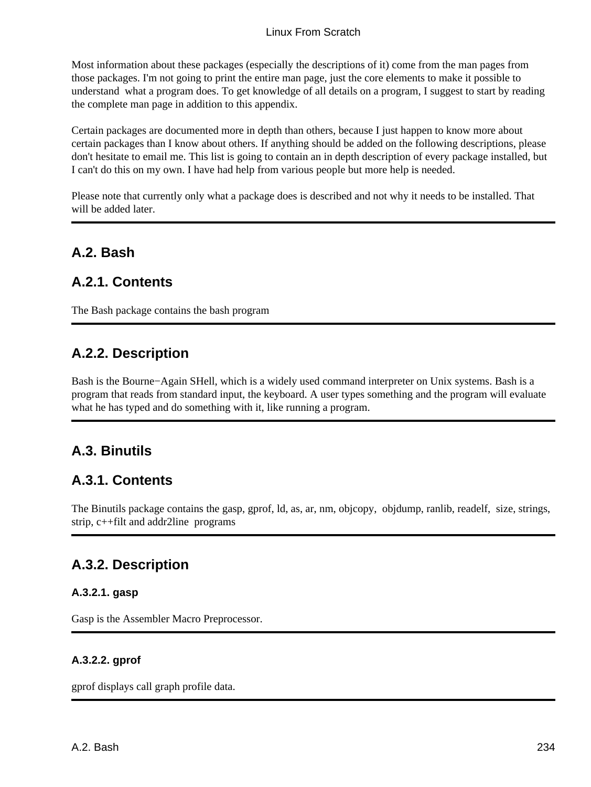<span id="page-251-0"></span>Most information about these packages (especially the descriptions of it) come from the man pages from those packages. I'm not going to print the entire man page, just the core elements to make it possible to understand what a program does. To get knowledge of all details on a program, I suggest to start by reading the complete man page in addition to this appendix.

Certain packages are documented more in depth than others, because I just happen to know more about certain packages than I know about others. If anything should be added on the following descriptions, please don't hesitate to email me. This list is going to contain an in depth description of every package installed, but I can't do this on my own. I have had help from various people but more help is needed.

Please note that currently only what a package does is described and not why it needs to be installed. That will be added later.

## **A.2. Bash**

## **A.2.1. Contents**

The Bash package contains the bash program

# **A.2.2. Description**

Bash is the Bourne−Again SHell, which is a widely used command interpreter on Unix systems. Bash is a program that reads from standard input, the keyboard. A user types something and the program will evaluate what he has typed and do something with it, like running a program.

# **A.3. Binutils**

## **A.3.1. Contents**

The Binutils package contains the gasp, gprof, ld, as, ar, nm, objcopy, objdump, ranlib, readelf, size, strings, strip, c++filt and addr2line programs

## **A.3.2. Description**

#### **A.3.2.1. gasp**

Gasp is the Assembler Macro Preprocessor.

#### **A.3.2.2. gprof**

gprof displays call graph profile data.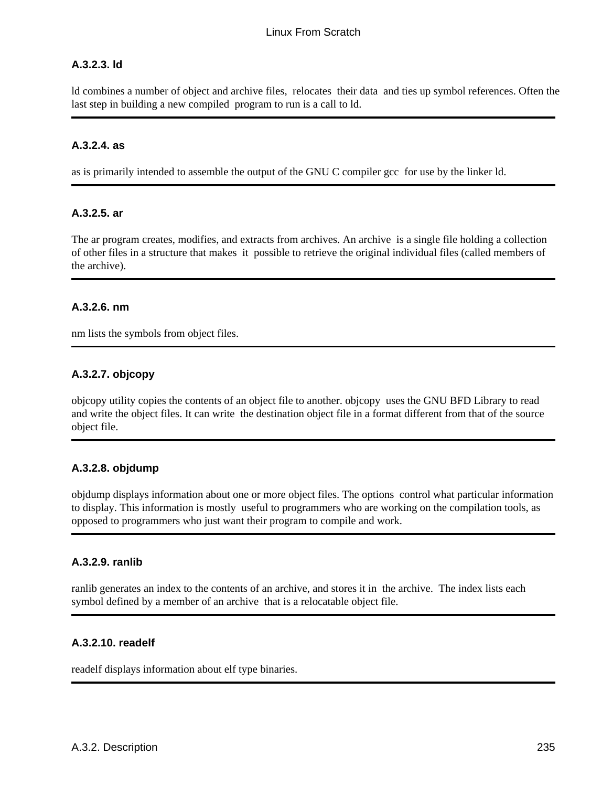## **A.3.2.3. ld**

ld combines a number of object and archive files, relocates their data and ties up symbol references. Often the last step in building a new compiled program to run is a call to ld.

### **A.3.2.4. as**

as is primarily intended to assemble the output of the GNU C compiler gcc for use by the linker ld.

#### **A.3.2.5. ar**

The ar program creates, modifies, and extracts from archives. An archive is a single file holding a collection of other files in a structure that makes it possible to retrieve the original individual files (called members of the archive).

#### **A.3.2.6. nm**

nm lists the symbols from object files.

### **A.3.2.7. objcopy**

objcopy utility copies the contents of an object file to another. objcopy uses the GNU BFD Library to read and write the object files. It can write the destination object file in a format different from that of the source object file.

#### **A.3.2.8. objdump**

objdump displays information about one or more object files. The options control what particular information to display. This information is mostly useful to programmers who are working on the compilation tools, as opposed to programmers who just want their program to compile and work.

#### **A.3.2.9. ranlib**

ranlib generates an index to the contents of an archive, and stores it in the archive. The index lists each symbol defined by a member of an archive that is a relocatable object file.

### **A.3.2.10. readelf**

readelf displays information about elf type binaries.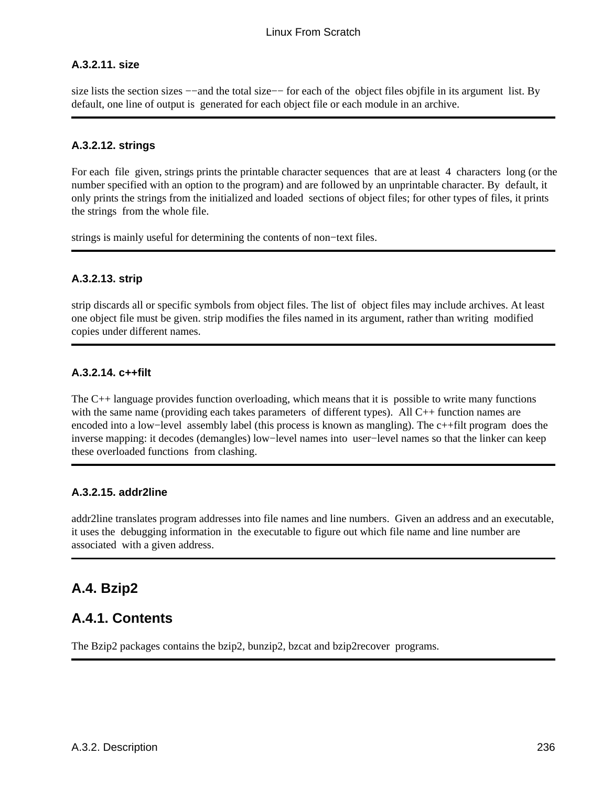## **A.3.2.11. size**

size lists the section sizes ––and the total size–– for each of the object files objfile in its argument list. By default, one line of output is generated for each object file or each module in an archive.

## **A.3.2.12. strings**

For each file given, strings prints the printable character sequences that are at least 4 characters long (or the number specified with an option to the program) and are followed by an unprintable character. By default, it only prints the strings from the initialized and loaded sections of object files; for other types of files, it prints the strings from the whole file.

strings is mainly useful for determining the contents of non−text files.

## **A.3.2.13. strip**

strip discards all or specific symbols from object files. The list of object files may include archives. At least one object file must be given. strip modifies the files named in its argument, rather than writing modified copies under different names.

## **A.3.2.14. c++filt**

The C++ language provides function overloading, which means that it is possible to write many functions with the same name (providing each takes parameters of different types). All C++ function names are encoded into a low−level assembly label (this process is known as mangling). The c++filt program does the inverse mapping: it decodes (demangles) low−level names into user−level names so that the linker can keep these overloaded functions from clashing.

## **A.3.2.15. addr2line**

addr2line translates program addresses into file names and line numbers. Given an address and an executable, it uses the debugging information in the executable to figure out which file name and line number are associated with a given address.

## **A.4. Bzip2**

## **A.4.1. Contents**

The Bzip2 packages contains the bzip2, bunzip2, bzcat and bzip2recover programs.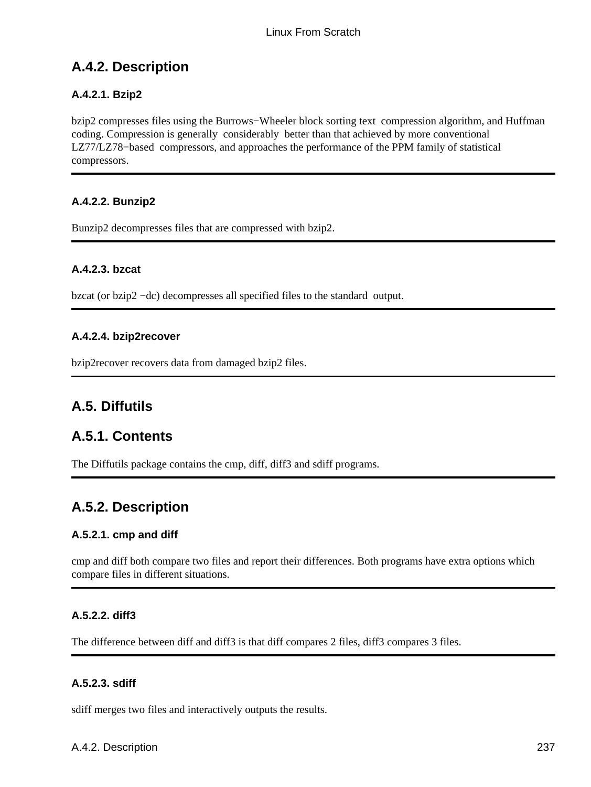# **A.4.2. Description**

## **A.4.2.1. Bzip2**

bzip2 compresses files using the Burrows−Wheeler block sorting text compression algorithm, and Huffman coding. Compression is generally considerably better than that achieved by more conventional LZ77/LZ78−based compressors, and approaches the performance of the PPM family of statistical compressors.

## **A.4.2.2. Bunzip2**

Bunzip2 decompresses files that are compressed with bzip2.

## **A.4.2.3. bzcat**

bzcat (or bzip2 −dc) decompresses all specified files to the standard output.

## **A.4.2.4. bzip2recover**

bzip2recover recovers data from damaged bzip2 files.

## **A.5. Diffutils**

## **A.5.1. Contents**

The Diffutils package contains the cmp, diff, diff3 and sdiff programs.

# **A.5.2. Description**

## **A.5.2.1. cmp and diff**

cmp and diff both compare two files and report their differences. Both programs have extra options which compare files in different situations.

## **A.5.2.2. diff3**

The difference between diff and diff3 is that diff compares 2 files, diff3 compares 3 files.

## **A.5.2.3. sdiff**

sdiff merges two files and interactively outputs the results.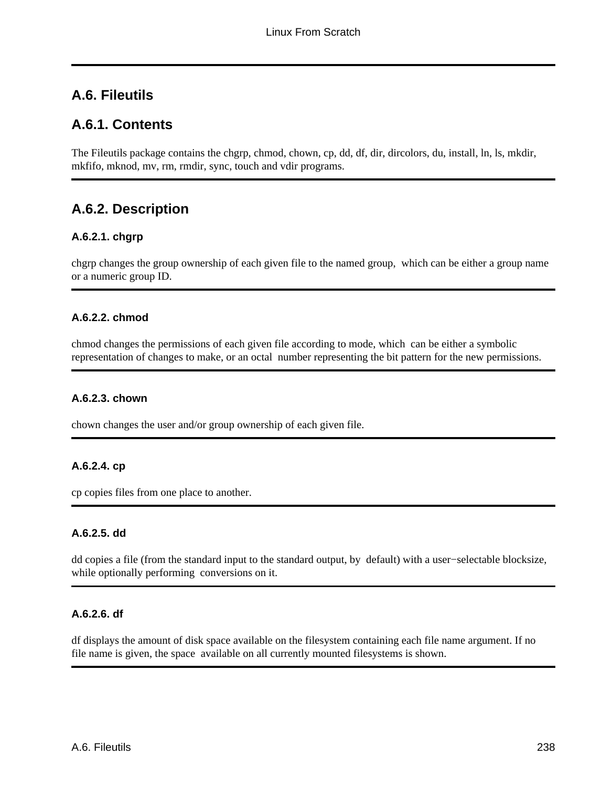## **A.6. Fileutils**

## **A.6.1. Contents**

The Fileutils package contains the chgrp, chmod, chown, cp, dd, df, dir, dircolors, du, install, ln, ls, mkdir, mkfifo, mknod, mv, rm, rmdir, sync, touch and vdir programs.

# **A.6.2. Description**

## **A.6.2.1. chgrp**

chgrp changes the group ownership of each given file to the named group, which can be either a group name or a numeric group ID.

## **A.6.2.2. chmod**

chmod changes the permissions of each given file according to mode, which can be either a symbolic representation of changes to make, or an octal number representing the bit pattern for the new permissions.

### **A.6.2.3. chown**

chown changes the user and/or group ownership of each given file.

## **A.6.2.4. cp**

cp copies files from one place to another.

## **A.6.2.5. dd**

dd copies a file (from the standard input to the standard output, by default) with a user−selectable blocksize, while optionally performing conversions on it.

## **A.6.2.6. df**

df displays the amount of disk space available on the filesystem containing each file name argument. If no file name is given, the space available on all currently mounted filesystems is shown.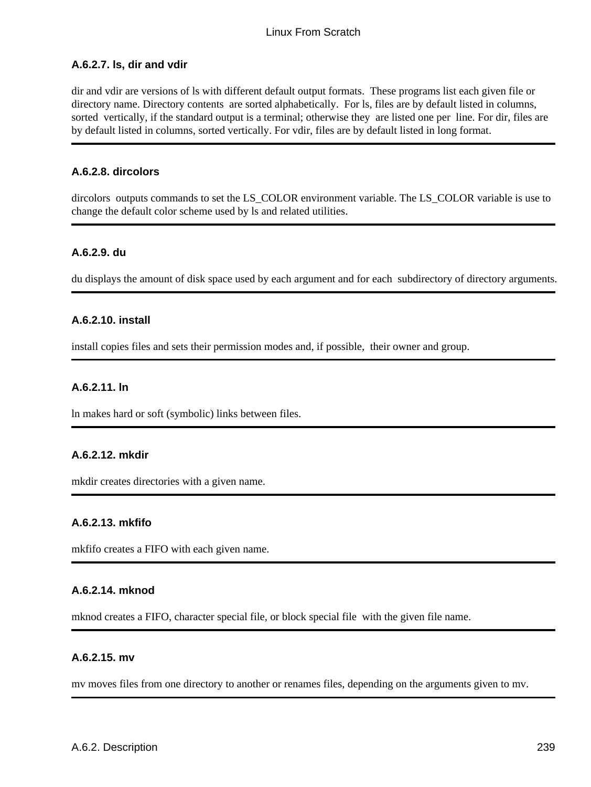### Linux From Scratch

#### **A.6.2.7. ls, dir and vdir**

dir and vdir are versions of ls with different default output formats. These programs list each given file or directory name. Directory contents are sorted alphabetically. For ls, files are by default listed in columns, sorted vertically, if the standard output is a terminal; otherwise they are listed one per line. For dir, files are by default listed in columns, sorted vertically. For vdir, files are by default listed in long format.

### **A.6.2.8. dircolors**

dircolors outputs commands to set the LS\_COLOR environment variable. The LS\_COLOR variable is use to change the default color scheme used by ls and related utilities.

### **A.6.2.9. du**

du displays the amount of disk space used by each argument and for each subdirectory of directory arguments.

### **A.6.2.10. install**

install copies files and sets their permission modes and, if possible, their owner and group.

### **A.6.2.11. ln**

ln makes hard or soft (symbolic) links between files.

### **A.6.2.12. mkdir**

mkdir creates directories with a given name.

#### **A.6.2.13. mkfifo**

mkfifo creates a FIFO with each given name.

### **A.6.2.14. mknod**

mknod creates a FIFO, character special file, or block special file with the given file name.

## **A.6.2.15. mv**

mv moves files from one directory to another or renames files, depending on the arguments given to mv.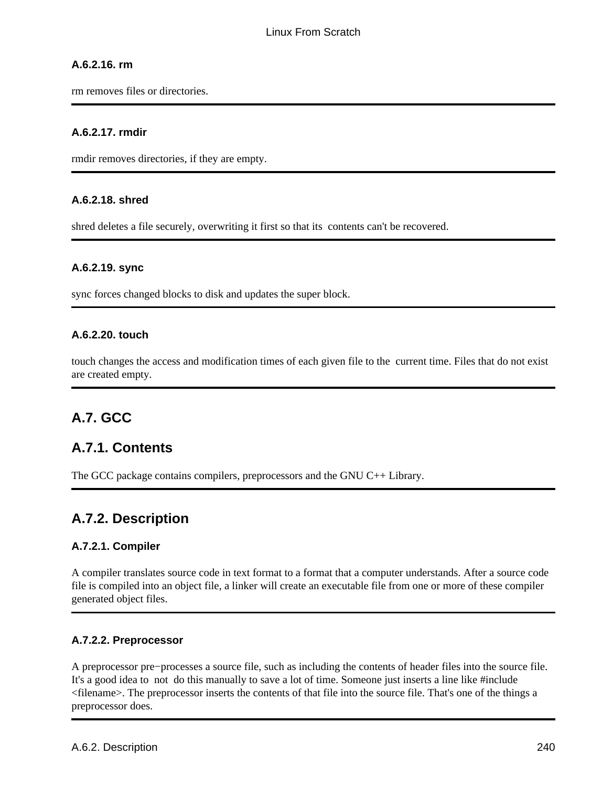### **A.6.2.16. rm**

rm removes files or directories.

## **A.6.2.17. rmdir**

rmdir removes directories, if they are empty.

### **A.6.2.18. shred**

shred deletes a file securely, overwriting it first so that its contents can't be recovered.

### **A.6.2.19. sync**

sync forces changed blocks to disk and updates the super block.

### **A.6.2.20. touch**

touch changes the access and modification times of each given file to the current time. Files that do not exist are created empty.

# **A.7. GCC**

## **A.7.1. Contents**

The GCC package contains compilers, preprocessors and the GNU C++ Library.

## **A.7.2. Description**

## **A.7.2.1. Compiler**

A compiler translates source code in text format to a format that a computer understands. After a source code file is compiled into an object file, a linker will create an executable file from one or more of these compiler generated object files.

#### **A.7.2.2. Preprocessor**

A preprocessor pre−processes a source file, such as including the contents of header files into the source file. It's a good idea to not do this manually to save a lot of time. Someone just inserts a line like #include <filename>. The preprocessor inserts the contents of that file into the source file. That's one of the things a preprocessor does.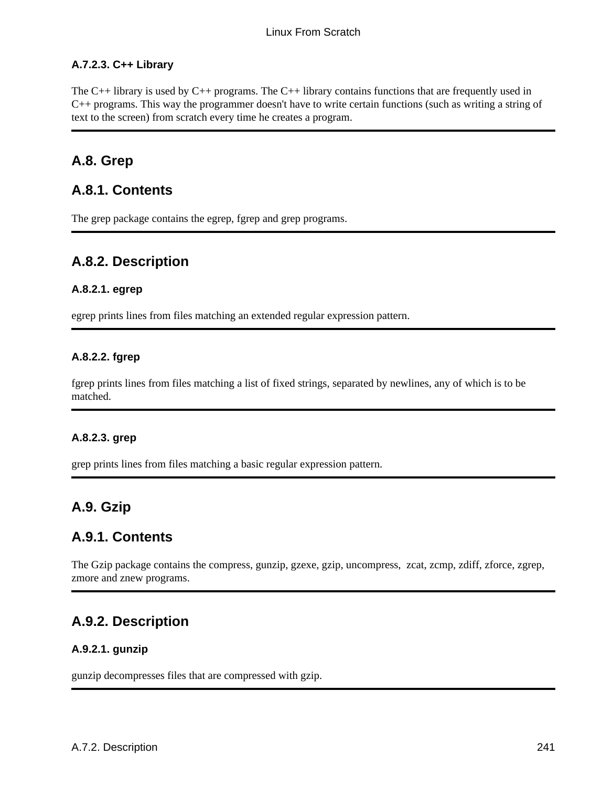## **A.7.2.3. C++ Library**

The C++ library is used by C++ programs. The C++ library contains functions that are frequently used in C++ programs. This way the programmer doesn't have to write certain functions (such as writing a string of text to the screen) from scratch every time he creates a program.

## **A.8. Grep**

## **A.8.1. Contents**

The grep package contains the egrep, fgrep and grep programs.

## **A.8.2. Description**

## **A.8.2.1. egrep**

egrep prints lines from files matching an extended regular expression pattern.

## **A.8.2.2. fgrep**

fgrep prints lines from files matching a list of fixed strings, separated by newlines, any of which is to be matched.

## **A.8.2.3. grep**

grep prints lines from files matching a basic regular expression pattern.

# **A.9. Gzip**

## **A.9.1. Contents**

The Gzip package contains the compress, gunzip, gzexe, gzip, uncompress, zcat, zcmp, zdiff, zforce, zgrep, zmore and znew programs.

## **A.9.2. Description**

## **A.9.2.1. gunzip**

gunzip decompresses files that are compressed with gzip.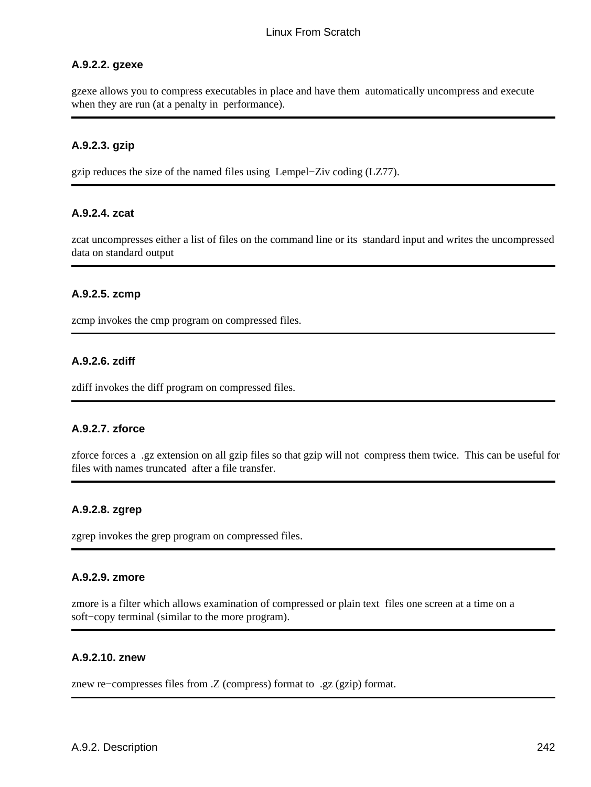### **A.9.2.2. gzexe**

gzexe allows you to compress executables in place and have them automatically uncompress and execute when they are run (at a penalty in performance).

### **A.9.2.3. gzip**

gzip reduces the size of the named files using Lempel−Ziv coding (LZ77).

#### **A.9.2.4. zcat**

zcat uncompresses either a list of files on the command line or its standard input and writes the uncompressed data on standard output

#### **A.9.2.5. zcmp**

zcmp invokes the cmp program on compressed files.

### **A.9.2.6. zdiff**

zdiff invokes the diff program on compressed files.

#### **A.9.2.7. zforce**

zforce forces a .gz extension on all gzip files so that gzip will not compress them twice. This can be useful for files with names truncated after a file transfer.

#### **A.9.2.8. zgrep**

zgrep invokes the grep program on compressed files.

#### **A.9.2.9. zmore**

zmore is a filter which allows examination of compressed or plain text files one screen at a time on a soft−copy terminal (similar to the more program).

## **A.9.2.10. znew**

znew re−compresses files from .Z (compress) format to .gz (gzip) format.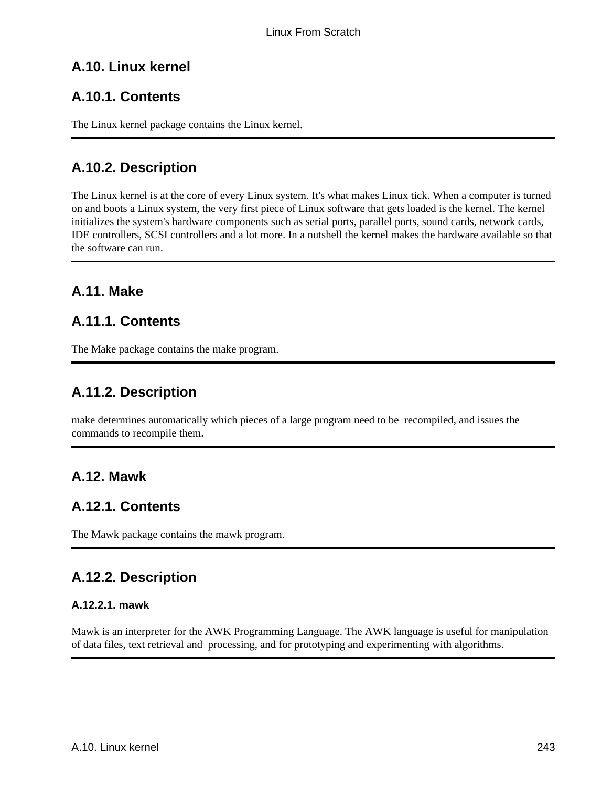# **A.10. Linux kernel**

# **A.10.1. Contents**

The Linux kernel package contains the Linux kernel.

# **A.10.2. Description**

The Linux kernel is at the core of every Linux system. It's what makes Linux tick. When a computer is turned on and boots a Linux system, the very first piece of Linux software that gets loaded is the kernel. The kernel initializes the system's hardware components such as serial ports, parallel ports, sound cards, network cards, IDE controllers, SCSI controllers and a lot more. In a nutshell the kernel makes the hardware available so that the software can run.

## **A.11. Make**

## **A.11.1. Contents**

The Make package contains the make program.

# **A.11.2. Description**

make determines automatically which pieces of a large program need to be recompiled, and issues the commands to recompile them.

## **A.12. Mawk**

## **A.12.1. Contents**

The Mawk package contains the mawk program.

## **A.12.2. Description**

## **A.12.2.1. mawk**

Mawk is an interpreter for the AWK Programming Language. The AWK language is useful for manipulation of data files, text retrieval and processing, and for prototyping and experimenting with algorithms.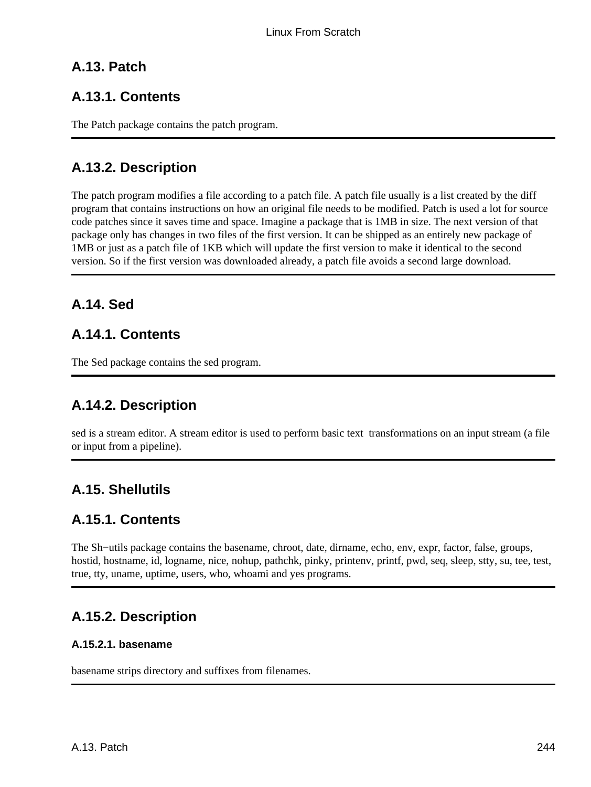# **A.13. Patch**

# **A.13.1. Contents**

The Patch package contains the patch program.

# **A.13.2. Description**

The patch program modifies a file according to a patch file. A patch file usually is a list created by the diff program that contains instructions on how an original file needs to be modified. Patch is used a lot for source code patches since it saves time and space. Imagine a package that is 1MB in size. The next version of that package only has changes in two files of the first version. It can be shipped as an entirely new package of 1MB or just as a patch file of 1KB which will update the first version to make it identical to the second version. So if the first version was downloaded already, a patch file avoids a second large download.

# **A.14. Sed**

## **A.14.1. Contents**

The Sed package contains the sed program.

# **A.14.2. Description**

sed is a stream editor. A stream editor is used to perform basic text transformations on an input stream (a file or input from a pipeline).

# **A.15. Shellutils**

## **A.15.1. Contents**

The Sh−utils package contains the basename, chroot, date, dirname, echo, env, expr, factor, false, groups, hostid, hostname, id, logname, nice, nohup, pathchk, pinky, printenv, printf, pwd, seq, sleep, stty, su, tee, test, true, tty, uname, uptime, users, who, whoami and yes programs.

# **A.15.2. Description**

## **A.15.2.1. basename**

basename strips directory and suffixes from filenames.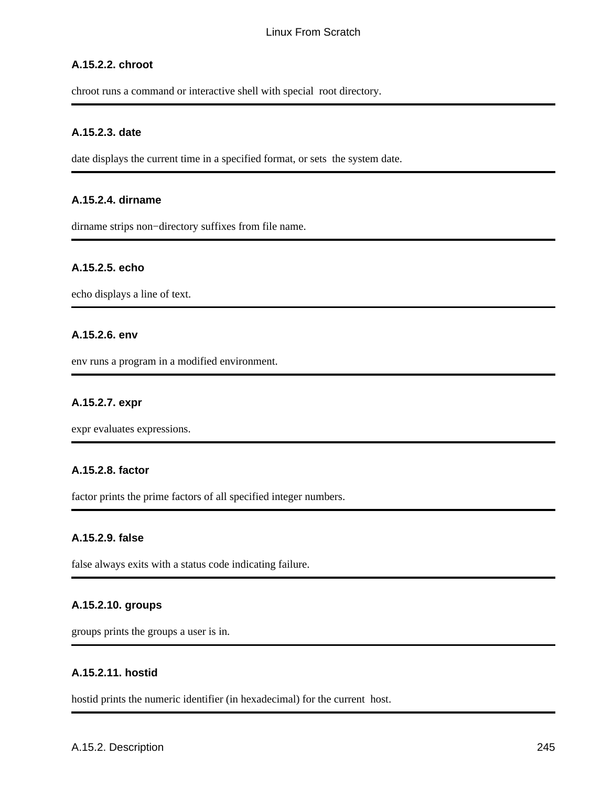### **A.15.2.2. chroot**

chroot runs a command or interactive shell with special root directory.

### **A.15.2.3. date**

date displays the current time in a specified format, or sets the system date.

## **A.15.2.4. dirname**

dirname strips non−directory suffixes from file name.

### **A.15.2.5. echo**

echo displays a line of text.

### **A.15.2.6. env**

env runs a program in a modified environment.

#### **A.15.2.7. expr**

expr evaluates expressions.

### **A.15.2.8. factor**

factor prints the prime factors of all specified integer numbers.

### **A.15.2.9. false**

false always exits with a status code indicating failure.

#### **A.15.2.10. groups**

groups prints the groups a user is in.

## **A.15.2.11. hostid**

hostid prints the numeric identifier (in hexadecimal) for the current host.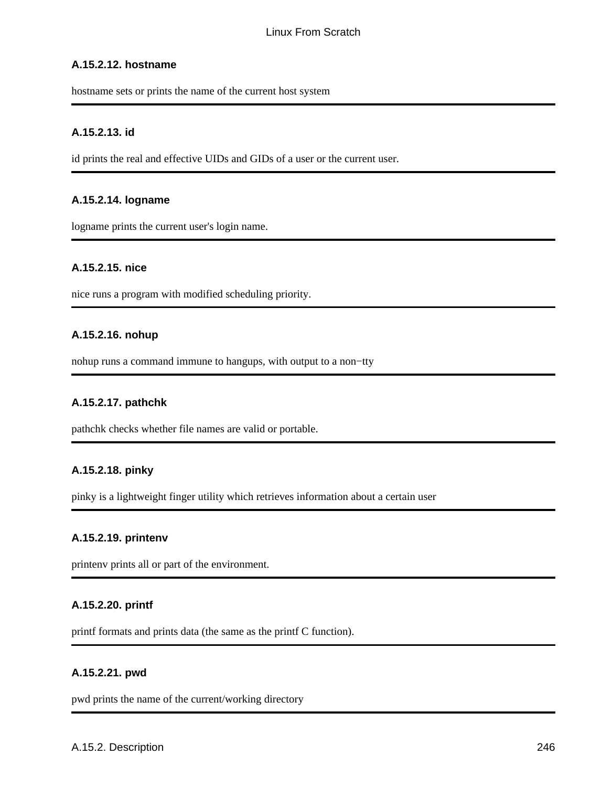### **A.15.2.12. hostname**

hostname sets or prints the name of the current host system

### **A.15.2.13. id**

id prints the real and effective UIDs and GIDs of a user or the current user.

#### **A.15.2.14. logname**

logname prints the current user's login name.

#### **A.15.2.15. nice**

nice runs a program with modified scheduling priority.

#### **A.15.2.16. nohup**

nohup runs a command immune to hangups, with output to a non−tty

#### **A.15.2.17. pathchk**

pathchk checks whether file names are valid or portable.

#### **A.15.2.18. pinky**

pinky is a lightweight finger utility which retrieves information about a certain user

#### **A.15.2.19. printenv**

printenv prints all or part of the environment.

#### **A.15.2.20. printf**

printf formats and prints data (the same as the printf C function).

#### **A.15.2.21. pwd**

pwd prints the name of the current/working directory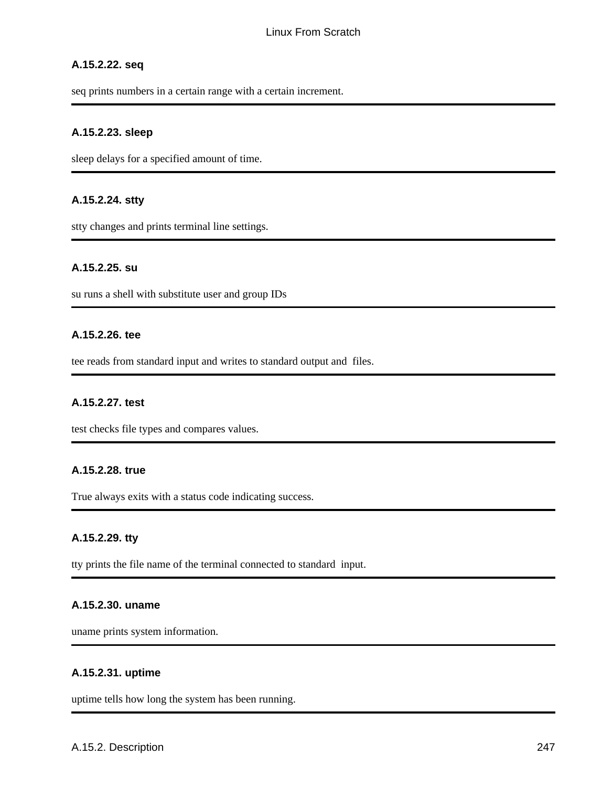### **A.15.2.22. seq**

seq prints numbers in a certain range with a certain increment.

#### **A.15.2.23. sleep**

sleep delays for a specified amount of time.

#### **A.15.2.24. stty**

stty changes and prints terminal line settings.

### **A.15.2.25. su**

su runs a shell with substitute user and group IDs

### **A.15.2.26. tee**

tee reads from standard input and writes to standard output and files.

#### **A.15.2.27. test**

test checks file types and compares values.

## **A.15.2.28. true**

True always exits with a status code indicating success.

#### **A.15.2.29. tty**

tty prints the file name of the terminal connected to standard input.

#### **A.15.2.30. uname**

uname prints system information.

### **A.15.2.31. uptime**

uptime tells how long the system has been running.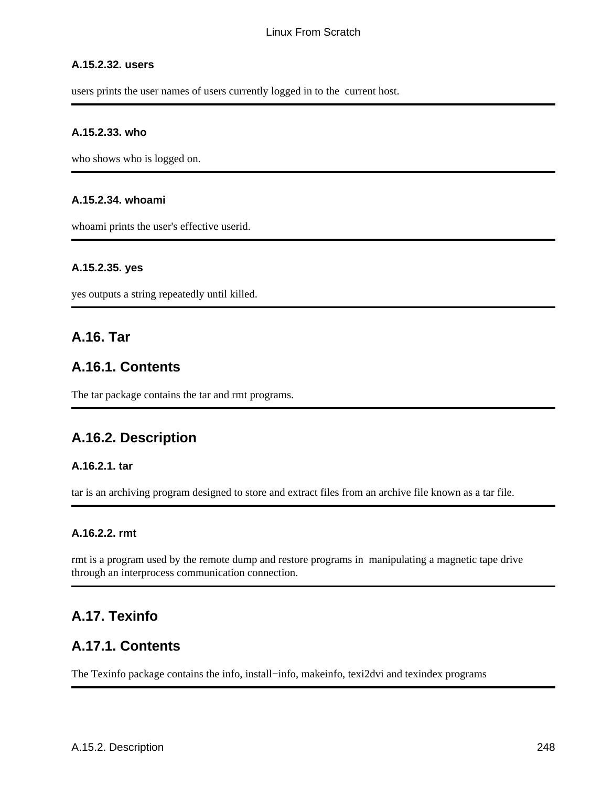### **A.15.2.32. users**

users prints the user names of users currently logged in to the current host.

### **A.15.2.33. who**

who shows who is logged on.

### **A.15.2.34. whoami**

whoami prints the user's effective userid.

### **A.15.2.35. yes**

yes outputs a string repeatedly until killed.

## **A.16. Tar**

## **A.16.1. Contents**

The tar package contains the tar and rmt programs.

# **A.16.2. Description**

### **A.16.2.1. tar**

tar is an archiving program designed to store and extract files from an archive file known as a tar file.

#### **A.16.2.2. rmt**

rmt is a program used by the remote dump and restore programs in manipulating a magnetic tape drive through an interprocess communication connection.

## **A.17. Texinfo**

## **A.17.1. Contents**

The Texinfo package contains the info, install−info, makeinfo, texi2dvi and texindex programs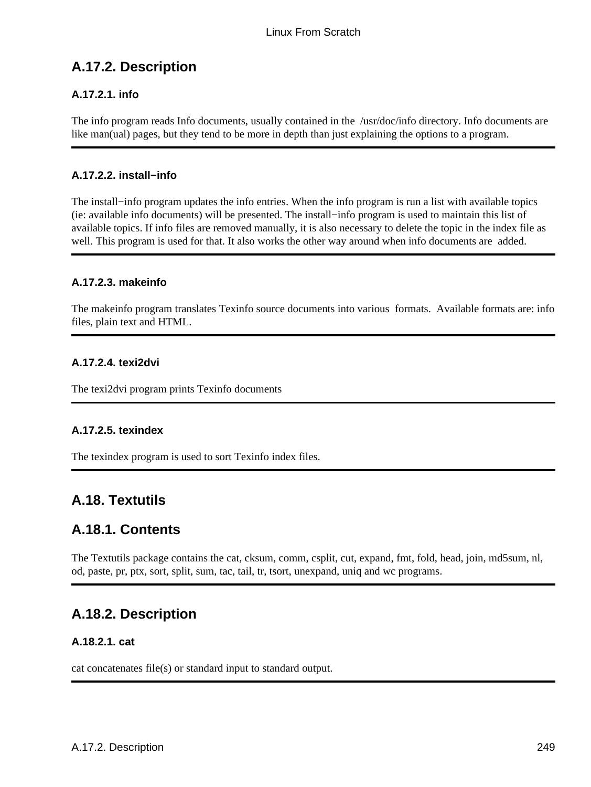# **A.17.2. Description**

## **A.17.2.1. info**

The info program reads Info documents, usually contained in the /usr/doc/info directory. Info documents are like man(ual) pages, but they tend to be more in depth than just explaining the options to a program.

## **A.17.2.2. install−info**

The install–info program updates the info entries. When the info program is run a list with available topics (ie: available info documents) will be presented. The install−info program is used to maintain this list of available topics. If info files are removed manually, it is also necessary to delete the topic in the index file as well. This program is used for that. It also works the other way around when info documents are added.

## **A.17.2.3. makeinfo**

The makeinfo program translates Texinfo source documents into various formats. Available formats are: info files, plain text and HTML.

## **A.17.2.4. texi2dvi**

The texi2dvi program prints Texinfo documents

## **A.17.2.5. texindex**

The texindex program is used to sort Texinfo index files.

## **A.18. Textutils**

## **A.18.1. Contents**

The Textutils package contains the cat, cksum, comm, csplit, cut, expand, fmt, fold, head, join, md5sum, nl, od, paste, pr, ptx, sort, split, sum, tac, tail, tr, tsort, unexpand, uniq and wc programs.

## **A.18.2. Description**

## **A.18.2.1. cat**

cat concatenates file(s) or standard input to standard output.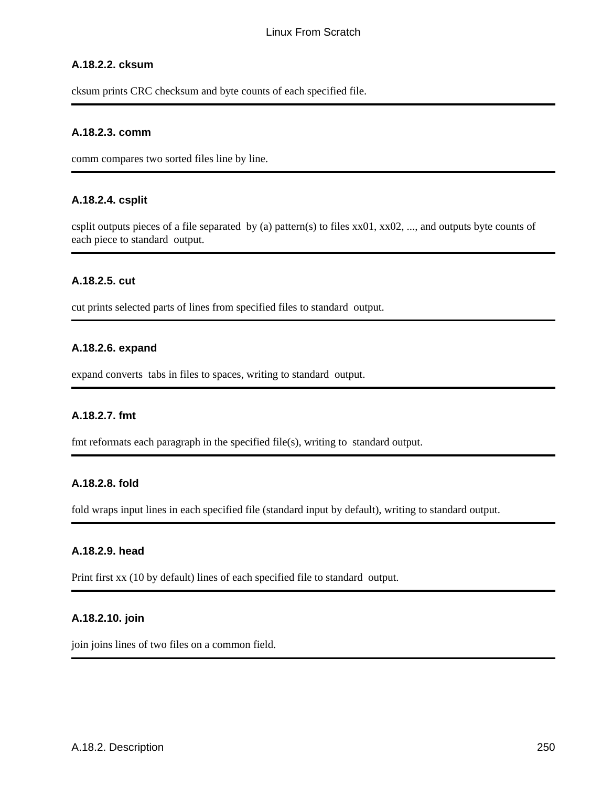### **A.18.2.2. cksum**

cksum prints CRC checksum and byte counts of each specified file.

### **A.18.2.3. comm**

comm compares two sorted files line by line.

#### **A.18.2.4. csplit**

csplit outputs pieces of a file separated by (a) pattern(s) to files xx01, xx02, ..., and outputs byte counts of each piece to standard output.

#### **A.18.2.5. cut**

cut prints selected parts of lines from specified files to standard output.

#### **A.18.2.6. expand**

expand converts tabs in files to spaces, writing to standard output.

### **A.18.2.7. fmt**

fmt reformats each paragraph in the specified file(s), writing to standard output.

#### **A.18.2.8. fold**

fold wraps input lines in each specified file (standard input by default), writing to standard output.

#### **A.18.2.9. head**

Print first xx (10 by default) lines of each specified file to standard output.

#### **A.18.2.10. join**

join joins lines of two files on a common field.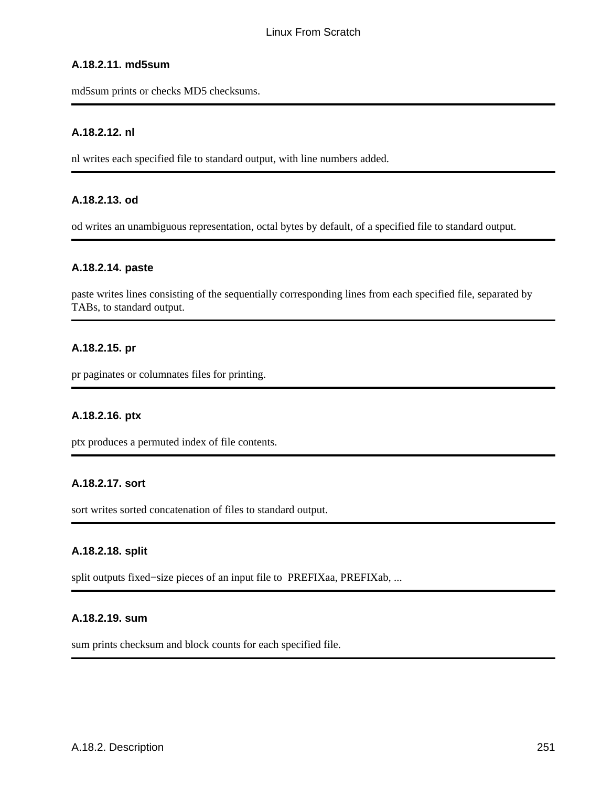### **A.18.2.11. md5sum**

md5sum prints or checks MD5 checksums.

### **A.18.2.12. nl**

nl writes each specified file to standard output, with line numbers added.

#### **A.18.2.13. od**

od writes an unambiguous representation, octal bytes by default, of a specified file to standard output.

#### **A.18.2.14. paste**

paste writes lines consisting of the sequentially corresponding lines from each specified file, separated by TABs, to standard output.

#### **A.18.2.15. pr**

pr paginates or columnates files for printing.

#### **A.18.2.16. ptx**

ptx produces a permuted index of file contents.

#### **A.18.2.17. sort**

sort writes sorted concatenation of files to standard output.

#### **A.18.2.18. split**

split outputs fixed−size pieces of an input file to PREFIXaa, PREFIXab, ...

## **A.18.2.19. sum**

sum prints checksum and block counts for each specified file.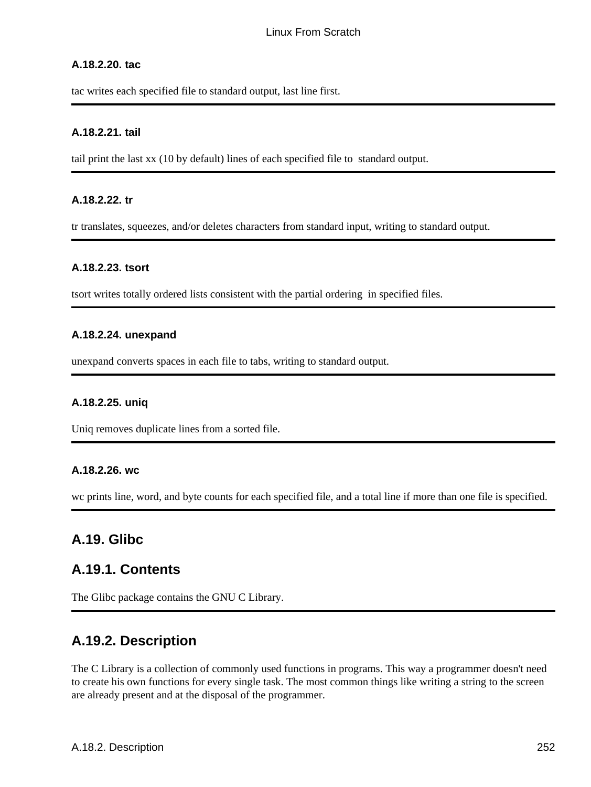#### **A.18.2.20. tac**

tac writes each specified file to standard output, last line first.

#### **A.18.2.21. tail**

tail print the last xx (10 by default) lines of each specified file to standard output.

#### **A.18.2.22. tr**

tr translates, squeezes, and/or deletes characters from standard input, writing to standard output.

#### **A.18.2.23. tsort**

tsort writes totally ordered lists consistent with the partial ordering in specified files.

#### **A.18.2.24. unexpand**

unexpand converts spaces in each file to tabs, writing to standard output.

#### **A.18.2.25. uniq**

Uniq removes duplicate lines from a sorted file.

#### **A.18.2.26. wc**

wc prints line, word, and byte counts for each specified file, and a total line if more than one file is specified.

## **A.19. Glibc**

## **A.19.1. Contents**

The Glibc package contains the GNU C Library.

## **A.19.2. Description**

The C Library is a collection of commonly used functions in programs. This way a programmer doesn't need to create his own functions for every single task. The most common things like writing a string to the screen are already present and at the disposal of the programmer.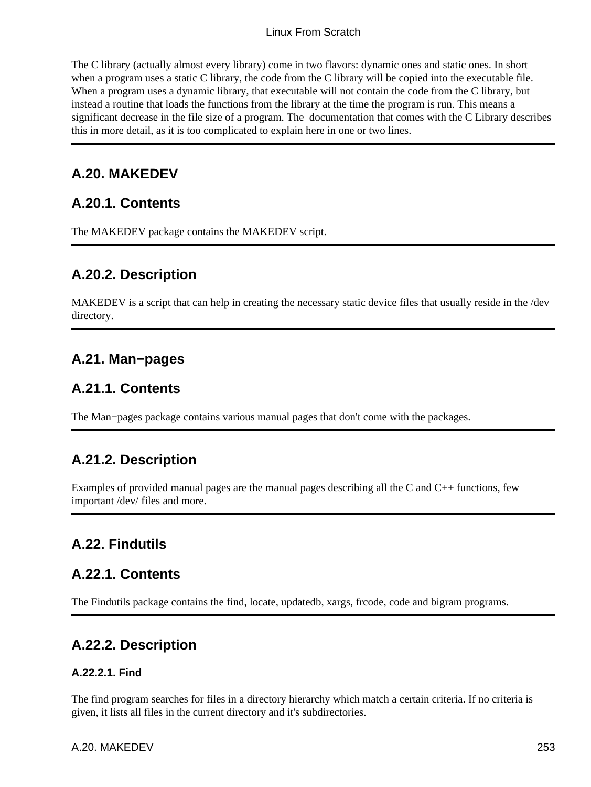## Linux From Scratch

The C library (actually almost every library) come in two flavors: dynamic ones and static ones. In short when a program uses a static C library, the code from the C library will be copied into the executable file. When a program uses a dynamic library, that executable will not contain the code from the C library, but instead a routine that loads the functions from the library at the time the program is run. This means a significant decrease in the file size of a program. The documentation that comes with the C Library describes this in more detail, as it is too complicated to explain here in one or two lines.

# **A.20. MAKEDEV**

# **A.20.1. Contents**

The MAKEDEV package contains the MAKEDEV script.

# **A.20.2. Description**

MAKEDEV is a script that can help in creating the necessary static device files that usually reside in the /dev directory.

# **A.21. Man−pages**

# **A.21.1. Contents**

The Man−pages package contains various manual pages that don't come with the packages.

# **A.21.2. Description**

Examples of provided manual pages are the manual pages describing all the C and  $C_{++}$  functions, few important /dev/ files and more.

# **A.22. Findutils**

## **A.22.1. Contents**

The Findutils package contains the find, locate, updatedb, xargs, frcode, code and bigram programs.

## **A.22.2. Description**

## **A.22.2.1. Find**

The find program searches for files in a directory hierarchy which match a certain criteria. If no criteria is given, it lists all files in the current directory and it's subdirectories.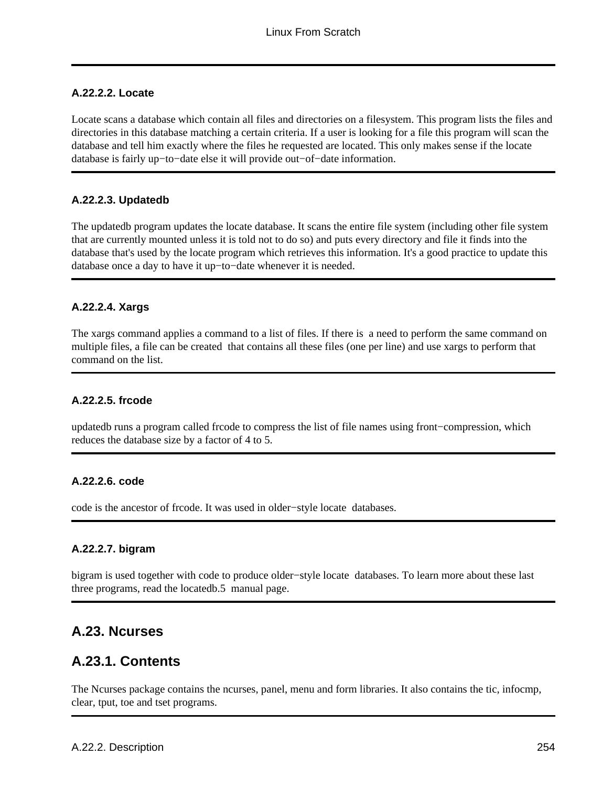### **A.22.2.2. Locate**

Locate scans a database which contain all files and directories on a filesystem. This program lists the files and directories in this database matching a certain criteria. If a user is looking for a file this program will scan the database and tell him exactly where the files he requested are located. This only makes sense if the locate database is fairly up−to−date else it will provide out−of−date information.

## **A.22.2.3. Updatedb**

The updatedb program updates the locate database. It scans the entire file system (including other file system that are currently mounted unless it is told not to do so) and puts every directory and file it finds into the database that's used by the locate program which retrieves this information. It's a good practice to update this database once a day to have it up−to−date whenever it is needed.

## **A.22.2.4. Xargs**

The xargs command applies a command to a list of files. If there is a need to perform the same command on multiple files, a file can be created that contains all these files (one per line) and use xargs to perform that command on the list.

## **A.22.2.5. frcode**

updatedb runs a program called frcode to compress the list of file names using front−compression, which reduces the database size by a factor of 4 to 5.

## **A.22.2.6. code**

code is the ancestor of frcode. It was used in older−style locate databases.

## **A.22.2.7. bigram**

bigram is used together with code to produce older−style locate databases. To learn more about these last three programs, read the locatedb.5 manual page.

## **A.23. Ncurses**

## **A.23.1. Contents**

The Ncurses package contains the ncurses, panel, menu and form libraries. It also contains the tic, infocmp, clear, tput, toe and tset programs.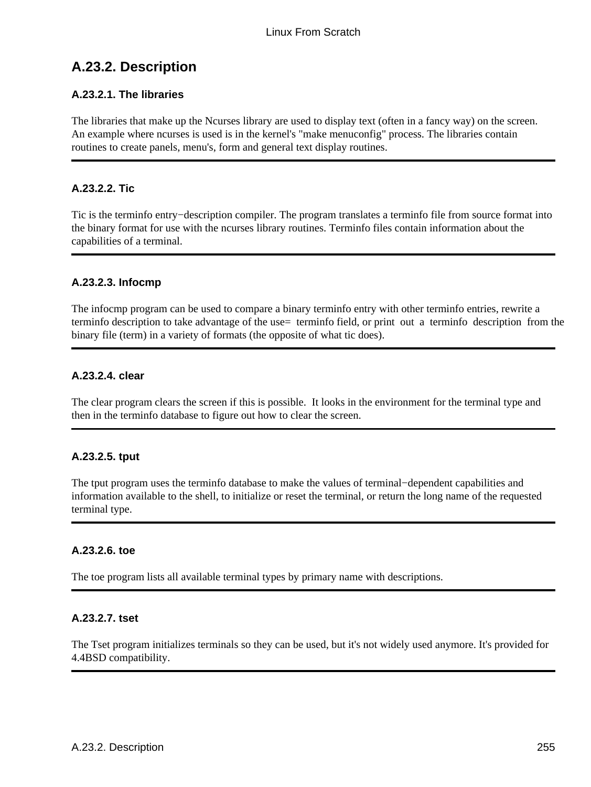# **A.23.2. Description**

## **A.23.2.1. The libraries**

The libraries that make up the Ncurses library are used to display text (often in a fancy way) on the screen. An example where ncurses is used is in the kernel's "make menuconfig" process. The libraries contain routines to create panels, menu's, form and general text display routines.

## **A.23.2.2. Tic**

Tic is the terminfo entry−description compiler. The program translates a terminfo file from source format into the binary format for use with the ncurses library routines. Terminfo files contain information about the capabilities of a terminal.

## **A.23.2.3. Infocmp**

The infocmp program can be used to compare a binary terminfo entry with other terminfo entries, rewrite a terminfo description to take advantage of the use= terminfo field, or print out a terminfo description from the binary file (term) in a variety of formats (the opposite of what tic does).

## **A.23.2.4. clear**

The clear program clears the screen if this is possible. It looks in the environment for the terminal type and then in the terminfo database to figure out how to clear the screen.

## **A.23.2.5. tput**

The tput program uses the terminfo database to make the values of terminal−dependent capabilities and information available to the shell, to initialize or reset the terminal, or return the long name of the requested terminal type.

#### **A.23.2.6. toe**

The toe program lists all available terminal types by primary name with descriptions.

#### **A.23.2.7. tset**

The Tset program initializes terminals so they can be used, but it's not widely used anymore. It's provided for 4.4BSD compatibility.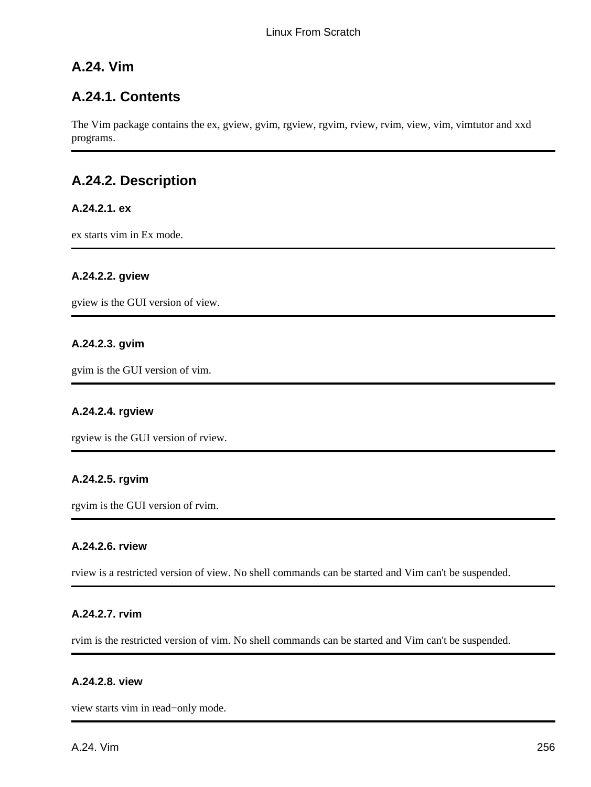# **A.24. Vim**

# **A.24.1. Contents**

The Vim package contains the ex, gview, gvim, rgview, rgvim, rview, rvim, view, vim, vimtutor and xxd programs.

# **A.24.2. Description**

### **A.24.2.1. ex**

ex starts vim in Ex mode.

### **A.24.2.2. gview**

gview is the GUI version of view.

## **A.24.2.3. gvim**

gvim is the GUI version of vim.

#### **A.24.2.4. rgview**

rgview is the GUI version of rview.

#### **A.24.2.5. rgvim**

rgvim is the GUI version of rvim.

#### **A.24.2.6. rview**

rview is a restricted version of view. No shell commands can be started and Vim can't be suspended.

#### **A.24.2.7. rvim**

rvim is the restricted version of vim. No shell commands can be started and Vim can't be suspended.

#### **A.24.2.8. view**

view starts vim in read−only mode.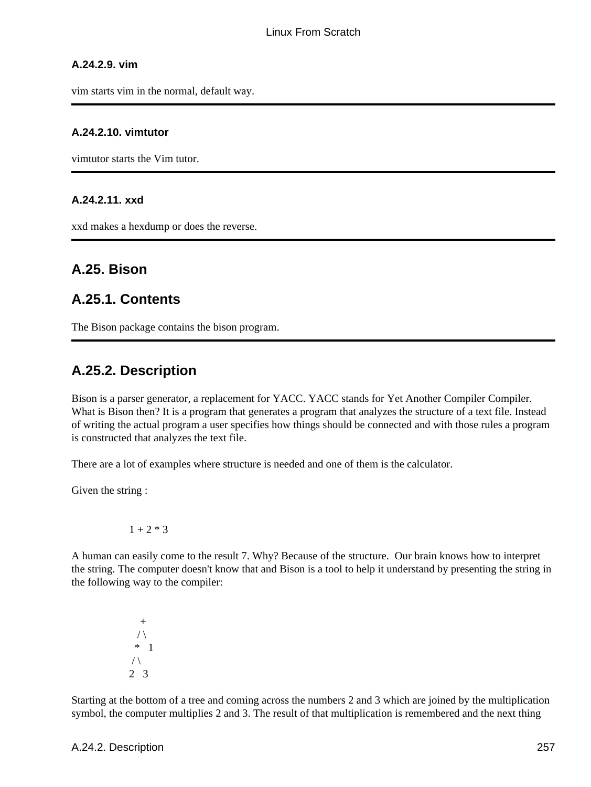#### **A.24.2.9. vim**

vim starts vim in the normal, default way.

### **A.24.2.10. vimtutor**

vimtutor starts the Vim tutor.

### **A.24.2.11. xxd**

xxd makes a hexdump or does the reverse.

## **A.25. Bison**

## **A.25.1. Contents**

The Bison package contains the bison program.

## **A.25.2. Description**

Bison is a parser generator, a replacement for YACC. YACC stands for Yet Another Compiler Compiler. What is Bison then? It is a program that generates a program that analyzes the structure of a text file. Instead of writing the actual program a user specifies how things should be connected and with those rules a program is constructed that analyzes the text file.

There are a lot of examples where structure is needed and one of them is the calculator.

Given the string :

 $1 + 2 * 3$ 

A human can easily come to the result 7. Why? Because of the structure. Our brain knows how to interpret the string. The computer doesn't know that and Bison is a tool to help it understand by presenting the string in the following way to the compiler:

> +  $/ \setminus$  \* 1  $/ \backslash$ 2 3

Starting at the bottom of a tree and coming across the numbers 2 and 3 which are joined by the multiplication symbol, the computer multiplies 2 and 3. The result of that multiplication is remembered and the next thing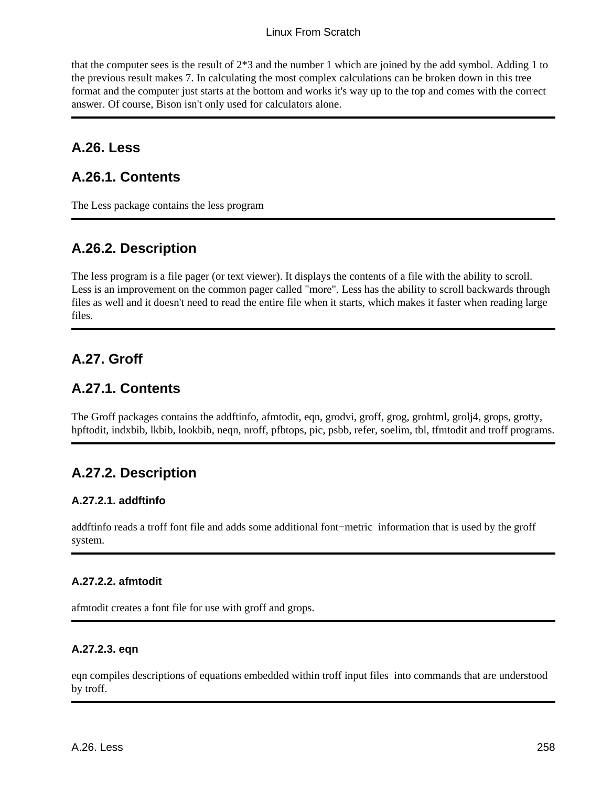## Linux From Scratch

that the computer sees is the result of 2\*3 and the number 1 which are joined by the add symbol. Adding 1 to the previous result makes 7. In calculating the most complex calculations can be broken down in this tree format and the computer just starts at the bottom and works it's way up to the top and comes with the correct answer. Of course, Bison isn't only used for calculators alone.

## **A.26. Less**

## **A.26.1. Contents**

The Less package contains the less program

## **A.26.2. Description**

The less program is a file pager (or text viewer). It displays the contents of a file with the ability to scroll. Less is an improvement on the common pager called "more". Less has the ability to scroll backwards through files as well and it doesn't need to read the entire file when it starts, which makes it faster when reading large files.

## **A.27. Groff**

## **A.27.1. Contents**

The Groff packages contains the addftinfo, afmtodit, eqn, grodvi, groff, grog, grohtml, grolj4, grops, grotty, hpftodit, indxbib, lkbib, lookbib, neqn, nroff, pfbtops, pic, psbb, refer, soelim, tbl, tfmtodit and troff programs.

## **A.27.2. Description**

## **A.27.2.1. addftinfo**

addftinfo reads a troff font file and adds some additional font−metric information that is used by the groff system.

## **A.27.2.2. afmtodit**

afmtodit creates a font file for use with groff and grops.

#### **A.27.2.3. eqn**

eqn compiles descriptions of equations embedded within troff input files into commands that are understood by troff.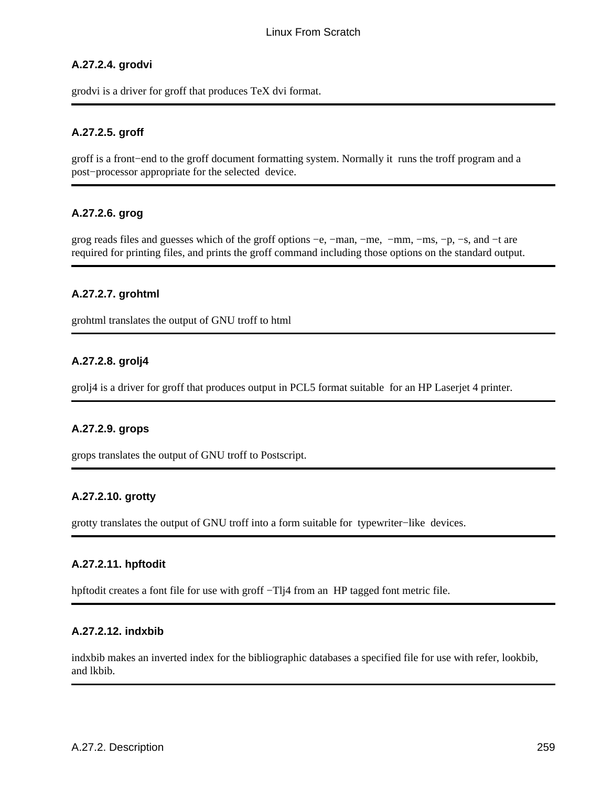## **A.27.2.4. grodvi**

grodvi is a driver for groff that produces TeX dvi format.

#### **A.27.2.5. groff**

groff is a front−end to the groff document formatting system. Normally it runs the troff program and a post−processor appropriate for the selected device.

### **A.27.2.6. grog**

grog reads files and guesses which of the groff options −e, −man, −me, −mm, −ms, −p, −s, and −t are required for printing files, and prints the groff command including those options on the standard output.

#### **A.27.2.7. grohtml**

grohtml translates the output of GNU troff to html

#### **A.27.2.8. grolj4**

grolj4 is a driver for groff that produces output in PCL5 format suitable for an HP Laserjet 4 printer.

#### **A.27.2.9. grops**

grops translates the output of GNU troff to Postscript.

#### **A.27.2.10. grotty**

grotty translates the output of GNU troff into a form suitable for typewriter−like devices.

#### **A.27.2.11. hpftodit**

hpftodit creates a font file for use with groff −Tlj4 from an HP tagged font metric file.

#### **A.27.2.12. indxbib**

indxbib makes an inverted index for the bibliographic databases a specified file for use with refer, lookbib, and lkbib.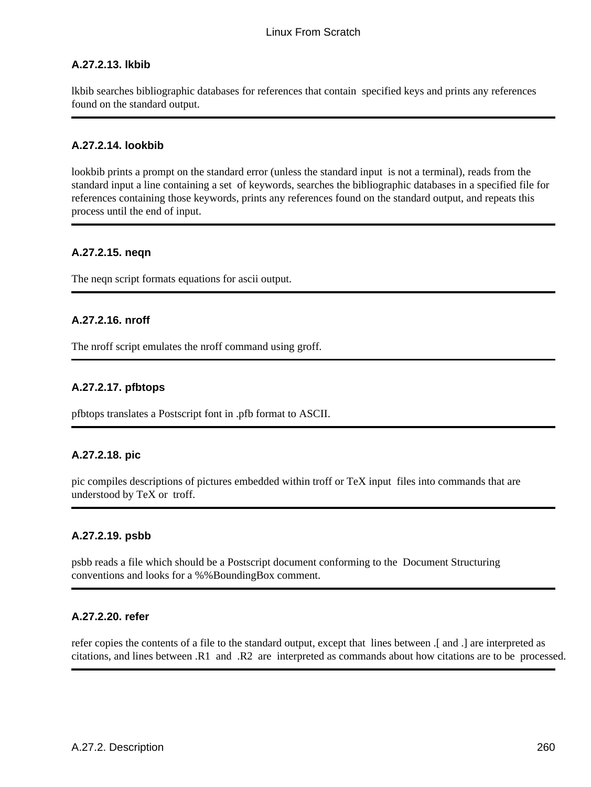## **A.27.2.13. lkbib**

lkbib searches bibliographic databases for references that contain specified keys and prints any references found on the standard output.

## **A.27.2.14. lookbib**

lookbib prints a prompt on the standard error (unless the standard input is not a terminal), reads from the standard input a line containing a set of keywords, searches the bibliographic databases in a specified file for references containing those keywords, prints any references found on the standard output, and repeats this process until the end of input.

## **A.27.2.15. neqn**

The neqn script formats equations for ascii output.

## **A.27.2.16. nroff**

The nroff script emulates the nroff command using groff.

## **A.27.2.17. pfbtops**

pfbtops translates a Postscript font in .pfb format to ASCII.

## **A.27.2.18. pic**

pic compiles descriptions of pictures embedded within troff or TeX input files into commands that are understood by TeX or troff.

#### **A.27.2.19. psbb**

psbb reads a file which should be a Postscript document conforming to the Document Structuring conventions and looks for a %%BoundingBox comment.

#### **A.27.2.20. refer**

refer copies the contents of a file to the standard output, except that lines between .[ and .] are interpreted as citations, and lines between .R1 and .R2 are interpreted as commands about how citations are to be processed.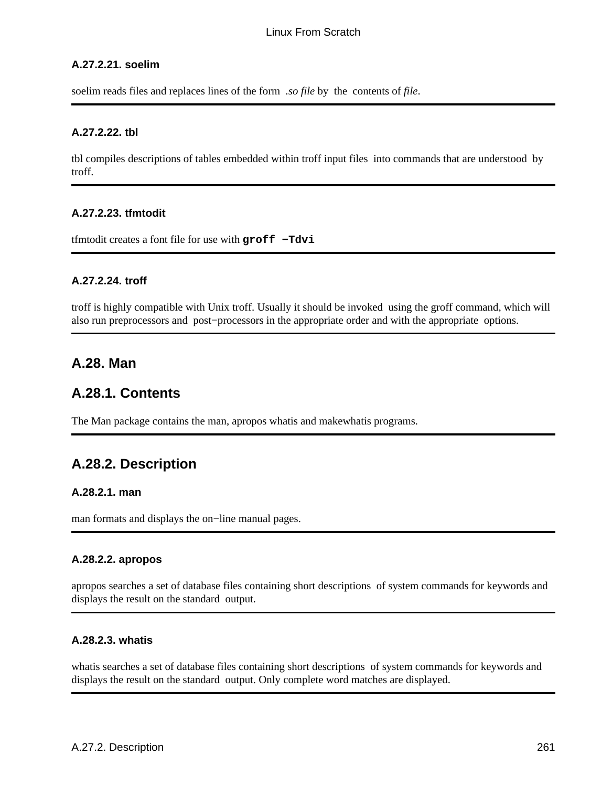## **A.27.2.21. soelim**

soelim reads files and replaces lines of the form *.so file* by the contents of *file*.

### **A.27.2.22. tbl**

tbl compiles descriptions of tables embedded within troff input files into commands that are understood by troff.

### **A.27.2.23. tfmtodit**

tfmtodit creates a font file for use with **groff −Tdvi**

### **A.27.2.24. troff**

troff is highly compatible with Unix troff. Usually it should be invoked using the groff command, which will also run preprocessors and post−processors in the appropriate order and with the appropriate options.

## **A.28. Man**

## **A.28.1. Contents**

The Man package contains the man, apropos whatis and makewhatis programs.

## **A.28.2. Description**

## **A.28.2.1. man**

man formats and displays the on−line manual pages.

## **A.28.2.2. apropos**

apropos searches a set of database files containing short descriptions of system commands for keywords and displays the result on the standard output.

### **A.28.2.3. whatis**

whatis searches a set of database files containing short descriptions of system commands for keywords and displays the result on the standard output. Only complete word matches are displayed.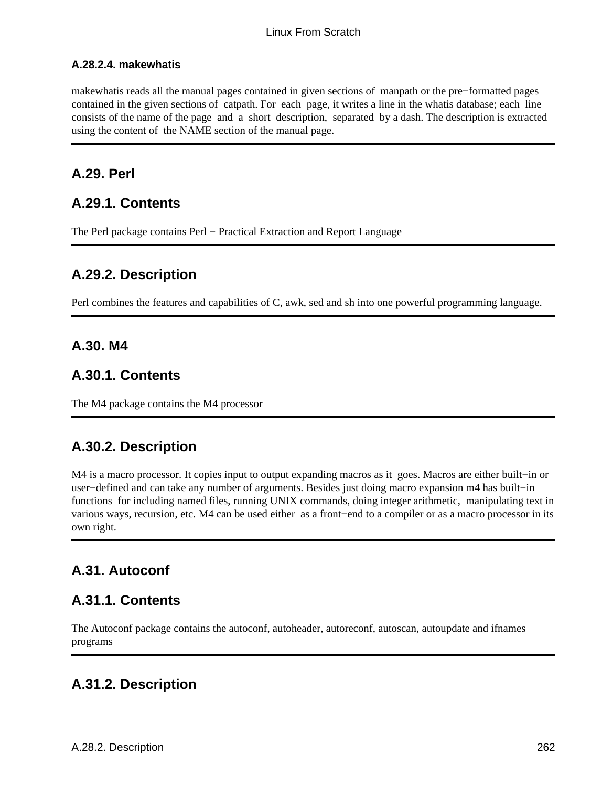## Linux From Scratch

## **A.28.2.4. makewhatis**

makewhatis reads all the manual pages contained in given sections of manpath or the pre−formatted pages contained in the given sections of catpath. For each page, it writes a line in the whatis database; each line consists of the name of the page and a short description, separated by a dash. The description is extracted using the content of the NAME section of the manual page.

## **A.29. Perl**

## **A.29.1. Contents**

The Perl package contains Perl − Practical Extraction and Report Language

## **A.29.2. Description**

Perl combines the features and capabilities of C, awk, sed and sh into one powerful programming language.

## **A.30. M4**

## **A.30.1. Contents**

The M4 package contains the M4 processor

## **A.30.2. Description**

M4 is a macro processor. It copies input to output expanding macros as it goes. Macros are either built−in or user−defined and can take any number of arguments. Besides just doing macro expansion m4 has built−in functions for including named files, running UNIX commands, doing integer arithmetic, manipulating text in various ways, recursion, etc. M4 can be used either as a front−end to a compiler or as a macro processor in its own right.

## **A.31. Autoconf**

## **A.31.1. Contents**

The Autoconf package contains the autoconf, autoheader, autoreconf, autoscan, autoupdate and ifnames programs

## **A.31.2. Description**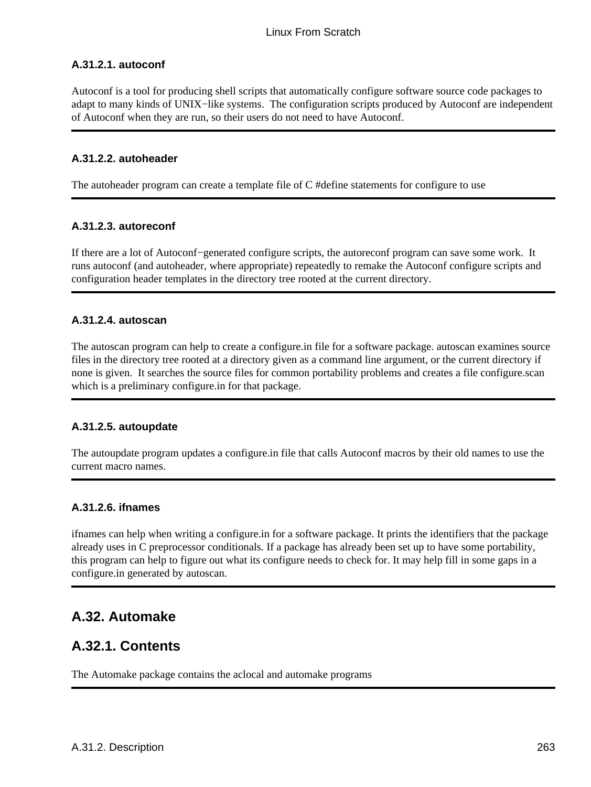## Linux From Scratch

## **A.31.2.1. autoconf**

Autoconf is a tool for producing shell scripts that automatically configure software source code packages to adapt to many kinds of UNIX−like systems. The configuration scripts produced by Autoconf are independent of Autoconf when they are run, so their users do not need to have Autoconf.

## **A.31.2.2. autoheader**

The autoheader program can create a template file of C #define statements for configure to use

### **A.31.2.3. autoreconf**

If there are a lot of Autoconf−generated configure scripts, the autoreconf program can save some work. It runs autoconf (and autoheader, where appropriate) repeatedly to remake the Autoconf configure scripts and configuration header templates in the directory tree rooted at the current directory.

### **A.31.2.4. autoscan**

The autoscan program can help to create a configure.in file for a software package. autoscan examines source files in the directory tree rooted at a directory given as a command line argument, or the current directory if none is given. It searches the source files for common portability problems and creates a file configure.scan which is a preliminary configure.in for that package.

## **A.31.2.5. autoupdate**

The autoupdate program updates a configure.in file that calls Autoconf macros by their old names to use the current macro names.

## **A.31.2.6. ifnames**

ifnames can help when writing a configure.in for a software package. It prints the identifiers that the package already uses in C preprocessor conditionals. If a package has already been set up to have some portability, this program can help to figure out what its configure needs to check for. It may help fill in some gaps in a configure.in generated by autoscan.

## **A.32. Automake**

## **A.32.1. Contents**

The Automake package contains the aclocal and automake programs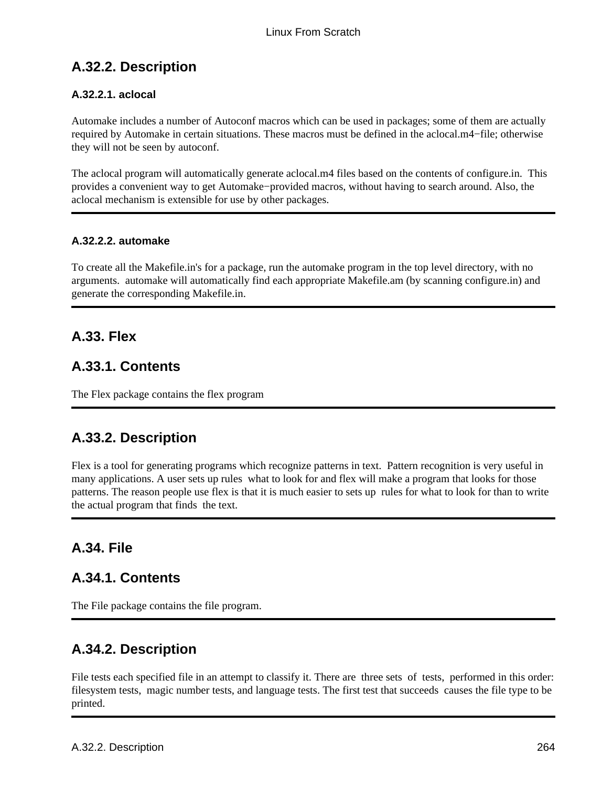# **A.32.2. Description**

## **A.32.2.1. aclocal**

Automake includes a number of Autoconf macros which can be used in packages; some of them are actually required by Automake in certain situations. These macros must be defined in the aclocal.m4−file; otherwise they will not be seen by autoconf.

The aclocal program will automatically generate aclocal.m4 files based on the contents of configure.in. This provides a convenient way to get Automake−provided macros, without having to search around. Also, the aclocal mechanism is extensible for use by other packages.

## **A.32.2.2. automake**

To create all the Makefile.in's for a package, run the automake program in the top level directory, with no arguments. automake will automatically find each appropriate Makefile.am (by scanning configure.in) and generate the corresponding Makefile.in.

## **A.33. Flex**

# **A.33.1. Contents**

The Flex package contains the flex program

## **A.33.2. Description**

Flex is a tool for generating programs which recognize patterns in text. Pattern recognition is very useful in many applications. A user sets up rules what to look for and flex will make a program that looks for those patterns. The reason people use flex is that it is much easier to sets up rules for what to look for than to write the actual program that finds the text.

# **A.34. File**

## **A.34.1. Contents**

The File package contains the file program.

# **A.34.2. Description**

File tests each specified file in an attempt to classify it. There are three sets of tests, performed in this order: filesystem tests, magic number tests, and language tests. The first test that succeeds causes the file type to be printed.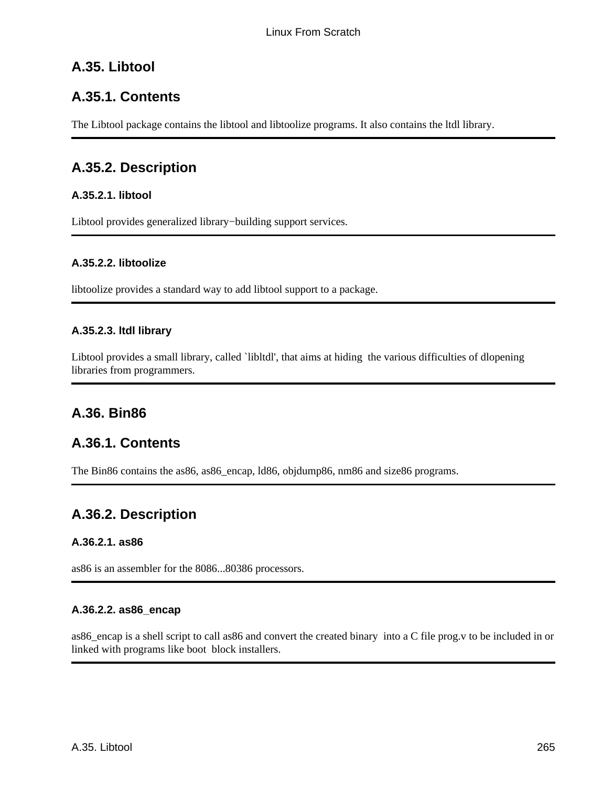# **A.35. Libtool**

# **A.35.1. Contents**

The Libtool package contains the libtool and libtoolize programs. It also contains the ltdl library.

# **A.35.2. Description**

## **A.35.2.1. libtool**

Libtool provides generalized library−building support services.

## **A.35.2.2. libtoolize**

libtoolize provides a standard way to add libtool support to a package.

## **A.35.2.3. ltdl library**

Libtool provides a small library, called `libltdl', that aims at hiding the various difficulties of dlopening libraries from programmers.

## **A.36. Bin86**

## **A.36.1. Contents**

The Bin86 contains the as86, as86 encap, ld86, objdump86, nm86 and size86 programs.

## **A.36.2. Description**

## **A.36.2.1. as86**

as86 is an assembler for the 8086...80386 processors.

#### **A.36.2.2. as86\_encap**

as86\_encap is a shell script to call as86 and convert the created binary into a C file prog.v to be included in or linked with programs like boot block installers.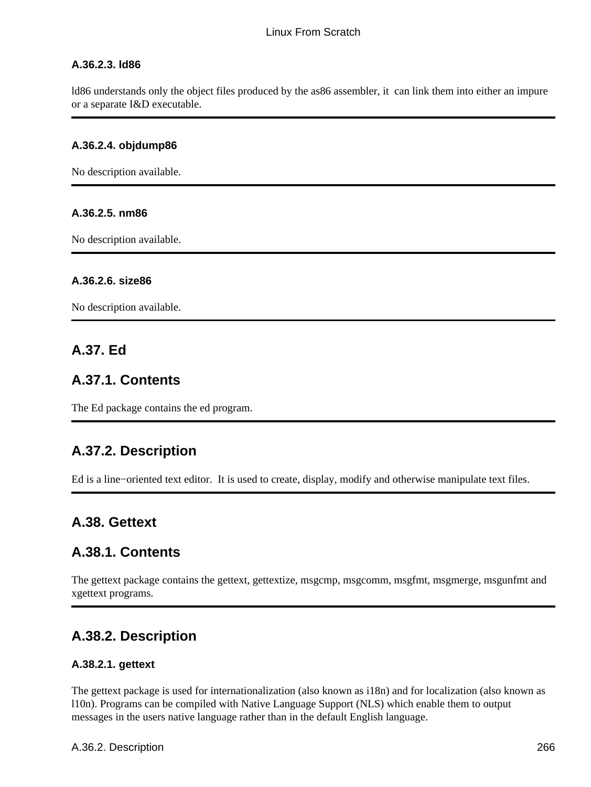## **A.36.2.3. ld86**

ld86 understands only the object files produced by the as86 assembler, it can link them into either an impure or a separate I&D executable.

## **A.36.2.4. objdump86**

No description available.

## **A.36.2.5. nm86**

No description available.

### **A.36.2.6. size86**

No description available.

## **A.37. Ed**

## **A.37.1. Contents**

The Ed package contains the ed program.

## **A.37.2. Description**

Ed is a line−oriented text editor. It is used to create, display, modify and otherwise manipulate text files.

## **A.38. Gettext**

## **A.38.1. Contents**

The gettext package contains the gettext, gettextize, msgcmp, msgcomm, msgfmt, msgmerge, msgunfmt and xgettext programs.

## **A.38.2. Description**

## **A.38.2.1. gettext**

The gettext package is used for internationalization (also known as i18n) and for localization (also known as l10n). Programs can be compiled with Native Language Support (NLS) which enable them to output messages in the users native language rather than in the default English language.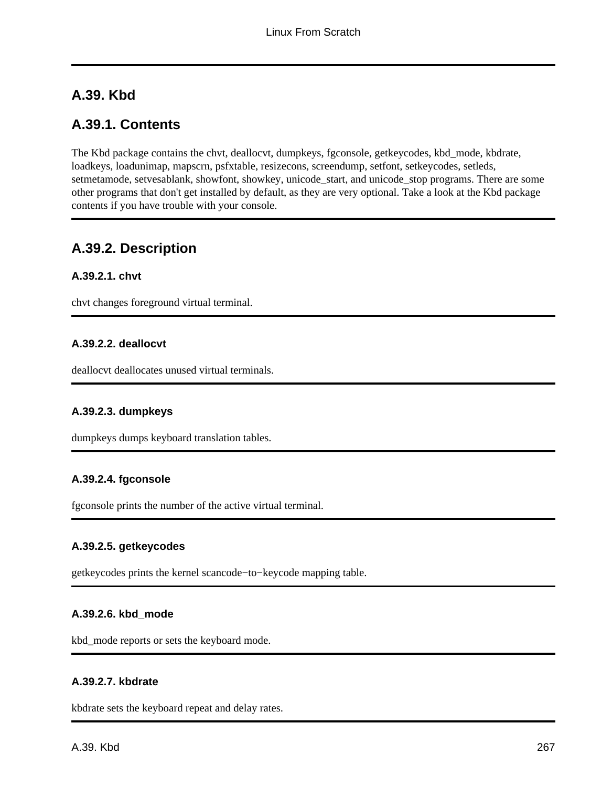## **A.39. Kbd**

# **A.39.1. Contents**

The Kbd package contains the chvt, deallocvt, dumpkeys, fgconsole, getkeycodes, kbd\_mode, kbdrate, loadkeys, loadunimap, mapscrn, psfxtable, resizecons, screendump, setfont, setkeycodes, setleds, setmetamode, setvesablank, showfont, showkey, unicode\_start, and unicode\_stop programs. There are some other programs that don't get installed by default, as they are very optional. Take a look at the Kbd package contents if you have trouble with your console.

## **A.39.2. Description**

## **A.39.2.1. chvt**

chvt changes foreground virtual terminal.

## **A.39.2.2. deallocvt**

deallocvt deallocates unused virtual terminals.

#### **A.39.2.3. dumpkeys**

dumpkeys dumps keyboard translation tables.

#### **A.39.2.4. fgconsole**

fgconsole prints the number of the active virtual terminal.

#### **A.39.2.5. getkeycodes**

getkeycodes prints the kernel scancode−to−keycode mapping table.

#### **A.39.2.6. kbd\_mode**

kbd\_mode reports or sets the keyboard mode.

#### **A.39.2.7. kbdrate**

kbdrate sets the keyboard repeat and delay rates.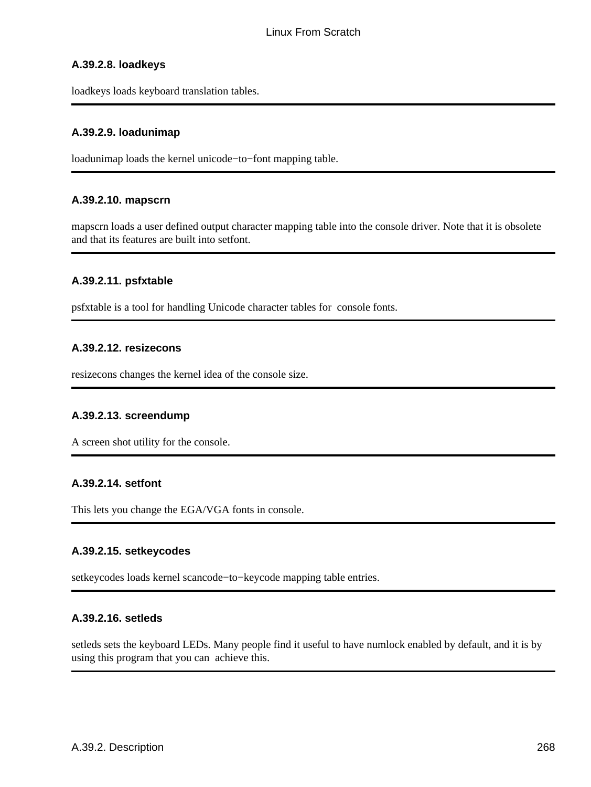### **A.39.2.8. loadkeys**

loadkeys loads keyboard translation tables.

### **A.39.2.9. loadunimap**

loadunimap loads the kernel unicode−to−font mapping table.

#### **A.39.2.10. mapscrn**

mapscrn loads a user defined output character mapping table into the console driver. Note that it is obsolete and that its features are built into setfont.

#### **A.39.2.11. psfxtable**

psfxtable is a tool for handling Unicode character tables for console fonts.

#### **A.39.2.12. resizecons**

resizecons changes the kernel idea of the console size.

#### **A.39.2.13. screendump**

A screen shot utility for the console.

#### **A.39.2.14. setfont**

This lets you change the EGA/VGA fonts in console.

#### **A.39.2.15. setkeycodes**

setkeycodes loads kernel scancode−to−keycode mapping table entries.

### **A.39.2.16. setleds**

setleds sets the keyboard LEDs. Many people find it useful to have numlock enabled by default, and it is by using this program that you can achieve this.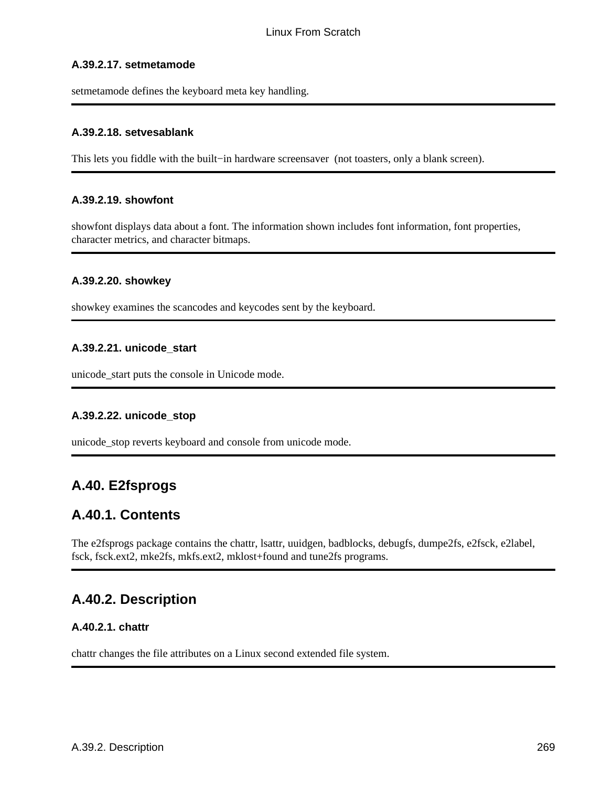### **A.39.2.17. setmetamode**

setmetamode defines the keyboard meta key handling.

#### **A.39.2.18. setvesablank**

This lets you fiddle with the built−in hardware screensaver (not toasters, only a blank screen).

#### **A.39.2.19. showfont**

showfont displays data about a font. The information shown includes font information, font properties, character metrics, and character bitmaps.

#### **A.39.2.20. showkey**

showkey examines the scancodes and keycodes sent by the keyboard.

#### **A.39.2.21. unicode\_start**

unicode\_start puts the console in Unicode mode.

#### **A.39.2.22. unicode\_stop**

unicode\_stop reverts keyboard and console from unicode mode.

## **A.40. E2fsprogs**

## **A.40.1. Contents**

The e2fsprogs package contains the chattr, lsattr, uuidgen, badblocks, debugfs, dumpe2fs, e2fsck, e2label, fsck, fsck.ext2, mke2fs, mkfs.ext2, mklost+found and tune2fs programs.

## **A.40.2. Description**

#### **A.40.2.1. chattr**

chattr changes the file attributes on a Linux second extended file system.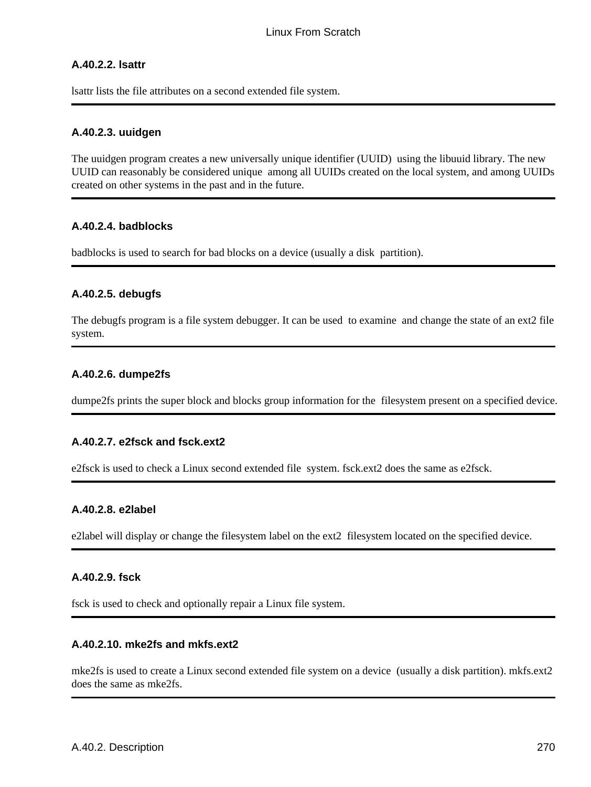### **A.40.2.2. lsattr**

lsattr lists the file attributes on a second extended file system.

### **A.40.2.3. uuidgen**

The uuidgen program creates a new universally unique identifier (UUID) using the libuuid library. The new UUID can reasonably be considered unique among all UUIDs created on the local system, and among UUIDs created on other systems in the past and in the future.

### **A.40.2.4. badblocks**

badblocks is used to search for bad blocks on a device (usually a disk partition).

### **A.40.2.5. debugfs**

The debugfs program is a file system debugger. It can be used to examine and change the state of an ext2 file system.

### **A.40.2.6. dumpe2fs**

dumpe2fs prints the super block and blocks group information for the filesystem present on a specified device.

#### **A.40.2.7. e2fsck and fsck.ext2**

e2fsck is used to check a Linux second extended file system. fsck.ext2 does the same as e2fsck.

#### **A.40.2.8. e2label**

e2label will display or change the filesystem label on the ext2 filesystem located on the specified device.

#### **A.40.2.9. fsck**

fsck is used to check and optionally repair a Linux file system.

### **A.40.2.10. mke2fs and mkfs.ext2**

mke2fs is used to create a Linux second extended file system on a device (usually a disk partition). mkfs.ext2 does the same as mke2fs.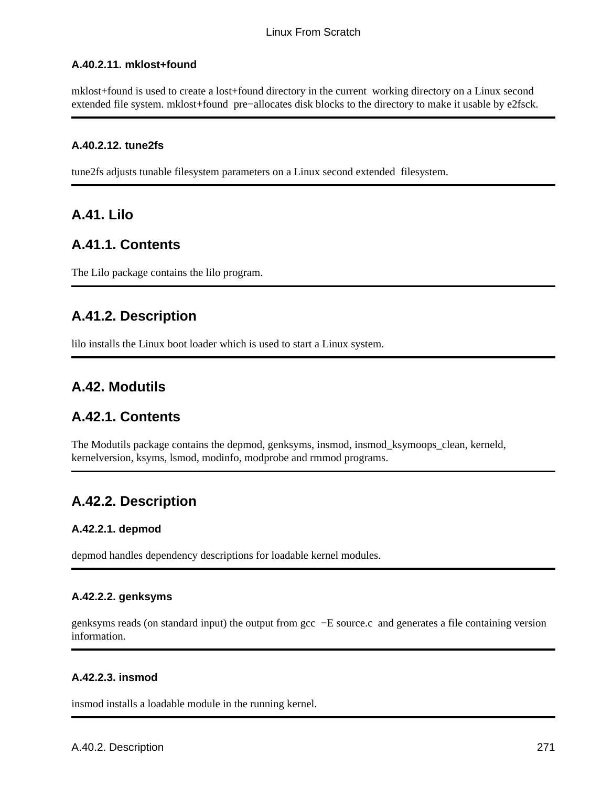### **A.40.2.11. mklost+found**

mklost+found is used to create a lost+found directory in the current working directory on a Linux second extended file system. mklost+found pre−allocates disk blocks to the directory to make it usable by e2fsck.

### **A.40.2.12. tune2fs**

tune2fs adjusts tunable filesystem parameters on a Linux second extended filesystem.

# **A.41. Lilo**

# **A.41.1. Contents**

The Lilo package contains the lilo program.

# **A.41.2. Description**

lilo installs the Linux boot loader which is used to start a Linux system.

# **A.42. Modutils**

# **A.42.1. Contents**

The Modutils package contains the depmod, genksyms, insmod, insmod\_ksymoops\_clean, kerneld, kernelversion, ksyms, lsmod, modinfo, modprobe and rmmod programs.

# **A.42.2. Description**

### **A.42.2.1. depmod**

depmod handles dependency descriptions for loadable kernel modules.

#### **A.42.2.2. genksyms**

genksyms reads (on standard input) the output from gcc −E source.c and generates a file containing version information.

### **A.42.2.3. insmod**

insmod installs a loadable module in the running kernel.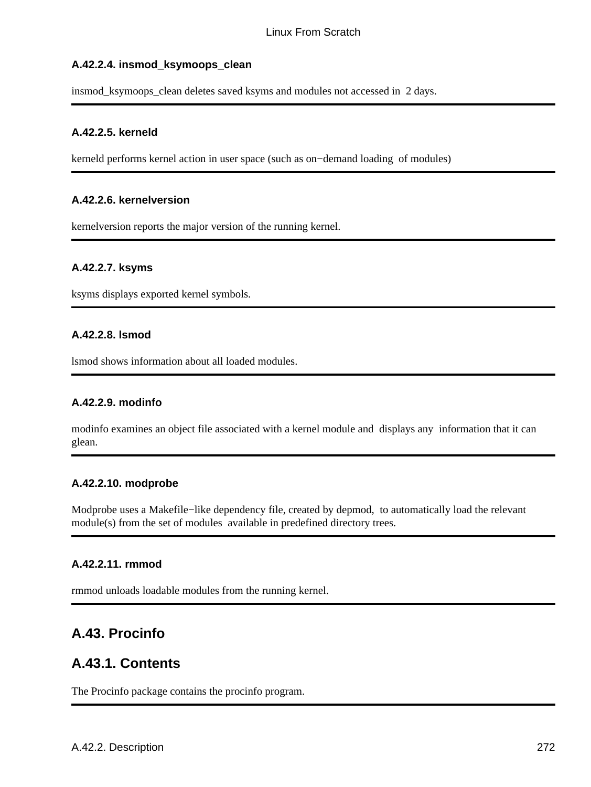### **A.42.2.4. insmod\_ksymoops\_clean**

insmod\_ksymoops\_clean deletes saved ksyms and modules not accessed in 2 days.

### **A.42.2.5. kerneld**

kerneld performs kernel action in user space (such as on−demand loading of modules)

### **A.42.2.6. kernelversion**

kernelversion reports the major version of the running kernel.

### **A.42.2.7. ksyms**

ksyms displays exported kernel symbols.

### **A.42.2.8. lsmod**

lsmod shows information about all loaded modules.

#### **A.42.2.9. modinfo**

modinfo examines an object file associated with a kernel module and displays any information that it can glean.

#### **A.42.2.10. modprobe**

Modprobe uses a Makefile−like dependency file, created by depmod, to automatically load the relevant module(s) from the set of modules available in predefined directory trees.

#### **A.42.2.11. rmmod**

rmmod unloads loadable modules from the running kernel.

# **A.43. Procinfo**

# **A.43.1. Contents**

The Procinfo package contains the procinfo program.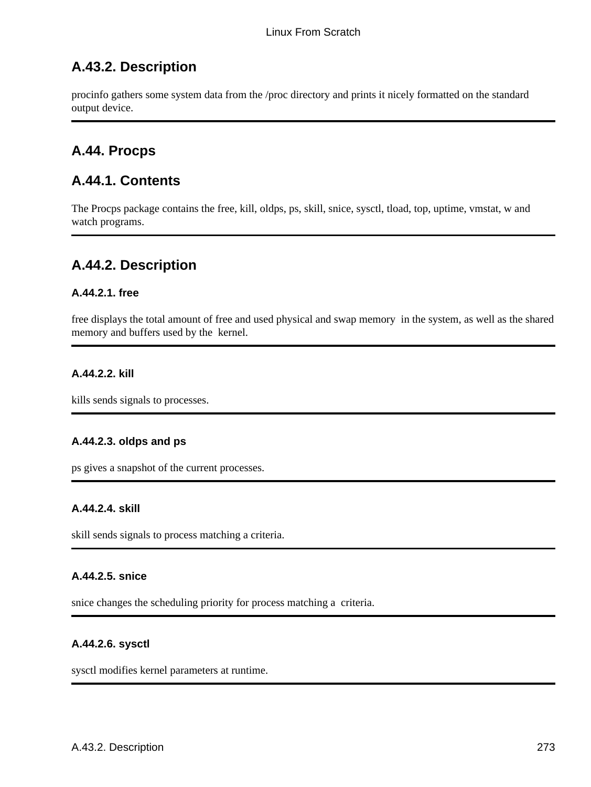# **A.43.2. Description**

procinfo gathers some system data from the /proc directory and prints it nicely formatted on the standard output device.

# **A.44. Procps**

# **A.44.1. Contents**

The Procps package contains the free, kill, oldps, ps, skill, snice, sysctl, tload, top, uptime, vmstat, w and watch programs.

# **A.44.2. Description**

### **A.44.2.1. free**

free displays the total amount of free and used physical and swap memory in the system, as well as the shared memory and buffers used by the kernel.

### **A.44.2.2. kill**

kills sends signals to processes.

#### **A.44.2.3. oldps and ps**

ps gives a snapshot of the current processes.

### **A.44.2.4. skill**

skill sends signals to process matching a criteria.

### **A.44.2.5. snice**

snice changes the scheduling priority for process matching a criteria.

#### **A.44.2.6. sysctl**

sysctl modifies kernel parameters at runtime.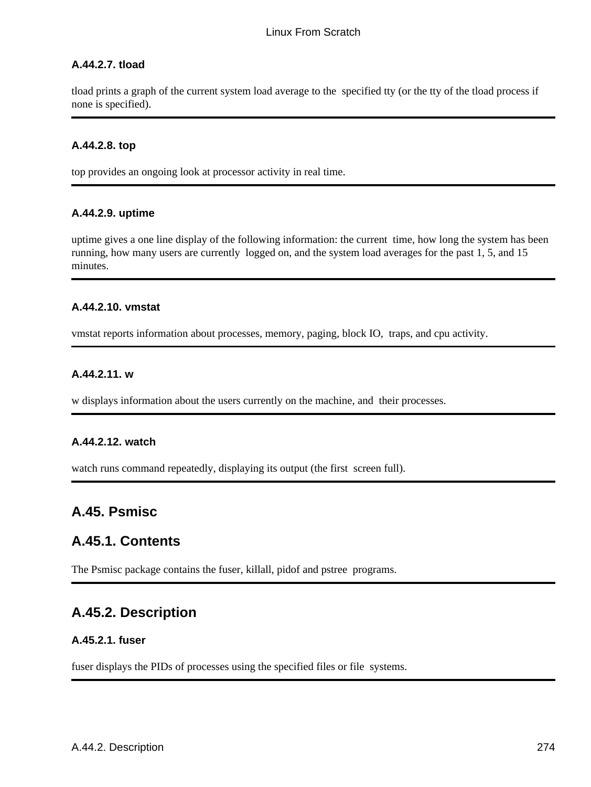### **A.44.2.7. tload**

tload prints a graph of the current system load average to the specified tty (or the tty of the tload process if none is specified).

### **A.44.2.8. top**

top provides an ongoing look at processor activity in real time.

#### **A.44.2.9. uptime**

uptime gives a one line display of the following information: the current time, how long the system has been running, how many users are currently logged on, and the system load averages for the past 1, 5, and 15 minutes.

#### **A.44.2.10. vmstat**

vmstat reports information about processes, memory, paging, block IO, traps, and cpu activity.

### **A.44.2.11. w**

w displays information about the users currently on the machine, and their processes.

#### **A.44.2.12. watch**

watch runs command repeatedly, displaying its output (the first screen full).

# **A.45. Psmisc**

### **A.45.1. Contents**

The Psmisc package contains the fuser, killall, pidof and pstree programs.

### **A.45.2. Description**

### **A.45.2.1. fuser**

fuser displays the PIDs of processes using the specified files or file systems.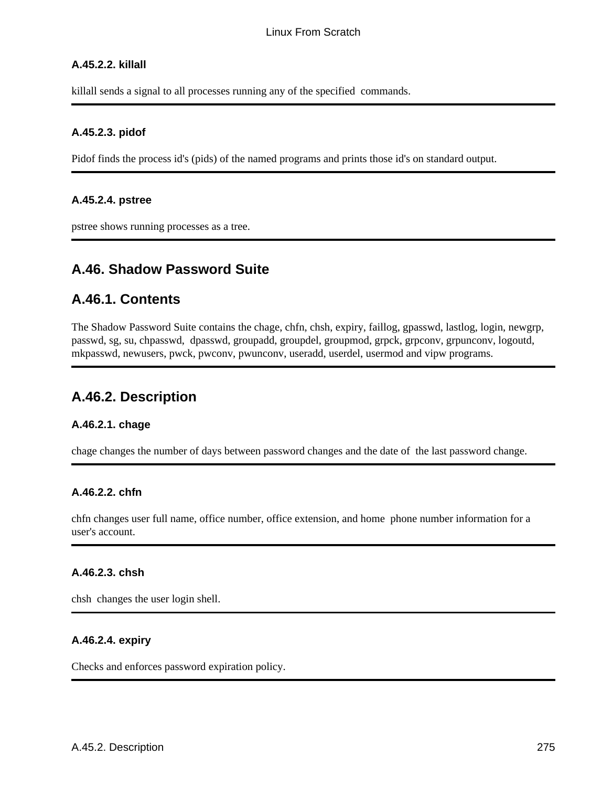### **A.45.2.2. killall**

killall sends a signal to all processes running any of the specified commands.

#### **A.45.2.3. pidof**

Pidof finds the process id's (pids) of the named programs and prints those id's on standard output.

### **A.45.2.4. pstree**

pstree shows running processes as a tree.

# **A.46. Shadow Password Suite**

# **A.46.1. Contents**

The Shadow Password Suite contains the chage, chfn, chsh, expiry, faillog, gpasswd, lastlog, login, newgrp, passwd, sg, su, chpasswd, dpasswd, groupadd, groupdel, groupmod, grpck, grpconv, grpunconv, logoutd, mkpasswd, newusers, pwck, pwconv, pwunconv, useradd, userdel, usermod and vipw programs.

# **A.46.2. Description**

#### **A.46.2.1. chage**

chage changes the number of days between password changes and the date of the last password change.

### **A.46.2.2. chfn**

chfn changes user full name, office number, office extension, and home phone number information for a user's account.

#### **A.46.2.3. chsh**

chsh changes the user login shell.

### **A.46.2.4. expiry**

Checks and enforces password expiration policy.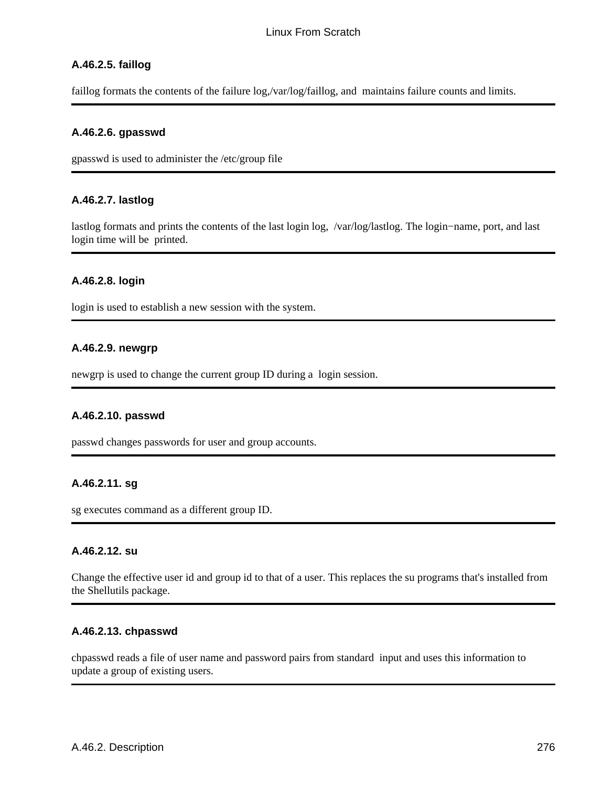### **A.46.2.5. faillog**

faillog formats the contents of the failure log,/var/log/faillog, and maintains failure counts and limits.

#### **A.46.2.6. gpasswd**

gpasswd is used to administer the /etc/group file

#### **A.46.2.7. lastlog**

lastlog formats and prints the contents of the last login log, /var/log/lastlog. The login−name, port, and last login time will be printed.

#### **A.46.2.8. login**

login is used to establish a new session with the system.

#### **A.46.2.9. newgrp**

newgrp is used to change the current group ID during a login session.

#### **A.46.2.10. passwd**

passwd changes passwords for user and group accounts.

#### **A.46.2.11. sg**

sg executes command as a different group ID.

#### **A.46.2.12. su**

Change the effective user id and group id to that of a user. This replaces the su programs that's installed from the Shellutils package.

#### **A.46.2.13. chpasswd**

chpasswd reads a file of user name and password pairs from standard input and uses this information to update a group of existing users.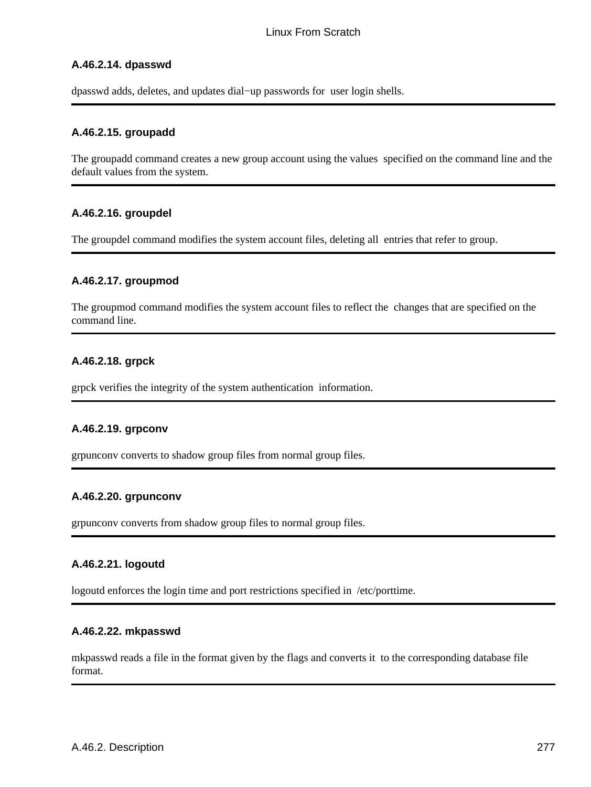### **A.46.2.14. dpasswd**

dpasswd adds, deletes, and updates dial−up passwords for user login shells.

#### **A.46.2.15. groupadd**

The groupadd command creates a new group account using the values specified on the command line and the default values from the system.

#### **A.46.2.16. groupdel**

The groupdel command modifies the system account files, deleting all entries that refer to group.

#### **A.46.2.17. groupmod**

The groupmod command modifies the system account files to reflect the changes that are specified on the command line.

#### **A.46.2.18. grpck**

grpck verifies the integrity of the system authentication information.

#### **A.46.2.19. grpconv**

grpunconv converts to shadow group files from normal group files.

#### **A.46.2.20. grpunconv**

grpunconv converts from shadow group files to normal group files.

#### **A.46.2.21. logoutd**

logoutd enforces the login time and port restrictions specified in /etc/porttime.

#### **A.46.2.22. mkpasswd**

mkpasswd reads a file in the format given by the flags and converts it to the corresponding database file format.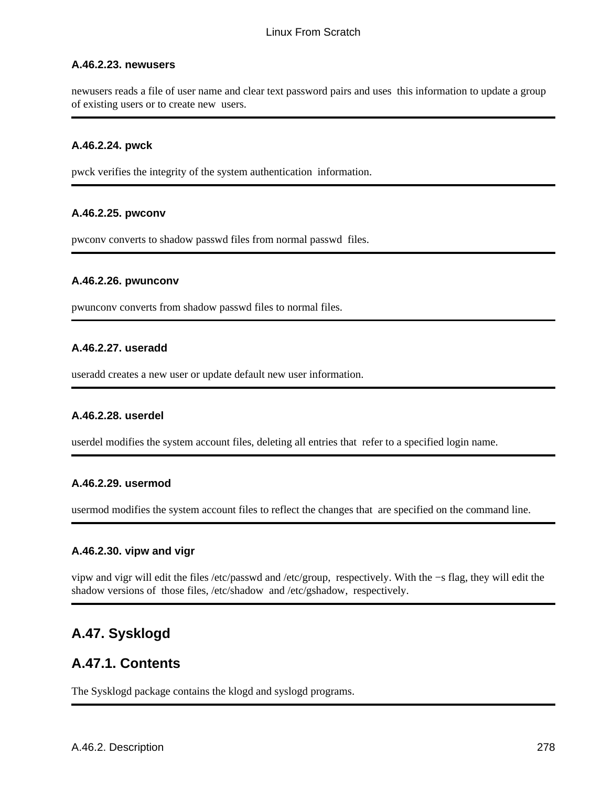### **A.46.2.23. newusers**

newusers reads a file of user name and clear text password pairs and uses this information to update a group of existing users or to create new users.

### **A.46.2.24. pwck**

pwck verifies the integrity of the system authentication information.

#### **A.46.2.25. pwconv**

pwconv converts to shadow passwd files from normal passwd files.

#### **A.46.2.26. pwunconv**

pwunconv converts from shadow passwd files to normal files.

#### **A.46.2.27. useradd**

useradd creates a new user or update default new user information.

#### **A.46.2.28. userdel**

userdel modifies the system account files, deleting all entries that refer to a specified login name.

#### **A.46.2.29. usermod**

usermod modifies the system account files to reflect the changes that are specified on the command line.

#### **A.46.2.30. vipw and vigr**

vipw and vigr will edit the files /etc/passwd and /etc/group, respectively. With the −s flag, they will edit the shadow versions of those files, /etc/shadow and /etc/gshadow, respectively.

# **A.47. Sysklogd**

### **A.47.1. Contents**

The Sysklogd package contains the klogd and syslogd programs.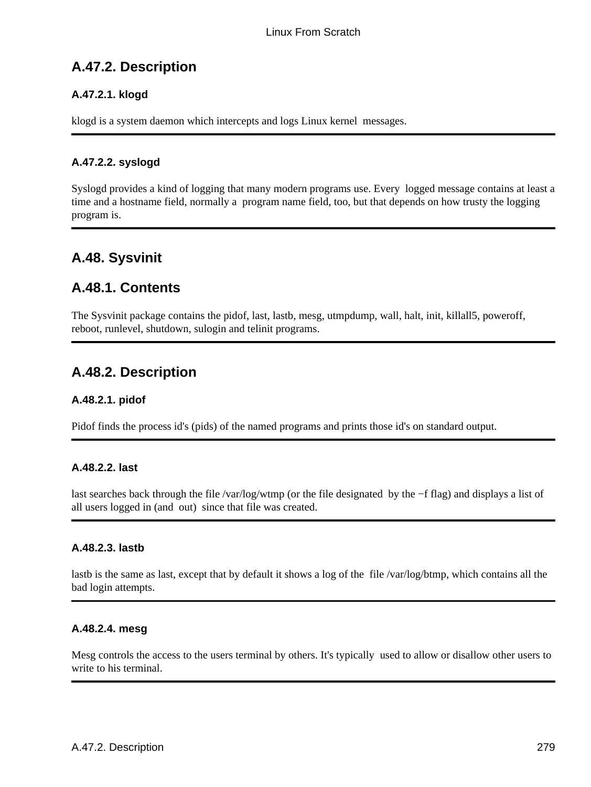# **A.47.2. Description**

### **A.47.2.1. klogd**

klogd is a system daemon which intercepts and logs Linux kernel messages.

### **A.47.2.2. syslogd**

Syslogd provides a kind of logging that many modern programs use. Every logged message contains at least a time and a hostname field, normally a program name field, too, but that depends on how trusty the logging program is.

# **A.48. Sysvinit**

# **A.48.1. Contents**

The Sysvinit package contains the pidof, last, lastb, mesg, utmpdump, wall, halt, init, killall5, poweroff, reboot, runlevel, shutdown, sulogin and telinit programs.

# **A.48.2. Description**

### **A.48.2.1. pidof**

Pidof finds the process id's (pids) of the named programs and prints those id's on standard output.

### **A.48.2.2. last**

last searches back through the file /var/log/wtmp (or the file designated by the −f flag) and displays a list of all users logged in (and out) since that file was created.

### **A.48.2.3. lastb**

lastb is the same as last, except that by default it shows a log of the file /var/log/btmp, which contains all the bad login attempts.

#### **A.48.2.4. mesg**

Mesg controls the access to the users terminal by others. It's typically used to allow or disallow other users to write to his terminal.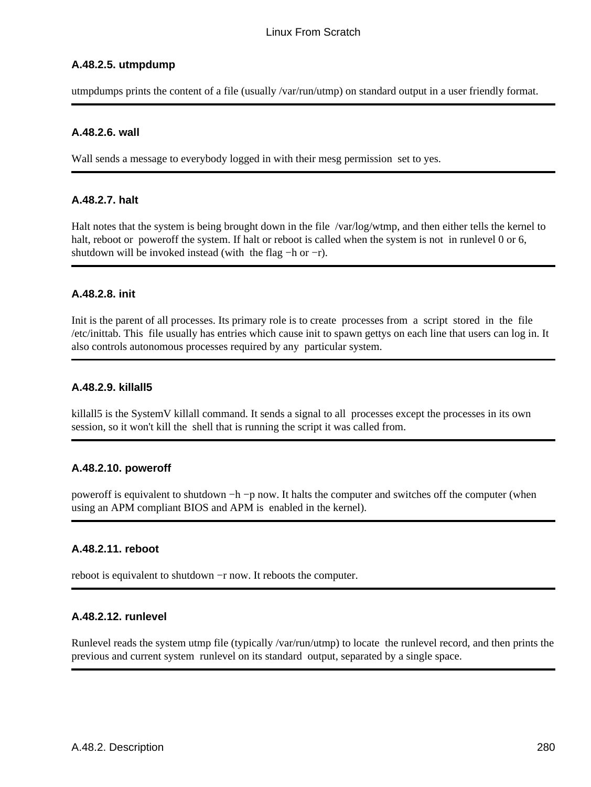### **A.48.2.5. utmpdump**

utmpdumps prints the content of a file (usually /var/run/utmp) on standard output in a user friendly format.

#### **A.48.2.6. wall**

Wall sends a message to everybody logged in with their mesg permission set to yes.

#### **A.48.2.7. halt**

Halt notes that the system is being brought down in the file /var/log/wtmp, and then either tells the kernel to halt, reboot or poweroff the system. If halt or reboot is called when the system is not in runlevel 0 or 6, shutdown will be invoked instead (with the flag −h or −r).

#### **A.48.2.8. init**

Init is the parent of all processes. Its primary role is to create processes from a script stored in the file /etc/inittab. This file usually has entries which cause init to spawn gettys on each line that users can log in. It also controls autonomous processes required by any particular system.

#### **A.48.2.9. killall5**

killall5 is the SystemV killall command. It sends a signal to all processes except the processes in its own session, so it won't kill the shell that is running the script it was called from.

#### **A.48.2.10. poweroff**

poweroff is equivalent to shutdown −h −p now. It halts the computer and switches off the computer (when using an APM compliant BIOS and APM is enabled in the kernel).

#### **A.48.2.11. reboot**

reboot is equivalent to shutdown −r now. It reboots the computer.

#### **A.48.2.12. runlevel**

Runlevel reads the system utmp file (typically /var/run/utmp) to locate the runlevel record, and then prints the previous and current system runlevel on its standard output, separated by a single space.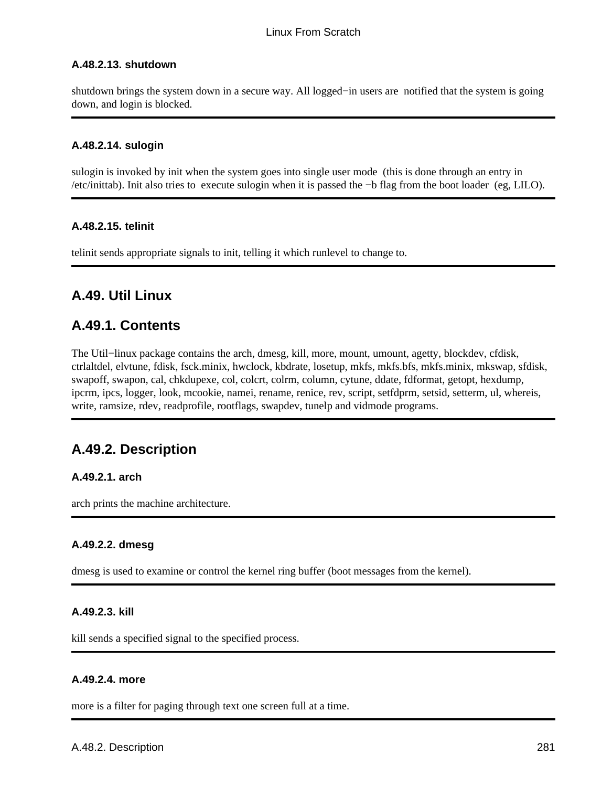### **A.48.2.13. shutdown**

shutdown brings the system down in a secure way. All logged−in users are notified that the system is going down, and login is blocked.

### **A.48.2.14. sulogin**

sulogin is invoked by init when the system goes into single user mode (this is done through an entry in /etc/inittab). Init also tries to execute sulogin when it is passed the −b flag from the boot loader (eg, LILO).

### **A.48.2.15. telinit**

telinit sends appropriate signals to init, telling it which runlevel to change to.

# **A.49. Util Linux**

# **A.49.1. Contents**

The Util−linux package contains the arch, dmesg, kill, more, mount, umount, agetty, blockdev, cfdisk, ctrlaltdel, elvtune, fdisk, fsck.minix, hwclock, kbdrate, losetup, mkfs, mkfs.bfs, mkfs.minix, mkswap, sfdisk, swapoff, swapon, cal, chkdupexe, col, colcrt, colrm, column, cytune, ddate, fdformat, getopt, hexdump, ipcrm, ipcs, logger, look, mcookie, namei, rename, renice, rev, script, setfdprm, setsid, setterm, ul, whereis, write, ramsize, rdev, readprofile, rootflags, swapdev, tunelp and vidmode programs.

# **A.49.2. Description**

### **A.49.2.1. arch**

arch prints the machine architecture.

#### **A.49.2.2. dmesg**

dmesg is used to examine or control the kernel ring buffer (boot messages from the kernel).

#### **A.49.2.3. kill**

kill sends a specified signal to the specified process.

#### **A.49.2.4. more**

more is a filter for paging through text one screen full at a time.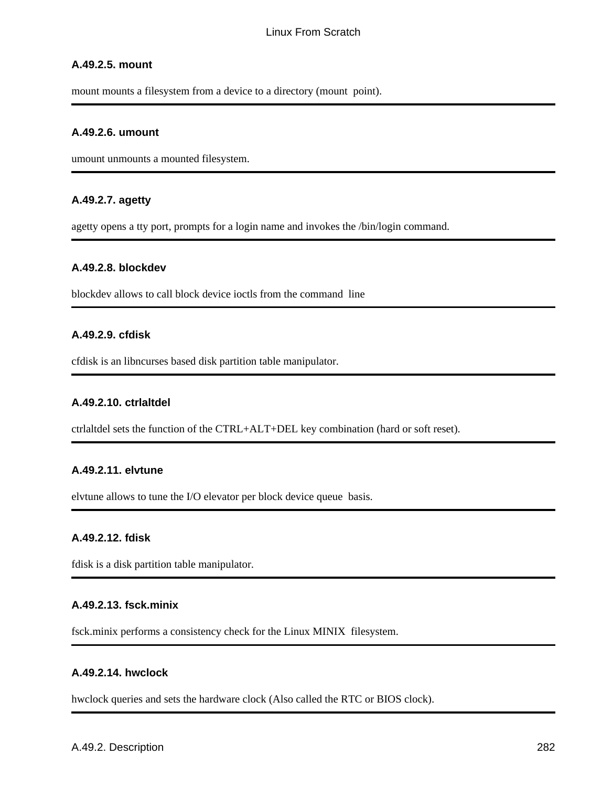### **A.49.2.5. mount**

mount mounts a filesystem from a device to a directory (mount point).

### **A.49.2.6. umount**

umount unmounts a mounted filesystem.

### **A.49.2.7. agetty**

agetty opens a tty port, prompts for a login name and invokes the /bin/login command.

#### **A.49.2.8. blockdev**

blockdev allows to call block device ioctls from the command line

#### **A.49.2.9. cfdisk**

cfdisk is an libncurses based disk partition table manipulator.

#### **A.49.2.10. ctrlaltdel**

ctrlaltdel sets the function of the CTRL+ALT+DEL key combination (hard or soft reset).

#### **A.49.2.11. elvtune**

elvtune allows to tune the I/O elevator per block device queue basis.

#### **A.49.2.12. fdisk**

fdisk is a disk partition table manipulator.

#### **A.49.2.13. fsck.minix**

fsck.minix performs a consistency check for the Linux MINIX filesystem.

### **A.49.2.14. hwclock**

hwclock queries and sets the hardware clock (Also called the RTC or BIOS clock).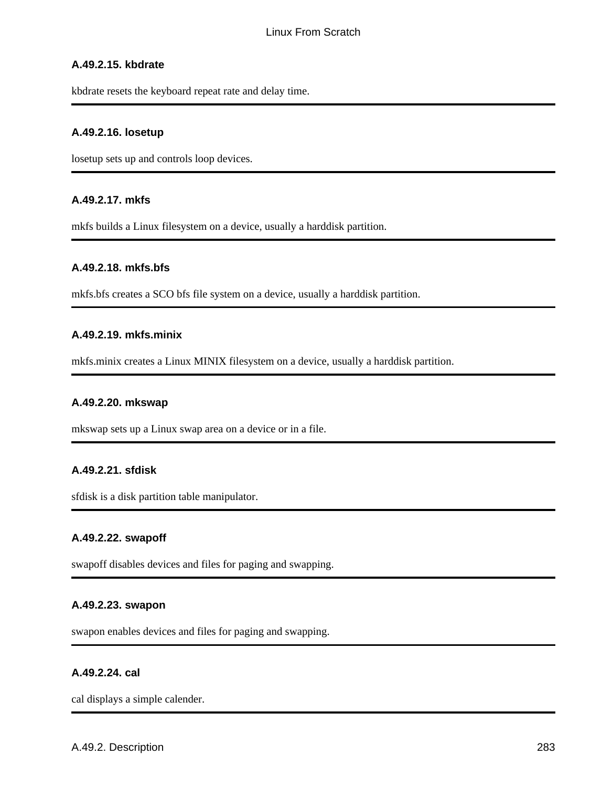### **A.49.2.15. kbdrate**

kbdrate resets the keyboard repeat rate and delay time.

#### **A.49.2.16. losetup**

losetup sets up and controls loop devices.

#### **A.49.2.17. mkfs**

mkfs builds a Linux filesystem on a device, usually a harddisk partition.

#### **A.49.2.18. mkfs.bfs**

mkfs.bfs creates a SCO bfs file system on a device, usually a harddisk partition.

### **A.49.2.19. mkfs.minix**

mkfs.minix creates a Linux MINIX filesystem on a device, usually a harddisk partition.

#### **A.49.2.20. mkswap**

mkswap sets up a Linux swap area on a device or in a file.

#### **A.49.2.21. sfdisk**

sfdisk is a disk partition table manipulator.

#### **A.49.2.22. swapoff**

swapoff disables devices and files for paging and swapping.

#### **A.49.2.23. swapon**

swapon enables devices and files for paging and swapping.

#### **A.49.2.24. cal**

cal displays a simple calender.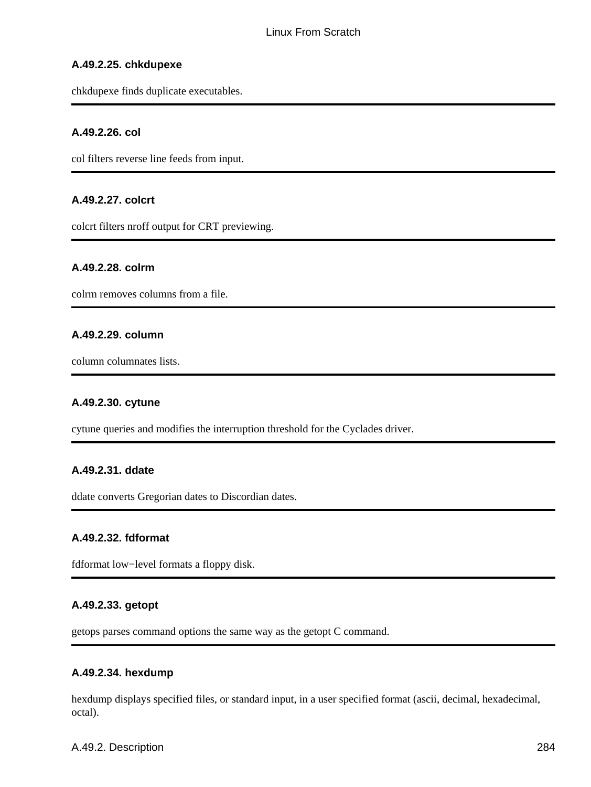### **A.49.2.25. chkdupexe**

chkdupexe finds duplicate executables.

### **A.49.2.26. col**

col filters reverse line feeds from input.

#### **A.49.2.27. colcrt**

colcrt filters nroff output for CRT previewing.

#### **A.49.2.28. colrm**

colrm removes columns from a file.

### **A.49.2.29. column**

column columnates lists.

#### **A.49.2.30. cytune**

cytune queries and modifies the interruption threshold for the Cyclades driver.

### **A.49.2.31. ddate**

ddate converts Gregorian dates to Discordian dates.

#### **A.49.2.32. fdformat**

fdformat low−level formats a floppy disk.

#### **A.49.2.33. getopt**

getops parses command options the same way as the getopt C command.

#### **A.49.2.34. hexdump**

hexdump displays specified files, or standard input, in a user specified format (ascii, decimal, hexadecimal, octal).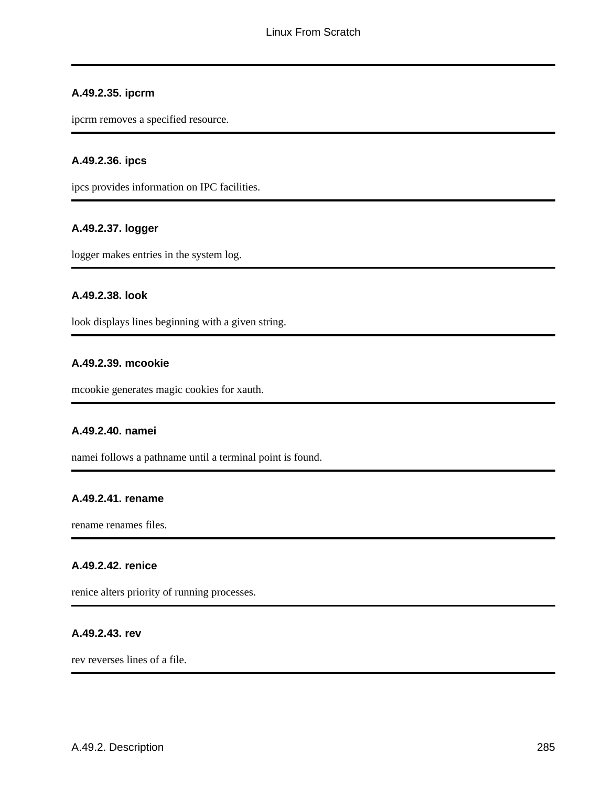#### **A.49.2.35. ipcrm**

ipcrm removes a specified resource.

#### **A.49.2.36. ipcs**

ipcs provides information on IPC facilities.

#### **A.49.2.37. logger**

logger makes entries in the system log.

### **A.49.2.38. look**

look displays lines beginning with a given string.

### **A.49.2.39. mcookie**

mcookie generates magic cookies for xauth.

#### **A.49.2.40. namei**

namei follows a pathname until a terminal point is found.

### **A.49.2.41. rename**

rename renames files.

### **A.49.2.42. renice**

renice alters priority of running processes.

### **A.49.2.43. rev**

rev reverses lines of a file.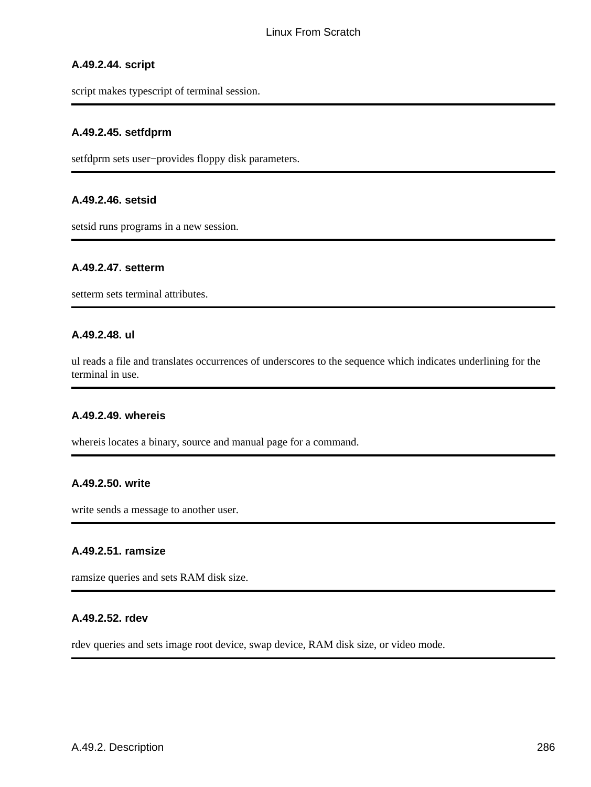### **A.49.2.44. script**

script makes typescript of terminal session.

#### **A.49.2.45. setfdprm**

setfdprm sets user−provides floppy disk parameters.

#### **A.49.2.46. setsid**

setsid runs programs in a new session.

### **A.49.2.47. setterm**

setterm sets terminal attributes.

### **A.49.2.48. ul**

ul reads a file and translates occurrences of underscores to the sequence which indicates underlining for the terminal in use.

### **A.49.2.49. whereis**

whereis locates a binary, source and manual page for a command.

#### **A.49.2.50. write**

write sends a message to another user.

#### **A.49.2.51. ramsize**

ramsize queries and sets RAM disk size.

### **A.49.2.52. rdev**

rdev queries and sets image root device, swap device, RAM disk size, or video mode.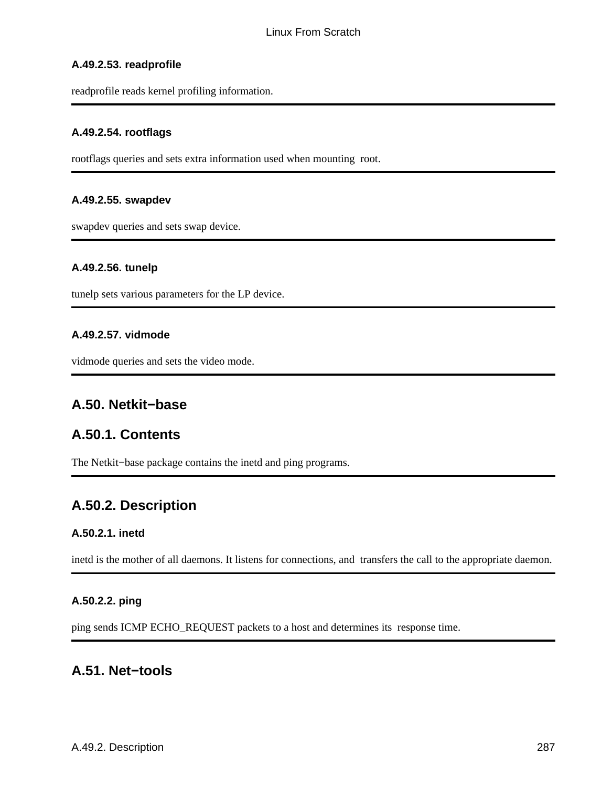### **A.49.2.53. readprofile**

readprofile reads kernel profiling information.

#### **A.49.2.54. rootflags**

rootflags queries and sets extra information used when mounting root.

#### **A.49.2.55. swapdev**

swapdev queries and sets swap device.

#### **A.49.2.56. tunelp**

tunelp sets various parameters for the LP device.

### **A.49.2.57. vidmode**

vidmode queries and sets the video mode.

# **A.50. Netkit−base**

### **A.50.1. Contents**

The Netkit−base package contains the inetd and ping programs.

# **A.50.2. Description**

### **A.50.2.1. inetd**

inetd is the mother of all daemons. It listens for connections, and transfers the call to the appropriate daemon.

#### **A.50.2.2. ping**

ping sends ICMP ECHO\_REQUEST packets to a host and determines its response time.

### **A.51. Net−tools**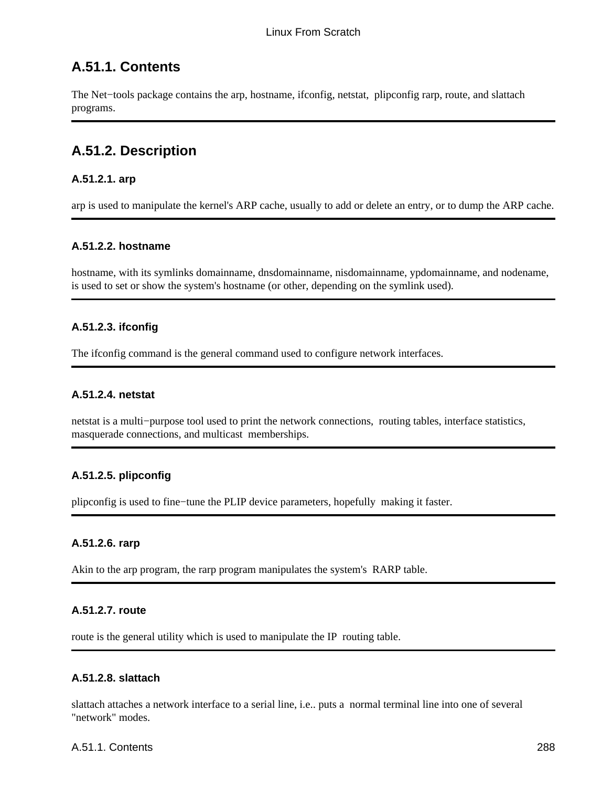# **A.51.1. Contents**

The Net−tools package contains the arp, hostname, ifconfig, netstat, plipconfig rarp, route, and slattach programs.

# **A.51.2. Description**

### **A.51.2.1. arp**

arp is used to manipulate the kernel's ARP cache, usually to add or delete an entry, or to dump the ARP cache.

### **A.51.2.2. hostname**

hostname, with its symlinks domainname, dnsdomainname, nisdomainname, ypdomainname, and nodename, is used to set or show the system's hostname (or other, depending on the symlink used).

### **A.51.2.3. ifconfig**

The ifconfig command is the general command used to configure network interfaces.

### **A.51.2.4. netstat**

netstat is a multi−purpose tool used to print the network connections, routing tables, interface statistics, masquerade connections, and multicast memberships.

### **A.51.2.5. plipconfig**

plipconfig is used to fine−tune the PLIP device parameters, hopefully making it faster.

#### **A.51.2.6. rarp**

Akin to the arp program, the rarp program manipulates the system's RARP table.

#### **A.51.2.7. route**

route is the general utility which is used to manipulate the IP routing table.

### **A.51.2.8. slattach**

slattach attaches a network interface to a serial line, i.e.. puts a normal terminal line into one of several "network" modes.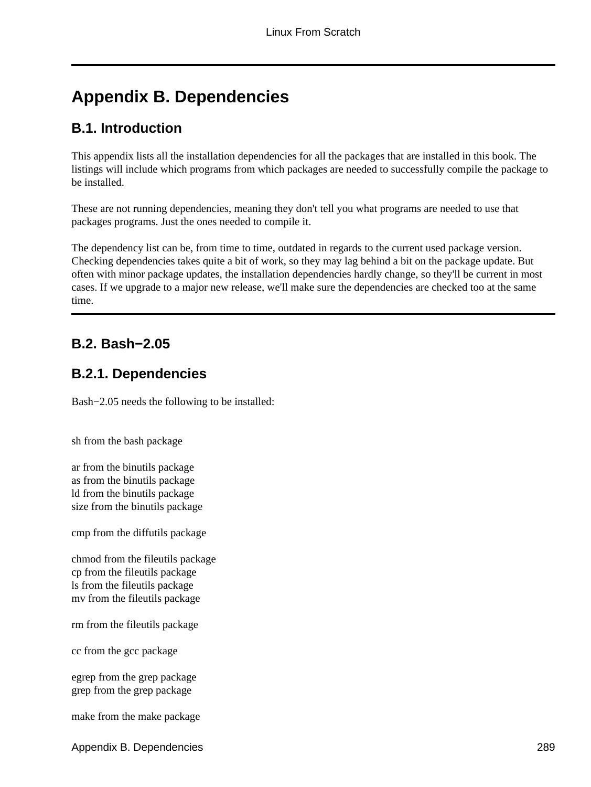# **Appendix B. Dependencies**

# **B.1. Introduction**

This appendix lists all the installation dependencies for all the packages that are installed in this book. The listings will include which programs from which packages are needed to successfully compile the package to be installed.

These are not running dependencies, meaning they don't tell you what programs are needed to use that packages programs. Just the ones needed to compile it.

The dependency list can be, from time to time, outdated in regards to the current used package version. Checking dependencies takes quite a bit of work, so they may lag behind a bit on the package update. But often with minor package updates, the installation dependencies hardly change, so they'll be current in most cases. If we upgrade to a major new release, we'll make sure the dependencies are checked too at the same time.

# **B.2. Bash−2.05**

# **B.2.1. Dependencies**

Bash−2.05 needs the following to be installed:

sh from the bash package

ar from the binutils package as from the binutils package ld from the binutils package size from the binutils package

cmp from the diffutils package

chmod from the fileutils package cp from the fileutils package ls from the fileutils package mv from the fileutils package

rm from the fileutils package

cc from the gcc package

egrep from the grep package grep from the grep package

make from the make package

Appendix B. Dependencies 289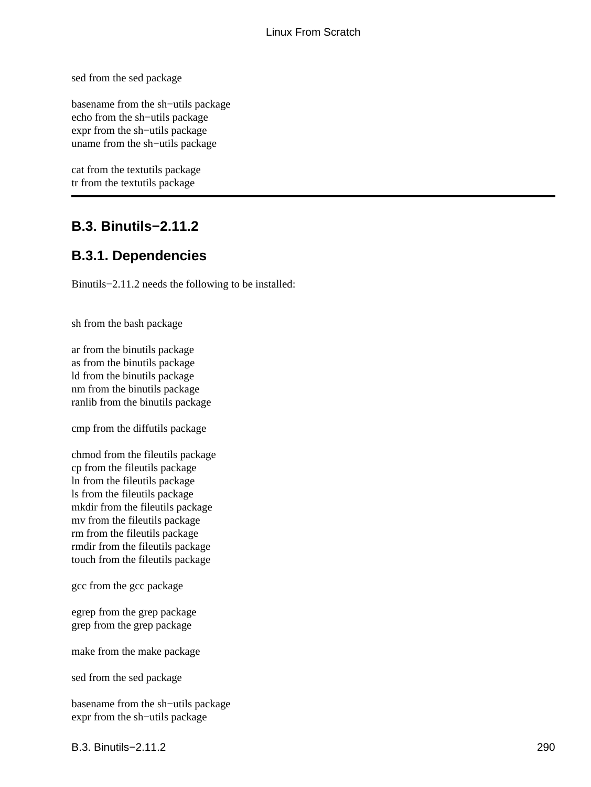sed from the sed package

basename from the sh−utils package echo from the sh−utils package expr from the sh−utils package uname from the sh−utils package

cat from the textutils package tr from the textutils package

# **B.3. Binutils−2.11.2**

# **B.3.1. Dependencies**

Binutils−2.11.2 needs the following to be installed:

sh from the bash package

ar from the binutils package as from the binutils package ld from the binutils package nm from the binutils package ranlib from the binutils package

cmp from the diffutils package

chmod from the fileutils package cp from the fileutils package ln from the fileutils package ls from the fileutils package mkdir from the fileutils package mv from the fileutils package rm from the fileutils package rmdir from the fileutils package touch from the fileutils package

gcc from the gcc package

egrep from the grep package grep from the grep package

make from the make package

sed from the sed package

basename from the sh−utils package expr from the sh−utils package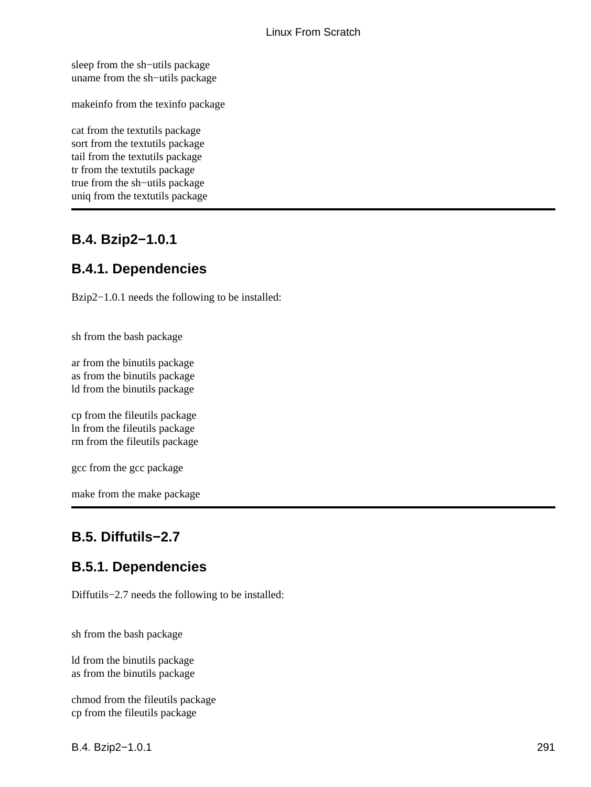sleep from the sh−utils package uname from the sh−utils package

makeinfo from the texinfo package

cat from the textutils package sort from the textutils package tail from the textutils package tr from the textutils package true from the sh−utils package uniq from the textutils package

# **B.4. Bzip2−1.0.1**

# **B.4.1. Dependencies**

Bzip2−1.0.1 needs the following to be installed:

sh from the bash package

ar from the binutils package as from the binutils package ld from the binutils package

cp from the fileutils package ln from the fileutils package rm from the fileutils package

gcc from the gcc package

make from the make package

# **B.5. Diffutils−2.7**

# **B.5.1. Dependencies**

Diffutils−2.7 needs the following to be installed:

sh from the bash package

ld from the binutils package as from the binutils package

chmod from the fileutils package cp from the fileutils package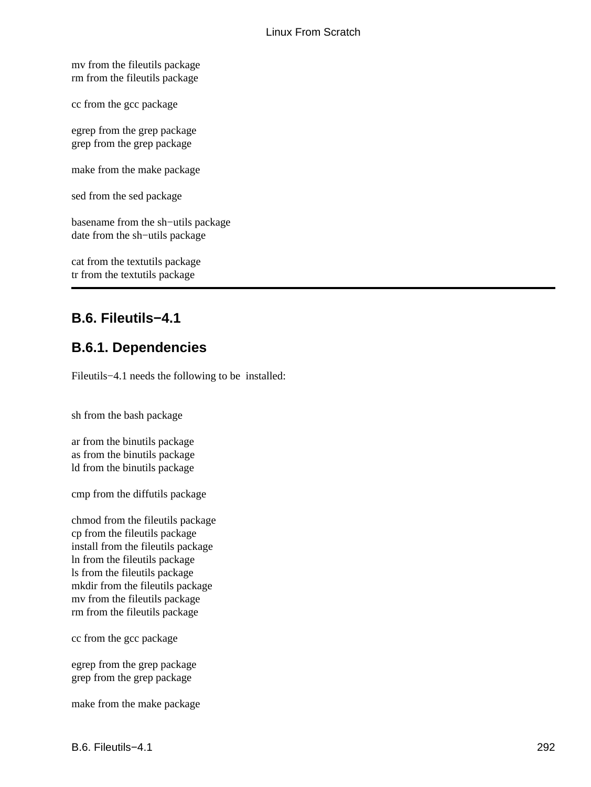mv from the fileutils package rm from the fileutils package

cc from the gcc package

egrep from the grep package grep from the grep package

make from the make package

sed from the sed package

basename from the sh−utils package date from the sh−utils package

cat from the textutils package tr from the textutils package

# **B.6. Fileutils−4.1**

# **B.6.1. Dependencies**

Fileutils−4.1 needs the following to be installed:

sh from the bash package

ar from the binutils package as from the binutils package ld from the binutils package

cmp from the diffutils package

chmod from the fileutils package cp from the fileutils package install from the fileutils package ln from the fileutils package ls from the fileutils package mkdir from the fileutils package mv from the fileutils package rm from the fileutils package

cc from the gcc package

egrep from the grep package grep from the grep package

make from the make package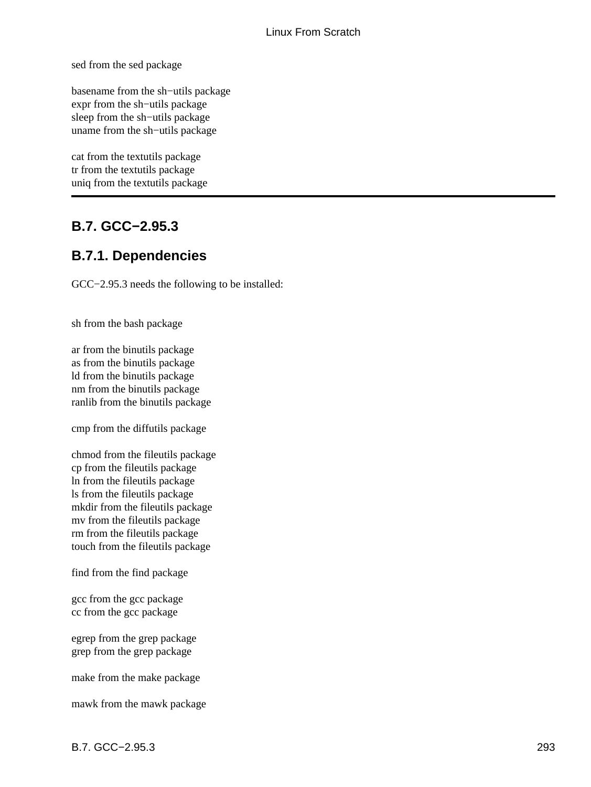sed from the sed package

basename from the sh−utils package expr from the sh−utils package sleep from the sh−utils package uname from the sh−utils package

cat from the textutils package tr from the textutils package uniq from the textutils package

# **B.7. GCC−2.95.3**

# **B.7.1. Dependencies**

GCC−2.95.3 needs the following to be installed:

sh from the bash package

ar from the binutils package as from the binutils package ld from the binutils package nm from the binutils package ranlib from the binutils package

cmp from the diffutils package

chmod from the fileutils package cp from the fileutils package ln from the fileutils package ls from the fileutils package mkdir from the fileutils package mv from the fileutils package rm from the fileutils package touch from the fileutils package

find from the find package

gcc from the gcc package cc from the gcc package

egrep from the grep package grep from the grep package

make from the make package

mawk from the mawk package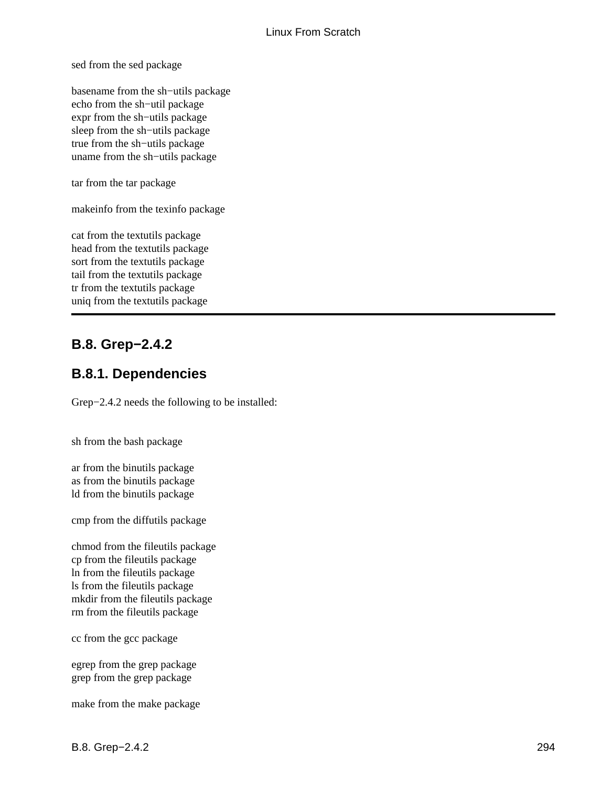sed from the sed package

basename from the sh−utils package echo from the sh−util package expr from the sh−utils package sleep from the sh−utils package true from the sh−utils package uname from the sh−utils package

tar from the tar package

makeinfo from the texinfo package

cat from the textutils package head from the textutils package sort from the textutils package tail from the textutils package tr from the textutils package uniq from the textutils package

# **B.8. Grep−2.4.2**

# **B.8.1. Dependencies**

Grep−2.4.2 needs the following to be installed:

sh from the bash package

ar from the binutils package as from the binutils package ld from the binutils package

cmp from the diffutils package

chmod from the fileutils package cp from the fileutils package ln from the fileutils package ls from the fileutils package mkdir from the fileutils package rm from the fileutils package

cc from the gcc package

egrep from the grep package grep from the grep package

make from the make package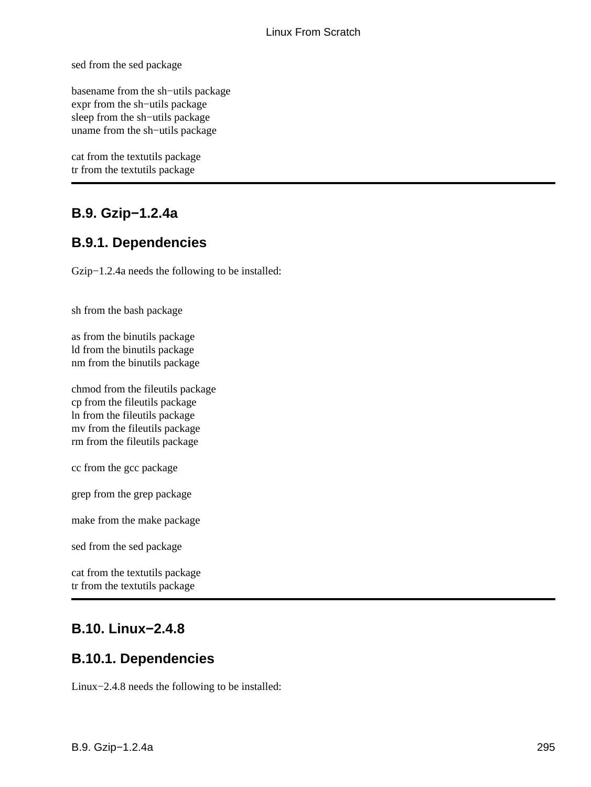sed from the sed package

basename from the sh−utils package expr from the sh−utils package sleep from the sh−utils package uname from the sh−utils package

cat from the textutils package tr from the textutils package

# **B.9. Gzip−1.2.4a**

# **B.9.1. Dependencies**

Gzip−1.2.4a needs the following to be installed:

sh from the bash package

as from the binutils package ld from the binutils package nm from the binutils package

chmod from the fileutils package cp from the fileutils package ln from the fileutils package mv from the fileutils package rm from the fileutils package

cc from the gcc package

grep from the grep package

make from the make package

sed from the sed package

cat from the textutils package tr from the textutils package

### **B.10. Linux−2.4.8**

# **B.10.1. Dependencies**

Linux−2.4.8 needs the following to be installed: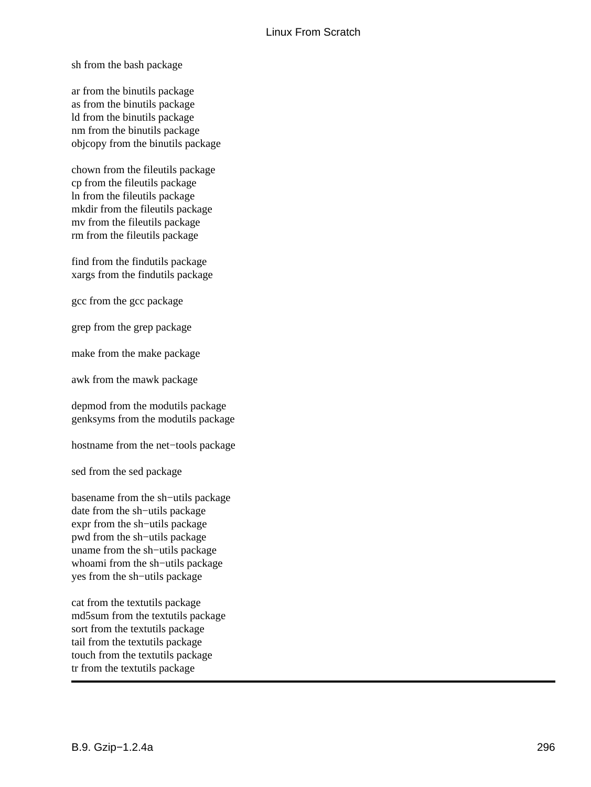sh from the bash package

ar from the binutils package as from the binutils package ld from the binutils package nm from the binutils package objcopy from the binutils package

chown from the fileutils package cp from the fileutils package ln from the fileutils package mkdir from the fileutils package mv from the fileutils package rm from the fileutils package

find from the findutils package xargs from the findutils package

gcc from the gcc package

grep from the grep package

make from the make package

awk from the mawk package

depmod from the modutils package genksyms from the modutils package

hostname from the net−tools package

sed from the sed package

basename from the sh−utils package date from the sh−utils package expr from the sh−utils package pwd from the sh−utils package uname from the sh−utils package whoami from the sh−utils package yes from the sh−utils package

cat from the textutils package md5sum from the textutils package sort from the textutils package tail from the textutils package touch from the textutils package tr from the textutils package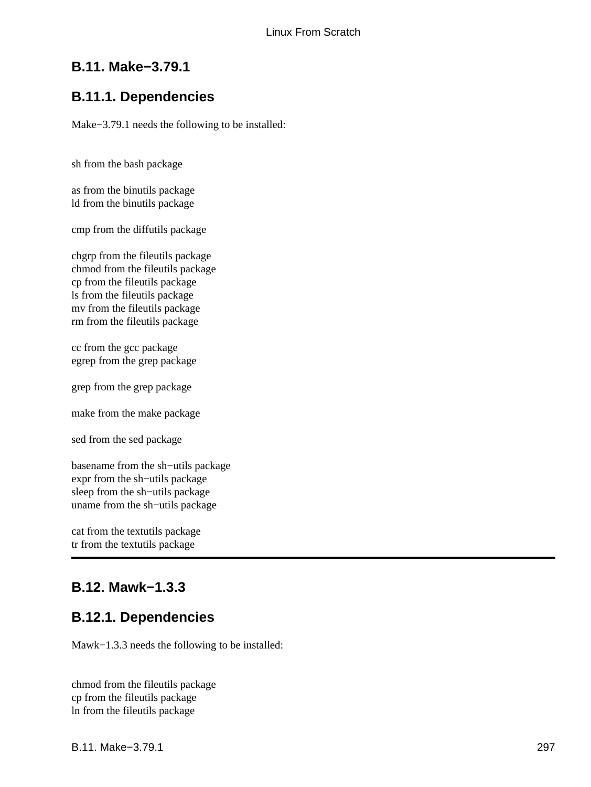# **B.11. Make−3.79.1**

# **B.11.1. Dependencies**

Make−3.79.1 needs the following to be installed:

sh from the bash package

as from the binutils package ld from the binutils package

cmp from the diffutils package

chgrp from the fileutils package chmod from the fileutils package cp from the fileutils package ls from the fileutils package mv from the fileutils package rm from the fileutils package

cc from the gcc package egrep from the grep package

grep from the grep package

make from the make package

sed from the sed package

basename from the sh−utils package expr from the sh−utils package sleep from the sh−utils package uname from the sh−utils package

cat from the textutils package tr from the textutils package

# **B.12. Mawk−1.3.3**

### **B.12.1. Dependencies**

Mawk−1.3.3 needs the following to be installed:

chmod from the fileutils package cp from the fileutils package ln from the fileutils package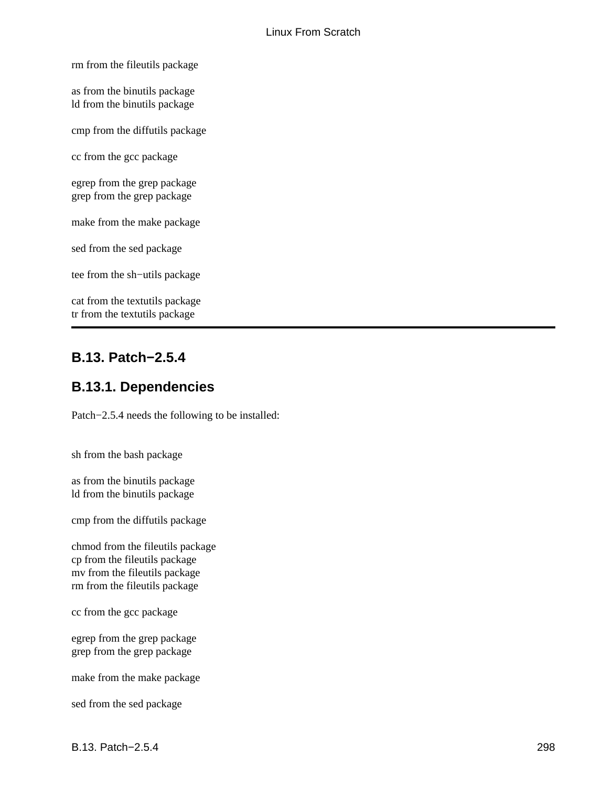#### rm from the fileutils package

as from the binutils package ld from the binutils package

cmp from the diffutils package

cc from the gcc package

egrep from the grep package grep from the grep package

make from the make package

sed from the sed package

tee from the sh−utils package

cat from the textutils package tr from the textutils package

# **B.13. Patch−2.5.4**

# **B.13.1. Dependencies**

Patch−2.5.4 needs the following to be installed:

sh from the bash package

as from the binutils package ld from the binutils package

cmp from the diffutils package

chmod from the fileutils package cp from the fileutils package mv from the fileutils package rm from the fileutils package

cc from the gcc package

egrep from the grep package grep from the grep package

make from the make package

sed from the sed package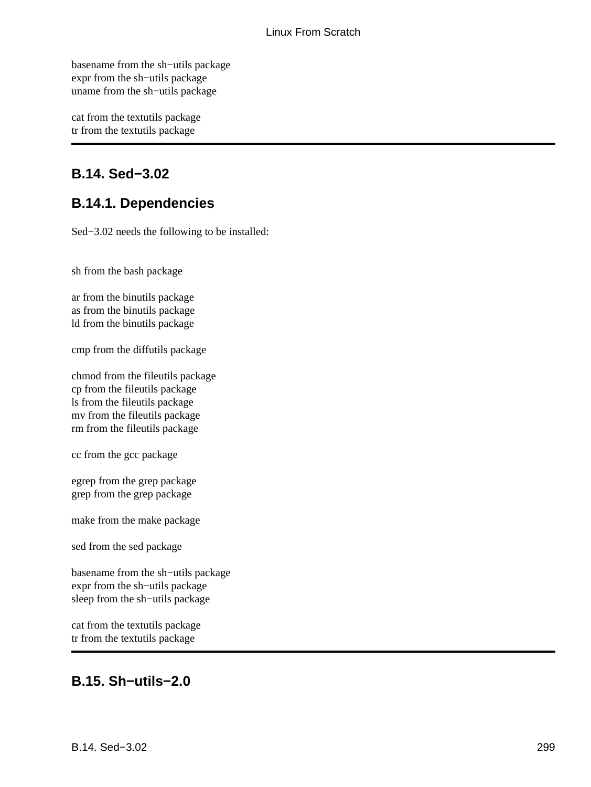basename from the sh−utils package expr from the sh−utils package uname from the sh−utils package

cat from the textutils package tr from the textutils package

# **B.14. Sed−3.02**

# **B.14.1. Dependencies**

Sed−3.02 needs the following to be installed:

sh from the bash package

ar from the binutils package as from the binutils package ld from the binutils package

cmp from the diffutils package

chmod from the fileutils package cp from the fileutils package ls from the fileutils package mv from the fileutils package rm from the fileutils package

cc from the gcc package

egrep from the grep package grep from the grep package

make from the make package

sed from the sed package

basename from the sh−utils package expr from the sh−utils package sleep from the sh−utils package

cat from the textutils package tr from the textutils package

# **B.15. Sh−utils−2.0**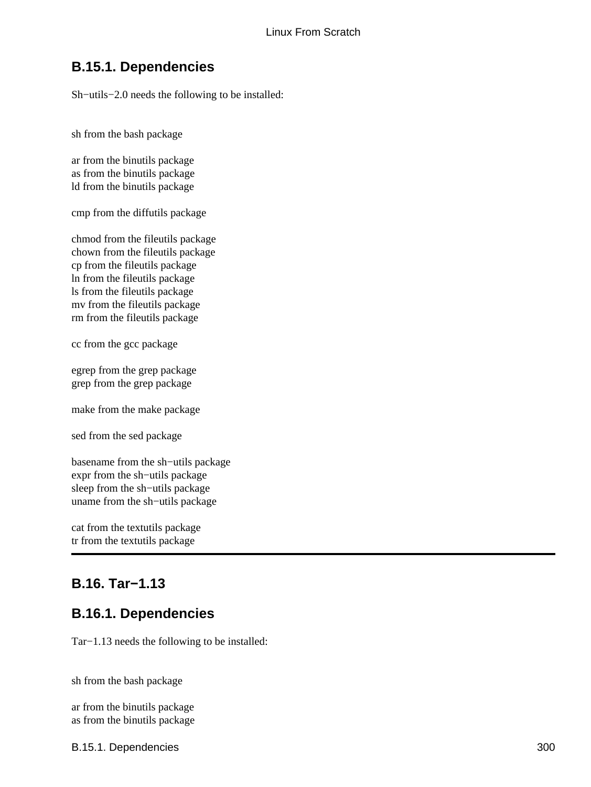# **B.15.1. Dependencies**

Sh−utils−2.0 needs the following to be installed:

sh from the bash package

ar from the binutils package as from the binutils package ld from the binutils package

cmp from the diffutils package

chmod from the fileutils package chown from the fileutils package cp from the fileutils package ln from the fileutils package ls from the fileutils package mv from the fileutils package rm from the fileutils package

cc from the gcc package

egrep from the grep package grep from the grep package

make from the make package

sed from the sed package

basename from the sh−utils package expr from the sh−utils package sleep from the sh−utils package uname from the sh−utils package

cat from the textutils package tr from the textutils package

# **B.16. Tar−1.13**

# **B.16.1. Dependencies**

Tar−1.13 needs the following to be installed:

sh from the bash package

ar from the binutils package as from the binutils package

B.15.1. Dependencies 300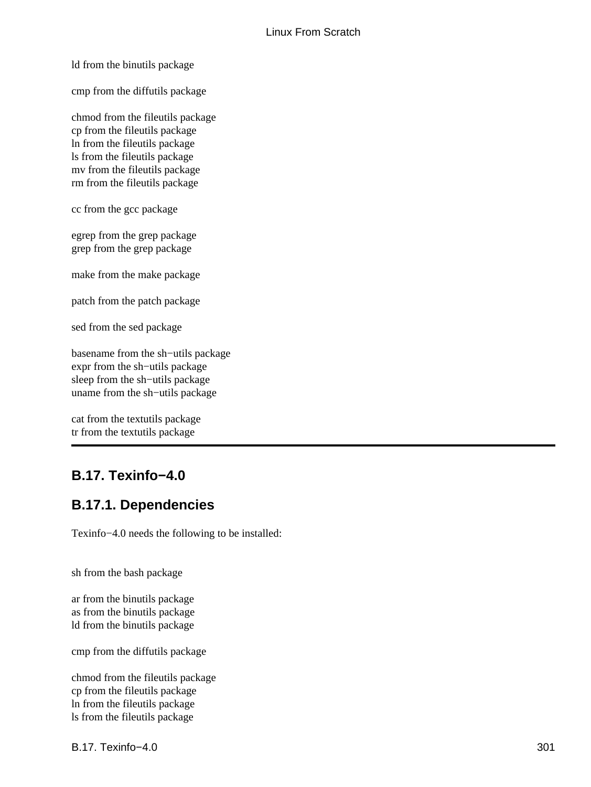ld from the binutils package

cmp from the diffutils package

chmod from the fileutils package cp from the fileutils package ln from the fileutils package ls from the fileutils package mv from the fileutils package rm from the fileutils package

cc from the gcc package

egrep from the grep package grep from the grep package

make from the make package

patch from the patch package

sed from the sed package

basename from the sh−utils package expr from the sh−utils package sleep from the sh−utils package uname from the sh−utils package

cat from the textutils package tr from the textutils package

# **B.17. Texinfo−4.0**

# **B.17.1. Dependencies**

Texinfo−4.0 needs the following to be installed:

sh from the bash package

ar from the binutils package as from the binutils package ld from the binutils package

cmp from the diffutils package

chmod from the fileutils package cp from the fileutils package ln from the fileutils package ls from the fileutils package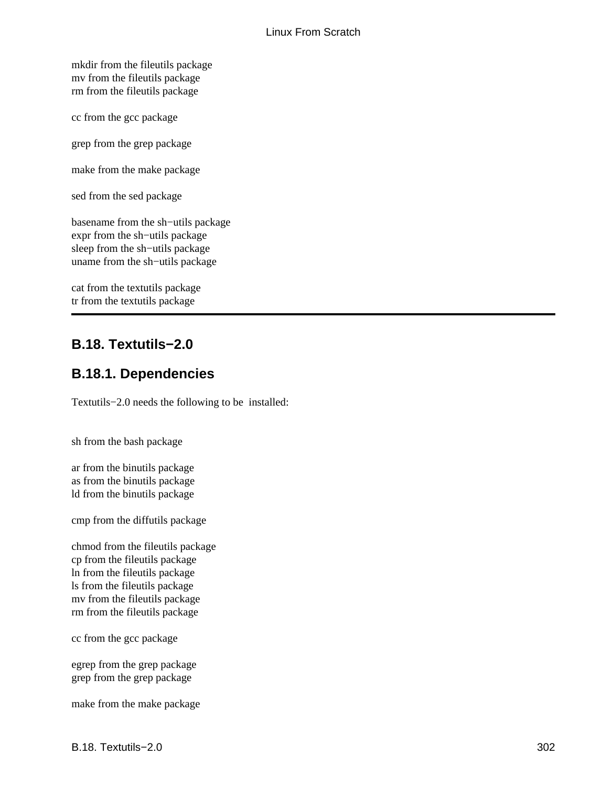mkdir from the fileutils package mv from the fileutils package rm from the fileutils package

cc from the gcc package

grep from the grep package

make from the make package

sed from the sed package

basename from the sh−utils package expr from the sh−utils package sleep from the sh−utils package uname from the sh−utils package

cat from the textutils package tr from the textutils package

# **B.18. Textutils−2.0**

### **B.18.1. Dependencies**

Textutils−2.0 needs the following to be installed:

sh from the bash package

ar from the binutils package as from the binutils package ld from the binutils package

cmp from the diffutils package

chmod from the fileutils package cp from the fileutils package ln from the fileutils package ls from the fileutils package mv from the fileutils package rm from the fileutils package

cc from the gcc package

egrep from the grep package grep from the grep package

make from the make package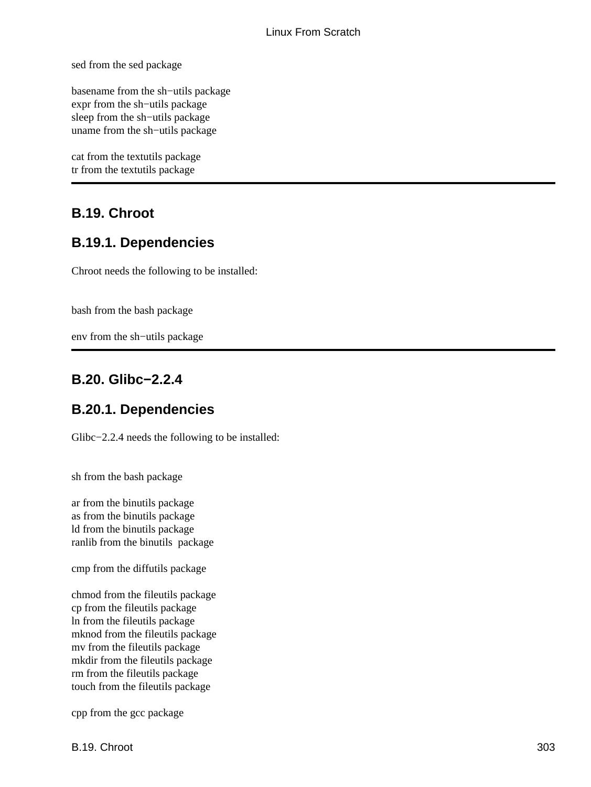sed from the sed package

basename from the sh−utils package expr from the sh−utils package sleep from the sh−utils package uname from the sh−utils package

cat from the textutils package tr from the textutils package

# **B.19. Chroot**

# **B.19.1. Dependencies**

Chroot needs the following to be installed:

bash from the bash package

env from the sh−utils package

# **B.20. Glibc−2.2.4**

### **B.20.1. Dependencies**

Glibc−2.2.4 needs the following to be installed:

sh from the bash package

ar from the binutils package as from the binutils package ld from the binutils package ranlib from the binutils package

cmp from the diffutils package

chmod from the fileutils package cp from the fileutils package ln from the fileutils package mknod from the fileutils package mv from the fileutils package mkdir from the fileutils package rm from the fileutils package touch from the fileutils package

cpp from the gcc package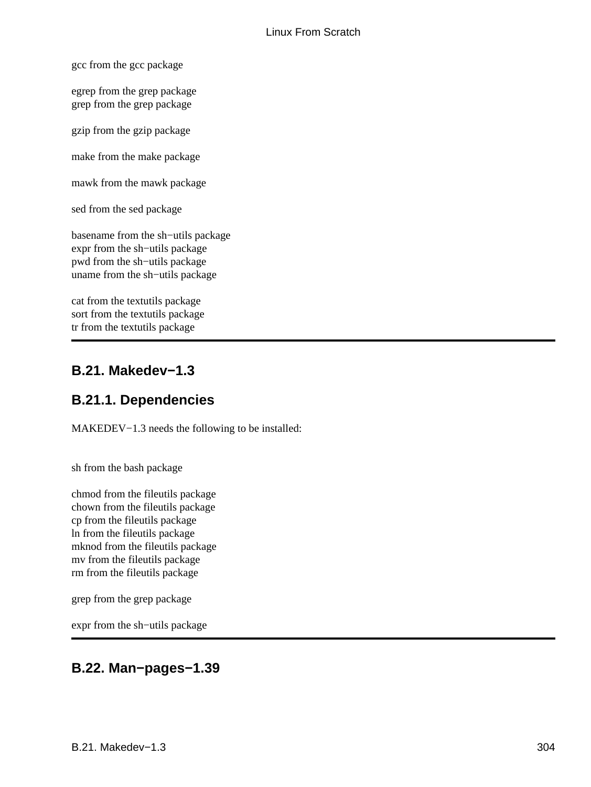gcc from the gcc package

egrep from the grep package grep from the grep package

gzip from the gzip package

make from the make package

mawk from the mawk package

sed from the sed package

basename from the sh−utils package expr from the sh−utils package pwd from the sh−utils package uname from the sh−utils package

cat from the textutils package sort from the textutils package tr from the textutils package

# **B.21. Makedev−1.3**

# **B.21.1. Dependencies**

MAKEDEV−1.3 needs the following to be installed:

sh from the bash package

chmod from the fileutils package chown from the fileutils package cp from the fileutils package ln from the fileutils package mknod from the fileutils package mv from the fileutils package rm from the fileutils package

grep from the grep package

expr from the sh−utils package

# **B.22. Man−pages−1.39**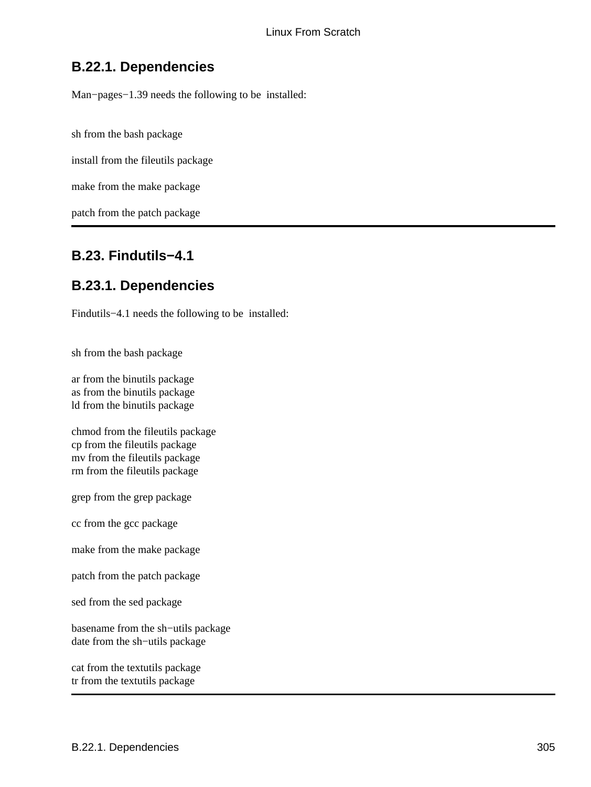# **B.22.1. Dependencies**

Man−pages−1.39 needs the following to be installed:

sh from the bash package

install from the fileutils package

make from the make package

patch from the patch package

# **B.23. Findutils−4.1**

# **B.23.1. Dependencies**

Findutils−4.1 needs the following to be installed:

sh from the bash package

ar from the binutils package as from the binutils package ld from the binutils package

chmod from the fileutils package cp from the fileutils package mv from the fileutils package rm from the fileutils package

grep from the grep package

cc from the gcc package

make from the make package

patch from the patch package

sed from the sed package

basename from the sh−utils package date from the sh−utils package

cat from the textutils package tr from the textutils package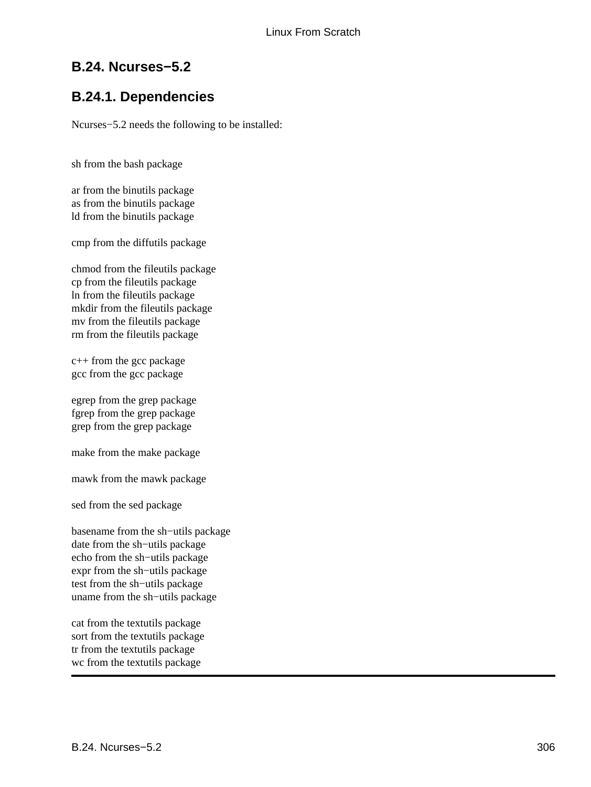# **B.24. Ncurses−5.2**

# **B.24.1. Dependencies**

Ncurses−5.2 needs the following to be installed:

sh from the bash package

ar from the binutils package as from the binutils package ld from the binutils package

cmp from the diffutils package

chmod from the fileutils package cp from the fileutils package ln from the fileutils package mkdir from the fileutils package mv from the fileutils package rm from the fileutils package

c++ from the gcc package gcc from the gcc package

egrep from the grep package fgrep from the grep package grep from the grep package

make from the make package

mawk from the mawk package

sed from the sed package

basename from the sh−utils package date from the sh−utils package echo from the sh−utils package expr from the sh−utils package test from the sh−utils package uname from the sh−utils package

cat from the textutils package sort from the textutils package tr from the textutils package wc from the textutils package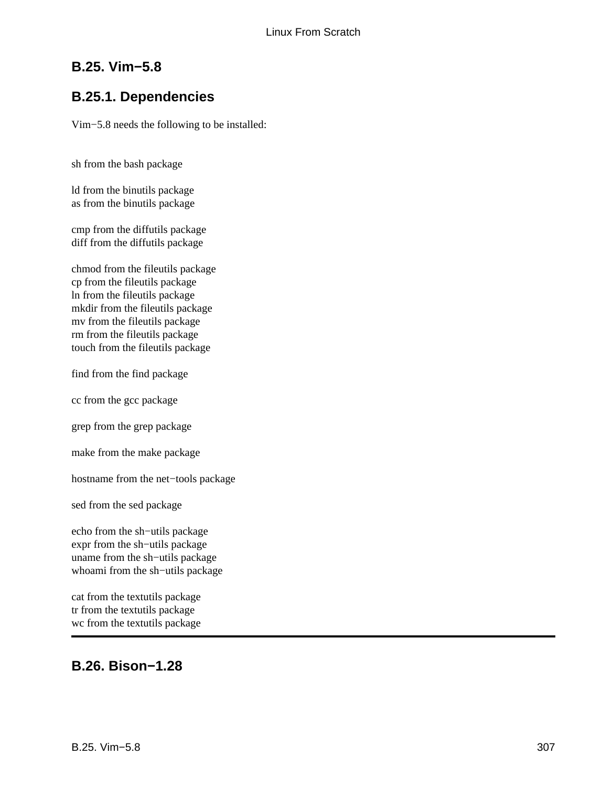# **B.25. Vim−5.8**

# **B.25.1. Dependencies**

Vim−5.8 needs the following to be installed:

sh from the bash package

ld from the binutils package as from the binutils package

cmp from the diffutils package diff from the diffutils package

chmod from the fileutils package cp from the fileutils package ln from the fileutils package mkdir from the fileutils package mv from the fileutils package rm from the fileutils package touch from the fileutils package

find from the find package

cc from the gcc package

grep from the grep package

make from the make package

hostname from the net−tools package

sed from the sed package

echo from the sh−utils package expr from the sh−utils package uname from the sh−utils package whoami from the sh−utils package

cat from the textutils package tr from the textutils package wc from the textutils package

#### **B.26. Bison−1.28**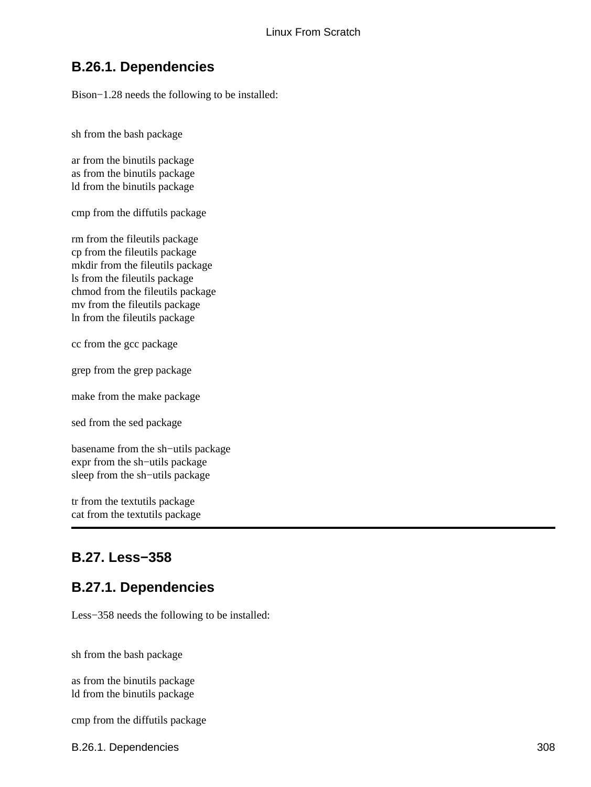# **B.26.1. Dependencies**

Bison−1.28 needs the following to be installed:

sh from the bash package

ar from the binutils package as from the binutils package ld from the binutils package

cmp from the diffutils package

rm from the fileutils package cp from the fileutils package mkdir from the fileutils package ls from the fileutils package chmod from the fileutils package mv from the fileutils package ln from the fileutils package

cc from the gcc package

grep from the grep package

make from the make package

sed from the sed package

basename from the sh−utils package expr from the sh−utils package sleep from the sh−utils package

tr from the textutils package cat from the textutils package

# **B.27. Less−358**

#### **B.27.1. Dependencies**

Less−358 needs the following to be installed:

sh from the bash package

as from the binutils package ld from the binutils package

cmp from the diffutils package

B.26.1. Dependencies 308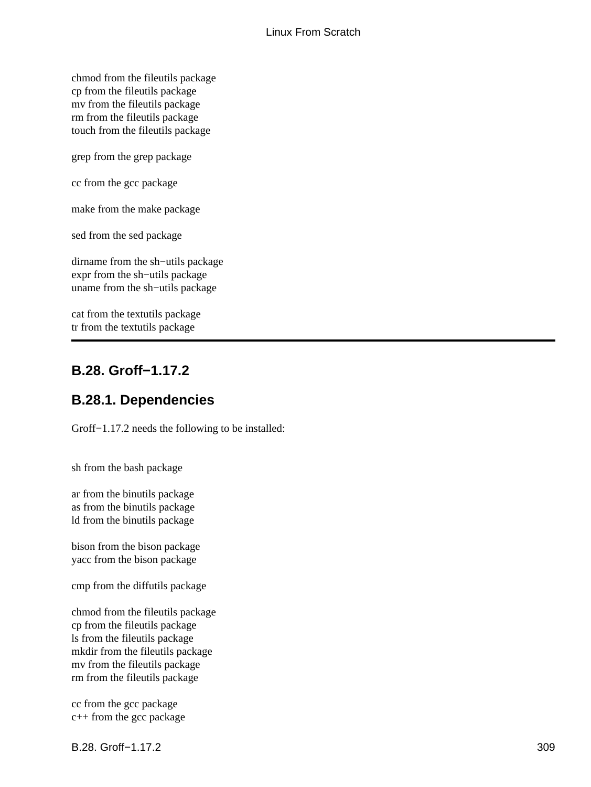chmod from the fileutils package cp from the fileutils package mv from the fileutils package rm from the fileutils package touch from the fileutils package

grep from the grep package

cc from the gcc package

make from the make package

sed from the sed package

dirname from the sh−utils package expr from the sh−utils package uname from the sh−utils package

cat from the textutils package tr from the textutils package

#### **B.28. Groff−1.17.2**

#### **B.28.1. Dependencies**

Groff−1.17.2 needs the following to be installed:

sh from the bash package

ar from the binutils package as from the binutils package ld from the binutils package

bison from the bison package yacc from the bison package

cmp from the diffutils package

chmod from the fileutils package cp from the fileutils package ls from the fileutils package mkdir from the fileutils package mv from the fileutils package rm from the fileutils package

cc from the gcc package c++ from the gcc package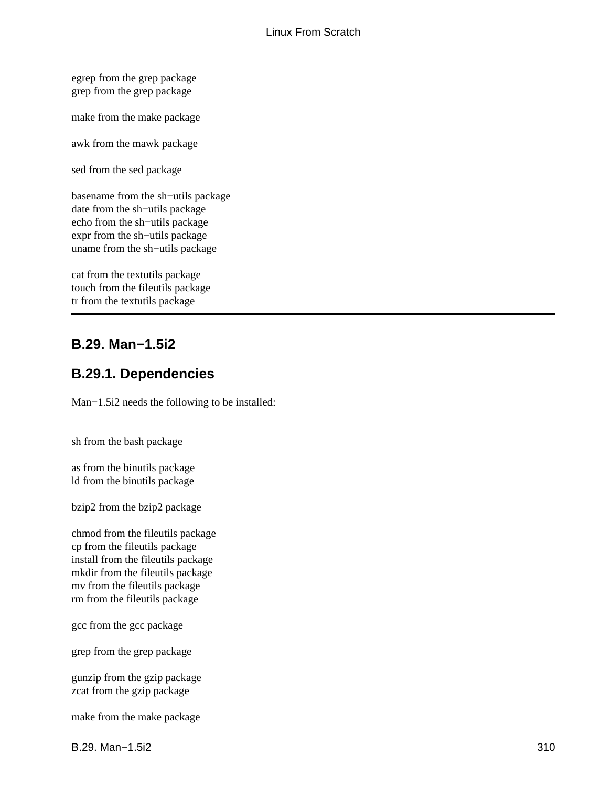egrep from the grep package grep from the grep package

make from the make package

awk from the mawk package

sed from the sed package

basename from the sh−utils package date from the sh−utils package echo from the sh−utils package expr from the sh−utils package uname from the sh−utils package

cat from the textutils package touch from the fileutils package tr from the textutils package

### **B.29. Man−1.5i2**

#### **B.29.1. Dependencies**

Man−1.5i2 needs the following to be installed:

sh from the bash package

as from the binutils package ld from the binutils package

bzip2 from the bzip2 package

chmod from the fileutils package cp from the fileutils package install from the fileutils package mkdir from the fileutils package mv from the fileutils package rm from the fileutils package

gcc from the gcc package

grep from the grep package

gunzip from the gzip package zcat from the gzip package

make from the make package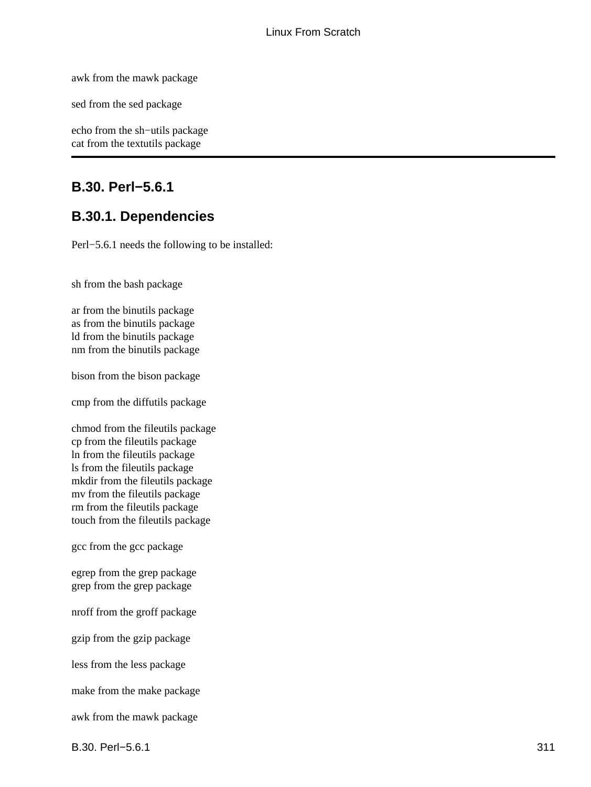awk from the mawk package

sed from the sed package

echo from the sh−utils package cat from the textutils package

### **B.30. Perl−5.6.1**

#### **B.30.1. Dependencies**

Perl−5.6.1 needs the following to be installed:

sh from the bash package

ar from the binutils package as from the binutils package ld from the binutils package nm from the binutils package

bison from the bison package

cmp from the diffutils package

chmod from the fileutils package cp from the fileutils package ln from the fileutils package ls from the fileutils package mkdir from the fileutils package mv from the fileutils package rm from the fileutils package touch from the fileutils package

gcc from the gcc package

egrep from the grep package grep from the grep package

nroff from the groff package

gzip from the gzip package

less from the less package

make from the make package

awk from the mawk package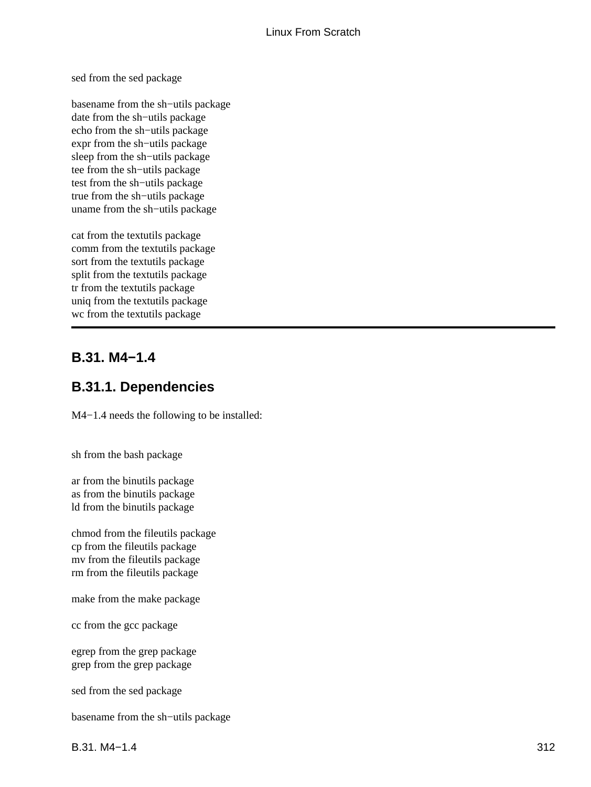sed from the sed package

basename from the sh−utils package date from the sh−utils package echo from the sh−utils package expr from the sh−utils package sleep from the sh−utils package tee from the sh−utils package test from the sh−utils package true from the sh−utils package uname from the sh−utils package

cat from the textutils package comm from the textutils package sort from the textutils package split from the textutils package tr from the textutils package uniq from the textutils package wc from the textutils package

#### **B.31. M4−1.4**

#### **B.31.1. Dependencies**

M4−1.4 needs the following to be installed:

sh from the bash package

ar from the binutils package as from the binutils package ld from the binutils package

chmod from the fileutils package cp from the fileutils package mv from the fileutils package rm from the fileutils package

make from the make package

cc from the gcc package

egrep from the grep package grep from the grep package

sed from the sed package

basename from the sh−utils package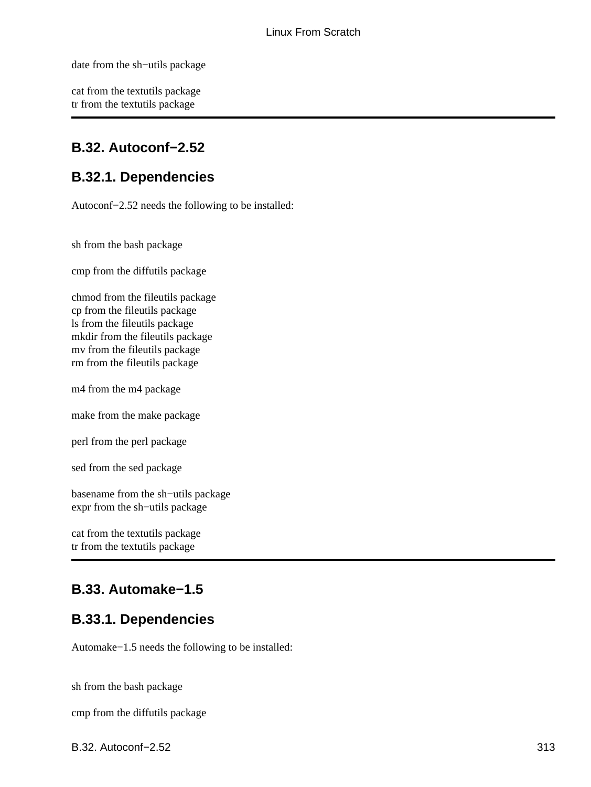date from the sh−utils package

cat from the textutils package tr from the textutils package

# **B.32. Autoconf−2.52**

### **B.32.1. Dependencies**

Autoconf−2.52 needs the following to be installed:

sh from the bash package

cmp from the diffutils package

chmod from the fileutils package cp from the fileutils package ls from the fileutils package mkdir from the fileutils package mv from the fileutils package rm from the fileutils package

m4 from the m4 package

make from the make package

perl from the perl package

sed from the sed package

basename from the sh−utils package expr from the sh−utils package

cat from the textutils package tr from the textutils package

# **B.33. Automake−1.5**

#### **B.33.1. Dependencies**

Automake−1.5 needs the following to be installed:

sh from the bash package

cmp from the diffutils package

B.32. Autoconf−2.52 313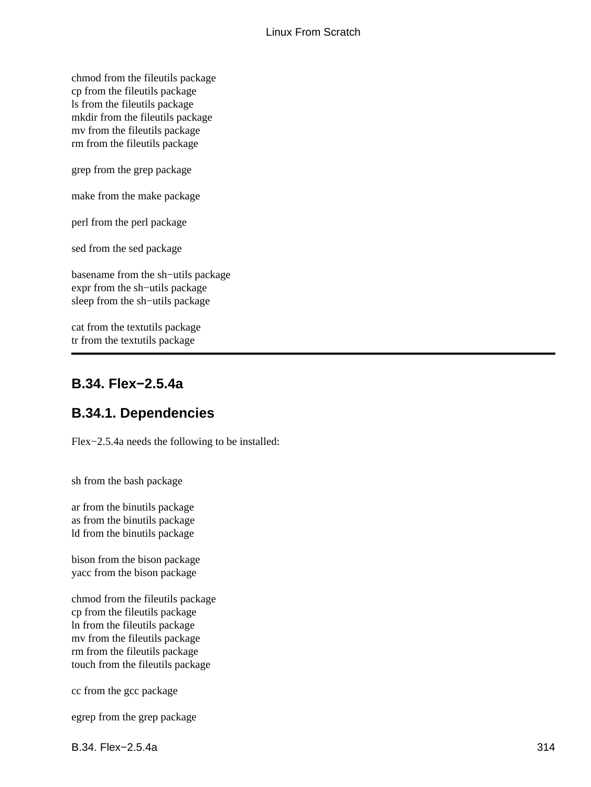chmod from the fileutils package cp from the fileutils package ls from the fileutils package mkdir from the fileutils package mv from the fileutils package rm from the fileutils package

grep from the grep package

make from the make package

perl from the perl package

sed from the sed package

basename from the sh−utils package expr from the sh−utils package sleep from the sh−utils package

cat from the textutils package tr from the textutils package

#### **B.34. Flex−2.5.4a**

#### **B.34.1. Dependencies**

Flex−2.5.4a needs the following to be installed:

sh from the bash package

ar from the binutils package as from the binutils package ld from the binutils package

bison from the bison package yacc from the bison package

chmod from the fileutils package cp from the fileutils package ln from the fileutils package mv from the fileutils package rm from the fileutils package touch from the fileutils package

cc from the gcc package

egrep from the grep package

B.34. Flex−2.5.4a 314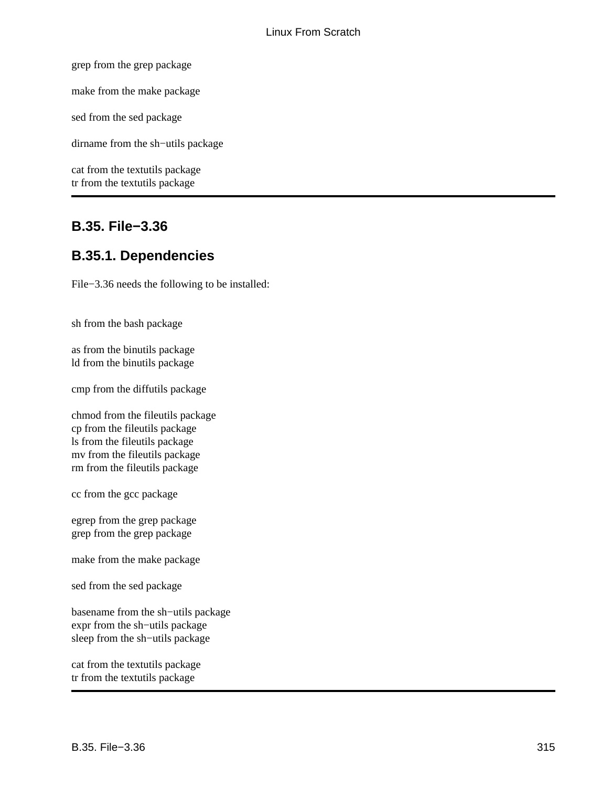grep from the grep package

make from the make package

sed from the sed package

dirname from the sh−utils package

cat from the textutils package tr from the textutils package

# **B.35. File−3.36**

### **B.35.1. Dependencies**

File−3.36 needs the following to be installed:

sh from the bash package

as from the binutils package ld from the binutils package

cmp from the diffutils package

chmod from the fileutils package cp from the fileutils package ls from the fileutils package mv from the fileutils package rm from the fileutils package

cc from the gcc package

egrep from the grep package grep from the grep package

make from the make package

sed from the sed package

basename from the sh−utils package expr from the sh−utils package sleep from the sh−utils package

cat from the textutils package tr from the textutils package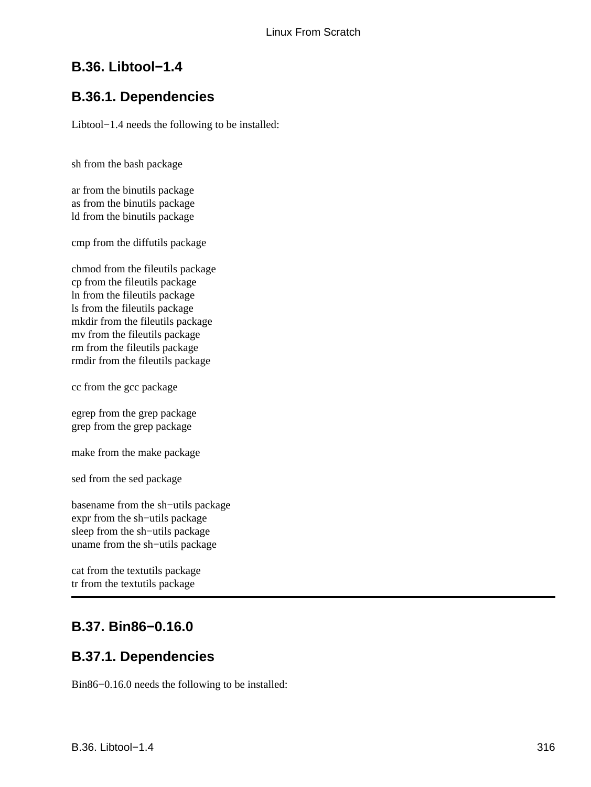# **B.36. Libtool−1.4**

### **B.36.1. Dependencies**

Libtool−1.4 needs the following to be installed:

sh from the bash package

ar from the binutils package as from the binutils package ld from the binutils package

cmp from the diffutils package

chmod from the fileutils package cp from the fileutils package ln from the fileutils package ls from the fileutils package mkdir from the fileutils package mv from the fileutils package rm from the fileutils package rmdir from the fileutils package

cc from the gcc package

egrep from the grep package grep from the grep package

make from the make package

sed from the sed package

basename from the sh−utils package expr from the sh−utils package sleep from the sh−utils package uname from the sh−utils package

cat from the textutils package tr from the textutils package

# **B.37. Bin86−0.16.0**

#### **B.37.1. Dependencies**

Bin86−0.16.0 needs the following to be installed: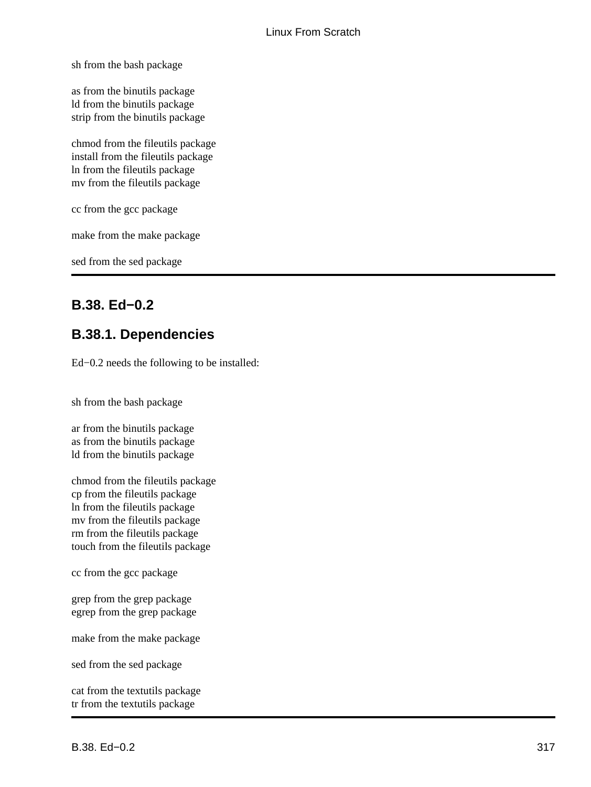sh from the bash package

as from the binutils package ld from the binutils package strip from the binutils package

chmod from the fileutils package install from the fileutils package ln from the fileutils package mv from the fileutils package

cc from the gcc package

make from the make package

sed from the sed package

### **B.38. Ed−0.2**

#### **B.38.1. Dependencies**

Ed−0.2 needs the following to be installed:

sh from the bash package

ar from the binutils package as from the binutils package ld from the binutils package

chmod from the fileutils package cp from the fileutils package ln from the fileutils package mv from the fileutils package rm from the fileutils package touch from the fileutils package

cc from the gcc package

grep from the grep package egrep from the grep package

make from the make package

sed from the sed package

cat from the textutils package tr from the textutils package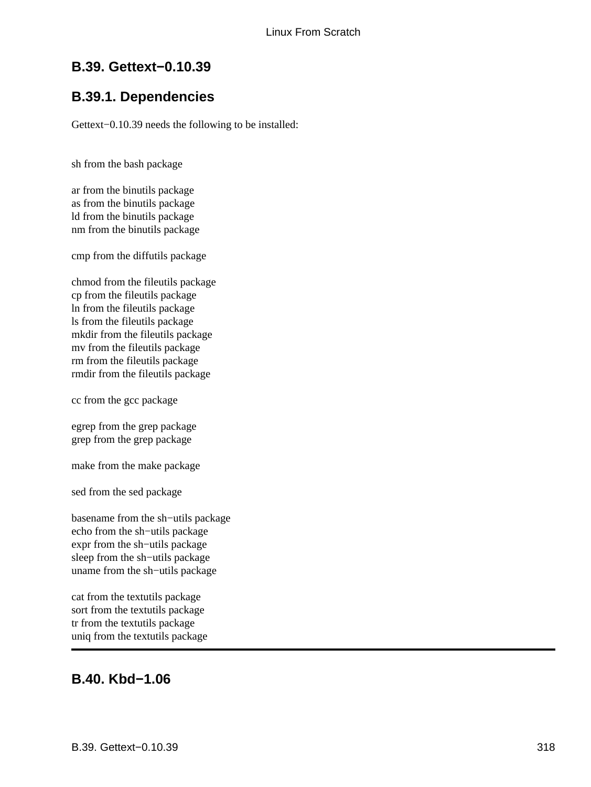# **B.39. Gettext−0.10.39**

### **B.39.1. Dependencies**

Gettext−0.10.39 needs the following to be installed:

sh from the bash package

ar from the binutils package as from the binutils package ld from the binutils package nm from the binutils package

cmp from the diffutils package

chmod from the fileutils package cp from the fileutils package ln from the fileutils package ls from the fileutils package mkdir from the fileutils package mv from the fileutils package rm from the fileutils package rmdir from the fileutils package

cc from the gcc package

egrep from the grep package grep from the grep package

make from the make package

sed from the sed package

basename from the sh−utils package echo from the sh−utils package expr from the sh−utils package sleep from the sh−utils package uname from the sh−utils package

cat from the textutils package sort from the textutils package tr from the textutils package uniq from the textutils package

#### **B.40. Kbd−1.06**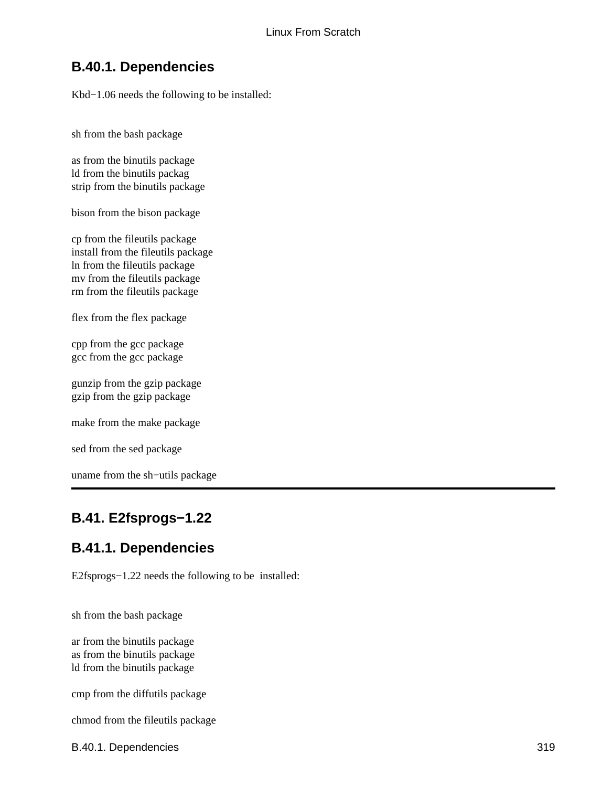# **B.40.1. Dependencies**

Kbd−1.06 needs the following to be installed:

sh from the bash package

as from the binutils package ld from the binutils packag strip from the binutils package

bison from the bison package

cp from the fileutils package install from the fileutils package ln from the fileutils package mv from the fileutils package rm from the fileutils package

flex from the flex package

cpp from the gcc package gcc from the gcc package

gunzip from the gzip package gzip from the gzip package

make from the make package

sed from the sed package

uname from the sh−utils package

# **B.41. E2fsprogs−1.22**

# **B.41.1. Dependencies**

E2fsprogs−1.22 needs the following to be installed:

sh from the bash package

ar from the binutils package as from the binutils package ld from the binutils package

cmp from the diffutils package

chmod from the fileutils package

B.40.1. Dependencies 319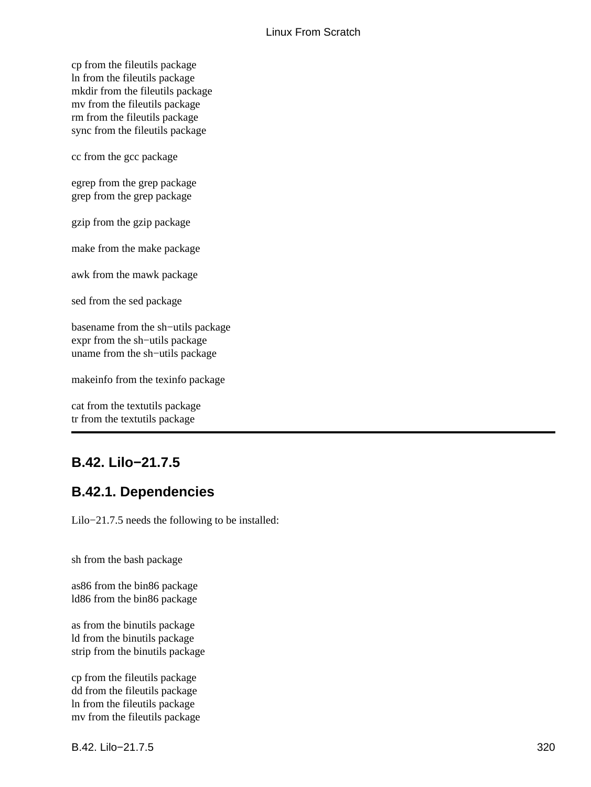cp from the fileutils package ln from the fileutils package mkdir from the fileutils package mv from the fileutils package rm from the fileutils package sync from the fileutils package

cc from the gcc package

egrep from the grep package grep from the grep package

gzip from the gzip package

make from the make package

awk from the mawk package

sed from the sed package

basename from the sh−utils package expr from the sh−utils package uname from the sh−utils package

makeinfo from the texinfo package

cat from the textutils package tr from the textutils package

# **B.42. Lilo−21.7.5**

#### **B.42.1. Dependencies**

Lilo−21.7.5 needs the following to be installed:

sh from the bash package

as86 from the bin86 package ld86 from the bin86 package

as from the binutils package ld from the binutils package strip from the binutils package

cp from the fileutils package dd from the fileutils package ln from the fileutils package mv from the fileutils package

B.42. Lilo−21.7.5 320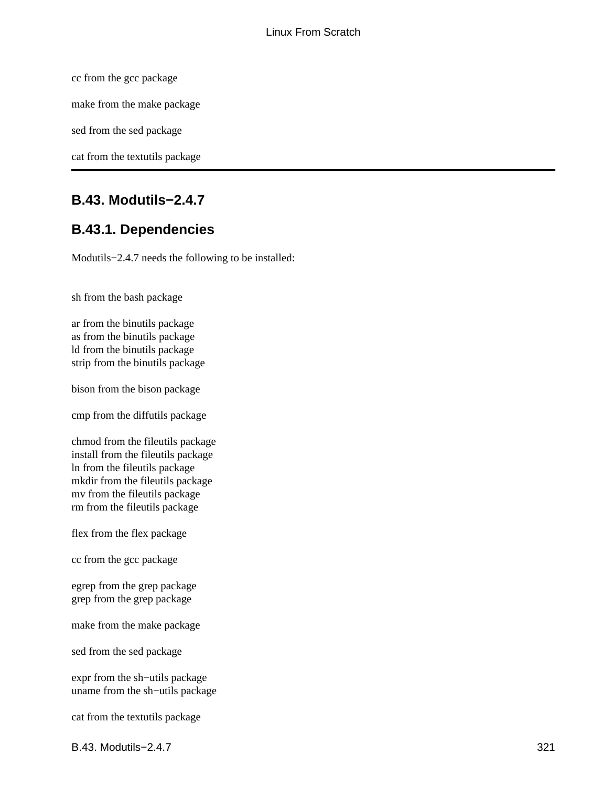cc from the gcc package

make from the make package

sed from the sed package

cat from the textutils package

### **B.43. Modutils−2.4.7**

#### **B.43.1. Dependencies**

Modutils−2.4.7 needs the following to be installed:

sh from the bash package

ar from the binutils package as from the binutils package ld from the binutils package strip from the binutils package

bison from the bison package

cmp from the diffutils package

chmod from the fileutils package install from the fileutils package ln from the fileutils package mkdir from the fileutils package mv from the fileutils package rm from the fileutils package

flex from the flex package

cc from the gcc package

egrep from the grep package grep from the grep package

make from the make package

sed from the sed package

expr from the sh−utils package uname from the sh−utils package

cat from the textutils package

B.43. Modutils−2.4.7 321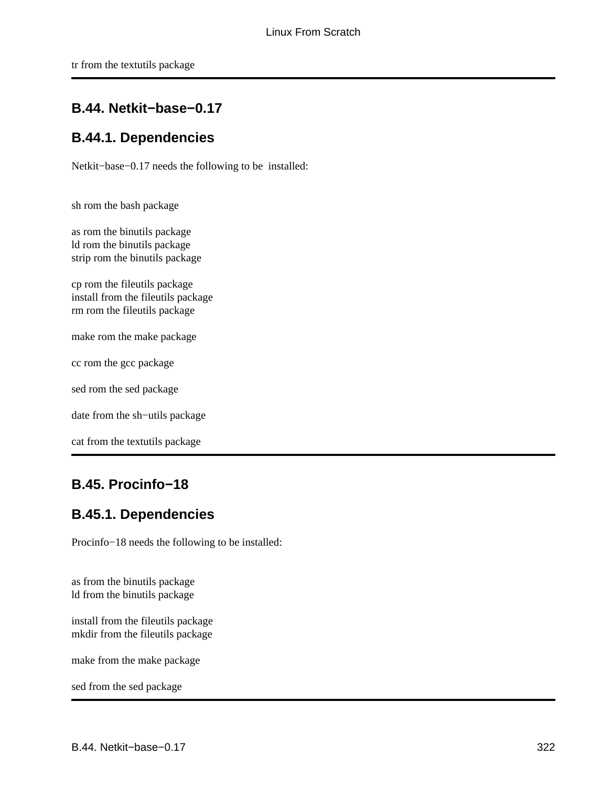tr from the textutils package

# **B.44. Netkit−base−0.17**

### **B.44.1. Dependencies**

Netkit−base−0.17 needs the following to be installed:

sh rom the bash package

as rom the binutils package ld rom the binutils package strip rom the binutils package

cp rom the fileutils package install from the fileutils package rm rom the fileutils package

make rom the make package

cc rom the gcc package

sed rom the sed package

date from the sh−utils package

cat from the textutils package

# **B.45. Procinfo−18**

#### **B.45.1. Dependencies**

Procinfo−18 needs the following to be installed:

as from the binutils package ld from the binutils package

install from the fileutils package mkdir from the fileutils package

make from the make package

sed from the sed package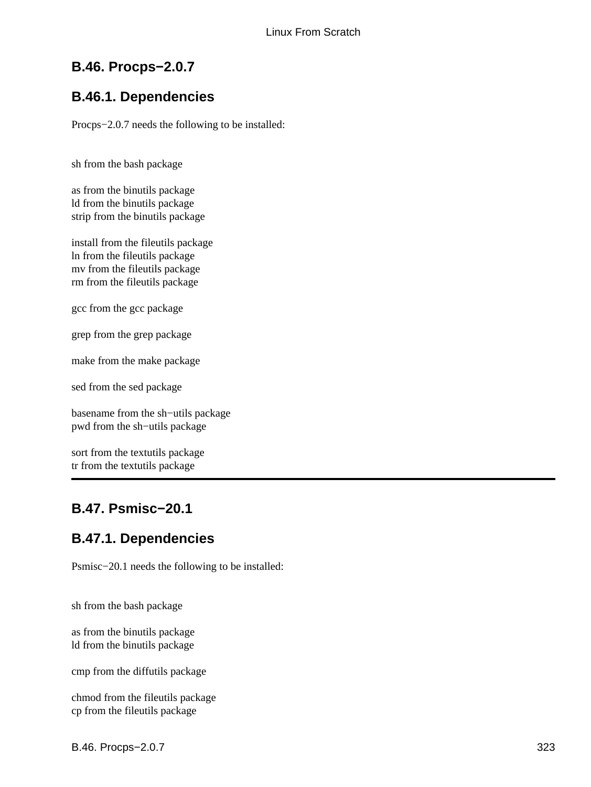# **B.46. Procps−2.0.7**

# **B.46.1. Dependencies**

Procps−2.0.7 needs the following to be installed:

sh from the bash package

as from the binutils package ld from the binutils package strip from the binutils package

install from the fileutils package ln from the fileutils package mv from the fileutils package rm from the fileutils package

gcc from the gcc package

grep from the grep package

make from the make package

sed from the sed package

basename from the sh−utils package pwd from the sh−utils package

sort from the textutils package tr from the textutils package

# **B.47. Psmisc−20.1**

#### **B.47.1. Dependencies**

Psmisc−20.1 needs the following to be installed:

sh from the bash package

as from the binutils package ld from the binutils package

cmp from the diffutils package

chmod from the fileutils package cp from the fileutils package

B.46. Procps−2.0.7 323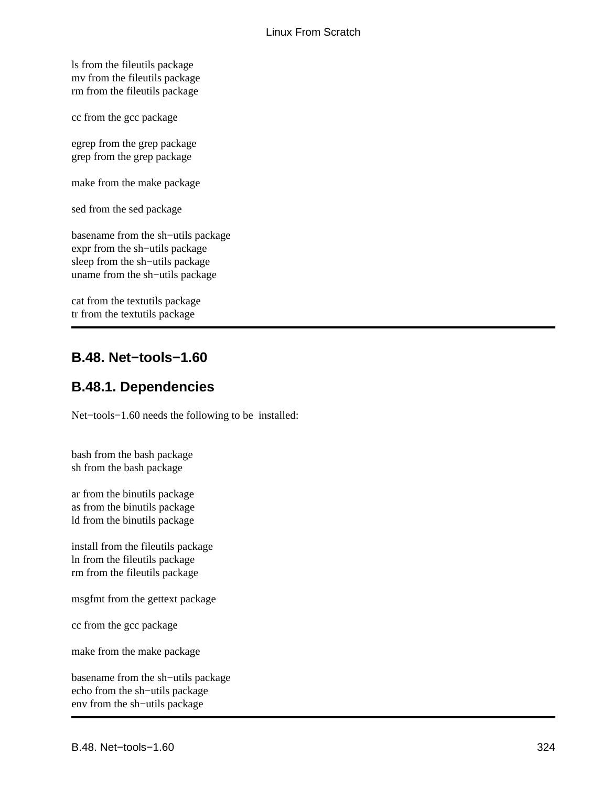ls from the fileutils package mv from the fileutils package rm from the fileutils package

cc from the gcc package

egrep from the grep package grep from the grep package

make from the make package

sed from the sed package

basename from the sh−utils package expr from the sh−utils package sleep from the sh−utils package uname from the sh−utils package

cat from the textutils package tr from the textutils package

# **B.48. Net−tools−1.60**

#### **B.48.1. Dependencies**

Net−tools−1.60 needs the following to be installed:

bash from the bash package sh from the bash package

ar from the binutils package as from the binutils package ld from the binutils package

install from the fileutils package ln from the fileutils package rm from the fileutils package

msgfmt from the gettext package

cc from the gcc package

make from the make package

basename from the sh−utils package echo from the sh−utils package env from the sh−utils package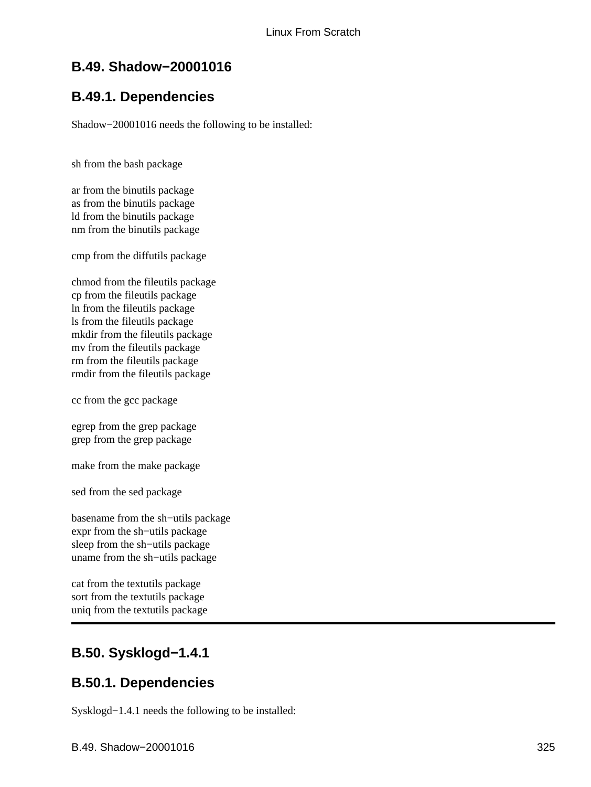# **B.49. Shadow−20001016**

# **B.49.1. Dependencies**

Shadow−20001016 needs the following to be installed:

sh from the bash package

ar from the binutils package as from the binutils package ld from the binutils package nm from the binutils package

cmp from the diffutils package

chmod from the fileutils package cp from the fileutils package ln from the fileutils package ls from the fileutils package mkdir from the fileutils package mv from the fileutils package rm from the fileutils package rmdir from the fileutils package

cc from the gcc package

egrep from the grep package grep from the grep package

make from the make package

sed from the sed package

basename from the sh−utils package expr from the sh−utils package sleep from the sh−utils package uname from the sh−utils package

cat from the textutils package sort from the textutils package uniq from the textutils package

# **B.50. Sysklogd−1.4.1**

#### **B.50.1. Dependencies**

Sysklogd−1.4.1 needs the following to be installed: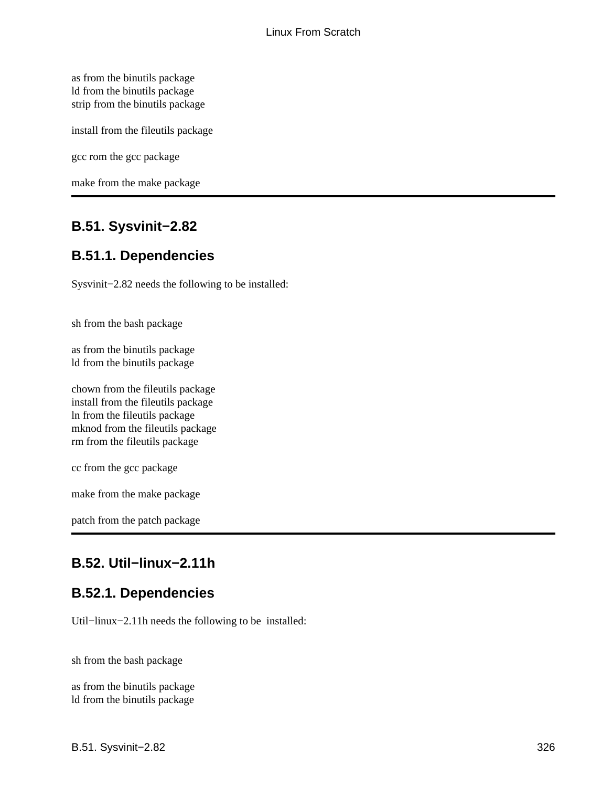as from the binutils package ld from the binutils package strip from the binutils package

install from the fileutils package

gcc rom the gcc package

make from the make package

# **B.51. Sysvinit−2.82**

#### **B.51.1. Dependencies**

Sysvinit−2.82 needs the following to be installed:

sh from the bash package

as from the binutils package ld from the binutils package

chown from the fileutils package install from the fileutils package ln from the fileutils package mknod from the fileutils package rm from the fileutils package

cc from the gcc package

make from the make package

patch from the patch package

#### **B.52. Util−linux−2.11h**

#### **B.52.1. Dependencies**

Util−linux−2.11h needs the following to be installed:

sh from the bash package

as from the binutils package ld from the binutils package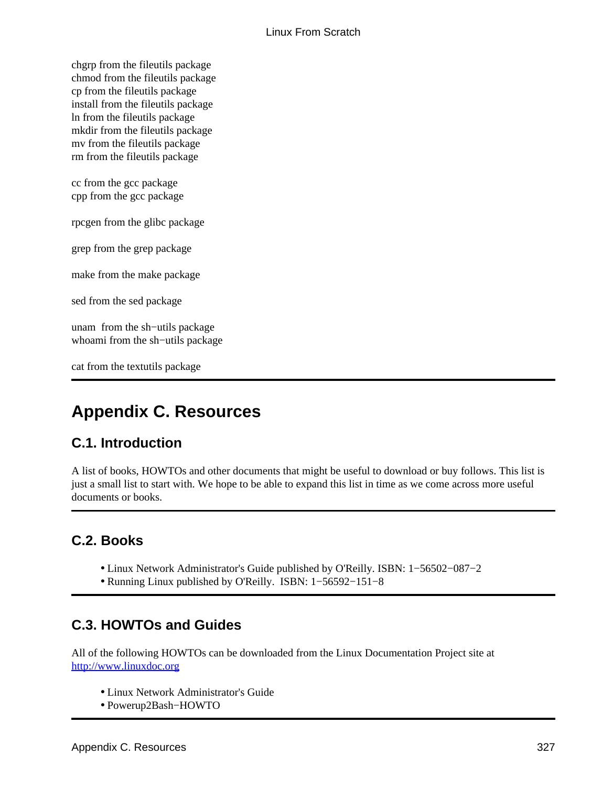chgrp from the fileutils package chmod from the fileutils package cp from the fileutils package install from the fileutils package ln from the fileutils package mkdir from the fileutils package mv from the fileutils package rm from the fileutils package

cc from the gcc package cpp from the gcc package

rpcgen from the glibc package

grep from the grep package

make from the make package

sed from the sed package

unam from the sh−utils package whoami from the sh−utils package

cat from the textutils package

# **Appendix C. Resources**

# **C.1. Introduction**

A list of books, HOWTOs and other documents that might be useful to download or buy follows. This list is just a small list to start with. We hope to be able to expand this list in time as we come across more useful documents or books.

# **C.2. Books**

- Linux Network Administrator's Guide published by O'Reilly. ISBN: 1−56502−087−2
- Running Linux published by O'Reilly. ISBN: 1−56592−151−8

#### **C.3. HOWTOs and Guides**

All of the following HOWTOs can be downloaded from the Linux Documentation Project site at <http://www.linuxdoc.org>

- Linux Network Administrator's Guide
- Powerup2Bash−HOWTO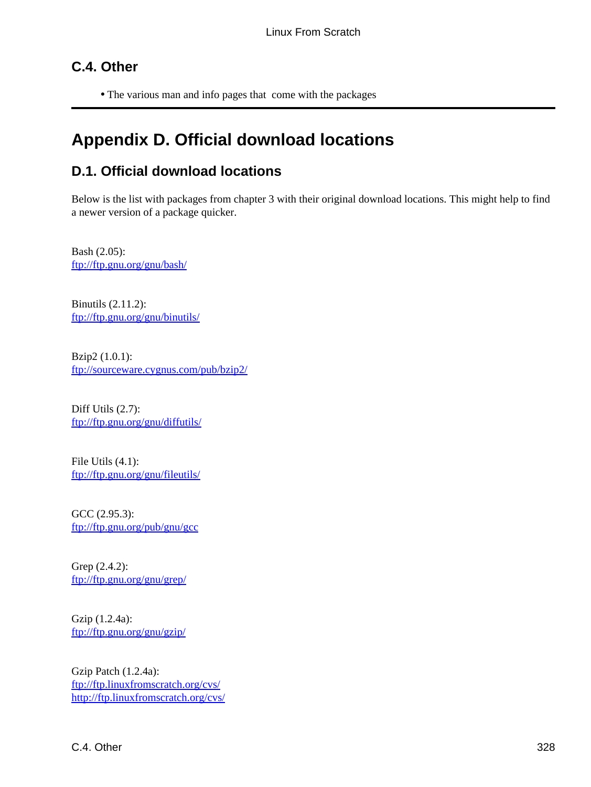# **C.4. Other**

• The various man and info pages that come with the packages

# **Appendix D. Official download locations**

# **D.1. Official download locations**

Below is the list with packages from chapter 3 with their original download locations. This might help to find a newer version of a package quicker.

Bash (2.05): <ftp://ftp.gnu.org/gnu/bash/>

Binutils (2.11.2): <ftp://ftp.gnu.org/gnu/binutils/>

Bzip2 (1.0.1): <ftp://sourceware.cygnus.com/pub/bzip2/>

Diff Utils  $(2.7)$ : <ftp://ftp.gnu.org/gnu/diffutils/>

File Utils (4.1): <ftp://ftp.gnu.org/gnu/fileutils/>

GCC (2.95.3): <ftp://ftp.gnu.org/pub/gnu/gcc>

Grep (2.4.2): <ftp://ftp.gnu.org/gnu/grep/>

Gzip (1.2.4a): <ftp://ftp.gnu.org/gnu/gzip/>

Gzip Patch (1.2.4a): <ftp://ftp.linuxfromscratch.org/cvs/> <http://ftp.linuxfromscratch.org/cvs/>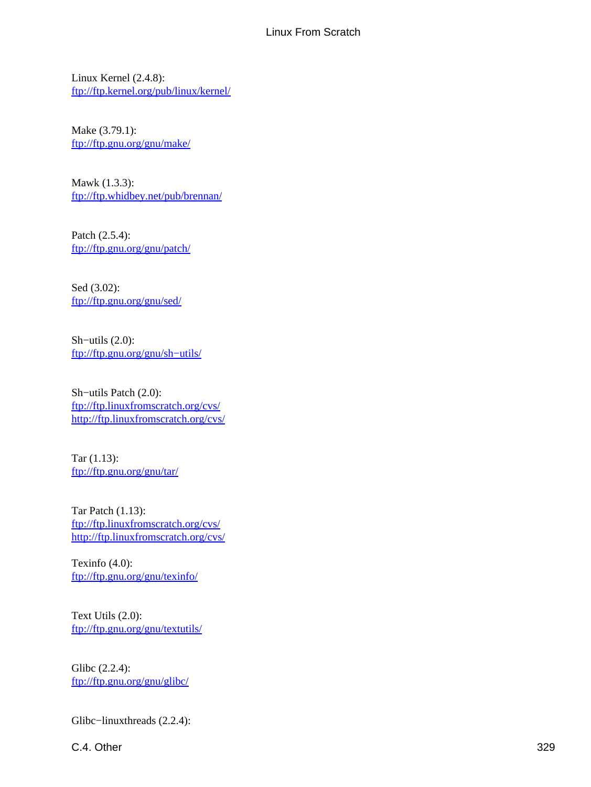Linux Kernel (2.4.8): <ftp://ftp.kernel.org/pub/linux/kernel/>

Make (3.79.1): <ftp://ftp.gnu.org/gnu/make/>

Mawk (1.3.3): <ftp://ftp.whidbey.net/pub/brennan/>

Patch (2.5.4): <ftp://ftp.gnu.org/gnu/patch/>

Sed (3.02): <ftp://ftp.gnu.org/gnu/sed/>

Sh−utils (2.0): [ftp://ftp.gnu.org/gnu/sh−utils/](ftp://ftp.gnu.org/gnu/sh-utils/)

Sh−utils Patch (2.0): <ftp://ftp.linuxfromscratch.org/cvs/> <http://ftp.linuxfromscratch.org/cvs/>

Tar (1.13): <ftp://ftp.gnu.org/gnu/tar/>

Tar Patch (1.13): <ftp://ftp.linuxfromscratch.org/cvs/> <http://ftp.linuxfromscratch.org/cvs/>

Texinfo (4.0): <ftp://ftp.gnu.org/gnu/texinfo/>

Text Utils (2.0): <ftp://ftp.gnu.org/gnu/textutils/>

Glibc (2.2.4): <ftp://ftp.gnu.org/gnu/glibc/>

Glibc−linuxthreads (2.2.4):

C.4. Other 329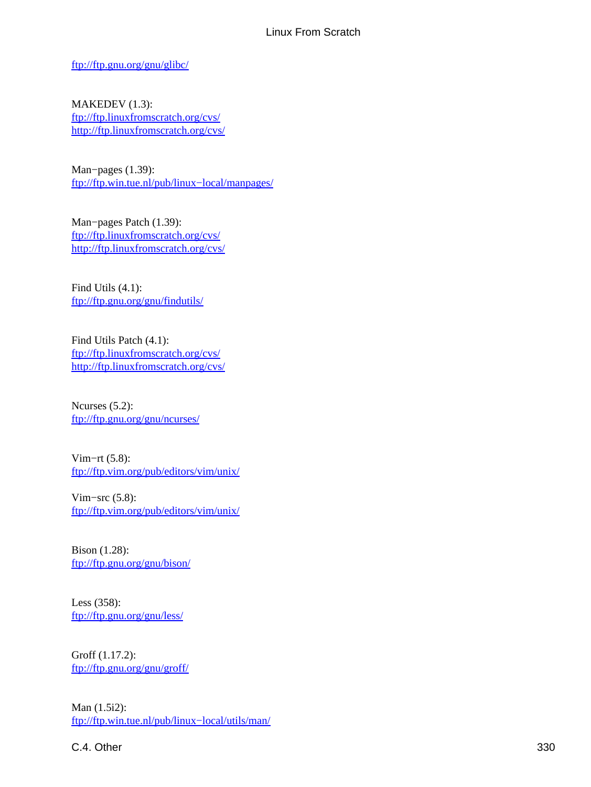#### <ftp://ftp.gnu.org/gnu/glibc/>

MAKEDEV (1.3): <ftp://ftp.linuxfromscratch.org/cvs/> <http://ftp.linuxfromscratch.org/cvs/>

Man−pages (1.39): [ftp://ftp.win.tue.nl/pub/linux−local/manpages/](ftp://ftp.win.tue.nl/pub/linux-local/manpages/)

Man−pages Patch (1.39): <ftp://ftp.linuxfromscratch.org/cvs/> <http://ftp.linuxfromscratch.org/cvs/>

Find Utils (4.1): <ftp://ftp.gnu.org/gnu/findutils/>

Find Utils Patch (4.1): <ftp://ftp.linuxfromscratch.org/cvs/> <http://ftp.linuxfromscratch.org/cvs/>

Ncurses (5.2): <ftp://ftp.gnu.org/gnu/ncurses/>

Vim−rt (5.8): <ftp://ftp.vim.org/pub/editors/vim/unix/>

Vim−src (5.8): <ftp://ftp.vim.org/pub/editors/vim/unix/>

Bison (1.28): <ftp://ftp.gnu.org/gnu/bison/>

Less (358): <ftp://ftp.gnu.org/gnu/less/>

Groff (1.17.2): <ftp://ftp.gnu.org/gnu/groff/>

Man (1.5i2): [ftp://ftp.win.tue.nl/pub/linux−local/utils/man/](ftp://ftp.win.tue.nl/pub/linux-local/utils/man/)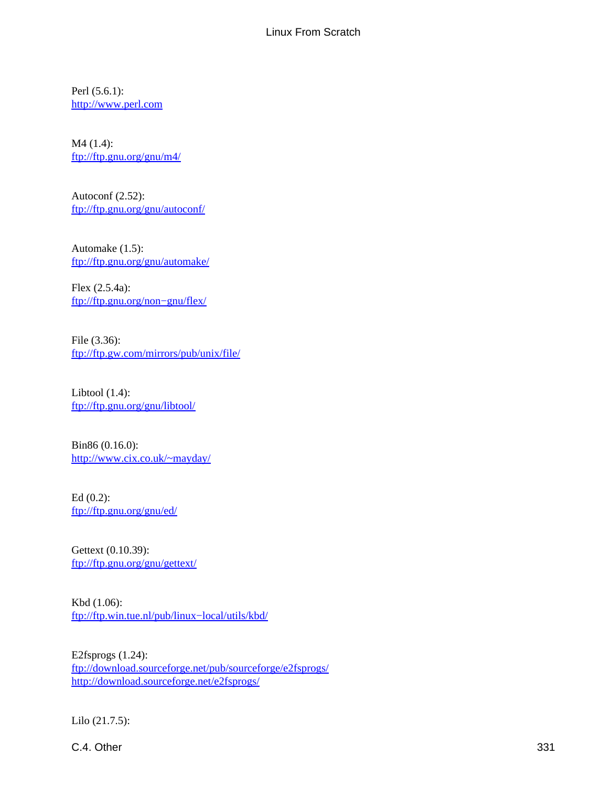Perl (5.6.1): <http://www.perl.com>

M4 (1.4): <ftp://ftp.gnu.org/gnu/m4/>

Autoconf (2.52): <ftp://ftp.gnu.org/gnu/autoconf/>

Automake (1.5): <ftp://ftp.gnu.org/gnu/automake/>

Flex (2.5.4a): [ftp://ftp.gnu.org/non−gnu/flex/](ftp://ftp.gnu.org/non-gnu/flex/)

File (3.36): <ftp://ftp.gw.com/mirrors/pub/unix/file/>

Libtool (1.4): <ftp://ftp.gnu.org/gnu/libtool/>

Bin86 (0.16.0): <http://www.cix.co.uk/~mayday/>

Ed (0.2): <ftp://ftp.gnu.org/gnu/ed/>

Gettext (0.10.39): <ftp://ftp.gnu.org/gnu/gettext/>

Kbd (1.06): [ftp://ftp.win.tue.nl/pub/linux−local/utils/kbd/](ftp://ftp.win.tue.nl/pub/linux-local/utils/kbd/)

E2fsprogs (1.24): <ftp://download.sourceforge.net/pub/sourceforge/e2fsprogs/> <http://download.sourceforge.net/e2fsprogs/>

Lilo (21.7.5):